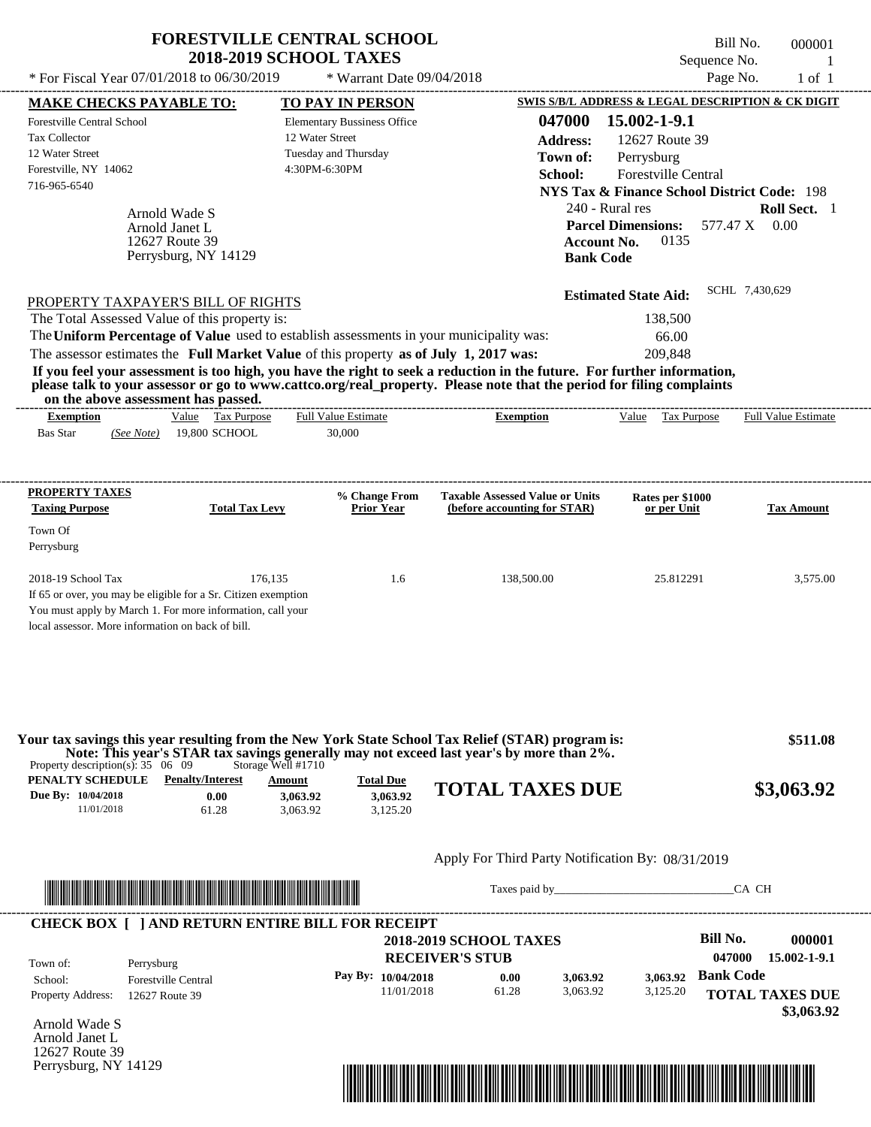|                                                                                                                                                                                                                                                                                                                                                      | <b>FORESTVILLE CENTRAL SCHOOL</b><br><b>2018-2019 SCHOOL TAXES</b>                               |                                                                                      | Bill No.<br>Sequence No.                                                                                                                                 | 000001                        |
|------------------------------------------------------------------------------------------------------------------------------------------------------------------------------------------------------------------------------------------------------------------------------------------------------------------------------------------------------|--------------------------------------------------------------------------------------------------|--------------------------------------------------------------------------------------|----------------------------------------------------------------------------------------------------------------------------------------------------------|-------------------------------|
| * For Fiscal Year 07/01/2018 to 06/30/2019                                                                                                                                                                                                                                                                                                           | * Warrant Date 09/04/2018                                                                        |                                                                                      | Page No.                                                                                                                                                 | $1$ of $1$                    |
| <b>MAKE CHECKS PAYABLE TO:</b>                                                                                                                                                                                                                                                                                                                       | <b>TO PAY IN PERSON</b>                                                                          |                                                                                      | SWIS S/B/L ADDRESS & LEGAL DESCRIPTION & CK DIGIT                                                                                                        |                               |
| <b>Forestville Central School</b><br><b>Tax Collector</b><br>12 Water Street<br>Forestville, NY 14062<br>716-965-6540                                                                                                                                                                                                                                | <b>Elementary Bussiness Office</b><br>12 Water Street<br>Tuesday and Thursday<br>4:30PM-6:30PM   | 047000<br><b>Address:</b><br>Town of:<br>School:                                     | 15.002-1-9.1<br>12627 Route 39<br>Perrysburg<br>Forestville Central                                                                                      |                               |
| Arnold Wade S<br>Arnold Janet L<br>12627 Route 39<br>Perrysburg, NY 14129                                                                                                                                                                                                                                                                            |                                                                                                  |                                                                                      | <b>NYS Tax &amp; Finance School District Code: 198</b><br>240 - Rural res<br><b>Parcel Dimensions:</b><br>0135<br><b>Account No.</b><br><b>Bank Code</b> | Roll Sect. 1<br>577.47 X 0.00 |
| PROPERTY TAXPAYER'S BILL OF RIGHTS<br>The Total Assessed Value of this property is:<br>The Uniform Percentage of Value used to establish assessments in your municipality was:<br>The assessor estimates the Full Market Value of this property as of July 1, 2017 was:                                                                              |                                                                                                  |                                                                                      | <b>Estimated State Aid:</b><br>138,500<br>66.00<br>209,848                                                                                               | SCHL 7,430,629                |
| If you feel your assessment is too high, you have the right to seek a reduction in the future. For further information,<br>please talk to your assessor or go to www.cattco.org/real_property. Please note that the period for filing complaints<br>on the above assessment has passed.                                                              |                                                                                                  | ---------------------------                                                          |                                                                                                                                                          |                               |
| Value Tax Purpose<br><b>Exemption</b><br>19,800 SCHOOL<br><b>Bas Star</b><br>(See Note)                                                                                                                                                                                                                                                              | <b>Full Value Estimate</b><br>30,000                                                             | <b>Exemption</b>                                                                     | Value Tax Purpose                                                                                                                                        | <b>Full Value Estimate</b>    |
| <b>PROPERTY TAXES</b><br><b>Taxing Purpose</b><br><b>Total Tax Levy</b><br>Town Of<br>Perrysburg<br>2018-19 School Tax<br>If 65 or over, you may be eligible for a Sr. Citizen exemption<br>You must apply by March 1. For more information, call your<br>local assessor. More information on back of bill.                                          | % Change From<br><b>Prior Year</b><br>176,135<br>1.6                                             | <b>Taxable Assessed Value or Units</b><br>(before accounting for STAR)<br>138,500.00 | Rates per \$1000<br>or per Unit<br>25.812291                                                                                                             | <b>Tax Amount</b><br>3,575.00 |
| Your tax savings this year resulting from the New York State School Tax Relief (STAR) program is:<br>Note: This year's STAR tax savings generally may not exceed last year's by more than 2%.<br>Property description(s): $35 \quad 06 \quad 09$<br>PENALTY SCHEDULE<br><b>Penalty/Interest</b><br>Due By: 10/04/2018<br>0.00<br>11/01/2018<br>61.28 | Storage Well #1710<br><b>Total Due</b><br>Amount<br>3,063.92<br>3,063.92<br>3,063.92<br>3,125.20 | <b>TOTAL TAXES DUE</b>                                                               |                                                                                                                                                          | \$511.08<br>\$3,063.92        |
|                                                                                                                                                                                                                                                                                                                                                      |                                                                                                  | Apply For Third Party Notification By: 08/31/2019                                    |                                                                                                                                                          |                               |
|                                                                                                                                                                                                                                                                                                                                                      |                                                                                                  |                                                                                      | Taxes paid by                                                                                                                                            | CA CH                         |
| <b>CHECK BOX [ ] AND RETURN ENTIRE BILL FOR RECEIPT</b>                                                                                                                                                                                                                                                                                              |                                                                                                  | <b>2018-2019 SCHOOL TAXES</b>                                                        | <b>Bill No.</b>                                                                                                                                          | 000001                        |
| Town of:<br>Perrysburg<br><b>Forestville Central</b><br>School:                                                                                                                                                                                                                                                                                      | Pay By: 10/04/2018                                                                               | <b>RECEIVER'S STUB</b><br>0.00<br>3,063.92                                           | 047000<br><b>Bank Code</b><br>3,063.92                                                                                                                   | 15.002-1-9.1                  |
| Property Address:<br>12627 Route 39                                                                                                                                                                                                                                                                                                                  | 11/01/2018                                                                                       | 61.28<br>3,063.92                                                                    | 3,125.20                                                                                                                                                 | <b>TOTAL TAXES DUE</b>        |

Arnold Wade S Arnold Janet L 12627 Route 39 Perrysburg, NY 14129



 **\$3,063.92**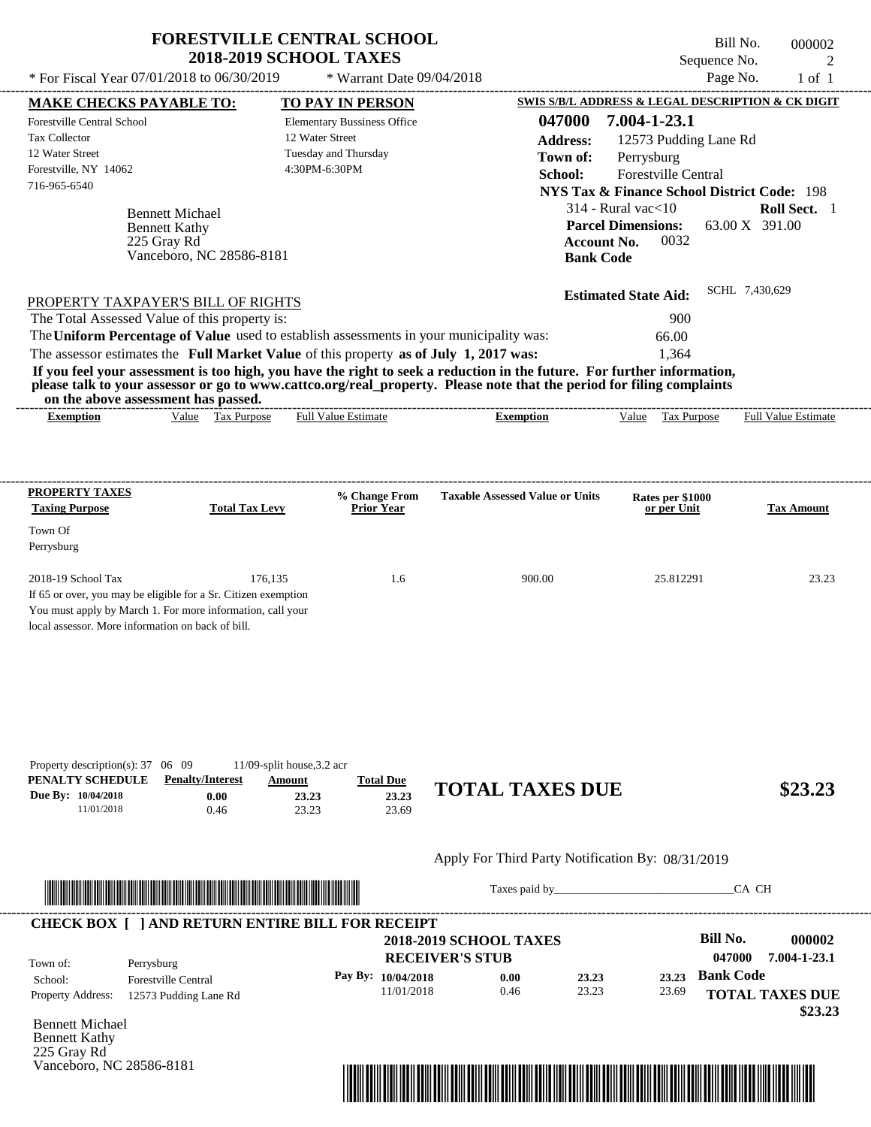|                                                                                                                                                                                                                                                           |                                         | <b>FORESTVILLE CENTRAL SCHOOL</b><br><b>2018-2019 SCHOOL TAXES</b>                           |                                                                                                                                                                                                                                                  | Bill No.<br>Sequence No.                               | 000002<br>2                                     |
|-----------------------------------------------------------------------------------------------------------------------------------------------------------------------------------------------------------------------------------------------------------|-----------------------------------------|----------------------------------------------------------------------------------------------|--------------------------------------------------------------------------------------------------------------------------------------------------------------------------------------------------------------------------------------------------|--------------------------------------------------------|-------------------------------------------------|
| * For Fiscal Year 07/01/2018 to 06/30/2019                                                                                                                                                                                                                |                                         | * Warrant Date 09/04/2018                                                                    |                                                                                                                                                                                                                                                  | Page No.                                               | $1$ of $1$                                      |
| <b>MAKE CHECKS PAYABLE TO:</b>                                                                                                                                                                                                                            |                                         | TO PAY IN PERSON                                                                             |                                                                                                                                                                                                                                                  | SWIS S/B/L ADDRESS & LEGAL DESCRIPTION & CK DIGIT      |                                                 |
| <b>Forestville Central School</b><br><b>Tax Collector</b>                                                                                                                                                                                                 |                                         | <b>Elementary Bussiness Office</b><br>12 Water Street                                        | 047000<br><b>Address:</b>                                                                                                                                                                                                                        | 7.004-1-23.1<br>12573 Pudding Lane Rd                  |                                                 |
| 12 Water Street                                                                                                                                                                                                                                           |                                         | Tuesday and Thursday                                                                         | Town of:                                                                                                                                                                                                                                         | Perrysburg                                             |                                                 |
| Forestville, NY 14062                                                                                                                                                                                                                                     |                                         | 4:30PM-6:30PM                                                                                | School:                                                                                                                                                                                                                                          | Forestville Central                                    |                                                 |
| 716-965-6540                                                                                                                                                                                                                                              |                                         |                                                                                              |                                                                                                                                                                                                                                                  | <b>NYS Tax &amp; Finance School District Code: 198</b> |                                                 |
|                                                                                                                                                                                                                                                           | <b>Bennett Michael</b>                  |                                                                                              |                                                                                                                                                                                                                                                  | $314$ - Rural vac $<$ 10                               | <b>Roll Sect.</b> 1                             |
|                                                                                                                                                                                                                                                           | <b>Bennett Kathy</b>                    |                                                                                              |                                                                                                                                                                                                                                                  | <b>Parcel Dimensions:</b>                              | 63.00 X 391.00                                  |
|                                                                                                                                                                                                                                                           | 225 Gray Rd                             |                                                                                              |                                                                                                                                                                                                                                                  | <b>Account No.</b><br>0032                             |                                                 |
|                                                                                                                                                                                                                                                           | Vanceboro, NC 28586-8181                |                                                                                              |                                                                                                                                                                                                                                                  | <b>Bank Code</b>                                       |                                                 |
|                                                                                                                                                                                                                                                           | PROPERTY TAXPAYER'S BILL OF RIGHTS      |                                                                                              |                                                                                                                                                                                                                                                  | <b>Estimated State Aid:</b>                            | SCHL 7,430,629                                  |
| The Total Assessed Value of this property is:                                                                                                                                                                                                             |                                         |                                                                                              |                                                                                                                                                                                                                                                  | 900                                                    |                                                 |
|                                                                                                                                                                                                                                                           |                                         | The Uniform Percentage of Value used to establish assessments in your municipality was:      |                                                                                                                                                                                                                                                  | 66.00                                                  |                                                 |
|                                                                                                                                                                                                                                                           |                                         | The assessor estimates the Full Market Value of this property as of July 1, 2017 was:        |                                                                                                                                                                                                                                                  | 1,364                                                  |                                                 |
| on the above assessment has passed.                                                                                                                                                                                                                       |                                         |                                                                                              | If you feel your assessment is too high, you have the right to seek a reduction in the future. For further information,<br>please talk to your assessor or go to www.cattco.org/real_property. Please note that the period for filing complaints |                                                        |                                                 |
|                                                                                                                                                                                                                                                           |                                         |                                                                                              |                                                                                                                                                                                                                                                  |                                                        |                                                 |
| <b>Exemption</b>                                                                                                                                                                                                                                          | Value Tax Purpose                       | <b>Full Value Estimate</b><br>% Change From                                                  | <b>Exemption</b><br><b>Taxable Assessed Value or Units</b>                                                                                                                                                                                       | Value Tax Purpose<br>Rates per \$1000                  |                                                 |
|                                                                                                                                                                                                                                                           | <b>Total Tax Levy</b>                   | <b>Prior Year</b>                                                                            |                                                                                                                                                                                                                                                  | or per Unit                                            | <b>Full Value Estimate</b><br><b>Tax Amount</b> |
| <b>Taxing Purpose</b>                                                                                                                                                                                                                                     | 176,135                                 | 1.6                                                                                          | 900.00                                                                                                                                                                                                                                           | 25.812291                                              | 23.23                                           |
|                                                                                                                                                                                                                                                           |                                         |                                                                                              |                                                                                                                                                                                                                                                  |                                                        |                                                 |
| <b>PROPERTY TAXES</b><br>Town Of<br>Perrysburg<br>2018-19 School Tax<br>If 65 or over, you may be eligible for a Sr. Citizen exemption<br>You must apply by March 1. For more information, call your<br>local assessor. More information on back of bill. |                                         |                                                                                              |                                                                                                                                                                                                                                                  |                                                        |                                                 |
| Due By: 10/04/2018<br>11/01/2018                                                                                                                                                                                                                          | <b>Penalty/Interest</b><br>0.00<br>0.46 | 11/09-split house, 3.2 acr<br><b>Total Due</b><br>Amount<br>23.23<br>23.23<br>23.23<br>23.69 | <b>TOTAL TAXES DUE</b>                                                                                                                                                                                                                           |                                                        | \$23.23                                         |
| Property description(s): 37 06 09<br>PENALTY SCHEDULE                                                                                                                                                                                                     |                                         |                                                                                              | Apply For Third Party Notification By: 08/31/2019                                                                                                                                                                                                |                                                        |                                                 |

| Town of:                 | Perrysburg                 | <b>2018-2019 SCHOOL TAXES</b><br><b>RECEIVER'S STUB</b> |      |       |       | Bill No.<br>047000 | 000002<br>7.004-1-23.1            |
|--------------------------|----------------------------|---------------------------------------------------------|------|-------|-------|--------------------|-----------------------------------|
| School:                  | <b>Forestville Central</b> | Pay By: $10/04/2018$                                    | 0.00 | 23.23 | 23.23 | <b>Bank Code</b>   |                                   |
| <b>Property Address:</b> | 12573 Pudding Lane Rd      | 11/01/2018                                              | 0.46 | 23.23 | 23.69 |                    | <b>TOTAL TAXES DUE</b><br>\$23.23 |

Bennett Michael Bennett Kathy 225 Gray Rd Vanceboro, NC 28586-8181

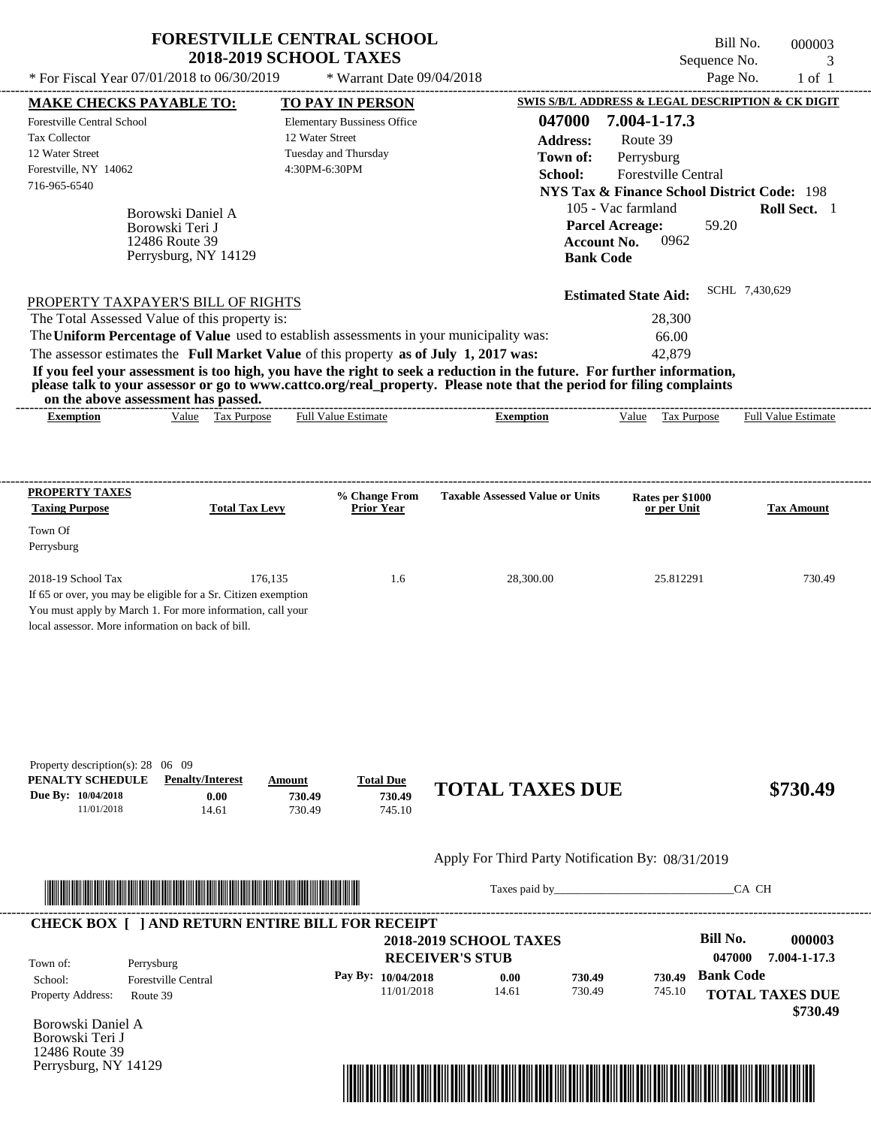| * For Fiscal Year 07/01/2018 to 06/30/2019                                                                                                                                                                                                                                                                     | <b>FORESTVILLE CENTRAL SCHOOL</b><br><b>2018-2019 SCHOOL TAXES</b>     | * Warrant Date 09/04/2018                                                                                          |                                                                                                                                                                                                                                                  | Bill No.<br>Sequence No.<br>Page No.                                                                                                                   | 000003<br>3<br>$1$ of $1$  |
|----------------------------------------------------------------------------------------------------------------------------------------------------------------------------------------------------------------------------------------------------------------------------------------------------------------|------------------------------------------------------------------------|--------------------------------------------------------------------------------------------------------------------|--------------------------------------------------------------------------------------------------------------------------------------------------------------------------------------------------------------------------------------------------|--------------------------------------------------------------------------------------------------------------------------------------------------------|----------------------------|
|                                                                                                                                                                                                                                                                                                                |                                                                        |                                                                                                                    |                                                                                                                                                                                                                                                  | SWIS S/B/L ADDRESS & LEGAL DESCRIPTION & CK DIGIT                                                                                                      |                            |
| <b>MAKE CHECKS PAYABLE TO:</b><br>Forestville Central School<br><b>Tax Collector</b><br>12 Water Street<br>Forestville, NY 14062<br>716-965-6540<br>Borowski Teri J                                                                                                                                            | Borowski Daniel A                                                      | TO PAY IN PERSON<br><b>Elementary Bussiness Office</b><br>12 Water Street<br>Tuesday and Thursday<br>4:30PM-6:30PM | 047000<br><b>Address:</b><br>Town of:<br>School:<br><b>Parcel Acreage:</b>                                                                                                                                                                       | 7.004-1-17.3<br>Route 39<br>Perrysburg<br>Forestville Central<br><b>NYS Tax &amp; Finance School District Code: 198</b><br>105 - Vac farmland<br>59.20 | Roll Sect. 1               |
| 12486 Route 39                                                                                                                                                                                                                                                                                                 | Perrysburg, NY 14129                                                   |                                                                                                                    | <b>Account No.</b><br><b>Bank Code</b>                                                                                                                                                                                                           | 0962<br><b>Estimated State Aid:</b>                                                                                                                    | SCHL 7,430,629             |
| PROPERTY TAXPAYER'S BILL OF RIGHTS<br>The Total Assessed Value of this property is:<br>The Uniform Percentage of Value used to establish assessments in your municipality was:<br>The assessor estimates the Full Market Value of this property as of July 1, 2017 was:<br>on the above assessment has passed. |                                                                        |                                                                                                                    | If you feel your assessment is too high, you have the right to seek a reduction in the future. For further information,<br>please talk to your assessor or go to www.cattco.org/real_property. Please note that the period for filing complaints | 28,300<br>66.00<br>42,879                                                                                                                              |                            |
| <b>Exemption</b>                                                                                                                                                                                                                                                                                               | Value Tax Purpose                                                      | <b>Full Value Estimate</b>                                                                                         | <b>Exemption</b>                                                                                                                                                                                                                                 | Value<br>Tax Purpose                                                                                                                                   | <b>Full Value Estimate</b> |
| PROPERTY TAXES                                                                                                                                                                                                                                                                                                 |                                                                        | % Change From                                                                                                      | <b>Taxable Assessed Value or Units</b>                                                                                                                                                                                                           | Rates per \$1000                                                                                                                                       |                            |
| <b>Taxing Purpose</b><br>Town Of<br>Perrysburg                                                                                                                                                                                                                                                                 | <b>Total Tax Levy</b>                                                  | Prior Year                                                                                                         |                                                                                                                                                                                                                                                  | or per Unit                                                                                                                                            | <b>Tax Amount</b>          |
| $2018-19$ School Tax<br>If 65 or over, you may be eligible for a Sr. Citizen exemption<br>You must apply by March 1. For more information, call your<br>local assessor. More information on back of bill.                                                                                                      | 176,135                                                                | 1.6                                                                                                                | 28,300.00                                                                                                                                                                                                                                        | 25.812291                                                                                                                                              | 730.49                     |
| Property description(s): 28 06 09<br>PENALTY SCHEDULE<br>Due By: 10/04/2018<br>11/01/2018                                                                                                                                                                                                                      | <b>Penalty/Interest</b><br>Amount<br>0.00<br>730.49<br>730.49<br>14.61 | <b>Total Due</b><br>730.49<br>745.10                                                                               | <b>TOTAL TAXES DUE</b>                                                                                                                                                                                                                           |                                                                                                                                                        | \$730.49                   |
|                                                                                                                                                                                                                                                                                                                |                                                                        |                                                                                                                    | Apply For Third Party Notification By: 08/31/2019                                                                                                                                                                                                |                                                                                                                                                        |                            |
|                                                                                                                                                                                                                                                                                                                | <u> 1989 - Johann Stoff, Amerikaansk politiker (</u>                   |                                                                                                                    |                                                                                                                                                                                                                                                  |                                                                                                                                                        | CA CH                      |
| <b>CHECK BOX [ ] AND RETURN ENTIRE BILL FOR RECEIPT</b>                                                                                                                                                                                                                                                        |                                                                        |                                                                                                                    | <b>2018-2019 SCHOOL TAXES</b><br><b>RECEIVER'S STUB</b>                                                                                                                                                                                          | <b>Bill No.</b><br>047000                                                                                                                              | 000003<br>7.004-1-17.3     |
| Town of:<br>Perrysburg<br>Forestville Central<br>School:                                                                                                                                                                                                                                                       |                                                                        | Pay By: 10/04/2018                                                                                                 | 0.00<br>730.49                                                                                                                                                                                                                                   | <b>Bank Code</b><br>730.49                                                                                                                             |                            |

11/01/2018

Borowski Daniel A Borowski Teri J 12486 Route 39 Perrysburg, NY 14129

Property Address: Route 39



730.49

**TOTAL TAXES DUE**

745.10

 **\$730.49**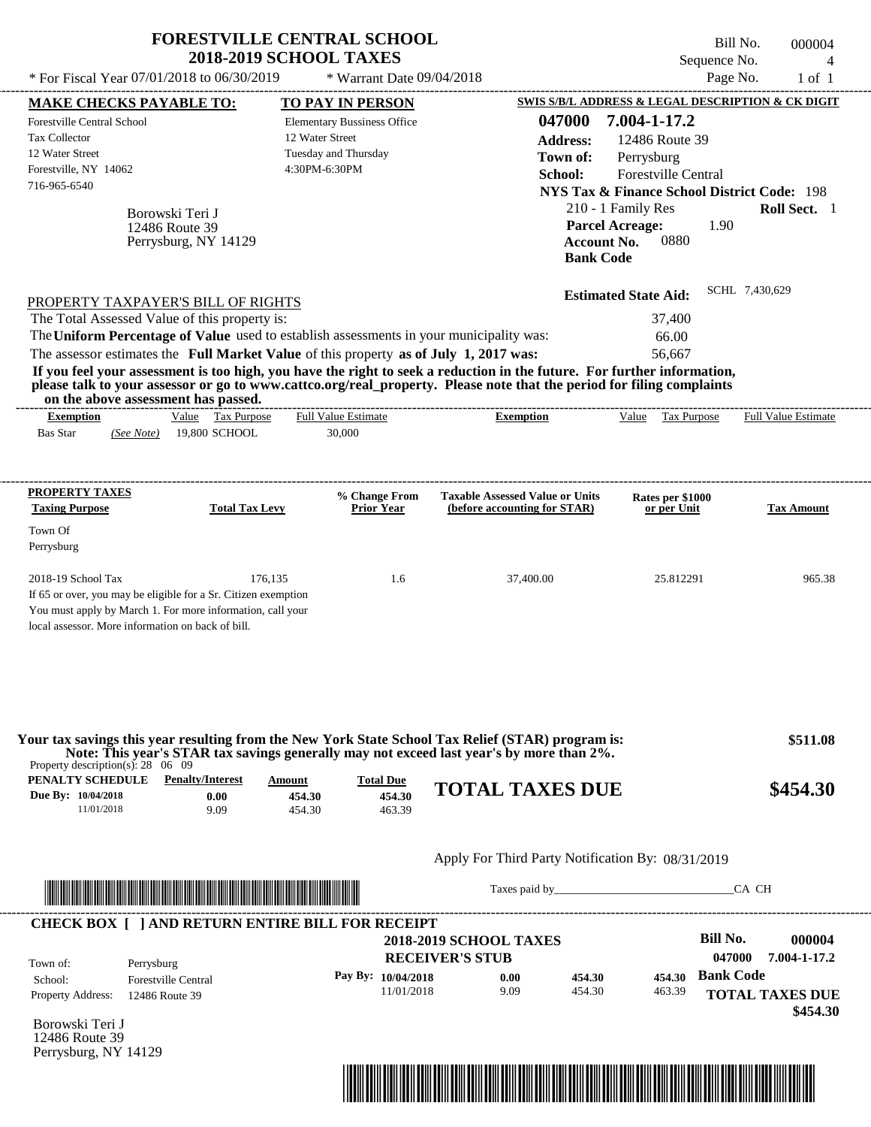|                                                                                                                                                                                                                                                                                                                                           | <b>FORESTVILLE CENTRAL SCHOOL</b><br><b>2018-2019 SCHOOL TAXES</b> |                                                            |                                                                                          |                                                                                                                                                          | Bill No.<br>Sequence No.  | 000004<br>$\overline{4}$ |
|-------------------------------------------------------------------------------------------------------------------------------------------------------------------------------------------------------------------------------------------------------------------------------------------------------------------------------------------|--------------------------------------------------------------------|------------------------------------------------------------|------------------------------------------------------------------------------------------|----------------------------------------------------------------------------------------------------------------------------------------------------------|---------------------------|--------------------------|
| * For Fiscal Year 07/01/2018 to 06/30/2019                                                                                                                                                                                                                                                                                                |                                                                    | * Warrant Date 09/04/2018                                  |                                                                                          |                                                                                                                                                          | Page No.                  | $1$ of $1$               |
| <b>MAKE CHECKS PAYABLE TO:</b>                                                                                                                                                                                                                                                                                                            |                                                                    | <b>TO PAY IN PERSON</b>                                    |                                                                                          | <b>SWIS S/B/L ADDRESS &amp; LEGAL DESCRIPTION &amp; CK DIGIT</b>                                                                                         |                           |                          |
| Forestville Central School<br><b>Tax Collector</b><br>12 Water Street<br>Forestville, NY 14062<br>716-965-6540                                                                                                                                                                                                                            | 12 Water Street<br>4:30PM-6:30PM                                   | <b>Elementary Bussiness Office</b><br>Tuesday and Thursday | 047000<br><b>Address:</b><br>Town of:<br>School:                                         | 7.004-1-17.2<br>12486 Route 39<br>Perrysburg<br>Forestville Central                                                                                      |                           |                          |
| Borowski Teri J<br>12486 Route 39<br>Perrysburg, NY 14129                                                                                                                                                                                                                                                                                 |                                                                    |                                                            |                                                                                          | <b>NYS Tax &amp; Finance School District Code: 198</b><br>210 - 1 Family Res<br><b>Parcel Acreage:</b><br>0880<br><b>Account No.</b><br><b>Bank Code</b> | 1.90                      | Roll Sect. 1             |
| PROPERTY TAXPAYER'S BILL OF RIGHTS                                                                                                                                                                                                                                                                                                        |                                                                    |                                                            |                                                                                          | <b>Estimated State Aid:</b>                                                                                                                              | SCHL 7,430,629            |                          |
| The Total Assessed Value of this property is:<br>The Uniform Percentage of Value used to establish assessments in your municipality was:                                                                                                                                                                                                  |                                                                    |                                                            |                                                                                          | 37,400<br>66.00                                                                                                                                          |                           |                          |
| The assessor estimates the Full Market Value of this property as of July 1, 2017 was:<br>If you feel your assessment is too high, you have the right to seek a reduction in the future. For further information,<br>please talk to your assessor or go to www.cattco.org/real_property. Please note that the period for filing complaints |                                                                    |                                                            |                                                                                          | 56,667                                                                                                                                                   |                           |                          |
| on the above assessment has passed.<br><b>Exemption</b>                                                                                                                                                                                                                                                                                   | Value Tax Purpose                                                  | <b>Full Value Estimate</b>                                 | <b>Exemption</b>                                                                         | Value Tax Purpose                                                                                                                                        |                           | Full Value Estimate      |
| <b>Bas Star</b><br>(See Note)                                                                                                                                                                                                                                                                                                             | 19,800 SCHOOL                                                      | 30,000                                                     |                                                                                          |                                                                                                                                                          |                           |                          |
| PROPERTY TAXES                                                                                                                                                                                                                                                                                                                            |                                                                    | % Change From                                              | <b>Taxable Assessed Value or Units</b>                                                   | Rates per \$1000                                                                                                                                         |                           |                          |
| <b>Taxing Purpose</b>                                                                                                                                                                                                                                                                                                                     | <b>Total Tax Levy</b>                                              | <b>Prior Year</b>                                          | (before accounting for STAR)                                                             | or per Unit                                                                                                                                              |                           | <b>Tax Amount</b>        |
| Town Of<br>Perrysburg                                                                                                                                                                                                                                                                                                                     |                                                                    |                                                            |                                                                                          |                                                                                                                                                          |                           |                          |
| 2018-19 School Tax<br>If 65 or over, you may be eligible for a Sr. Citizen exemption<br>You must apply by March 1. For more information, call your<br>local assessor. More information on back of bill.                                                                                                                                   | 176,135                                                            | 1.6                                                        | 37,400.00                                                                                | 25.812291                                                                                                                                                |                           | 965.38                   |
| Your tax savings this year resulting from the New York State School Tax Relief (STAR) program is:<br>Property description(s): $28 \quad 06 \quad 09$                                                                                                                                                                                      |                                                                    |                                                            | Note: This year's STAR tax savings generally may not exceed last year's by more than 2%. |                                                                                                                                                          |                           | \$511.08                 |
| <b>PENALTY SCHEDULE</b> Penalty/Interest<br>Due By: 10/04/2018<br>11/01/2018                                                                                                                                                                                                                                                              | Amount<br>0.00<br>454.30<br>9.09<br>454.30                         | <b>Total Due</b><br>454.30<br>463.39                       | <b>TOTAL TAXES DUE</b>                                                                   |                                                                                                                                                          |                           | \$454.30                 |
|                                                                                                                                                                                                                                                                                                                                           |                                                                    |                                                            | Apply For Third Party Notification By: 08/31/2019                                        |                                                                                                                                                          |                           |                          |
| <u> Literatura de la contrada de la contrada de la contrada de la contrada de la contrada de la contrada de la c</u>                                                                                                                                                                                                                      |                                                                    |                                                            | Taxes paid by                                                                            |                                                                                                                                                          | CA CH                     |                          |
| <b>CHECK BOX [ ] AND RETURN ENTIRE BILL FOR RECEIPT</b>                                                                                                                                                                                                                                                                                   |                                                                    |                                                            |                                                                                          |                                                                                                                                                          |                           |                          |
|                                                                                                                                                                                                                                                                                                                                           |                                                                    |                                                            | <b>2018-2019 SCHOOL TAXES</b><br><b>RECEIVER'S STUB</b>                                  |                                                                                                                                                          | <b>Bill No.</b><br>047000 | 000004<br>7.004-1-17.2   |
| Town of:<br>Perrysburg<br>School:<br><b>Forestville Central</b><br>Property Address:<br>12486 Route 39                                                                                                                                                                                                                                    |                                                                    | Pay By: 10/04/2018<br>11/01/2018                           | 454.30<br>0.00<br>9.09<br>454.30                                                         | 454.30<br>463.39                                                                                                                                         | <b>Bank Code</b>          | <b>TOTAL TAXES DUE</b>   |
| Borowski Teri J<br>12486 Route 39                                                                                                                                                                                                                                                                                                         |                                                                    |                                                            |                                                                                          |                                                                                                                                                          |                           | \$454.30                 |

Perrysburg, NY 14129

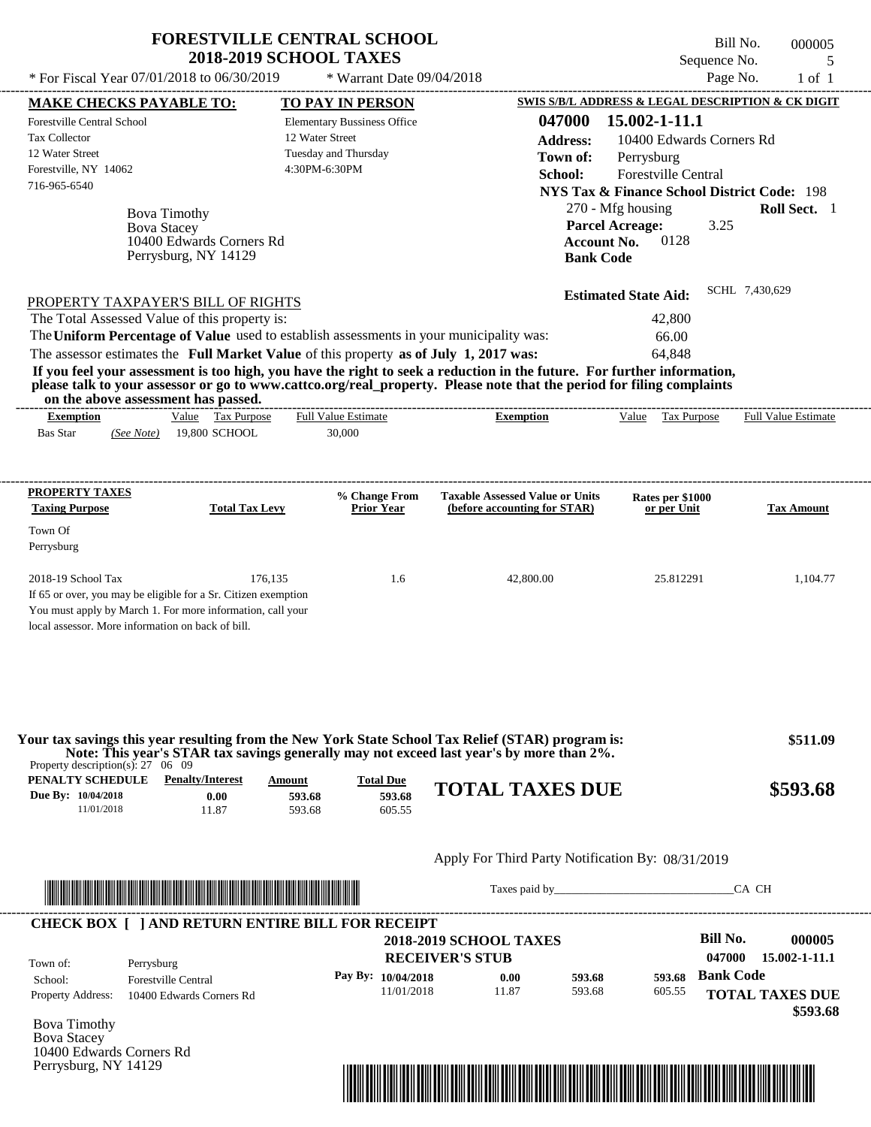|                                                                                                                                                                                                                                                                                                                                                                                  | <b>FORESTVILLE CENTRAL SCHOOL</b>  |                                        | Bill No.                                               | 000005                     |
|----------------------------------------------------------------------------------------------------------------------------------------------------------------------------------------------------------------------------------------------------------------------------------------------------------------------------------------------------------------------------------|------------------------------------|----------------------------------------|--------------------------------------------------------|----------------------------|
|                                                                                                                                                                                                                                                                                                                                                                                  | <b>2018-2019 SCHOOL TAXES</b>      |                                        | Sequence No.                                           | 5                          |
| * For Fiscal Year 07/01/2018 to 06/30/2019                                                                                                                                                                                                                                                                                                                                       | * Warrant Date 09/04/2018          |                                        | Page No.                                               | $1$ of $1$                 |
| <b>MAKE CHECKS PAYABLE TO:</b>                                                                                                                                                                                                                                                                                                                                                   | <b>TO PAY IN PERSON</b>            |                                        | SWIS S/B/L ADDRESS & LEGAL DESCRIPTION & CK DIGIT      |                            |
| <b>Forestville Central School</b>                                                                                                                                                                                                                                                                                                                                                | <b>Elementary Bussiness Office</b> | 047000                                 | 15.002-1-11.1                                          |                            |
| <b>Tax Collector</b>                                                                                                                                                                                                                                                                                                                                                             | 12 Water Street                    | <b>Address:</b>                        | 10400 Edwards Corners Rd                               |                            |
| 12 Water Street                                                                                                                                                                                                                                                                                                                                                                  | Tuesday and Thursday               | Town of:                               | Perrysburg                                             |                            |
| Forestville, NY 14062                                                                                                                                                                                                                                                                                                                                                            | 4:30PM-6:30PM                      | School:                                | Forestville Central                                    |                            |
| 716-965-6540                                                                                                                                                                                                                                                                                                                                                                     |                                    |                                        | <b>NYS Tax &amp; Finance School District Code: 198</b> |                            |
| <b>Bova Timothy</b>                                                                                                                                                                                                                                                                                                                                                              |                                    |                                        | 270 - Mfg housing                                      | Roll Sect. 1               |
| <b>Bova Stacey</b>                                                                                                                                                                                                                                                                                                                                                               |                                    |                                        | 3.25<br><b>Parcel Acreage:</b>                         |                            |
| 10400 Edwards Corners Rd                                                                                                                                                                                                                                                                                                                                                         |                                    |                                        | 0128<br><b>Account No.</b>                             |                            |
| Perrysburg, NY 14129                                                                                                                                                                                                                                                                                                                                                             |                                    |                                        | <b>Bank Code</b>                                       |                            |
| The assessor estimates the Full Market Value of this property as of July 1, 2017 was:<br>If you feel your assessment is too high, you have the right to seek a reduction in the future. For further information,<br>please talk to your assessor or go to www.cattco.org/real_property. Please note that the period for filing complaints<br>on the above assessment has passed. |                                    | -------------------------              | 64.848                                                 |                            |
| Value Tax Purpose<br><b>Exemption</b>                                                                                                                                                                                                                                                                                                                                            | <b>Full Value Estimate</b>         | <b>Exemption</b>                       | Value Tax Purpose                                      | <b>Full Value Estimate</b> |
| (See Note) 19,800 SCHOOL<br><b>Bas Star</b>                                                                                                                                                                                                                                                                                                                                      | 30,000                             |                                        |                                                        |                            |
| PROPERTY TAXES                                                                                                                                                                                                                                                                                                                                                                   | % Change From                      | <b>Taxable Assessed Value or Units</b> | Rates per \$1000                                       |                            |
| <b>Taxing Purpose</b><br><b>Total Tax Levy</b>                                                                                                                                                                                                                                                                                                                                   | <b>Prior Year</b>                  | (before accounting for STAR)           | or per Unit                                            | <b>Tax Amount</b>          |
| Town Of                                                                                                                                                                                                                                                                                                                                                                          |                                    |                                        |                                                        |                            |
| Perrysburg                                                                                                                                                                                                                                                                                                                                                                       |                                    |                                        |                                                        |                            |
| 2018-19 School Tax                                                                                                                                                                                                                                                                                                                                                               | 176.135<br>1.6                     | 42,800.00                              | 25.812291                                              | 1,104.77                   |
| If 65 or over, you may be eligible for a Sr. Citizen exemption                                                                                                                                                                                                                                                                                                                   |                                    |                                        |                                                        |                            |
| You must apply by March 1. For more information, call your                                                                                                                                                                                                                                                                                                                       |                                    |                                        |                                                        |                            |
| local assessor. More information on back of bill.                                                                                                                                                                                                                                                                                                                                |                                    |                                        |                                                        |                            |
|                                                                                                                                                                                                                                                                                                                                                                                  |                                    |                                        |                                                        |                            |

| Property description(s): $27 \quad 06 \quad 09$ |                                 |                  |                            | Your tax savings this year resulting from the New York State School Tax Relief (STAR) program is:<br>Note: This year's STAR tax savings generally may not exceed last year's by more than 2%. | \$511.09 |
|-------------------------------------------------|---------------------------------|------------------|----------------------------|-----------------------------------------------------------------------------------------------------------------------------------------------------------------------------------------------|----------|
| PENALTY SCHEDULE<br>Due By: 10/04/2018          | <b>Penalty/Interest</b><br>0.00 | Amount<br>593.68 | <b>Total Due</b><br>593.68 | <b>TOTAL TAXES DUE</b>                                                                                                                                                                        | \$593.68 |
| 11/01/2018                                      | 11.87                           | 593.68           | 605.55                     |                                                                                                                                                                                               |          |
|                                                 |                                 |                  |                            |                                                                                                                                                                                               |          |

### Apply For Third Party Notification By: 08/31/2019



Taxes paid by\_\_\_\_\_\_\_\_\_\_\_\_\_\_\_\_\_\_\_\_\_\_\_\_\_\_\_\_\_\_\_CA CH

| Town of:                 | Perrysburg                 | <b>RECEIVER'S STUB</b> | <b>2018-2019 SCHOOL TAXES</b> |        |        | Bill No.<br>047000 | 000005<br>15.002-1-11.1 |
|--------------------------|----------------------------|------------------------|-------------------------------|--------|--------|--------------------|-------------------------|
| School:                  | <b>Forestville Central</b> | Pay By: $10/04/2018$   | 0.00                          | 593.68 | 593.68 | <b>Bank Code</b>   |                         |
| <b>Property Address:</b> | 10400 Edwards Corners Rd   | 11/01/2018             | 11.87                         | 593.68 | 605.55 |                    | <b>TOTAL TAXES DUE</b>  |

Bova Timothy Bova Stacey 10400 Edwards Corners Rd Perrysburg, NY 14129

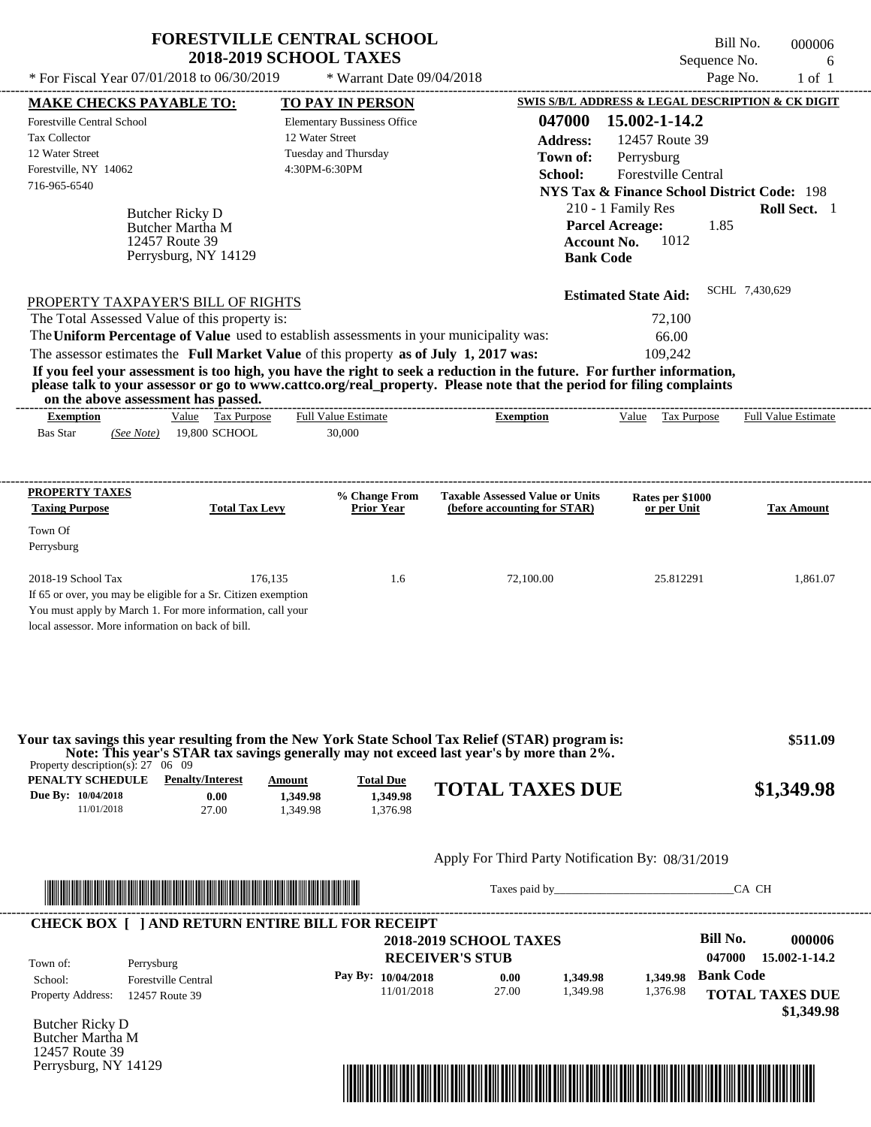|                                                                                                                                                                                                                                                                                                 | <b>FORESTVILLE CENTRAL SCHOOL</b><br><b>2018-2019 SCHOOL TAXES</b>                             |                                                                        | Sequence No.                                                                                                                   | Bill No.<br>000006<br>6    |
|-------------------------------------------------------------------------------------------------------------------------------------------------------------------------------------------------------------------------------------------------------------------------------------------------|------------------------------------------------------------------------------------------------|------------------------------------------------------------------------|--------------------------------------------------------------------------------------------------------------------------------|----------------------------|
| * For Fiscal Year 07/01/2018 to 06/30/2019                                                                                                                                                                                                                                                      | * Warrant Date 09/04/2018                                                                      |                                                                        | Page No.                                                                                                                       | $1$ of $1$                 |
| <b>MAKE CHECKS PAYABLE TO:</b>                                                                                                                                                                                                                                                                  | TO PAY IN PERSON                                                                               |                                                                        | SWIS S/B/L ADDRESS & LEGAL DESCRIPTION & CK DIGIT                                                                              |                            |
| Forestville Central School<br><b>Tax Collector</b><br>12 Water Street<br>Forestville, NY 14062<br>716-965-6540                                                                                                                                                                                  | <b>Elementary Bussiness Office</b><br>12 Water Street<br>Tuesday and Thursday<br>4:30PM-6:30PM | 047000<br><b>Address:</b><br>Town of:<br>School:                       | 15.002-1-14.2<br>12457 Route 39<br>Perrysburg<br>Forestville Central<br><b>NYS Tax &amp; Finance School District Code: 198</b> |                            |
| Butcher Ricky D<br>Butcher Martha M<br>12457 Route 39<br>Perrysburg, NY 14129                                                                                                                                                                                                                   |                                                                                                | <b>Parcel Acreage:</b><br><b>Account No.</b><br><b>Bank Code</b>       | 210 - 1 Family Res<br>1.85<br>1012                                                                                             | Roll Sect. 1               |
| PROPERTY TAXPAYER'S BILL OF RIGHTS                                                                                                                                                                                                                                                              |                                                                                                |                                                                        | <b>Estimated State Aid:</b>                                                                                                    | SCHL 7,430,629             |
| The Total Assessed Value of this property is:                                                                                                                                                                                                                                                   |                                                                                                |                                                                        | 72,100                                                                                                                         |                            |
| The Uniform Percentage of Value used to establish assessments in your municipality was:                                                                                                                                                                                                         |                                                                                                |                                                                        | 66.00                                                                                                                          |                            |
| The assessor estimates the Full Market Value of this property as of July 1, 2017 was:                                                                                                                                                                                                           |                                                                                                |                                                                        | 109,242                                                                                                                        |                            |
| If you feel your assessment is too high, you have the right to seek a reduction in the future. For further information,<br>please talk to your assessor or go to www.cattco.org/real property. Please note that the period for filing complaints<br>on the above assessment has passed.         |                                                                                                |                                                                        |                                                                                                                                |                            |
| Value Tax Purpose<br><b>Exemption</b><br><b>Bas Star</b><br>19,800 SCHOOL<br>(See Note)                                                                                                                                                                                                         | <b>Full Value Estimate</b><br>30,000                                                           | <b>Exemption</b>                                                       | Value<br>Tax Purpose                                                                                                           | <b>Full Value Estimate</b> |
| PROPERTY TAXES<br><b>Taxing Purpose</b><br><b>Total Tax Levy</b>                                                                                                                                                                                                                                | % Change From<br>Prior Year                                                                    | <b>Taxable Assessed Value or Units</b><br>(before accounting for STAR) | Rates per \$1000<br>or per Unit                                                                                                | <b>Tax Amount</b>          |
| Town Of<br>Perrysburg                                                                                                                                                                                                                                                                           |                                                                                                |                                                                        |                                                                                                                                |                            |
| 2018-19 School Tax<br>176,135<br>If 65 or over, you may be eligible for a Sr. Citizen exemption<br>You must apply by March 1. For more information, call your<br>local assessor. More information on back of bill.                                                                              | 1.6                                                                                            | 72,100.00                                                              | 25.812291                                                                                                                      | 1,861.07                   |
| Your tax savings this year resulting from the New York State School Tax Relief (STAR) program is:<br>Note: This year's STAR tax savings generally may not exceed last year's by more than 2%.<br>Property description(s): $27 \quad 06 \quad 09$<br>PENALTY SCHEDULE<br><b>Penalty/Interest</b> | Amount<br><b>Total Due</b>                                                                     | <b>TOTAL TAXES DUE</b>                                                 |                                                                                                                                | \$511.09<br>\$1,349.98     |
| Due By: 10/04/2018<br>0.00<br>11/01/2018<br>27.00                                                                                                                                                                                                                                               | 1,349.98<br>1.349.98<br>1.349.98<br>1.376.98                                                   |                                                                        |                                                                                                                                |                            |
|                                                                                                                                                                                                                                                                                                 |                                                                                                | Apply For Third Party Notification By: 08/31/2019                      |                                                                                                                                |                            |
|                                                                                                                                                                                                                                                                                                 |                                                                                                |                                                                        |                                                                                                                                | CA CH                      |
| <b>CHECK BOX [ ] AND RETURN ENTIRE BILL FOR RECEIPT</b>                                                                                                                                                                                                                                         |                                                                                                |                                                                        |                                                                                                                                |                            |
|                                                                                                                                                                                                                                                                                                 |                                                                                                | <b>2018-2019 SCHOOL TAXES</b><br><b>RECEIVER'S STUB</b>                | <b>Bill No.</b><br>047000                                                                                                      | 000006<br>15.002-1-14.2    |
| Perrysburg<br>Town of:<br><b>Forestville Central</b><br>School:                                                                                                                                                                                                                                 | Pay By: 10/04/2018                                                                             | 0.00<br>1,349.98                                                       | <b>Bank Code</b><br>1,349.98                                                                                                   |                            |
| Property Address: 12457 Route 39                                                                                                                                                                                                                                                                | 11/01/2018                                                                                     | 27.00<br>1,349.98                                                      | 1,376.98                                                                                                                       | <b>TOTAL TAXES DUE</b>     |

Butcher Ricky D Butcher Martha M 12457 Route 39 Perrysburg, NY 14129

Property Address: 12457 Route 39



**TOTAL TAXES DUE**

 **\$1,349.98**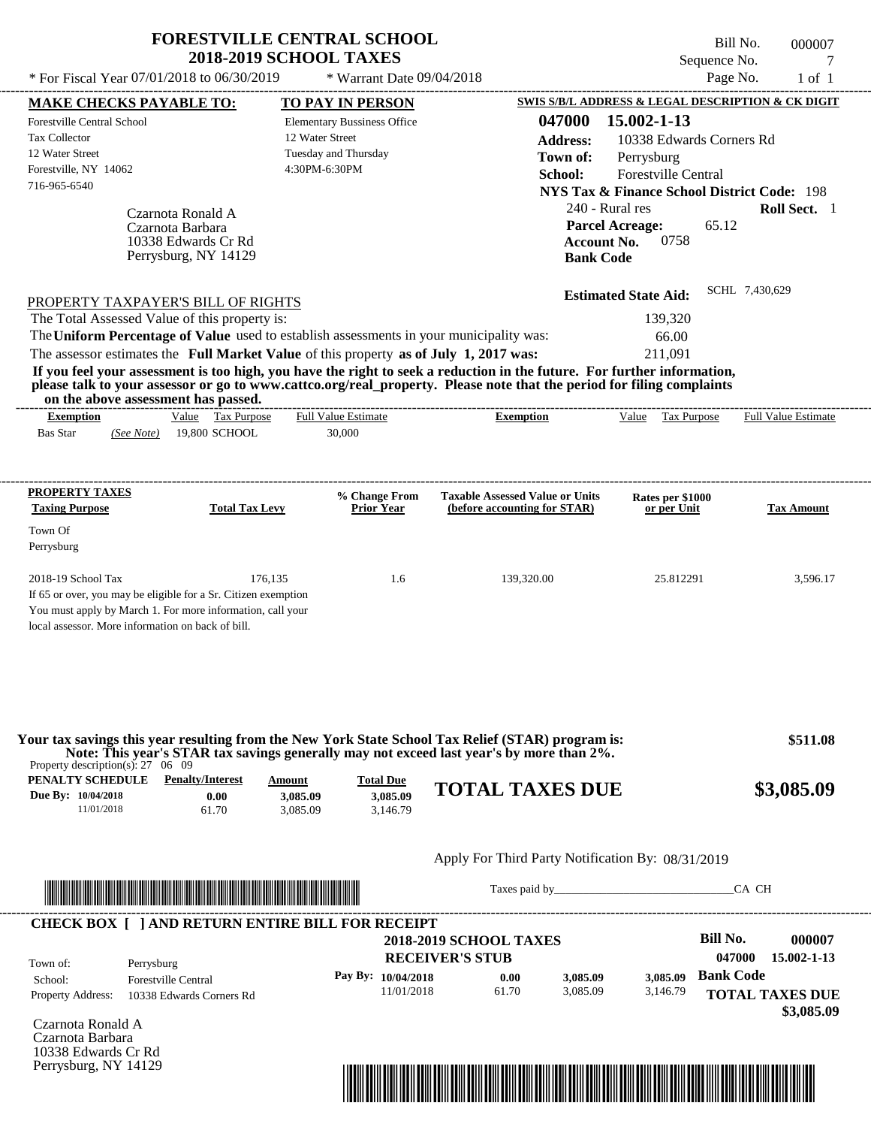|                                                                                                                                                                                                                                                  | <b>FORESTVILLE CENTRAL SCHOOL</b><br><b>2018-2019 SCHOOL TAXES</b> |                               |                                        | Sequence No.                                                                                                                                                                                                                   | Bill No.<br>000007<br>7 |
|--------------------------------------------------------------------------------------------------------------------------------------------------------------------------------------------------------------------------------------------------|--------------------------------------------------------------------|-------------------------------|----------------------------------------|--------------------------------------------------------------------------------------------------------------------------------------------------------------------------------------------------------------------------------|-------------------------|
| * For Fiscal Year 07/01/2018 to 06/30/2019                                                                                                                                                                                                       |                                                                    | * Warrant Date 09/04/2018     |                                        |                                                                                                                                                                                                                                | Page No.<br>$1$ of $1$  |
| <b>MAKE CHECKS PAYABLE TO:</b>                                                                                                                                                                                                                   | <b>TO PAY IN PERSON</b>                                            |                               |                                        | <b>SWIS S/B/L ADDRESS &amp; LEGAL DESCRIPTION &amp; CK DIGIT</b>                                                                                                                                                               |                         |
| Forestville Central School                                                                                                                                                                                                                       | <b>Elementary Bussiness Office</b>                                 |                               | 047000                                 | 15.002-1-13                                                                                                                                                                                                                    |                         |
| <b>Tax Collector</b>                                                                                                                                                                                                                             | 12 Water Street                                                    |                               | <b>Address:</b>                        | 10338 Edwards Corners Rd                                                                                                                                                                                                       |                         |
| 12 Water Street                                                                                                                                                                                                                                  | Tuesday and Thursday                                               |                               | Town of:                               | Perrysburg                                                                                                                                                                                                                     |                         |
| Forestville, NY 14062                                                                                                                                                                                                                            | 4:30PM-6:30PM                                                      |                               | School:                                | <b>Forestville Central</b>                                                                                                                                                                                                     |                         |
| 716-965-6540                                                                                                                                                                                                                                     |                                                                    |                               |                                        | <b>NYS Tax &amp; Finance School District Code: 198</b>                                                                                                                                                                         |                         |
|                                                                                                                                                                                                                                                  |                                                                    |                               |                                        | 240 - Rural res                                                                                                                                                                                                                | Roll Sect. 1            |
| Czarnota Ronald A                                                                                                                                                                                                                                |                                                                    |                               |                                        |                                                                                                                                                                                                                                |                         |
| Czarnota Barbara                                                                                                                                                                                                                                 |                                                                    |                               |                                        | 65.12<br><b>Parcel Acreage:</b><br>0758                                                                                                                                                                                        |                         |
| 10338 Edwards Cr Rd<br>Perrysburg, NY 14129                                                                                                                                                                                                      |                                                                    |                               | <b>Account No.</b><br><b>Bank Code</b> |                                                                                                                                                                                                                                |                         |
|                                                                                                                                                                                                                                                  |                                                                    |                               |                                        |                                                                                                                                                                                                                                |                         |
|                                                                                                                                                                                                                                                  |                                                                    |                               |                                        |                                                                                                                                                                                                                                | SCHL 7,430,629          |
| PROPERTY TAXPAYER'S BILL OF RIGHTS                                                                                                                                                                                                               |                                                                    |                               |                                        | <b>Estimated State Aid:</b>                                                                                                                                                                                                    |                         |
| The Total Assessed Value of this property is:                                                                                                                                                                                                    |                                                                    |                               |                                        | 139,320                                                                                                                                                                                                                        |                         |
| The Uniform Percentage of Value used to establish assessments in your municipality was:                                                                                                                                                          |                                                                    |                               |                                        | 66.00                                                                                                                                                                                                                          |                         |
| The assessor estimates the Full Market Value of this property as of July 1, 2017 was:                                                                                                                                                            |                                                                    |                               |                                        | 211,091                                                                                                                                                                                                                        |                         |
| If you feel your assessment is too high, you have the right to seek a reduction in the future. For further information,<br>please talk to your assessor or go to www.cattco.org/real_property. Please note that the period for filing complaints |                                                                    |                               |                                        |                                                                                                                                                                                                                                |                         |
| on the above assessment has passed.                                                                                                                                                                                                              |                                                                    |                               |                                        |                                                                                                                                                                                                                                |                         |
| Value Tax Purpose<br><b>Exemption</b>                                                                                                                                                                                                            | <b>Full Value Estimate</b>                                         |                               | <b>Exemption</b>                       | Value Tax Purpose                                                                                                                                                                                                              | Full Value Estimate     |
| <b>Bas Star</b><br>19,800 SCHOOL<br>(See Note)                                                                                                                                                                                                   | 30,000                                                             |                               |                                        |                                                                                                                                                                                                                                |                         |
|                                                                                                                                                                                                                                                  |                                                                    |                               |                                        |                                                                                                                                                                                                                                |                         |
|                                                                                                                                                                                                                                                  |                                                                    |                               |                                        |                                                                                                                                                                                                                                |                         |
| PROPERTY TAXES                                                                                                                                                                                                                                   | % Change From                                                      |                               | <b>Taxable Assessed Value or Units</b> | Rates per \$1000                                                                                                                                                                                                               |                         |
| <b>Taxing Purpose</b><br><b>Total Tax Levy</b>                                                                                                                                                                                                   | <b>Prior Year</b>                                                  |                               | (before accounting for STAR)           | or per Unit                                                                                                                                                                                                                    | <b>Tax Amount</b>       |
| Town Of                                                                                                                                                                                                                                          |                                                                    |                               |                                        |                                                                                                                                                                                                                                |                         |
| Perrysburg                                                                                                                                                                                                                                       |                                                                    |                               |                                        |                                                                                                                                                                                                                                |                         |
|                                                                                                                                                                                                                                                  |                                                                    |                               |                                        |                                                                                                                                                                                                                                |                         |
| 2018-19 School Tax                                                                                                                                                                                                                               | 176,135                                                            | 1.6                           | 139,320.00                             | 25.812291                                                                                                                                                                                                                      | 3,596.17                |
| If 65 or over, you may be eligible for a Sr. Citizen exemption                                                                                                                                                                                   |                                                                    |                               |                                        |                                                                                                                                                                                                                                |                         |
| You must apply by March 1. For more information, call your                                                                                                                                                                                       |                                                                    |                               |                                        |                                                                                                                                                                                                                                |                         |
| local assessor. More information on back of bill.                                                                                                                                                                                                |                                                                    |                               |                                        |                                                                                                                                                                                                                                |                         |
|                                                                                                                                                                                                                                                  |                                                                    |                               |                                        |                                                                                                                                                                                                                                |                         |
|                                                                                                                                                                                                                                                  |                                                                    |                               |                                        |                                                                                                                                                                                                                                |                         |
|                                                                                                                                                                                                                                                  |                                                                    |                               |                                        |                                                                                                                                                                                                                                |                         |
|                                                                                                                                                                                                                                                  |                                                                    |                               |                                        |                                                                                                                                                                                                                                |                         |
|                                                                                                                                                                                                                                                  |                                                                    |                               |                                        |                                                                                                                                                                                                                                |                         |
| Your tax savings this year resulting from the New York State School Tax Relief (STAR) program is:<br>Note: This year's STAR tax savings generally may not exceed last year's by more than 2%.                                                    |                                                                    |                               |                                        |                                                                                                                                                                                                                                | \$511.08                |
| Property description(s): $27 \quad 06 \quad 09$                                                                                                                                                                                                  |                                                                    |                               |                                        |                                                                                                                                                                                                                                |                         |
| <b>PENALTY SCHEDULE</b> Penalty/Interest                                                                                                                                                                                                         | <b>Total Due</b><br>Amount                                         |                               | <b>TOTAL TAXES DUE</b>                 |                                                                                                                                                                                                                                | \$3,085.09              |
| Due By: 10/04/2018<br>0.00                                                                                                                                                                                                                       | 3,085.09                                                           | 3.085.09                      |                                        |                                                                                                                                                                                                                                |                         |
| 11/01/2018<br>61.70                                                                                                                                                                                                                              | 3,085.09                                                           | 3,146.79                      |                                        |                                                                                                                                                                                                                                |                         |
|                                                                                                                                                                                                                                                  |                                                                    |                               |                                        |                                                                                                                                                                                                                                |                         |
|                                                                                                                                                                                                                                                  |                                                                    |                               |                                        | Apply For Third Party Notification By: 08/31/2019                                                                                                                                                                              |                         |
| <u> 1989 - Johann Stoff, Amerikaansk politiker († 1908)</u>                                                                                                                                                                                      |                                                                    |                               |                                        | Taxes paid by Taxes and the Taxes and the Taxes and the Taxes and the Taxes and the Taxes and the Taxes and the Taxes and the Taxes and the Taxes and the Taxes and the Taxes and the Taxes and the Taxes and the Taxes and th | CA CH                   |
|                                                                                                                                                                                                                                                  |                                                                    |                               |                                        |                                                                                                                                                                                                                                |                         |
| <b>CHECK BOX [ ] AND RETURN ENTIRE BILL FOR RECEIPT</b>                                                                                                                                                                                          |                                                                    |                               |                                        |                                                                                                                                                                                                                                |                         |
|                                                                                                                                                                                                                                                  |                                                                    | <b>2018-2019 SCHOOL TAXES</b> |                                        | <b>Bill No.</b>                                                                                                                                                                                                                | 000007                  |
|                                                                                                                                                                                                                                                  |                                                                    |                               |                                        |                                                                                                                                                                                                                                |                         |

**RECEIVER'S STUB Bank Code 3,085.09** Property Address: 10338 Edwards Corners Rd Perrysburg School: Forestville Central **TOTAL TAXES DUE \$3,085.09 047000 15.002-1-13 Pay By: 10/04/2018** 11/01/2018 61.70 **0.00** 3,085.09 **3,085.09** 3,146.79 Town of:

Czarnota Ronald A Czarnota Barbara 10338 Edwards Cr Rd Perrysburg, NY 14129

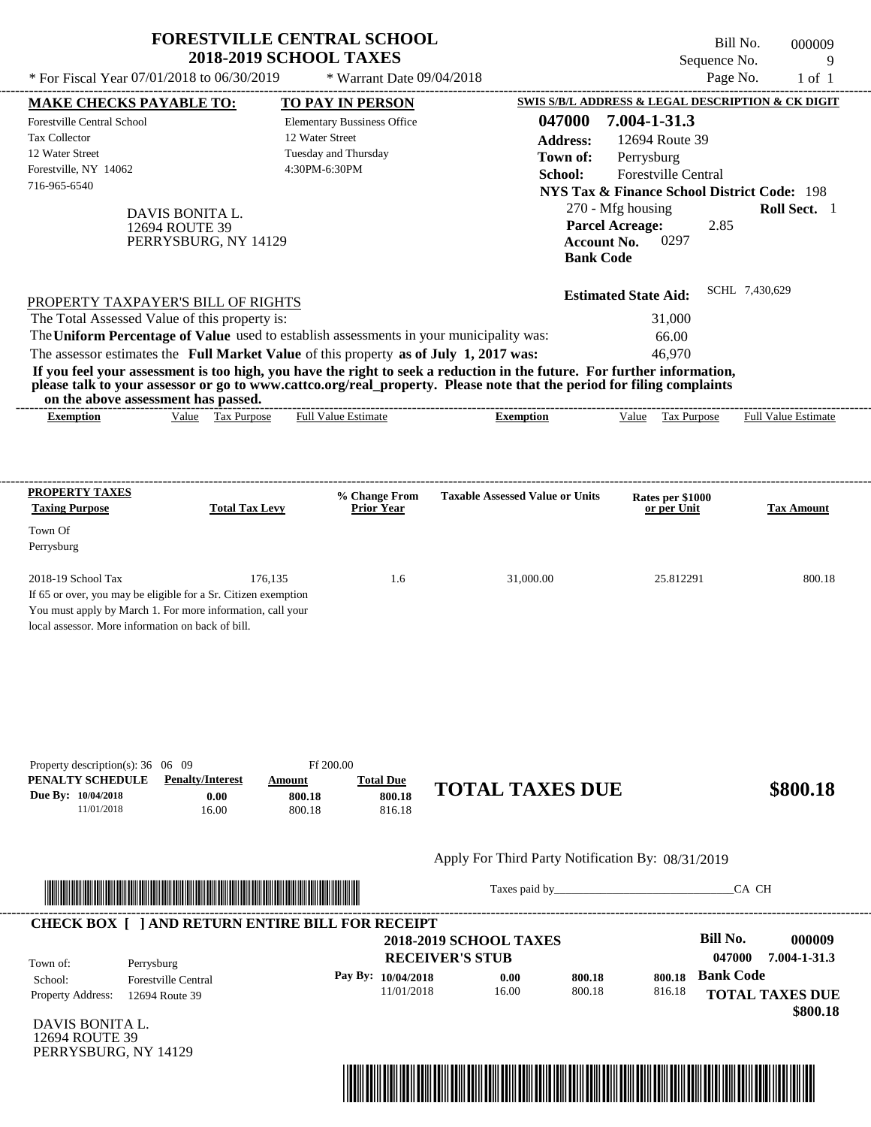| * For Fiscal Year 07/01/2018 to 06/30/2019                                                                                                                                                                            |                                                           | <b>FORESTVILLE CENTRAL SCHOOL</b><br><b>2018-2019 SCHOOL TAXES</b><br>* Warrant Date 09/04/2018                                                                                  |                                                                                                                                                                                                                                                  | Sequence No.<br>Page No.                                                                                                                                           | Bill No.<br>000009<br>9<br>$1$ of $1$ |
|-----------------------------------------------------------------------------------------------------------------------------------------------------------------------------------------------------------------------|-----------------------------------------------------------|----------------------------------------------------------------------------------------------------------------------------------------------------------------------------------|--------------------------------------------------------------------------------------------------------------------------------------------------------------------------------------------------------------------------------------------------|--------------------------------------------------------------------------------------------------------------------------------------------------------------------|---------------------------------------|
| <b>MAKE CHECKS PAYABLE TO:</b>                                                                                                                                                                                        |                                                           | <b>TO PAY IN PERSON</b>                                                                                                                                                          |                                                                                                                                                                                                                                                  | SWIS S/B/L ADDRESS & LEGAL DESCRIPTION & CK DIGIT                                                                                                                  |                                       |
| Forestville Central School<br>Tax Collector<br>12 Water Street<br>Forestville, NY 14062                                                                                                                               |                                                           | <b>Elementary Bussiness Office</b><br>12 Water Street<br>Tuesday and Thursday<br>4:30PM-6:30PM                                                                                   | 047000<br><b>Address:</b><br>Town of:                                                                                                                                                                                                            | 7.004-1-31.3<br>12694 Route 39<br>Perrysburg                                                                                                                       |                                       |
| 716-965-6540                                                                                                                                                                                                          | DAVIS BONITA L.<br>12694 ROUTE 39<br>PERRYSBURG, NY 14129 |                                                                                                                                                                                  | School:<br><b>Bank Code</b>                                                                                                                                                                                                                      | Forestville Central<br><b>NYS Tax &amp; Finance School District Code: 198</b><br>270 - Mfg housing<br><b>Parcel Acreage:</b><br>2.85<br>0297<br><b>Account No.</b> | Roll Sect. 1                          |
| PROPERTY TAXPAYER'S BILL OF RIGHTS<br>The Total Assessed Value of this property is:<br>on the above assessment has passed.                                                                                            |                                                           | The Uniform Percentage of Value used to establish assessments in your municipality was:<br>The assessor estimates the Full Market Value of this property as of July 1, 2017 was: | If you feel your assessment is too high, you have the right to seek a reduction in the future. For further information,<br>please talk to your assessor or go to www.cattco.org/real_property. Please note that the period for filing complaints | <b>Estimated State Aid:</b><br>31,000<br>66.00<br>46,970                                                                                                           | SCHL 7,430,629                        |
| <b>Exemption</b>                                                                                                                                                                                                      | Value Tax Purpose                                         | Full Value Estimate                                                                                                                                                              | <b>Exemption</b>                                                                                                                                                                                                                                 | Value Tax Purpose                                                                                                                                                  | Full Value Estimate                   |
| PROPERTY TAXES<br><b>Taxing Purpose</b><br>Town Of                                                                                                                                                                    | <b>Total Tax Levy</b>                                     | % Change From<br><b>Prior Year</b>                                                                                                                                               | <b>Taxable Assessed Value or Units</b>                                                                                                                                                                                                           | Rates per \$1000<br>or per Unit                                                                                                                                    | <b>Tax Amount</b>                     |
| Perrysburg<br>2018-19 School Tax<br>If 65 or over, you may be eligible for a Sr. Citizen exemption<br>You must apply by March 1. For more information, call your<br>local assessor. More information on back of bill. | 176,135                                                   | 1.6                                                                                                                                                                              | 31,000.00                                                                                                                                                                                                                                        | 25.812291                                                                                                                                                          | 800.18                                |
| Property description(s): $36 \quad 06 \quad 09$<br>PENALTY SCHEDULE<br>Due By: 10/04/2018<br>11/01/2018                                                                                                               | <b>Penalty/Interest</b><br>0.00<br>16.00                  | Ff 200.00<br><b>Total Due</b><br>Amount<br>800.18<br>800.18<br>800.18<br>816.18                                                                                                  | <b>TOTAL TAXES DUE</b>                                                                                                                                                                                                                           |                                                                                                                                                                    | \$800.18                              |
|                                                                                                                                                                                                                       |                                                           |                                                                                                                                                                                  | Apply For Third Party Notification By: 08/31/2019                                                                                                                                                                                                |                                                                                                                                                                    |                                       |
|                                                                                                                                                                                                                       |                                                           |                                                                                                                                                                                  |                                                                                                                                                                                                                                                  | Taxes paid by                                                                                                                                                      | CA CH                                 |
| Town of:<br>Perrysburg                                                                                                                                                                                                |                                                           | <b>CHECK BOX [ ] AND RETURN ENTIRE BILL FOR RECEIPT</b>                                                                                                                          | <b>2018-2019 SCHOOL TAXES</b><br><b>RECEIVER'S STUB</b>                                                                                                                                                                                          | <b>Bill No.</b><br>047000                                                                                                                                          | 000009<br>7.004-1-31.3                |
| School:<br>Property Address:<br><b>DAVIS BONITA L.</b>                                                                                                                                                                | <b>Forestville Central</b><br>12694 Route 39              | Pay By: 10/04/2018<br>11/01/2018                                                                                                                                                 | 0.00<br>800.18<br>16.00<br>800.18                                                                                                                                                                                                                | <b>Bank Code</b><br>800.18<br>816.18                                                                                                                               | <b>TOTAL TAXES DUE</b><br>\$800.18    |



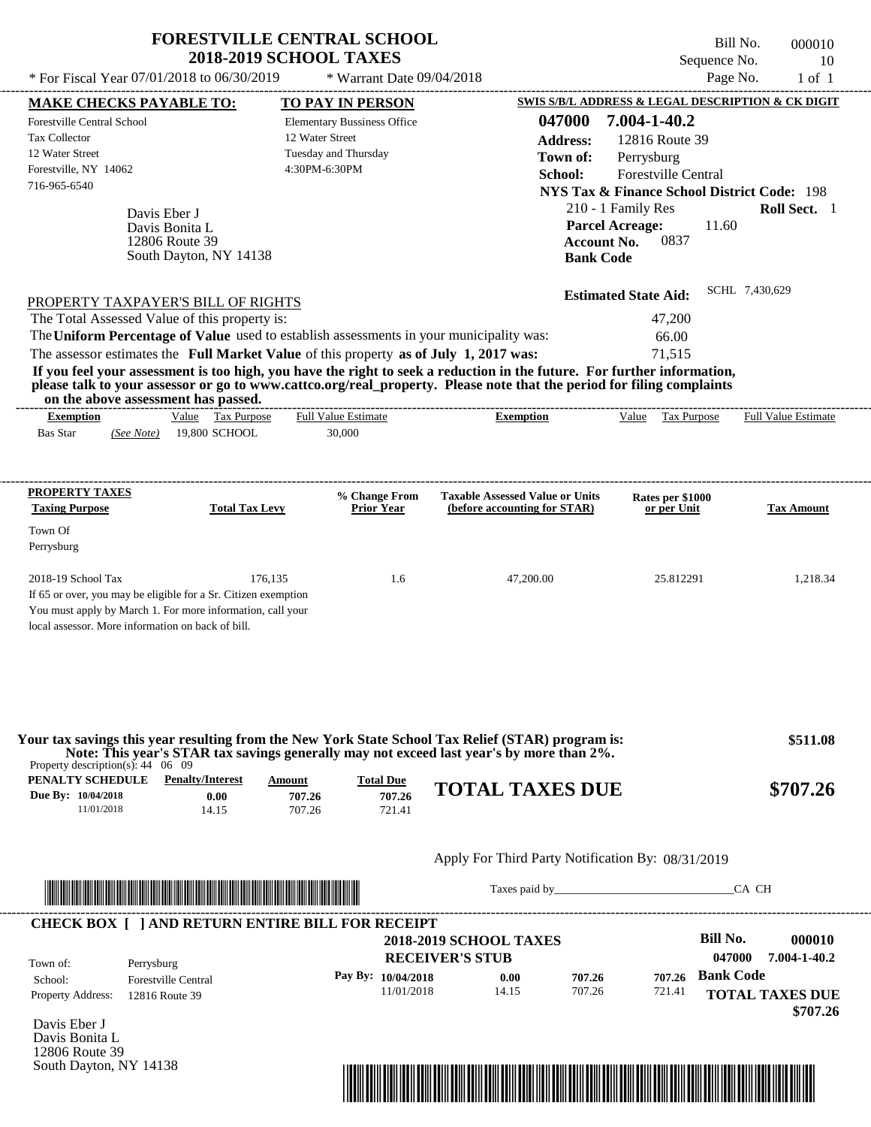|                                                                                                                                                                                                                                                                                                                                  | <b>FORESTVILLE CENTRAL SCHOOL</b><br><b>2018-2019 SCHOOL TAXES</b> |                                                                        | Bill No.<br>Sequence No.                                                                    | 000010<br>10               |
|----------------------------------------------------------------------------------------------------------------------------------------------------------------------------------------------------------------------------------------------------------------------------------------------------------------------------------|--------------------------------------------------------------------|------------------------------------------------------------------------|---------------------------------------------------------------------------------------------|----------------------------|
| * For Fiscal Year 07/01/2018 to 06/30/2019                                                                                                                                                                                                                                                                                       | * Warrant Date 09/04/2018                                          |                                                                        | Page No.                                                                                    | $1$ of $1$                 |
| <b>MAKE CHECKS PAYABLE TO:</b>                                                                                                                                                                                                                                                                                                   | TO PAY IN PERSON                                                   |                                                                        | SWIS S/B/L ADDRESS & LEGAL DESCRIPTION & CK DIGIT                                           |                            |
| Forestville Central School<br><b>Tax Collector</b>                                                                                                                                                                                                                                                                               | <b>Elementary Bussiness Office</b><br>12 Water Street              | 047000<br><b>Address:</b>                                              | 7.004-1-40.2<br>12816 Route 39                                                              |                            |
| 12 Water Street<br>Forestville, NY 14062<br>716-965-6540                                                                                                                                                                                                                                                                         | Tuesday and Thursday<br>4:30PM-6:30PM                              | Town of:<br>School:                                                    | Perrysburg<br>Forestville Central<br><b>NYS Tax &amp; Finance School District Code: 198</b> |                            |
| Davis Eber J<br>Davis Bonita L<br>12806 Route 39<br>South Dayton, NY 14138                                                                                                                                                                                                                                                       |                                                                    | <b>Parcel Acreage:</b><br><b>Account No.</b><br><b>Bank Code</b>       | 210 - 1 Family Res<br>11.60<br>0837                                                         | Roll Sect. 1               |
| PROPERTY TAXPAYER'S BILL OF RIGHTS                                                                                                                                                                                                                                                                                               |                                                                    |                                                                        | <b>Estimated State Aid:</b>                                                                 | SCHL 7,430,629             |
| The Total Assessed Value of this property is:                                                                                                                                                                                                                                                                                    |                                                                    |                                                                        | 47,200                                                                                      |                            |
| The Uniform Percentage of Value used to establish assessments in your municipality was:                                                                                                                                                                                                                                          |                                                                    |                                                                        | 66.00                                                                                       |                            |
| The assessor estimates the Full Market Value of this property as of July 1, 2017 was:                                                                                                                                                                                                                                            |                                                                    |                                                                        | 71,515                                                                                      |                            |
| If you feel your assessment is too high, you have the right to seek a reduction in the future. For further information,<br>please talk to your assessor or go to www.cattco.org/real_property. Please note that the period for filing complaints<br>on the above assessment has passed.<br>Value Tax Purpose<br><b>Exemption</b> | <b>Full Value Estimate</b>                                         | <b>Exemption</b>                                                       | Value Tax Purpose                                                                           | <b>Full Value Estimate</b> |
| PROPERTY TAXES<br><b>Taxing Purpose</b><br><b>Total Tax Levy</b>                                                                                                                                                                                                                                                                 | % Change From<br><b>Prior Year</b>                                 | <b>Taxable Assessed Value or Units</b><br>(before accounting for STAR) | Rates per \$1000<br>or per Unit                                                             | <b>Tax Amount</b>          |
| Town Of                                                                                                                                                                                                                                                                                                                          |                                                                    |                                                                        |                                                                                             |                            |
| Perrysburg                                                                                                                                                                                                                                                                                                                       |                                                                    |                                                                        |                                                                                             |                            |
| 2018-19 School Tax<br>If 65 or over, you may be eligible for a Sr. Citizen exemption<br>You must apply by March 1. For more information, call your<br>local assessor. More information on back of bill.                                                                                                                          | 176,135<br>1.6                                                     | 47,200.00                                                              | 25.812291                                                                                   | 1,218.34                   |
| Your tax savings this year resulting from the New York State School Tax Relief (STAR) program is:<br>Note: This year's STAR tax savings generally may not exceed last year's by more than 2%.<br>Property description(s): $44 \quad 06 \quad 09$<br>PENALTY SCHEDULE<br><b>Penalty/Interest</b>                                  | <b>Total Due</b><br>Amount                                         | <b>TOTAL TAXES DUE</b>                                                 |                                                                                             | \$511.08<br>\$707.26       |

#### Apply For Third Party Notification By: 08/31/2019



Davis Eber J Davis Bonita L 12806 Route 39 South Dayton, NY 14138

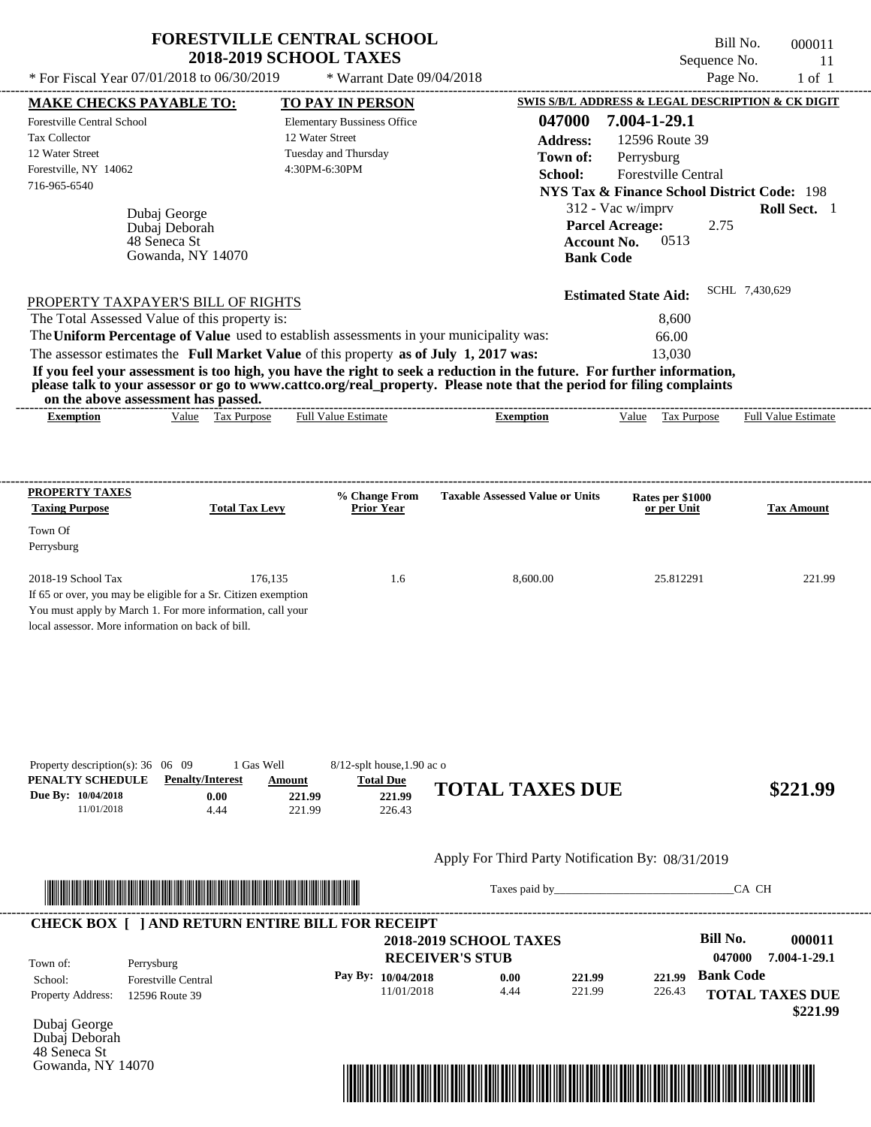| * For Fiscal Year 07/01/2018 to 06/30/2019                                                                                                                                                                                                                                                                                                                                                                                                                                                                                                                                              | * Warrant Date 09/04/2018                                                                           |                                                                                                                                                                                                                                | Page No.                                                                                                                                                                                     | Sequence No.<br>11<br>$1$ of $1$ |
|-----------------------------------------------------------------------------------------------------------------------------------------------------------------------------------------------------------------------------------------------------------------------------------------------------------------------------------------------------------------------------------------------------------------------------------------------------------------------------------------------------------------------------------------------------------------------------------------|-----------------------------------------------------------------------------------------------------|--------------------------------------------------------------------------------------------------------------------------------------------------------------------------------------------------------------------------------|----------------------------------------------------------------------------------------------------------------------------------------------------------------------------------------------|----------------------------------|
| <b>MAKE CHECKS PAYABLE TO:</b>                                                                                                                                                                                                                                                                                                                                                                                                                                                                                                                                                          | <b>TO PAY IN PERSON</b>                                                                             |                                                                                                                                                                                                                                | SWIS S/B/L ADDRESS & LEGAL DESCRIPTION & CK DIGIT                                                                                                                                            |                                  |
| <b>Forestville Central School</b><br>Tax Collector<br>12 Water Street<br>Forestville, NY 14062<br>716-965-6540<br>Dubaj George<br>Dubaj Deborah<br>48 Seneca St                                                                                                                                                                                                                                                                                                                                                                                                                         | <b>Elementary Bussiness Office</b><br>12 Water Street<br>Tuesday and Thursday<br>4:30PM-6:30PM      | 047000<br><b>Address:</b><br>Town of:<br>School:<br><b>Account No.</b>                                                                                                                                                         | 7.004-1-29.1<br>12596 Route 39<br>Perrysburg<br>Forestville Central<br><b>NYS Tax &amp; Finance School District Code: 198</b><br>312 - Vac w/imprv<br><b>Parcel Acreage:</b><br>2.75<br>0513 | Roll Sect. 1                     |
| Gowanda, NY 14070<br>PROPERTY TAXPAYER'S BILL OF RIGHTS<br>The Total Assessed Value of this property is:<br>The Uniform Percentage of Value used to establish assessments in your municipality was:<br>The assessor estimates the Full Market Value of this property as of July 1, 2017 was:<br>If you feel your assessment is too high, you have the right to seek a reduction in the future. For further information,<br>please talk to your assessor or go to www.cattco.org/real_property. Please note that the period for filing complaints<br>on the above assessment has passed. |                                                                                                     | <b>Bank Code</b>                                                                                                                                                                                                               | <b>Estimated State Aid:</b><br>8,600<br>66.00<br>13,030                                                                                                                                      | SCHL 7,430,629                   |
| Value Tax Purpose<br><b>Exemption</b>                                                                                                                                                                                                                                                                                                                                                                                                                                                                                                                                                   | <b>Full Value Estimate</b>                                                                          | <b>Exemption</b>                                                                                                                                                                                                               | Value Tax Purpose                                                                                                                                                                            | Full Value Estimate              |
| PROPERTY TAXES<br><b>Taxing Purpose</b><br><b>Total Tax Levy</b><br>Town Of<br>Perrysburg                                                                                                                                                                                                                                                                                                                                                                                                                                                                                               | % Change From<br><b>Prior Year</b>                                                                  | <b>Taxable Assessed Value or Units</b>                                                                                                                                                                                         | Rates per \$1000<br>or per Unit                                                                                                                                                              | <b>Tax Amount</b>                |
| 2018-19 School Tax<br>176,135<br>If 65 or over, you may be eligible for a Sr. Citizen exemption<br>You must apply by March 1. For more information, call your<br>local assessor. More information on back of bill.                                                                                                                                                                                                                                                                                                                                                                      | 1.6                                                                                                 | 8,600.00                                                                                                                                                                                                                       | 25.812291                                                                                                                                                                                    | 221.99                           |
| Property description(s): $36 \quad 06 \quad 09$<br>1 Gas Well<br><b>Penalty/Interest</b><br>PENALTY SCHEDULE<br>Due By: 10/04/2018<br>0.00<br>11/01/2018<br>4.44                                                                                                                                                                                                                                                                                                                                                                                                                        | $8/12$ -splt house, 1.90 ac o<br><b>Total Due</b><br>Amount<br>221.99<br>221.99<br>221.99<br>226.43 | <b>TOTAL TAXES DUE</b>                                                                                                                                                                                                         |                                                                                                                                                                                              | \$221.99                         |
|                                                                                                                                                                                                                                                                                                                                                                                                                                                                                                                                                                                         |                                                                                                     | Apply For Third Party Notification By: 08/31/2019                                                                                                                                                                              |                                                                                                                                                                                              |                                  |
|                                                                                                                                                                                                                                                                                                                                                                                                                                                                                                                                                                                         |                                                                                                     | Taxes paid by Taxes and the Taxes and the Taxes and the Taxes and the Taxes and the Taxes and the Taxes and the Taxes and the Taxes and the Taxes and the Taxes and the Taxes and the Taxes and the Taxes and the Taxes and th |                                                                                                                                                                                              | CA CH                            |
| <b>CHECK BOX [ ] AND RETURN ENTIRE BILL FOR RECEIPT</b>                                                                                                                                                                                                                                                                                                                                                                                                                                                                                                                                 |                                                                                                     | <b>2018-2019 SCHOOL TAXES</b>                                                                                                                                                                                                  | <b>Bill No.</b>                                                                                                                                                                              | 000011                           |

|                          |                            | <b>2018-2019 SCHOOL TAXES</b> |      |        |        | <b>BIII NO.</b>  | 000011                 |
|--------------------------|----------------------------|-------------------------------|------|--------|--------|------------------|------------------------|
| Town of:                 | Perrysburg                 | <b>RECEIVER'S STUB</b>        |      |        |        | 047000           | 7.004-1-29.1           |
| School:                  | <b>Forestville Central</b> | Pay By: 10/04/2018            | 0.00 | 221.99 |        | 221.99 Bank Code |                        |
| <b>Property Address:</b> | 12596 Route 39             | 11/01/2018                    | 4.44 | 221.99 | 226.43 |                  | <b>TOTAL TAXES DUE</b> |
| _____                    |                            |                               |      |        |        |                  | \$221.99               |

Dubaj George Dubaj Deborah 48 Seneca St Gowanda, NY 14070

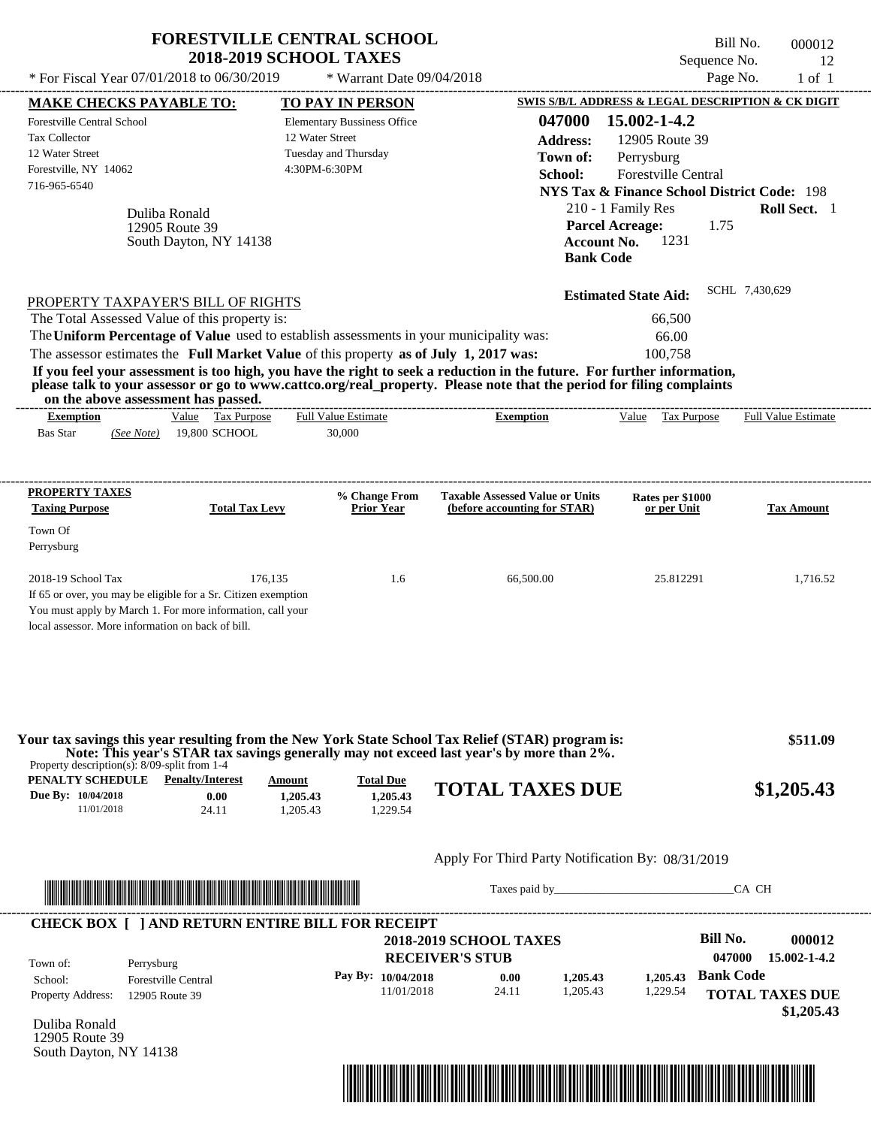| * For Fiscal Year 07/01/2018 to 06/30/2019                                                                                                                                                                                                                                                                     | <b>FORESTVILLE CENTRAL SCHOOL</b><br><b>2018-2019 SCHOOL TAXES</b> | * Warrant Date 09/04/2018                                                                       |                                                                                                                                                                                                                                                  | Bill No.<br>Sequence No.<br>Page No.                                                                                                                                                                                     | 000012<br>12<br>$1$ of $1$           |
|----------------------------------------------------------------------------------------------------------------------------------------------------------------------------------------------------------------------------------------------------------------------------------------------------------------|--------------------------------------------------------------------|-------------------------------------------------------------------------------------------------|--------------------------------------------------------------------------------------------------------------------------------------------------------------------------------------------------------------------------------------------------|--------------------------------------------------------------------------------------------------------------------------------------------------------------------------------------------------------------------------|--------------------------------------|
|                                                                                                                                                                                                                                                                                                                |                                                                    |                                                                                                 |                                                                                                                                                                                                                                                  |                                                                                                                                                                                                                          |                                      |
| <b>MAKE CHECKS PAYABLE TO:</b><br><b>Forestville Central School</b><br><b>Tax Collector</b><br>12 Water Street<br>Forestville, NY 14062<br>716-965-6540<br>Duliba Ronald<br>12905 Route 39                                                                                                                     | 12 Water Street<br>South Dayton, NY 14138                          | TO PAY IN PERSON<br><b>Elementary Bussiness Office</b><br>Tuesday and Thursday<br>4:30PM-6:30PM | 047000<br><b>Address:</b><br>Town of:<br>School:<br><b>Parcel Acreage:</b><br><b>Account No.</b><br><b>Bank Code</b>                                                                                                                             | SWIS S/B/L ADDRESS & LEGAL DESCRIPTION & CK DIGIT<br>15.002-1-4.2<br>12905 Route 39<br>Perrysburg<br>Forestville Central<br><b>NYS Tax &amp; Finance School District Code: 198</b><br>210 - 1 Family Res<br>1.75<br>1231 | Roll Sect. 1                         |
| PROPERTY TAXPAYER'S BILL OF RIGHTS<br>The Total Assessed Value of this property is:<br>The Uniform Percentage of Value used to establish assessments in your municipality was:<br>The assessor estimates the Full Market Value of this property as of July 1, 2017 was:<br>on the above assessment has passed. |                                                                    |                                                                                                 | If you feel your assessment is too high, you have the right to seek a reduction in the future. For further information,<br>please talk to your assessor or go to www.cattco.org/real_property. Please note that the period for filing complaints | <b>Estimated State Aid:</b><br>66,500<br>66.00<br>100,758                                                                                                                                                                | SCHL 7,430,629                       |
| <b>Exemption</b><br><b>Bas Star</b><br>(See Note)                                                                                                                                                                                                                                                              | Value Tax Purpose<br>19,800 SCHOOL                                 | Full Value Estimate<br>30,000                                                                   | <b>Exemption</b>                                                                                                                                                                                                                                 | Value Tax Purpose                                                                                                                                                                                                        | <b>Full Value Estimate</b>           |
| PROPERTY TAXES                                                                                                                                                                                                                                                                                                 |                                                                    | % Change From                                                                                   | <b>Taxable Assessed Value or Units</b>                                                                                                                                                                                                           | Rates per \$1000                                                                                                                                                                                                         |                                      |
| <b>Taxing Purpose</b>                                                                                                                                                                                                                                                                                          | <b>Total Tax Levy</b>                                              | <b>Prior Year</b>                                                                               | (before accounting for STAR)                                                                                                                                                                                                                     | or per Unit                                                                                                                                                                                                              | <b>Tax Amount</b>                    |
| Town Of<br>Perrysburg                                                                                                                                                                                                                                                                                          |                                                                    |                                                                                                 |                                                                                                                                                                                                                                                  |                                                                                                                                                                                                                          |                                      |
| 2018-19 School Tax<br>If 65 or over, you may be eligible for a Sr. Citizen exemption<br>You must apply by March 1. For more information, call your<br>local assessor. More information on back of bill.                                                                                                        | 176,135                                                            | 1.6                                                                                             | 66,500.00                                                                                                                                                                                                                                        | 25.812291                                                                                                                                                                                                                | 1,716.52                             |
| Property description(s): 8/09-split from 1-4                                                                                                                                                                                                                                                                   |                                                                    |                                                                                                 | Your tax savings this year resulting from the New York State School Tax Relief (STAR) program is:<br>Note: This year's STAR tax savings generally may not exceed last year's by more than 2%.                                                    |                                                                                                                                                                                                                          | \$511.09                             |
| <b>PENALTY SCHEDULE</b> Penalty/Interest<br>Due By: 10/04/2018<br>11/01/2018                                                                                                                                                                                                                                   | Amount<br>0.00<br>1,205.43<br>24.11<br>1,205.43                    | <b>Total Due</b><br>1.205.43<br>1,229.54                                                        | <b>TOTAL TAXES DUE</b>                                                                                                                                                                                                                           |                                                                                                                                                                                                                          | \$1,205.43                           |
|                                                                                                                                                                                                                                                                                                                |                                                                    |                                                                                                 | Apply For Third Party Notification By: 08/31/2019                                                                                                                                                                                                |                                                                                                                                                                                                                          |                                      |
|                                                                                                                                                                                                                                                                                                                |                                                                    |                                                                                                 | Taxes paid by                                                                                                                                                                                                                                    |                                                                                                                                                                                                                          | CA CH                                |
| <b>CHECK BOX [ ] AND RETURN ENTIRE BILL FOR RECEIPT</b><br>Town of:<br>Perrysburg                                                                                                                                                                                                                              |                                                                    |                                                                                                 | <b>2018-2019 SCHOOL TAXES</b><br><b>RECEIVER'S STUB</b>                                                                                                                                                                                          | <b>Bill No.</b><br>047000                                                                                                                                                                                                | 000012<br>15.002-1-4.2               |
| <b>Forestville Central</b><br>School:<br><b>Property Address:</b><br>12905 Route 39                                                                                                                                                                                                                            |                                                                    | Pay By: 10/04/2018<br>11/01/2018                                                                | 0.00<br>1,205.43<br>24.11<br>1,205.43                                                                                                                                                                                                            | <b>Bank Code</b><br>1,205.43<br>1,229.54                                                                                                                                                                                 | <b>TOTAL TAXES DUE</b><br>\$1,205.43 |

Duliba Ronald 12905 Route 39 South Dayton, NY 14138

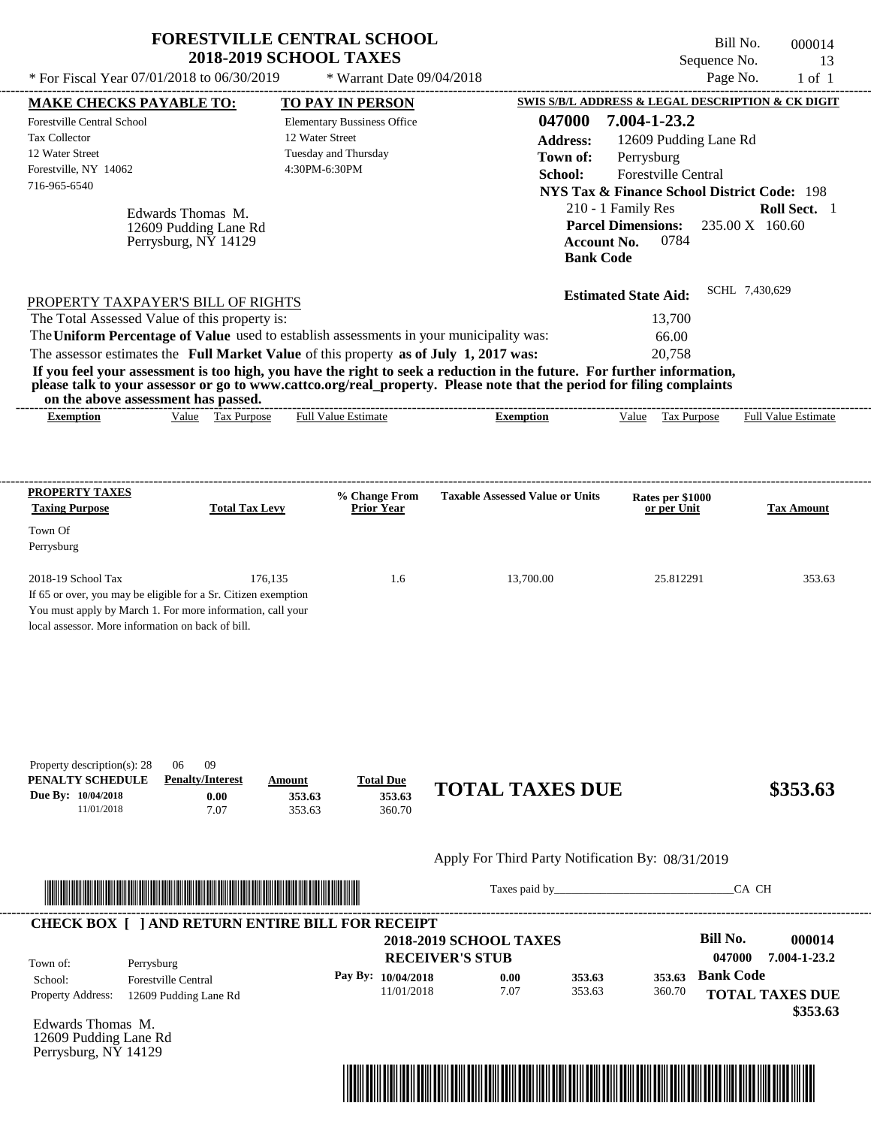|                                                                                                                                                                                                                                                                                                                                                                                                                                                                                                                                                                    | <b>FORESTVILLE CENTRAL SCHOOL</b><br><b>2018-2019 SCHOOL TAXES</b>                             |                                                                                            | Bill No.<br>Sequence No.                                                                                                                                                                        | 000014<br>13                       |
|--------------------------------------------------------------------------------------------------------------------------------------------------------------------------------------------------------------------------------------------------------------------------------------------------------------------------------------------------------------------------------------------------------------------------------------------------------------------------------------------------------------------------------------------------------------------|------------------------------------------------------------------------------------------------|--------------------------------------------------------------------------------------------|-------------------------------------------------------------------------------------------------------------------------------------------------------------------------------------------------|------------------------------------|
| * For Fiscal Year 07/01/2018 to 06/30/2019                                                                                                                                                                                                                                                                                                                                                                                                                                                                                                                         | * Warrant Date 09/04/2018                                                                      |                                                                                            | Page No.                                                                                                                                                                                        | $1$ of $1$                         |
| <b>MAKE CHECKS PAYABLE TO:</b>                                                                                                                                                                                                                                                                                                                                                                                                                                                                                                                                     | <b>TO PAY IN PERSON</b>                                                                        |                                                                                            | <b>SWIS S/B/L ADDRESS &amp; LEGAL DESCRIPTION &amp; CK DIGIT</b>                                                                                                                                |                                    |
| Forestville Central School<br><b>Tax Collector</b><br>12 Water Street<br>Forestville, NY 14062<br>716-965-6540<br>Edwards Thomas M.<br>12609 Pudding Lane Rd<br>Perrysburg, NY 14129                                                                                                                                                                                                                                                                                                                                                                               | <b>Elementary Bussiness Office</b><br>12 Water Street<br>Tuesday and Thursday<br>4:30PM-6:30PM | 047000<br><b>Address:</b><br>Town of:<br>School:<br><b>Account No.</b><br><b>Bank Code</b> | 7.004-1-23.2<br>12609 Pudding Lane Rd<br>Perrysburg<br>Forestville Central<br><b>NYS Tax &amp; Finance School District Code: 198</b><br>210 - 1 Family Res<br><b>Parcel Dimensions:</b><br>0784 | Roll Sect. 1<br>235.00 X 160.60    |
| PROPERTY TAXPAYER'S BILL OF RIGHTS<br>The Total Assessed Value of this property is:<br>The Uniform Percentage of Value used to establish assessments in your municipality was:<br>The assessor estimates the Full Market Value of this property as of July 1, 2017 was:<br>If you feel your assessment is too high, you have the right to seek a reduction in the future. For further information,<br>please talk to your assessor or go to www.cattco.org/real_property. Please note that the period for filing complaints<br>on the above assessment has passed. |                                                                                                |                                                                                            | <b>Estimated State Aid:</b><br>13.700<br>66.00<br>20,758                                                                                                                                        | SCHL 7,430,629                     |
| Value Tax Purpose<br><b>Exemption</b>                                                                                                                                                                                                                                                                                                                                                                                                                                                                                                                              | Full Value Estimate                                                                            | <b>Exemption</b>                                                                           | Value Tax Purpose                                                                                                                                                                               | Full Value Estimate                |
| PROPERTY TAXES                                                                                                                                                                                                                                                                                                                                                                                                                                                                                                                                                     | % Change From                                                                                  | <b>Taxable Assessed Value or Units</b>                                                     | Rates per \$1000                                                                                                                                                                                |                                    |
| <b>Taxing Purpose</b><br><b>Total Tax Levy</b><br>Town Of<br>Perrysburg                                                                                                                                                                                                                                                                                                                                                                                                                                                                                            | <b>Prior Year</b>                                                                              |                                                                                            | or per Unit                                                                                                                                                                                     | <b>Tax Amount</b>                  |
| 2018-19 School Tax<br>If 65 or over, you may be eligible for a Sr. Citizen exemption<br>You must apply by March 1. For more information, call your<br>local assessor. More information on back of bill.                                                                                                                                                                                                                                                                                                                                                            | 176,135<br>1.6                                                                                 | 13,700.00                                                                                  | 25.812291                                                                                                                                                                                       | 353.63                             |
| 09<br>Property description(s): 28<br>06<br>PENALTY SCHEDULE<br><b>Penalty/Interest</b><br>Due By: 10/04/2018<br>0.00<br>11/01/2018<br>7.07                                                                                                                                                                                                                                                                                                                                                                                                                         | <b>Total Due</b><br>Amount<br>353.63<br>353.63<br>353.63<br>360.70                             | <b>TOTAL TAXES DUE</b>                                                                     |                                                                                                                                                                                                 | \$353.63                           |
|                                                                                                                                                                                                                                                                                                                                                                                                                                                                                                                                                                    |                                                                                                | Apply For Third Party Notification By: 08/31/2019                                          |                                                                                                                                                                                                 |                                    |
|                                                                                                                                                                                                                                                                                                                                                                                                                                                                                                                                                                    |                                                                                                |                                                                                            |                                                                                                                                                                                                 | CA CH                              |
| <b>CHECK BOX [ ] AND RETURN ENTIRE BILL FOR RECEIPT</b><br>Town of:<br>Perrysburg                                                                                                                                                                                                                                                                                                                                                                                                                                                                                  |                                                                                                | <b>2018-2019 SCHOOL TAXES</b><br><b>RECEIVER'S STUB</b>                                    | <b>Bill No.</b><br>047000                                                                                                                                                                       | 000014<br>7.004-1-23.2             |
| School:<br><b>Forestville Central</b><br>Property Address:<br>12609 Pudding Lane Rd                                                                                                                                                                                                                                                                                                                                                                                                                                                                                | Pay By: 10/04/2018<br>11/01/2018                                                               | 353.63<br>0.00<br>7.07<br>353.63                                                           | <b>Bank Code</b><br>353.63<br>360.70                                                                                                                                                            | <b>TOTAL TAXES DUE</b><br>\$353.63 |

Edwards Thomas M. 12609 Pudding Lane Rd Perrysburg, NY 14129

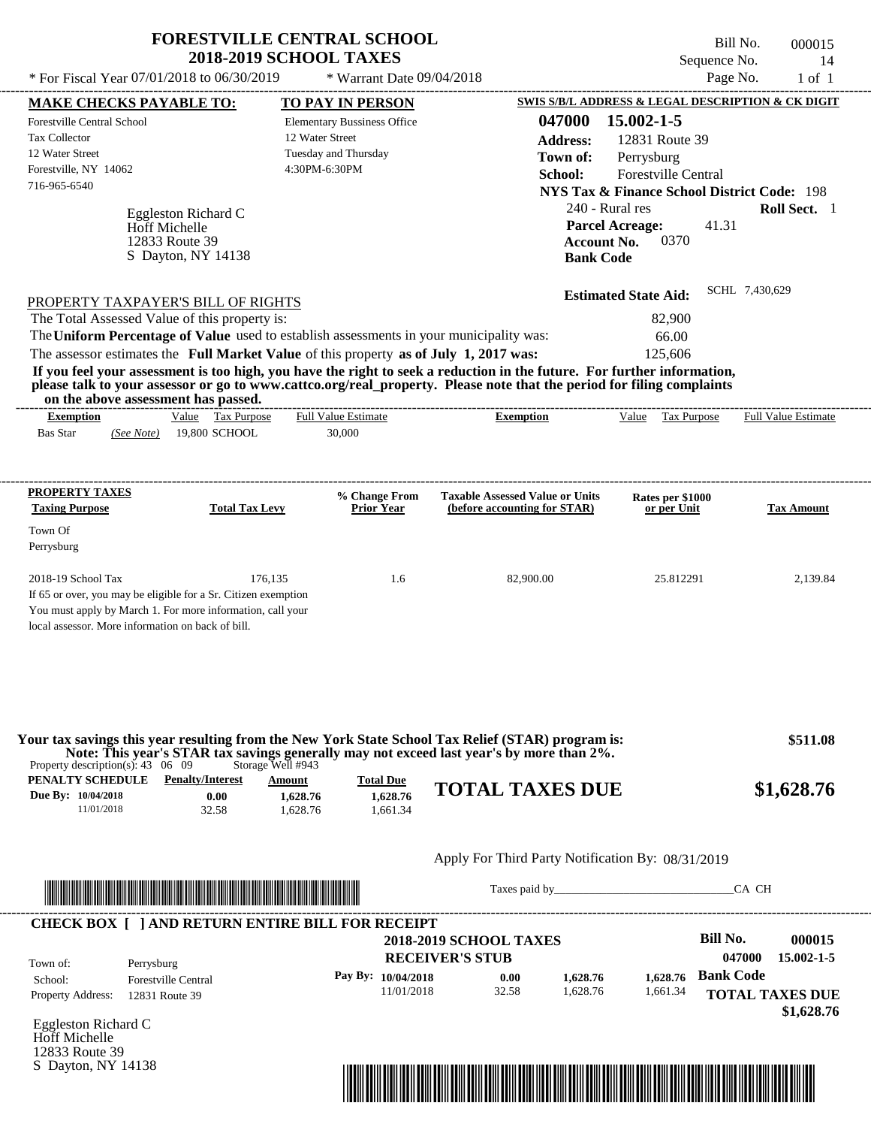|                                                                                                                                                                                                                                                                                                 | <b>FORESTVILLE CENTRAL SCHOOL</b><br><b>2018-2019 SCHOOL TAXES</b>         |                                                                        | Sequence No.                                           | Bill No.<br>000015<br>14   |
|-------------------------------------------------------------------------------------------------------------------------------------------------------------------------------------------------------------------------------------------------------------------------------------------------|----------------------------------------------------------------------------|------------------------------------------------------------------------|--------------------------------------------------------|----------------------------|
| * For Fiscal Year 07/01/2018 to 06/30/2019                                                                                                                                                                                                                                                      | * Warrant Date 09/04/2018                                                  |                                                                        | Page No.                                               | $1$ of $1$                 |
| <b>MAKE CHECKS PAYABLE TO:</b>                                                                                                                                                                                                                                                                  | <b>TO PAY IN PERSON</b>                                                    |                                                                        | SWIS S/B/L ADDRESS & LEGAL DESCRIPTION & CK DIGIT      |                            |
| <b>Forestville Central School</b>                                                                                                                                                                                                                                                               | <b>Elementary Bussiness Office</b><br>12 Water Street                      | 047000                                                                 | 15.002-1-5                                             |                            |
| <b>Tax Collector</b>                                                                                                                                                                                                                                                                            |                                                                            | <b>Address:</b>                                                        | 12831 Route 39                                         |                            |
| 12 Water Street                                                                                                                                                                                                                                                                                 | Tuesday and Thursday                                                       | Town of:                                                               | Perrysburg                                             |                            |
| Forestville, NY 14062                                                                                                                                                                                                                                                                           | 4:30PM-6:30PM                                                              | School:                                                                | Forestville Central                                    |                            |
| 716-965-6540                                                                                                                                                                                                                                                                                    |                                                                            |                                                                        | <b>NYS Tax &amp; Finance School District Code: 198</b> |                            |
| Eggleston Richard C                                                                                                                                                                                                                                                                             |                                                                            | 240 - Rural res                                                        |                                                        | Roll Sect. 1               |
| <b>Hoff Michelle</b>                                                                                                                                                                                                                                                                            |                                                                            | <b>Parcel Acreage:</b>                                                 | 41.31                                                  |                            |
| 12833 Route 39                                                                                                                                                                                                                                                                                  |                                                                            | <b>Account No.</b>                                                     | 0370                                                   |                            |
| S Dayton, NY 14138                                                                                                                                                                                                                                                                              |                                                                            | <b>Bank Code</b>                                                       |                                                        |                            |
|                                                                                                                                                                                                                                                                                                 |                                                                            |                                                                        | <b>Estimated State Aid:</b>                            | SCHL 7,430,629             |
| PROPERTY TAXPAYER'S BILL OF RIGHTS                                                                                                                                                                                                                                                              |                                                                            |                                                                        |                                                        |                            |
| The Total Assessed Value of this property is:                                                                                                                                                                                                                                                   |                                                                            |                                                                        | 82,900                                                 |                            |
| The Uniform Percentage of Value used to establish assessments in your municipality was:                                                                                                                                                                                                         |                                                                            |                                                                        | 66.00                                                  |                            |
| The assessor estimates the Full Market Value of this property as of July 1, 2017 was:                                                                                                                                                                                                           |                                                                            |                                                                        | 125,606                                                |                            |
| If you feel your assessment is too high, you have the right to seek a reduction in the future. For further information,                                                                                                                                                                         |                                                                            |                                                                        |                                                        |                            |
| please talk to your assessor or go to www.cattco.org/real_property. Please note that the period for filing complaints<br>on the above assessment has passed.                                                                                                                                    |                                                                            | ---------------------------                                            |                                                        |                            |
| Value Tax Purpose<br><b>Exemption</b>                                                                                                                                                                                                                                                           | <b>Full Value Estimate</b>                                                 | <b>Exemption</b>                                                       | Value Tax Purpose                                      | <b>Full Value Estimate</b> |
| 19,800 SCHOOL<br><b>Bas Star</b><br>(See Note)                                                                                                                                                                                                                                                  | 30,000                                                                     |                                                                        |                                                        |                            |
| <b>PROPERTY TAXES</b><br><b>Taxing Purpose</b><br><b>Total Tax Levy</b><br>Town Of                                                                                                                                                                                                              | % Change From<br><b>Prior Year</b>                                         | <b>Taxable Assessed Value or Units</b><br>(before accounting for STAR) | Rates per \$1000<br>or per Unit                        | <b>Tax Amount</b>          |
| Perrysburg                                                                                                                                                                                                                                                                                      |                                                                            |                                                                        |                                                        |                            |
| 2018-19 School Tax<br>176,135<br>If 65 or over, you may be eligible for a Sr. Citizen exemption<br>You must apply by March 1. For more information, call your<br>local assessor. More information on back of bill.                                                                              | 1.6                                                                        | 82,900.00                                                              | 25.812291                                              | 2,139.84                   |
| Your tax savings this year resulting from the New York State School Tax Relief (STAR) program is:<br>Note: This year's STAR tax savings generally may not exceed last year's by more than 2%.<br>Property description(s): $43 \quad 06 \quad 09$<br>PENALTY SCHEDULE<br><b>Penalty/Interest</b> | Storage Well #943                                                          |                                                                        |                                                        | \$511.08                   |
| Due By: 10/04/2018<br>0.00<br>11/01/2018<br>32.58                                                                                                                                                                                                                                               | <b>Total Due</b><br>Amount<br>1,628.76<br>1,628.76<br>1,628.76<br>1.661.34 | <b>TOTAL TAXES DUE</b>                                                 |                                                        | \$1,628.76                 |
|                                                                                                                                                                                                                                                                                                 |                                                                            | Apply For Third Party Notification By: 08/31/2019                      |                                                        |                            |
|                                                                                                                                                                                                                                                                                                 |                                                                            | Taxes paid by                                                          |                                                        | CA CH                      |
| <b>CHECK BOX [ ] AND RETURN ENTIRE BILL FOR RECEIPT</b>                                                                                                                                                                                                                                         |                                                                            |                                                                        |                                                        |                            |
|                                                                                                                                                                                                                                                                                                 |                                                                            | <b>2018-2019 SCHOOL TAXES</b>                                          | <b>Bill No.</b>                                        | 000015                     |
| Town of:<br>Perrysburg                                                                                                                                                                                                                                                                          |                                                                            | <b>RECEIVER'S STUB</b>                                                 |                                                        | 047000<br>15.002-1-5       |
| <b>Forestville Central</b><br>School:                                                                                                                                                                                                                                                           | Pay By: 10/04/2018                                                         | 0.00<br>1,628.76                                                       | <b>Bank Code</b><br>1,628.76                           |                            |
| Property Address: 12831 Route 39                                                                                                                                                                                                                                                                | 11/01/2018                                                                 | 32.58<br>1,628.76                                                      | 1,661.34                                               | <b>TOTAL TAXES DUE</b>     |

| .                        |                            |
|--------------------------|----------------------------|
| School:                  | <b>Forestville Central</b> |
| <b>Property Address:</b> | 12831 Route 39             |

Eggleston Richard C Hoff Michelle 12833 Route 39 S Dayton, NY 14138



**TOTAL TAXES DUE**

 **\$1,628.76**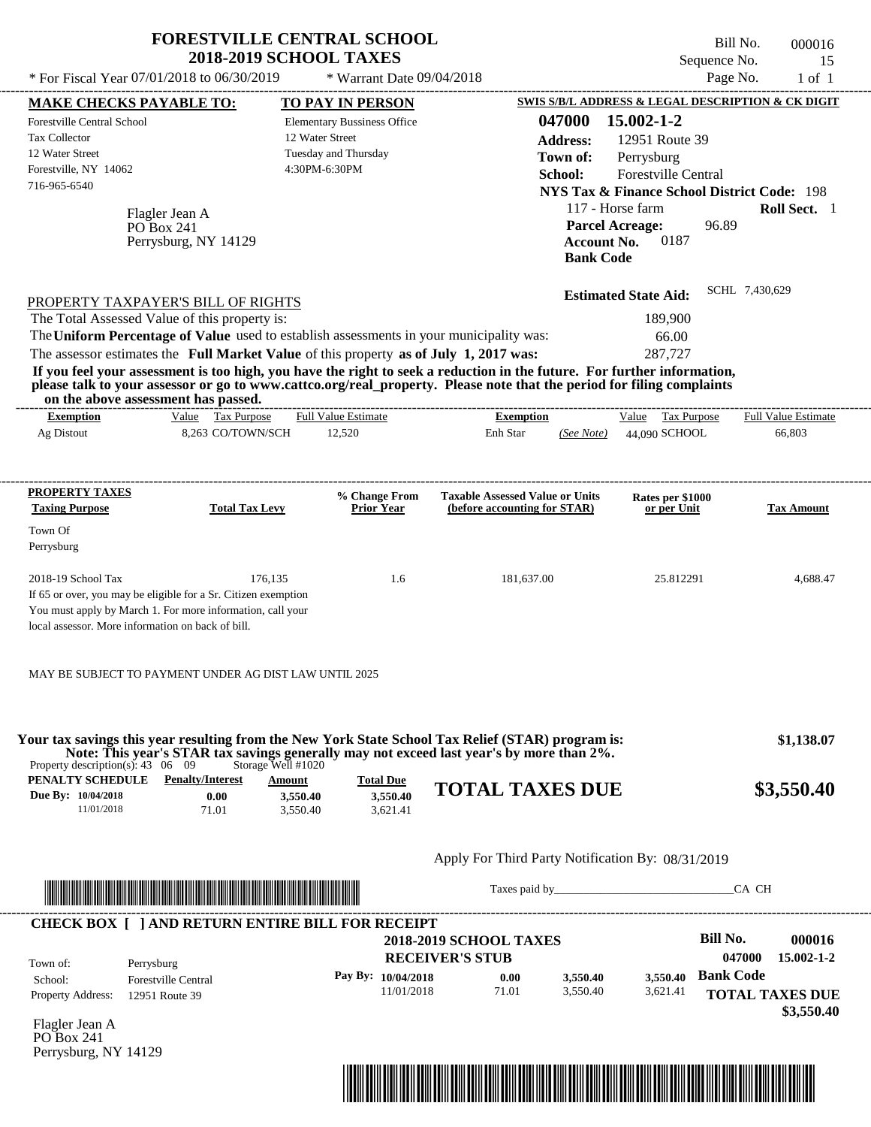| * For Fiscal Year 07/01/2018 to 06/30/2019                                                                                   | <b>FORESTVILLE CENTRAL SCHOOL</b><br><b>2018-2019 SCHOOL TAXES</b>                                                                                                               | * Warrant Date 09/04/2018                                                                      |                                                                                                                                                                                                                                                  | Sequence No.<br>Page No.                                                                                                                                                                                                             | Bill No.<br>000016<br>15<br>$1$ of $1$ |
|------------------------------------------------------------------------------------------------------------------------------|----------------------------------------------------------------------------------------------------------------------------------------------------------------------------------|------------------------------------------------------------------------------------------------|--------------------------------------------------------------------------------------------------------------------------------------------------------------------------------------------------------------------------------------------------|--------------------------------------------------------------------------------------------------------------------------------------------------------------------------------------------------------------------------------------|----------------------------------------|
| <b>MAKE CHECKS PAYABLE TO:</b>                                                                                               |                                                                                                                                                                                  | <b>TO PAY IN PERSON</b>                                                                        |                                                                                                                                                                                                                                                  | SWIS S/B/L ADDRESS & LEGAL DESCRIPTION & CK DIGIT                                                                                                                                                                                    |                                        |
| <b>Forestville Central School</b><br>Tax Collector<br>12 Water Street<br>Forestville, NY 14062<br>716-965-6540<br>PO Box 241 | Flagler Jean A<br>Perrysburg, NY 14129                                                                                                                                           | <b>Elementary Bussiness Office</b><br>12 Water Street<br>Tuesday and Thursday<br>4:30PM-6:30PM | 047000<br><b>Address:</b><br>Town of:<br>School:                                                                                                                                                                                                 | 15.002-1-2<br>12951 Route 39<br>Perrysburg<br>Forestville Central<br><b>NYS Tax &amp; Finance School District Code: 198</b><br>117 - Horse farm<br>96.89<br><b>Parcel Acreage:</b><br>0187<br><b>Account No.</b><br><b>Bank Code</b> | Roll Sect. 1                           |
| PROPERTY TAXPAYER'S BILL OF RIGHTS<br>The Total Assessed Value of this property is:<br>on the above assessment has passed.   | The Uniform Percentage of Value used to establish assessments in your municipality was:<br>The assessor estimates the Full Market Value of this property as of July 1, 2017 was: |                                                                                                | If you feel your assessment is too high, you have the right to seek a reduction in the future. For further information,<br>please talk to your assessor or go to www.cattco.org/real_property. Please note that the period for filing complaints | <b>Estimated State Aid:</b><br>189,900<br>66.00<br>287,727                                                                                                                                                                           | SCHL 7,430,629                         |
| <b>Exemption</b><br>Ag Distout                                                                                               | Value Tax Purpose<br>8,263 CO/TOWN/SCH                                                                                                                                           | <b>Full Value Estimate</b><br>12,520                                                           | <b>Exemption</b><br>Enh Star<br>(See Note)                                                                                                                                                                                                       | Value Tax Purpose<br>44,090 SCHOOL                                                                                                                                                                                                   | <b>Full Value Estimate</b><br>66,803   |
| PROPERTY TAXES<br><b>Taxing Purpose</b><br>Town Of<br>Perrysburg                                                             | <b>Total Tax Levy</b>                                                                                                                                                            | % Change From<br><b>Prior Year</b>                                                             | <b>Taxable Assessed Value or Units</b><br>(before accounting for STAR)                                                                                                                                                                           | Rates per \$1000<br>or per Unit                                                                                                                                                                                                      | <b>Tax Amount</b>                      |
| 2018-19 School Tax<br>local assessor. More information on back of bill.                                                      | 176,135<br>If 65 or over, you may be eligible for a Sr. Citizen exemption<br>You must apply by March 1. For more information, call your                                          | 1.6                                                                                            | 181,637.00                                                                                                                                                                                                                                       | 25.812291                                                                                                                                                                                                                            | 4,688.47                               |
| Property description(s): $43 \quad 06 \quad 09$<br><b>PENALTY SCHEDULE</b> Penalty/Interest<br>Due By: 10/04/2018            | MAY BE SUBJECT TO PAYMENT UNDER AG DIST LAW UNTIL 2025<br>Storage Well #1020<br>Amount<br>0.00<br>3,550.40                                                                       | <b>Total Due</b><br>3,550.40                                                                   | Your tax savings this year resulting from the New York State School Tax Relief (STAR) program is:<br>Note: This year's STAR tax savings generally may not exceed last year's by more than 2%.<br><b>TOTAL TAXES DUE</b>                          |                                                                                                                                                                                                                                      | \$1,138.07<br>\$3,550.40               |
| 11/01/2018                                                                                                                   | 71.01<br>3,550.40                                                                                                                                                                | 3,621.41                                                                                       | Apply For Third Party Notification By: 08/31/2019                                                                                                                                                                                                |                                                                                                                                                                                                                                      |                                        |
|                                                                                                                              | <u> Indian American State (Indian American State Indian American Sta</u>                                                                                                         |                                                                                                |                                                                                                                                                                                                                                                  | Taxes paid by                                                                                                                                                                                                                        | CA CH                                  |
|                                                                                                                              | <b>CHECK BOX [ ] AND RETURN ENTIRE BILL FOR RECEIPT</b>                                                                                                                          |                                                                                                | <b>2018-2019 SCHOOL TAXES</b><br><b>RECEIVER'S STUB</b>                                                                                                                                                                                          | <b>Bill No.</b>                                                                                                                                                                                                                      | 000016<br>047000<br>$15.002 - 1 - 2$   |
| Town of:<br>Perrysburg<br>School:<br>Property Address:<br>12951 Route 39                                                     | <b>Forestville Central</b>                                                                                                                                                       | Pay By: 10/04/2018<br>11/01/2018                                                               | 0.00<br>3,550.40<br>71.01<br>3,550.40                                                                                                                                                                                                            | <b>Bank Code</b><br>3,550.40<br>3,621.41                                                                                                                                                                                             | <b>TOTAL TAXES DUE</b><br>\$3,550.40   |
| $\Gamma$ 1.                                                                                                                  |                                                                                                                                                                                  |                                                                                                |                                                                                                                                                                                                                                                  |                                                                                                                                                                                                                                      |                                        |



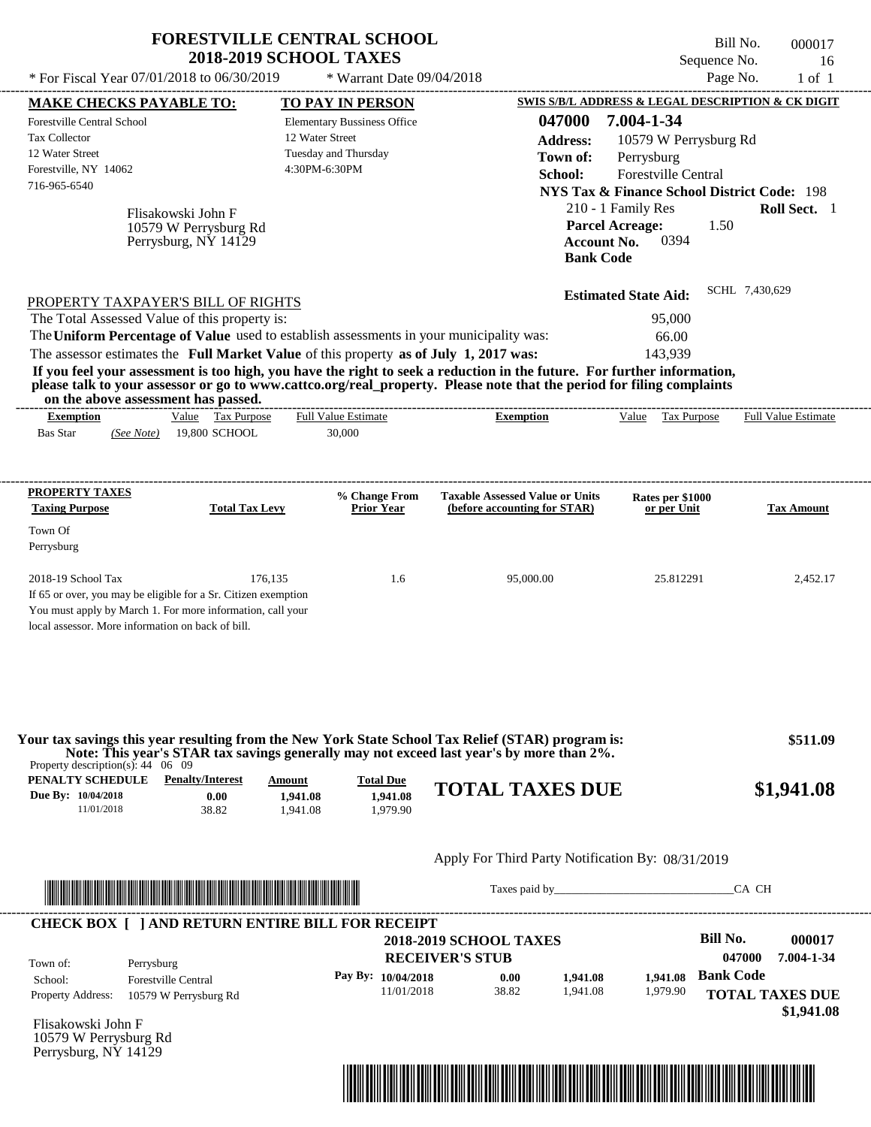| * For Fiscal Year 07/01/2018 to 06/30/2019                                                                                                                                                                                                                                                                                                                                                                                                                                                                                                                                             | <b>FORESTVILLE CENTRAL SCHOOL</b>                                   | <b>2018-2019 SCHOOL TAXES</b>                                                                                             | * Warrant Date 09/04/2018                |                                                                          |                                                                      |                                                                                                                                                          | Sequence No.                                                 | Bill No.<br>Page No.       | 000017<br>16<br>$1$ of $1$                                       |
|----------------------------------------------------------------------------------------------------------------------------------------------------------------------------------------------------------------------------------------------------------------------------------------------------------------------------------------------------------------------------------------------------------------------------------------------------------------------------------------------------------------------------------------------------------------------------------------|---------------------------------------------------------------------|---------------------------------------------------------------------------------------------------------------------------|------------------------------------------|--------------------------------------------------------------------------|----------------------------------------------------------------------|----------------------------------------------------------------------------------------------------------------------------------------------------------|--------------------------------------------------------------|----------------------------|------------------------------------------------------------------|
|                                                                                                                                                                                                                                                                                                                                                                                                                                                                                                                                                                                        |                                                                     |                                                                                                                           |                                          |                                                                          |                                                                      |                                                                                                                                                          |                                                              |                            | <b>SWIS S/B/L ADDRESS &amp; LEGAL DESCRIPTION &amp; CK DIGIT</b> |
| <b>MAKE CHECKS PAYABLE TO:</b><br>Forestville Central School<br><b>Tax Collector</b><br>12 Water Street<br>Forestville, NY 14062<br>716-965-6540                                                                                                                                                                                                                                                                                                                                                                                                                                       | Flisakowski John F<br>10579 W Perrysburg Rd<br>Perrysburg, NY 14129 | <b>TO PAY IN PERSON</b><br><b>Elementary Bussiness Office</b><br>12 Water Street<br>Tuesday and Thursday<br>4:30PM-6:30PM |                                          |                                                                          | 047000<br><b>Address:</b><br>Town of:<br>School:<br><b>Bank Code</b> | 7.004-1-34<br>Perrysburg<br><b>NYS Tax &amp; Finance School District Code: 198</b><br>210 - 1 Family Res<br><b>Parcel Acreage:</b><br><b>Account No.</b> | 10579 W Perrysburg Rd<br>Forestville Central<br>1.50<br>0394 |                            | Roll Sect. 1                                                     |
| PROPERTY TAXPAYER'S BILL OF RIGHTS<br>The Total Assessed Value of this property is:<br>The Uniform Percentage of Value used to establish assessments in your municipality was:<br>The assessor estimates the Full Market Value of this property as of July 1, 2017 was:<br>If you feel your assessment is too high, you have the right to seek a reduction in the future. For further information,<br>please talk to your assessor or go to www.cattco.org/real_property. Please note that the period for filing complaints<br>on the above assessment has passed.<br><b>Exemption</b> | Value Tax Purpose                                                   | <b>Full Value Estimate</b>                                                                                                |                                          | <b>Exemption</b>                                                         |                                                                      | <b>Estimated State Aid:</b><br>143.939                                                                                                                   | 95,000<br>66.00<br>Value Tax Purpose                         | SCHL 7,430,629             | Full Value Estimate                                              |
| <b>Bas Star</b><br>(See Note)                                                                                                                                                                                                                                                                                                                                                                                                                                                                                                                                                          | 19,800 SCHOOL                                                       | 30,000                                                                                                                    |                                          |                                                                          |                                                                      |                                                                                                                                                          |                                                              |                            |                                                                  |
| PROPERTY TAXES                                                                                                                                                                                                                                                                                                                                                                                                                                                                                                                                                                         |                                                                     |                                                                                                                           | % Change From                            | <b>Taxable Assessed Value or Units</b>                                   |                                                                      |                                                                                                                                                          | Rates per \$1000                                             |                            |                                                                  |
| <b>Taxing Purpose</b><br>Town Of<br>Perrysburg                                                                                                                                                                                                                                                                                                                                                                                                                                                                                                                                         | <b>Total Tax Levy</b>                                               |                                                                                                                           | <b>Prior Year</b>                        | (before accounting for STAR)                                             |                                                                      |                                                                                                                                                          | or per Unit                                                  |                            | <b>Tax Amount</b>                                                |
| 2018-19 School Tax<br>If 65 or over, you may be eligible for a Sr. Citizen exemption<br>You must apply by March 1. For more information, call your<br>local assessor. More information on back of bill.                                                                                                                                                                                                                                                                                                                                                                                | 176,135                                                             |                                                                                                                           | 1.6                                      | 95,000.00                                                                |                                                                      |                                                                                                                                                          | 25.812291                                                    |                            | 2,452.17                                                         |
| Your tax savings this year resulting from the New York State School Tax Relief (STAR) program is:<br>Note: This year's STAR tax savings generally may not exceed last year's by more than 2%.<br>Property description(s): $44 \quad 06 \quad 09$                                                                                                                                                                                                                                                                                                                                       |                                                                     |                                                                                                                           |                                          |                                                                          |                                                                      |                                                                                                                                                          |                                                              |                            | \$511.09                                                         |
| <b>PENALTY SCHEDULE</b> Penalty/Interest<br>Due By: 10/04/2018<br>11/01/2018                                                                                                                                                                                                                                                                                                                                                                                                                                                                                                           | 0.00<br>38.82                                                       | Amount<br>1,941.08<br>1,941.08                                                                                            | <b>Total Due</b><br>1.941.08<br>1,979.90 | <b>TOTAL TAXES DUE</b>                                                   |                                                                      |                                                                                                                                                          |                                                              |                            | \$1,941.08                                                       |
|                                                                                                                                                                                                                                                                                                                                                                                                                                                                                                                                                                                        |                                                                     |                                                                                                                           |                                          | Apply For Third Party Notification By: 08/31/2019                        |                                                                      |                                                                                                                                                          |                                                              |                            |                                                                  |
|                                                                                                                                                                                                                                                                                                                                                                                                                                                                                                                                                                                        |                                                                     |                                                                                                                           |                                          |                                                                          |                                                                      | Taxes paid by                                                                                                                                            |                                                              | CA CH                      |                                                                  |
| <b>CHECK BOX [ ] AND RETURN ENTIRE BILL FOR RECEIPT</b>                                                                                                                                                                                                                                                                                                                                                                                                                                                                                                                                |                                                                     |                                                                                                                           |                                          |                                                                          |                                                                      |                                                                                                                                                          | <b>Bill No.</b>                                              |                            | 000017                                                           |
| Town of:<br>Perrysburg<br>School:<br><b>Forestville Central</b><br>Property Address:<br>Flisakowski John F                                                                                                                                                                                                                                                                                                                                                                                                                                                                             | 10579 W Perrysburg Rd                                               |                                                                                                                           | Pay By: 10/04/2018<br>11/01/2018         | <b>2018-2019 SCHOOL TAXES</b><br><b>RECEIVER'S STUB</b><br>0.00<br>38.82 | 1,941.08<br>1.941.08                                                 | 1.941.08<br>1,979.90                                                                                                                                     |                                                              | 047000<br><b>Bank Code</b> | 7.004-1-34<br><b>TOTAL TAXES DUE</b><br>\$1,941.08               |
| 10579 W Perrysburg Rd                                                                                                                                                                                                                                                                                                                                                                                                                                                                                                                                                                  |                                                                     |                                                                                                                           |                                          |                                                                          |                                                                      |                                                                                                                                                          |                                                              |                            |                                                                  |



Perrysburg, NY 14129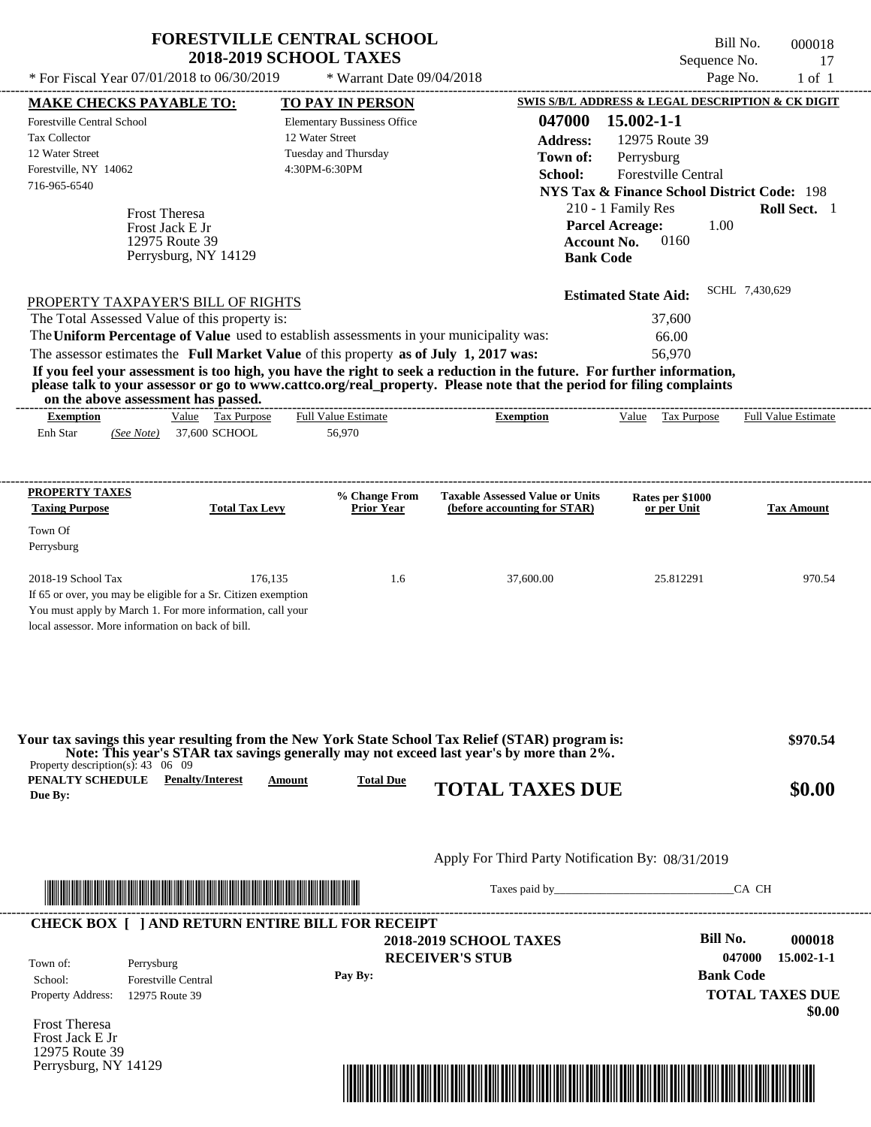| * For Fiscal Year 07/01/2018 to 06/30/2019                                                  | <b>FORESTVILLE CENTRAL SCHOOL</b><br><b>2018-2019 SCHOOL TAXES</b>                                                                      | * Warrant Date 09/04/2018          |                                                                                                                                                                                                                                                                      | Sequence No.<br>Page No.                                     | Bill No.<br>000018<br>17<br>$1$ of $1$ |
|---------------------------------------------------------------------------------------------|-----------------------------------------------------------------------------------------------------------------------------------------|------------------------------------|----------------------------------------------------------------------------------------------------------------------------------------------------------------------------------------------------------------------------------------------------------------------|--------------------------------------------------------------|----------------------------------------|
| <b>MAKE CHECKS PAYABLE TO:</b>                                                              |                                                                                                                                         | <b>TO PAY IN PERSON</b>            |                                                                                                                                                                                                                                                                      | SWIS S/B/L ADDRESS & LEGAL DESCRIPTION & CK DIGIT            |                                        |
| <b>Forestville Central School</b>                                                           |                                                                                                                                         | <b>Elementary Bussiness Office</b> | 047000                                                                                                                                                                                                                                                               | 15.002-1-1                                                   |                                        |
| Tax Collector                                                                               |                                                                                                                                         | 12 Water Street                    | <b>Address:</b>                                                                                                                                                                                                                                                      | 12975 Route 39                                               |                                        |
| 12 Water Street                                                                             |                                                                                                                                         | Tuesday and Thursday               | Town of:                                                                                                                                                                                                                                                             | Perrysburg                                                   |                                        |
| Forestville, NY 14062                                                                       |                                                                                                                                         | 4:30PM-6:30PM                      | School:                                                                                                                                                                                                                                                              | Forestville Central                                          |                                        |
| 716-965-6540                                                                                |                                                                                                                                         |                                    |                                                                                                                                                                                                                                                                      | <b>NYS Tax &amp; Finance School District Code: 198</b>       |                                        |
|                                                                                             | <b>Frost Theresa</b>                                                                                                                    |                                    |                                                                                                                                                                                                                                                                      | 210 - 1 Family Res                                           | Roll Sect. 1                           |
|                                                                                             | Frost Jack E Jr<br>12975 Route 39<br>Perrysburg, NY 14129                                                                               |                                    | <b>Bank Code</b>                                                                                                                                                                                                                                                     | <b>Parcel Acreage:</b><br>1.00<br>0160<br><b>Account No.</b> |                                        |
|                                                                                             | PROPERTY TAXPAYER'S BILL OF RIGHTS                                                                                                      |                                    |                                                                                                                                                                                                                                                                      | <b>Estimated State Aid:</b>                                  | SCHL 7,430,629                         |
| The Total Assessed Value of this property is:                                               |                                                                                                                                         |                                    |                                                                                                                                                                                                                                                                      | 37,600                                                       |                                        |
|                                                                                             | The Uniform Percentage of Value used to establish assessments in your municipality was:                                                 |                                    |                                                                                                                                                                                                                                                                      | 66.00                                                        |                                        |
|                                                                                             | The assessor estimates the Full Market Value of this property as of July 1, 2017 was:                                                   |                                    |                                                                                                                                                                                                                                                                      | 56,970                                                       |                                        |
| on the above assessment has passed.<br><b>Exemption</b>                                     | Value Tax Purpose                                                                                                                       | Full Value Estimate                | If you feel your assessment is too high, you have the right to seek a reduction in the future. For further information,<br>please talk to your assessor or go to www.cattco.org/real_property. Please note that the period for filing complaints<br><b>Exemption</b> | Value Tax Purpose                                            | <b>Full Value Estimate</b>             |
| Enh Star<br>(See Note)                                                                      | 37,600 SCHOOL                                                                                                                           | 56,970                             |                                                                                                                                                                                                                                                                      |                                                              |                                        |
| PROPERTY TAXES                                                                              |                                                                                                                                         | % Change From                      | <b>Taxable Assessed Value or Units</b>                                                                                                                                                                                                                               | Rates per \$1000                                             |                                        |
| <b>Taxing Purpose</b>                                                                       | <b>Total Tax Levy</b>                                                                                                                   | <b>Prior Year</b>                  | (before accounting for STAR)                                                                                                                                                                                                                                         | or per Unit                                                  | <b>Tax Amount</b>                      |
| Town Of                                                                                     |                                                                                                                                         |                                    |                                                                                                                                                                                                                                                                      |                                                              |                                        |
| Perrysburg                                                                                  |                                                                                                                                         |                                    |                                                                                                                                                                                                                                                                      |                                                              |                                        |
|                                                                                             |                                                                                                                                         |                                    |                                                                                                                                                                                                                                                                      |                                                              |                                        |
| 2018-19 School Tax<br>local assessor. More information on back of bill.                     | 176,135<br>If 65 or over, you may be eligible for a Sr. Citizen exemption<br>You must apply by March 1. For more information, call your | 1.6                                | 37,600.00                                                                                                                                                                                                                                                            | 25.812291                                                    | 970.54                                 |
| Property description(s): $43 \quad 06 \quad 09$<br><b>PENALTY SCHEDULE</b> Penalty/Interest |                                                                                                                                         |                                    | Your tax savings this year resulting from the New York State School Tax Relief (STAR) program is:<br>Note: This year's STAR tax savings generally may not exceed last year's by more than 2%.                                                                        |                                                              | \$970.54                               |
| Due By:                                                                                     | Amount                                                                                                                                  | <b>Total Due</b>                   | <b>TOTAL TAXES DUE</b>                                                                                                                                                                                                                                               |                                                              | \$0.00                                 |
|                                                                                             |                                                                                                                                         |                                    | Apply For Third Party Notification By: 08/31/2019                                                                                                                                                                                                                    |                                                              |                                        |
|                                                                                             | <u> 1999 - An Dùbhlachd ann an Dùbhaidh ann an Dùbhaidh an Dùbhaidh an Dùbhaidh an Dùbhaidh ann an Dùbhaidh an Dù</u>                   |                                    |                                                                                                                                                                                                                                                                      | Taxes paid by                                                | CA CH                                  |
|                                                                                             | <b>CHECK BOX [ ] AND RETURN ENTIRE BILL FOR RECEIPT</b>                                                                                 |                                    |                                                                                                                                                                                                                                                                      |                                                              |                                        |
|                                                                                             |                                                                                                                                         |                                    | <b>2018-2019 SCHOOL TAXES</b>                                                                                                                                                                                                                                        | Bill No.                                                     | 000018                                 |
| Town of:<br>Perrysburg                                                                      |                                                                                                                                         |                                    | <b>RECEIVER'S STUB</b>                                                                                                                                                                                                                                               |                                                              | 047000<br>$15.002 - 1 - 1$             |
| School:                                                                                     | <b>Forestville Central</b>                                                                                                              | Pay By:                            |                                                                                                                                                                                                                                                                      | <b>Bank Code</b>                                             |                                        |
| Property Address:                                                                           | 12975 Route 39                                                                                                                          |                                    |                                                                                                                                                                                                                                                                      |                                                              | <b>TOTAL TAXES DUE</b>                 |
| Frost Theresa                                                                               |                                                                                                                                         |                                    |                                                                                                                                                                                                                                                                      |                                                              | \$0.00                                 |

Frost Jack E Jr 12975 Route 39 Perrysburg, NY 14129

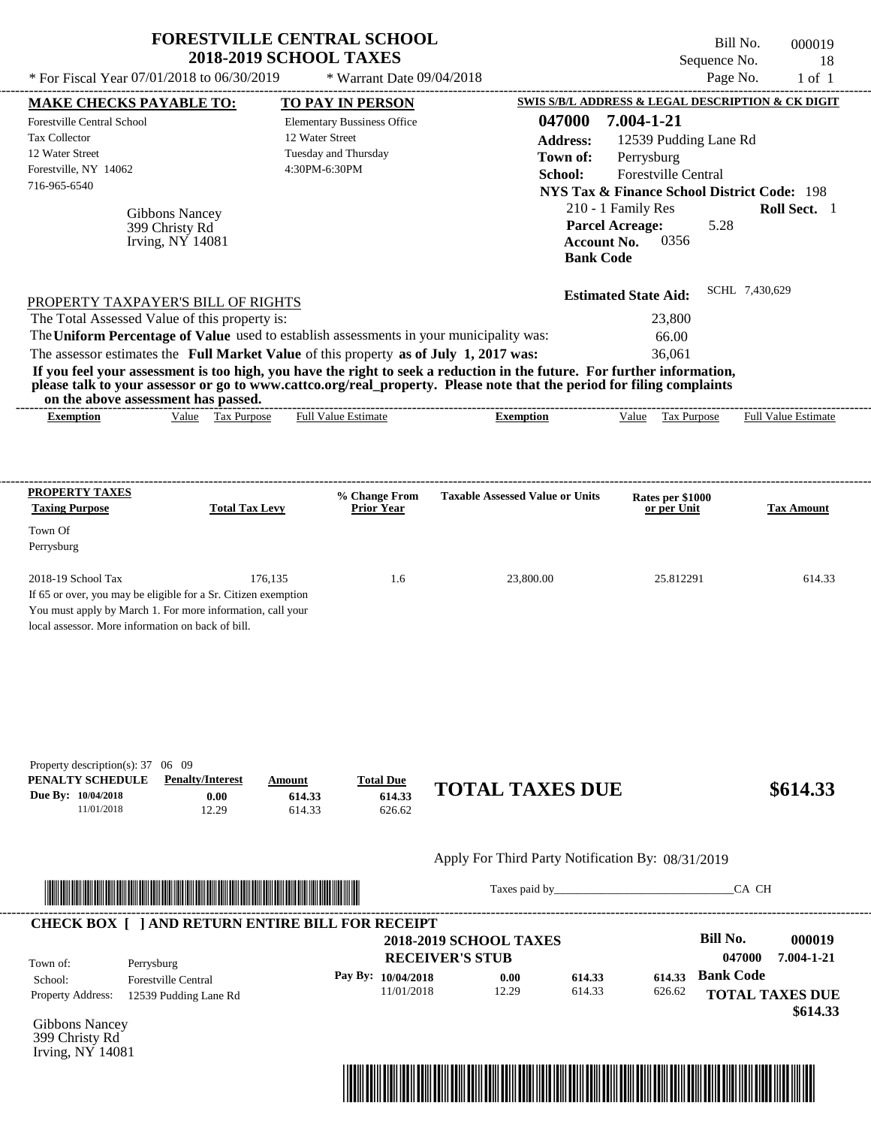| * For Fiscal Year 07/01/2018 to 06/30/2019                                                                                                                                                                                                                                                                                                                                                                                                                                                                                                                         | <b>FORESTVILLE CENTRAL SCHOOL</b><br><b>2018-2019 SCHOOL TAXES</b><br>* Warrant Date 09/04/2018 |                                                                                                                      | Bill No.<br>Sequence No.<br>Page No.                                                                                                                                     | 000019<br>18<br>$1$ of $1$ |
|--------------------------------------------------------------------------------------------------------------------------------------------------------------------------------------------------------------------------------------------------------------------------------------------------------------------------------------------------------------------------------------------------------------------------------------------------------------------------------------------------------------------------------------------------------------------|-------------------------------------------------------------------------------------------------|----------------------------------------------------------------------------------------------------------------------|--------------------------------------------------------------------------------------------------------------------------------------------------------------------------|----------------------------|
| <b>MAKE CHECKS PAYABLE TO:</b>                                                                                                                                                                                                                                                                                                                                                                                                                                                                                                                                     | <b>TO PAY IN PERSON</b>                                                                         |                                                                                                                      | SWIS S/B/L ADDRESS & LEGAL DESCRIPTION & CK DIGIT                                                                                                                        |                            |
| <b>Forestville Central School</b><br><b>Tax Collector</b><br>12 Water Street<br>Forestville, NY 14062<br>716-965-6540<br>Gibbons Nancey<br>399 Christy Rd<br>Irving, NY 14081                                                                                                                                                                                                                                                                                                                                                                                      | <b>Elementary Bussiness Office</b><br>12 Water Street<br>Tuesday and Thursday<br>4:30PM-6:30PM  | 047000<br><b>Address:</b><br>Town of:<br>School:<br><b>Parcel Acreage:</b><br><b>Account No.</b><br><b>Bank Code</b> | 7.004-1-21<br>12539 Pudding Lane Rd<br>Perrysburg<br>Forestville Central<br><b>NYS Tax &amp; Finance School District Code: 198</b><br>210 - 1 Family Res<br>5.28<br>0356 | Roll Sect. 1               |
| PROPERTY TAXPAYER'S BILL OF RIGHTS<br>The Total Assessed Value of this property is:<br>The Uniform Percentage of Value used to establish assessments in your municipality was:<br>The assessor estimates the Full Market Value of this property as of July 1, 2017 was:<br>If you feel your assessment is too high, you have the right to seek a reduction in the future. For further information,<br>please talk to your assessor or go to www.cattco.org/real_property. Please note that the period for filing complaints<br>on the above assessment has passed. |                                                                                                 |                                                                                                                      | SCHL 7,430,629<br><b>Estimated State Aid:</b><br>23,800<br>66.00<br>36,061                                                                                               |                            |
| Value Tax Purpose<br><b>Exemption</b>                                                                                                                                                                                                                                                                                                                                                                                                                                                                                                                              | <b>Full Value Estimate</b>                                                                      | <b>Exemption</b>                                                                                                     | Value Tax Purpose                                                                                                                                                        | <b>Full Value Estimate</b> |
| PROPERTY TAXES                                                                                                                                                                                                                                                                                                                                                                                                                                                                                                                                                     | % Change From                                                                                   | <b>Taxable Assessed Value or Units</b>                                                                               |                                                                                                                                                                          |                            |
| <b>Taxing Purpose</b><br><b>Total Tax Levy</b>                                                                                                                                                                                                                                                                                                                                                                                                                                                                                                                     | <b>Prior Year</b>                                                                               |                                                                                                                      | Rates per \$1000<br>or per Unit                                                                                                                                          | Tax Amount                 |
| Town Of                                                                                                                                                                                                                                                                                                                                                                                                                                                                                                                                                            |                                                                                                 |                                                                                                                      |                                                                                                                                                                          |                            |
| Perrysburg                                                                                                                                                                                                                                                                                                                                                                                                                                                                                                                                                         |                                                                                                 |                                                                                                                      |                                                                                                                                                                          |                            |
| 2018-19 School Tax<br>If 65 or over, you may be eligible for a Sr. Citizen exemption<br>You must apply by March 1. For more information, call your<br>local assessor. More information on back of bill.                                                                                                                                                                                                                                                                                                                                                            | 176,135<br>1.6                                                                                  | 23,800.00                                                                                                            | 25.812291                                                                                                                                                                | 614.33                     |
|                                                                                                                                                                                                                                                                                                                                                                                                                                                                                                                                                                    |                                                                                                 |                                                                                                                      |                                                                                                                                                                          |                            |
| Property description(s): 37 06 09<br>PENALTY SCHEDULE<br><b>Penalty/Interest</b><br>Due By: 10/04/2018<br>0.00<br>11/01/2018<br>12.29                                                                                                                                                                                                                                                                                                                                                                                                                              | <b>Total Due</b><br>Amount<br>614.33<br>614.33<br>614.33<br>626.62                              | <b>TOTAL TAXES DUE</b>                                                                                               |                                                                                                                                                                          | \$614.33                   |
|                                                                                                                                                                                                                                                                                                                                                                                                                                                                                                                                                                    |                                                                                                 | Apply For Third Party Notification By: 08/31/2019                                                                    |                                                                                                                                                                          |                            |
| <u> Indian American State (Indian American Sta</u>                                                                                                                                                                                                                                                                                                                                                                                                                                                                                                                 |                                                                                                 |                                                                                                                      | CA CH                                                                                                                                                                    |                            |

Gibbons Nancey 399 Christy Rd Irving, NY 14081



# **FORESTVILLE CENTRAL SCHOOL**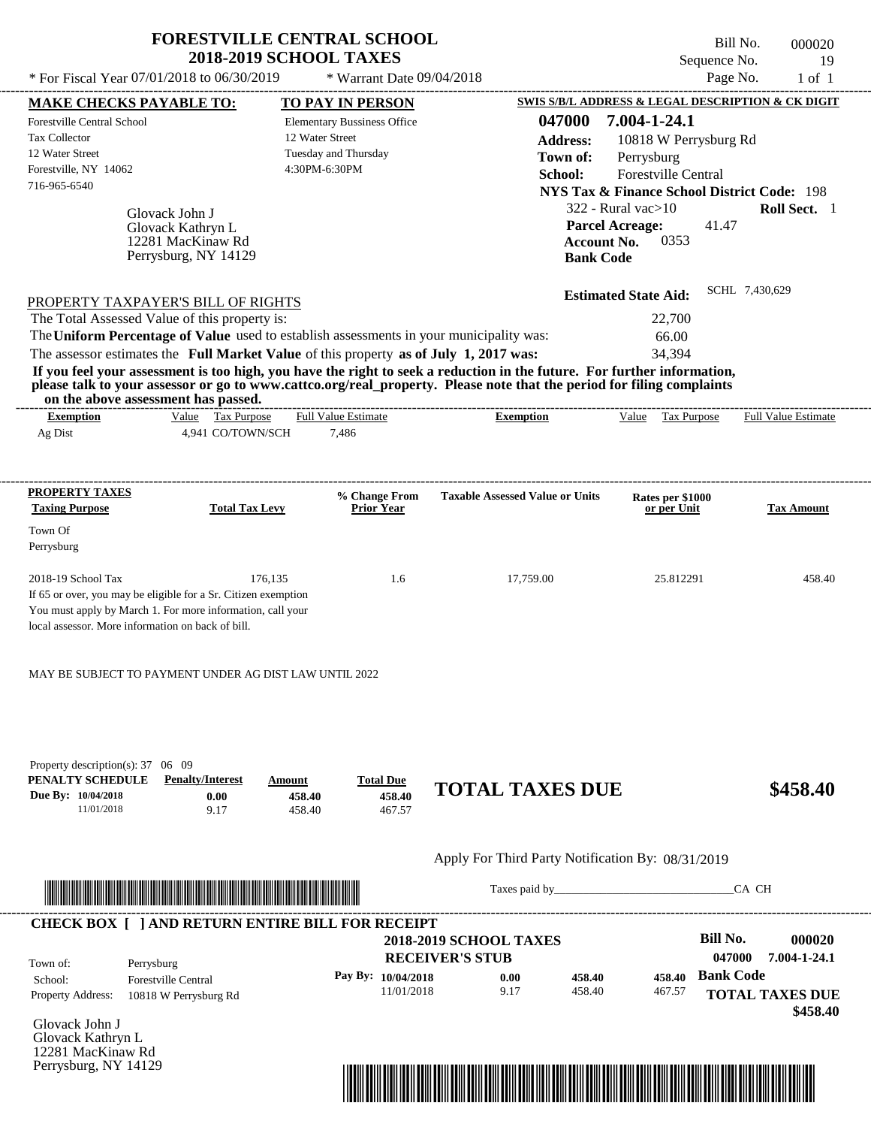|                                                                                                                                                                                  | <b>FORESTVILLE CENTRAL SCHOOL</b>                     |                                                   | Bill No.                                                          | 000020                     |
|----------------------------------------------------------------------------------------------------------------------------------------------------------------------------------|-------------------------------------------------------|---------------------------------------------------|-------------------------------------------------------------------|----------------------------|
|                                                                                                                                                                                  | <b>2018-2019 SCHOOL TAXES</b>                         |                                                   | Sequence No.                                                      | 19                         |
| * For Fiscal Year 07/01/2018 to 06/30/2019                                                                                                                                       | * Warrant Date 09/04/2018                             |                                                   | Page No.                                                          | $1$ of $1$                 |
| <b>MAKE CHECKS PAYABLE TO:</b>                                                                                                                                                   | <b>TO PAY IN PERSON</b>                               | 047000                                            | SWIS S/B/L ADDRESS & LEGAL DESCRIPTION & CK DIGIT<br>7.004-1-24.1 |                            |
| Forestville Central School<br><b>Tax Collector</b>                                                                                                                               | <b>Elementary Bussiness Office</b><br>12 Water Street |                                                   |                                                                   |                            |
| 12 Water Street                                                                                                                                                                  | Tuesday and Thursday                                  | <b>Address:</b>                                   | 10818 W Perrysburg Rd                                             |                            |
| Forestville, NY 14062                                                                                                                                                            | 4:30PM-6:30PM                                         | Town of:                                          | Perrysburg<br>Forestville Central                                 |                            |
| 716-965-6540                                                                                                                                                                     |                                                       | School:                                           | <b>NYS Tax &amp; Finance School District Code: 198</b>            |                            |
|                                                                                                                                                                                  |                                                       |                                                   | $322$ - Rural vac $>10$                                           | Roll Sect. 1               |
| Glovack John J                                                                                                                                                                   |                                                       |                                                   | 41.47<br><b>Parcel Acreage:</b>                                   |                            |
| Glovack Kathryn L<br>12281 MacKinaw Rd                                                                                                                                           |                                                       | <b>Account No.</b>                                | 0353                                                              |                            |
| Perrysburg, NY 14129                                                                                                                                                             |                                                       | <b>Bank Code</b>                                  |                                                                   |                            |
|                                                                                                                                                                                  |                                                       |                                                   |                                                                   | SCHL 7,430,629             |
| PROPERTY TAXPAYER'S BILL OF RIGHTS                                                                                                                                               |                                                       |                                                   | <b>Estimated State Aid:</b>                                       |                            |
| The Total Assessed Value of this property is:                                                                                                                                    |                                                       |                                                   | 22,700                                                            |                            |
| The Uniform Percentage of Value used to establish assessments in your municipality was:<br>The assessor estimates the Full Market Value of this property as of July 1, 2017 was: |                                                       |                                                   | 66.00<br>34,394                                                   |                            |
| If you feel your assessment is too high, you have the right to seek a reduction in the future. For further information,                                                          |                                                       |                                                   |                                                                   |                            |
| please talk to your assessor or go to www.cattco.org/real_property. Please note that the period for filing complaints<br>on the above assessment has passed.                     |                                                       |                                                   |                                                                   |                            |
| Value Tax Purpose<br><b>Exemption</b>                                                                                                                                            | <b>Full Value Estimate</b>                            | <b>Exemption</b>                                  | Value Tax Purpose                                                 | <b>Full Value Estimate</b> |
| Ag Dist<br>4,941 CO/TOWN/SCH                                                                                                                                                     | 7,486                                                 |                                                   |                                                                   |                            |
|                                                                                                                                                                                  |                                                       |                                                   |                                                                   |                            |
| <b>PROPERTY TAXES</b>                                                                                                                                                            | % Change From                                         | <b>Taxable Assessed Value or Units</b>            | Rates per \$1000                                                  |                            |
| <b>Taxing Purpose</b><br><b>Total Tax Levy</b>                                                                                                                                   | <b>Prior Year</b>                                     |                                                   | or per Unit                                                       | <b>Tax Amount</b>          |
| Town Of<br>Perrysburg                                                                                                                                                            |                                                       |                                                   |                                                                   |                            |
|                                                                                                                                                                                  |                                                       |                                                   |                                                                   |                            |
| 2018-19 School Tax                                                                                                                                                               | 176,135<br>1.6                                        | 17,759.00                                         | 25.812291                                                         | 458.40                     |
| If 65 or over, you may be eligible for a Sr. Citizen exemption                                                                                                                   |                                                       |                                                   |                                                                   |                            |
| You must apply by March 1. For more information, call your<br>local assessor. More information on back of bill.                                                                  |                                                       |                                                   |                                                                   |                            |
|                                                                                                                                                                                  |                                                       |                                                   |                                                                   |                            |
| MAY BE SUBJECT TO PAYMENT UNDER AG DIST LAW UNTIL 2022                                                                                                                           |                                                       |                                                   |                                                                   |                            |
|                                                                                                                                                                                  |                                                       |                                                   |                                                                   |                            |
| Property description(s): 37 06 09<br>PENALTY SCHEDULE<br><b>Penalty/Interest</b>                                                                                                 | <b>Total Due</b><br>Amount                            |                                                   |                                                                   |                            |
| Due By: 10/04/2018<br>0.00<br>11/01/2018<br>9.17                                                                                                                                 | 458.40<br>458.40<br>458.40<br>467.57                  | <b>TOTAL TAXES DUE</b>                            |                                                                   | \$458.40                   |
|                                                                                                                                                                                  |                                                       | Apply For Third Party Notification By: 08/31/2019 |                                                                   |                            |
| <u> Han ber den behalten den ber den ber den bestehende der ber den bestehende der bestehenden aus der den bestehe</u>                                                           |                                                       | Taxes paid by                                     |                                                                   | CA CH                      |
| <b>CHECK BOX [ ] AND RETURN ENTIRE BILL FOR RECEIPT</b>                                                                                                                          |                                                       |                                                   |                                                                   |                            |
|                                                                                                                                                                                  |                                                       | <b>2018-2019 SCHOOL TAXES</b>                     | <b>Bill No.</b>                                                   | 000020                     |
| Town of:<br>Perrysburg                                                                                                                                                           |                                                       | <b>RECEIVER'S STUB</b>                            | 047000                                                            | 7.004-1-24.1               |
| School:<br>Forestville Central                                                                                                                                                   | Pay By: 10/04/2018                                    | 0.00<br>458.40                                    | <b>Bank Code</b><br>458.40                                        |                            |

11/01/2018

Glovack John J Property Address: 10818 W Perrysburg Rd

Glovack Kathryn L 12281 MacKinaw Rd Perrysburg, NY 14129



458.40

**TOTAL TAXES DUE**

467.57

 **\$458.40**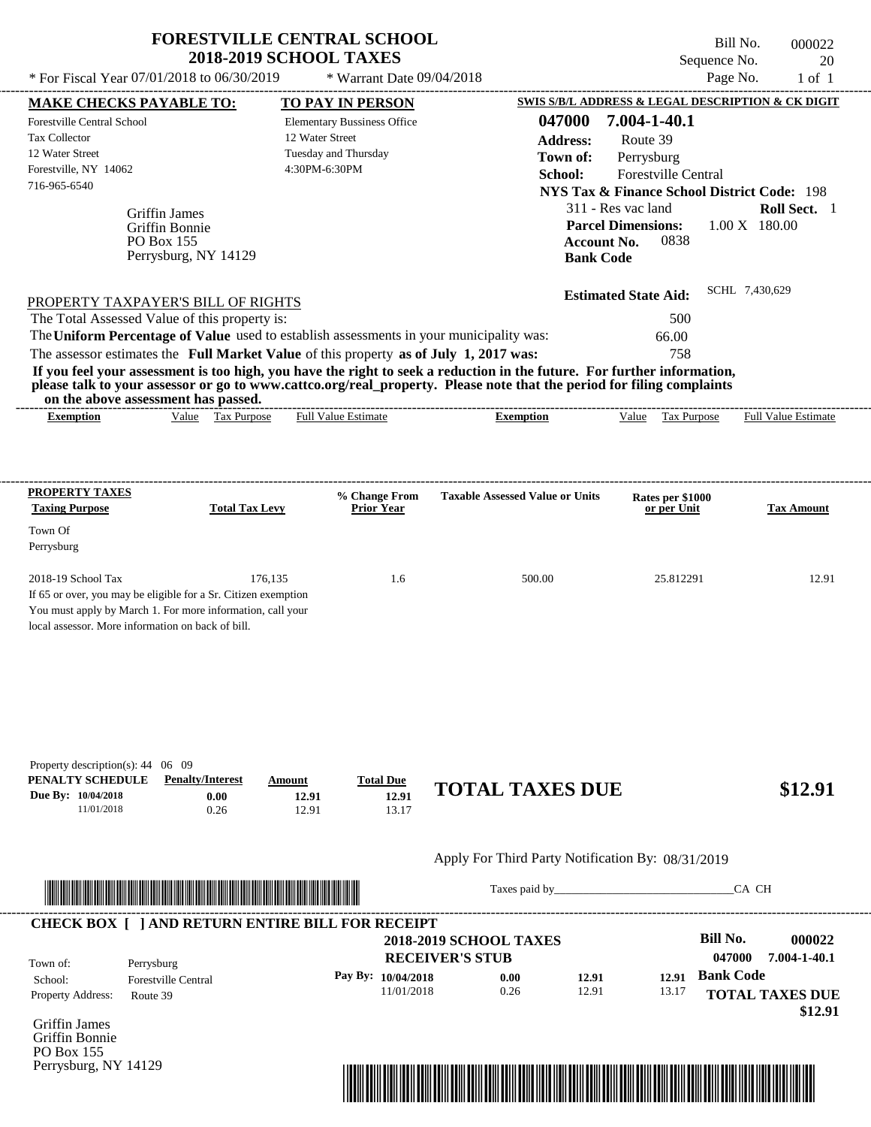|                                                                                                                                                              | <b>FORESTVILLE CENTRAL SCHOOL</b><br><b>2018-2019 SCHOOL TAXES</b> |                                    |                                                         | Bill No.<br>Sequence No.                               | 000022<br>20               |
|--------------------------------------------------------------------------------------------------------------------------------------------------------------|--------------------------------------------------------------------|------------------------------------|---------------------------------------------------------|--------------------------------------------------------|----------------------------|
| * For Fiscal Year 07/01/2018 to 06/30/2019                                                                                                                   |                                                                    | * Warrant Date 09/04/2018          |                                                         | Page No.                                               | $1$ of $1$                 |
| <b>MAKE CHECKS PAYABLE TO:</b>                                                                                                                               |                                                                    | <b>TO PAY IN PERSON</b>            |                                                         | SWIS S/B/L ADDRESS & LEGAL DESCRIPTION & CK DIGIT      |                            |
| Forestville Central School                                                                                                                                   |                                                                    | <b>Elementary Bussiness Office</b> | 047000                                                  | 7.004-1-40.1                                           |                            |
| <b>Tax Collector</b>                                                                                                                                         | 12 Water Street                                                    |                                    | <b>Address:</b>                                         | Route 39                                               |                            |
| 12 Water Street<br>Forestville, NY 14062                                                                                                                     | 4:30PM-6:30PM                                                      | Tuesday and Thursday               | Town of:                                                | Perrysburg                                             |                            |
| 716-965-6540                                                                                                                                                 |                                                                    |                                    | School:                                                 | Forestville Central                                    |                            |
|                                                                                                                                                              |                                                                    |                                    |                                                         | <b>NYS Tax &amp; Finance School District Code: 198</b> |                            |
| <b>Griffin James</b>                                                                                                                                         |                                                                    |                                    |                                                         | 311 - Res vac land                                     | <b>Roll Sect.</b> 1        |
| Griffin Bonnie<br>PO Box 155                                                                                                                                 |                                                                    |                                    | <b>Account No.</b>                                      | <b>Parcel Dimensions:</b><br>0838                      | $1.00 \text{ X}$ 180.00    |
| Perrysburg, NY 14129                                                                                                                                         |                                                                    |                                    | <b>Bank Code</b>                                        |                                                        |                            |
|                                                                                                                                                              |                                                                    |                                    |                                                         | <b>Estimated State Aid:</b>                            | SCHL 7,430,629             |
| PROPERTY TAXPAYER'S BILL OF RIGHTS<br>The Total Assessed Value of this property is:                                                                          |                                                                    |                                    |                                                         | 500                                                    |                            |
| The Uniform Percentage of Value used to establish assessments in your municipality was:                                                                      |                                                                    |                                    |                                                         | 66.00                                                  |                            |
| The assessor estimates the Full Market Value of this property as of July 1, 2017 was:                                                                        |                                                                    |                                    |                                                         | 758                                                    |                            |
| If you feel your assessment is too high, you have the right to seek a reduction in the future. For further information,                                      |                                                                    |                                    |                                                         |                                                        |                            |
| please talk to your assessor or go to www.cattco.org/real_property. Please note that the period for filing complaints<br>on the above assessment has passed. |                                                                    |                                    |                                                         |                                                        |                            |
| <b>Exemption</b>                                                                                                                                             | Value Tax Purpose                                                  | <b>Full Value Estimate</b>         | <b>Exemption</b>                                        | Value Tax Purpose                                      | <b>Full Value Estimate</b> |
|                                                                                                                                                              |                                                                    |                                    |                                                         |                                                        |                            |
|                                                                                                                                                              |                                                                    |                                    |                                                         |                                                        |                            |
| <b>PROPERTY TAXES</b>                                                                                                                                        |                                                                    | % Change From                      | <b>Taxable Assessed Value or Units</b>                  | Rates per \$1000                                       |                            |
| <b>Taxing Purpose</b>                                                                                                                                        | <b>Total Tax Levy</b>                                              | <b>Prior Year</b>                  |                                                         | or per Unit                                            | <b>Tax Amount</b>          |
| Town Of                                                                                                                                                      |                                                                    |                                    |                                                         |                                                        |                            |
| Perrysburg                                                                                                                                                   |                                                                    |                                    |                                                         |                                                        |                            |
| 2018-19 School Tax                                                                                                                                           | 176,135                                                            | 1.6                                | 500.00                                                  | 25.812291                                              | 12.91                      |
| If 65 or over, you may be eligible for a Sr. Citizen exemption                                                                                               |                                                                    |                                    |                                                         |                                                        |                            |
| You must apply by March 1. For more information, call your                                                                                                   |                                                                    |                                    |                                                         |                                                        |                            |
| local assessor. More information on back of bill.                                                                                                            |                                                                    |                                    |                                                         |                                                        |                            |
|                                                                                                                                                              |                                                                    |                                    |                                                         |                                                        |                            |
|                                                                                                                                                              |                                                                    |                                    |                                                         |                                                        |                            |
|                                                                                                                                                              |                                                                    |                                    |                                                         |                                                        |                            |
|                                                                                                                                                              |                                                                    |                                    |                                                         |                                                        |                            |
|                                                                                                                                                              |                                                                    |                                    |                                                         |                                                        |                            |
| Property description(s): 44 06 09                                                                                                                            |                                                                    |                                    |                                                         |                                                        |                            |
| PENALTY SCHEDULE<br><b>Penalty/Interest</b><br>Due By: 10/04/2018                                                                                            | Amount                                                             | <b>Total Due</b><br>12.91          | <b>TOTAL TAXES DUE</b>                                  |                                                        | \$12.91                    |
| 11/01/2018                                                                                                                                                   | 0.00<br>12.91<br>0.26<br>12.91                                     | 13.17                              |                                                         |                                                        |                            |
|                                                                                                                                                              |                                                                    |                                    |                                                         |                                                        |                            |
|                                                                                                                                                              |                                                                    |                                    | Apply For Third Party Notification By: 08/31/2019       |                                                        |                            |
| <u> A BERTALDIAN DI BILIM DI BILIM DI BILIM DI BILIM DI BILIM DI BILIM DI BILIM DI BILIM DI BILIM DI BILIM DI BI</u>                                         |                                                                    |                                    |                                                         |                                                        | CA CH                      |
| <b>CHECK BOX [ ] AND RETURN ENTIRE BILL FOR RECEIPT</b>                                                                                                      |                                                                    |                                    |                                                         |                                                        |                            |
|                                                                                                                                                              |                                                                    |                                    | <b>2018-2019 SCHOOL TAXES</b><br><b>RECEIVER'S STUB</b> | <b>Bill No.</b><br>047000                              | 000022<br>7.004-1-40.1     |
| Perryshurg<br>Town of:                                                                                                                                       |                                                                    |                                    |                                                         |                                                        |                            |

| Town of:                              | Perrysburg                 | RECEIVER'S STUB |                      |      |       |       | <b>047000</b><br>7.004-1-40.1 |
|---------------------------------------|----------------------------|-----------------|----------------------|------|-------|-------|-------------------------------|
| School:                               | <b>Forestville Central</b> |                 | Pay By: $10/04/2018$ | 0.00 | 12.91 | 12.91 | <b>Bank Code</b>              |
| Property Address:                     | Route 39                   |                 | 11/01/2018           | 0.26 | 12.91 | 13.17 | <b>TOTAL TAXES DUE</b>        |
| C <sub>reffin</sub> I <sub>omog</sub> |                            |                 |                      |      |       |       | \$12.91                       |

Griffin James Griffin Bonnie PO Box 155 Perrysburg, NY 14129

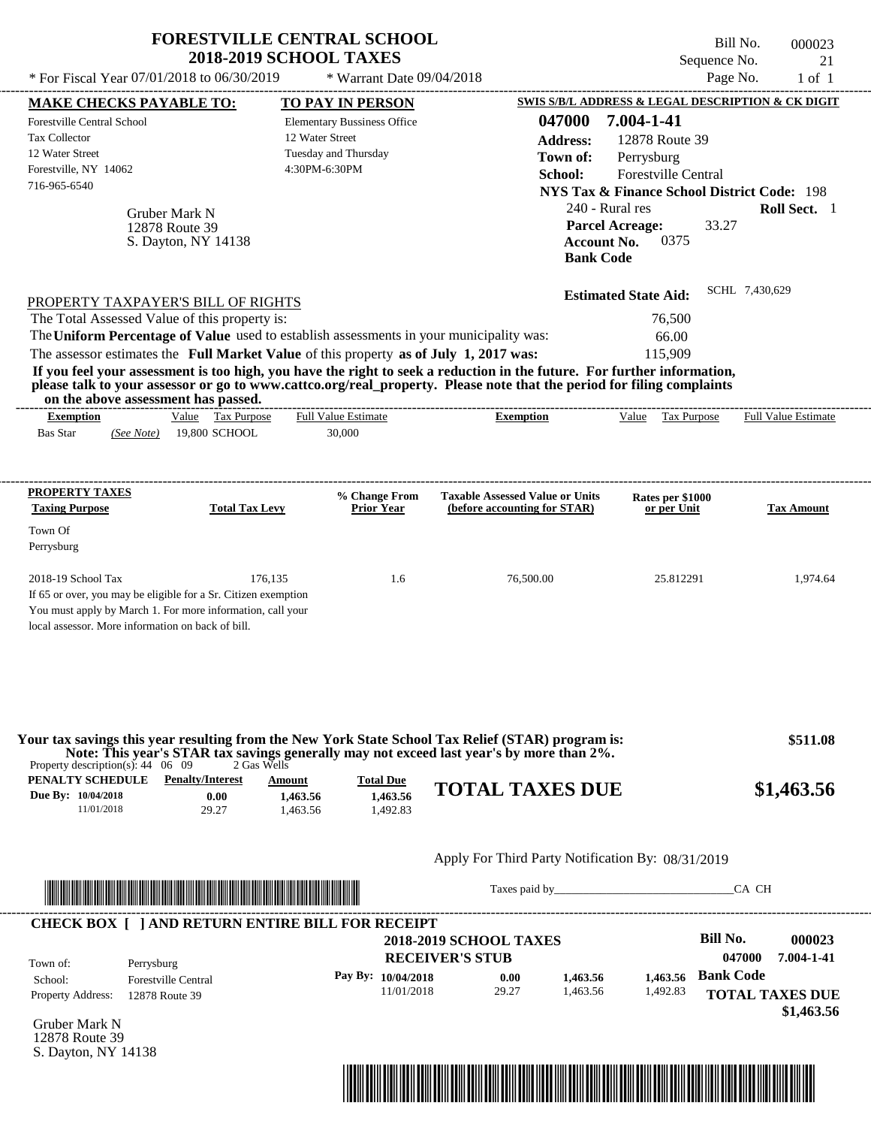| * For Fiscal Year 07/01/2018 to 06/30/2019                                                                                 | <b>FORESTVILLE CENTRAL SCHOOL</b><br><b>2018-2019 SCHOOL TAXES</b>                                                                                                               | * Warrant Date 09/04/2018                                                                      |                                                                                                                                                                                                                                                  |                                                                                                                                                                                                                            | Bill No.<br>000023<br>Sequence No.<br>21<br>Page No.<br>$1$ of $1$ |
|----------------------------------------------------------------------------------------------------------------------------|----------------------------------------------------------------------------------------------------------------------------------------------------------------------------------|------------------------------------------------------------------------------------------------|--------------------------------------------------------------------------------------------------------------------------------------------------------------------------------------------------------------------------------------------------|----------------------------------------------------------------------------------------------------------------------------------------------------------------------------------------------------------------------------|--------------------------------------------------------------------|
| <b>MAKE CHECKS PAYABLE TO:</b>                                                                                             |                                                                                                                                                                                  | TO PAY IN PERSON                                                                               |                                                                                                                                                                                                                                                  | SWIS S/B/L ADDRESS & LEGAL DESCRIPTION & CK DIGIT                                                                                                                                                                          |                                                                    |
| <b>Forestville Central School</b><br><b>Tax Collector</b><br>12 Water Street<br>Forestville, NY 14062<br>716-965-6540      | Gruber Mark N<br>12878 Route 39<br>S. Dayton, NY 14138                                                                                                                           | <b>Elementary Bussiness Office</b><br>12 Water Street<br>Tuesday and Thursday<br>4:30PM-6:30PM | 047000<br><b>Address:</b><br>Town of:<br>School:                                                                                                                                                                                                 | 7.004-1-41<br>12878 Route 39<br>Perrysburg<br>Forestville Central<br><b>NYS Tax &amp; Finance School District Code: 198</b><br>240 - Rural res<br><b>Parcel Acreage:</b><br>0375<br><b>Account No.</b><br><b>Bank Code</b> | Roll Sect. 1<br>33.27                                              |
| PROPERTY TAXPAYER'S BILL OF RIGHTS<br>The Total Assessed Value of this property is:<br>on the above assessment has passed. | The Uniform Percentage of Value used to establish assessments in your municipality was:<br>The assessor estimates the Full Market Value of this property as of July 1, 2017 was: |                                                                                                | If you feel your assessment is too high, you have the right to seek a reduction in the future. For further information,<br>please talk to your assessor or go to www.cattco.org/real_property. Please note that the period for filing complaints | <b>Estimated State Aid:</b><br>76,500<br>66.00<br>115,909                                                                                                                                                                  | SCHL 7,430,629                                                     |
| <b>Exemption</b>                                                                                                           | Value Tax Purpose                                                                                                                                                                | Full Value Estimate                                                                            | <b>Exemption</b>                                                                                                                                                                                                                                 | Value Tax Purpose                                                                                                                                                                                                          | <b>Full Value Estimate</b>                                         |
| <b>Taxing Purpose</b><br>Town Of<br>Perrysburg<br>2018-19 School Tax<br>local assessor. More information on back of bill.  | <b>Total Tax Levy</b><br>176,135<br>If 65 or over, you may be eligible for a Sr. Citizen exemption<br>You must apply by March 1. For more information, call your                 | <b>Prior Year</b><br>1.6                                                                       | (before accounting for STAR)<br>76,500.00                                                                                                                                                                                                        | or per Unit<br>25.812291                                                                                                                                                                                                   | <b>Tax Amount</b><br>1,974.64                                      |
| Property description(s): $44 \quad 06 \quad 09$<br>PENALTY SCHEDULE<br>Due By: 10/04/2018<br>11/01/2018                    | 2 Gas Wells<br><b>Penalty/Interest</b><br>Amount<br>0.00<br>1,463.56<br>29.27<br>1,463.56                                                                                        | <b>Total Due</b><br>1,463.56<br>1,492.83                                                       | Your tax savings this year resulting from the New York State School Tax Relief (STAR) program is:<br>Note: This year's STAR tax savings generally may not exceed last year's by more than 2%.<br><b>TOTAL TAXES DUE</b>                          |                                                                                                                                                                                                                            | \$511.08<br>\$1,463.56                                             |
|                                                                                                                            |                                                                                                                                                                                  |                                                                                                | Apply For Third Party Notification By: 08/31/2019                                                                                                                                                                                                |                                                                                                                                                                                                                            |                                                                    |
|                                                                                                                            |                                                                                                                                                                                  |                                                                                                |                                                                                                                                                                                                                                                  | Taxes paid by                                                                                                                                                                                                              | CA CH                                                              |
| Town of:<br>Perrysburg                                                                                                     | <b>CHECK BOX [ ] AND RETURN ENTIRE BILL FOR RECEIPT</b>                                                                                                                          |                                                                                                | <b>2018-2019 SCHOOL TAXES</b><br><b>RECEIVER'S STUB</b>                                                                                                                                                                                          |                                                                                                                                                                                                                            | <b>Bill No.</b><br>000023<br>047000<br>7.004-1-41                  |

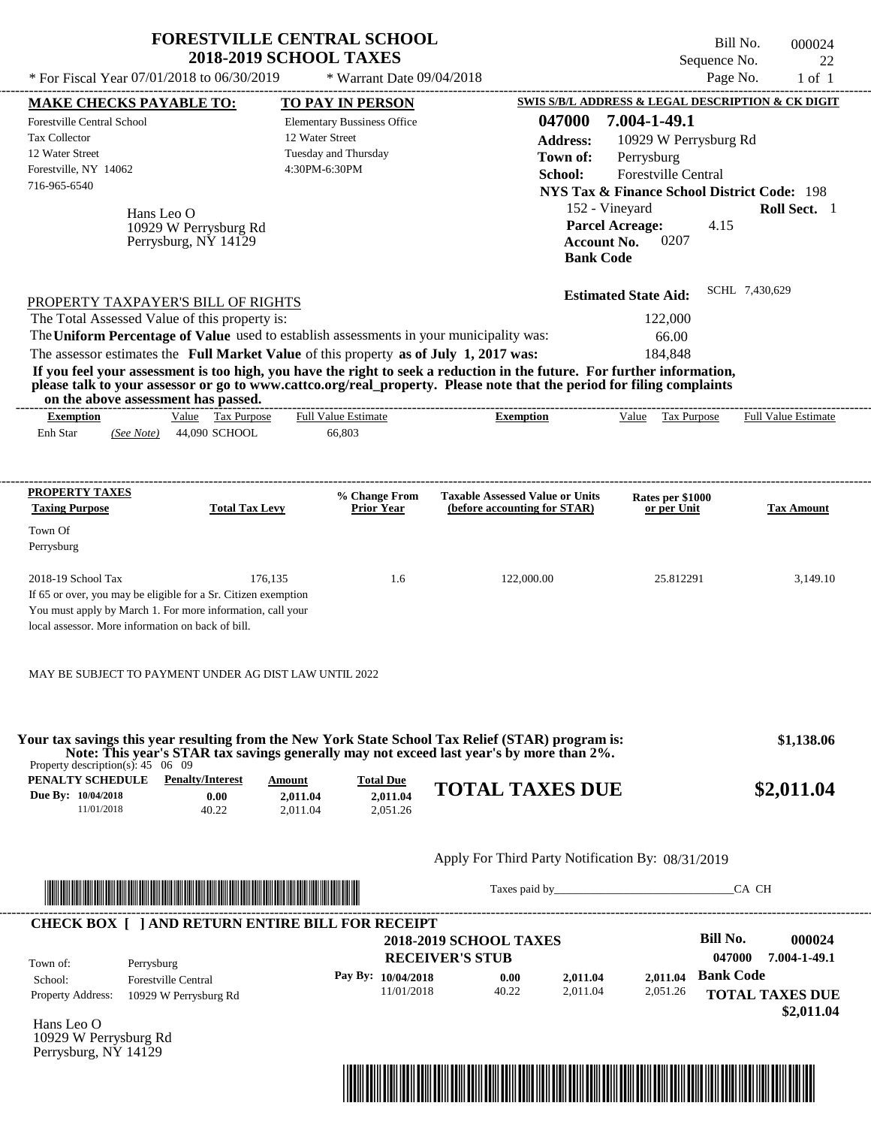| * For Fiscal Year 07/01/2018 to 06/30/2019                                                                                                                                                                                                                                                                                                                                                                                                                                                                                                                                                                                                             | <b>FORESTVILLE CENTRAL SCHOOL</b><br><b>2018-2019 SCHOOL TAXES</b>                             | * Warrant Date 09/04/2018                               |                                                                                                              |                                                                                                                                                                                                                                | Bill No.<br>000024<br>Sequence No.<br>Page No.<br>$1$ of $1$                   | 22 |
|--------------------------------------------------------------------------------------------------------------------------------------------------------------------------------------------------------------------------------------------------------------------------------------------------------------------------------------------------------------------------------------------------------------------------------------------------------------------------------------------------------------------------------------------------------------------------------------------------------------------------------------------------------|------------------------------------------------------------------------------------------------|---------------------------------------------------------|--------------------------------------------------------------------------------------------------------------|--------------------------------------------------------------------------------------------------------------------------------------------------------------------------------------------------------------------------------|--------------------------------------------------------------------------------|----|
| <b>MAKE CHECKS PAYABLE TO:</b>                                                                                                                                                                                                                                                                                                                                                                                                                                                                                                                                                                                                                         | <b>TO PAY IN PERSON</b>                                                                        |                                                         |                                                                                                              |                                                                                                                                                                                                                                | SWIS S/B/L ADDRESS & LEGAL DESCRIPTION & CK DIGIT                              |    |
| <b>Forestville Central School</b><br>Tax Collector<br>12 Water Street<br>Forestville, NY 14062<br>716-965-6540<br>Hans Leo O<br>10929 W Perrysburg Rd<br>Perrysburg, NY 14129                                                                                                                                                                                                                                                                                                                                                                                                                                                                          | <b>Elementary Bussiness Office</b><br>12 Water Street<br>Tuesday and Thursday<br>4:30PM-6:30PM |                                                         | 047000<br><b>Address:</b><br>Town of:<br>School:<br>152 - Vineyard<br><b>Account No.</b><br><b>Bank Code</b> | 7.004-1-49.1<br>10929 W Perrysburg Rd<br>Perrysburg<br><b>Forestville Central</b><br><b>Parcel Acreage:</b><br>0207                                                                                                            | <b>NYS Tax &amp; Finance School District Code: 198</b><br>Roll Sect. 1<br>4.15 |    |
| PROPERTY TAXPAYER'S BILL OF RIGHTS<br>The Total Assessed Value of this property is:<br>The Uniform Percentage of Value used to establish assessments in your municipality was:<br>The assessor estimates the Full Market Value of this property as of July 1, 2017 was:<br>If you feel your assessment is too high, you have the right to seek a reduction in the future. For further information,<br>please talk to your assessor or go to www.cattco.org/real_property. Please note that the period for filing complaints<br>on the above assessment has passed.<br>Value Tax Purpose<br><b>Exemption</b><br>Enh Star<br>44,090 SCHOOL<br>(See Note) | Full Value Estimate<br>66,803                                                                  | <b>Exemption</b>                                        |                                                                                                              | <b>Estimated State Aid:</b><br>122,000<br>66.00<br>184,848<br>Value Tax Purpose                                                                                                                                                | SCHL 7,430,629<br><b>Full Value Estimate</b>                                   |    |
|                                                                                                                                                                                                                                                                                                                                                                                                                                                                                                                                                                                                                                                        |                                                                                                |                                                         |                                                                                                              |                                                                                                                                                                                                                                |                                                                                |    |
| PROPERTY TAXES                                                                                                                                                                                                                                                                                                                                                                                                                                                                                                                                                                                                                                         | % Change From                                                                                  | <b>Taxable Assessed Value or Units</b>                  |                                                                                                              | Rates per \$1000                                                                                                                                                                                                               |                                                                                |    |
| <b>Taxing Purpose</b><br><b>Total Tax Levy</b><br>Town Of<br>Perrysburg                                                                                                                                                                                                                                                                                                                                                                                                                                                                                                                                                                                | <b>Prior Year</b>                                                                              | (before accounting for STAR)                            |                                                                                                              | or per Unit                                                                                                                                                                                                                    | <b>Tax Amount</b>                                                              |    |
| 2018-19 School Tax<br>If 65 or over, you may be eligible for a Sr. Citizen exemption<br>You must apply by March 1. For more information, call your<br>local assessor. More information on back of bill.<br>MAY BE SUBJECT TO PAYMENT UNDER AG DIST LAW UNTIL 2022                                                                                                                                                                                                                                                                                                                                                                                      | 176,135<br>1.6                                                                                 | 122,000.00                                              |                                                                                                              | 25.812291                                                                                                                                                                                                                      | 3,149.10                                                                       |    |
| Your tax savings this year resulting from the New York State School Tax Relief (STAR) program is:<br>Note: This year's STAR tax savings generally may not exceed last year's by more than 2%.<br>Property description(s): $45 \quad 06 \quad 09$                                                                                                                                                                                                                                                                                                                                                                                                       |                                                                                                |                                                         |                                                                                                              |                                                                                                                                                                                                                                | \$1,138.06                                                                     |    |
| <b>PENALTY SCHEDULE</b> Penalty/Interest<br>Due By: 10/04/2018<br>0.00<br>11/01/2018<br>40.22                                                                                                                                                                                                                                                                                                                                                                                                                                                                                                                                                          | <b>Amount</b><br><b>Total Due</b><br>2,011.04<br>2.011.04<br>2,011.04<br>2,051.26              | <b>TOTAL TAXES DUE</b>                                  |                                                                                                              |                                                                                                                                                                                                                                | \$2,011.04                                                                     |    |
|                                                                                                                                                                                                                                                                                                                                                                                                                                                                                                                                                                                                                                                        |                                                                                                | Apply For Third Party Notification By: 08/31/2019       |                                                                                                              |                                                                                                                                                                                                                                |                                                                                |    |
| <u> Indian American State and The Communication of the Communication of the Communication of the Communication of the Communication of the Communication of the Communication of the Communication of the Communication of the C</u>                                                                                                                                                                                                                                                                                                                                                                                                                   |                                                                                                |                                                         |                                                                                                              | Taxes paid by Taxes and the Taxes and the Taxes and the Taxes and the Taxes and the Taxes and the Taxes and the Taxes and the Taxes and the Taxes and the Taxes and the Taxes and the Taxes and the Taxes and the Taxes and th | CA CH                                                                          |    |
| <b>CHECK BOX [ ] AND RETURN ENTIRE BILL FOR RECEIPT</b><br>Town of:<br>Perrysburg                                                                                                                                                                                                                                                                                                                                                                                                                                                                                                                                                                      |                                                                                                | <b>2018-2019 SCHOOL TAXES</b><br><b>RECEIVER'S STUB</b> |                                                                                                              |                                                                                                                                                                                                                                | <b>Bill No.</b><br>000024<br>047000<br>7.004-1-49.1                            |    |
| School:<br><b>Forestville Central</b><br>Property Address:<br>10929 W Perrysburg Rd                                                                                                                                                                                                                                                                                                                                                                                                                                                                                                                                                                    | Pay By: 10/04/2018                                                                             | 0.00<br>11/01/2018<br>40.22                             | 2,011.04<br>2,011.04                                                                                         | 2,011.04<br>2,051.26                                                                                                                                                                                                           | <b>Bank Code</b><br><b>TOTAL TAXES DUE</b><br>\$2,011.04                       |    |
| Hans Leo O<br>10929 W Perrysburg Rd<br>Perrysburg, NY 14129                                                                                                                                                                                                                                                                                                                                                                                                                                                                                                                                                                                            |                                                                                                |                                                         |                                                                                                              |                                                                                                                                                                                                                                |                                                                                |    |

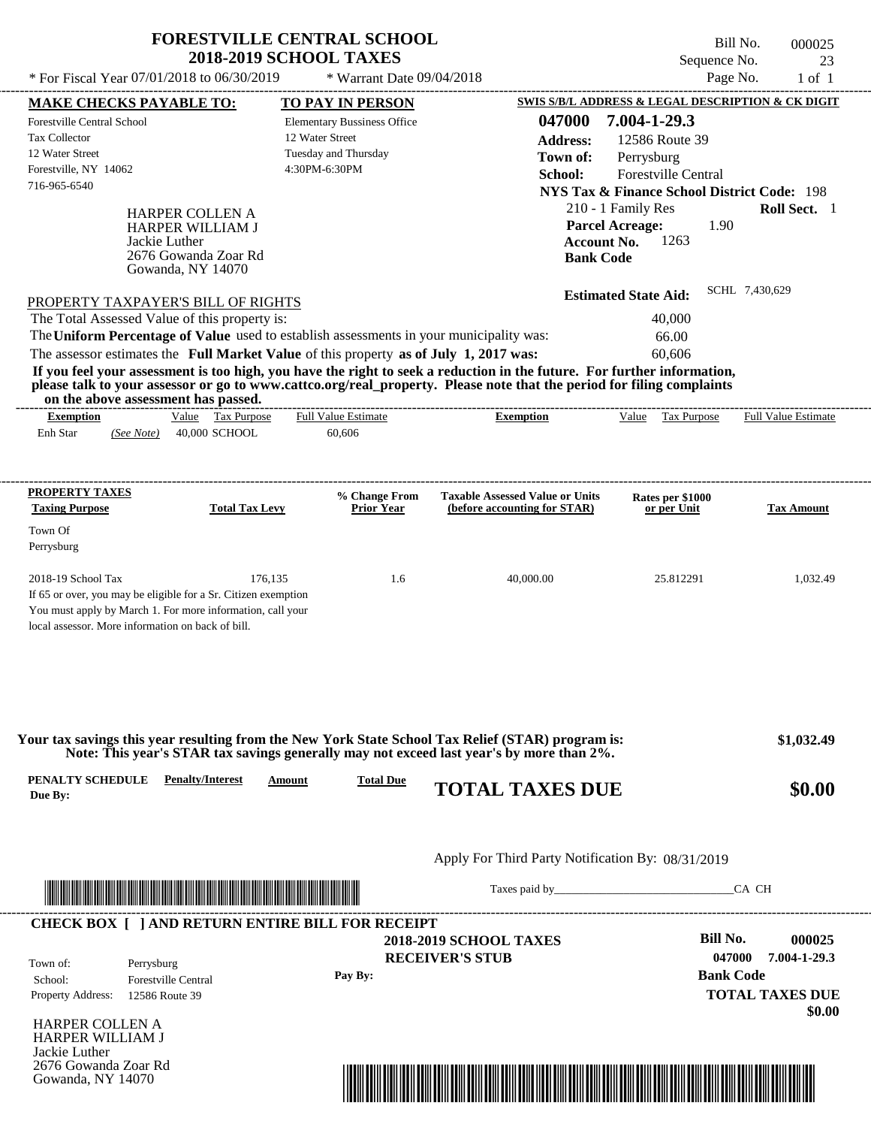|                                                                                                                                                              | <b>FORESTVILLE CENTRAL SCHOOL</b><br><b>2018-2019 SCHOOL TAXES</b> |                                                                        | Bill No.<br>Sequence No.                                         | 000025                 |
|--------------------------------------------------------------------------------------------------------------------------------------------------------------|--------------------------------------------------------------------|------------------------------------------------------------------------|------------------------------------------------------------------|------------------------|
| * For Fiscal Year 07/01/2018 to 06/30/2019                                                                                                                   | * Warrant Date 09/04/2018                                          |                                                                        | Page No.                                                         | 23<br>$1$ of $1$       |
| <b>MAKE CHECKS PAYABLE TO:</b>                                                                                                                               | <b>TO PAY IN PERSON</b>                                            |                                                                        | <b>SWIS S/B/L ADDRESS &amp; LEGAL DESCRIPTION &amp; CK DIGIT</b> |                        |
| Forestville Central School                                                                                                                                   | <b>Elementary Bussiness Office</b>                                 | 047000                                                                 | 7.004-1-29.3                                                     |                        |
| <b>Tax Collector</b>                                                                                                                                         | 12 Water Street                                                    | <b>Address:</b>                                                        | 12586 Route 39                                                   |                        |
| 12 Water Street                                                                                                                                              | Tuesday and Thursday                                               |                                                                        |                                                                  |                        |
| Forestville, NY 14062                                                                                                                                        | 4:30PM-6:30PM                                                      | Town of:                                                               | Perrysburg<br><b>Forestville Central</b>                         |                        |
| 716-965-6540                                                                                                                                                 |                                                                    | School:                                                                |                                                                  |                        |
|                                                                                                                                                              |                                                                    |                                                                        | <b>NYS Tax &amp; Finance School District Code: 198</b>           |                        |
| <b>HARPER COLLEN A</b>                                                                                                                                       |                                                                    |                                                                        | 210 - 1 Family Res                                               | Roll Sect. 1           |
| HARPER WILLIAM J                                                                                                                                             |                                                                    | <b>Parcel Acreage:</b>                                                 | 1.90                                                             |                        |
| Jackie Luther<br>2676 Gowanda Zoar Rd                                                                                                                        |                                                                    | <b>Account No.</b>                                                     | 1263                                                             |                        |
| Gowanda, NY 14070                                                                                                                                            |                                                                    | <b>Bank Code</b>                                                       |                                                                  |                        |
|                                                                                                                                                              |                                                                    |                                                                        |                                                                  | SCHL 7,430,629         |
| PROPERTY TAXPAYER'S BILL OF RIGHTS                                                                                                                           |                                                                    |                                                                        | <b>Estimated State Aid:</b>                                      |                        |
| The Total Assessed Value of this property is:                                                                                                                |                                                                    |                                                                        | 40,000                                                           |                        |
| The Uniform Percentage of Value used to establish assessments in your municipality was:                                                                      |                                                                    |                                                                        | 66.00                                                            |                        |
| The assessor estimates the Full Market Value of this property as of July 1, 2017 was:                                                                        |                                                                    |                                                                        | 60,606                                                           |                        |
| If you feel your assessment is too high, you have the right to seek a reduction in the future. For further information,                                      |                                                                    |                                                                        |                                                                  |                        |
| please talk to your assessor or go to www.cattco.org/real_property. Please note that the period for filing complaints<br>on the above assessment has passed. |                                                                    |                                                                        |                                                                  |                        |
| Value Tax Purpose<br><b>Exemption</b>                                                                                                                        | <b>Full Value Estimate</b>                                         | <b>Exemption</b>                                                       | Value Tax Purpose                                                | Full Value Estimate    |
| Enh Star<br>40,000 SCHOOL<br>(See Note)                                                                                                                      | 60,606                                                             |                                                                        |                                                                  |                        |
|                                                                                                                                                              |                                                                    |                                                                        |                                                                  |                        |
|                                                                                                                                                              |                                                                    |                                                                        |                                                                  |                        |
| PROPERTY TAXES                                                                                                                                               |                                                                    |                                                                        |                                                                  |                        |
| <b>Taxing Purpose</b><br><b>Total Tax Levy</b>                                                                                                               | % Change From<br><b>Prior Year</b>                                 | <b>Taxable Assessed Value or Units</b><br>(before accounting for STAR) | Rates per \$1000<br>or per Unit                                  | <b>Tax Amount</b>      |
|                                                                                                                                                              |                                                                    |                                                                        |                                                                  |                        |
| Town Of                                                                                                                                                      |                                                                    |                                                                        |                                                                  |                        |
| Perrysburg                                                                                                                                                   |                                                                    |                                                                        |                                                                  |                        |
| 2018-19 School Tax<br>176,135                                                                                                                                | 1.6                                                                | 40,000.00                                                              | 25.812291                                                        | 1,032.49               |
| If 65 or over, you may be eligible for a Sr. Citizen exemption                                                                                               |                                                                    |                                                                        |                                                                  |                        |
| You must apply by March 1. For more information, call your                                                                                                   |                                                                    |                                                                        |                                                                  |                        |
| local assessor. More information on back of bill.                                                                                                            |                                                                    |                                                                        |                                                                  |                        |
|                                                                                                                                                              |                                                                    |                                                                        |                                                                  |                        |
|                                                                                                                                                              |                                                                    |                                                                        |                                                                  |                        |
|                                                                                                                                                              |                                                                    |                                                                        |                                                                  |                        |
|                                                                                                                                                              |                                                                    |                                                                        |                                                                  |                        |
|                                                                                                                                                              |                                                                    |                                                                        |                                                                  |                        |
| Your tax savings this year resulting from the New York State School Tax Relief (STAR) program is:                                                            |                                                                    |                                                                        |                                                                  | \$1,032.49             |
| Note: This year's STAR tax savings generally may not exceed last year's by more than 2%.                                                                     |                                                                    |                                                                        |                                                                  |                        |
| PENALTY SCHEDULE<br><b>Penalty/Interest</b>                                                                                                                  | <b>Total Due</b><br>Amount                                         |                                                                        |                                                                  |                        |
| Due By:                                                                                                                                                      |                                                                    | <b>TOTAL TAXES DUE</b>                                                 |                                                                  | \$0.00                 |
|                                                                                                                                                              |                                                                    |                                                                        |                                                                  |                        |
|                                                                                                                                                              |                                                                    |                                                                        |                                                                  |                        |
|                                                                                                                                                              |                                                                    | Apply For Third Party Notification By: 08/31/2019                      |                                                                  |                        |
|                                                                                                                                                              |                                                                    |                                                                        |                                                                  |                        |
|                                                                                                                                                              |                                                                    |                                                                        |                                                                  | CA CH                  |
|                                                                                                                                                              |                                                                    |                                                                        |                                                                  |                        |
| <b>CHECK BOX [ ] AND RETURN ENTIRE BILL FOR RECEIPT</b>                                                                                                      |                                                                    | <b>2018-2019 SCHOOL TAXES</b>                                          | <b>Bill No.</b>                                                  | 000025                 |
|                                                                                                                                                              |                                                                    |                                                                        | 047000                                                           | 7.004-1-29.3           |
| Town of:<br>Perrysburg                                                                                                                                       |                                                                    | <b>RECEIVER'S STUB</b>                                                 |                                                                  |                        |
| School:<br><b>Forestville Central</b>                                                                                                                        | Pay By:                                                            |                                                                        | <b>Bank Code</b>                                                 |                        |
| Property Address:<br>12586 Route 39                                                                                                                          |                                                                    |                                                                        |                                                                  | <b>TOTAL TAXES DUE</b> |

HARPER COLLEN A HARPER WILLIAM J Jackie Luther 2676 Gowanda Zoar Rd Gowanda, NY 14070



 **\$0.00**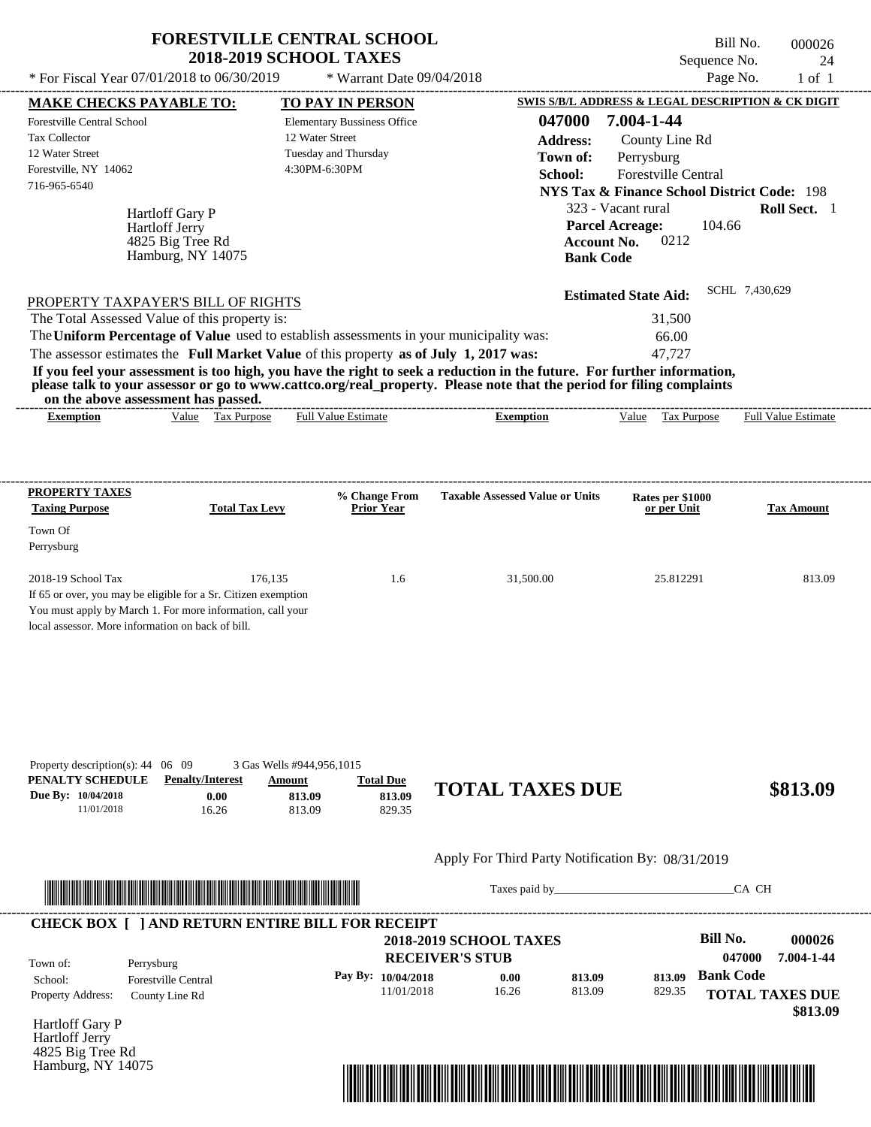#### Apply For Third Party Notification By: 08/31/2019



Taxes paid by\_\_\_\_\_\_\_\_\_\_\_\_\_\_\_\_\_\_\_\_\_\_\_\_\_\_\_\_\_\_\_CA CH

| Town of:                 | Perrysburg                 | <b>2018-2019 SCHOOL TAXES</b><br><b>RECEIVER'S STUB</b> |       |        |        | Bill No.<br>047000     | 000026<br>7.004-1-44 |
|--------------------------|----------------------------|---------------------------------------------------------|-------|--------|--------|------------------------|----------------------|
| School:                  | <b>Forestville Central</b> | Pay By: 10/04/2018                                      | 0.00  | 813.09 | 813.09 | <b>Bank Code</b>       |                      |
| <b>Property Address:</b> | County Line Rd             | 11/01/2018                                              | 16.26 | 813.09 | 829.35 | <b>TOTAL TAXES DUE</b> |                      |

Hartloff Gary P Hartloff Jerry 4825 Big Tree Rd Hamburg, NY 14075

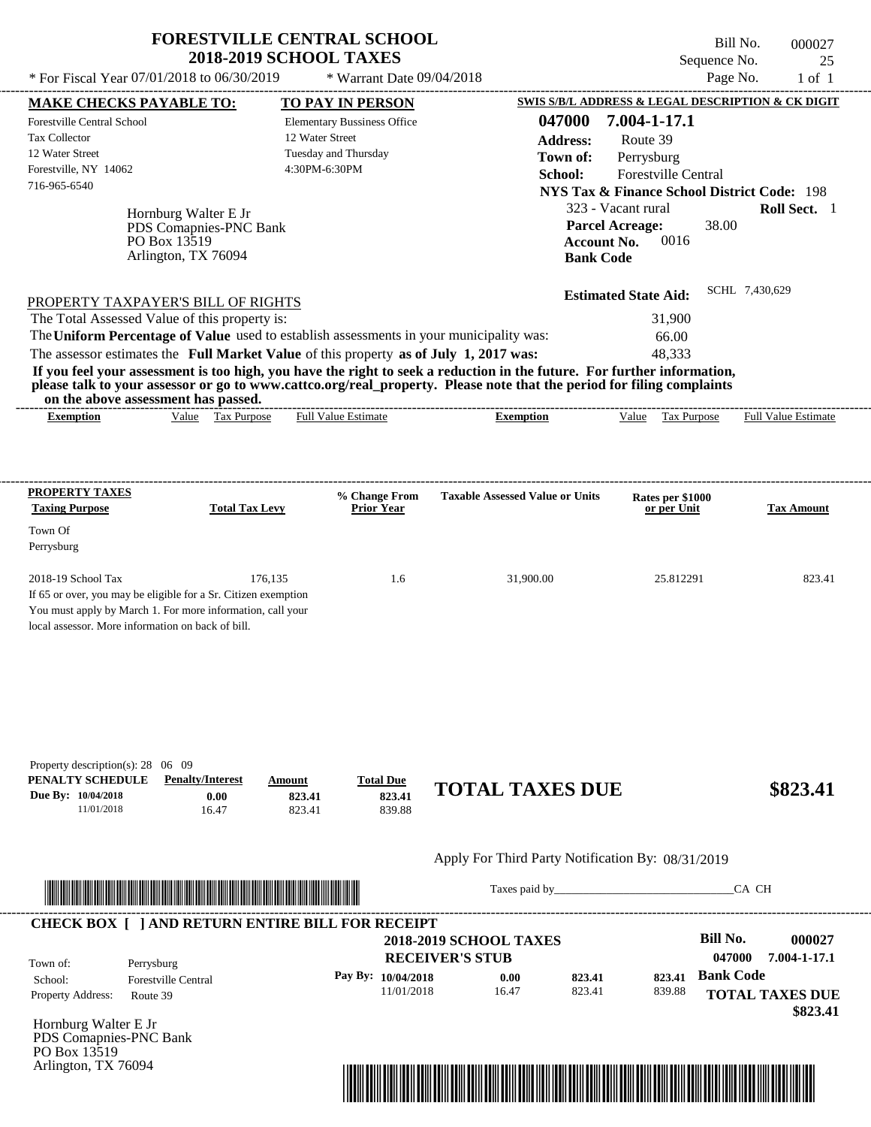| * For Fiscal Year 07/01/2018 to 06/30/2019                                                                                                                                                                                                                                                                                                                                                                                                                                                                                                                                             | <b>FORESTVILLE CENTRAL SCHOOL</b><br><b>2018-2019 SCHOOL TAXES</b>                    |                                                          | * Warrant Date 09/04/2018                              |                                                                                                                           |                                                                                                              |                                          | Bill No.<br>Sequence No.<br>Page No. | 000027<br>25<br>$1$ of $1$                                             |
|----------------------------------------------------------------------------------------------------------------------------------------------------------------------------------------------------------------------------------------------------------------------------------------------------------------------------------------------------------------------------------------------------------------------------------------------------------------------------------------------------------------------------------------------------------------------------------------|---------------------------------------------------------------------------------------|----------------------------------------------------------|--------------------------------------------------------|---------------------------------------------------------------------------------------------------------------------------|--------------------------------------------------------------------------------------------------------------|------------------------------------------|--------------------------------------|------------------------------------------------------------------------|
| <b>MAKE CHECKS PAYABLE TO:</b><br>Forestville Central School<br><b>Tax Collector</b><br>12 Water Street<br>Forestville, NY 14062<br>716-965-6540                                                                                                                                                                                                                                                                                                                                                                                                                                       | Hornburg Walter E Jr<br>PDS Comapnies-PNC Bank<br>PO Box 13519<br>Arlington, TX 76094 | 12 Water Street<br>Tuesday and Thursday<br>4:30PM-6:30PM | TO PAY IN PERSON<br><b>Elementary Bussiness Office</b> | SWIS S/B/L ADDRESS & LEGAL DESCRIPTION & CK DIGIT<br>047000<br><b>Address:</b><br>Town of:<br>School:<br><b>Bank Code</b> | 7.004-1-17.1<br>Route 39<br>Perrysburg<br>323 - Vacant rural<br><b>Parcel Acreage:</b><br><b>Account No.</b> | Forestville Central<br>0016              | 38.00                                | <b>NYS Tax &amp; Finance School District Code: 198</b><br>Roll Sect. 1 |
| PROPERTY TAXPAYER'S BILL OF RIGHTS<br>The Total Assessed Value of this property is:<br>The Uniform Percentage of Value used to establish assessments in your municipality was:<br>The assessor estimates the Full Market Value of this property as of July 1, 2017 was:<br>If you feel your assessment is too high, you have the right to seek a reduction in the future. For further information,<br>please talk to your assessor or go to www.cattco.org/real_property. Please note that the period for filing complaints<br>on the above assessment has passed.<br><b>Exemption</b> | Value Tax Purpose                                                                     |                                                          | <b>Full Value Estimate</b>                             | <b>Exemption</b>                                                                                                          | <b>Estimated State Aid:</b><br>Value                                                                         | 31,900<br>66.00<br>48,333<br>Tax Purpose | SCHL 7,430,629                       | <b>Full Value Estimate</b>                                             |
| PROPERTY TAXES<br><b>Taxing Purpose</b><br>Town Of                                                                                                                                                                                                                                                                                                                                                                                                                                                                                                                                     | <b>Total Tax Levy</b>                                                                 |                                                          | % Change From<br>Prior Year                            | <b>Taxable Assessed Value or Units</b>                                                                                    |                                                                                                              | Rates per \$1000<br>or per Unit          |                                      | <b>Tax Amount</b>                                                      |
| Perrysburg<br>2018-19 School Tax<br>If 65 or over, you may be eligible for a Sr. Citizen exemption<br>You must apply by March 1. For more information, call your<br>local assessor. More information on back of bill.                                                                                                                                                                                                                                                                                                                                                                  |                                                                                       | 176,135                                                  | 1.6                                                    | 31,900.00                                                                                                                 |                                                                                                              | 25.812291                                |                                      | 823.41                                                                 |
| Property description(s): $28 \quad 06 \quad 09$<br>PENALTY SCHEDULE<br>Due By: 10/04/2018<br>11/01/2018                                                                                                                                                                                                                                                                                                                                                                                                                                                                                | <b>Penalty/Interest</b><br>0.00<br>16.47                                              | Amount<br>823.41<br>823.41                               | <b>Total Due</b><br>823.41<br>839.88                   | <b>TOTAL TAXES DUE</b>                                                                                                    |                                                                                                              |                                          |                                      | \$823.41                                                               |
|                                                                                                                                                                                                                                                                                                                                                                                                                                                                                                                                                                                        |                                                                                       |                                                          |                                                        | Apply For Third Party Notification By: 08/31/2019                                                                         |                                                                                                              |                                          |                                      |                                                                        |
|                                                                                                                                                                                                                                                                                                                                                                                                                                                                                                                                                                                        |                                                                                       |                                                          |                                                        |                                                                                                                           |                                                                                                              |                                          | CA CH                                |                                                                        |

| Town of:                 | Perrysburg                 | <b>2018-2019 SCHOOL TAXES</b><br><b>RECEIVER'S STUB</b> |       |        |        | Bill No.<br>047000 | 000027<br>7.004-1-17.1 |
|--------------------------|----------------------------|---------------------------------------------------------|-------|--------|--------|--------------------|------------------------|
| School:                  | <b>Forestville Central</b> | Pay By: $10/04/2018$                                    | 0.00  | 823.41 | 823.41 | <b>Bank Code</b>   |                        |
| <b>Property Address:</b> | Route 39                   | 11/01/2018                                              | 16.47 | 823.41 | 839.88 |                    | <b>TOTAL TAXES DUE</b> |

Hornburg Walter E Jr PDS Comapnies-PNC Bank PO Box 13519 Arlington, TX 76094

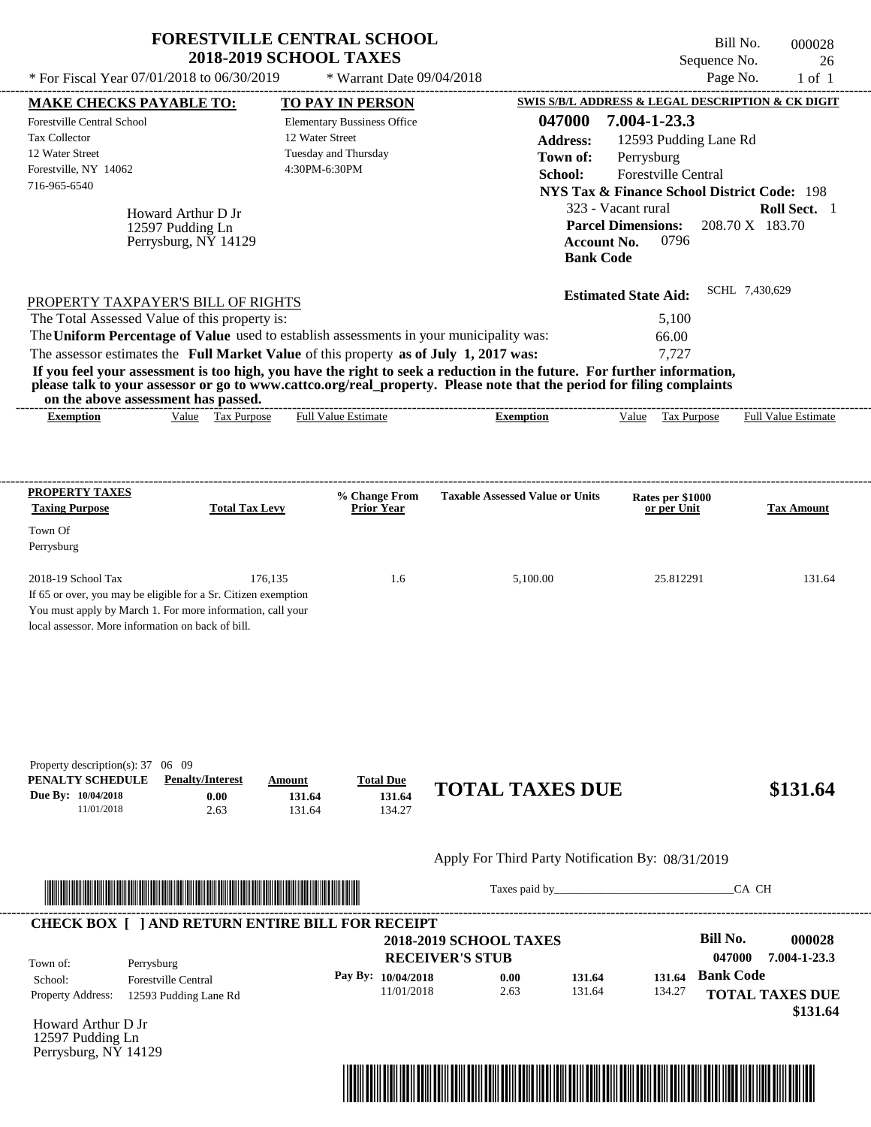| * For Fiscal Year 07/01/2018 to 06/30/2019                                                                                                                                                                                                                                                                                                                                                                                                                                                                                                                         | <b>FORESTVILLE CENTRAL SCHOOL</b><br><b>2018-2019 SCHOOL TAXES</b> | * Warrant Date 09/04/2018                                                             |                                                         | Sequence No.<br>Page No.                                                                                                                                                                                                                  | Bill No.<br>000028<br>26<br>$1$ of $1$ |
|--------------------------------------------------------------------------------------------------------------------------------------------------------------------------------------------------------------------------------------------------------------------------------------------------------------------------------------------------------------------------------------------------------------------------------------------------------------------------------------------------------------------------------------------------------------------|--------------------------------------------------------------------|---------------------------------------------------------------------------------------|---------------------------------------------------------|-------------------------------------------------------------------------------------------------------------------------------------------------------------------------------------------------------------------------------------------|----------------------------------------|
|                                                                                                                                                                                                                                                                                                                                                                                                                                                                                                                                                                    |                                                                    |                                                                                       |                                                         | SWIS S/B/L ADDRESS & LEGAL DESCRIPTION & CK DIGIT                                                                                                                                                                                         |                                        |
| <b>MAKE CHECKS PAYABLE TO:</b><br><b>Forestville Central School</b><br>Tax Collector<br>12 Water Street<br>Forestville, NY 14062<br>716-965-6540<br>Howard Arthur D Jr<br>12597 Pudding Ln<br>Perrysburg, NY 14129                                                                                                                                                                                                                                                                                                                                                 | 12 Water Street<br>4:30PM-6:30PM                                   | <b>TO PAY IN PERSON</b><br><b>Elementary Bussiness Office</b><br>Tuesday and Thursday | 047000<br><b>Address:</b><br>Town of:<br>School:        | 7.004-1-23.3<br>12593 Pudding Lane Rd<br>Perrysburg<br>Forestville Central<br><b>NYS Tax &amp; Finance School District Code: 198</b><br>323 - Vacant rural<br><b>Parcel Dimensions:</b><br><b>Account No.</b><br>0796<br><b>Bank Code</b> | Roll Sect. 1<br>208.70 X 183.70        |
| PROPERTY TAXPAYER'S BILL OF RIGHTS<br>The Total Assessed Value of this property is:<br>The Uniform Percentage of Value used to establish assessments in your municipality was:<br>The assessor estimates the Full Market Value of this property as of July 1, 2017 was:<br>If you feel your assessment is too high, you have the right to seek a reduction in the future. For further information,<br>please talk to your assessor or go to www.cattco.org/real_property. Please note that the period for filing complaints<br>on the above assessment has passed. |                                                                    |                                                                                       |                                                         | <b>Estimated State Aid:</b><br>5,100<br>66.00<br>7,727                                                                                                                                                                                    | SCHL 7,430,629                         |
| <b>Exemption</b>                                                                                                                                                                                                                                                                                                                                                                                                                                                                                                                                                   | Value Tax Purpose                                                  | <b>Full Value Estimate</b>                                                            | <b>Exemption</b>                                        | Value Tax Purpose                                                                                                                                                                                                                         | <b>Full Value Estimate</b>             |
| PROPERTY TAXES                                                                                                                                                                                                                                                                                                                                                                                                                                                                                                                                                     |                                                                    |                                                                                       |                                                         |                                                                                                                                                                                                                                           |                                        |
| <b>Taxing Purpose</b>                                                                                                                                                                                                                                                                                                                                                                                                                                                                                                                                              | <b>Total Tax Levy</b>                                              | % Change From<br><b>Prior Year</b>                                                    | <b>Taxable Assessed Value or Units</b>                  | Rates per \$1000<br>or per Unit                                                                                                                                                                                                           | <b>Tax Amount</b>                      |
| Town Of                                                                                                                                                                                                                                                                                                                                                                                                                                                                                                                                                            |                                                                    |                                                                                       |                                                         |                                                                                                                                                                                                                                           |                                        |
| Perrysburg                                                                                                                                                                                                                                                                                                                                                                                                                                                                                                                                                         |                                                                    |                                                                                       |                                                         |                                                                                                                                                                                                                                           |                                        |
| 2018-19 School Tax<br>If 65 or over, you may be eligible for a Sr. Citizen exemption<br>You must apply by March 1. For more information, call your<br>local assessor. More information on back of bill.                                                                                                                                                                                                                                                                                                                                                            | 176,135                                                            | 1.6                                                                                   | 5,100.00                                                | 25.812291                                                                                                                                                                                                                                 | 131.64                                 |
| Property description(s): 37 06 09<br>PENALTY SCHEDULE<br><b>Penalty/Interest</b><br>Due By: 10/04/2018<br>11/01/2018                                                                                                                                                                                                                                                                                                                                                                                                                                               | Amount<br>131.64<br>0.00<br>2.63<br>131.64                         | <b>Total Due</b><br>131.64<br>134.27                                                  | <b>TOTAL TAXES DUE</b>                                  |                                                                                                                                                                                                                                           | \$131.64                               |
|                                                                                                                                                                                                                                                                                                                                                                                                                                                                                                                                                                    |                                                                    |                                                                                       | Apply For Third Party Notification By: 08/31/2019       |                                                                                                                                                                                                                                           |                                        |
|                                                                                                                                                                                                                                                                                                                                                                                                                                                                                                                                                                    |                                                                    |                                                                                       |                                                         |                                                                                                                                                                                                                                           | CA CH                                  |
| <b>CHECK BOX [ ] AND RETURN ENTIRE BILL FOR RECEIPT</b><br>Town of:<br>Perrysburg                                                                                                                                                                                                                                                                                                                                                                                                                                                                                  |                                                                    |                                                                                       | <b>2018-2019 SCHOOL TAXES</b><br><b>RECEIVER'S STUB</b> | <b>Bill No.</b><br>047000                                                                                                                                                                                                                 | 000028<br>7.004-1-23.3                 |
| <b>Forestville Central</b><br>School:                                                                                                                                                                                                                                                                                                                                                                                                                                                                                                                              |                                                                    | Pay By: 10/04/2018                                                                    | 131.64<br>0.00                                          | <b>Bank Code</b><br>131.64                                                                                                                                                                                                                |                                        |
| <b>Property Address:</b><br>12593 Pudding Lane Rd                                                                                                                                                                                                                                                                                                                                                                                                                                                                                                                  |                                                                    | 11/01/2018                                                                            | 2.63<br>131.64                                          | 134.27                                                                                                                                                                                                                                    | <b>TOTAL TAXES DUE</b><br>\$131.64     |

Howard Arthur D Jr 12597 Pudding Ln Perrysburg, NY 14129

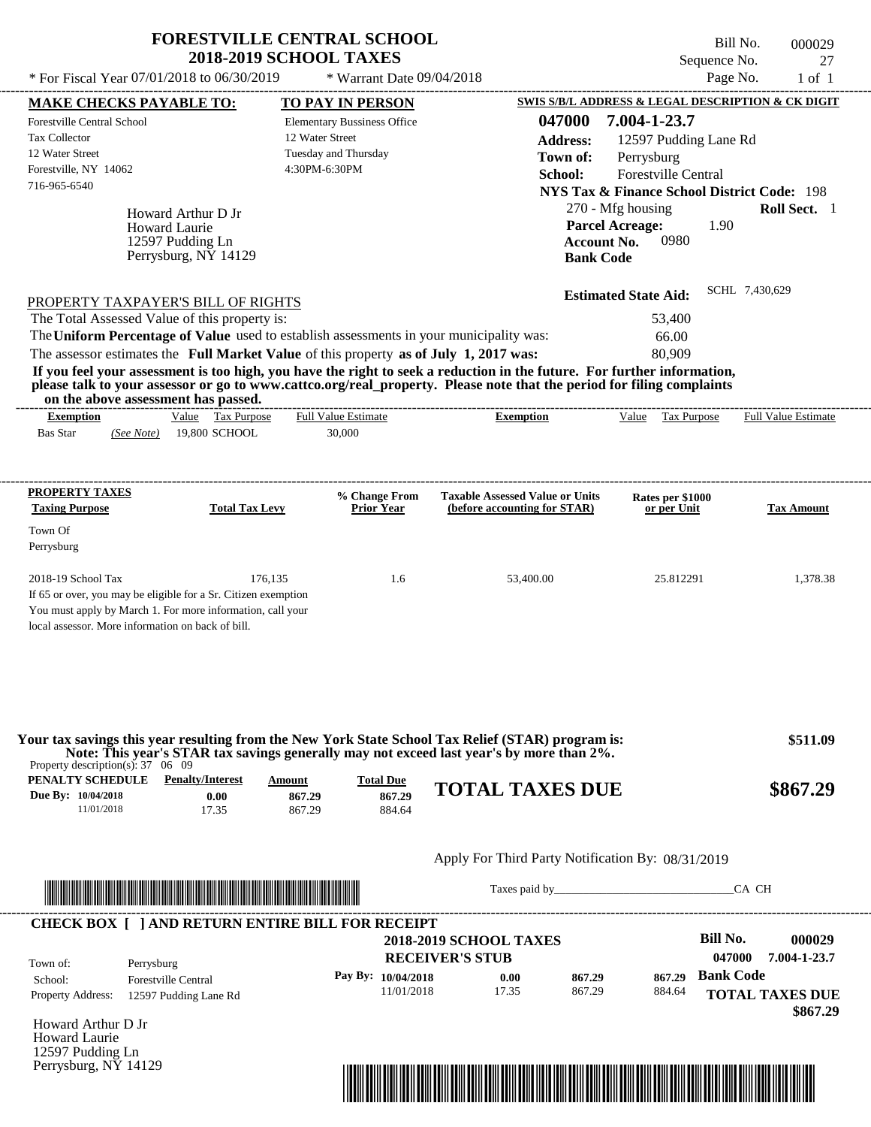|                                                                                                                                                                                                                                                                                                                                                                                                                                                                                                                                                                    | <b>FORESTVILLE CENTRAL SCHOOL</b><br><b>2018-2019 SCHOOL TAXES</b>                             |                                                                                            | Bill No.<br>Sequence No.                                                                                                                                                                            | 000029<br>27               |
|--------------------------------------------------------------------------------------------------------------------------------------------------------------------------------------------------------------------------------------------------------------------------------------------------------------------------------------------------------------------------------------------------------------------------------------------------------------------------------------------------------------------------------------------------------------------|------------------------------------------------------------------------------------------------|--------------------------------------------------------------------------------------------|-----------------------------------------------------------------------------------------------------------------------------------------------------------------------------------------------------|----------------------------|
| * For Fiscal Year 07/01/2018 to 06/30/2019                                                                                                                                                                                                                                                                                                                                                                                                                                                                                                                         | * Warrant Date 09/04/2018                                                                      |                                                                                            | Page No.                                                                                                                                                                                            | $1$ of $1$                 |
| <b>MAKE CHECKS PAYABLE TO:</b>                                                                                                                                                                                                                                                                                                                                                                                                                                                                                                                                     | TO PAY IN PERSON                                                                               |                                                                                            | SWIS S/B/L ADDRESS & LEGAL DESCRIPTION & CK DIGIT                                                                                                                                                   |                            |
| <b>Forestville Central School</b><br>Tax Collector<br>12 Water Street<br>Forestville, NY 14062<br>716-965-6540<br>Howard Arthur D Jr<br><b>Howard Laurie</b><br>12597 Pudding Ln<br>Perrysburg, NY 14129                                                                                                                                                                                                                                                                                                                                                           | <b>Elementary Bussiness Office</b><br>12 Water Street<br>Tuesday and Thursday<br>4:30PM-6:30PM | 047000<br><b>Address:</b><br>Town of:<br>School:<br><b>Account No.</b><br><b>Bank Code</b> | 7.004-1-23.7<br>12597 Pudding Lane Rd<br>Perrysburg<br>Forestville Central<br><b>NYS Tax &amp; Finance School District Code: 198</b><br>270 - Mfg housing<br><b>Parcel Acreage:</b><br>1.90<br>0980 | Roll Sect. 1               |
| PROPERTY TAXPAYER'S BILL OF RIGHTS<br>The Total Assessed Value of this property is:<br>The Uniform Percentage of Value used to establish assessments in your municipality was:<br>The assessor estimates the Full Market Value of this property as of July 1, 2017 was:<br>If you feel your assessment is too high, you have the right to seek a reduction in the future. For further information,<br>please talk to your assessor or go to www.cattco.org/real_property. Please note that the period for filing complaints<br>on the above assessment has passed. |                                                                                                |                                                                                            | SCHL 7,430,629<br><b>Estimated State Aid:</b><br>53,400<br>66.00<br>80,909                                                                                                                          |                            |
| Value Tax Purpose<br><b>Exemption</b><br><b>Bas Star</b><br>19,800 SCHOOL<br>(See Note)                                                                                                                                                                                                                                                                                                                                                                                                                                                                            | ________________________________<br><b>Full Value Estimate</b><br>30,000                       | <b>Exemption</b>                                                                           | Value Tax Purpose                                                                                                                                                                                   | <b>Full Value Estimate</b> |
| <b>PROPERTY TAXES</b><br><b>Total Tax Levy</b><br><b>Taxing Purpose</b><br>Town Of<br>Perrysburg                                                                                                                                                                                                                                                                                                                                                                                                                                                                   | % Change From<br><b>Prior Year</b>                                                             | <b>Taxable Assessed Value or Units</b><br>(before accounting for STAR)                     | Rates per \$1000<br>or per Unit                                                                                                                                                                     | <b>Tax Amount</b>          |
| 2018-19 School Tax<br>If 65 or over, you may be eligible for a Sr. Citizen exemption<br>You must apply by March 1. For more information, call your<br>local assessor. More information on back of bill.                                                                                                                                                                                                                                                                                                                                                            | 176,135<br>1.6                                                                                 | 53,400.00                                                                                  | 25.812291                                                                                                                                                                                           | 1,378.38                   |
| Your tax savings this year resulting from the New York State School Tax Relief (STAR) program is:<br>Note: This year's STAR tax savings generally may not exceed last year's by more than 2%.<br>Property description(s): $37 \quad 06 \quad 09$<br><b>PENALTY SCHEDULE</b> Penalty/Interest                                                                                                                                                                                                                                                                       | Amount<br><b>Total Due</b>                                                                     |                                                                                            |                                                                                                                                                                                                     | \$511.09                   |
| Due By: 10/04/2018<br>0.00<br>11/01/2018<br>17.35                                                                                                                                                                                                                                                                                                                                                                                                                                                                                                                  | 867.29<br>867.29<br>867.29<br>884.64                                                           | <b>TOTAL TAXES DUE</b>                                                                     |                                                                                                                                                                                                     | \$867.29                   |
|                                                                                                                                                                                                                                                                                                                                                                                                                                                                                                                                                                    |                                                                                                | Apply For Third Party Notification By: 08/31/2019                                          |                                                                                                                                                                                                     |                            |
|                                                                                                                                                                                                                                                                                                                                                                                                                                                                                                                                                                    |                                                                                                |                                                                                            | CA CH                                                                                                                                                                                               |                            |
| <u> In the second contract of the second contract of the second contract of the second contract of the second contract of the second contract of the second contract of the second contract of the second contract of the second</u>                                                                                                                                                                                                                                                                                                                               |                                                                                                |                                                                                            |                                                                                                                                                                                                     |                            |

| Town of:                 | Perrysburg                 | <b>2018-2019 SCHOOL TAXES</b><br><b>RECEIVER'S STUB</b> |       |        |        | Bill No.<br>047000 | 000029<br>7.004-1-23.7 |
|--------------------------|----------------------------|---------------------------------------------------------|-------|--------|--------|--------------------|------------------------|
| School:                  | <b>Forestville Central</b> | Pay By: 10/04/2018                                      | 0.00  | 867.29 | 867.29 | <b>Bank Code</b>   |                        |
| <b>Property Address:</b> | 12597 Pudding Lane Rd      | 11/01/2018                                              | 17.35 | 867.29 | 884.64 |                    | <b>TOTAL TAXES DUE</b> |

Howard Arthur D Jr Howard Laurie 12597 Pudding Ln Perrysburg, NY 14129

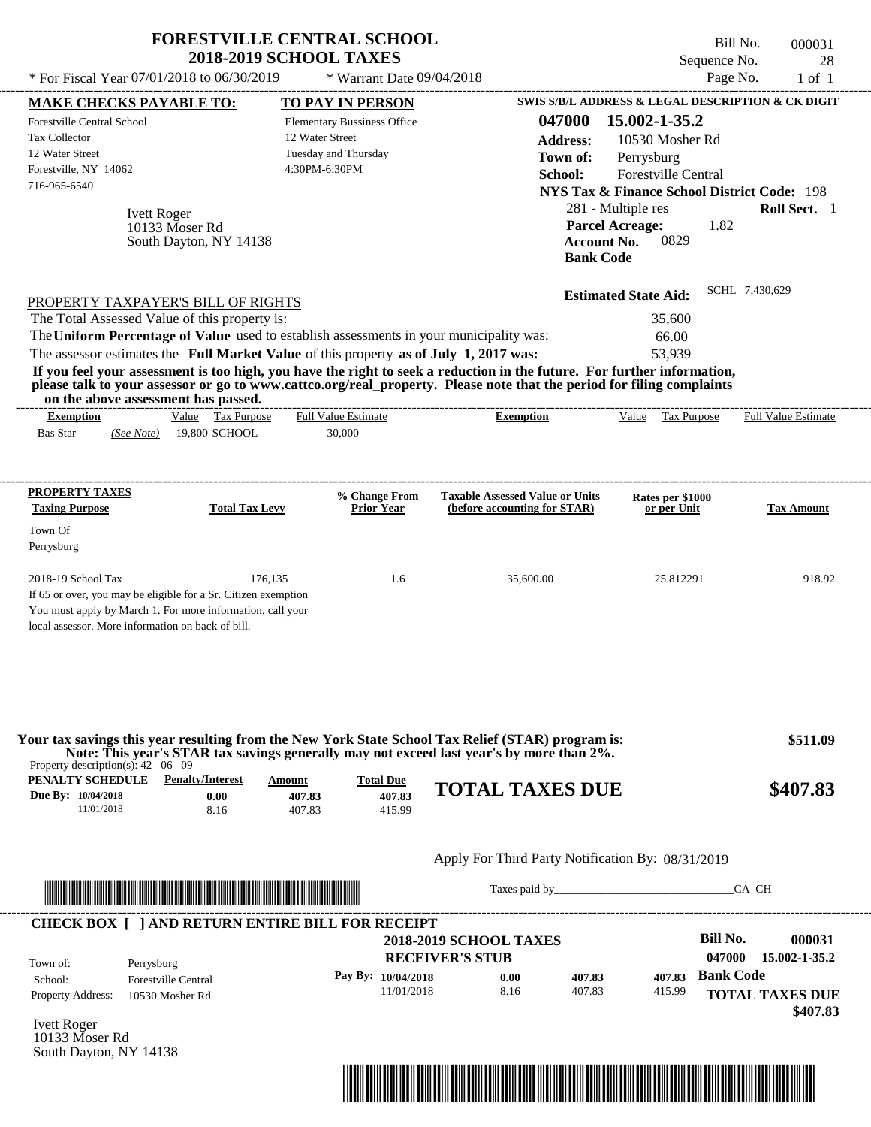| * For Fiscal Year 07/01/2018 to 06/30/2019                                                                                                                                                                                                                                                                                         | <b>FORESTVILLE CENTRAL SCHOOL</b><br><b>2018-2019 SCHOOL TAXES</b>                                                                                                                                                                   | * Warrant Date 09/04/2018                                                                      |                                                                                                                                                                                                                                                                      | Sequence No.<br>Page No.                                                                                                                                                                                                                  | Bill No.<br>000031<br>28<br>$1$ of $1$ |
|------------------------------------------------------------------------------------------------------------------------------------------------------------------------------------------------------------------------------------------------------------------------------------------------------------------------------------|--------------------------------------------------------------------------------------------------------------------------------------------------------------------------------------------------------------------------------------|------------------------------------------------------------------------------------------------|----------------------------------------------------------------------------------------------------------------------------------------------------------------------------------------------------------------------------------------------------------------------|-------------------------------------------------------------------------------------------------------------------------------------------------------------------------------------------------------------------------------------------|----------------------------------------|
| <b>MAKE CHECKS PAYABLE TO:</b>                                                                                                                                                                                                                                                                                                     |                                                                                                                                                                                                                                      | <b>TO PAY IN PERSON</b>                                                                        |                                                                                                                                                                                                                                                                      | SWIS S/B/L ADDRESS & LEGAL DESCRIPTION & CK DIGIT                                                                                                                                                                                         |                                        |
| <b>Forestville Central School</b><br>Tax Collector<br>12 Water Street<br>Forestville, NY 14062<br>716-965-6540<br><b>Ivett Roger</b>                                                                                                                                                                                               | 10133 Moser Rd<br>South Dayton, NY 14138                                                                                                                                                                                             | <b>Elementary Bussiness Office</b><br>12 Water Street<br>Tuesday and Thursday<br>4:30PM-6:30PM | 047000<br><b>Address:</b><br>Town of:<br>School:                                                                                                                                                                                                                     | 15.002-1-35.2<br>10530 Mosher Rd<br>Perrysburg<br>Forestville Central<br><b>NYS Tax &amp; Finance School District Code: 198</b><br>281 - Multiple res<br><b>Parcel Acreage:</b><br>1.82<br>0829<br><b>Account No.</b><br><b>Bank Code</b> | Roll Sect. 1                           |
| PROPERTY TAXPAYER'S BILL OF RIGHTS<br>The Total Assessed Value of this property is:<br>The Uniform Percentage of Value used to establish assessments in your municipality was:<br>The assessor estimates the Full Market Value of this property as of July 1, 2017 was:<br>on the above assessment has passed.<br><b>Exemption</b> | Value Tax Purpose                                                                                                                                                                                                                    | Full Value Estimate                                                                            | If you feel your assessment is too high, you have the right to seek a reduction in the future. For further information,<br>please talk to your assessor or go to www.cattco.org/real_property. Please note that the period for filing complaints<br><b>Exemption</b> | <b>Estimated State Aid:</b><br>35,600<br>66.00<br>53,939<br>Value Tax Purpose                                                                                                                                                             | SCHL 7,430,629<br>Full Value Estimate  |
| <b>Bas Star</b><br>(See Note)                                                                                                                                                                                                                                                                                                      | 19,800 SCHOOL                                                                                                                                                                                                                        | 30,000                                                                                         |                                                                                                                                                                                                                                                                      |                                                                                                                                                                                                                                           |                                        |
| PROPERTY TAXES<br><b>Taxing Purpose</b><br>Town Of<br>Perrysburg                                                                                                                                                                                                                                                                   | <b>Total Tax Levy</b>                                                                                                                                                                                                                | % Change From<br><b>Prior Year</b>                                                             | <b>Taxable Assessed Value or Units</b><br>(before accounting for STAR)                                                                                                                                                                                               | Rates per \$1000<br>or per Unit                                                                                                                                                                                                           | <b>Tax Amount</b>                      |
| 2018-19 School Tax<br>If 65 or over, you may be eligible for a Sr. Citizen exemption<br>You must apply by March 1. For more information, call your<br>local assessor. More information on back of bill.                                                                                                                            | 176,135                                                                                                                                                                                                                              | 1.6                                                                                            | 35,600.00                                                                                                                                                                                                                                                            | 25.812291                                                                                                                                                                                                                                 | 918.92                                 |
| Property description(s): $42 \quad 06 \quad 09$<br><b>PENALTY SCHEDULE</b> Penalty/Interest                                                                                                                                                                                                                                        | Amount                                                                                                                                                                                                                               | <b>Total Due</b>                                                                               | Your tax savings this year resulting from the New York State School Tax Relief (STAR) program is:<br>Note: This year's STAR tax savings generally may not exceed last year's by more than 2%.                                                                        |                                                                                                                                                                                                                                           | \$511.09                               |
| Due By: 10/04/2018<br>11/01/2018                                                                                                                                                                                                                                                                                                   | 0.00<br>8.16                                                                                                                                                                                                                         | 407.83<br>407.83<br>407.83<br>415.99                                                           | <b>TOTAL TAXES DUE</b>                                                                                                                                                                                                                                               |                                                                                                                                                                                                                                           | \$407.83                               |
|                                                                                                                                                                                                                                                                                                                                    |                                                                                                                                                                                                                                      |                                                                                                | Apply For Third Party Notification By: 08/31/2019                                                                                                                                                                                                                    |                                                                                                                                                                                                                                           |                                        |
|                                                                                                                                                                                                                                                                                                                                    | <u> Indian American State and The Communication of the Communication of the Communication of the Communication of the Communication of the Communication of the Communication of the Communication of the Communication of the C</u> |                                                                                                |                                                                                                                                                                                                                                                                      | Taxes paid by Taxes and the Taxes and the Taxes and the Taxes and the Taxes and the Taxes and the Taxes and the Taxes and the Taxes and the Taxes and the Taxes and the Taxes and the Taxes and the Taxes and the Taxes and th            | CA CH                                  |
| <b>CHECK BOX [ ] AND RETURN ENTIRE BILL FOR RECEIPT</b><br>Town of:                                                                                                                                                                                                                                                                |                                                                                                                                                                                                                                      |                                                                                                | <b>2018-2019 SCHOOL TAXES</b><br><b>RECEIVER'S STUB</b>                                                                                                                                                                                                              | <b>Bill No.</b><br>047000                                                                                                                                                                                                                 | 000031<br>15.002-1-35.2                |
| Perrysburg<br>School:<br>Property Address:                                                                                                                                                                                                                                                                                         | <b>Forestville Central</b><br>10530 Mosher Rd                                                                                                                                                                                        | Pay By: 10/04/2018<br>11/01/2018                                                               | 407.83<br>0.00<br>8.16<br>407.83                                                                                                                                                                                                                                     | <b>Bank Code</b><br>407.83<br>415.99                                                                                                                                                                                                      | <b>TOTAL TAXES DUE</b><br>\$407.83     |
| <b>Ivett Roger</b>                                                                                                                                                                                                                                                                                                                 |                                                                                                                                                                                                                                      |                                                                                                |                                                                                                                                                                                                                                                                      |                                                                                                                                                                                                                                           |                                        |

Ivett Roger 10133 Moser Rd South Dayton, NY 14138

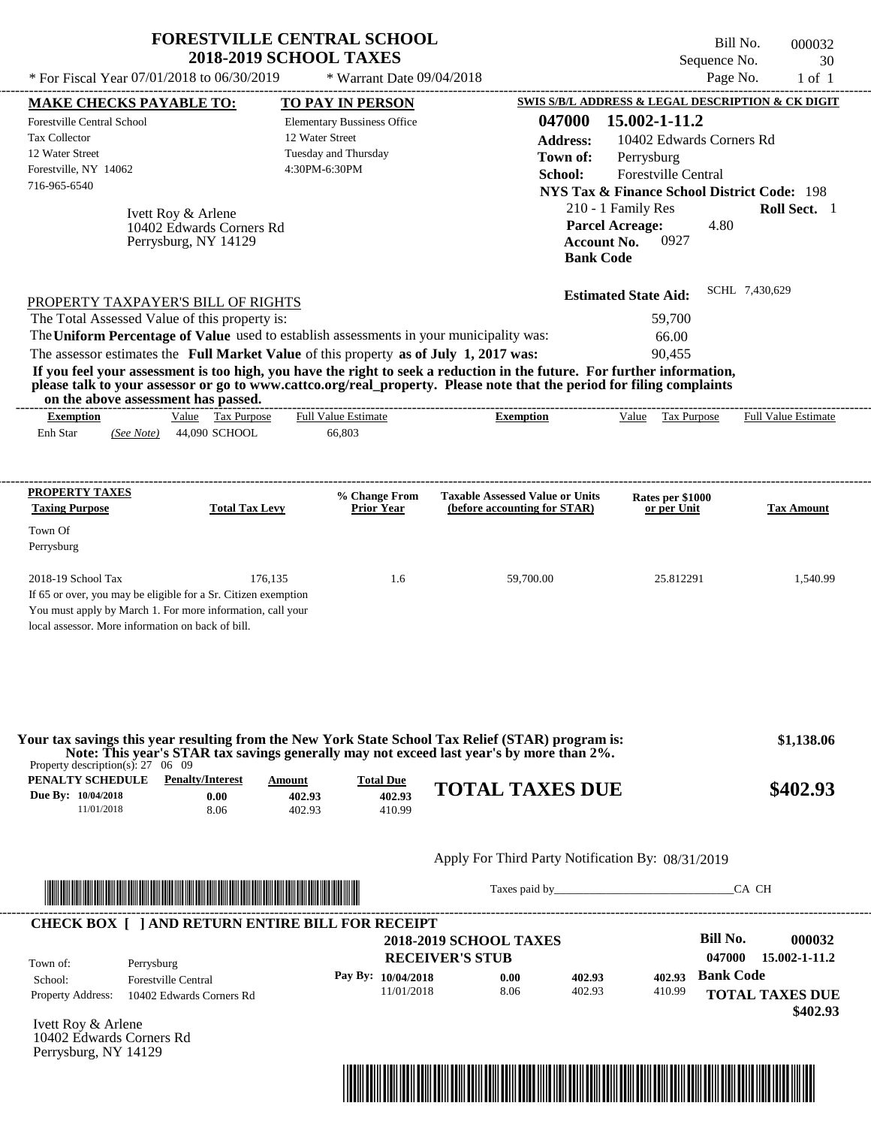|                                                                                                                                                                                                                                                                                                                                                  | <b>FORESTVILLE CENTRAL SCHOOL</b><br><b>2018-2019 SCHOOL TAXES</b> |                                      |                                                                        |                                                                  | Bill No.<br>Sequence No. | 000032<br>30           |
|--------------------------------------------------------------------------------------------------------------------------------------------------------------------------------------------------------------------------------------------------------------------------------------------------------------------------------------------------|--------------------------------------------------------------------|--------------------------------------|------------------------------------------------------------------------|------------------------------------------------------------------|--------------------------|------------------------|
| * For Fiscal Year 07/01/2018 to 06/30/2019                                                                                                                                                                                                                                                                                                       |                                                                    | * Warrant Date 09/04/2018            |                                                                        |                                                                  | Page No.                 | $1$ of $1$             |
| <b>MAKE CHECKS PAYABLE TO:</b>                                                                                                                                                                                                                                                                                                                   | <b>TO PAY IN PERSON</b>                                            |                                      |                                                                        | <b>SWIS S/B/L ADDRESS &amp; LEGAL DESCRIPTION &amp; CK DIGIT</b> |                          |                        |
| Forestville Central School<br><b>Tax Collector</b>                                                                                                                                                                                                                                                                                               | <b>Elementary Bussiness Office</b><br>12 Water Street              |                                      | 047000                                                                 | 15.002-1-11.2                                                    |                          |                        |
| 12 Water Street                                                                                                                                                                                                                                                                                                                                  | Tuesday and Thursday                                               |                                      | <b>Address:</b>                                                        | 10402 Edwards Corners Rd                                         |                          |                        |
| Forestville, NY 14062                                                                                                                                                                                                                                                                                                                            | 4:30PM-6:30PM                                                      |                                      | Town of:                                                               | Perrysburg                                                       |                          |                        |
| 716-965-6540                                                                                                                                                                                                                                                                                                                                     |                                                                    |                                      | School:                                                                | Forestville Central                                              |                          |                        |
|                                                                                                                                                                                                                                                                                                                                                  |                                                                    |                                      |                                                                        | <b>NYS Tax &amp; Finance School District Code: 198</b>           |                          |                        |
| Ivett Roy & Arlene                                                                                                                                                                                                                                                                                                                               |                                                                    |                                      |                                                                        | 210 - 1 Family Res                                               |                          | Roll Sect. 1           |
| 10402 Edwards Corners Rd<br>Perrysburg, NY 14129                                                                                                                                                                                                                                                                                                 |                                                                    |                                      | <b>Account No.</b>                                                     | <b>Parcel Acreage:</b><br>0927                                   | 4.80                     |                        |
|                                                                                                                                                                                                                                                                                                                                                  |                                                                    |                                      | <b>Bank Code</b>                                                       |                                                                  |                          |                        |
| PROPERTY TAXPAYER'S BILL OF RIGHTS                                                                                                                                                                                                                                                                                                               |                                                                    |                                      |                                                                        | <b>Estimated State Aid:</b>                                      | SCHL 7,430,629           |                        |
| The Total Assessed Value of this property is:                                                                                                                                                                                                                                                                                                    |                                                                    |                                      |                                                                        | 59,700                                                           |                          |                        |
| The Uniform Percentage of Value used to establish assessments in your municipality was:                                                                                                                                                                                                                                                          |                                                                    |                                      |                                                                        | 66.00                                                            |                          |                        |
| The assessor estimates the Full Market Value of this property as of July 1, 2017 was:                                                                                                                                                                                                                                                            |                                                                    |                                      |                                                                        | 90,455                                                           |                          |                        |
| If you feel your assessment is too high, you have the right to seek a reduction in the future. For further information,<br>please talk to your assessor or go to www.cattco.org/real_property. Please note that the period for filing complaints<br>on the above assessment has passed.                                                          |                                                                    |                                      |                                                                        |                                                                  |                          |                        |
| Value Tax Purpose<br><b>Exemption</b>                                                                                                                                                                                                                                                                                                            | <b>Full Value Estimate</b>                                         |                                      | <b>Exemption</b>                                                       | Value Tax Purpose                                                |                          | Full Value Estimate    |
| Enh Star<br>44,090 SCHOOL<br>(See Note)                                                                                                                                                                                                                                                                                                          | 66,803                                                             |                                      |                                                                        |                                                                  |                          |                        |
| PROPERTY TAXES<br><b>Taxing Purpose</b><br><b>Total Tax Levy</b><br>Town Of                                                                                                                                                                                                                                                                      |                                                                    | % Change From<br><b>Prior Year</b>   | <b>Taxable Assessed Value or Units</b><br>(before accounting for STAR) | Rates per \$1000<br>or per Unit                                  |                          | <b>Tax Amount</b>      |
| Perrysburg                                                                                                                                                                                                                                                                                                                                       |                                                                    |                                      |                                                                        |                                                                  |                          |                        |
| 2018-19 School Tax<br>If 65 or over, you may be eligible for a Sr. Citizen exemption<br>You must apply by March 1. For more information, call your<br>local assessor. More information on back of bill.                                                                                                                                          | 176,135                                                            | 1.6                                  | 59,700.00                                                              | 25.812291                                                        |                          | 1,540.99               |
| Your tax savings this year resulting from the New York State School Tax Relief (STAR) program is:<br>Note: This year's STAR tax savings generally may not exceed last year's by more than 2%.<br>Property description(s): $27 \quad 06 \quad 09$<br><b>PENALTY SCHEDULE</b> Penalty/Interest<br>Due By: 10/04/2018<br>0.00<br>11/01/2018<br>8.06 | Amount<br>402.93<br>402.93                                         | <b>Total Due</b><br>402.93<br>410.99 | <b>TOTAL TAXES DUE</b>                                                 |                                                                  |                          | \$1,138.06<br>\$402.93 |
|                                                                                                                                                                                                                                                                                                                                                  |                                                                    |                                      | Apply For Third Party Notification By: 08/31/2019                      |                                                                  |                          |                        |
| <u> 1989 - Johann Stoff, Amerikaansk politiker (</u>                                                                                                                                                                                                                                                                                             |                                                                    |                                      | Taxes paid by                                                          |                                                                  | CA CH                    |                        |
| <b>CHECK BOX [ ] AND RETURN ENTIRE BILL FOR RECEIPT</b>                                                                                                                                                                                                                                                                                          |                                                                    |                                      |                                                                        |                                                                  | <b>Bill No.</b>          | 000032                 |
|                                                                                                                                                                                                                                                                                                                                                  |                                                                    |                                      | <b>2018-2019 SCHOOL TAXES</b>                                          |                                                                  |                          |                        |

|                          |                                          | 2018-2019 SCHOOL TAAES<br><b>RECEIVER'S STUB</b> |                      |      |        |        | DIII IAO.<br>047000 | <i>WWW34</i><br>15.002-1-11.2      |
|--------------------------|------------------------------------------|--------------------------------------------------|----------------------|------|--------|--------|---------------------|------------------------------------|
| Town of:<br>School:      | Perrysburg<br><b>Forestville Central</b> |                                                  | Pay By: $10/04/2018$ | 0.00 | 402.93 | 402.93 | <b>Bank Code</b>    |                                    |
| <b>Property Address:</b> | 10402 Edwards Corners Rd                 |                                                  | 11/01/2018           | 8.06 | 402.93 | 410.99 |                     | <b>TOTAL TAXES DUE</b><br>\$402.93 |

Ivett Roy & Arlene 10402 Edwards Corners Rd Perrysburg, NY 14129

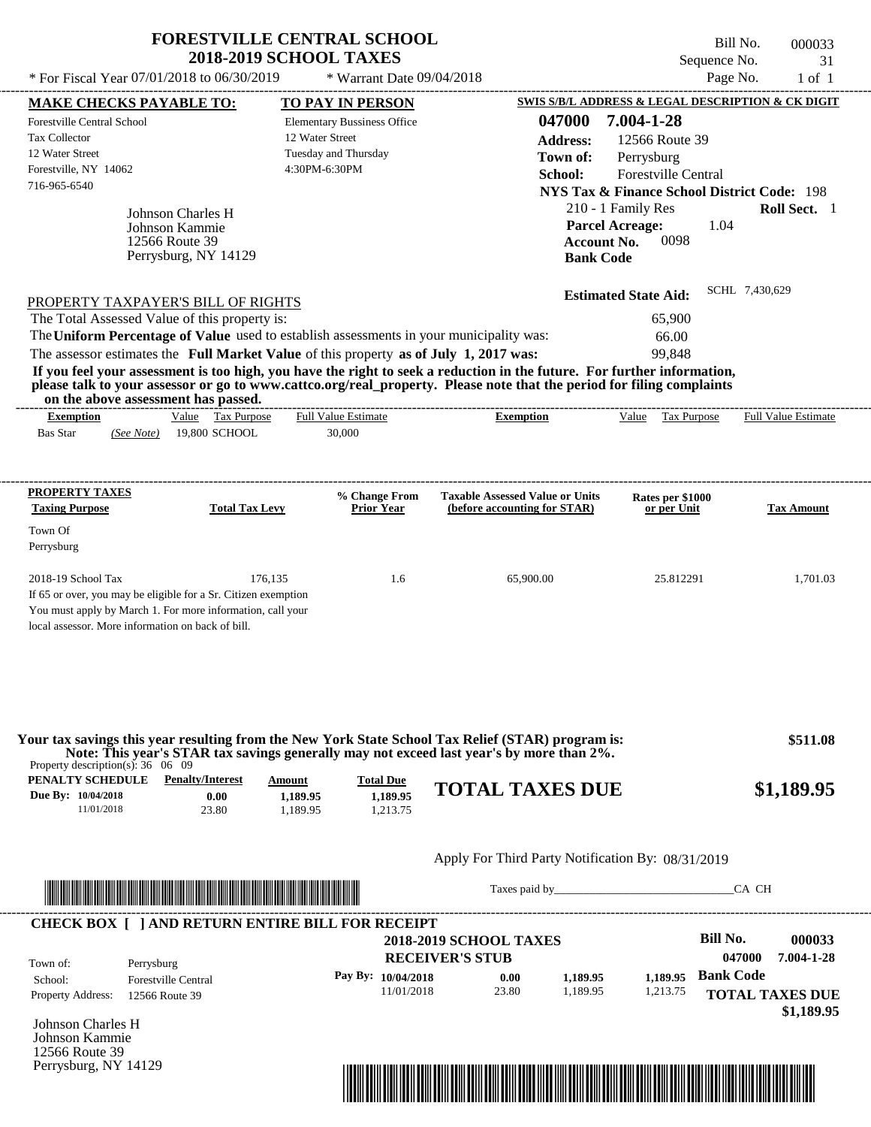| * For Fiscal Year 07/01/2018 to 06/30/2019<br>Page No.<br>* Warrant Date 09/04/2018<br>SWIS S/B/L ADDRESS & LEGAL DESCRIPTION & CK DIGIT<br><b>MAKE CHECKS PAYABLE TO:</b><br><b>TO PAY IN PERSON</b><br>047000<br>7.004-1-28<br>Forestville Central School<br><b>Elementary Bussiness Office</b><br>12 Water Street<br><b>Tax Collector</b><br>12566 Route 39<br><b>Address:</b><br>Tuesday and Thursday<br>12 Water Street<br>Town of:<br>Perrysburg<br>Forestville, NY 14062<br>4:30PM-6:30PM<br>Forestville Central<br>School:<br>716-965-6540<br><b>NYS Tax &amp; Finance School District Code: 198</b><br>210 - 1 Family Res<br>Johnson Charles H<br><b>Parcel Acreage:</b><br>1.04<br>Johnson Kammie<br>0098<br>12566 Route 39<br><b>Account No.</b><br>Perrysburg, NY 14129<br><b>Bank Code</b><br>SCHL 7,430,629<br><b>Estimated State Aid:</b><br>PROPERTY TAXPAYER'S BILL OF RIGHTS<br>The Total Assessed Value of this property is:<br>65,900<br>The Uniform Percentage of Value used to establish assessments in your municipality was:<br>66.00<br>The assessor estimates the Full Market Value of this property as of July 1, 2017 was:<br>99,848<br>If you feel your assessment is too high, you have the right to seek a reduction in the future. For further information,<br>please talk to your assessor or go to www.cattco.org/real_property. Please note that the period for filing complaints<br>on the above assessment has passed.<br>---------------------------<br>Value Tax Purpose<br><b>Full Value Estimate</b><br>Value Tax Purpose<br><b>Full Value Estimate</b><br><b>Exemption</b><br><b>Exemption</b><br>19,800 SCHOOL<br><b>Bas Star</b><br>30,000<br>(See Note)<br><b>PROPERTY TAXES</b><br><b>Taxable Assessed Value or Units</b><br>% Change From<br>Rates per \$1000<br><b>Taxing Purpose</b><br><b>Total Tax Levy</b><br><b>Prior Year</b><br>(before accounting for STAR)<br>or per Unit<br>Town Of<br>Perrysburg<br>2018-19 School Tax<br>176,135<br>1.6<br>65,900.00<br>25.812291<br>If 65 or over, you may be eligible for a Sr. Citizen exemption<br>You must apply by March 1. For more information, call your<br>local assessor. More information on back of bill.<br>Your tax savings this year resulting from the New York State School Tax Relief (STAR) program is:<br>Note: This year's STAR tax savings generally may not exceed last year's by more than 2%.<br>Property description(s): $36 \quad 06 \quad 09$<br>PENALTY SCHEDULE<br><b>Penalty/Interest</b><br><b>Total Due</b><br><b>Amount</b><br><b>TOTAL TAXES DUE</b><br>1,189.95<br>Due By: 10/04/2018<br>0.00<br>1,189.95<br>11/01/2018<br>23.80<br>1,189.95<br>1,213.75<br>Apply For Third Party Notification By: 08/31/2019<br><u> Literatura de la contrada de la contrada de la contrada de la contrada de la contrada de la contrada de la co</u> | <b>FORESTVILLE CENTRAL SCHOOL</b><br><b>2018-2019 SCHOOL TAXES</b> | Sequence No. | Bill No.<br>000033<br>31 |
|-------------------------------------------------------------------------------------------------------------------------------------------------------------------------------------------------------------------------------------------------------------------------------------------------------------------------------------------------------------------------------------------------------------------------------------------------------------------------------------------------------------------------------------------------------------------------------------------------------------------------------------------------------------------------------------------------------------------------------------------------------------------------------------------------------------------------------------------------------------------------------------------------------------------------------------------------------------------------------------------------------------------------------------------------------------------------------------------------------------------------------------------------------------------------------------------------------------------------------------------------------------------------------------------------------------------------------------------------------------------------------------------------------------------------------------------------------------------------------------------------------------------------------------------------------------------------------------------------------------------------------------------------------------------------------------------------------------------------------------------------------------------------------------------------------------------------------------------------------------------------------------------------------------------------------------------------------------------------------------------------------------------------------------------------------------------------------------------------------------------------------------------------------------------------------------------------------------------------------------------------------------------------------------------------------------------------------------------------------------------------------------------------------------------------------------------------------------------------------------------------------------------------------------------------------------------------------------------------------------------------------------------------------------------------------------------------------------------------------------------------------------------------------------------------------------------------------------------------------------------------|--------------------------------------------------------------------|--------------|--------------------------|
|                                                                                                                                                                                                                                                                                                                                                                                                                                                                                                                                                                                                                                                                                                                                                                                                                                                                                                                                                                                                                                                                                                                                                                                                                                                                                                                                                                                                                                                                                                                                                                                                                                                                                                                                                                                                                                                                                                                                                                                                                                                                                                                                                                                                                                                                                                                                                                                                                                                                                                                                                                                                                                                                                                                                                                                                                                                                         |                                                                    |              | $1$ of $1$               |
|                                                                                                                                                                                                                                                                                                                                                                                                                                                                                                                                                                                                                                                                                                                                                                                                                                                                                                                                                                                                                                                                                                                                                                                                                                                                                                                                                                                                                                                                                                                                                                                                                                                                                                                                                                                                                                                                                                                                                                                                                                                                                                                                                                                                                                                                                                                                                                                                                                                                                                                                                                                                                                                                                                                                                                                                                                                                         |                                                                    |              |                          |
|                                                                                                                                                                                                                                                                                                                                                                                                                                                                                                                                                                                                                                                                                                                                                                                                                                                                                                                                                                                                                                                                                                                                                                                                                                                                                                                                                                                                                                                                                                                                                                                                                                                                                                                                                                                                                                                                                                                                                                                                                                                                                                                                                                                                                                                                                                                                                                                                                                                                                                                                                                                                                                                                                                                                                                                                                                                                         |                                                                    |              | Roll Sect. 1             |
|                                                                                                                                                                                                                                                                                                                                                                                                                                                                                                                                                                                                                                                                                                                                                                                                                                                                                                                                                                                                                                                                                                                                                                                                                                                                                                                                                                                                                                                                                                                                                                                                                                                                                                                                                                                                                                                                                                                                                                                                                                                                                                                                                                                                                                                                                                                                                                                                                                                                                                                                                                                                                                                                                                                                                                                                                                                                         |                                                                    |              |                          |
|                                                                                                                                                                                                                                                                                                                                                                                                                                                                                                                                                                                                                                                                                                                                                                                                                                                                                                                                                                                                                                                                                                                                                                                                                                                                                                                                                                                                                                                                                                                                                                                                                                                                                                                                                                                                                                                                                                                                                                                                                                                                                                                                                                                                                                                                                                                                                                                                                                                                                                                                                                                                                                                                                                                                                                                                                                                                         |                                                                    |              |                          |
|                                                                                                                                                                                                                                                                                                                                                                                                                                                                                                                                                                                                                                                                                                                                                                                                                                                                                                                                                                                                                                                                                                                                                                                                                                                                                                                                                                                                                                                                                                                                                                                                                                                                                                                                                                                                                                                                                                                                                                                                                                                                                                                                                                                                                                                                                                                                                                                                                                                                                                                                                                                                                                                                                                                                                                                                                                                                         |                                                                    |              |                          |
|                                                                                                                                                                                                                                                                                                                                                                                                                                                                                                                                                                                                                                                                                                                                                                                                                                                                                                                                                                                                                                                                                                                                                                                                                                                                                                                                                                                                                                                                                                                                                                                                                                                                                                                                                                                                                                                                                                                                                                                                                                                                                                                                                                                                                                                                                                                                                                                                                                                                                                                                                                                                                                                                                                                                                                                                                                                                         |                                                                    |              | <b>Tax Amount</b>        |
|                                                                                                                                                                                                                                                                                                                                                                                                                                                                                                                                                                                                                                                                                                                                                                                                                                                                                                                                                                                                                                                                                                                                                                                                                                                                                                                                                                                                                                                                                                                                                                                                                                                                                                                                                                                                                                                                                                                                                                                                                                                                                                                                                                                                                                                                                                                                                                                                                                                                                                                                                                                                                                                                                                                                                                                                                                                                         |                                                                    |              | 1,701.03                 |
|                                                                                                                                                                                                                                                                                                                                                                                                                                                                                                                                                                                                                                                                                                                                                                                                                                                                                                                                                                                                                                                                                                                                                                                                                                                                                                                                                                                                                                                                                                                                                                                                                                                                                                                                                                                                                                                                                                                                                                                                                                                                                                                                                                                                                                                                                                                                                                                                                                                                                                                                                                                                                                                                                                                                                                                                                                                                         |                                                                    |              | \$511.08<br>\$1,189.95   |
|                                                                                                                                                                                                                                                                                                                                                                                                                                                                                                                                                                                                                                                                                                                                                                                                                                                                                                                                                                                                                                                                                                                                                                                                                                                                                                                                                                                                                                                                                                                                                                                                                                                                                                                                                                                                                                                                                                                                                                                                                                                                                                                                                                                                                                                                                                                                                                                                                                                                                                                                                                                                                                                                                                                                                                                                                                                                         |                                                                    |              |                          |
|                                                                                                                                                                                                                                                                                                                                                                                                                                                                                                                                                                                                                                                                                                                                                                                                                                                                                                                                                                                                                                                                                                                                                                                                                                                                                                                                                                                                                                                                                                                                                                                                                                                                                                                                                                                                                                                                                                                                                                                                                                                                                                                                                                                                                                                                                                                                                                                                                                                                                                                                                                                                                                                                                                                                                                                                                                                                         |                                                                    |              | CA CH                    |

|                          | <b>CHECK BOX [ ] AND RETURN ENTIRE BILL FOR RECEIPT</b> | <b>2018-2019 SCHOOL TAXES</b> |       |          |          | Bill No.         | 000033                               |
|--------------------------|---------------------------------------------------------|-------------------------------|-------|----------|----------|------------------|--------------------------------------|
| Town of:                 | Perrysburg                                              | <b>RECEIVER'S STUB</b>        |       |          |          | 047000           | 7.004-1-28                           |
| School:                  | <b>Forestville Central</b>                              | Pay By: $10/04/2018$          | 0.00  | 1.189.95 | 1.189.95 | <b>Bank Code</b> |                                      |
| <b>Property Address:</b> | 12566 Route 39                                          | 11/01/2018                    | 23.80 | 1.189.95 | 1,213.75 |                  | <b>TOTAL TAXES DUE</b><br>\$1,189.95 |

Johnson Charles H Johnson Kammie 12566 Route 39 Perrysburg, NY 14129

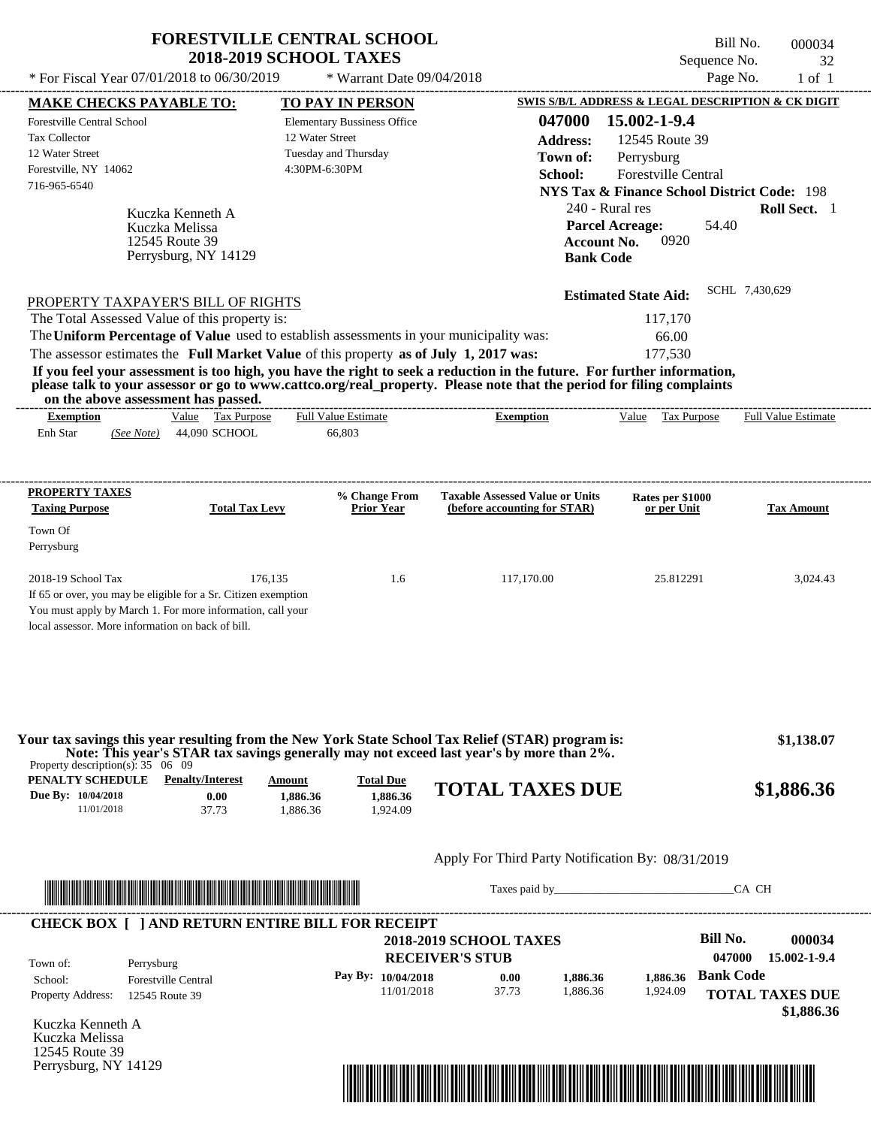|                                                                                         | <b>FORESTVILLE CENTRAL SCHOOL</b>                     |                                                                                                                                                                                                                                | Bill No.                                               | 000034                     |
|-----------------------------------------------------------------------------------------|-------------------------------------------------------|--------------------------------------------------------------------------------------------------------------------------------------------------------------------------------------------------------------------------------|--------------------------------------------------------|----------------------------|
|                                                                                         | <b>2018-2019 SCHOOL TAXES</b>                         |                                                                                                                                                                                                                                | Sequence No.                                           | 32                         |
| * For Fiscal Year 07/01/2018 to 06/30/2019                                              | * Warrant Date 09/04/2018                             |                                                                                                                                                                                                                                | Page No.                                               | $1$ of $1$                 |
| <b>MAKE CHECKS PAYABLE TO:</b>                                                          | <b>TO PAY IN PERSON</b>                               |                                                                                                                                                                                                                                | SWIS S/B/L ADDRESS & LEGAL DESCRIPTION & CK DIGIT      |                            |
| <b>Forestville Central School</b><br><b>Tax Collector</b>                               | <b>Elementary Bussiness Office</b><br>12 Water Street | 047000                                                                                                                                                                                                                         | 15.002-1-9.4                                           |                            |
| 12 Water Street                                                                         | Tuesday and Thursday                                  | <b>Address:</b>                                                                                                                                                                                                                | 12545 Route 39                                         |                            |
| Forestville, NY 14062                                                                   | 4:30PM-6:30PM                                         | Town of:                                                                                                                                                                                                                       | Perrysburg                                             |                            |
| 716-965-6540                                                                            |                                                       | School:                                                                                                                                                                                                                        | Forestville Central                                    |                            |
|                                                                                         |                                                       |                                                                                                                                                                                                                                | <b>NYS Tax &amp; Finance School District Code: 198</b> |                            |
| Kuczka Kenneth A                                                                        |                                                       | 240 - Rural res                                                                                                                                                                                                                |                                                        | Roll Sect. 1               |
| Kuczka Melissa<br>12545 Route 39                                                        |                                                       | <b>Account No.</b>                                                                                                                                                                                                             | <b>Parcel Acreage:</b><br>54.40<br>0920                |                            |
| Perrysburg, NY 14129                                                                    |                                                       | <b>Bank Code</b>                                                                                                                                                                                                               |                                                        |                            |
|                                                                                         |                                                       |                                                                                                                                                                                                                                |                                                        |                            |
|                                                                                         |                                                       |                                                                                                                                                                                                                                | <b>Estimated State Aid:</b>                            | SCHL 7,430,629             |
| PROPERTY TAXPAYER'S BILL OF RIGHTS                                                      |                                                       |                                                                                                                                                                                                                                |                                                        |                            |
| The Total Assessed Value of this property is:                                           |                                                       |                                                                                                                                                                                                                                | 117,170                                                |                            |
| The Uniform Percentage of Value used to establish assessments in your municipality was: |                                                       |                                                                                                                                                                                                                                | 66.00                                                  |                            |
| The assessor estimates the Full Market Value of this property as of July 1, 2017 was:   |                                                       | If you feel your assessment is too high, you have the right to seek a reduction in the future. For further information,                                                                                                        | 177,530                                                |                            |
| on the above assessment has passed.                                                     |                                                       | please talk to your assessor or go to www.cattco.org/real_property. Please note that the period for filing complaints<br>--------------------------                                                                            |                                                        |                            |
| Value Tax Purpose<br><b>Exemption</b>                                                   | <b>Full Value Estimate</b>                            | <b>Exemption</b>                                                                                                                                                                                                               | Value Tax Purpose                                      | <b>Full Value Estimate</b> |
| 44,090 SCHOOL<br>Enh Star<br>(See Note)                                                 | 66,803                                                |                                                                                                                                                                                                                                |                                                        |                            |
|                                                                                         |                                                       |                                                                                                                                                                                                                                |                                                        |                            |
| <b>PROPERTY TAXES</b>                                                                   | % Change From                                         | <b>Taxable Assessed Value or Units</b>                                                                                                                                                                                         | Rates per \$1000                                       |                            |
| <b>Taxing Purpose</b>                                                                   | <b>Total Tax Levy</b><br><b>Prior Year</b>            | (before accounting for STAR)                                                                                                                                                                                                   | or per Unit                                            | <b>Tax Amount</b>          |
| Town Of                                                                                 |                                                       |                                                                                                                                                                                                                                |                                                        |                            |
| Perrysburg                                                                              |                                                       |                                                                                                                                                                                                                                |                                                        |                            |
| 2018-19 School Tax                                                                      | 176,135<br>1.6                                        | 117,170.00                                                                                                                                                                                                                     | 25.812291                                              | 3,024.43                   |
| If 65 or over, you may be eligible for a Sr. Citizen exemption                          |                                                       |                                                                                                                                                                                                                                |                                                        |                            |
| You must apply by March 1. For more information, call your                              |                                                       |                                                                                                                                                                                                                                |                                                        |                            |
| local assessor. More information on back of bill.                                       |                                                       |                                                                                                                                                                                                                                |                                                        |                            |
|                                                                                         |                                                       | Your tax savings this year resulting from the New York State School Tax Relief (STAR) program is:                                                                                                                              |                                                        | \$1,138.07                 |
| Property description(s): $35 \quad 06 \quad 09$                                         |                                                       | Note: This year's STAR tax savings generally may not exceed last year's by more than 2%.                                                                                                                                       |                                                        |                            |
| PENALTY SCHEDULE<br><b>Penalty/Interest</b>                                             | <b>Total Due</b><br>Amount                            | <b>TOTAL TAXES DUE</b>                                                                                                                                                                                                         |                                                        |                            |
| Due By: 10/04/2018<br>0.00                                                              | 1,886.36<br>1,886.36                                  |                                                                                                                                                                                                                                |                                                        | \$1,886.36                 |
| 11/01/2018<br>37.73                                                                     | 1.886.36<br>1,924.09                                  |                                                                                                                                                                                                                                |                                                        |                            |
|                                                                                         |                                                       |                                                                                                                                                                                                                                |                                                        |                            |
|                                                                                         |                                                       | Apply For Third Party Notification By: 08/31/2019                                                                                                                                                                              |                                                        |                            |
|                                                                                         |                                                       | Taxes paid by Taxes and the Taxes and the Taxes and the Taxes and the Taxes and the Taxes and the Taxes and the Taxes and the Taxes and the Taxes and the Taxes and the Taxes and the Taxes and the Taxes and the Taxes and th |                                                        | CA CH                      |
| <b>CHECK BOX [ ] AND RETURN ENTIRE BILL FOR RECEIPT</b>                                 |                                                       |                                                                                                                                                                                                                                |                                                        |                            |
|                                                                                         |                                                       | <b>2018-2019 SCHOOL TAXES</b>                                                                                                                                                                                                  | <b>Bill No.</b>                                        | 000034                     |
| Town of:<br>Perrysburg                                                                  |                                                       | <b>RECEIVER'S STUB</b>                                                                                                                                                                                                         | 047000                                                 | 15.002-1-9.4               |
| Forestville Central<br>School:                                                          | Pay By: 10/04/2018                                    | 0.00<br>1,886.36                                                                                                                                                                                                               | <b>Bank Code</b><br>1,886.36                           |                            |
|                                                                                         |                                                       |                                                                                                                                                                                                                                |                                                        |                            |

11/01/2018 37.73

Kuczka Kenneth A Kuczka Melissa 12545 Route 39 Perrysburg, NY 14129

Property Address: 12545 Route 39



1,886.36

1,924.09

**TOTAL TAXES DUE**

 **\$1,886.36**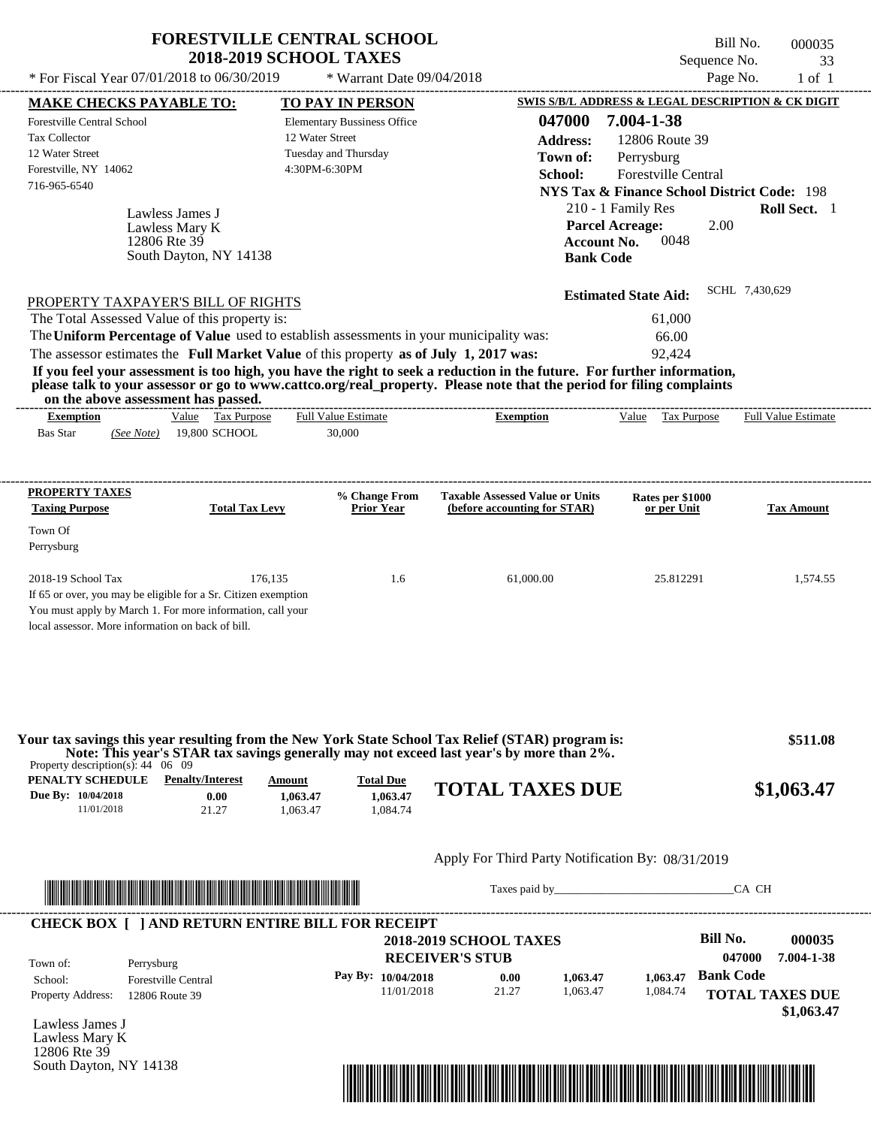| * For Fiscal Year 07/01/2018 to 06/30/2019                                                                                                |                                          | <b>FORESTVILLE CENTRAL SCHOOL</b><br><b>2018-2019 SCHOOL TAXES</b>                                                                                                               |                                                                                                                                                                                                                                                  | Sequence No.<br>Page No.                                                                                                                                                                                                     | Bill No.<br>000035<br>33 |
|-------------------------------------------------------------------------------------------------------------------------------------------|------------------------------------------|----------------------------------------------------------------------------------------------------------------------------------------------------------------------------------|--------------------------------------------------------------------------------------------------------------------------------------------------------------------------------------------------------------------------------------------------|------------------------------------------------------------------------------------------------------------------------------------------------------------------------------------------------------------------------------|--------------------------|
|                                                                                                                                           |                                          | * Warrant Date 09/04/2018                                                                                                                                                        |                                                                                                                                                                                                                                                  |                                                                                                                                                                                                                              | $1$ of $1$               |
| <b>MAKE CHECKS PAYABLE TO:</b><br>Forestville Central School<br>Tax Collector<br>12 Water Street<br>Forestville, NY 14062<br>716-965-6540 | Lawless James J                          | <b>TO PAY IN PERSON</b><br><b>Elementary Bussiness Office</b><br>12 Water Street<br>Tuesday and Thursday<br>4:30PM-6:30PM                                                        | 047000<br><b>Address:</b><br>Town of:<br>School:                                                                                                                                                                                                 | <b>SWIS S/B/L ADDRESS &amp; LEGAL DESCRIPTION &amp; CK DIGIT</b><br>7.004-1-38<br>12806 Route 39<br>Perrysburg<br><b>Forestville Central</b><br><b>NYS Tax &amp; Finance School District Code: 198</b><br>210 - 1 Family Res | Roll Sect. 1             |
| 12806 Rte 39                                                                                                                              | Lawless Mary K<br>South Dayton, NY 14138 |                                                                                                                                                                                  |                                                                                                                                                                                                                                                  | <b>Parcel Acreage:</b><br>2.00<br><b>Account No.</b><br>0048<br><b>Bank Code</b>                                                                                                                                             |                          |
|                                                                                                                                           |                                          |                                                                                                                                                                                  |                                                                                                                                                                                                                                                  | <b>Estimated State Aid:</b>                                                                                                                                                                                                  | SCHL 7,430,629           |
| PROPERTY TAXPAYER'S BILL OF RIGHTS<br>The Total Assessed Value of this property is:                                                       |                                          | The Uniform Percentage of Value used to establish assessments in your municipality was:<br>The assessor estimates the Full Market Value of this property as of July 1, 2017 was: | If you feel your assessment is too high, you have the right to seek a reduction in the future. For further information,<br>please talk to your assessor or go to www.cattco.org/real_property. Please note that the period for filing complaints | 61,000<br>66.00<br>92.424                                                                                                                                                                                                    |                          |
| on the above assessment has passed.<br><b>Exemption</b>                                                                                   | Value Tax Purpose                        | <b>Full Value Estimate</b>                                                                                                                                                       | <b>Exemption</b>                                                                                                                                                                                                                                 | Tax Purpose<br>Value                                                                                                                                                                                                         | Full Value Estimate      |
| <b>Bas Star</b><br>(See Note)                                                                                                             | 19,800 SCHOOL                            | 30,000                                                                                                                                                                           |                                                                                                                                                                                                                                                  |                                                                                                                                                                                                                              |                          |
| PROPERTY TAXES<br><b>Taxing Purpose</b><br>Town Of<br>Perrysburg                                                                          | <b>Total Tax Levy</b>                    | % Change From<br><b>Prior Year</b>                                                                                                                                               | <b>Taxable Assessed Value or Units</b><br>(before accounting for STAR)                                                                                                                                                                           | Rates per \$1000<br>or per Unit                                                                                                                                                                                              | <b>Tax Amount</b>        |

|                                                      | Your tax savings this year resulting from the New York State School Tax Relief (STAR) program is:<br>Note: This year's STAR tax savings generally may not exceed last year's by more than 2%.<br>Property description(s): $44 \quad 06 \quad 09$ |                                |                                          |                        |            |  |  |  |
|------------------------------------------------------|--------------------------------------------------------------------------------------------------------------------------------------------------------------------------------------------------------------------------------------------------|--------------------------------|------------------------------------------|------------------------|------------|--|--|--|
| PENALTY SCHEDULE<br>Due By: 10/04/2018<br>11/01/2018 | <b>Penalty/Interest</b><br>0.00<br>21.27                                                                                                                                                                                                         | Amount<br>1.063.47<br>1.063.47 | <b>Total Due</b><br>1.063.47<br>1.084.74 | <b>TOTAL TAXES DUE</b> | \$1,063.47 |  |  |  |

# Apply For Third Party Notification By: 08/31/2019



Taxes paid by\_\_\_\_\_\_\_\_\_\_\_\_\_\_\_\_\_\_\_\_\_\_\_\_\_\_\_\_\_\_\_CA CH

| Town of:                 | Perrysburg                 | <b>2018-2019 SCHOOL TAXES</b><br><b>RECEIVER'S STUB</b> |       |          |          | Bill No.<br>047000     | 000035<br>7.004-1-38 |
|--------------------------|----------------------------|---------------------------------------------------------|-------|----------|----------|------------------------|----------------------|
| School:                  | <b>Forestville Central</b> | Pay By: $10/04/2018$                                    | 0.00  | 1.063.47 | 1.063.47 | <b>Bank Code</b>       |                      |
| <b>Property Address:</b> | 12806 Route 39             | 11/01/2018                                              | 21.27 | 1.063.47 | 1,084.74 | <b>TOTAL TAXES DUE</b> |                      |

Lawless James J Lawless Mary K 12806 Rte 39 South Dayton, NY 14138

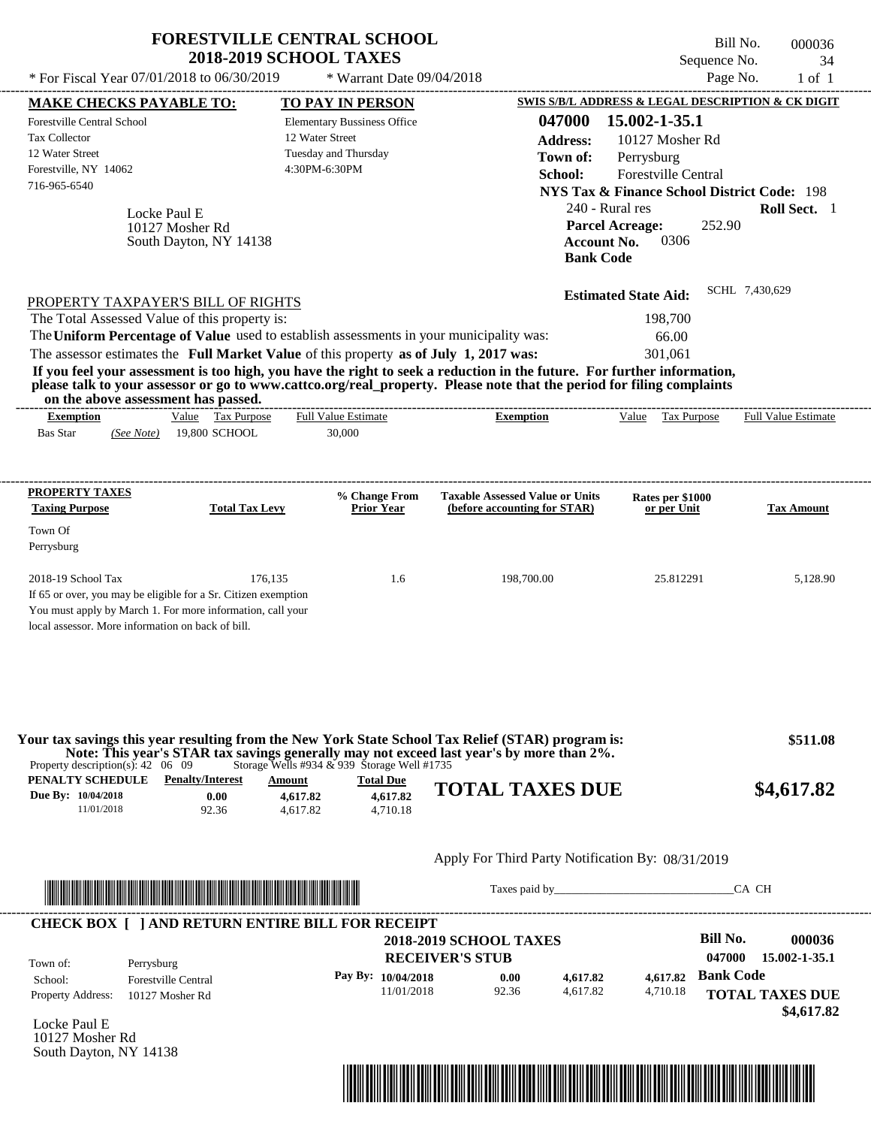| * For Fiscal Year 07/01/2018 to 06/30/2019                                                                                                                                                                                                                                                                                                                                                                                                                                                                                                                         | <b>FORESTVILLE CENTRAL SCHOOL</b><br><b>2018-2019 SCHOOL TAXES</b> | * Warrant Date 09/04/2018                                                     |                                                                                                                    | Sequence No.                                                                                                                                                                                                                             | Bill No.<br>000036<br>34<br>Page No.<br>$1$ of $1$ |
|--------------------------------------------------------------------------------------------------------------------------------------------------------------------------------------------------------------------------------------------------------------------------------------------------------------------------------------------------------------------------------------------------------------------------------------------------------------------------------------------------------------------------------------------------------------------|--------------------------------------------------------------------|-------------------------------------------------------------------------------|--------------------------------------------------------------------------------------------------------------------|------------------------------------------------------------------------------------------------------------------------------------------------------------------------------------------------------------------------------------------|----------------------------------------------------|
| <b>MAKE CHECKS PAYABLE TO:</b>                                                                                                                                                                                                                                                                                                                                                                                                                                                                                                                                     |                                                                    | <b>TO PAY IN PERSON</b>                                                       |                                                                                                                    | SWIS S/B/L ADDRESS & LEGAL DESCRIPTION & CK DIGIT                                                                                                                                                                                        |                                                    |
| <b>Forestville Central School</b><br>Tax Collector<br>12 Water Street<br>Forestville, NY 14062<br>716-965-6540<br>Locke Paul E<br>10127 Mosher Rd<br>South Dayton, NY 14138                                                                                                                                                                                                                                                                                                                                                                                        | 12 Water Street<br>4:30PM-6:30PM                                   | <b>Elementary Bussiness Office</b><br>Tuesday and Thursday                    | 047000<br><b>Address:</b><br>Town of:<br>School:                                                                   | 15.002-1-35.1<br>10127 Mosher Rd<br>Perrysburg<br>Forestville Central<br><b>NYS Tax &amp; Finance School District Code: 198</b><br>240 - Rural res<br><b>Parcel Acreage:</b><br>252.90<br>0306<br><b>Account No.</b><br><b>Bank Code</b> | Roll Sect. 1                                       |
| PROPERTY TAXPAYER'S BILL OF RIGHTS<br>The Total Assessed Value of this property is:<br>The Uniform Percentage of Value used to establish assessments in your municipality was:<br>The assessor estimates the Full Market Value of this property as of July 1, 2017 was:<br>If you feel your assessment is too high, you have the right to seek a reduction in the future. For further information,<br>please talk to your assessor or go to www.cattco.org/real_property. Please note that the period for filing complaints<br>on the above assessment has passed. |                                                                    |                                                                               |                                                                                                                    | <b>Estimated State Aid:</b><br>198,700<br>66.00<br>301,061                                                                                                                                                                               | SCHL 7,430,629                                     |
| <b>Exemption</b>                                                                                                                                                                                                                                                                                                                                                                                                                                                                                                                                                   | Value Tax Purpose                                                  | Full Value Estimate                                                           | <b>Exemption</b>                                                                                                   | Value Tax Purpose                                                                                                                                                                                                                        | Full Value Estimate                                |
| <b>Taxing Purpose</b><br>Town Of<br>Perrysburg<br>2018-19 School Tax<br>If 65 or over, you may be eligible for a Sr. Citizen exemption<br>You must apply by March 1. For more information, call your<br>local assessor. More information on back of bill.                                                                                                                                                                                                                                                                                                          | <b>Total Tax Levy</b><br>176,135                                   | % Change From<br><b>Prior Year</b><br>1.6                                     | <b>Taxable Assessed Value or Units</b><br>(before accounting for STAR)<br>198,700.00                               | Rates per \$1000<br>or per Unit<br>25.812291                                                                                                                                                                                             | <b>Tax Amount</b><br>5,128.90                      |
| Your tax savings this year resulting from the New York State School Tax Relief (STAR) program is:<br>Property description(s): $42 \quad 06 \quad 09$<br><b>PENALTY SCHEDULE</b> Penalty/Interest<br>Due By: 10/04/2018                                                                                                                                                                                                                                                                                                                                             | Amount<br>0.00<br>4,617.82                                         | Storage Wells #934 $&$ 939 Storage Well #1735<br><b>Total Due</b><br>4,617.82 | Note: This year's STAR tax savings generally may not exceed last year's by more than 2%.<br><b>TOTAL TAXES DUE</b> |                                                                                                                                                                                                                                          | \$511.08<br>\$4,617.82                             |
| 11/01/2018                                                                                                                                                                                                                                                                                                                                                                                                                                                                                                                                                         | 4,617.82<br>92.36                                                  | 4,710.18                                                                      |                                                                                                                    |                                                                                                                                                                                                                                          |                                                    |
|                                                                                                                                                                                                                                                                                                                                                                                                                                                                                                                                                                    |                                                                    |                                                                               | Apply For Third Party Notification By: 08/31/2019                                                                  |                                                                                                                                                                                                                                          |                                                    |
|                                                                                                                                                                                                                                                                                                                                                                                                                                                                                                                                                                    |                                                                    |                                                                               |                                                                                                                    | Taxes paid by Taxes and the Taxes and the Taxes and the Taxes are the Taxes and the Taxes and the Taxes and the Taxes and the Taxes and the Taxes and the Taxes and the Taxes and the Taxes and the Taxes and the Taxes and th           | CA CH                                              |
| <b>CHECK BOX [ ] AND RETURN ENTIRE BILL FOR RECEIPT</b>                                                                                                                                                                                                                                                                                                                                                                                                                                                                                                            |                                                                    |                                                                               |                                                                                                                    |                                                                                                                                                                                                                                          |                                                    |
|                                                                                                                                                                                                                                                                                                                                                                                                                                                                                                                                                                    |                                                                    |                                                                               | <b>2018-2019 SCHOOL TAXES</b>                                                                                      | <b>Bill No.</b>                                                                                                                                                                                                                          | 000036                                             |
| Town of:<br>Perrysburg                                                                                                                                                                                                                                                                                                                                                                                                                                                                                                                                             |                                                                    |                                                                               | <b>RECEIVER'S STUB</b>                                                                                             |                                                                                                                                                                                                                                          | 047000<br>15.002-1-35.1<br><b>Bank Code</b>        |
| <b>Forestville Central</b><br>School:<br>Property Address:<br>10127 Mosher Rd                                                                                                                                                                                                                                                                                                                                                                                                                                                                                      |                                                                    | Pay By: 10/04/2018<br>11/01/2018                                              | 0.00<br>4,617.82<br>92.36<br>4,617.82                                                                              | 4,617.82<br>4,710.18                                                                                                                                                                                                                     | <b>TOTAL TAXES DUE</b><br>\$4,617.82               |
| Locke Paul E<br>10127 Mosher Rd<br>South Dayton, NY 14138                                                                                                                                                                                                                                                                                                                                                                                                                                                                                                          |                                                                    |                                                                               |                                                                                                                    |                                                                                                                                                                                                                                          |                                                    |

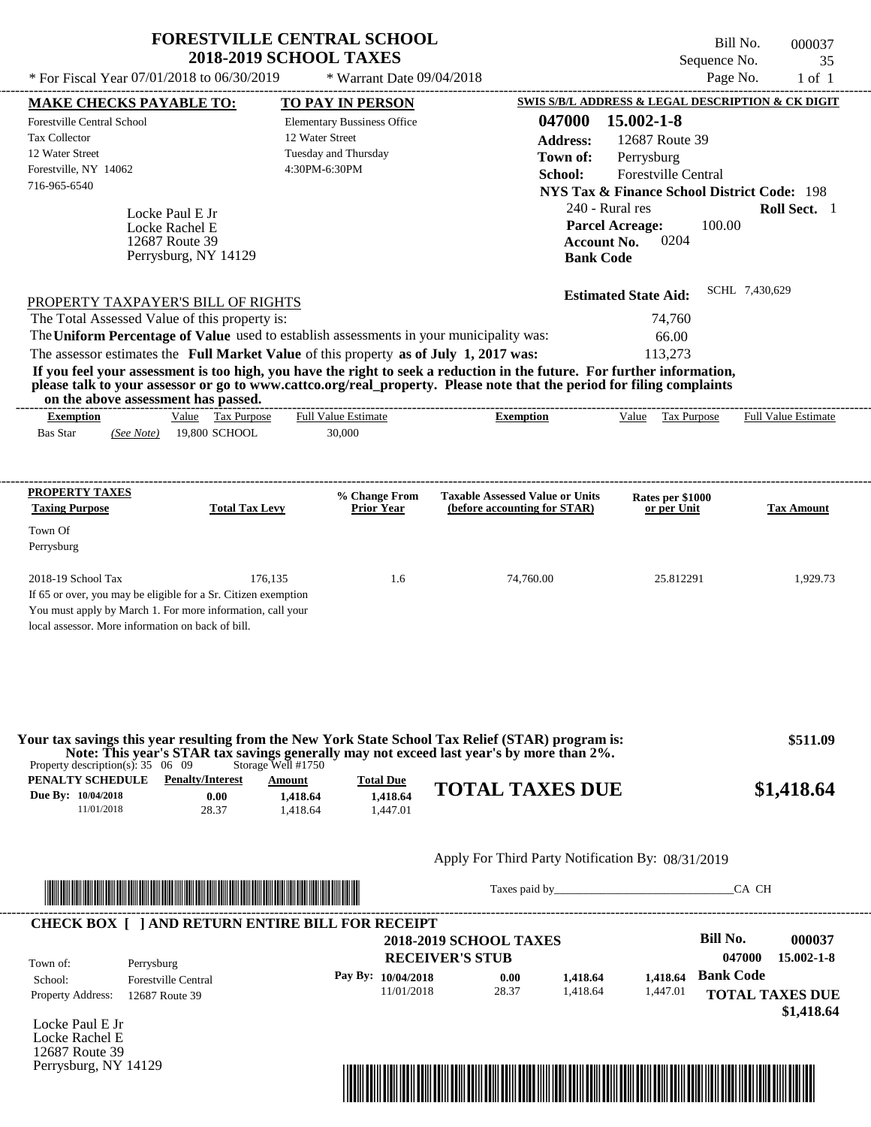| * For Fiscal Year 07/01/2018 to 06/30/2019                                                                                                                                                                                                                                                                                                                                                                                                                                  | <b>FORESTVILLE CENTRAL SCHOOL</b><br><b>2018-2019 SCHOOL TAXES</b><br>* Warrant Date 09/04/2018                           |                                                                        | Bill No.<br>Sequence No.<br>Page No.                                                                                                                                             | 000037<br>35<br>$1$ of $1$ |
|-----------------------------------------------------------------------------------------------------------------------------------------------------------------------------------------------------------------------------------------------------------------------------------------------------------------------------------------------------------------------------------------------------------------------------------------------------------------------------|---------------------------------------------------------------------------------------------------------------------------|------------------------------------------------------------------------|----------------------------------------------------------------------------------------------------------------------------------------------------------------------------------|----------------------------|
| <b>MAKE CHECKS PAYABLE TO:</b><br><b>Forestville Central School</b><br><b>Tax Collector</b><br>12 Water Street<br>Forestville, NY 14062<br>716-965-6540<br>Locke Paul E Jr                                                                                                                                                                                                                                                                                                  | <b>TO PAY IN PERSON</b><br><b>Elementary Bussiness Office</b><br>12 Water Street<br>Tuesday and Thursday<br>4:30PM-6:30PM | 047000<br><b>Address:</b><br>Town of:<br>School:<br>240 - Rural res    | SWIS S/B/L ADDRESS & LEGAL DESCRIPTION & CK DIGIT<br>15.002-1-8<br>12687 Route 39<br>Perrysburg<br>Forestville Central<br><b>NYS Tax &amp; Finance School District Code: 198</b> | Roll Sect. 1               |
| Locke Rachel E<br>12687 Route 39<br>Perrysburg, NY 14129<br>PROPERTY TAXPAYER'S BILL OF RIGHTS<br>The Total Assessed Value of this property is:                                                                                                                                                                                                                                                                                                                             |                                                                                                                           | <b>Account No.</b><br><b>Bank Code</b>                                 | 100.00<br><b>Parcel Acreage:</b><br>0204<br><b>Estimated State Aid:</b><br>74,760                                                                                                | SCHL 7,430,629             |
| The Uniform Percentage of Value used to establish assessments in your municipality was:<br>The assessor estimates the Full Market Value of this property as of July 1, 2017 was:<br>If you feel your assessment is too high, you have the right to seek a reduction in the future. For further information,<br>please talk to your assessor or go to www.cattco.org/real_property. Please note that the period for filing complaints<br>on the above assessment has passed. |                                                                                                                           | ---------------------------                                            | 66.00<br>113,273                                                                                                                                                                 |                            |
| Value Tax Purpose<br><b>Exemption</b><br>19,800 SCHOOL<br><b>Bas Star</b><br>(See Note)                                                                                                                                                                                                                                                                                                                                                                                     | <b>Full Value Estimate</b><br>30,000                                                                                      | <b>Exemption</b>                                                       | Value Tax Purpose                                                                                                                                                                | <b>Full Value Estimate</b> |
| <b>PROPERTY TAXES</b><br><b>Taxing Purpose</b><br><b>Total Tax Levy</b><br>Town Of<br>Perrysburg                                                                                                                                                                                                                                                                                                                                                                            | % Change From<br><b>Prior Year</b>                                                                                        | <b>Taxable Assessed Value or Units</b><br>(before accounting for STAR) | Rates per \$1000<br>or per Unit                                                                                                                                                  | <b>Tax Amount</b>          |
| 2018-19 School Tax<br>If 65 or over, you may be eligible for a Sr. Citizen exemption<br>You must apply by March 1. For more information, call your<br>local assessor. More information on back of bill.                                                                                                                                                                                                                                                                     | 176,135<br>1.6                                                                                                            | 74,760.00                                                              | 25.812291                                                                                                                                                                        | 1,929.73                   |
| Your tax savings this year resulting from the New York State School Tax Relief (STAR) program is:<br>Note: This year's STAR tax savings generally may not exceed last year's by more than 2%.<br>Property description(s): $35 \quad 06 \quad 09$                                                                                                                                                                                                                            | Storage Well #1750                                                                                                        |                                                                        |                                                                                                                                                                                  | \$511.09                   |
| PENALTY SCHEDULE<br><b>Penalty/Interest</b><br>Due By: 10/04/2018<br>0.00<br>11/01/2018<br>28.37                                                                                                                                                                                                                                                                                                                                                                            | <b>Total Due</b><br>Amount<br>1,418.64<br>1,418.64<br>1.418.64<br>1,447.01                                                | <b>TOTAL TAXES DUE</b>                                                 |                                                                                                                                                                                  | \$1,418.64                 |
|                                                                                                                                                                                                                                                                                                                                                                                                                                                                             |                                                                                                                           | Apply For Third Party Notification By: 08/31/2019                      |                                                                                                                                                                                  |                            |
|                                                                                                                                                                                                                                                                                                                                                                                                                                                                             |                                                                                                                           | Taxes paid by                                                          |                                                                                                                                                                                  | CA CH                      |
| <b>CHECK BOX [ ] AND RETURN ENTIRE BILL FOR RECEIPT</b>                                                                                                                                                                                                                                                                                                                                                                                                                     |                                                                                                                           | <b>2018-2019 SCHOOL TAXES</b>                                          | <b>Bill No.</b>                                                                                                                                                                  | 000037                     |

**RECEIVER'S STUB Bank Code 1,418.64 1,418.64** Property Address: 12687 Route 39 Perrysburg School: Forestville Central **TOTAL TAXES DUE \$1,418.64 047000 15.002-1-8 Pay By: 10/04/2018** 11/01/2018 28.37 **0.00** 1,418.64 1,447.01 Town of:

Locke Paul E Jr Locke Rachel E 12687 Route 39 Perrysburg, NY 14129

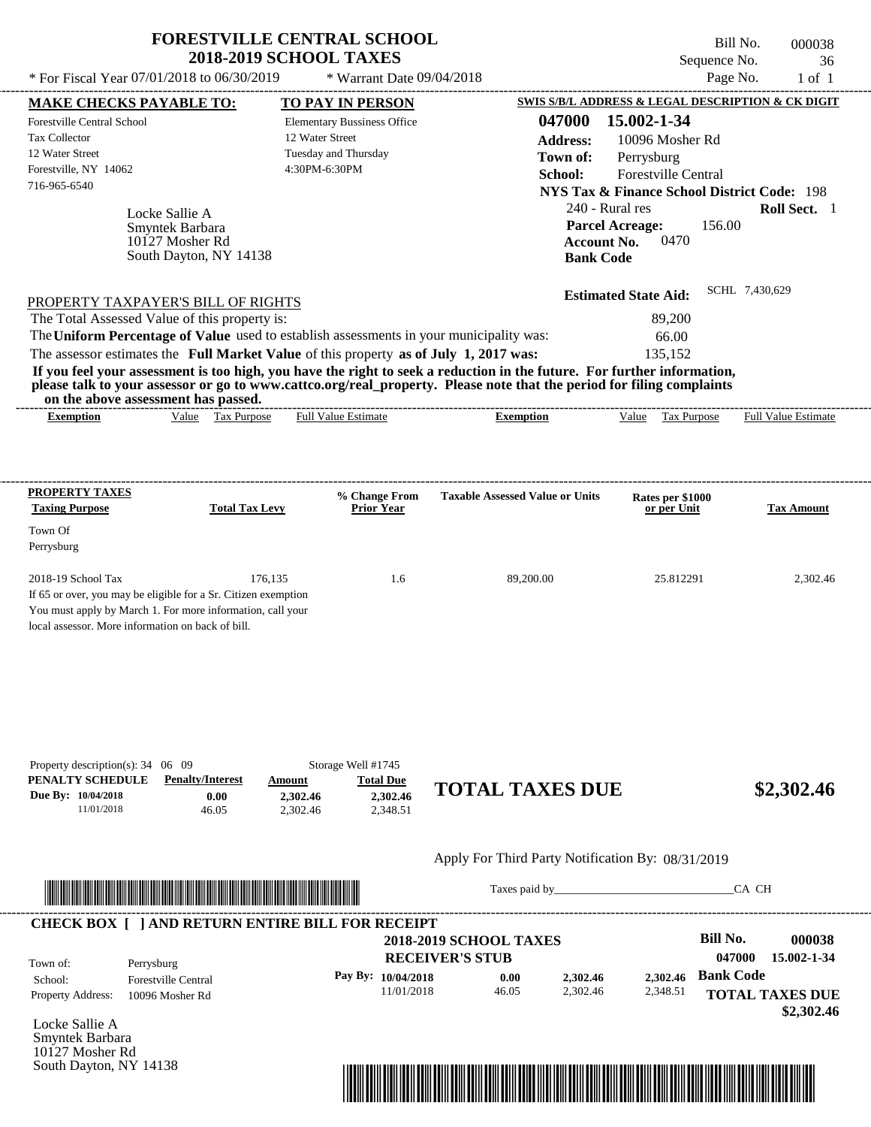|                                                                                                                                                                                                                                                           | <b>2018-2019 SCHOOL TAXES</b> | <b>FORESTVILLE CENTRAL SCHOOL</b>  |                                        | Sequence No.                                           | Bill No.<br>000038<br>36   |
|-----------------------------------------------------------------------------------------------------------------------------------------------------------------------------------------------------------------------------------------------------------|-------------------------------|------------------------------------|----------------------------------------|--------------------------------------------------------|----------------------------|
| * For Fiscal Year 07/01/2018 to 06/30/2019                                                                                                                                                                                                                |                               | * Warrant Date 09/04/2018          |                                        | Page No.                                               | $1$ of $1$                 |
| <u>MAKE CHECKS PAYABLE TO:</u>                                                                                                                                                                                                                            |                               | <b>TO PAY IN PERSON</b>            |                                        | SWIS S/B/L ADDRESS & LEGAL DESCRIPTION & CK DIGIT      |                            |
| Forestville Central School                                                                                                                                                                                                                                |                               | <b>Elementary Bussiness Office</b> | 047000                                 | 15.002-1-34                                            |                            |
| <b>Tax Collector</b>                                                                                                                                                                                                                                      |                               | 12 Water Street                    | <b>Address:</b>                        | 10096 Mosher Rd                                        |                            |
| 12 Water Street                                                                                                                                                                                                                                           |                               | Tuesday and Thursday               | Town of:                               | Perrysburg                                             |                            |
| Forestville, NY 14062                                                                                                                                                                                                                                     |                               | 4:30PM-6:30PM                      | School:                                | <b>Forestville Central</b>                             |                            |
| 716-965-6540                                                                                                                                                                                                                                              |                               |                                    |                                        | <b>NYS Tax &amp; Finance School District Code: 198</b> |                            |
|                                                                                                                                                                                                                                                           |                               |                                    |                                        | 240 - Rural res                                        | Roll Sect. 1               |
| Locke Sallie A<br>Smyntek Barbara                                                                                                                                                                                                                         |                               |                                    |                                        | <b>Parcel Acreage:</b><br>156.00                       |                            |
| 10127 Mosher Rd                                                                                                                                                                                                                                           |                               |                                    | <b>Account No.</b>                     | 0470                                                   |                            |
| South Dayton, NY 14138                                                                                                                                                                                                                                    |                               |                                    | <b>Bank Code</b>                       |                                                        |                            |
|                                                                                                                                                                                                                                                           |                               |                                    |                                        |                                                        | SCHL 7,430,629             |
| PROPERTY TAXPAYER'S BILL OF RIGHTS                                                                                                                                                                                                                        |                               |                                    |                                        | <b>Estimated State Aid:</b>                            |                            |
| The Total Assessed Value of this property is:                                                                                                                                                                                                             |                               |                                    |                                        | 89,200                                                 |                            |
| The Uniform Percentage of Value used to establish assessments in your municipality was:                                                                                                                                                                   |                               |                                    |                                        | 66.00                                                  |                            |
| The assessor estimates the Full Market Value of this property as of July 1, 2017 was:                                                                                                                                                                     |                               |                                    |                                        | 135,152                                                |                            |
|                                                                                                                                                                                                                                                           |                               | <b>Full Value Estimate</b>         |                                        |                                                        |                            |
| Value Tax Purpose<br><b>Exemption</b>                                                                                                                                                                                                                     |                               |                                    | <b>Exemption</b>                       | Value Tax Purpose                                      | <b>Full Value Estimate</b> |
|                                                                                                                                                                                                                                                           |                               |                                    |                                        |                                                        |                            |
| <b>PROPERTY TAXES</b>                                                                                                                                                                                                                                     |                               | % Change From                      | <b>Taxable Assessed Value or Units</b> | Rates per \$1000                                       |                            |
|                                                                                                                                                                                                                                                           | <b>Total Tax Levy</b>         | <b>Prior Year</b>                  |                                        | or per Unit                                            |                            |
|                                                                                                                                                                                                                                                           |                               |                                    |                                        |                                                        |                            |
|                                                                                                                                                                                                                                                           |                               |                                    |                                        |                                                        |                            |
|                                                                                                                                                                                                                                                           | 176.135                       | 1.6                                |                                        | 25.812291                                              |                            |
|                                                                                                                                                                                                                                                           |                               |                                    | 89,200.00                              |                                                        |                            |
|                                                                                                                                                                                                                                                           |                               |                                    |                                        |                                                        |                            |
|                                                                                                                                                                                                                                                           |                               |                                    |                                        |                                                        | <b>Tax Amount</b>          |
|                                                                                                                                                                                                                                                           |                               |                                    |                                        |                                                        | 2,302.46                   |
|                                                                                                                                                                                                                                                           |                               |                                    |                                        |                                                        |                            |
|                                                                                                                                                                                                                                                           |                               |                                    |                                        |                                                        |                            |
| <b>Taxing Purpose</b><br>Town Of<br>Perrysburg<br>2018-19 School Tax<br>If 65 or over, you may be eligible for a Sr. Citizen exemption<br>You must apply by March 1. For more information, call your<br>local assessor. More information on back of bill. |                               |                                    |                                        |                                                        |                            |
|                                                                                                                                                                                                                                                           |                               |                                    |                                        |                                                        |                            |
|                                                                                                                                                                                                                                                           |                               |                                    |                                        |                                                        |                            |
|                                                                                                                                                                                                                                                           |                               |                                    |                                        |                                                        |                            |

| Property description(s): $34 \quad 06 \quad 09$ |                         |          | Storage Well #1745 |                        |            |
|-------------------------------------------------|-------------------------|----------|--------------------|------------------------|------------|
| PENALTY SCHEDULE                                | <b>Penalty/Interest</b> | Amount   | <b>Total Due</b>   |                        |            |
| Due By: 10/04/2018                              | 0.00                    | 2.302.46 | 2.302.46           | <b>TOTAL TAXES DUE</b> | \$2,302.46 |
| 11/01/2018                                      | 46.05                   | 2.302.46 | 2,348.51           |                        |            |
|                                                 |                         |          |                    |                        |            |

## Apply For Third Party Notification By: 08/31/2019



Taxes paid by\_\_\_\_\_\_\_\_\_\_\_\_\_\_\_\_\_\_\_\_\_\_\_\_\_\_\_\_\_\_\_CA CH

| Town of:<br>School:      | Perrysburg<br><b>Forestville Central</b> | <b>2018-2019 SCHOOL TAXES</b><br><b>RECEIVER'S STUB</b> |       |          |          |                  | 000038<br>15.002-1-34  |
|--------------------------|------------------------------------------|---------------------------------------------------------|-------|----------|----------|------------------|------------------------|
|                          |                                          | Pay By: $10/04/2018$                                    | 0.00  | 2,302.46 | 2.302.46 | <b>Bank Code</b> |                        |
| <b>Property Address:</b> | 10096 Mosher Rd                          | 11/01/2018                                              | 46.05 | 2.302.46 | 2,348.51 |                  | <b>TOTAL TAXES DUE</b> |

Locke Sallie A Smyntek Barbara 10127 Mosher Rd South Dayton, NY 14138

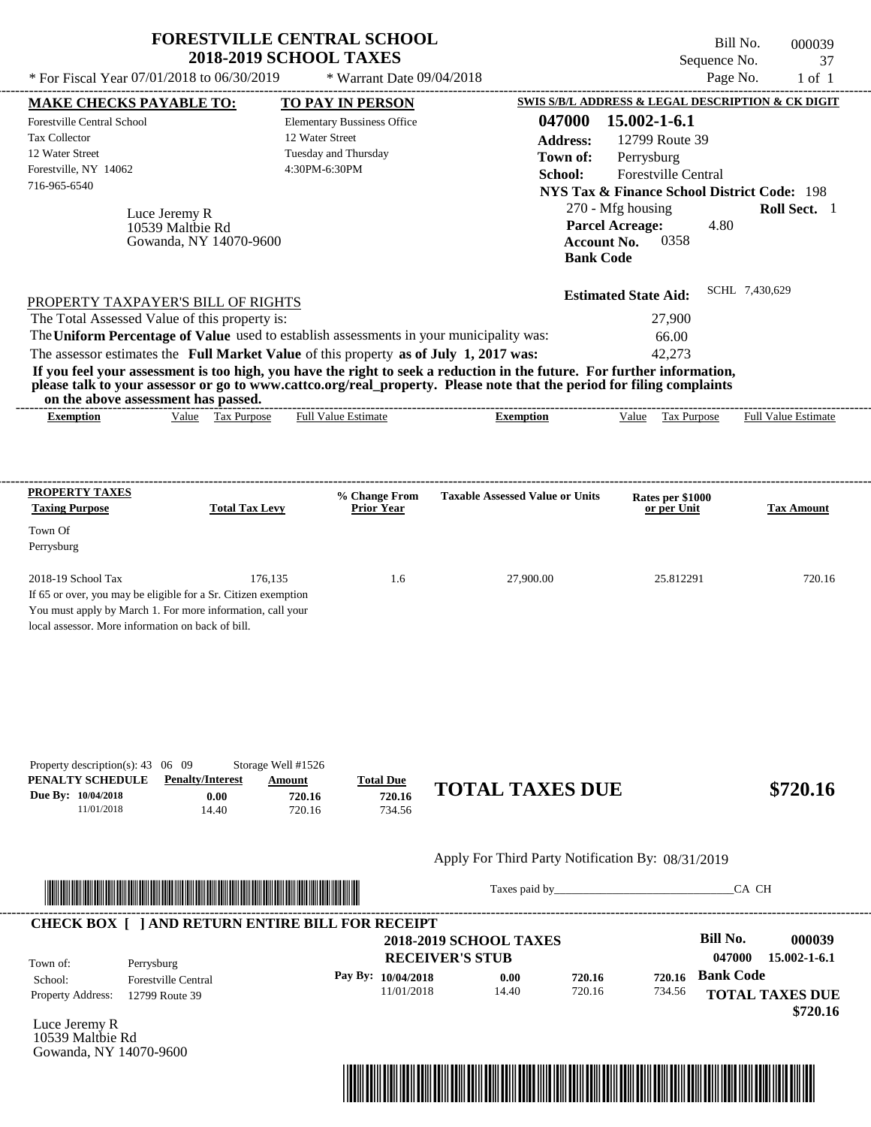| * For Fiscal Year 07/01/2018 to 06/30/2019                                                                                                                                                                                                                                                                     | <b>FORESTVILLE CENTRAL SCHOOL</b><br><b>2018-2019 SCHOOL TAXES</b> | * Warrant Date 09/04/2018                                  |                                                                                                                                                                                                                                                  | Sequence No.<br>Page No.                                                                                                                                                                     | Bill No.<br>000039<br>37<br>$1$ of $1$ |
|----------------------------------------------------------------------------------------------------------------------------------------------------------------------------------------------------------------------------------------------------------------------------------------------------------------|--------------------------------------------------------------------|------------------------------------------------------------|--------------------------------------------------------------------------------------------------------------------------------------------------------------------------------------------------------------------------------------------------|----------------------------------------------------------------------------------------------------------------------------------------------------------------------------------------------|----------------------------------------|
|                                                                                                                                                                                                                                                                                                                |                                                                    | TO PAY IN PERSON                                           |                                                                                                                                                                                                                                                  | SWIS S/B/L ADDRESS & LEGAL DESCRIPTION & CK DIGIT                                                                                                                                            |                                        |
| <b>MAKE CHECKS PAYABLE TO:</b><br><b>Forestville Central School</b><br><b>Tax Collector</b><br>12 Water Street<br>Forestville, NY 14062<br>716-965-6540<br>Luce Jeremy R<br>10539 Maltbie Rd<br>Gowanda, NY 14070-9600                                                                                         | 12 Water Street<br>4:30PM-6:30PM                                   | <b>Elementary Bussiness Office</b><br>Tuesday and Thursday | 047000<br><b>Address:</b><br>Town of:<br>School:<br><b>Account No.</b><br><b>Bank Code</b>                                                                                                                                                       | 15.002-1-6.1<br>12799 Route 39<br>Perrysburg<br>Forestville Central<br><b>NYS Tax &amp; Finance School District Code: 198</b><br>270 - Mfg housing<br><b>Parcel Acreage:</b><br>4.80<br>0358 | Roll Sect. 1                           |
| PROPERTY TAXPAYER'S BILL OF RIGHTS<br>The Total Assessed Value of this property is:<br>The Uniform Percentage of Value used to establish assessments in your municipality was:<br>The assessor estimates the Full Market Value of this property as of July 1, 2017 was:<br>on the above assessment has passed. |                                                                    |                                                            | If you feel your assessment is too high, you have the right to seek a reduction in the future. For further information,<br>please talk to your assessor or go to www.cattco.org/real_property. Please note that the period for filing complaints | <b>Estimated State Aid:</b><br>27,900<br>66.00<br>42,273                                                                                                                                     | SCHL 7,430,629                         |
| <b>Exemption</b>                                                                                                                                                                                                                                                                                               | Value Tax Purpose                                                  | <b>Full Value Estimate</b>                                 | <b>Exemption</b>                                                                                                                                                                                                                                 | Value Tax Purpose                                                                                                                                                                            | <b>Full Value Estimate</b>             |
| <b>PROPERTY TAXES</b><br><b>Taxing Purpose</b><br>Town Of<br>Perrysburg<br>2018-19 School Tax<br>If 65 or over, you may be eligible for a Sr. Citizen exemption<br>You must apply by March 1. For more information, call your                                                                                  | <b>Total Tax Levy</b><br>176,135                                   | % Change From<br><b>Prior Year</b><br>1.6                  | <b>Taxable Assessed Value or Units</b><br>27,900.00                                                                                                                                                                                              | Rates per \$1000<br>or per Unit<br>25.812291                                                                                                                                                 | <b>Tax Amount</b><br>720.16            |
| local assessor. More information on back of bill.<br>Property description(s): 43 06 09<br>PENALTY SCHEDULE<br><b>Penalty/Interest</b><br>Due By: 10/04/2018                                                                                                                                                    | Storage Well #1526<br>Amount<br>0.00<br>720.16                     | <b>Total Due</b><br>720.16                                 | <b>TOTAL TAXES DUE</b>                                                                                                                                                                                                                           |                                                                                                                                                                                              | \$720.16                               |
| 11/01/2018                                                                                                                                                                                                                                                                                                     | 14.40<br>720.16                                                    | 734.56                                                     | Apply For Third Party Notification By: 08/31/2019                                                                                                                                                                                                |                                                                                                                                                                                              |                                        |
|                                                                                                                                                                                                                                                                                                                |                                                                    |                                                            | Taxes paid by                                                                                                                                                                                                                                    |                                                                                                                                                                                              | CA CH                                  |
| <b>CHECK BOX [ ] AND RETURN ENTIRE BILL FOR RECEIPT</b>                                                                                                                                                                                                                                                        |                                                                    |                                                            | <b>2018-2019 SCHOOL TAXES</b><br><b>RECEIVER'S STUB</b>                                                                                                                                                                                          | <b>Bill No.</b><br>047000                                                                                                                                                                    | 000039<br>$15.002 - 1 - 6.1$           |
| Town of:<br>Perrysburg<br><b>Forestville Central</b><br>School:<br>2700P                                                                                                                                                                                                                                       |                                                                    | Pay By: 10/04/2018<br>11/01/2018                           | 720.16<br>0.00<br>14.40<br>720.16                                                                                                                                                                                                                | <b>Bank Code</b><br>720.16                                                                                                                                                                   | $734.56$ TOTAL TAVEC DUE               |

Luce Jeremy R 10539 Maltbie Rd Gowanda, NY 14070-9600

Property Address: 12799 Route 39



**10/04/2018 0.00**<br>11/01/2018 14.40

720.16

734.56



**TOTAL TAXES DUE**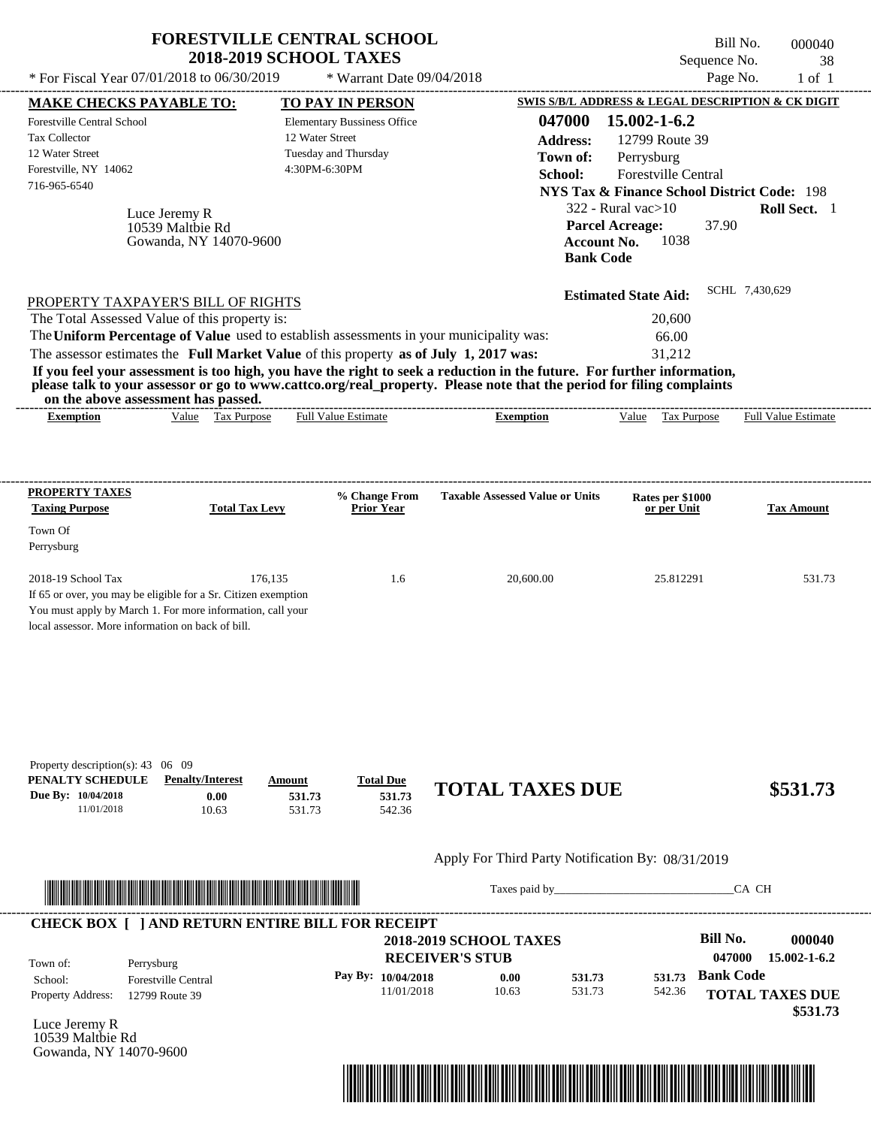|                                                                                                                                                                                                                                                                                                                                                                                                                                                                                                                             | <b>FORESTVILLE CENTRAL SCHOOL</b><br><b>2018-2019 SCHOOL TAXES</b> |                                                                                |                                                                                            | Sequence No.                                                                                                                                                                                                                                             | Bill No.<br>000040<br>38     |
|-----------------------------------------------------------------------------------------------------------------------------------------------------------------------------------------------------------------------------------------------------------------------------------------------------------------------------------------------------------------------------------------------------------------------------------------------------------------------------------------------------------------------------|--------------------------------------------------------------------|--------------------------------------------------------------------------------|--------------------------------------------------------------------------------------------|----------------------------------------------------------------------------------------------------------------------------------------------------------------------------------------------------------------------------------------------------------|------------------------------|
| * For Fiscal Year 07/01/2018 to 06/30/2019                                                                                                                                                                                                                                                                                                                                                                                                                                                                                  |                                                                    | * Warrant Date 09/04/2018                                                      |                                                                                            | Page No.                                                                                                                                                                                                                                                 | $1$ of $1$                   |
| <b>MAKE CHECKS PAYABLE TO:</b><br><b>Forestville Central School</b><br><b>Tax Collector</b><br>12 Water Street<br>Forestville, NY 14062<br>716-965-6540<br>Luce Jeremy R<br>10539 Maltbie Rd<br>Gowanda, NY 14070-9600                                                                                                                                                                                                                                                                                                      | 12 Water Street<br>4:30PM-6:30PM                                   | TO PAY IN PERSON<br><b>Elementary Bussiness Office</b><br>Tuesday and Thursday | 047000<br><b>Address:</b><br>Town of:<br>School:<br><b>Account No.</b><br><b>Bank Code</b> | SWIS S/B/L ADDRESS & LEGAL DESCRIPTION & CK DIGIT<br>15.002-1-6.2<br>12799 Route 39<br>Perrysburg<br>Forestville Central<br><b>NYS Tax &amp; Finance School District Code: 198</b><br>$322$ - Rural vac $>10$<br><b>Parcel Acreage:</b><br>37.90<br>1038 | Roll Sect. 1                 |
| PROPERTY TAXPAYER'S BILL OF RIGHTS<br>The Total Assessed Value of this property is:<br>The Uniform Percentage of Value used to establish assessments in your municipality was:<br>The assessor estimates the Full Market Value of this property as of July 1, 2017 was:<br>If you feel your assessment is too high, you have the right to seek a reduction in the future. For further information,<br>please talk to your assessor or go to www.cattco.org/real_property. Please note that the period for filing complaints |                                                                    |                                                                                |                                                                                            | <b>Estimated State Aid:</b><br>20,600<br>66.00<br>31,212                                                                                                                                                                                                 | SCHL 7,430,629               |
| on the above assessment has passed.<br><b>Exemption</b>                                                                                                                                                                                                                                                                                                                                                                                                                                                                     | Value Tax Purpose                                                  | <b>Full Value Estimate</b>                                                     | <b>Exemption</b>                                                                           | Value Tax Purpose                                                                                                                                                                                                                                        | <b>Full Value Estimate</b>   |
| <b>PROPERTY TAXES</b><br><b>Taxing Purpose</b><br>Town Of<br>Perrysburg<br>2018-19 School Tax<br>If 65 or over, you may be eligible for a Sr. Citizen exemption<br>You must apply by March 1. For more information, call your<br>local assessor. More information on back of bill.                                                                                                                                                                                                                                          | <b>Total Tax Levy</b><br>176,135                                   | % Change From<br><b>Prior Year</b><br>1.6                                      | <b>Taxable Assessed Value or Units</b><br>20,600.00                                        | Rates per \$1000<br>or per Unit<br>25.812291                                                                                                                                                                                                             | <b>Tax Amount</b><br>531.73  |
| Property description(s): $43 \quad 06 \quad 09$<br>PENALTY SCHEDULE<br><b>Penalty/Interest</b><br>Due By: 10/04/2018<br>0.00<br>11/01/2018<br>10.63                                                                                                                                                                                                                                                                                                                                                                         | Amount<br>531.73<br>531.73                                         | <b>Total Due</b><br>531.73<br>542.36                                           | <b>TOTAL TAXES DUE</b>                                                                     |                                                                                                                                                                                                                                                          | \$531.73                     |
|                                                                                                                                                                                                                                                                                                                                                                                                                                                                                                                             |                                                                    |                                                                                | Apply For Third Party Notification By: 08/31/2019                                          |                                                                                                                                                                                                                                                          |                              |
|                                                                                                                                                                                                                                                                                                                                                                                                                                                                                                                             |                                                                    |                                                                                | Taxes paid by                                                                              |                                                                                                                                                                                                                                                          | CA CH                        |
| <b>CHECK BOX [ ] AND RETURN ENTIRE BILL FOR RECEIPT</b><br>Town of:<br>Perrysburg                                                                                                                                                                                                                                                                                                                                                                                                                                           |                                                                    |                                                                                | <b>2018-2019 SCHOOL TAXES</b><br><b>RECEIVER'S STUB</b>                                    | <b>Bill No.</b><br>047000                                                                                                                                                                                                                                | 000040<br>$15.002 - 1 - 6.2$ |
| <b>Forestville Central</b><br>School:<br>Property Address.<br>$12700$ Pouto $30$                                                                                                                                                                                                                                                                                                                                                                                                                                            |                                                                    | Pay By: 10/04/2018<br>11/01/2018                                               | 531.73<br>0.00<br>10.63<br>531.73                                                          | <b>Bank Code</b><br>531.73<br>542.36                                                                                                                                                                                                                     | <b>TOTAL TAXES DUE</b>       |

11/01/2018 10.63

Property Address: 12799 Route 39

Luce Jeremy R 10539 Maltbie Rd Gowanda, NY 14070-9600



531.73

**TOTAL TAXES DUE**

542.36

 **\$531.73**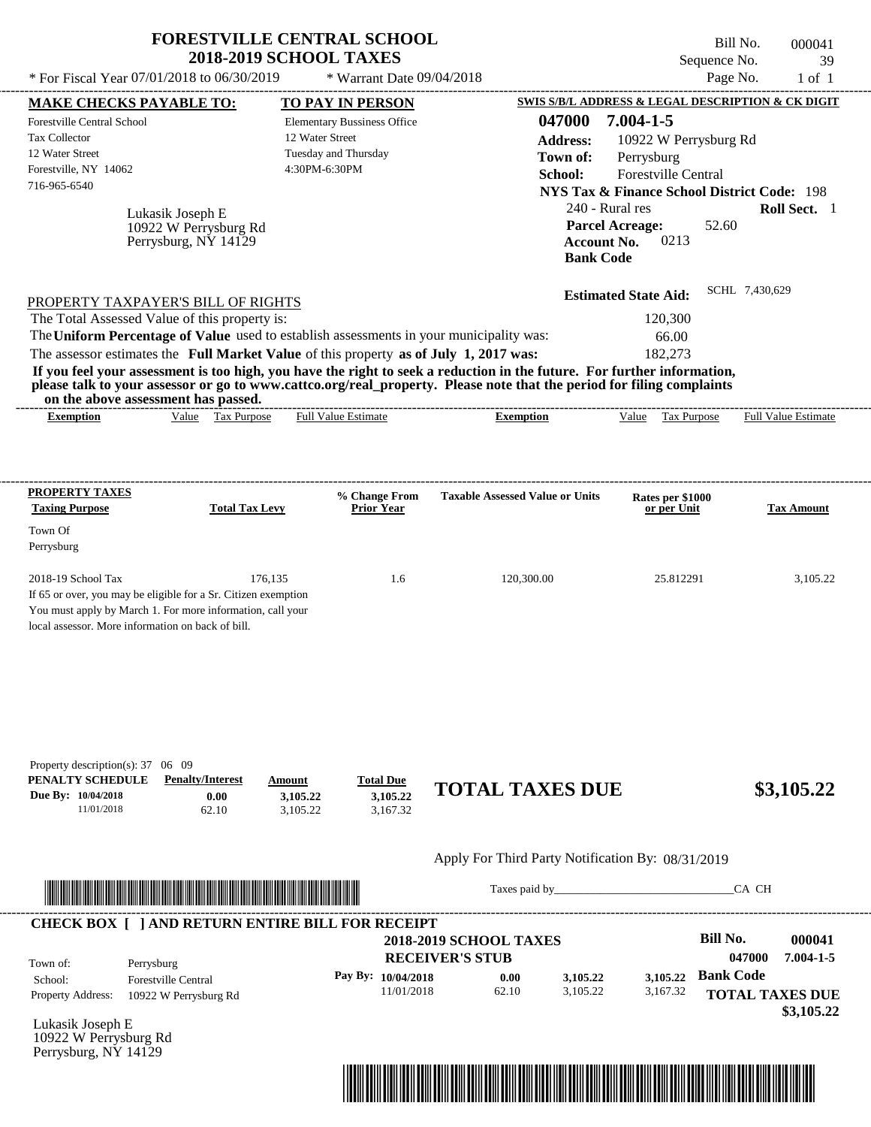| * For Fiscal Year 07/01/2018 to 06/30/2019                                                                                                                                                                                                                                                                                         | <b>FORESTVILLE CENTRAL SCHOOL</b><br><b>2018-2019 SCHOOL TAXES</b>         | * Warrant Date 09/04/2018                                                                      |                                                                                                                                                                                                                                                                      |                                                                                                                                                                                                                                        | Bill No.<br>Sequence No.<br>Page No.       | 000041<br>39<br>$1$ of $1$ |
|------------------------------------------------------------------------------------------------------------------------------------------------------------------------------------------------------------------------------------------------------------------------------------------------------------------------------------|----------------------------------------------------------------------------|------------------------------------------------------------------------------------------------|----------------------------------------------------------------------------------------------------------------------------------------------------------------------------------------------------------------------------------------------------------------------|----------------------------------------------------------------------------------------------------------------------------------------------------------------------------------------------------------------------------------------|--------------------------------------------|----------------------------|
| <b>MAKE CHECKS PAYABLE TO:</b>                                                                                                                                                                                                                                                                                                     |                                                                            | <b>TO PAY IN PERSON</b>                                                                        |                                                                                                                                                                                                                                                                      | SWIS S/B/L ADDRESS & LEGAL DESCRIPTION & CK DIGIT                                                                                                                                                                                      |                                            |                            |
| <b>Forestville Central School</b><br>Tax Collector<br>12 Water Street<br>Forestville, NY 14062<br>716-965-6540<br>Lukasik Joseph E                                                                                                                                                                                                 | 10922 W Perrysburg Rd<br>Perrysburg, NY 14129                              | <b>Elementary Bussiness Office</b><br>12 Water Street<br>Tuesday and Thursday<br>4:30PM-6:30PM | 047000<br><b>Address:</b><br>Town of:<br>School:                                                                                                                                                                                                                     | $7.004 - 1 - 5$<br>10922 W Perrysburg Rd<br>Perrysburg<br>Forestville Central<br><b>NYS Tax &amp; Finance School District Code: 198</b><br>240 - Rural res<br><b>Parcel Acreage:</b><br>0213<br><b>Account No.</b><br><b>Bank Code</b> | 52.60                                      | Roll Sect. 1               |
| PROPERTY TAXPAYER'S BILL OF RIGHTS<br>The Total Assessed Value of this property is:<br>The Uniform Percentage of Value used to establish assessments in your municipality was:<br>The assessor estimates the Full Market Value of this property as of July 1, 2017 was:<br>on the above assessment has passed.<br><b>Exemption</b> | Value Tax Purpose                                                          | <b>Full Value Estimate</b>                                                                     | If you feel your assessment is too high, you have the right to seek a reduction in the future. For further information,<br>please talk to your assessor or go to www.cattco.org/real_property. Please note that the period for filing complaints<br><b>Exemption</b> | <b>Estimated State Aid:</b><br>120,300<br>66.00<br>182,273<br>Value Tax Purpose                                                                                                                                                        | SCHL 7,430,629                             | <b>Full Value Estimate</b> |
|                                                                                                                                                                                                                                                                                                                                    |                                                                            |                                                                                                |                                                                                                                                                                                                                                                                      |                                                                                                                                                                                                                                        |                                            |                            |
| PROPERTY TAXES<br><b>Taxing Purpose</b>                                                                                                                                                                                                                                                                                            | <b>Total Tax Levy</b>                                                      | % Change From<br><b>Prior Year</b>                                                             | <b>Taxable Assessed Value or Units</b>                                                                                                                                                                                                                               | Rates per \$1000<br>or per Unit                                                                                                                                                                                                        |                                            | <b>Tax Amount</b>          |
| Town Of<br>Perrysburg                                                                                                                                                                                                                                                                                                              |                                                                            |                                                                                                |                                                                                                                                                                                                                                                                      |                                                                                                                                                                                                                                        |                                            |                            |
| 2018-19 School Tax<br>If 65 or over, you may be eligible for a Sr. Citizen exemption<br>You must apply by March 1. For more information, call your<br>local assessor. More information on back of bill.                                                                                                                            | 176,135                                                                    | 1.6                                                                                            | 120,300.00                                                                                                                                                                                                                                                           | 25.812291                                                                                                                                                                                                                              |                                            | 3,105.22                   |
| Property description(s): $37 \quad 06 \quad 09$<br>PENALTY SCHEDULE<br>Due By: 10/04/2018<br>11/01/2018                                                                                                                                                                                                                            | <b>Penalty/Interest</b><br>Amount<br>0.00<br>3,105.22<br>3,105.22<br>62.10 | <b>Total Due</b><br>3,105.22<br>3,167.32                                                       | <b>TOTAL TAXES DUE</b>                                                                                                                                                                                                                                               |                                                                                                                                                                                                                                        |                                            | \$3,105.22                 |
|                                                                                                                                                                                                                                                                                                                                    |                                                                            |                                                                                                | Apply For Third Party Notification By: 08/31/2019                                                                                                                                                                                                                    |                                                                                                                                                                                                                                        |                                            |                            |
| <u> Indian American State and The Communication of the Communication of the Communication of the Communication of the Communication of the Communication of the Communication of the Communication of the Communication of the C</u>                                                                                               |                                                                            |                                                                                                |                                                                                                                                                                                                                                                                      | Taxes paid by                                                                                                                                                                                                                          | CA CH                                      |                            |
| <b>CHECK BOX [ ] AND RETURN ENTIRE BILL FOR RECEIPT</b>                                                                                                                                                                                                                                                                            |                                                                            |                                                                                                | <b>2018-2019 SCHOOL TAXES</b><br><b>RECEIVER'S STUB</b>                                                                                                                                                                                                              |                                                                                                                                                                                                                                        | Bill No.<br>047000                         | 000041<br>$7.004 - 1 - 5$  |
| Town of:<br>Perrysburg<br>School:<br><b>Forestville Central</b><br>Property Address:                                                                                                                                                                                                                                               | 10922 W Perrysburg Rd                                                      | Pay By: 10/04/2018<br>11/01/2018                                                               | 0.00<br>3,105.22<br>62.10<br>3,105.22                                                                                                                                                                                                                                | 3,105.22<br>3,167.32                                                                                                                                                                                                                   | <b>Bank Code</b><br><b>TOTAL TAXES DUE</b> | \$3,105.22                 |
| Lukasik Joseph F                                                                                                                                                                                                                                                                                                                   |                                                                            |                                                                                                |                                                                                                                                                                                                                                                                      |                                                                                                                                                                                                                                        |                                            |                            |

Lukasik Joseph E 10922 W Perrysburg Rd Perrysburg, NY 14129

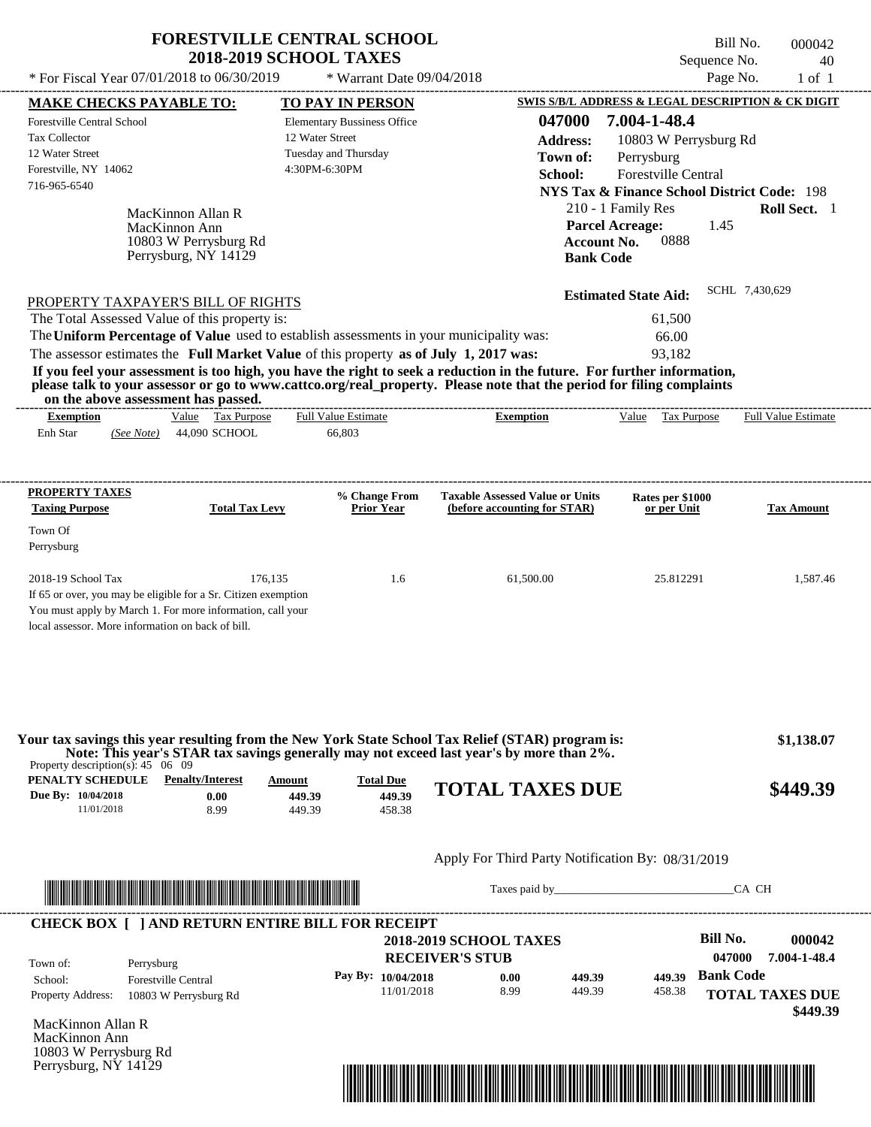| * For Fiscal Year 07/01/2018 to 06/30/2019<br><b>MAKE CHECKS PAYABLE TO:</b><br>Forestville Central School |                                                                                     | <b>2018-2019 SCHOOL TAXES</b>                                                                  |                                                                                                                                                                                                                                                  | Bill No.<br>Sequence No.                                                                                                             | 000042<br>40        |
|------------------------------------------------------------------------------------------------------------|-------------------------------------------------------------------------------------|------------------------------------------------------------------------------------------------|--------------------------------------------------------------------------------------------------------------------------------------------------------------------------------------------------------------------------------------------------|--------------------------------------------------------------------------------------------------------------------------------------|---------------------|
|                                                                                                            |                                                                                     | * Warrant Date 09/04/2018                                                                      |                                                                                                                                                                                                                                                  | Page No.                                                                                                                             | $1$ of $1$          |
|                                                                                                            |                                                                                     | <b>TO PAY IN PERSON</b>                                                                        |                                                                                                                                                                                                                                                  | SWIS S/B/L ADDRESS & LEGAL DESCRIPTION & CK DIGIT                                                                                    |                     |
| <b>Tax Collector</b><br>12 Water Street<br>Forestville, NY 14062<br>716-965-6540                           |                                                                                     | <b>Elementary Bussiness Office</b><br>12 Water Street<br>Tuesday and Thursday<br>4:30PM-6:30PM | 047000<br><b>Address:</b><br>Town of:<br>School:                                                                                                                                                                                                 | 7.004-1-48.4<br>10803 W Perrysburg Rd<br>Perrysburg<br>Forestville Central<br><b>NYS Tax &amp; Finance School District Code: 198</b> |                     |
|                                                                                                            | MacKinnon Allan R<br>MacKinnon Ann<br>10803 W Perrysburg Rd<br>Perrysburg, NY 14129 |                                                                                                | <b>Account No.</b><br><b>Bank Code</b>                                                                                                                                                                                                           | 210 - 1 Family Res<br><b>Parcel Acreage:</b><br>1.45<br>0888                                                                         | Roll Sect. 1        |
| PROPERTY TAXPAYER'S BILL OF RIGHTS                                                                         |                                                                                     |                                                                                                |                                                                                                                                                                                                                                                  | <b>Estimated State Aid:</b>                                                                                                          | SCHL 7,430,629      |
| The Total Assessed Value of this property is:                                                              |                                                                                     |                                                                                                |                                                                                                                                                                                                                                                  | 61,500                                                                                                                               |                     |
|                                                                                                            |                                                                                     | The Uniform Percentage of Value used to establish assessments in your municipality was:        |                                                                                                                                                                                                                                                  | 66.00                                                                                                                                |                     |
| on the above assessment has passed.                                                                        |                                                                                     |                                                                                                | If you feel your assessment is too high, you have the right to seek a reduction in the future. For further information,<br>please talk to your assessor or go to www.cattco.org/real_property. Please note that the period for filing complaints |                                                                                                                                      |                     |
| <b>Exemption</b>                                                                                           | Value Tax Purpose                                                                   | <b>Full Value Estimate</b>                                                                     | <b>Exemption</b>                                                                                                                                                                                                                                 | Value Tax Purpose                                                                                                                    | Full Value Estimate |
| Enh Star<br>(See Note)                                                                                     | 44,090 SCHOOL                                                                       | 66,803                                                                                         |                                                                                                                                                                                                                                                  |                                                                                                                                      |                     |
| PROPERTY TAXES<br><b>Taxing Purpose</b>                                                                    | <b>Total Tax Levy</b>                                                               | % Change From<br><b>Prior Year</b>                                                             | <b>Taxable Assessed Value or Units</b><br>(before accounting for STAR)                                                                                                                                                                           | Rates per \$1000<br>or per Unit                                                                                                      | <b>Tax Amount</b>   |
| Town Of<br>Perrysburg                                                                                      |                                                                                     |                                                                                                |                                                                                                                                                                                                                                                  |                                                                                                                                      |                     |

**Due By: 10/04/2018** 11/01/2018 8.99 **0.00** 449.39 **449.39** 458.38 **449.39 TOTAL TAXES DUE \$449.39**

# Apply For Third Party Notification By: 08/31/2019



Taxes paid by\_\_\_\_\_\_\_\_\_\_\_\_\_\_\_\_\_\_\_\_\_\_\_\_\_\_\_\_\_\_\_CA CH



MacKinnon Allan R MacKinnon Ann 10803 W Perrysburg Rd Perrysburg, NY 14129

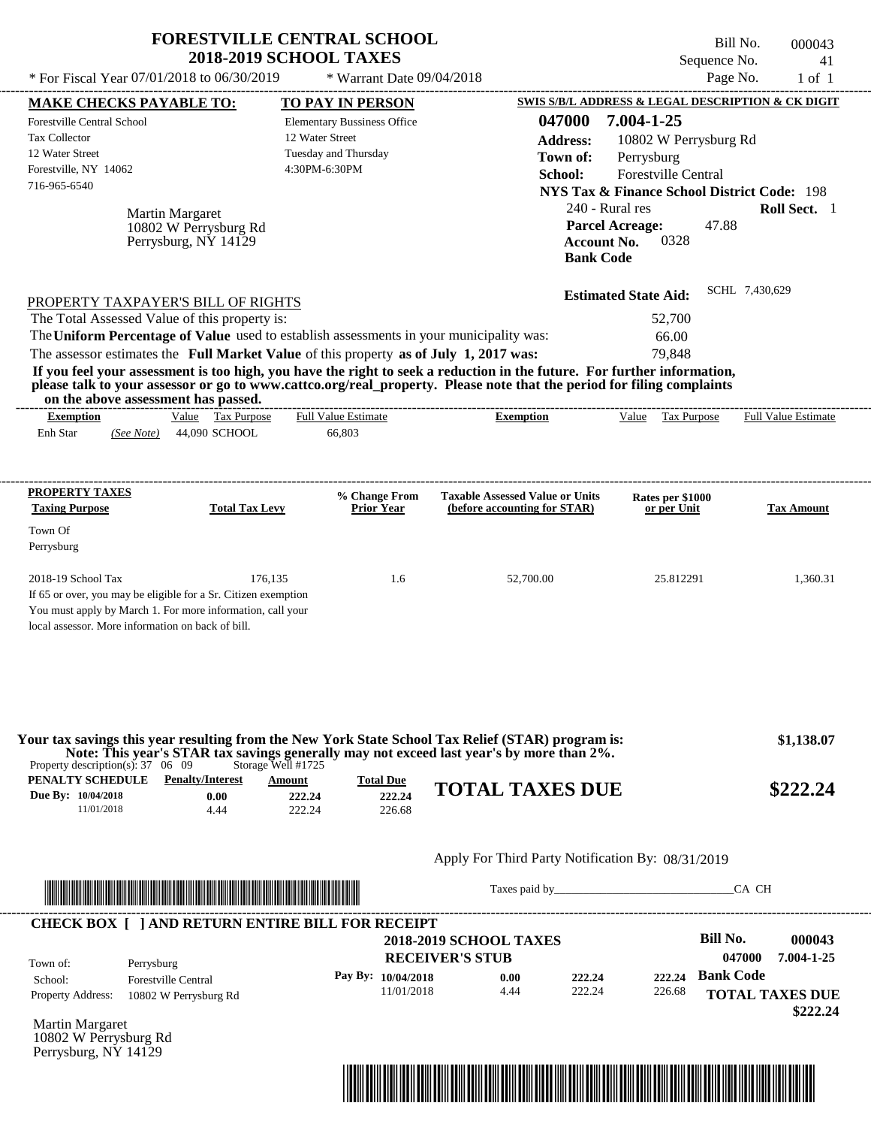|                                                                                                                                                                                                                                                                                         | <b>FORESTVILLE CENTRAL SCHOOL</b><br><b>2018-2019 SCHOOL TAXES</b> |                                                                        |                                                                                             | Bill No.<br>000043<br>Sequence No.<br>41               |
|-----------------------------------------------------------------------------------------------------------------------------------------------------------------------------------------------------------------------------------------------------------------------------------------|--------------------------------------------------------------------|------------------------------------------------------------------------|---------------------------------------------------------------------------------------------|--------------------------------------------------------|
| * For Fiscal Year 07/01/2018 to 06/30/2019                                                                                                                                                                                                                                              | * Warrant Date 09/04/2018                                          |                                                                        |                                                                                             | Page No.<br>$1$ of $1$                                 |
| <b>MAKE CHECKS PAYABLE TO:</b>                                                                                                                                                                                                                                                          | TO PAY IN PERSON                                                   |                                                                        |                                                                                             | SWIS S/B/L ADDRESS & LEGAL DESCRIPTION & CK DIGIT      |
| <b>Forestville Central School</b><br>Tax Collector                                                                                                                                                                                                                                      | <b>Elementary Bussiness Office</b><br>12 Water Street              | 047000<br><b>Address:</b>                                              | 7.004-1-25<br>10802 W Perrysburg Rd                                                         |                                                        |
| 12 Water Street<br>Forestville, NY 14062<br>716-965-6540                                                                                                                                                                                                                                | Tuesday and Thursday<br>4:30PM-6:30PM                              | Town of:<br>School:                                                    | Perrysburg<br>Forestville Central                                                           | <b>NYS Tax &amp; Finance School District Code: 198</b> |
| Martin Margaret<br>10802 W Perrysburg Rd<br>Perrysburg, NY 14129                                                                                                                                                                                                                        |                                                                    |                                                                        | 240 - Rural res<br><b>Parcel Acreage:</b><br>0328<br><b>Account No.</b><br><b>Bank Code</b> | Roll Sect. 1<br>47.88                                  |
| PROPERTY TAXPAYER'S BILL OF RIGHTS                                                                                                                                                                                                                                                      |                                                                    |                                                                        | <b>Estimated State Aid:</b>                                                                 | SCHL 7,430,629                                         |
| The Total Assessed Value of this property is:                                                                                                                                                                                                                                           |                                                                    |                                                                        | 52,700                                                                                      |                                                        |
| The Uniform Percentage of Value used to establish assessments in your municipality was:                                                                                                                                                                                                 |                                                                    |                                                                        | 66.00                                                                                       |                                                        |
| The assessor estimates the Full Market Value of this property as of July 1, 2017 was:                                                                                                                                                                                                   |                                                                    |                                                                        | 79,848                                                                                      |                                                        |
| If you feel your assessment is too high, you have the right to seek a reduction in the future. For further information,<br>please talk to your assessor or go to www.cattco.org/real_property. Please note that the period for filing complaints<br>on the above assessment has passed. |                                                                    |                                                                        |                                                                                             |                                                        |
| Value Tax Purpose<br><b>Exemption</b>                                                                                                                                                                                                                                                   | <b>Full Value Estimate</b>                                         | <b>Exemption</b>                                                       | Value Tax Purpose                                                                           | <b>Full Value Estimate</b>                             |
| Enh Star<br>44,090 SCHOOL<br>(See Note)                                                                                                                                                                                                                                                 | 66,803                                                             |                                                                        |                                                                                             |                                                        |
| PROPERTY TAXES<br><b>Taxing Purpose</b><br><b>Total Tax Levy</b><br>Town Of                                                                                                                                                                                                             | % Change From<br><b>Prior Year</b>                                 | <b>Taxable Assessed Value or Units</b><br>(before accounting for STAR) | Rates per \$1000<br>or per Unit                                                             | <b>Tax Amount</b>                                      |
| Perrysburg                                                                                                                                                                                                                                                                              |                                                                    |                                                                        |                                                                                             |                                                        |
| 2018-19 School Tax<br>If 65 or over, you may be eligible for a Sr. Citizen exemption<br>You must apply by March 1. For more information, call your<br>local assessor. More information on back of bill.                                                                                 | 176,135<br>1.6                                                     | 52,700.00                                                              | 25.812291                                                                                   | 1,360.31                                               |
| Your tax savings this year resulting from the New York State School Tax Relief (STAR) program is:<br>Note: This year's STAR tax savings generally may not exceed last year's by more than 2%.<br>Property description(s): $37 \quad 06 \quad 09$                                        | Storage Well #1725                                                 |                                                                        |                                                                                             | \$1,138.07                                             |
| <b>PENALTY SCHEDULE</b> Penalty/Interest                                                                                                                                                                                                                                                | <b>Amount</b><br><b>Total Due</b>                                  | <b>TOTAL TAXES DUE</b>                                                 |                                                                                             |                                                        |
| Due By: 10/04/2018<br>0.00<br>11/01/2018<br>4.44                                                                                                                                                                                                                                        | 222.24<br>222.24<br>222.24<br>226.68                               |                                                                        |                                                                                             | \$222.24                                               |
|                                                                                                                                                                                                                                                                                         |                                                                    | Apply For Third Party Notification By: 08/31/2019                      |                                                                                             |                                                        |
|                                                                                                                                                                                                                                                                                         |                                                                    |                                                                        | Taxes paid by                                                                               | CA CH                                                  |
| <b>CHECK BOX [ ] AND RETURN ENTIRE BILL FOR RECEIPT</b>                                                                                                                                                                                                                                 |                                                                    |                                                                        |                                                                                             |                                                        |
|                                                                                                                                                                                                                                                                                         |                                                                    | <b>2018-2019 SCHOOL TAXES</b><br><b>RECEIVER'S STUB</b>                |                                                                                             | <b>Bill No.</b><br>000043<br>047000<br>7.004-1-25      |
| Town of:<br>Perrysburg<br><b>Forestville Central</b><br>School:                                                                                                                                                                                                                         | Pay By: 10/04/2018                                                 | 0.00                                                                   | 222.24<br>222.24                                                                            | <b>Bank Code</b>                                       |
| <b>Property Address:</b><br>10802 W Perrysburg Rd                                                                                                                                                                                                                                       | 11/01/2018                                                         | 4.44                                                                   | 222.24<br>226.68                                                                            | <b>TOTAL TAXES DUE</b>                                 |

Martin Margaret 10802 W Perrysburg Rd Perrysburg, NY 14129



 **\$222.24**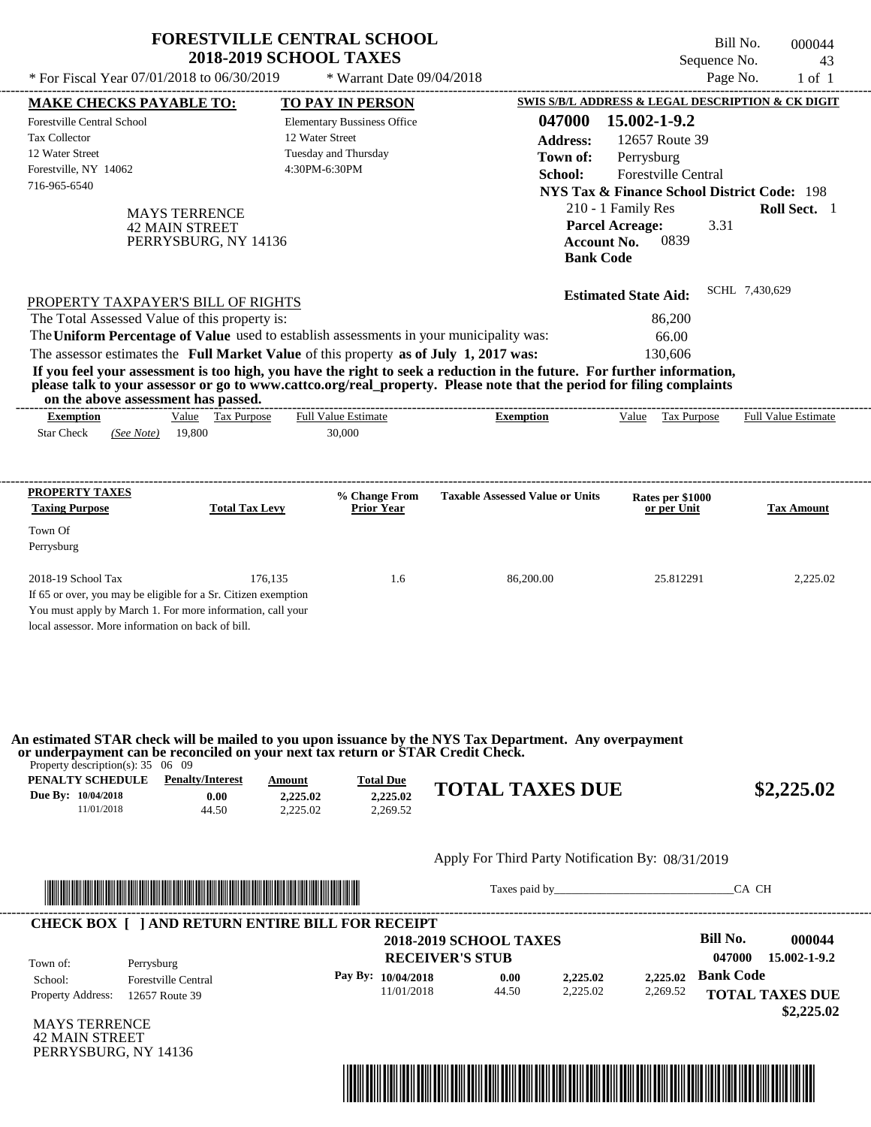|                                                                                                                                                                                                                                              | <b>FORESTVILLE CENTRAL SCHOOL</b><br><b>2018-2019 SCHOOL TAXES</b>            |                                                         | Bill No.<br>Sequence No.                                                                                   | 000044<br>43                         |
|----------------------------------------------------------------------------------------------------------------------------------------------------------------------------------------------------------------------------------------------|-------------------------------------------------------------------------------|---------------------------------------------------------|------------------------------------------------------------------------------------------------------------|--------------------------------------|
| * For Fiscal Year 07/01/2018 to 06/30/2019                                                                                                                                                                                                   | * Warrant Date 09/04/2018                                                     |                                                         | Page No.                                                                                                   | $1$ of $1$                           |
| <b>MAKE CHECKS PAYABLE TO:</b>                                                                                                                                                                                                               | <b>TO PAY IN PERSON</b>                                                       |                                                         | SWIS S/B/L ADDRESS & LEGAL DESCRIPTION & CK DIGIT                                                          |                                      |
| <b>Forestville Central School</b><br>Tax Collector<br>12 Water Street                                                                                                                                                                        | <b>Elementary Bussiness Office</b><br>12 Water Street<br>Tuesday and Thursday | 047000<br>Address:<br>Town of:                          | 15.002-1-9.2<br>12657 Route 39<br>Perrysburg                                                               |                                      |
| Forestville, NY 14062<br>716-965-6540<br><b>MAYS TERRENCE</b>                                                                                                                                                                                | 4:30PM-6:30PM                                                                 | School:                                                 | <b>Forestville Central</b><br><b>NYS Tax &amp; Finance School District Code: 198</b><br>210 - 1 Family Res | Roll Sect. 1                         |
| <b>42 MAIN STREET</b><br>PERRYSBURG, NY 14136                                                                                                                                                                                                |                                                                               | <b>Account No.</b><br><b>Bank Code</b>                  | <b>Parcel Acreage:</b><br>3.31<br>0839                                                                     |                                      |
| PROPERTY TAXPAYER'S BILL OF RIGHTS                                                                                                                                                                                                           |                                                                               |                                                         | <b>Estimated State Aid:</b>                                                                                | SCHL 7,430,629                       |
| The Total Assessed Value of this property is:                                                                                                                                                                                                |                                                                               |                                                         | 86,200                                                                                                     |                                      |
| The Uniform Percentage of Value used to establish assessments in your municipality was:                                                                                                                                                      |                                                                               |                                                         | 66.00                                                                                                      |                                      |
| The assessor estimates the Full Market Value of this property as of July 1, 2017 was:                                                                                                                                                        |                                                                               |                                                         | 130.606                                                                                                    |                                      |
| If you feel your assessment is too high, you have the right to seek a reduction in the future. For further information,                                                                                                                      |                                                                               |                                                         |                                                                                                            |                                      |
| please talk to your assessor or go to www.cattco.org/real_property. Please note that the period for filing complaints<br>on the above assessment has passed.                                                                                 |                                                                               |                                                         |                                                                                                            |                                      |
| Value Tax Purpose<br><b>Exemption</b>                                                                                                                                                                                                        | <b>Full Value Estimate</b>                                                    | <b>Exemption</b>                                        | Value Tax Purpose                                                                                          | <b>Full Value Estimate</b>           |
| <b>Star Check</b><br>19,800<br>(See Note)                                                                                                                                                                                                    | 30,000                                                                        |                                                         |                                                                                                            |                                      |
| <b>PROPERTY TAXES</b><br><b>Taxing Purpose</b><br><b>Total Tax Levy</b>                                                                                                                                                                      | % Change From<br><b>Prior Year</b>                                            | <b>Taxable Assessed Value or Units</b>                  | Rates per \$1000<br>or per Unit                                                                            | <b>Tax Amount</b>                    |
| Town Of<br>Perrysburg                                                                                                                                                                                                                        |                                                                               |                                                         |                                                                                                            |                                      |
| 2018-19 School Tax<br>If 65 or over, you may be eligible for a Sr. Citizen exemption<br>You must apply by March 1. For more information, call your<br>local assessor. More information on back of bill.                                      | 176.135<br>1.6                                                                | 86,200.00                                               | 25.812291                                                                                                  | 2,225.02                             |
| An estimated STAR check will be mailed to you upon issuance by the NYS Tax Department. Any overpayment<br>or underpayment can be reconciled on your next tax return or STAR Credit Check.<br>Property description(s): $35 \quad 06 \quad 09$ |                                                                               |                                                         |                                                                                                            |                                      |
| PENALTY SCHEDULE<br><b>Penalty/Interest</b><br>Due By: 10/04/2018<br>0.00<br>11/01/2018<br>44.50                                                                                                                                             | <b>Total Due</b><br>Amount<br>2.225.02<br>2,225.02<br>2,269.52<br>2,225.02    | <b>TOTAL TAXES DUE</b>                                  |                                                                                                            | \$2,225.02                           |
|                                                                                                                                                                                                                                              |                                                                               | Apply For Third Party Notification By: 08/31/2019       |                                                                                                            |                                      |
|                                                                                                                                                                                                                                              |                                                                               |                                                         |                                                                                                            | CA CH                                |
| <b>CHECK BOX [ ] AND RETURN ENTIRE BILL FOR RECEIPT</b>                                                                                                                                                                                      |                                                                               |                                                         |                                                                                                            |                                      |
|                                                                                                                                                                                                                                              |                                                                               | <b>2018-2019 SCHOOL TAXES</b><br><b>RECEIVER'S STUB</b> | Bill No.<br>047000                                                                                         | 000044<br>15.002-1-9.2               |
| Town of:<br>Perrysburg<br><b>Forestville Central</b><br>School:                                                                                                                                                                              | Pay By: 10/04/2018                                                            | 0.00<br>2,225.02                                        | <b>Bank Code</b><br>2,225.02                                                                               |                                      |
| Property Address:<br>12657 Route 39                                                                                                                                                                                                          | 11/01/2018                                                                    | 44.50<br>2,225.02                                       | 2,269.52                                                                                                   | <b>TOTAL TAXES DUE</b><br>\$2,225.02 |
| <b>MAVE TEDDENCE</b>                                                                                                                                                                                                                         |                                                                               |                                                         |                                                                                                            |                                      |

**FORESTVILLE CENTRAL SCHOOL**

MAYS TERRENCE 42 MAIN STREET PERRYSBURG, NY 14136

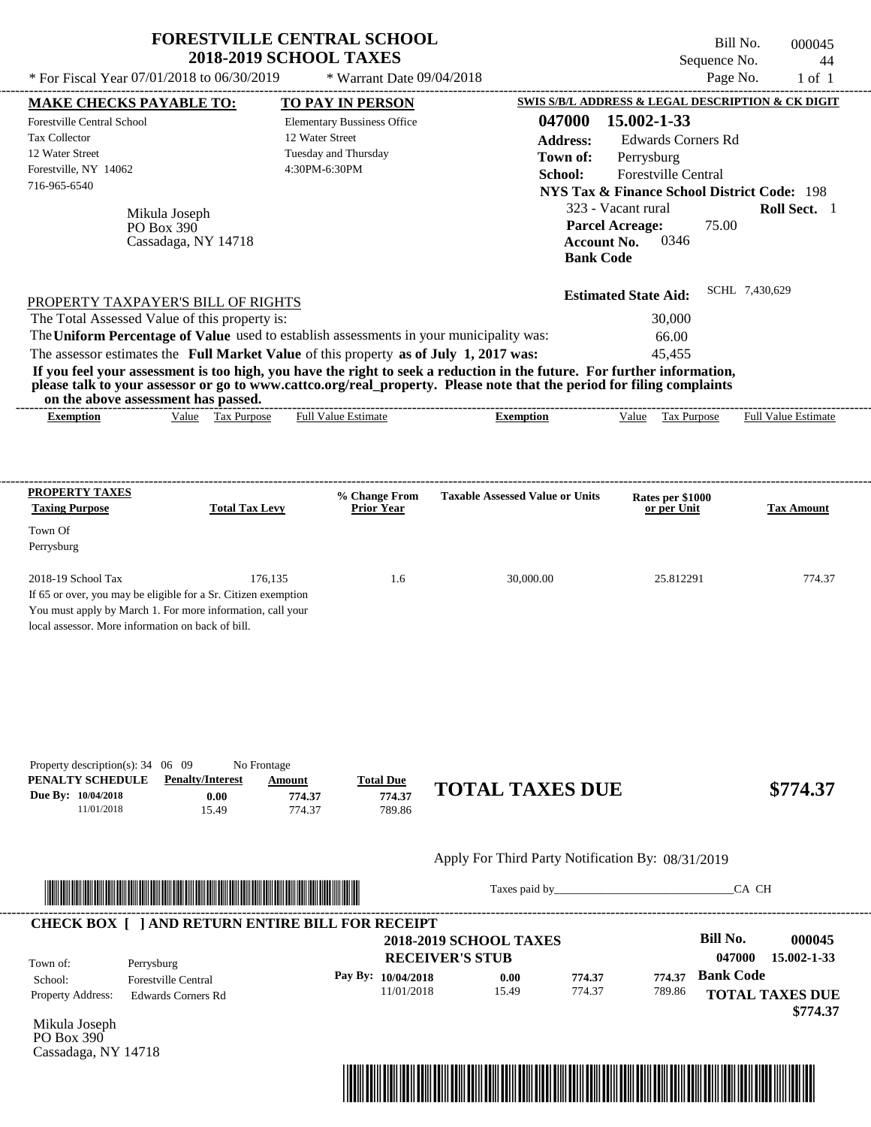|                                                                                                                                                                                                                                                                                         | <b>FORESTVILLE CENTRAL SCHOOL</b>                                  |                                                     |                                              | Bill No.<br>000045                                     |
|-----------------------------------------------------------------------------------------------------------------------------------------------------------------------------------------------------------------------------------------------------------------------------------------|--------------------------------------------------------------------|-----------------------------------------------------|----------------------------------------------|--------------------------------------------------------|
| * For Fiscal Year 07/01/2018 to 06/30/2019                                                                                                                                                                                                                                              | <b>2018-2019 SCHOOL TAXES</b><br>* Warrant Date 09/04/2018         |                                                     |                                              | Sequence No.<br>44<br>Page No.<br>$1$ of $1$           |
|                                                                                                                                                                                                                                                                                         |                                                                    |                                                     |                                              | SWIS S/B/L ADDRESS & LEGAL DESCRIPTION & CK DIGIT      |
| <b>MAKE CHECKS PAYABLE TO:</b><br><b>Forestville Central School</b>                                                                                                                                                                                                                     | <b>TO PAY IN PERSON</b><br><b>Elementary Bussiness Office</b>      | 047000                                              | 15.002-1-33                                  |                                                        |
| <b>Tax Collector</b>                                                                                                                                                                                                                                                                    | 12 Water Street                                                    | <b>Address:</b>                                     | <b>Edwards Corners Rd</b>                    |                                                        |
| 12 Water Street                                                                                                                                                                                                                                                                         | Tuesday and Thursday                                               |                                                     |                                              |                                                        |
| Forestville, NY 14062                                                                                                                                                                                                                                                                   | 4:30PM-6:30PM                                                      | Town of:                                            | Perrysburg                                   |                                                        |
| 716-965-6540                                                                                                                                                                                                                                                                            |                                                                    | School:                                             | Forestville Central                          |                                                        |
|                                                                                                                                                                                                                                                                                         |                                                                    |                                                     |                                              | <b>NYS Tax &amp; Finance School District Code: 198</b> |
| Mikula Joseph                                                                                                                                                                                                                                                                           |                                                                    |                                                     | 323 - Vacant rural                           | Roll Sect. 1                                           |
| PO Box 390                                                                                                                                                                                                                                                                              |                                                                    |                                                     | <b>Parcel Acreage:</b>                       | 75.00                                                  |
| Cassadaga, NY 14718                                                                                                                                                                                                                                                                     |                                                                    | <b>Account No.</b>                                  | 0346                                         |                                                        |
|                                                                                                                                                                                                                                                                                         |                                                                    | <b>Bank Code</b>                                    |                                              |                                                        |
|                                                                                                                                                                                                                                                                                         |                                                                    |                                                     | <b>Estimated State Aid:</b>                  | SCHL 7,430,629                                         |
| PROPERTY TAXPAYER'S BILL OF RIGHTS                                                                                                                                                                                                                                                      |                                                                    |                                                     |                                              |                                                        |
| The Total Assessed Value of this property is:                                                                                                                                                                                                                                           |                                                                    |                                                     | 30,000                                       |                                                        |
| The Uniform Percentage of Value used to establish assessments in your municipality was:                                                                                                                                                                                                 |                                                                    |                                                     | 66.00                                        |                                                        |
| The assessor estimates the Full Market Value of this property as of July 1, 2017 was:                                                                                                                                                                                                   |                                                                    |                                                     | 45,455                                       |                                                        |
| If you feel your assessment is too high, you have the right to seek a reduction in the future. For further information,<br>please talk to your assessor or go to www.cattco.org/real_property. Please note that the period for filing complaints<br>on the above assessment has passed. |                                                                    | -----------------------                             |                                              |                                                        |
| Value Tax Purpose<br><b>Exemption</b>                                                                                                                                                                                                                                                   | <b>Full Value Estimate</b>                                         | <b>Exemption</b>                                    | Value Tax Purpose                            | <b>Full Value Estimate</b>                             |
| PROPERTY TAXES<br><b>Taxing Purpose</b><br><b>Total Tax Levy</b><br>Town Of<br>Perrysburg<br>176,135<br>2018-19 School Tax                                                                                                                                                              | % Change From<br><b>Prior Year</b><br>1.6                          | <b>Taxable Assessed Value or Units</b><br>30,000.00 | Rates per \$1000<br>or per Unit<br>25.812291 | Tax Amount<br>774.37                                   |
| If 65 or over, you may be eligible for a Sr. Citizen exemption<br>You must apply by March 1. For more information, call your<br>local assessor. More information on back of bill.                                                                                                       |                                                                    |                                                     |                                              |                                                        |
| Property description(s): $34 \quad 06 \quad 09$<br>No Frontage<br>PENALTY SCHEDULE<br><b>Penalty/Interest</b><br>Due By: 10/04/2018<br>0.00<br>11/01/2018<br>15.49                                                                                                                      | <b>Total Due</b><br>Amount<br>774.37<br>774.37<br>774.37<br>789.86 | <b>TOTAL TAXES DUE</b>                              |                                              | \$774.37                                               |
|                                                                                                                                                                                                                                                                                         |                                                                    | Apply For Third Party Notification By: 08/31/2019   |                                              |                                                        |
|                                                                                                                                                                                                                                                                                         |                                                                    | Taxes paid by                                       |                                              | CA CH                                                  |
| <b>CHECK BOX [ ] AND RETURN ENTIRE BILL FOR RECEIPT</b>                                                                                                                                                                                                                                 |                                                                    |                                                     |                                              |                                                        |
|                                                                                                                                                                                                                                                                                         |                                                                    | <b>2018-2019 SCHOOL TAXES</b>                       |                                              | <b>Bill No.</b><br>000045                              |
| Town of:<br>Perrysburg                                                                                                                                                                                                                                                                  |                                                                    | <b>RECEIVER'S STUB</b>                              |                                              | 047000<br>15.002-1-33                                  |
| <b>Forestville Central</b><br>School:                                                                                                                                                                                                                                                   | Pay By: 10/04/2018                                                 | 0.00<br>774.37                                      | 774.37                                       | <b>Bank Code</b>                                       |
| Property Address:<br><b>Edwards Corners Rd</b>                                                                                                                                                                                                                                          | 11/01/2018                                                         | 774.37<br>15.49                                     | 789.86                                       | <b>TOTAL TAXES DUE</b>                                 |

Mikula Joseph PO Box 390 Cassadaga, NY 14718

Property Address: Edwards Corners Rd



**TOTAL TAXES DUE**

 **\$774.37**

# **FORESTVILLE CENTRAL SCHOOL**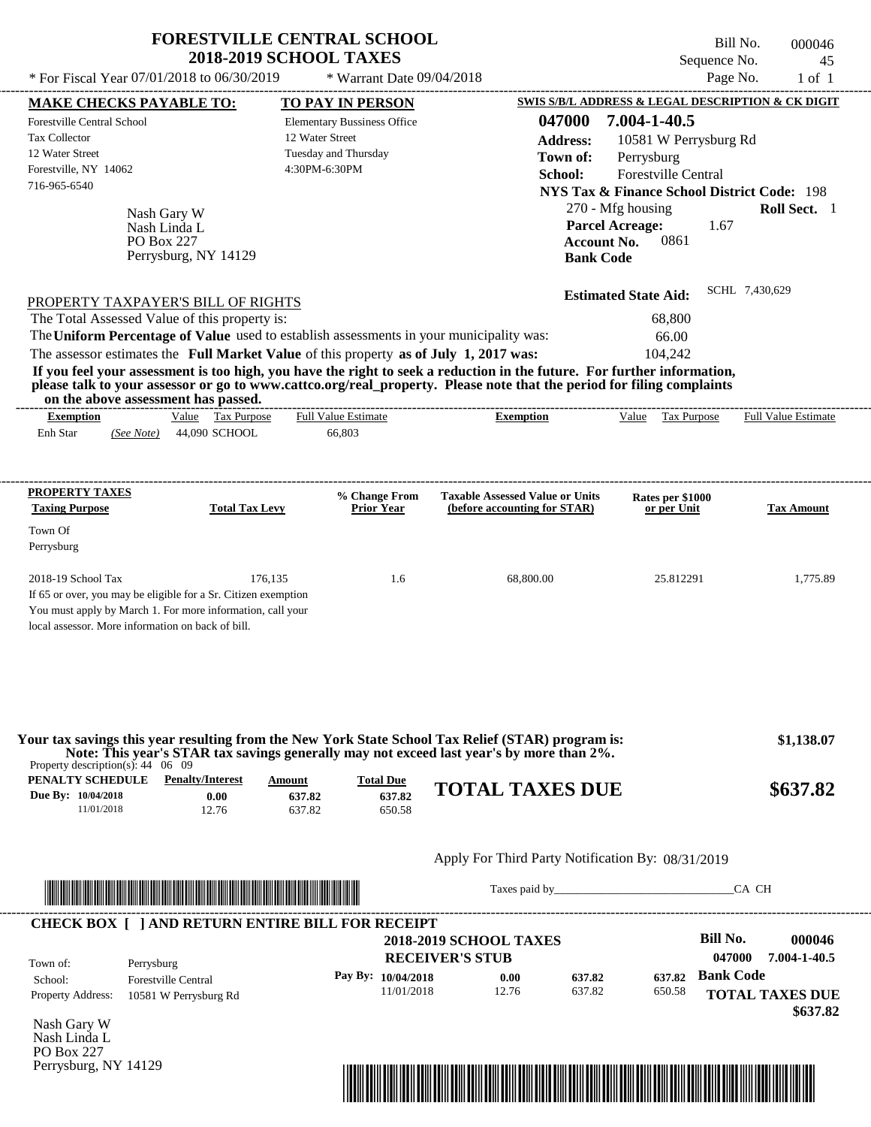| * For Fiscal Year 07/01/2018 to 06/30/2019                                                                                                                                                              |                                                     | <b>FORESTVILLE CENTRAL SCHOOL</b><br><b>2018-2019 SCHOOL TAXES</b><br>* Warrant Date 09/04/2018                                                                                  |                                                                                                                                                                                                                                                  | Sequence No.                                                                                                                         | Bill No.<br>000046<br>45<br>Page No.<br>$1$ of $1$ |
|---------------------------------------------------------------------------------------------------------------------------------------------------------------------------------------------------------|-----------------------------------------------------|----------------------------------------------------------------------------------------------------------------------------------------------------------------------------------|--------------------------------------------------------------------------------------------------------------------------------------------------------------------------------------------------------------------------------------------------|--------------------------------------------------------------------------------------------------------------------------------------|----------------------------------------------------|
| <b>MAKE CHECKS PAYABLE TO:</b>                                                                                                                                                                          |                                                     | <b>TO PAY IN PERSON</b>                                                                                                                                                          |                                                                                                                                                                                                                                                  | SWIS S/B/L ADDRESS & LEGAL DESCRIPTION & CK DIGIT                                                                                    |                                                    |
| Forestville Central School<br><b>Tax Collector</b><br>12 Water Street<br>Forestville, NY 14062<br>716-965-6540                                                                                          |                                                     | <b>Elementary Bussiness Office</b><br>12 Water Street<br>Tuesday and Thursday<br>4:30PM-6:30PM                                                                                   | 047000<br><b>Address:</b><br>Town of:<br>School:                                                                                                                                                                                                 | 7.004-1-40.5<br>10581 W Perrysburg Rd<br>Perrysburg<br>Forestville Central<br><b>NYS Tax &amp; Finance School District Code: 198</b> |                                                    |
| PO Box 227                                                                                                                                                                                              | Nash Gary W<br>Nash Linda L<br>Perrysburg, NY 14129 |                                                                                                                                                                                  | <b>Bank Code</b>                                                                                                                                                                                                                                 | 270 - Mfg housing<br><b>Parcel Acreage:</b><br>1.67<br>0861<br><b>Account No.</b>                                                    | Roll Sect. 1                                       |
| PROPERTY TAXPAYER'S BILL OF RIGHTS                                                                                                                                                                      |                                                     |                                                                                                                                                                                  |                                                                                                                                                                                                                                                  | <b>Estimated State Aid:</b>                                                                                                          | SCHL 7,430,629                                     |
| The Total Assessed Value of this property is:                                                                                                                                                           |                                                     | The Uniform Percentage of Value used to establish assessments in your municipality was:<br>The assessor estimates the Full Market Value of this property as of July 1, 2017 was: | If you feel your assessment is too high, you have the right to seek a reduction in the future. For further information,<br>please talk to your assessor or go to www.cattco.org/real_property. Please note that the period for filing complaints | 68,800<br>66.00<br>104,242                                                                                                           |                                                    |
| on the above assessment has passed.<br><b>Exemption</b>                                                                                                                                                 | Value Tax Purpose                                   | <b>Full Value Estimate</b>                                                                                                                                                       | --------------------------<br><b>Exemption</b>                                                                                                                                                                                                   | Value Tax Purpose                                                                                                                    | <b>Full Value Estimate</b>                         |
| <b>PROPERTY TAXES</b>                                                                                                                                                                                   |                                                     | % Change From                                                                                                                                                                    | <b>Taxable Assessed Value or Units</b>                                                                                                                                                                                                           | Rates per \$1000                                                                                                                     |                                                    |
| <b>Taxing Purpose</b>                                                                                                                                                                                   | <b>Total Tax Levy</b>                               | <b>Prior Year</b>                                                                                                                                                                | (before accounting for STAR)                                                                                                                                                                                                                     | or per Unit                                                                                                                          | <b>Tax Amount</b>                                  |
| Town Of<br>Perrysburg                                                                                                                                                                                   |                                                     |                                                                                                                                                                                  |                                                                                                                                                                                                                                                  |                                                                                                                                      |                                                    |
| 2018-19 School Tax<br>If 65 or over, you may be eligible for a Sr. Citizen exemption<br>You must apply by March 1. For more information, call your<br>local assessor. More information on back of bill. | 176,135                                             | 1.6                                                                                                                                                                              | 68,800.00                                                                                                                                                                                                                                        | 25.812291                                                                                                                            | 1,775.89                                           |
| Property description(s): $44 \quad 06 \quad 09$<br>PENALTY SCHEDULE                                                                                                                                     | <b>Penalty/Interest</b>                             | <b>Total Due</b><br><b>Amount</b>                                                                                                                                                | Your tax savings this year resulting from the New York State School Tax Relief (STAR) program is:<br>Note: This year's STAR tax savings generally may not exceed last year's by more than 2%.                                                    |                                                                                                                                      | \$1,138.07                                         |
| Due By: 10/04/2018<br>11/01/2018                                                                                                                                                                        | 0.00<br>12.76                                       | 637.82<br>637.82<br>637.82<br>650.58                                                                                                                                             | <b>TOTAL TAXES DUE</b>                                                                                                                                                                                                                           |                                                                                                                                      | \$637.82                                           |
|                                                                                                                                                                                                         |                                                     |                                                                                                                                                                                  | Apply For Third Party Notification By: 08/31/2019                                                                                                                                                                                                |                                                                                                                                      |                                                    |

|                          | <b>CHECK BOX     AND RETURN ENTIRE BILL FOR RECEIPT</b> | <b>RECEIVER'S STUB</b> | <b>2018-2019 SCHOOL TAXES</b> |        |        | Bill No.<br>000046<br>7.004-1-40.5<br>047000 |
|--------------------------|---------------------------------------------------------|------------------------|-------------------------------|--------|--------|----------------------------------------------|
| Town of:<br>School:      | Perrysburg<br><b>Forestville Central</b>                | Pay By: $10/04/2018$   | 0.00                          | 637.82 | 637.82 | <b>Bank Code</b>                             |
| <b>Property Address:</b> | 10581 W Perrysburg Rd                                   | 11/01/2018             | 12.76                         | 637.82 | 650.58 | <b>TOTAL TAXES DUE</b><br>\$637.82           |

Nash Gary W Nash Linda L PO Box 227 Perrysburg, NY 14129

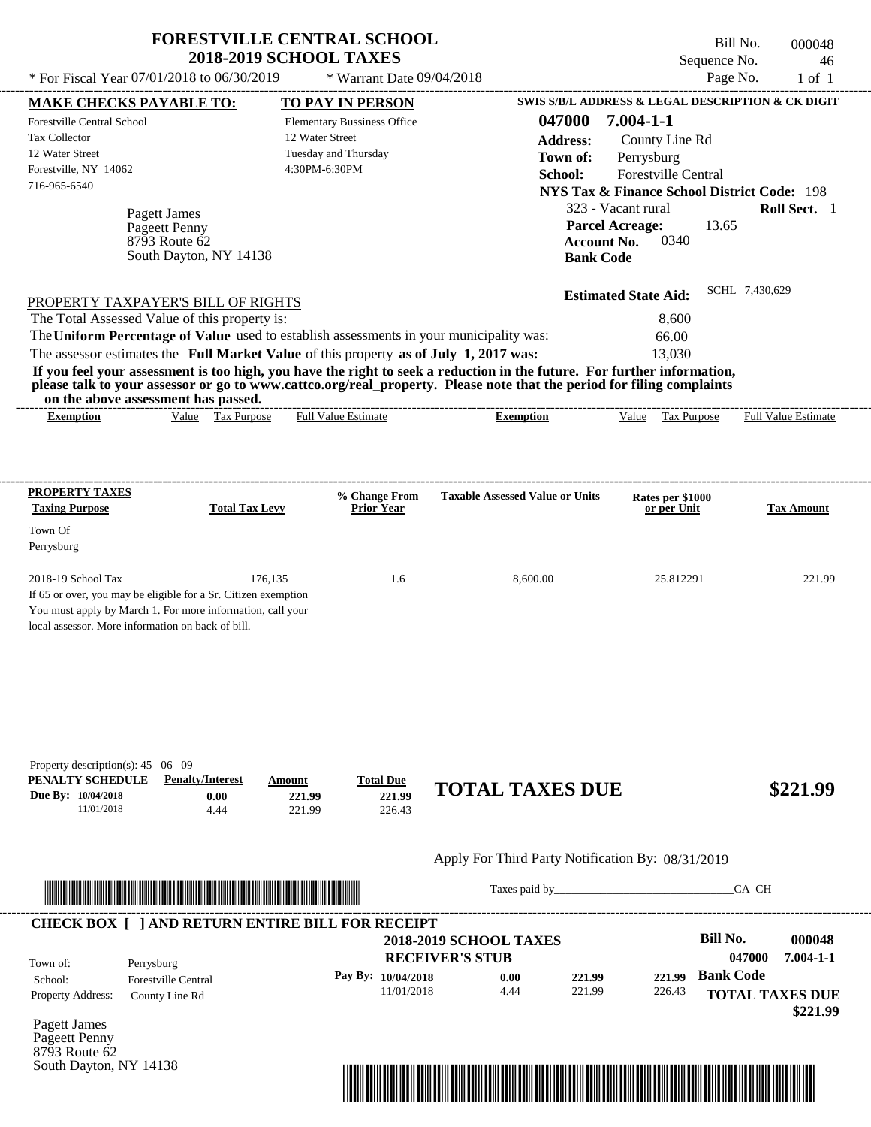|                                                                                                                       |                                                                          | <b>2018-2019 SCHOOL TAXES</b>                                                                  |                                                                                                                                                                                                                                                  | Sequence No.                                                                                                                            | 46                         |
|-----------------------------------------------------------------------------------------------------------------------|--------------------------------------------------------------------------|------------------------------------------------------------------------------------------------|--------------------------------------------------------------------------------------------------------------------------------------------------------------------------------------------------------------------------------------------------|-----------------------------------------------------------------------------------------------------------------------------------------|----------------------------|
|                                                                                                                       | * For Fiscal Year 07/01/2018 to 06/30/2019                               | * Warrant Date 09/04/2018                                                                      |                                                                                                                                                                                                                                                  |                                                                                                                                         | Page No.<br>$1$ of $1$     |
| <b>MAKE CHECKS PAYABLE TO:</b>                                                                                        |                                                                          | TO PAY IN PERSON                                                                               |                                                                                                                                                                                                                                                  | <b>SWIS S/B/L ADDRESS &amp; LEGAL DESCRIPTION &amp; CK DIGIT</b>                                                                        |                            |
| <b>Forestville Central School</b><br><b>Tax Collector</b><br>12 Water Street<br>Forestville, NY 14062<br>716-965-6540 |                                                                          | <b>Elementary Bussiness Office</b><br>12 Water Street<br>Tuesday and Thursday<br>4:30PM-6:30PM | 047000<br><b>Address:</b><br>Town of:<br>School:                                                                                                                                                                                                 | $7.004 - 1 - 1$<br>County Line Rd<br>Perrysburg<br><b>Forestville Central</b><br><b>NYS Tax &amp; Finance School District Code: 198</b> |                            |
|                                                                                                                       | Pagett James<br>Pageett Penny<br>8793 Route 62<br>South Dayton, NY 14138 |                                                                                                |                                                                                                                                                                                                                                                  | 323 - Vacant rural<br><b>Parcel Acreage:</b><br>13.65<br>0340<br><b>Account No.</b><br><b>Bank Code</b>                                 | Roll Sect. 1               |
|                                                                                                                       | PROPERTY TAXPAYER'S BILL OF RIGHTS                                       |                                                                                                |                                                                                                                                                                                                                                                  | <b>Estimated State Aid:</b>                                                                                                             | SCHL 7,430,629             |
|                                                                                                                       |                                                                          |                                                                                                |                                                                                                                                                                                                                                                  |                                                                                                                                         |                            |
|                                                                                                                       | The Total Assessed Value of this property is:                            |                                                                                                |                                                                                                                                                                                                                                                  | 8,600                                                                                                                                   |                            |
|                                                                                                                       |                                                                          | The Uniform Percentage of Value used to establish assessments in your municipality was:        |                                                                                                                                                                                                                                                  | 66.00                                                                                                                                   |                            |
|                                                                                                                       | on the above assessment has passed.                                      | The assessor estimates the Full Market Value of this property as of July 1, 2017 was:          | If you feel your assessment is too high, you have the right to seek a reduction in the future. For further information,<br>please talk to your assessor or go to www.cattco.org/real_property. Please note that the period for filing complaints | 13,030                                                                                                                                  |                            |
| <b>Exemption</b>                                                                                                      | Value Tax Purpose                                                        | <b>Full Value Estimate</b>                                                                     | <b>Exemption</b>                                                                                                                                                                                                                                 | Value Tax Purpose                                                                                                                       |                            |
|                                                                                                                       |                                                                          |                                                                                                |                                                                                                                                                                                                                                                  |                                                                                                                                         |                            |
| PROPERTY TAXES<br><b>Taxing Purpose</b>                                                                               | <b>Total Tax Levy</b>                                                    | % Change From<br><b>Prior Year</b>                                                             | <b>Taxable Assessed Value or Units</b>                                                                                                                                                                                                           | Rates per \$1000<br>or per Unit                                                                                                         | <b>Tax Amount</b>          |
| Town Of<br>Perrysburg                                                                                                 |                                                                          |                                                                                                |                                                                                                                                                                                                                                                  |                                                                                                                                         | <b>Full Value Estimate</b> |

## Apply For Third Party Notification By: 08/31/2019



Taxes paid by\_\_\_\_\_\_\_\_\_\_\_\_\_\_\_\_\_\_\_\_\_\_\_\_\_\_\_\_\_\_\_CA CH

| Town of:                 | Perrysburg                 | <b>2018-2019 SCHOOL TAXES</b><br><b>RECEIVER'S STUB</b> |      |        |        | Bill No.<br>047000     | 000048<br>$7.004 - 1 - 1$ |
|--------------------------|----------------------------|---------------------------------------------------------|------|--------|--------|------------------------|---------------------------|
| School:                  | <b>Forestville Central</b> | Pay By: $10/04/2018$                                    | 0.00 | 221.99 | 221.99 | <b>Bank Code</b>       |                           |
| <b>Property Address:</b> | County Line Rd             | 11/01/2018                                              | 4.44 | 221.99 | 226.43 | <b>TOTAL TAXES DUE</b> |                           |

Pagett James Pageett Penny 8793 Route 62 South Dayton, NY 14138

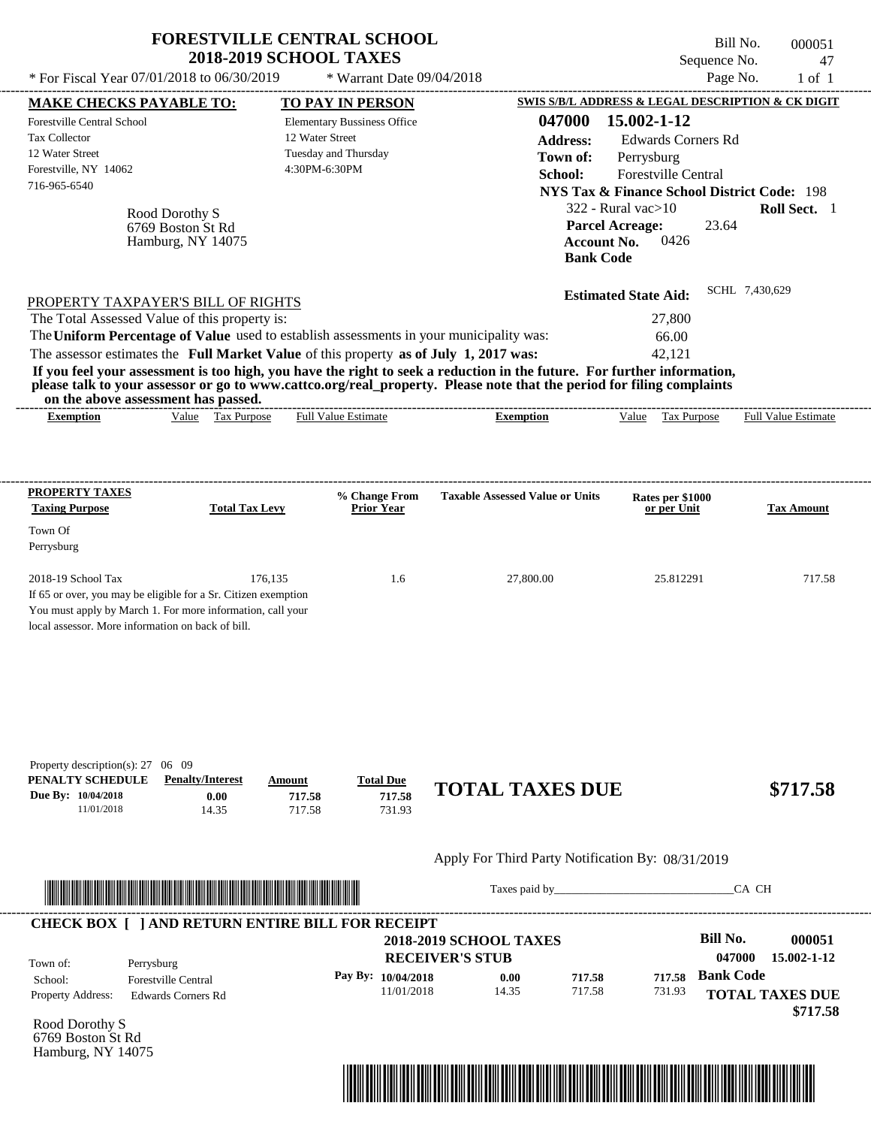| * For Fiscal Year 07/01/2018 to 06/30/2019                                                                                                                                                                                                                                                                     | <b>FORESTVILLE CENTRAL SCHOOL</b><br><b>2018-2019 SCHOOL TAXES</b>     | * Warrant Date 09/04/2018                                                                              |                                                                                                                                                                                                                                                  | Bill No.<br>Sequence No.<br>Page No.                                                                                                                                                                        | 000051<br>47<br>$1$ of $1$ |
|----------------------------------------------------------------------------------------------------------------------------------------------------------------------------------------------------------------------------------------------------------------------------------------------------------------|------------------------------------------------------------------------|--------------------------------------------------------------------------------------------------------|--------------------------------------------------------------------------------------------------------------------------------------------------------------------------------------------------------------------------------------------------|-------------------------------------------------------------------------------------------------------------------------------------------------------------------------------------------------------------|----------------------------|
|                                                                                                                                                                                                                                                                                                                |                                                                        |                                                                                                        |                                                                                                                                                                                                                                                  | <b>SWIS S/B/L ADDRESS &amp; LEGAL DESCRIPTION &amp; CK DIGIT</b>                                                                                                                                            |                            |
| <b>MAKE CHECKS PAYABLE TO:</b><br>Forestville Central School<br><b>Tax Collector</b><br>12 Water Street<br>Forestville, NY 14062<br>716-965-6540<br>Rood Dorothy S<br>6769 Boston St Rd<br>Hamburg, NY 14075                                                                                                   | 12 Water Street                                                        | <b>TO PAY IN PERSON</b><br><b>Elementary Bussiness Office</b><br>Tuesday and Thursday<br>4:30PM-6:30PM | 047000<br><b>Address:</b><br>Town of:<br>School:<br><b>Account No.</b><br><b>Bank Code</b>                                                                                                                                                       | 15.002-1-12<br><b>Edwards Corners Rd</b><br>Perrysburg<br>Forestville Central<br><b>NYS Tax &amp; Finance School District Code: 198</b><br>322 - Rural vac $>10$<br>23.64<br><b>Parcel Acreage:</b><br>0426 | Roll Sect. 1               |
| PROPERTY TAXPAYER'S BILL OF RIGHTS<br>The Total Assessed Value of this property is:<br>The Uniform Percentage of Value used to establish assessments in your municipality was:<br>The assessor estimates the Full Market Value of this property as of July 1, 2017 was:<br>on the above assessment has passed. |                                                                        |                                                                                                        | If you feel your assessment is too high, you have the right to seek a reduction in the future. For further information,<br>please talk to your assessor or go to www.cattco.org/real_property. Please note that the period for filing complaints | <b>Estimated State Aid:</b><br>27,800<br>66.00<br>42,121                                                                                                                                                    | SCHL 7,430,629             |
| <b>Exemption</b>                                                                                                                                                                                                                                                                                               | Value Tax Purpose                                                      | <b>Full Value Estimate</b>                                                                             | <b>Exemption</b>                                                                                                                                                                                                                                 | Value Tax Purpose                                                                                                                                                                                           | Full Value Estimate        |
| PROPERTY TAXES<br><b>Taxing Purpose</b>                                                                                                                                                                                                                                                                        | <b>Total Tax Levy</b>                                                  | % Change From<br><b>Prior Year</b>                                                                     | <b>Taxable Assessed Value or Units</b>                                                                                                                                                                                                           | Rates per \$1000<br>or per Unit                                                                                                                                                                             | <b>Tax Amount</b>          |
| Town Of<br>Perrysburg                                                                                                                                                                                                                                                                                          |                                                                        |                                                                                                        |                                                                                                                                                                                                                                                  |                                                                                                                                                                                                             |                            |
| 2018-19 School Tax<br>If 65 or over, you may be eligible for a Sr. Citizen exemption<br>You must apply by March 1. For more information, call your<br>local assessor. More information on back of bill.                                                                                                        | 176,135                                                                | 1.6                                                                                                    | 27,800.00                                                                                                                                                                                                                                        | 25.812291                                                                                                                                                                                                   | 717.58                     |
| Property description(s): $27 \quad 06 \quad 09$<br>PENALTY SCHEDULE<br>Due By: 10/04/2018<br>11/01/2018                                                                                                                                                                                                        | <b>Penalty/Interest</b><br>Amount<br>0.00<br>717.58<br>14.35<br>717.58 | <b>Total Due</b><br>717.58<br>731.93                                                                   | <b>TOTAL TAXES DUE</b>                                                                                                                                                                                                                           |                                                                                                                                                                                                             | \$717.58                   |
|                                                                                                                                                                                                                                                                                                                |                                                                        |                                                                                                        | Apply For Third Party Notification By: 08/31/2019                                                                                                                                                                                                |                                                                                                                                                                                                             |                            |
|                                                                                                                                                                                                                                                                                                                |                                                                        |                                                                                                        |                                                                                                                                                                                                                                                  |                                                                                                                                                                                                             | CA CH                      |
| <b>CHECK BOX [ ] AND RETURN ENTIRE BILL FOR RECEIPT</b><br>Town of:<br>Perrysburg                                                                                                                                                                                                                              |                                                                        |                                                                                                        | <b>2018-2019 SCHOOL TAXES</b><br><b>RECEIVER'S STUB</b>                                                                                                                                                                                          | <b>Bill No.</b><br>047000                                                                                                                                                                                   | 000051<br>15.002-1-12      |
| Forestville Central<br>School:                                                                                                                                                                                                                                                                                 |                                                                        | Pay By: 10/04/2018                                                                                     | 0.00<br>717.58                                                                                                                                                                                                                                   | <b>Bank Code</b><br>717.58                                                                                                                                                                                  |                            |

11/01/2018

Rood Dorothy S 6769 Boston St Rd Hamburg, NY 14075

Property Address: Edwards Corners Rd



14.35 717.58

**TOTAL TAXES DUE**

731.93

 **\$717.58**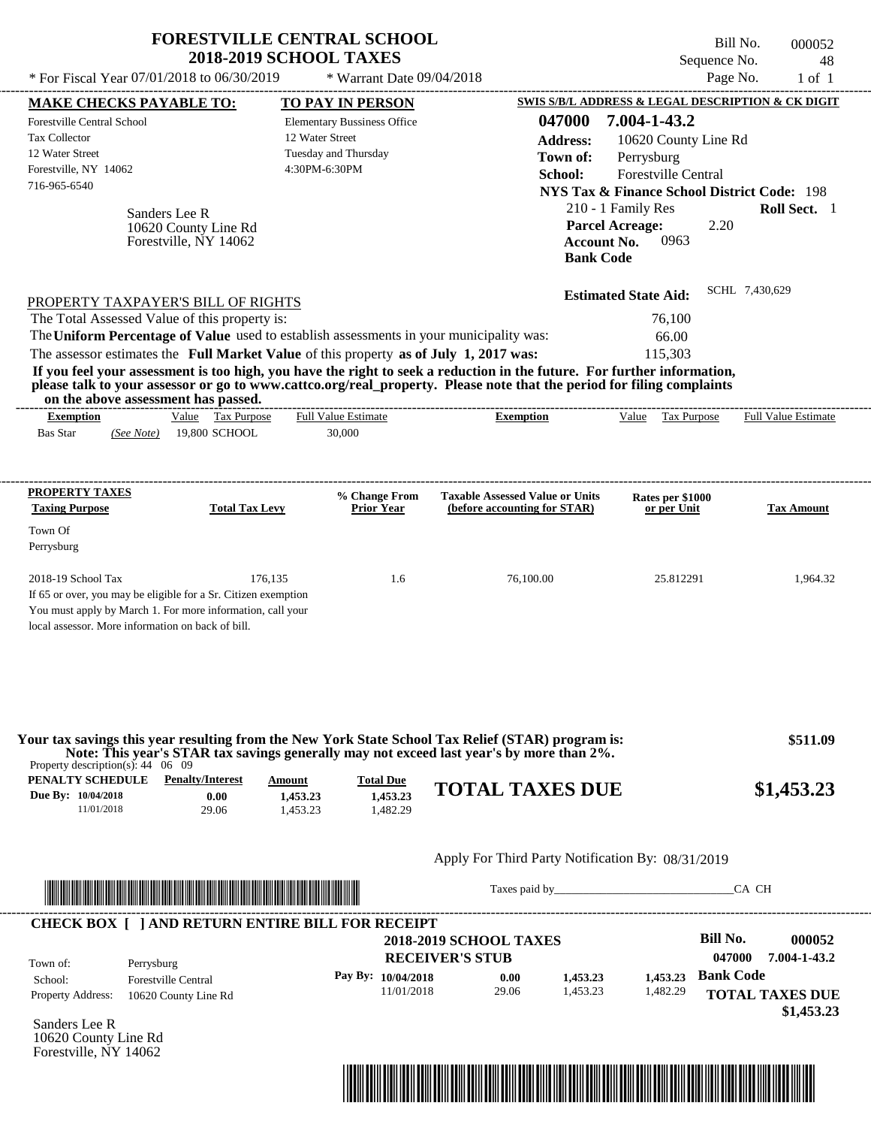| * For Fiscal Year 07/01/2018 to 06/30/2019                                                                                                                                                                                                                                                                                                                                                                                                                                                                                                                         | <b>FORESTVILLE CENTRAL SCHOOL</b><br><b>2018-2019 SCHOOL TAXES</b> | * Warrant Date 09/04/2018                                  |                                                                                          | Sequence No.<br>Page No.                                                                                                                                                                                                  | Bill No.<br>000052<br>48<br>$1$ of $1$ |
|--------------------------------------------------------------------------------------------------------------------------------------------------------------------------------------------------------------------------------------------------------------------------------------------------------------------------------------------------------------------------------------------------------------------------------------------------------------------------------------------------------------------------------------------------------------------|--------------------------------------------------------------------|------------------------------------------------------------|------------------------------------------------------------------------------------------|---------------------------------------------------------------------------------------------------------------------------------------------------------------------------------------------------------------------------|----------------------------------------|
| <b>MAKE CHECKS PAYABLE TO:</b>                                                                                                                                                                                                                                                                                                                                                                                                                                                                                                                                     |                                                                    | <b>TO PAY IN PERSON</b>                                    |                                                                                          | <b>SWIS S/B/L ADDRESS &amp; LEGAL DESCRIPTION &amp; CK DIGIT</b>                                                                                                                                                          |                                        |
| Forestville Central School<br><b>Tax Collector</b><br>12 Water Street<br>Forestville, NY 14062<br>716-965-6540<br>Sanders Lee R<br>10620 County Line Rd<br>Forestville, NY 14062                                                                                                                                                                                                                                                                                                                                                                                   | 12 Water Street<br>4:30PM-6:30PM                                   | <b>Elementary Bussiness Office</b><br>Tuesday and Thursday | 047000<br><b>Address:</b><br>Town of:<br>School:<br><b>Bank Code</b>                     | 7.004-1-43.2<br>10620 County Line Rd<br>Perrysburg<br>Forestville Central<br><b>NYS Tax &amp; Finance School District Code: 198</b><br>210 - 1 Family Res<br><b>Parcel Acreage:</b><br>2.20<br>0963<br><b>Account No.</b> | Roll Sect. 1                           |
| PROPERTY TAXPAYER'S BILL OF RIGHTS<br>The Total Assessed Value of this property is:<br>The Uniform Percentage of Value used to establish assessments in your municipality was:<br>The assessor estimates the Full Market Value of this property as of July 1, 2017 was:<br>If you feel your assessment is too high, you have the right to seek a reduction in the future. For further information,<br>please talk to your assessor or go to www.cattco.org/real_property. Please note that the period for filing complaints<br>on the above assessment has passed. |                                                                    |                                                            |                                                                                          | <b>Estimated State Aid:</b><br>76,100<br>66.00<br>115,303                                                                                                                                                                 | SCHL 7,430,629                         |
| Value Tax Purpose<br><b>Exemption</b><br><b>Bas Star</b><br>19,800 SCHOOL<br>(See Note)                                                                                                                                                                                                                                                                                                                                                                                                                                                                            |                                                                    | <b>Full Value Estimate</b><br>30,000                       | <b>Exemption</b>                                                                         | Value Tax Purpose                                                                                                                                                                                                         | Full Value Estimate                    |
| PROPERTY TAXES<br><b>Taxing Purpose</b><br>Town Of<br>Perrysburg                                                                                                                                                                                                                                                                                                                                                                                                                                                                                                   | <b>Total Tax Levy</b>                                              | % Change From<br><b>Prior Year</b>                         | <b>Taxable Assessed Value or Units</b><br>(before accounting for STAR)                   | Rates per \$1000<br>or per Unit                                                                                                                                                                                           | <b>Tax Amount</b>                      |
| 2018-19 School Tax<br>If 65 or over, you may be eligible for a Sr. Citizen exemption<br>You must apply by March 1. For more information, call your<br>local assessor. More information on back of bill.                                                                                                                                                                                                                                                                                                                                                            | 176,135                                                            | 1.6                                                        | 76,100.00                                                                                | 25.812291                                                                                                                                                                                                                 | 1,964.32                               |
| Your tax savings this year resulting from the New York State School Tax Relief (STAR) program is:<br>Property description(s): $44 \quad 06 \quad 09$                                                                                                                                                                                                                                                                                                                                                                                                               |                                                                    |                                                            | Note: This year's STAR tax savings generally may not exceed last year's by more than 2%. |                                                                                                                                                                                                                           | \$511.09                               |
| <b>PENALTY SCHEDULE</b> Penalty/Interest<br>Due By: 10/04/2018<br>0.00<br>11/01/2018<br>29.06                                                                                                                                                                                                                                                                                                                                                                                                                                                                      | Amount<br>1,453.23<br>1,453.23                                     | <b>Total Due</b><br>1,453.23<br>1,482.29                   | <b>TOTAL TAXES DUE</b>                                                                   |                                                                                                                                                                                                                           | \$1,453.23                             |
|                                                                                                                                                                                                                                                                                                                                                                                                                                                                                                                                                                    |                                                                    |                                                            | Apply For Third Party Notification By: 08/31/2019                                        |                                                                                                                                                                                                                           |                                        |
|                                                                                                                                                                                                                                                                                                                                                                                                                                                                                                                                                                    |                                                                    |                                                            |                                                                                          | Taxes paid by                                                                                                                                                                                                             | CA CH                                  |
| <b>CHECK BOX [ ] AND RETURN ENTIRE BILL FOR RECEIPT</b><br>Town of:<br>Perrysburg<br>School:<br><b>Forestville Central</b>                                                                                                                                                                                                                                                                                                                                                                                                                                         |                                                                    | Pay By: 10/04/2018                                         | <b>2018-2019 SCHOOL TAXES</b><br><b>RECEIVER'S STUB</b><br>0.00<br>1,453.23              | <b>Bill No.</b><br>047000<br><b>Bank Code</b><br>1.453.23                                                                                                                                                                 | 000052<br>7.004-1-43.2                 |
| Property Address:<br>10620 County Line Rd<br>Sanders Lee R<br>10620 County Line Rd<br>Forestville, NY 14062                                                                                                                                                                                                                                                                                                                                                                                                                                                        |                                                                    | 11/01/2018                                                 | 29.06<br>1.453.23                                                                        | 1,482.29                                                                                                                                                                                                                  | <b>TOTAL TAXES DUE</b><br>\$1,453.23   |

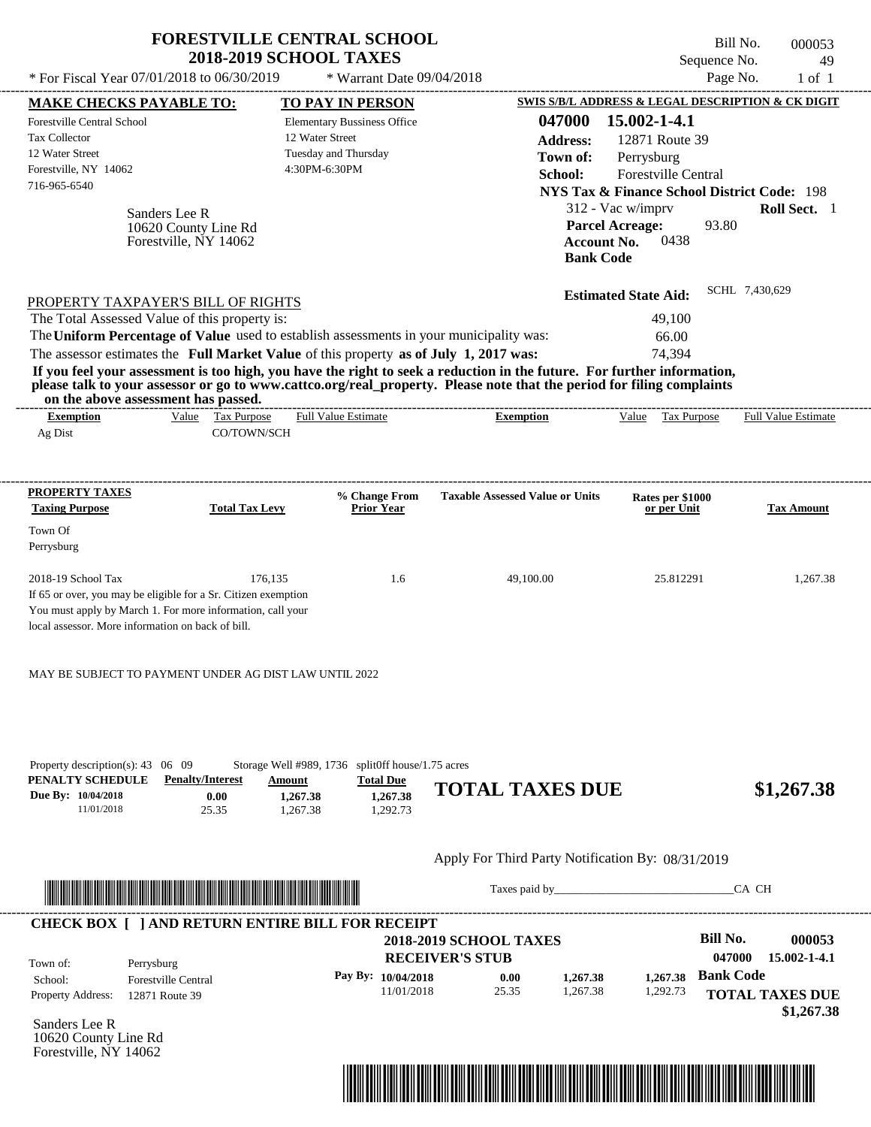|                                                                                                                                                                                                                                                                                                                                                                |                                                                | <b>FORESTVILLE CENTRAL SCHOOL</b><br><b>2018-2019 SCHOOL TAXES</b>                                                                                                                                             |                                                                                                                                                                                                                                                                      | Sequence No.                                                                                                                                                                                                                                                                                                       | Bill No.<br>000053<br>49              |
|----------------------------------------------------------------------------------------------------------------------------------------------------------------------------------------------------------------------------------------------------------------------------------------------------------------------------------------------------------------|----------------------------------------------------------------|----------------------------------------------------------------------------------------------------------------------------------------------------------------------------------------------------------------|----------------------------------------------------------------------------------------------------------------------------------------------------------------------------------------------------------------------------------------------------------------------|--------------------------------------------------------------------------------------------------------------------------------------------------------------------------------------------------------------------------------------------------------------------------------------------------------------------|---------------------------------------|
| * For Fiscal Year 07/01/2018 to 06/30/2019                                                                                                                                                                                                                                                                                                                     |                                                                | * Warrant Date 09/04/2018                                                                                                                                                                                      |                                                                                                                                                                                                                                                                      |                                                                                                                                                                                                                                                                                                                    | Page No.<br>$1$ of $1$                |
| <b>MAKE CHECKS PAYABLE TO:</b><br>Forestville Central School<br><b>Tax Collector</b><br>12 Water Street<br>Forestville, NY 14062<br>716-965-6540                                                                                                                                                                                                               | Sanders Lee R<br>10620 County Line Rd<br>Forestville, NY 14062 | <b>TO PAY IN PERSON</b><br><b>Elementary Bussiness Office</b><br>12 Water Street<br>Tuesday and Thursday<br>4:30PM-6:30PM                                                                                      | 047000<br><b>Address:</b><br>Town of:<br>School:                                                                                                                                                                                                                     | <b>SWIS S/B/L ADDRESS &amp; LEGAL DESCRIPTION &amp; CK DIGIT</b><br>15.002-1-4.1<br>12871 Route 39<br>Perrysburg<br><b>Forestville Central</b><br><b>NYS Tax &amp; Finance School District Code: 198</b><br>312 - Vac w/imprv<br><b>Parcel Acreage:</b><br>93.80<br>0438<br><b>Account No.</b><br><b>Bank Code</b> | Roll Sect. 1                          |
| PROPERTY TAXPAYER'S BILL OF RIGHTS<br>The Total Assessed Value of this property is:<br>on the above assessment has passed.<br><b>Exemption</b>                                                                                                                                                                                                                 | Value Tax Purpose                                              | The Uniform Percentage of Value used to establish assessments in your municipality was:<br>The assessor estimates the Full Market Value of this property as of July 1, 2017 was:<br><b>Full Value Estimate</b> | If you feel your assessment is too high, you have the right to seek a reduction in the future. For further information,<br>please talk to your assessor or go to www.cattco.org/real_property. Please note that the period for filing complaints<br><b>Exemption</b> | <b>Estimated State Aid:</b><br>49,100<br>66.00<br>74.394<br>Value Tax Purpose                                                                                                                                                                                                                                      | SCHL 7,430,629<br>Full Value Estimate |
| Ag Dist                                                                                                                                                                                                                                                                                                                                                        | CO/TOWN/SCH                                                    |                                                                                                                                                                                                                |                                                                                                                                                                                                                                                                      |                                                                                                                                                                                                                                                                                                                    |                                       |
| PROPERTY TAXES                                                                                                                                                                                                                                                                                                                                                 |                                                                |                                                                                                                                                                                                                | <b>Taxable Assessed Value or Units</b>                                                                                                                                                                                                                               |                                                                                                                                                                                                                                                                                                                    |                                       |
| <b>Taxing Purpose</b>                                                                                                                                                                                                                                                                                                                                          | <b>Total Tax Levy</b>                                          | % Change From<br><b>Prior Year</b>                                                                                                                                                                             |                                                                                                                                                                                                                                                                      | Rates per \$1000<br>or per Unit                                                                                                                                                                                                                                                                                    | <b>Tax Amount</b>                     |
| Town Of<br>Perrysburg                                                                                                                                                                                                                                                                                                                                          |                                                                |                                                                                                                                                                                                                |                                                                                                                                                                                                                                                                      |                                                                                                                                                                                                                                                                                                                    |                                       |
| 2018-19 School Tax<br>If 65 or over, you may be eligible for a Sr. Citizen exemption<br>You must apply by March 1. For more information, call your<br>local assessor. More information on back of bill.<br>MAY BE SUBJECT TO PAYMENT UNDER AG DIST LAW UNTIL 2022<br>Property description(s): 43 06 09<br>PENALTY SCHEDULE<br>Due By: 10/04/2018<br>11/01/2018 | 176,135<br><b>Penalty/Interest</b><br>Amount<br>0.00<br>25.35  | 1.6<br>Storage Well #989, 1736 split0ff house/1.75 acres<br><b>Total Due</b><br>1,267.38<br>1,267.38<br>1,292.73<br>1,267.38                                                                                   | 49,100.00<br><b>TOTAL TAXES DUE</b>                                                                                                                                                                                                                                  | 25.812291                                                                                                                                                                                                                                                                                                          | 1,267.38<br>\$1,267.38                |
|                                                                                                                                                                                                                                                                                                                                                                |                                                                |                                                                                                                                                                                                                |                                                                                                                                                                                                                                                                      |                                                                                                                                                                                                                                                                                                                    |                                       |
|                                                                                                                                                                                                                                                                                                                                                                |                                                                |                                                                                                                                                                                                                | Apply For Third Party Notification By: 08/31/2019                                                                                                                                                                                                                    |                                                                                                                                                                                                                                                                                                                    |                                       |
| <u> Literatura de la contrada de la contrada de la contrada de la contrada de la contrada de la contrada de la co</u>                                                                                                                                                                                                                                          |                                                                |                                                                                                                                                                                                                |                                                                                                                                                                                                                                                                      |                                                                                                                                                                                                                                                                                                                    | CA CH                                 |
|                                                                                                                                                                                                                                                                                                                                                                |                                                                |                                                                                                                                                                                                                |                                                                                                                                                                                                                                                                      |                                                                                                                                                                                                                                                                                                                    |                                       |

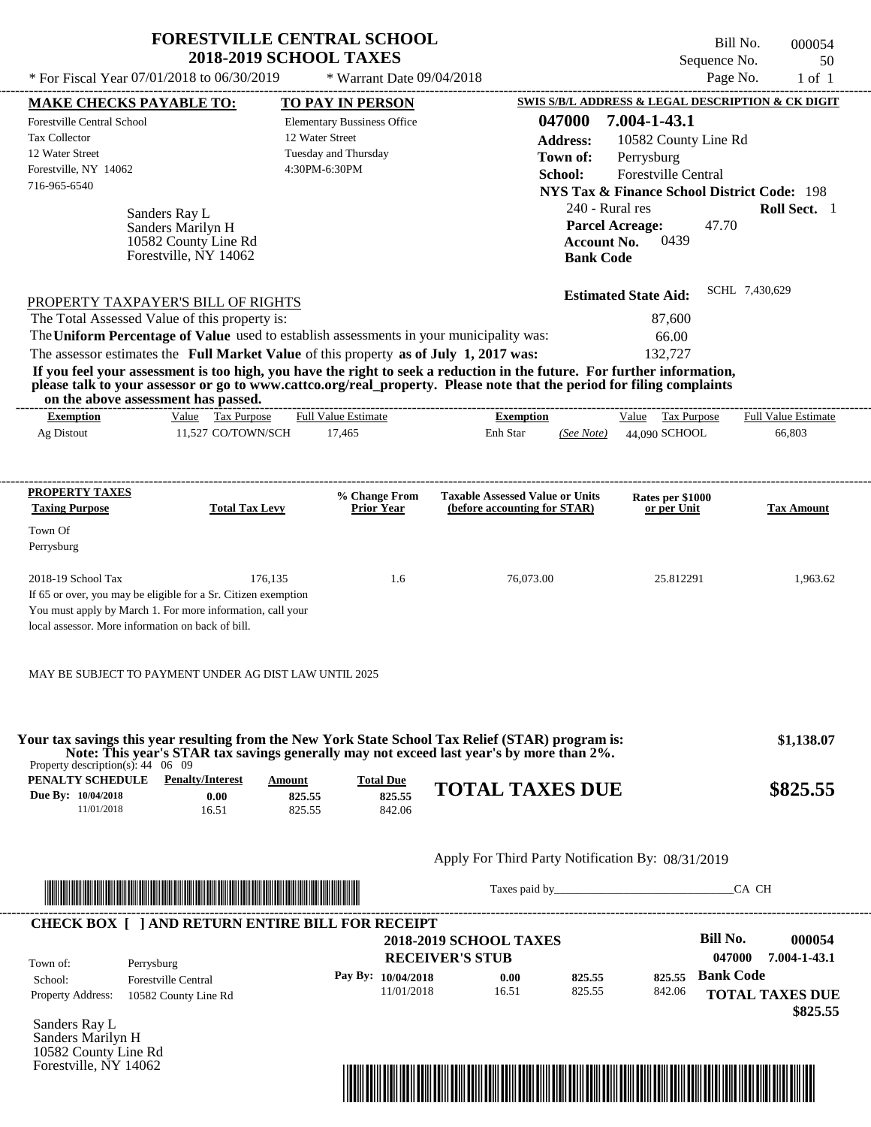|                                                                                                                                                                                                                                                  | <b>FORESTVILLE CENTRAL SCHOOL</b><br><b>2018-2019 SCHOOL TAXES</b>                                                                                                                                                                   |                                                               |                                                   |                    |                                                                  | Bill No.                 | 000054                     |
|--------------------------------------------------------------------------------------------------------------------------------------------------------------------------------------------------------------------------------------------------|--------------------------------------------------------------------------------------------------------------------------------------------------------------------------------------------------------------------------------------|---------------------------------------------------------------|---------------------------------------------------|--------------------|------------------------------------------------------------------|--------------------------|----------------------------|
| * For Fiscal Year 07/01/2018 to 06/30/2019                                                                                                                                                                                                       |                                                                                                                                                                                                                                      | * Warrant Date 09/04/2018                                     |                                                   |                    |                                                                  | Sequence No.<br>Page No. | 50<br>$1$ of $1$           |
|                                                                                                                                                                                                                                                  |                                                                                                                                                                                                                                      |                                                               |                                                   |                    | <b>SWIS S/B/L ADDRESS &amp; LEGAL DESCRIPTION &amp; CK DIGIT</b> |                          |                            |
| <b>MAKE CHECKS PAYABLE TO:</b><br>Forestville Central School                                                                                                                                                                                     |                                                                                                                                                                                                                                      | <b>TO PAY IN PERSON</b><br><b>Elementary Bussiness Office</b> |                                                   | 047000             | 7.004-1-43.1                                                     |                          |                            |
| <b>Tax Collector</b>                                                                                                                                                                                                                             |                                                                                                                                                                                                                                      | 12 Water Street                                               |                                                   |                    |                                                                  |                          |                            |
| 12 Water Street                                                                                                                                                                                                                                  |                                                                                                                                                                                                                                      | Tuesday and Thursday                                          |                                                   | <b>Address:</b>    | 10582 County Line Rd                                             |                          |                            |
| Forestville, NY 14062                                                                                                                                                                                                                            |                                                                                                                                                                                                                                      | 4:30PM-6:30PM                                                 |                                                   | Town of:           | Perrysburg                                                       |                          |                            |
| 716-965-6540                                                                                                                                                                                                                                     |                                                                                                                                                                                                                                      |                                                               |                                                   | School:            | Forestville Central                                              |                          |                            |
|                                                                                                                                                                                                                                                  |                                                                                                                                                                                                                                      |                                                               |                                                   |                    | <b>NYS Tax &amp; Finance School District Code: 198</b>           |                          |                            |
| Sanders Ray L                                                                                                                                                                                                                                    |                                                                                                                                                                                                                                      |                                                               |                                                   |                    | 240 - Rural res                                                  |                          | Roll Sect. 1               |
|                                                                                                                                                                                                                                                  | Sanders Marilyn H                                                                                                                                                                                                                    |                                                               |                                                   |                    | <b>Parcel Acreage:</b>                                           | 47.70                    |                            |
|                                                                                                                                                                                                                                                  | 10582 County Line Rd                                                                                                                                                                                                                 |                                                               |                                                   | <b>Account No.</b> | 0439                                                             |                          |                            |
|                                                                                                                                                                                                                                                  | Forestville, NY 14062                                                                                                                                                                                                                |                                                               |                                                   | <b>Bank Code</b>   |                                                                  |                          |                            |
|                                                                                                                                                                                                                                                  |                                                                                                                                                                                                                                      |                                                               |                                                   |                    | <b>Estimated State Aid:</b>                                      | SCHL 7,430,629           |                            |
| PROPERTY TAXPAYER'S BILL OF RIGHTS                                                                                                                                                                                                               |                                                                                                                                                                                                                                      |                                                               |                                                   |                    |                                                                  |                          |                            |
| The Total Assessed Value of this property is:                                                                                                                                                                                                    |                                                                                                                                                                                                                                      |                                                               |                                                   |                    | 87,600                                                           |                          |                            |
| The Uniform Percentage of Value used to establish assessments in your municipality was:                                                                                                                                                          |                                                                                                                                                                                                                                      |                                                               |                                                   |                    | 66.00                                                            |                          |                            |
| The assessor estimates the Full Market Value of this property as of July 1, 2017 was:                                                                                                                                                            |                                                                                                                                                                                                                                      |                                                               |                                                   |                    | 132,727                                                          |                          |                            |
| If you feel your assessment is too high, you have the right to seek a reduction in the future. For further information,<br>please talk to your assessor or go to www.cattco.org/real_property. Please note that the period for filing complaints |                                                                                                                                                                                                                                      |                                                               |                                                   |                    |                                                                  |                          |                            |
| on the above assessment has passed.                                                                                                                                                                                                              |                                                                                                                                                                                                                                      |                                                               |                                                   |                    |                                                                  |                          |                            |
| <b>Exemption</b>                                                                                                                                                                                                                                 | Value Tax Purpose                                                                                                                                                                                                                    | <b>Full Value Estimate</b>                                    | <b>Exemption</b>                                  |                    | Value Tax Purpose                                                |                          | <b>Full Value Estimate</b> |
| Ag Distout                                                                                                                                                                                                                                       | 11,527 CO/TOWN/SCH                                                                                                                                                                                                                   | 17,465                                                        | Enh Star                                          | (See Note)         | 44,090 SCHOOL                                                    |                          | 66,803                     |
|                                                                                                                                                                                                                                                  |                                                                                                                                                                                                                                      |                                                               |                                                   |                    |                                                                  |                          |                            |
| PROPERTY TAXES                                                                                                                                                                                                                                   |                                                                                                                                                                                                                                      | % Change From                                                 | <b>Taxable Assessed Value or Units</b>            |                    |                                                                  |                          |                            |
| <b>Taxing Purpose</b>                                                                                                                                                                                                                            | <b>Total Tax Levy</b>                                                                                                                                                                                                                | <b>Prior Year</b>                                             | (before accounting for STAR)                      |                    | Rates per \$1000<br>or per Unit                                  |                          | <b>Tax Amount</b>          |
| Town Of                                                                                                                                                                                                                                          |                                                                                                                                                                                                                                      |                                                               |                                                   |                    |                                                                  |                          |                            |
| Perrysburg                                                                                                                                                                                                                                       |                                                                                                                                                                                                                                      |                                                               |                                                   |                    |                                                                  |                          |                            |
|                                                                                                                                                                                                                                                  |                                                                                                                                                                                                                                      |                                                               |                                                   |                    |                                                                  |                          |                            |
| 2018-19 School Tax                                                                                                                                                                                                                               | 176,135                                                                                                                                                                                                                              | 1.6                                                           | 76,073.00                                         |                    | 25.812291                                                        |                          | 1,963.62                   |
| If 65 or over, you may be eligible for a Sr. Citizen exemption                                                                                                                                                                                   |                                                                                                                                                                                                                                      |                                                               |                                                   |                    |                                                                  |                          |                            |
| You must apply by March 1. For more information, call your                                                                                                                                                                                       |                                                                                                                                                                                                                                      |                                                               |                                                   |                    |                                                                  |                          |                            |
| local assessor. More information on back of bill.                                                                                                                                                                                                |                                                                                                                                                                                                                                      |                                                               |                                                   |                    |                                                                  |                          |                            |
|                                                                                                                                                                                                                                                  |                                                                                                                                                                                                                                      |                                                               |                                                   |                    |                                                                  |                          |                            |
| MAY BE SUBJECT TO PAYMENT UNDER AG DIST LAW UNTIL 2025                                                                                                                                                                                           |                                                                                                                                                                                                                                      |                                                               |                                                   |                    |                                                                  |                          |                            |
|                                                                                                                                                                                                                                                  |                                                                                                                                                                                                                                      |                                                               |                                                   |                    |                                                                  |                          |                            |
|                                                                                                                                                                                                                                                  |                                                                                                                                                                                                                                      |                                                               |                                                   |                    |                                                                  |                          |                            |
| Your tax savings this year resulting from the New York State School Tax Relief (STAR) program is:                                                                                                                                                | Note: This year's STAR tax savings generally may not exceed last year's by more than 2%.                                                                                                                                             |                                                               |                                                   |                    |                                                                  |                          | \$1,138.07                 |
| Property description(s): $44 \quad 06 \quad 09$                                                                                                                                                                                                  |                                                                                                                                                                                                                                      |                                                               |                                                   |                    |                                                                  |                          |                            |
| <b>PENALTY SCHEDULE</b> Penalty/Interest                                                                                                                                                                                                         | Amount                                                                                                                                                                                                                               | <b>Total Due</b>                                              | <b>TOTAL TAXES DUE</b>                            |                    |                                                                  |                          | \$825.55                   |
| Due By: 10/04/2018<br>11/01/2018                                                                                                                                                                                                                 | 0.00<br>825.55<br>16.51<br>825.55                                                                                                                                                                                                    | 825.55<br>842.06                                              |                                                   |                    |                                                                  |                          |                            |
|                                                                                                                                                                                                                                                  |                                                                                                                                                                                                                                      |                                                               |                                                   |                    |                                                                  |                          |                            |
|                                                                                                                                                                                                                                                  |                                                                                                                                                                                                                                      |                                                               |                                                   |                    |                                                                  |                          |                            |
|                                                                                                                                                                                                                                                  |                                                                                                                                                                                                                                      |                                                               | Apply For Third Party Notification By: 08/31/2019 |                    |                                                                  |                          |                            |
|                                                                                                                                                                                                                                                  | <u> Indian American State and The Communication of the Communication of the Communication of the Communication of the Communication of the Communication of the Communication of the Communication of the Communication of the C</u> |                                                               |                                                   |                    |                                                                  | CA CH                    |                            |
| <b>CHECK BOX [ ] AND RETURN ENTIRE BILL FOR RECEIPT</b>                                                                                                                                                                                          |                                                                                                                                                                                                                                      |                                                               |                                                   |                    |                                                                  |                          |                            |
|                                                                                                                                                                                                                                                  |                                                                                                                                                                                                                                      |                                                               | <b>2018-2019 SCHOOL TAXES</b>                     |                    |                                                                  | <b>Bill No.</b>          | 000054                     |
|                                                                                                                                                                                                                                                  |                                                                                                                                                                                                                                      |                                                               | <b>RECEIVER'S STUB</b>                            |                    |                                                                  | 047000                   | 7.004-1-43.1               |
| Town of:<br>Perrysburg                                                                                                                                                                                                                           |                                                                                                                                                                                                                                      | Pay By: 10/04/2018                                            | 0.00                                              | 825.55             | 825.55                                                           | <b>Bank Code</b>         |                            |
| School:<br><b>Forestville Central</b><br>Property Address:                                                                                                                                                                                       |                                                                                                                                                                                                                                      | 11/01/2018                                                    | 16.51                                             | 825.55             | 842.06                                                           |                          | <b>TOTAL TAXES DUE</b>     |
|                                                                                                                                                                                                                                                  | 10582 County Line Rd                                                                                                                                                                                                                 |                                                               |                                                   |                    |                                                                  |                          |                            |

Sanders Ray L Sanders Marilyn H 10582 County Line Rd Forestville, NY 14062



 **\$825.55**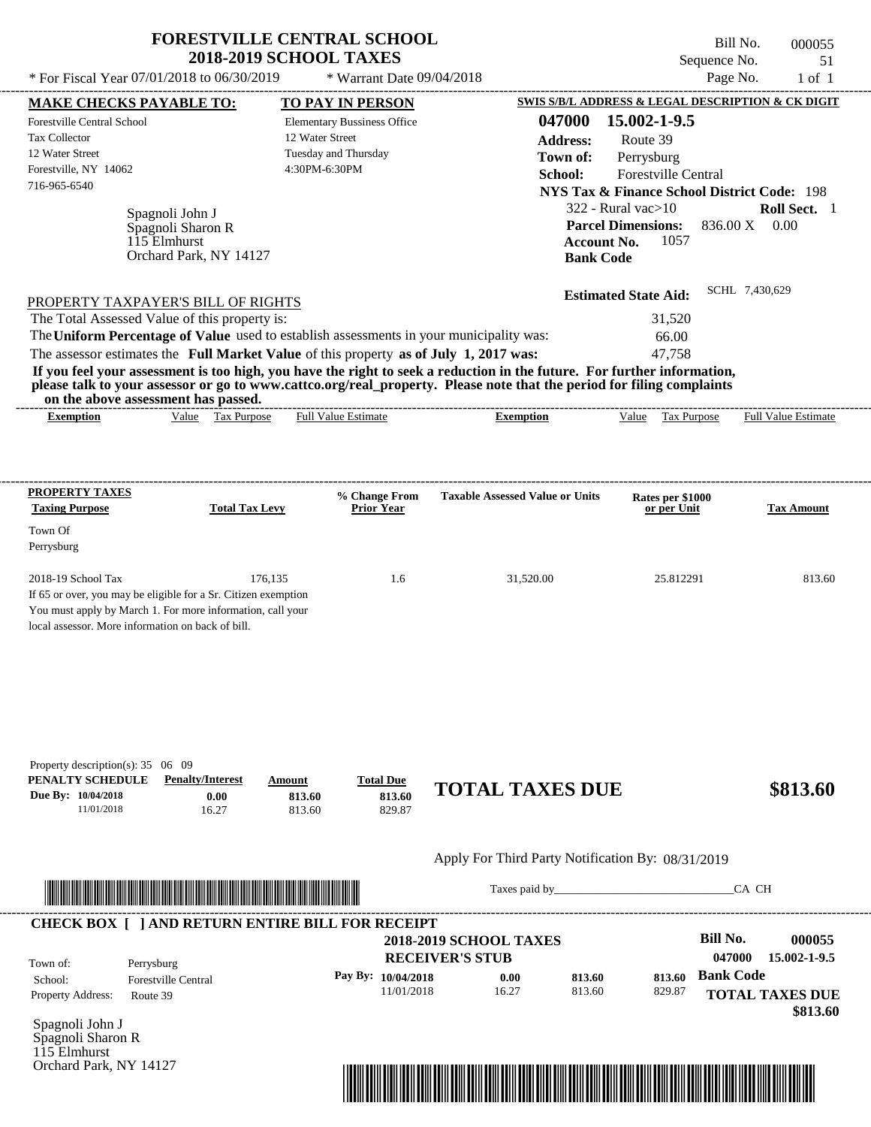|                                                                                                                        | <b>FORESTVILLE CENTRAL SCHOOL</b><br><b>2018-2019 SCHOOL TAXES</b> |                                    |                                                                                                                         | Bill No.<br>Sequence No.                               | 000055<br>51               |
|------------------------------------------------------------------------------------------------------------------------|--------------------------------------------------------------------|------------------------------------|-------------------------------------------------------------------------------------------------------------------------|--------------------------------------------------------|----------------------------|
| * For Fiscal Year 07/01/2018 to 06/30/2019                                                                             |                                                                    | * Warrant Date 09/04/2018          |                                                                                                                         | Page No.                                               | $1$ of $1$                 |
| <b>MAKE CHECKS PAYABLE TO:</b>                                                                                         |                                                                    | <b>TO PAY IN PERSON</b>            |                                                                                                                         | SWIS S/B/L ADDRESS & LEGAL DESCRIPTION & CK DIGIT      |                            |
| Forestville Central School<br><b>Tax Collector</b>                                                                     | 12 Water Street                                                    | <b>Elementary Bussiness Office</b> | 047000                                                                                                                  | 15.002-1-9.5                                           |                            |
| 12 Water Street                                                                                                        |                                                                    | Tuesday and Thursday               | <b>Address:</b>                                                                                                         | Route 39                                               |                            |
| Forestville, NY 14062                                                                                                  | 4:30PM-6:30PM                                                      |                                    | Town of:                                                                                                                | Perrysburg                                             |                            |
| 716-965-6540                                                                                                           |                                                                    |                                    | School:                                                                                                                 | Forestville Central                                    |                            |
|                                                                                                                        |                                                                    |                                    |                                                                                                                         | <b>NYS Tax &amp; Finance School District Code: 198</b> |                            |
| Spagnoli John J                                                                                                        |                                                                    |                                    |                                                                                                                         | $322$ - Rural vac $>10$                                | Roll Sect. 1               |
| Spagnoli Sharon R                                                                                                      |                                                                    |                                    |                                                                                                                         | <b>Parcel Dimensions:</b><br>1057                      | 836.00 X 0.00              |
| 115 Elmhurst                                                                                                           | Orchard Park, NY 14127                                             |                                    | <b>Account No.</b><br><b>Bank Code</b>                                                                                  |                                                        |                            |
|                                                                                                                        |                                                                    |                                    |                                                                                                                         |                                                        |                            |
|                                                                                                                        |                                                                    |                                    |                                                                                                                         | <b>Estimated State Aid:</b>                            | SCHL 7,430,629             |
| PROPERTY TAXPAYER'S BILL OF RIGHTS<br>The Total Assessed Value of this property is:                                    |                                                                    |                                    |                                                                                                                         | 31,520                                                 |                            |
| The Uniform Percentage of Value used to establish assessments in your municipality was:                                |                                                                    |                                    |                                                                                                                         | 66.00                                                  |                            |
| The assessor estimates the Full Market Value of this property as of July 1, 2017 was:                                  |                                                                    |                                    |                                                                                                                         | 47,758                                                 |                            |
|                                                                                                                        |                                                                    |                                    | If you feel your assessment is too high, you have the right to seek a reduction in the future. For further information, |                                                        |                            |
|                                                                                                                        |                                                                    |                                    | please talk to your assessor or go to www.cattco.org/real_property. Please note that the period for filing complaints   |                                                        |                            |
| on the above assessment has passed.                                                                                    | Value Tax Purpose                                                  | <b>Full Value Estimate</b>         |                                                                                                                         |                                                        | <b>Full Value Estimate</b> |
| <b>Exemption</b>                                                                                                       |                                                                    |                                    | <b>Exemption</b>                                                                                                        | Value Tax Purpose                                      |                            |
|                                                                                                                        |                                                                    |                                    |                                                                                                                         |                                                        |                            |
|                                                                                                                        |                                                                    |                                    |                                                                                                                         |                                                        |                            |
| <b>PROPERTY TAXES</b>                                                                                                  |                                                                    | % Change From                      | <b>Taxable Assessed Value or Units</b>                                                                                  | Rates per \$1000                                       |                            |
| <b>Taxing Purpose</b>                                                                                                  | <b>Total Tax Levy</b>                                              | <b>Prior Year</b>                  |                                                                                                                         | or per Unit                                            | <b>Tax Amount</b>          |
| Town Of                                                                                                                |                                                                    |                                    |                                                                                                                         |                                                        |                            |
| Perrysburg                                                                                                             |                                                                    |                                    |                                                                                                                         |                                                        |                            |
|                                                                                                                        |                                                                    |                                    |                                                                                                                         |                                                        |                            |
| 2018-19 School Tax<br>If 65 or over, you may be eligible for a Sr. Citizen exemption                                   | 176,135                                                            | 1.6                                | 31,520.00                                                                                                               | 25.812291                                              | 813.60                     |
| You must apply by March 1. For more information, call your                                                             |                                                                    |                                    |                                                                                                                         |                                                        |                            |
| local assessor. More information on back of bill.                                                                      |                                                                    |                                    |                                                                                                                         |                                                        |                            |
|                                                                                                                        |                                                                    |                                    |                                                                                                                         |                                                        |                            |
|                                                                                                                        |                                                                    |                                    |                                                                                                                         |                                                        |                            |
|                                                                                                                        |                                                                    |                                    |                                                                                                                         |                                                        |                            |
|                                                                                                                        |                                                                    |                                    |                                                                                                                         |                                                        |                            |
|                                                                                                                        |                                                                    |                                    |                                                                                                                         |                                                        |                            |
|                                                                                                                        |                                                                    |                                    |                                                                                                                         |                                                        |                            |
|                                                                                                                        |                                                                    |                                    |                                                                                                                         |                                                        |                            |
| Property description(s): 35 06 09<br>PENALTY SCHEDULE                                                                  | <b>Penalty/Interest</b><br><b>Amount</b>                           | <b>Total Due</b>                   |                                                                                                                         |                                                        |                            |
| Due By: 10/04/2018                                                                                                     | 0.00<br>813.60                                                     | 813.60                             | <b>TOTAL TAXES DUE</b>                                                                                                  |                                                        | \$813.60                   |
| 11/01/2018                                                                                                             | 813.60<br>16.27                                                    | 829.87                             |                                                                                                                         |                                                        |                            |
|                                                                                                                        |                                                                    |                                    |                                                                                                                         |                                                        |                            |
|                                                                                                                        |                                                                    |                                    | Apply For Third Party Notification By: 08/31/2019                                                                       |                                                        |                            |
|                                                                                                                        |                                                                    |                                    |                                                                                                                         |                                                        | CA CH                      |
| <u> Han ber den bestehende der den bestehende der den bestehende der den bestehende der bestehende der den bestehe</u> |                                                                    |                                    |                                                                                                                         |                                                        |                            |
| <b>CHECK BOX [ ] AND RETURN ENTIRE BILL FOR RECEIPT</b>                                                                |                                                                    |                                    |                                                                                                                         |                                                        |                            |
|                                                                                                                        |                                                                    |                                    | <b>2018-2019 SCHOOL TAXES</b>                                                                                           | <b>Bill No.</b>                                        | 000055                     |
|                                                                                                                        |                                                                    |                                    | <b>RECEIVER'S STUB</b>                                                                                                  |                                                        | 047000 15.002-1-9.5        |

| Town of:                            | Perrysburg                             |         | <b>RECEIVER'S STUB</b>   |               |                  |                  | 047000<br>15.002-1-9.5                                 |
|-------------------------------------|----------------------------------------|---------|--------------------------|---------------|------------------|------------------|--------------------------------------------------------|
| School:<br><b>Property Address:</b> | <b>Forestville Central</b><br>Route 39 | Pay By: | 10/04/2018<br>11/01/2018 | 0.00<br>16.27 | 813.60<br>813.60 | 813.60<br>829.87 | <b>Bank Code</b><br><b>TOTAL TAXES DUE</b><br>\$813.60 |
| $\alpha$ $\cdots$ $\cdots$ $\cdots$ |                                        |         |                          |               |                  |                  |                                                        |

Spagnoli John J Spagnoli Sharon R 115 Elmhurst Orchard Park, NY 14127

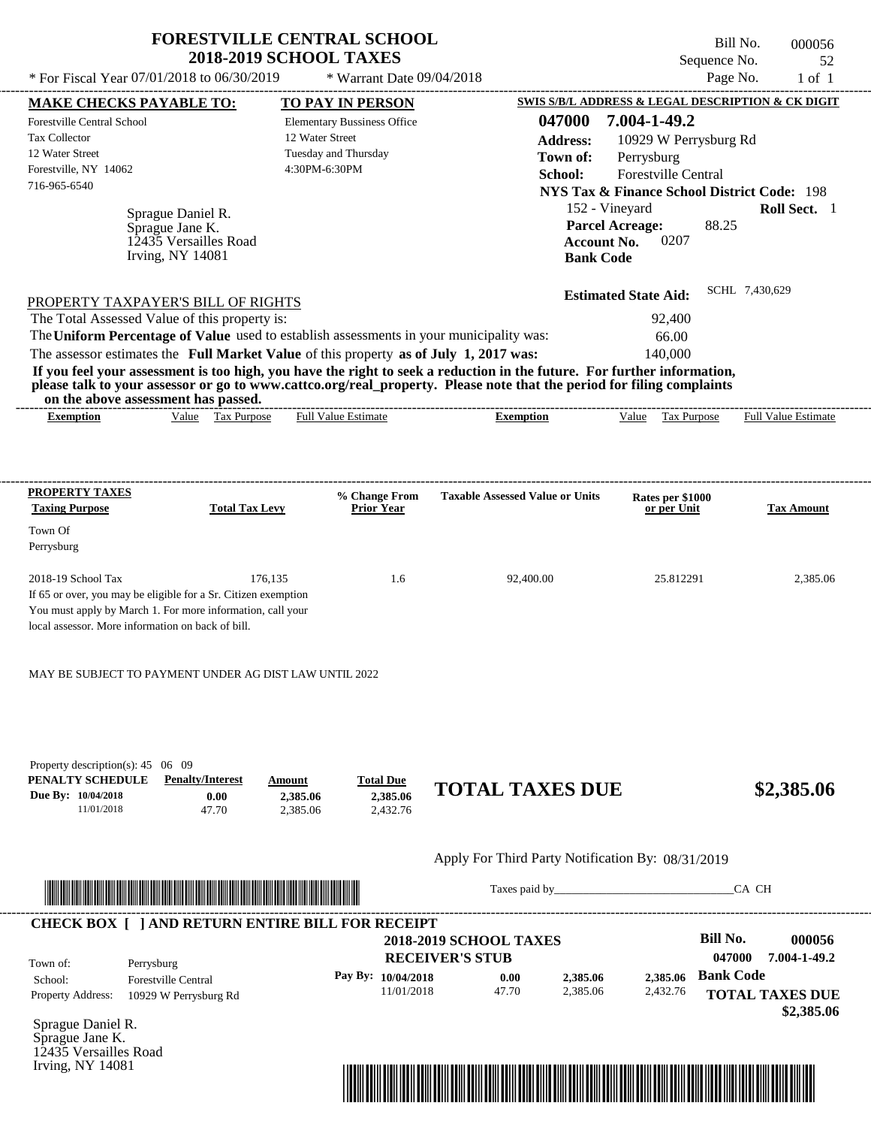|                                                                                                                                                                                   | <b>FORESTVILLE CENTRAL SCHOOL</b>                     |                                          |                                                   |                                 | Bill No.<br>000056                                     |
|-----------------------------------------------------------------------------------------------------------------------------------------------------------------------------------|-------------------------------------------------------|------------------------------------------|---------------------------------------------------|---------------------------------|--------------------------------------------------------|
|                                                                                                                                                                                   | <b>2018-2019 SCHOOL TAXES</b>                         |                                          |                                                   |                                 | Sequence No.<br>52                                     |
| * For Fiscal Year 07/01/2018 to 06/30/2019                                                                                                                                        |                                                       | * Warrant Date 09/04/2018                |                                                   |                                 | Page No.<br>$1$ of $1$                                 |
| <b>MAKE CHECKS PAYABLE TO:</b>                                                                                                                                                    | <b>TO PAY IN PERSON</b>                               |                                          |                                                   |                                 | SWIS S/B/L ADDRESS & LEGAL DESCRIPTION & CK DIGIT      |
| Forestville Central School<br><b>Tax Collector</b>                                                                                                                                | <b>Elementary Bussiness Office</b><br>12 Water Street |                                          | 047000                                            | 7.004-1-49.2                    |                                                        |
| 12 Water Street                                                                                                                                                                   | Tuesday and Thursday                                  |                                          | <b>Address:</b>                                   | 10929 W Perrysburg Rd           |                                                        |
| Forestville, NY 14062                                                                                                                                                             | 4:30PM-6:30PM                                         |                                          | Town of:                                          | Perrysburg                      |                                                        |
| 716-965-6540                                                                                                                                                                      |                                                       |                                          | School:                                           | Forestville Central             |                                                        |
|                                                                                                                                                                                   |                                                       |                                          |                                                   |                                 | <b>NYS Tax &amp; Finance School District Code: 198</b> |
| Sprague Daniel R.                                                                                                                                                                 |                                                       |                                          |                                                   | 152 - Vineyard                  | Roll Sect. 1                                           |
| Sprague Jane K.<br>12435 Versailles Road                                                                                                                                          |                                                       |                                          | <b>Account No.</b>                                | <b>Parcel Acreage:</b><br>0207  | 88.25                                                  |
| <b>Irving, NY 14081</b>                                                                                                                                                           |                                                       |                                          | <b>Bank Code</b>                                  |                                 |                                                        |
|                                                                                                                                                                                   |                                                       |                                          |                                                   |                                 |                                                        |
|                                                                                                                                                                                   |                                                       |                                          |                                                   | <b>Estimated State Aid:</b>     | SCHL 7,430,629                                         |
| PROPERTY TAXPAYER'S BILL OF RIGHTS                                                                                                                                                |                                                       |                                          |                                                   |                                 |                                                        |
| The Total Assessed Value of this property is:                                                                                                                                     |                                                       |                                          |                                                   | 92,400                          |                                                        |
| The Uniform Percentage of Value used to establish assessments in your municipality was:<br>The assessor estimates the Full Market Value of this property as of July 1, 2017 was:  |                                                       |                                          |                                                   | 66.00<br>140,000                |                                                        |
| If you feel your assessment is too high, you have the right to seek a reduction in the future. For further information,                                                           |                                                       |                                          |                                                   |                                 |                                                        |
| please talk to your assessor or go to www.cattco.org/real_property. Please note that the period for filing complaints<br>on the above assessment has passed.                      |                                                       |                                          |                                                   |                                 |                                                        |
| Value Tax Purpose<br><b>Exemption</b>                                                                                                                                             | <b>Full Value Estimate</b>                            |                                          | <b>Exemption</b>                                  | Value Tax Purpose               | <b>Full Value Estimate</b>                             |
| <b>PROPERTY TAXES</b><br><b>Taxing Purpose</b>                                                                                                                                    | <b>Total Tax Levy</b>                                 | % Change From<br><b>Prior Year</b>       | <b>Taxable Assessed Value or Units</b>            | Rates per \$1000<br>or per Unit | <b>Tax Amount</b>                                      |
| Town Of<br>Perrysburg                                                                                                                                                             |                                                       |                                          |                                                   |                                 |                                                        |
| 2018-19 School Tax                                                                                                                                                                | 176,135                                               | 1.6                                      | 92,400.00                                         | 25.812291                       | 2,385.06                                               |
| If 65 or over, you may be eligible for a Sr. Citizen exemption<br>You must apply by March 1. For more information, call your<br>local assessor. More information on back of bill. |                                                       |                                          |                                                   |                                 |                                                        |
| MAY BE SUBJECT TO PAYMENT UNDER AG DIST LAW UNTIL 2022                                                                                                                            |                                                       |                                          |                                                   |                                 |                                                        |
|                                                                                                                                                                                   |                                                       |                                          |                                                   |                                 |                                                        |
| Property description(s): $45 \quad 06 \quad 09$<br>PENALTY SCHEDULE<br><b>Penalty/Interest</b><br>Due By: 10/04/2018<br>0.00<br>11/01/2018<br>47.70                               | Amount<br>2,385.06<br>2,385.06                        | <b>Total Due</b><br>2,385.06<br>2,432.76 | <b>TOTAL TAXES DUE</b>                            |                                 | \$2,385.06                                             |
|                                                                                                                                                                                   |                                                       |                                          | Apply For Third Party Notification By: 08/31/2019 |                                 |                                                        |
|                                                                                                                                                                                   |                                                       |                                          |                                                   |                                 | CA CH                                                  |
| <b>CHECK BOX [ ] AND RETURN ENTIRE BILL FOR RECEIPT</b>                                                                                                                           |                                                       |                                          |                                                   |                                 |                                                        |
|                                                                                                                                                                                   |                                                       |                                          | <b>2018-2019 SCHOOL TAXES</b>                     |                                 | <b>Bill No.</b><br>000056                              |
| Town of:<br>Perrysburg                                                                                                                                                            |                                                       |                                          | <b>RECEIVER'S STUB</b>                            |                                 | 047000<br>7.004-1-49.2                                 |
| School:<br>Forestville Central                                                                                                                                                    |                                                       | Pay By: 10/04/2018                       | 0.00<br>2,385.06                                  | 2.385.06                        | <b>Bank Code</b>                                       |

Sprague Daniel R. Sprague Jane K. 12435 Versailles Road Irving, NY 14081

Property Address: 10929 W Perrysburg Rd



2,385.06 2,432.76

11/01/2018 47.70

**TOTAL TAXES DUE**

 **\$2,385.06**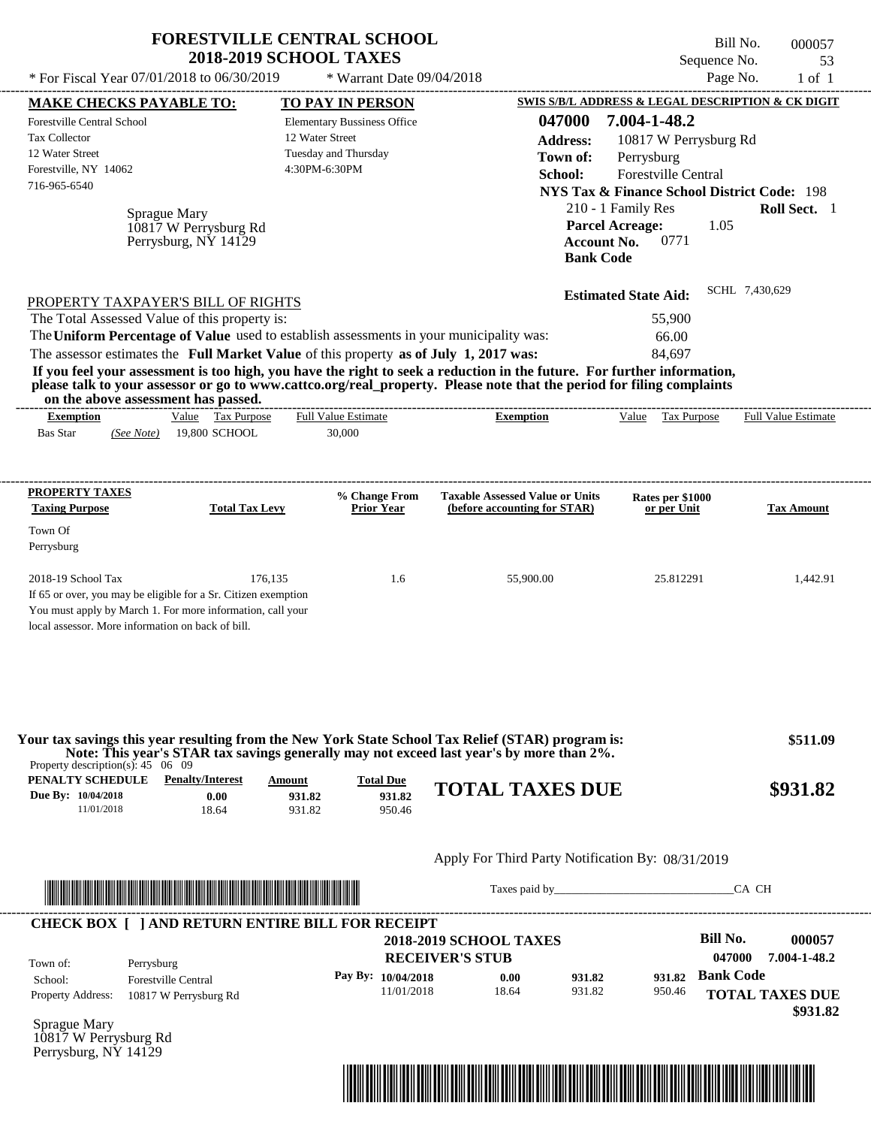|                                                                                                                                                                                                                                                                                                             | <b>FORESTVILLE CENTRAL SCHOOL</b><br><b>2018-2019 SCHOOL TAXES</b> |                                    |                           |                                                   |                  |                                                                  | Bill No.<br>Sequence No.  | 000057<br>53                       |
|-------------------------------------------------------------------------------------------------------------------------------------------------------------------------------------------------------------------------------------------------------------------------------------------------------------|--------------------------------------------------------------------|------------------------------------|---------------------------|---------------------------------------------------|------------------|------------------------------------------------------------------|---------------------------|------------------------------------|
| * For Fiscal Year 07/01/2018 to 06/30/2019                                                                                                                                                                                                                                                                  |                                                                    |                                    | * Warrant Date 09/04/2018 |                                                   |                  |                                                                  | Page No.                  | $1$ of $1$                         |
| <b>MAKE CHECKS PAYABLE TO:</b>                                                                                                                                                                                                                                                                              |                                                                    | <b>TO PAY IN PERSON</b>            |                           |                                                   |                  | <b>SWIS S/B/L ADDRESS &amp; LEGAL DESCRIPTION &amp; CK DIGIT</b> |                           |                                    |
| Forestville Central School                                                                                                                                                                                                                                                                                  |                                                                    | <b>Elementary Bussiness Office</b> |                           |                                                   | 047000           | 7.004-1-48.2                                                     |                           |                                    |
| <b>Tax Collector</b>                                                                                                                                                                                                                                                                                        |                                                                    | 12 Water Street                    |                           |                                                   | <b>Address:</b>  | 10817 W Perrysburg Rd                                            |                           |                                    |
| 12 Water Street                                                                                                                                                                                                                                                                                             |                                                                    | Tuesday and Thursday               |                           |                                                   | Town of:         | Perrysburg                                                       |                           |                                    |
| Forestville, NY 14062<br>716-965-6540                                                                                                                                                                                                                                                                       |                                                                    | 4:30PM-6:30PM                      |                           |                                                   | School:          | Forestville Central                                              |                           |                                    |
|                                                                                                                                                                                                                                                                                                             |                                                                    |                                    |                           |                                                   |                  | <b>NYS Tax &amp; Finance School District Code: 198</b>           |                           |                                    |
| Sprague Mary                                                                                                                                                                                                                                                                                                |                                                                    |                                    |                           |                                                   |                  | 210 - 1 Family Res                                               |                           | Roll Sect. 1                       |
|                                                                                                                                                                                                                                                                                                             | 10817 W Perrysburg Rd<br>Perrysburg, NY 14129                      |                                    |                           |                                                   | <b>Bank Code</b> | <b>Parcel Acreage:</b><br>0771<br><b>Account No.</b>             | 1.05                      |                                    |
| PROPERTY TAXPAYER'S BILL OF RIGHTS                                                                                                                                                                                                                                                                          |                                                                    |                                    |                           |                                                   |                  | <b>Estimated State Aid:</b>                                      | SCHL 7,430,629            |                                    |
| The Total Assessed Value of this property is:                                                                                                                                                                                                                                                               |                                                                    |                                    |                           |                                                   |                  | 55,900                                                           |                           |                                    |
| The Uniform Percentage of Value used to establish assessments in your municipality was:                                                                                                                                                                                                                     |                                                                    |                                    |                           |                                                   |                  | 66.00                                                            |                           |                                    |
| The assessor estimates the Full Market Value of this property as of July 1, 2017 was:                                                                                                                                                                                                                       |                                                                    |                                    |                           |                                                   |                  | 84,697                                                           |                           |                                    |
| If you feel your assessment is too high, you have the right to seek a reduction in the future. For further information,<br>please talk to your assessor or go to www.cattco.org/real_property. Please note that the period for filing complaints<br>on the above assessment has passed.<br><b>Exemption</b> | Value Tax Purpose                                                  | <b>Full Value Estimate</b>         |                           | <b>Exemption</b>                                  |                  | Value Tax Purpose                                                |                           | Full Value Estimate                |
| <b>Bas Star</b><br>(See Note)                                                                                                                                                                                                                                                                               | 19,800 SCHOOL                                                      | 30,000                             |                           |                                                   |                  |                                                                  |                           |                                    |
| PROPERTY TAXES                                                                                                                                                                                                                                                                                              |                                                                    | % Change From                      |                           | <b>Taxable Assessed Value or Units</b>            |                  | Rates per \$1000                                                 |                           |                                    |
| <b>Taxing Purpose</b>                                                                                                                                                                                                                                                                                       | <b>Total Tax Levy</b>                                              | <b>Prior Year</b>                  |                           | (before accounting for STAR)                      |                  | or per Unit                                                      |                           | <b>Tax Amount</b>                  |
| Town Of                                                                                                                                                                                                                                                                                                     |                                                                    |                                    |                           |                                                   |                  |                                                                  |                           |                                    |
| Perrysburg                                                                                                                                                                                                                                                                                                  |                                                                    |                                    |                           |                                                   |                  |                                                                  |                           |                                    |
| 2018-19 School Tax                                                                                                                                                                                                                                                                                          | 176,135                                                            |                                    | 1.6                       | 55,900.00                                         |                  | 25.812291                                                        |                           | 1,442.91                           |
| If 65 or over, you may be eligible for a Sr. Citizen exemption<br>You must apply by March 1. For more information, call your<br>local assessor. More information on back of bill.                                                                                                                           |                                                                    |                                    |                           |                                                   |                  |                                                                  |                           |                                    |
| Your tax savings this year resulting from the New York State School Tax Relief (STAR) program is:<br>Note: This year's STAR tax savings generally may not exceed last year's by more than 2%.<br>Property description(s): $45 \quad 06 \quad 09$                                                            |                                                                    |                                    |                           |                                                   |                  |                                                                  |                           | \$511.09                           |
| <b>PENALTY SCHEDULE</b> Penalty/Interest                                                                                                                                                                                                                                                                    | Amount                                                             |                                    | <b>Total Due</b>          | <b>TOTAL TAXES DUE</b>                            |                  |                                                                  |                           | \$931.82                           |
| Due By: 10/04/2018<br>11/01/2018                                                                                                                                                                                                                                                                            | 0.00<br>18.64                                                      | 931.82<br>931.82                   | 931.82<br>950.46          |                                                   |                  |                                                                  |                           |                                    |
|                                                                                                                                                                                                                                                                                                             |                                                                    |                                    |                           | Apply For Third Party Notification By: 08/31/2019 |                  |                                                                  |                           |                                    |
|                                                                                                                                                                                                                                                                                                             |                                                                    |                                    |                           |                                                   |                  | Taxes paid by                                                    | CA CH                     |                                    |
| <b>CHECK BOX [ ] AND RETURN ENTIRE BILL FOR RECEIPT</b>                                                                                                                                                                                                                                                     |                                                                    |                                    | <b>RECEIVER'S STUB</b>    | <b>2018-2019 SCHOOL TAXES</b>                     |                  |                                                                  | <b>Bill No.</b><br>047000 | 000057<br>7.004-1-48.2             |
| Town of:<br>Perrysburg<br>School:<br><b>Forestville Central</b>                                                                                                                                                                                                                                             |                                                                    |                                    | Pay By: 10/04/2018        | 0.00                                              | 931.82           | 931.82                                                           | <b>Bank Code</b>          |                                    |
| Property Address:<br>10817 W Perrysburg Rd                                                                                                                                                                                                                                                                  |                                                                    |                                    | 11/01/2018                | 18.64                                             | 931.82           | 950.46                                                           |                           | <b>TOTAL TAXES DUE</b><br>\$931.82 |
| Sprague Mary                                                                                                                                                                                                                                                                                                |                                                                    |                                    |                           |                                                   |                  |                                                                  |                           |                                    |

10817 W Perrysburg Rd Perrysburg, NY 14129

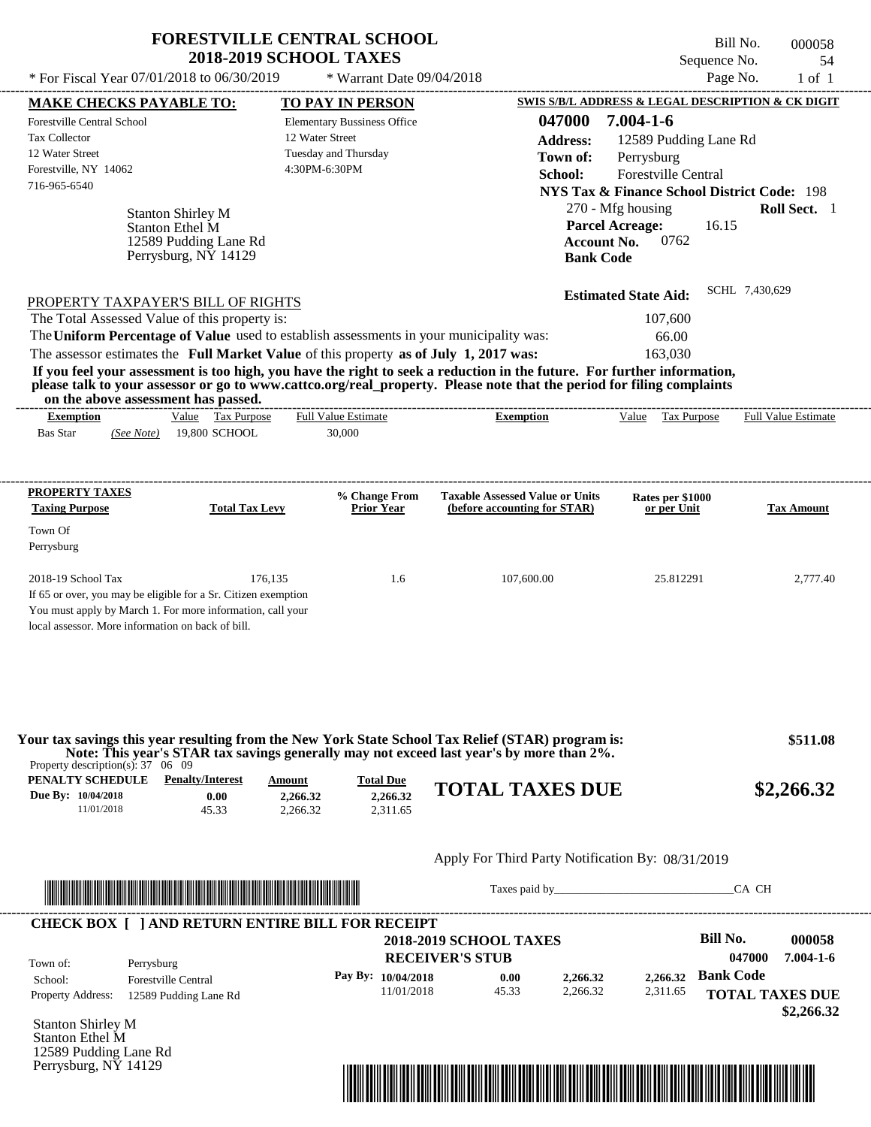| * For Fiscal Year 07/01/2018 to 06/30/2019                                                                                                                                                                                                                                                                                                                                                                                                                                                                                                                                                 | <b>FORESTVILLE CENTRAL SCHOOL</b><br><b>2018-2019 SCHOOL TAXES</b><br>* Warrant Date 09/04/2018                           |                                                                        | Bill No.<br>Sequence No.<br>Page No.                                                                                                                                                                                                                         | 000058<br>54<br>$1$ of $1$ |
|--------------------------------------------------------------------------------------------------------------------------------------------------------------------------------------------------------------------------------------------------------------------------------------------------------------------------------------------------------------------------------------------------------------------------------------------------------------------------------------------------------------------------------------------------------------------------------------------|---------------------------------------------------------------------------------------------------------------------------|------------------------------------------------------------------------|--------------------------------------------------------------------------------------------------------------------------------------------------------------------------------------------------------------------------------------------------------------|----------------------------|
| <b>MAKE CHECKS PAYABLE TO:</b><br>Forestville Central School<br><b>Tax Collector</b><br>12 Water Street<br>Forestville, NY 14062<br>716-965-6540<br><b>Stanton Shirley M</b><br>Stanton Ethel M<br>12589 Pudding Lane Rd                                                                                                                                                                                                                                                                                                                                                                   | <b>TO PAY IN PERSON</b><br><b>Elementary Bussiness Office</b><br>12 Water Street<br>Tuesday and Thursday<br>4:30PM-6:30PM | 047000<br><b>Address:</b><br>Town of:<br>School:<br><b>Account No.</b> | SWIS S/B/L ADDRESS & LEGAL DESCRIPTION & CK DIGIT<br>$7.004 - 1 - 6$<br>12589 Pudding Lane Rd<br>Perrysburg<br>Forestville Central<br><b>NYS Tax &amp; Finance School District Code: 198</b><br>270 - Mfg housing<br><b>Parcel Acreage:</b><br>16.15<br>0762 | Roll Sect. 1               |
| Perrysburg, NY 14129<br>PROPERTY TAXPAYER'S BILL OF RIGHTS<br>The Total Assessed Value of this property is:<br>The Uniform Percentage of Value used to establish assessments in your municipality was:<br>The assessor estimates the Full Market Value of this property as of July 1, 2017 was:<br>If you feel your assessment is too high, you have the right to seek a reduction in the future. For further information,<br>please talk to your assessor or go to www.cattco.org/real_property. Please note that the period for filing complaints<br>on the above assessment has passed. |                                                                                                                           | <b>Bank Code</b>                                                       | <b>Estimated State Aid:</b><br>107,600<br>66.00<br>163,030                                                                                                                                                                                                   | SCHL 7,430,629             |
| Value Tax Purpose<br><b>Exemption</b><br>19,800 SCHOOL<br><b>Bas Star</b><br>(See Note)                                                                                                                                                                                                                                                                                                                                                                                                                                                                                                    | <b>Full Value Estimate</b><br>30,000                                                                                      | ---------------------------<br><b>Exemption</b>                        | Value Tax Purpose                                                                                                                                                                                                                                            | <b>Full Value Estimate</b> |
| <b>PROPERTY TAXES</b><br><b>Taxing Purpose</b><br><b>Total Tax Levy</b><br>Town Of<br>Perrysburg                                                                                                                                                                                                                                                                                                                                                                                                                                                                                           | % Change From<br><b>Prior Year</b>                                                                                        | <b>Taxable Assessed Value or Units</b><br>(before accounting for STAR) | Rates per \$1000<br>or per Unit                                                                                                                                                                                                                              | <b>Tax Amount</b>          |
| 2018-19 School Tax<br>176,135<br>If 65 or over, you may be eligible for a Sr. Citizen exemption<br>You must apply by March 1. For more information, call your<br>local assessor. More information on back of bill.                                                                                                                                                                                                                                                                                                                                                                         | 1.6                                                                                                                       | 107,600.00                                                             | 25.812291                                                                                                                                                                                                                                                    | 2,777.40                   |
| Your tax savings this year resulting from the New York State School Tax Relief (STAR) program is:<br>Note: This year's STAR tax savings generally may not exceed last year's by more than 2%.<br>Property description(s): $37 \quad 06 \quad 09$                                                                                                                                                                                                                                                                                                                                           |                                                                                                                           |                                                                        |                                                                                                                                                                                                                                                              | \$511.08                   |
| PENALTY SCHEDULE<br><b>Penalty/Interest</b><br>Due By: 10/04/2018<br>0.00<br>11/01/2018<br>45.33                                                                                                                                                                                                                                                                                                                                                                                                                                                                                           | <b>Total Due</b><br>Amount<br>2,266.32<br>2,266.32<br>2,266.32<br>2,311.65                                                | <b>TOTAL TAXES DUE</b>                                                 |                                                                                                                                                                                                                                                              | \$2,266.32                 |
|                                                                                                                                                                                                                                                                                                                                                                                                                                                                                                                                                                                            |                                                                                                                           | Apply For Third Party Notification By: 08/31/2019                      |                                                                                                                                                                                                                                                              |                            |
|                                                                                                                                                                                                                                                                                                                                                                                                                                                                                                                                                                                            |                                                                                                                           | Taxes paid by                                                          |                                                                                                                                                                                                                                                              | CA CH                      |
| <b>CHECK BOX [ ] AND RETURN ENTIRE BILL FOR RECEIPT</b>                                                                                                                                                                                                                                                                                                                                                                                                                                                                                                                                    |                                                                                                                           | <b>2018-2019 SCHOOL TAXES</b>                                          | Bill No.                                                                                                                                                                                                                                                     | 000058                     |

|                          |                            |                        | $\rightarrow$ 0.10 $\rightarrow$ 0.0110.011 1.111110 |          |          |                        | .               |
|--------------------------|----------------------------|------------------------|------------------------------------------------------|----------|----------|------------------------|-----------------|
| Town of:                 | Perrysburg                 | <b>RECEIVER'S STUB</b> |                                                      |          |          | 047000                 | $7.004 - 1 - 6$ |
| School:                  | <b>Forestville Central</b> | Pay By: $10/04/2018$   | 0.00                                                 | 2.266.32 | 2,266.32 | <b>Bank Code</b>       |                 |
| <b>Property Address:</b> | 12589 Pudding Lane Rd      | 11/01/2018             | 45.33                                                | 2,266.32 | 2,311.65 | <b>TOTAL TAXES DUE</b> |                 |
|                          |                            |                        |                                                      |          |          |                        | \$2,266.32      |

Stanton Shirley M Stanton Ethel M 12589 Pudding Lane Rd Perrysburg, NY 14129

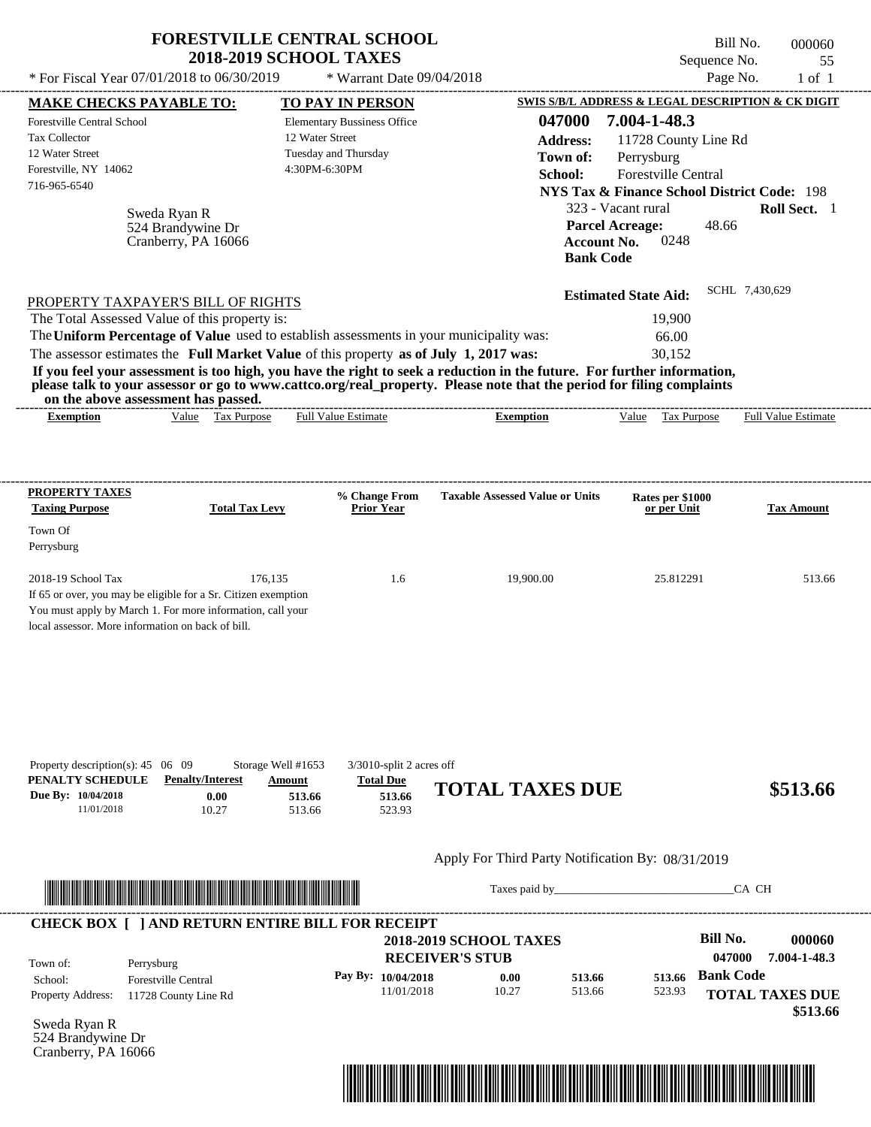|                                                                                                                                                                                                                                                                                                                                                                                                                                                                                                                                                                    | <b>FORESTVILLE CENTRAL SCHOOL</b><br><b>2018-2019 SCHOOL TAXES</b>                                                      |                                                                                                                      | Bill No.<br>Sequence No.                                                                                                                                                   | 000060<br>55                       |
|--------------------------------------------------------------------------------------------------------------------------------------------------------------------------------------------------------------------------------------------------------------------------------------------------------------------------------------------------------------------------------------------------------------------------------------------------------------------------------------------------------------------------------------------------------------------|-------------------------------------------------------------------------------------------------------------------------|----------------------------------------------------------------------------------------------------------------------|----------------------------------------------------------------------------------------------------------------------------------------------------------------------------|------------------------------------|
| * For Fiscal Year 07/01/2018 to 06/30/2019                                                                                                                                                                                                                                                                                                                                                                                                                                                                                                                         | * Warrant Date 09/04/2018                                                                                               |                                                                                                                      | Page No.                                                                                                                                                                   | $1$ of $1$                         |
| <b>MAKE CHECKS PAYABLE TO:</b>                                                                                                                                                                                                                                                                                                                                                                                                                                                                                                                                     | <b>TO PAY IN PERSON</b>                                                                                                 |                                                                                                                      | <b>SWIS S/B/L ADDRESS &amp; LEGAL DESCRIPTION &amp; CK DIGIT</b>                                                                                                           |                                    |
| Forestville Central School<br><b>Tax Collector</b><br>12 Water Street<br>Forestville, NY 14062<br>716-965-6540<br>Sweda Ryan R<br>524 Brandywine Dr<br>Cranberry, PA 16066                                                                                                                                                                                                                                                                                                                                                                                         | <b>Elementary Bussiness Office</b><br>12 Water Street<br>Tuesday and Thursday<br>4:30PM-6:30PM                          | 047000<br><b>Address:</b><br>Town of:<br>School:<br><b>Parcel Acreage:</b><br><b>Account No.</b><br><b>Bank Code</b> | 7.004-1-48.3<br>11728 County Line Rd<br>Perrysburg<br>Forestville Central<br><b>NYS Tax &amp; Finance School District Code: 198</b><br>323 - Vacant rural<br>48.66<br>0248 | Roll Sect. 1                       |
| PROPERTY TAXPAYER'S BILL OF RIGHTS<br>The Total Assessed Value of this property is:<br>The Uniform Percentage of Value used to establish assessments in your municipality was:<br>The assessor estimates the Full Market Value of this property as of July 1, 2017 was:<br>If you feel your assessment is too high, you have the right to seek a reduction in the future. For further information,<br>please talk to your assessor or go to www.cattco.org/real_property. Please note that the period for filing complaints<br>on the above assessment has passed. |                                                                                                                         |                                                                                                                      | <b>Estimated State Aid:</b><br>19,900<br>66.00<br>30,152                                                                                                                   | SCHL 7,430,629                     |
| Value Tax Purpose<br><b>Exemption</b>                                                                                                                                                                                                                                                                                                                                                                                                                                                                                                                              | <b>Full Value Estimate</b>                                                                                              | <b>Exemption</b>                                                                                                     | Value Tax Purpose                                                                                                                                                          | Full Value Estimate                |
| PROPERTY TAXES                                                                                                                                                                                                                                                                                                                                                                                                                                                                                                                                                     | % Change From                                                                                                           | <b>Taxable Assessed Value or Units</b>                                                                               | Rates per \$1000                                                                                                                                                           |                                    |
| <b>Taxing Purpose</b><br><b>Total Tax Levy</b><br>Town Of<br>Perrysburg                                                                                                                                                                                                                                                                                                                                                                                                                                                                                            | <b>Prior Year</b>                                                                                                       |                                                                                                                      | or per Unit                                                                                                                                                                | <b>Tax Amount</b>                  |
| 2018-19 School Tax<br>If 65 or over, you may be eligible for a Sr. Citizen exemption<br>You must apply by March 1. For more information, call your<br>local assessor. More information on back of bill.                                                                                                                                                                                                                                                                                                                                                            | 176,135<br>1.6                                                                                                          | 19,900.00                                                                                                            | 25.812291                                                                                                                                                                  | 513.66                             |
| Property description(s): $45 \quad 06 \quad 09$<br>PENALTY SCHEDULE<br><b>Penalty/Interest</b><br>Due By: 10/04/2018<br>0.00<br>11/01/2018<br>10.27                                                                                                                                                                                                                                                                                                                                                                                                                | Storage Well #1653<br>$3/3010$ -split 2 acres off<br><b>Total Due</b><br>Amount<br>513.66<br>513.66<br>513.66<br>523.93 | <b>TOTAL TAXES DUE</b>                                                                                               |                                                                                                                                                                            | \$513.66                           |
|                                                                                                                                                                                                                                                                                                                                                                                                                                                                                                                                                                    |                                                                                                                         | Apply For Third Party Notification By: 08/31/2019                                                                    |                                                                                                                                                                            |                                    |
|                                                                                                                                                                                                                                                                                                                                                                                                                                                                                                                                                                    |                                                                                                                         |                                                                                                                      |                                                                                                                                                                            | CA CH                              |
| <b>CHECK BOX [ ] AND RETURN ENTIRE BILL FOR RECEIPT</b><br>Town of:<br>Perrysburg                                                                                                                                                                                                                                                                                                                                                                                                                                                                                  |                                                                                                                         | <b>2018-2019 SCHOOL TAXES</b><br><b>RECEIVER'S STUB</b>                                                              | <b>Bill No.</b><br>047000                                                                                                                                                  | 000060<br>7.004-1-48.3             |
| School:<br><b>Forestville Central</b><br>Property Address:<br>11728 County Line Rd                                                                                                                                                                                                                                                                                                                                                                                                                                                                                 | Pay By: 10/04/2018<br>11/01/2018                                                                                        | 513.66<br>0.00<br>10.27<br>513.66                                                                                    | <b>Bank Code</b><br>513.66<br>523.93                                                                                                                                       | <b>TOTAL TAXES DUE</b><br>\$513.66 |

Sweda Ryan R 524 Brandywine Dr Cranberry, PA 16066

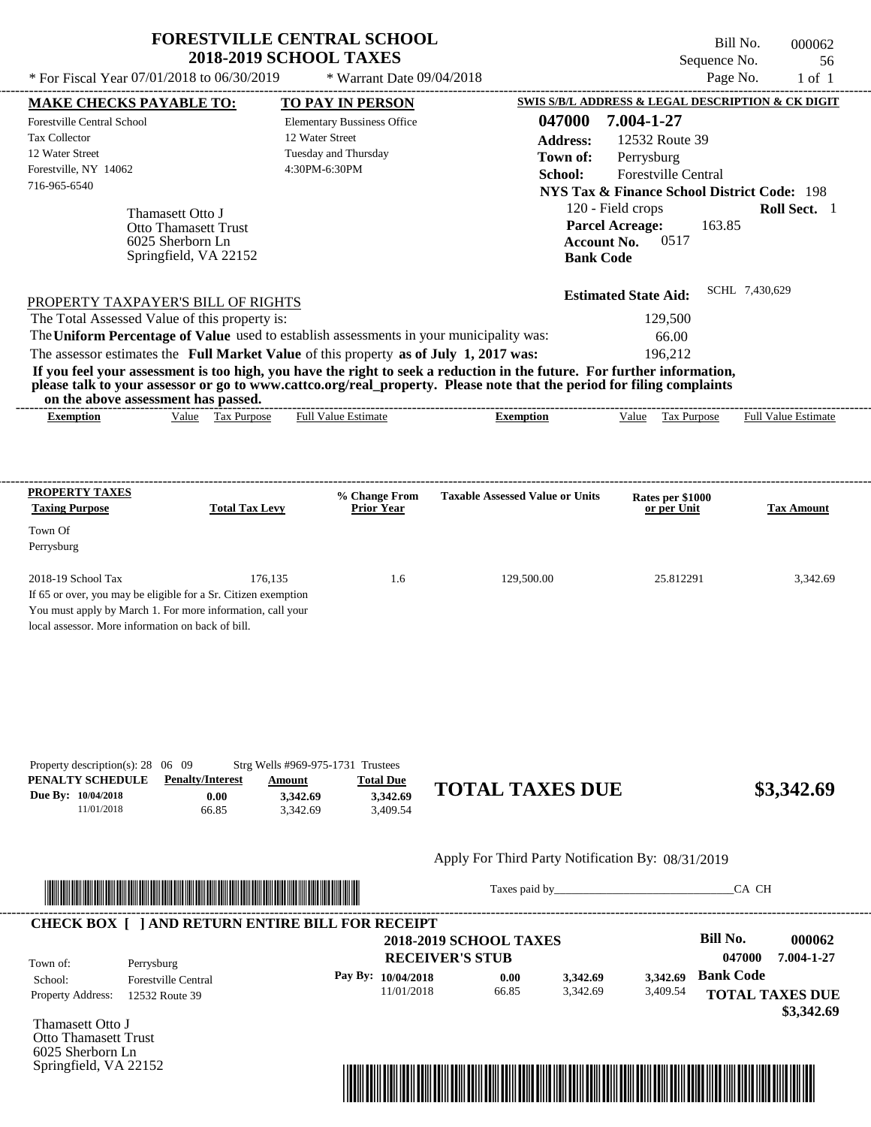| * For Fiscal Year 07/01/2018 to 06/30/2019                                                                                                                                                                                                                                         | <b>FORESTVILLE CENTRAL SCHOOL</b><br><b>2018-2019 SCHOOL TAXES</b>                                                   | * Warrant Date 09/04/2018                                                                                                 |                                                                                                                                                                                                                                                  | Sequence No.<br>Page No.                                                                                                                                                                     | Bill No.<br>000062<br>56<br>$1$ of $1$ |
|------------------------------------------------------------------------------------------------------------------------------------------------------------------------------------------------------------------------------------------------------------------------------------|----------------------------------------------------------------------------------------------------------------------|---------------------------------------------------------------------------------------------------------------------------|--------------------------------------------------------------------------------------------------------------------------------------------------------------------------------------------------------------------------------------------------|----------------------------------------------------------------------------------------------------------------------------------------------------------------------------------------------|----------------------------------------|
|                                                                                                                                                                                                                                                                                    |                                                                                                                      |                                                                                                                           |                                                                                                                                                                                                                                                  | SWIS S/B/L ADDRESS & LEGAL DESCRIPTION & CK DIGIT                                                                                                                                            |                                        |
| <b>MAKE CHECKS PAYABLE TO:</b><br>Forestville Central School<br><b>Tax Collector</b><br>12 Water Street<br>Forestville, NY 14062<br>716-965-6540<br>Thamasett Otto J<br>6025 Sherborn Ln                                                                                           | <b>Otto Thamasett Trust</b><br>Springfield, VA 22152                                                                 | <b>TO PAY IN PERSON</b><br><b>Elementary Bussiness Office</b><br>12 Water Street<br>Tuesday and Thursday<br>4:30PM-6:30PM | 047000<br><b>Address:</b><br>Town of:<br>School:<br><b>Account No.</b><br><b>Bank Code</b>                                                                                                                                                       | 7.004-1-27<br>12532 Route 39<br>Perrysburg<br>Forestville Central<br><b>NYS Tax &amp; Finance School District Code: 198</b><br>120 - Field crops<br><b>Parcel Acreage:</b><br>163.85<br>0517 | Roll Sect. 1                           |
| PROPERTY TAXPAYER'S BILL OF RIGHTS                                                                                                                                                                                                                                                 |                                                                                                                      |                                                                                                                           |                                                                                                                                                                                                                                                  | <b>Estimated State Aid:</b>                                                                                                                                                                  | SCHL 7,430,629                         |
| The Total Assessed Value of this property is:                                                                                                                                                                                                                                      |                                                                                                                      |                                                                                                                           |                                                                                                                                                                                                                                                  | 129,500                                                                                                                                                                                      |                                        |
| The Uniform Percentage of Value used to establish assessments in your municipality was:                                                                                                                                                                                            |                                                                                                                      |                                                                                                                           |                                                                                                                                                                                                                                                  | 66.00                                                                                                                                                                                        |                                        |
| The assessor estimates the Full Market Value of this property as of July 1, 2017 was:                                                                                                                                                                                              |                                                                                                                      |                                                                                                                           |                                                                                                                                                                                                                                                  | 196,212                                                                                                                                                                                      |                                        |
| on the above assessment has passed.                                                                                                                                                                                                                                                |                                                                                                                      |                                                                                                                           | If you feel your assessment is too high, you have the right to seek a reduction in the future. For further information,<br>please talk to your assessor or go to www.cattco.org/real_property. Please note that the period for filing complaints |                                                                                                                                                                                              |                                        |
| <b>Exemption</b>                                                                                                                                                                                                                                                                   | Value Tax Purpose                                                                                                    | <b>Full Value Estimate</b>                                                                                                | <b>Exemption</b>                                                                                                                                                                                                                                 | Value Tax Purpose                                                                                                                                                                            | <b>Full Value Estimate</b>             |
| <b>PROPERTY TAXES</b><br><b>Taxing Purpose</b><br>Town Of<br>Perrysburg<br>2018-19 School Tax<br>If 65 or over, you may be eligible for a Sr. Citizen exemption<br>You must apply by March 1. For more information, call your<br>local assessor. More information on back of bill. | <b>Total Tax Levy</b><br>176,135                                                                                     | % Change From<br><b>Prior Year</b><br>1.6                                                                                 | <b>Taxable Assessed Value or Units</b><br>129,500.00                                                                                                                                                                                             | Rates per \$1000<br>or per Unit<br>25.812291                                                                                                                                                 | <b>Tax Amount</b><br>3,342.69          |
| Property description(s): $28 \quad 06 \quad 09$<br>PENALTY SCHEDULE<br>Due By: 10/04/2018<br>11/01/2018                                                                                                                                                                            | Strg Wells #969-975-1731 Trustees<br><b>Penalty/Interest</b><br>Amount<br>0.00<br>3,342.69<br>3,342.69<br>66.85      | <b>Total Due</b><br>3,342.69<br>3,409.54                                                                                  | <b>TOTAL TAXES DUE</b>                                                                                                                                                                                                                           |                                                                                                                                                                                              | \$3,342.69                             |
|                                                                                                                                                                                                                                                                                    |                                                                                                                      |                                                                                                                           | Apply For Third Party Notification By: 08/31/2019                                                                                                                                                                                                |                                                                                                                                                                                              |                                        |
|                                                                                                                                                                                                                                                                                    | <u> Literatura de la contrada de la contrada de la contrada de la contrada de la contrada de la contrada de la c</u> |                                                                                                                           | Taxes paid by                                                                                                                                                                                                                                    |                                                                                                                                                                                              | CA CH                                  |
| <b>CHECK BOX [ ] AND RETURN ENTIRE BILL FOR RECEIPT</b>                                                                                                                                                                                                                            |                                                                                                                      |                                                                                                                           |                                                                                                                                                                                                                                                  |                                                                                                                                                                                              |                                        |
|                                                                                                                                                                                                                                                                                    |                                                                                                                      |                                                                                                                           | <b>2018-2019 SCHOOL TAXES</b>                                                                                                                                                                                                                    | <b>Bill No.</b>                                                                                                                                                                              | 000062                                 |

**RECEIVER'S STUB Bank Code 3,342.69** Property Address: 12532 Route 39 Perrysburg School: Forestville Central **TOTAL TAXES DUE 047000 7.004-1-27 Pay By: 10/04/2018** 11/01/2018 66.85 **0.00** 3,342.69 **3,342.69** 3,409.54 Town of:

Thamasett Otto J Otto Thamasett Trust 6025 Sherborn Ln Springfield, VA 22152



 **\$3,342.69**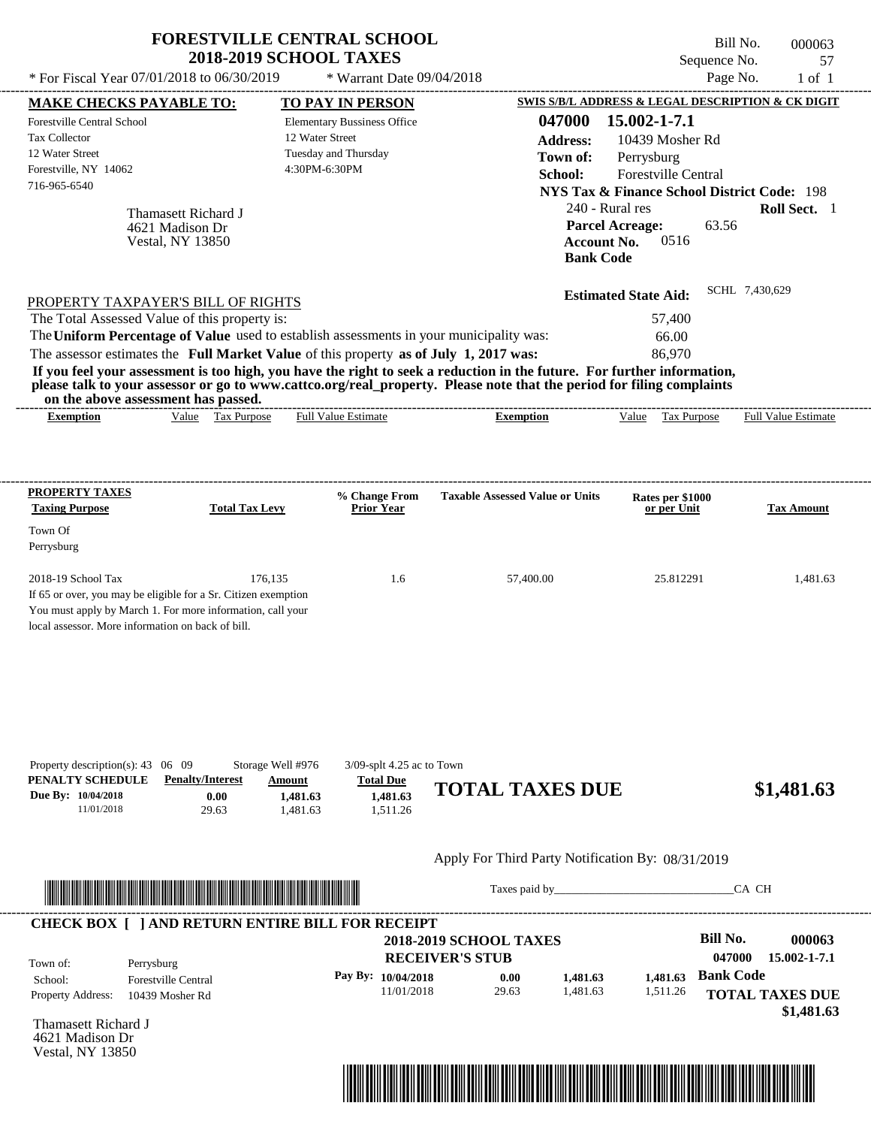| * For Fiscal Year 07/01/2018 to 06/30/2019                                                                                                                                                                                                                                                                                                                                                                                                                                                                                                                         | <b>FORESTVILLE CENTRAL SCHOOL</b><br><b>2018-2019 SCHOOL TAXES</b>   | * Warrant Date 09/04/2018                                                |                                                         |                                                                                                                                                                                                                                |                                                                              | Bill No.<br>Sequence No.<br>Page No.       | 000063<br>57<br>$1$ of $1$ |
|--------------------------------------------------------------------------------------------------------------------------------------------------------------------------------------------------------------------------------------------------------------------------------------------------------------------------------------------------------------------------------------------------------------------------------------------------------------------------------------------------------------------------------------------------------------------|----------------------------------------------------------------------|--------------------------------------------------------------------------|---------------------------------------------------------|--------------------------------------------------------------------------------------------------------------------------------------------------------------------------------------------------------------------------------|------------------------------------------------------------------------------|--------------------------------------------|----------------------------|
|                                                                                                                                                                                                                                                                                                                                                                                                                                                                                                                                                                    |                                                                      |                                                                          |                                                         | SWIS S/B/L ADDRESS & LEGAL DESCRIPTION & CK DIGIT                                                                                                                                                                              |                                                                              |                                            |                            |
| <b>MAKE CHECKS PAYABLE TO:</b><br><b>Forestville Central School</b><br><b>Tax Collector</b><br>12 Water Street<br>Forestville, NY 14062<br>716-965-6540<br>Thamasett Richard J<br>4621 Madison Dr<br><b>Vestal, NY 13850</b>                                                                                                                                                                                                                                                                                                                                       | 12 Water Street<br>Tuesday and Thursday<br>4:30PM-6:30PM             | TO PAY IN PERSON<br><b>Elementary Bussiness Office</b>                   |                                                         | 047000<br><b>Address:</b><br>Town of:<br>School:<br><b>NYS Tax &amp; Finance School District Code: 198</b><br>240 - Rural res<br><b>Parcel Acreage:</b><br><b>Account No.</b><br><b>Bank Code</b>                              | 15.002-1-7.1<br>10439 Mosher Rd<br>Perrysburg<br>Forestville Central<br>0516 | 63.56                                      | Roll Sect. 1               |
| PROPERTY TAXPAYER'S BILL OF RIGHTS<br>The Total Assessed Value of this property is:<br>The Uniform Percentage of Value used to establish assessments in your municipality was:<br>The assessor estimates the Full Market Value of this property as of July 1, 2017 was:<br>If you feel your assessment is too high, you have the right to seek a reduction in the future. For further information,<br>please talk to your assessor or go to www.cattco.org/real_property. Please note that the period for filing complaints<br>on the above assessment has passed. |                                                                      |                                                                          |                                                         |                                                                                                                                                                                                                                | <b>Estimated State Aid:</b><br>57,400<br>66.00<br>86,970                     | SCHL 7,430,629                             |                            |
| <b>Exemption</b>                                                                                                                                                                                                                                                                                                                                                                                                                                                                                                                                                   | Value Tax Purpose                                                    | <b>Full Value Estimate</b>                                               | <b>Exemption</b>                                        |                                                                                                                                                                                                                                | Value Tax Purpose                                                            |                                            | <b>Full Value Estimate</b> |
| <b>PROPERTY TAXES</b>                                                                                                                                                                                                                                                                                                                                                                                                                                                                                                                                              |                                                                      | % Change From                                                            | <b>Taxable Assessed Value or Units</b>                  |                                                                                                                                                                                                                                | Rates per \$1000                                                             |                                            |                            |
| <b>Taxing Purpose</b>                                                                                                                                                                                                                                                                                                                                                                                                                                                                                                                                              | <b>Total Tax Levy</b>                                                | <b>Prior Year</b>                                                        |                                                         |                                                                                                                                                                                                                                | or per Unit                                                                  |                                            | <b>Tax Amount</b>          |
| Town Of<br>Perrysburg                                                                                                                                                                                                                                                                                                                                                                                                                                                                                                                                              |                                                                      |                                                                          |                                                         |                                                                                                                                                                                                                                |                                                                              |                                            |                            |
| 2018-19 School Tax<br>If 65 or over, you may be eligible for a Sr. Citizen exemption<br>You must apply by March 1. For more information, call your<br>local assessor. More information on back of bill.                                                                                                                                                                                                                                                                                                                                                            | 176,135                                                              | 1.6                                                                      |                                                         | 57,400.00                                                                                                                                                                                                                      | 25.812291                                                                    |                                            | 1,481.63                   |
| Property description(s): $43 \quad 06 \quad 09$<br>PENALTY SCHEDULE<br><b>Penalty/Interest</b><br>Due By: 10/04/2018<br>11/01/2018                                                                                                                                                                                                                                                                                                                                                                                                                                 | Storage Well #976<br>Amount<br>0.00<br>1,481.63<br>29.63<br>1,481.63 | $3/09$ -splt 4.25 ac to Town<br><b>Total Due</b><br>1,481.63<br>1,511.26 | <b>TOTAL TAXES DUE</b>                                  |                                                                                                                                                                                                                                |                                                                              |                                            | \$1,481.63                 |
|                                                                                                                                                                                                                                                                                                                                                                                                                                                                                                                                                                    |                                                                      |                                                                          | Apply For Third Party Notification By: 08/31/2019       |                                                                                                                                                                                                                                |                                                                              |                                            |                            |
|                                                                                                                                                                                                                                                                                                                                                                                                                                                                                                                                                                    |                                                                      |                                                                          |                                                         | Taxes paid by Taxes and the Taxes and the Taxes and the Taxes are the Taxes and the Taxes and the Taxes and the Taxes and the Taxes and the Taxes and the Taxes and the Taxes and the Taxes and the Taxes and the Taxes and th |                                                                              | CA CH                                      |                            |
| <b>CHECK BOX [ ] AND RETURN ENTIRE BILL FOR RECEIPT</b><br>Town of:<br>Perrysburg                                                                                                                                                                                                                                                                                                                                                                                                                                                                                  |                                                                      |                                                                          | <b>2018-2019 SCHOOL TAXES</b><br><b>RECEIVER'S STUB</b> |                                                                                                                                                                                                                                |                                                                              | <b>Bill No.</b><br>047000                  | 000063<br>15.002-1-7.1     |
| <b>Forestville Central</b><br>School:<br><b>Property Address:</b><br>10439 Mosher Rd                                                                                                                                                                                                                                                                                                                                                                                                                                                                               |                                                                      | Pay By: 10/04/2018<br>11/01/2018                                         | 0.00<br>29.63                                           | 1,481.63<br>1,481.63                                                                                                                                                                                                           | 1,481.63<br>1,511.26                                                         | <b>Bank Code</b><br><b>TOTAL TAXES DUE</b> | \$1,481.63                 |

Thamasett Richard J 4621 Madison Dr Vestal, NY 13850

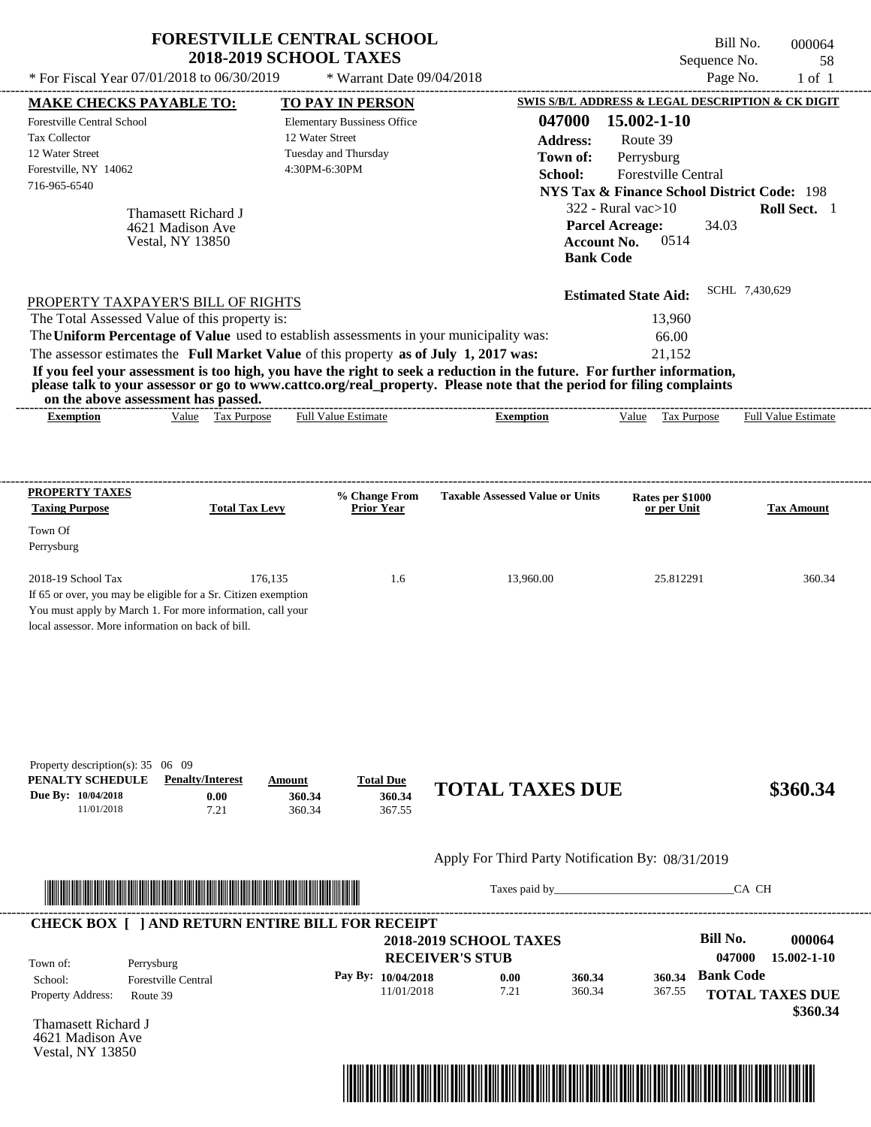|                                                                                                                                                                                                                                                                                                                                                                                                                                                                                                                                                                    | <b>FORESTVILLE CENTRAL SCHOOL</b><br><b>2018-2019 SCHOOL TAXES</b>    |                                                                                                                    |                                                                                             | Bill No.<br>Sequence No.                                                                                                                                                                                                                                              | 000064<br>58                                    |
|--------------------------------------------------------------------------------------------------------------------------------------------------------------------------------------------------------------------------------------------------------------------------------------------------------------------------------------------------------------------------------------------------------------------------------------------------------------------------------------------------------------------------------------------------------------------|-----------------------------------------------------------------------|--------------------------------------------------------------------------------------------------------------------|---------------------------------------------------------------------------------------------|-----------------------------------------------------------------------------------------------------------------------------------------------------------------------------------------------------------------------------------------------------------------------|-------------------------------------------------|
| * For Fiscal Year 07/01/2018 to 06/30/2019                                                                                                                                                                                                                                                                                                                                                                                                                                                                                                                         |                                                                       | * Warrant Date 09/04/2018                                                                                          |                                                                                             | Page No.                                                                                                                                                                                                                                                              | $1$ of $1$                                      |
| <b>MAKE CHECKS PAYABLE TO:</b><br><b>Forestville Central School</b><br><b>Tax Collector</b><br>12 Water Street<br>Forestville, NY 14062<br>716-965-6540<br>Thamasett Richard J<br>4621 Madison Ave<br><b>Vestal, NY 13850</b>                                                                                                                                                                                                                                                                                                                                      |                                                                       | TO PAY IN PERSON<br><b>Elementary Bussiness Office</b><br>12 Water Street<br>Tuesday and Thursday<br>4:30PM-6:30PM | 047000<br><b>Address:</b><br>Town of:<br>School:<br><b>Bank Code</b>                        | SWIS S/B/L ADDRESS & LEGAL DESCRIPTION & CK DIGIT<br>15.002-1-10<br>Route 39<br>Perrysburg<br>Forestville Central<br><b>NYS Tax &amp; Finance School District Code: 198</b><br>322 - Rural vac $>10$<br><b>Parcel Acreage:</b><br>34.03<br><b>Account No.</b><br>0514 | Roll Sect. 1                                    |
| PROPERTY TAXPAYER'S BILL OF RIGHTS<br>The Total Assessed Value of this property is:<br>The Uniform Percentage of Value used to establish assessments in your municipality was:<br>The assessor estimates the Full Market Value of this property as of July 1, 2017 was:<br>If you feel your assessment is too high, you have the right to seek a reduction in the future. For further information,<br>please talk to your assessor or go to www.cattco.org/real_property. Please note that the period for filing complaints<br>on the above assessment has passed. |                                                                       |                                                                                                                    |                                                                                             | <b>Estimated State Aid:</b><br>13,960<br>66.00<br>21,152                                                                                                                                                                                                              | SCHL 7,430,629                                  |
| <b>Exemption</b>                                                                                                                                                                                                                                                                                                                                                                                                                                                                                                                                                   | Value Tax Purpose                                                     | <b>Full Value Estimate</b>                                                                                         | <b>Exemption</b>                                                                            | Value<br>Tax Purpose                                                                                                                                                                                                                                                  | <b>Full Value Estimate</b>                      |
| PROPERTY TAXES<br><b>Taxing Purpose</b><br>Town Of<br>Perrysburg<br>$2018-19$ School Tax<br>If 65 or over, you may be eligible for a Sr. Citizen exemption<br>You must apply by March 1. For more information, call your<br>local assessor. More information on back of bill.                                                                                                                                                                                                                                                                                      | <b>Total Tax Levy</b><br>176,135                                      | % Change From<br>Prior Year<br>1.6                                                                                 | <b>Taxable Assessed Value or Units</b><br>13,960.00                                         | Rates per \$1000<br>or per Unit<br>25.812291                                                                                                                                                                                                                          | <b>Tax Amount</b><br>360.34                     |
| Property description(s): 35 06 09<br>PENALTY SCHEDULE<br>Due By: 10/04/2018<br>11/01/2018                                                                                                                                                                                                                                                                                                                                                                                                                                                                          | <b>Penalty/Interest</b><br>Amount<br>0.00<br>360.34<br>7.21<br>360.34 | <b>Total Due</b><br>360.34<br>367.55                                                                               | <b>TOTAL TAXES DUE</b>                                                                      |                                                                                                                                                                                                                                                                       | \$360.34                                        |
|                                                                                                                                                                                                                                                                                                                                                                                                                                                                                                                                                                    |                                                                       |                                                                                                                    | Apply For Third Party Notification By: 08/31/2019                                           |                                                                                                                                                                                                                                                                       | CA CH                                           |
| <b>CHECK BOX [ ] AND RETURN ENTIRE BILL FOR RECEIPT</b>                                                                                                                                                                                                                                                                                                                                                                                                                                                                                                            |                                                                       |                                                                                                                    |                                                                                             |                                                                                                                                                                                                                                                                       |                                                 |
| Town of:<br>Perrysburg<br>Forestville Central<br>School:<br>Property Address:<br>Route 39                                                                                                                                                                                                                                                                                                                                                                                                                                                                          |                                                                       | Pay By: 10/04/2018<br>11/01/2018                                                                                   | <b>2018-2019 SCHOOL TAXES</b><br><b>RECEIVER'S STUB</b><br>0.00<br>360.34<br>360.34<br>7.21 | <b>Bill No.</b><br>047000<br><b>Bank Code</b><br>360.34<br>367.55                                                                                                                                                                                                     | 000064<br>15.002-1-10<br><b>TOTAL TAXES DUE</b> |

Thamasett Richard J 4621 Madison Ave Vestal, NY 13850



 **\$360.34**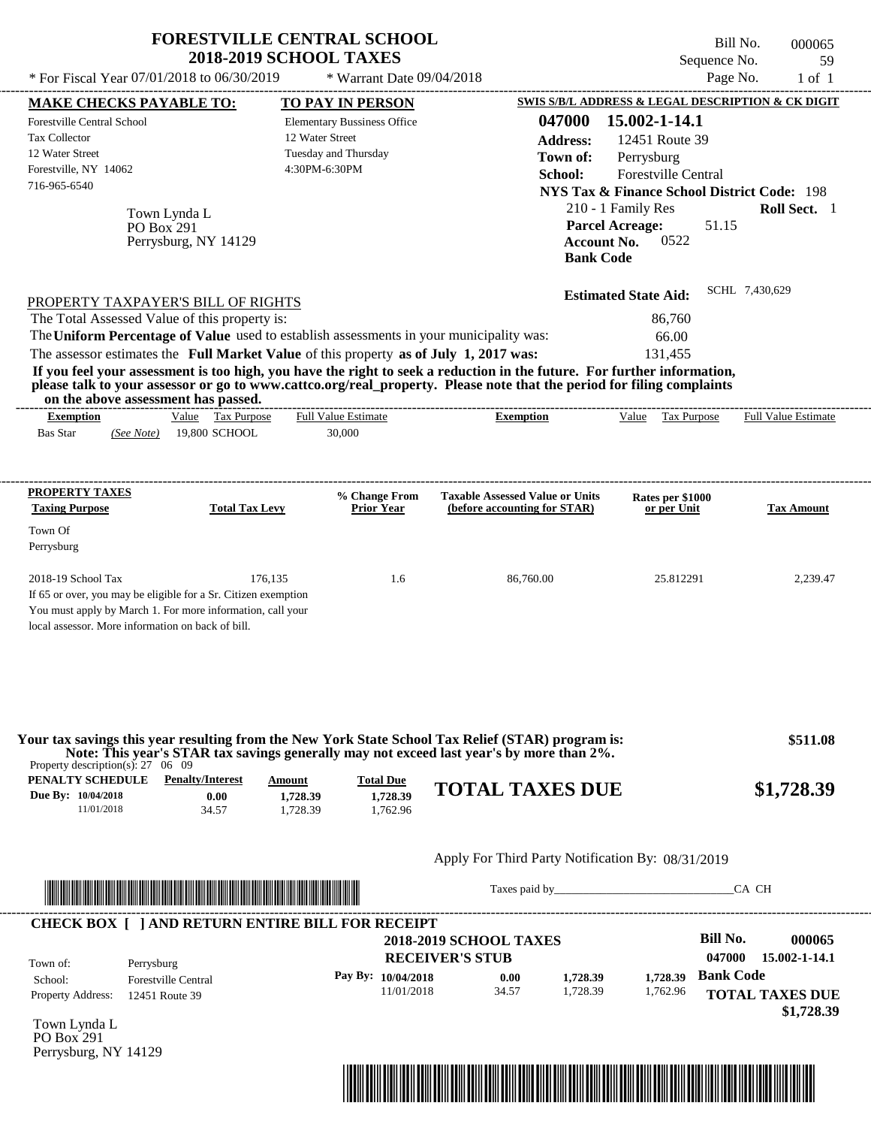|                                                                                                                                                                                                                                                                                                                                                                                                                                                                                                                                                                    | <b>FORESTVILLE CENTRAL SCHOOL</b><br><b>2018-2019 SCHOOL TAXES</b>                             |                                                                                            | Bill No.<br>Sequence No.                                                                                                                                                                        | 000065<br>59                            |
|--------------------------------------------------------------------------------------------------------------------------------------------------------------------------------------------------------------------------------------------------------------------------------------------------------------------------------------------------------------------------------------------------------------------------------------------------------------------------------------------------------------------------------------------------------------------|------------------------------------------------------------------------------------------------|--------------------------------------------------------------------------------------------|-------------------------------------------------------------------------------------------------------------------------------------------------------------------------------------------------|-----------------------------------------|
| * For Fiscal Year 07/01/2018 to 06/30/2019                                                                                                                                                                                                                                                                                                                                                                                                                                                                                                                         | * Warrant Date 09/04/2018                                                                      |                                                                                            | Page No.                                                                                                                                                                                        | $1$ of $1$                              |
| <b>MAKE CHECKS PAYABLE TO:</b>                                                                                                                                                                                                                                                                                                                                                                                                                                                                                                                                     | TO PAY IN PERSON                                                                               |                                                                                            | SWIS S/B/L ADDRESS & LEGAL DESCRIPTION & CK DIGIT                                                                                                                                               |                                         |
| <b>Forestville Central School</b><br>Tax Collector<br>12 Water Street<br>Forestville, NY 14062<br>716-965-6540<br>Town Lynda L<br><b>PO Box 291</b><br>Perrysburg, NY 14129                                                                                                                                                                                                                                                                                                                                                                                        | <b>Elementary Bussiness Office</b><br>12 Water Street<br>Tuesday and Thursday<br>4:30PM-6:30PM | 047000<br><b>Address:</b><br>Town of:<br>School:<br><b>Account No.</b><br><b>Bank Code</b> | 15.002-1-14.1<br>12451 Route 39<br>Perrysburg<br>Forestville Central<br><b>NYS Tax &amp; Finance School District Code: 198</b><br>210 - 1 Family Res<br><b>Parcel Acreage:</b><br>51.15<br>0522 | Roll Sect. 1                            |
| PROPERTY TAXPAYER'S BILL OF RIGHTS<br>The Total Assessed Value of this property is:<br>The Uniform Percentage of Value used to establish assessments in your municipality was:<br>The assessor estimates the Full Market Value of this property as of July 1, 2017 was:<br>If you feel your assessment is too high, you have the right to seek a reduction in the future. For further information,<br>please talk to your assessor or go to www.cattco.org/real_property. Please note that the period for filing complaints<br>on the above assessment has passed. |                                                                                                |                                                                                            | <b>Estimated State Aid:</b><br>86,760<br>66.00<br>131,455                                                                                                                                       | SCHL 7,430,629                          |
| Value Tax Purpose<br><b>Exemption</b><br><b>Bas Star</b><br>19,800 SCHOOL<br>(See Note)                                                                                                                                                                                                                                                                                                                                                                                                                                                                            | <b>Full Value Estimate</b><br>30,000                                                           | <b>Exemption</b>                                                                           | Value Tax Purpose                                                                                                                                                                               | <b>Full Value Estimate</b>              |
| PROPERTY TAXES                                                                                                                                                                                                                                                                                                                                                                                                                                                                                                                                                     | % Change From                                                                                  | <b>Taxable Assessed Value or Units</b>                                                     | Rates per \$1000                                                                                                                                                                                |                                         |
| <b>Taxing Purpose</b><br>Town Of<br>Perrysburg                                                                                                                                                                                                                                                                                                                                                                                                                                                                                                                     | <b>Prior Year</b><br><b>Total Tax Levy</b>                                                     | (before accounting for STAR)                                                               | or per Unit                                                                                                                                                                                     | <b>Tax Amount</b>                       |
| 2018-19 School Tax<br>If 65 or over, you may be eligible for a Sr. Citizen exemption<br>You must apply by March 1. For more information, call your<br>local assessor. More information on back of bill.                                                                                                                                                                                                                                                                                                                                                            | 176,135<br>1.6                                                                                 | 86,760.00                                                                                  | 25.812291                                                                                                                                                                                       | 2,239.47                                |
| Your tax savings this year resulting from the New York State School Tax Relief (STAR) program is:<br>Property description(s): $27 \quad 06 \quad 09$                                                                                                                                                                                                                                                                                                                                                                                                               |                                                                                                | Note: This year's STAR tax savings generally may not exceed last year's by more than 2%.   |                                                                                                                                                                                                 | \$511.08                                |
| PENALTY SCHEDULE<br><b>Penalty/Interest</b><br>Due By: 10/04/2018<br>0.00<br>11/01/2018<br>34.57                                                                                                                                                                                                                                                                                                                                                                                                                                                                   | <b>Total Due</b><br>Amount<br>1,728.39<br>1,728.39<br>1,728.39<br>1,762.96                     | <b>TOTAL TAXES DUE</b>                                                                     |                                                                                                                                                                                                 | \$1,728.39                              |
|                                                                                                                                                                                                                                                                                                                                                                                                                                                                                                                                                                    |                                                                                                | Apply For Third Party Notification By: 08/31/2019                                          |                                                                                                                                                                                                 |                                         |
|                                                                                                                                                                                                                                                                                                                                                                                                                                                                                                                                                                    |                                                                                                |                                                                                            | Taxes paid by                                                                                                                                                                                   | CA CH                                   |
| <b>CHECK BOX [ ] AND RETURN ENTIRE BILL FOR RECEIPT</b>                                                                                                                                                                                                                                                                                                                                                                                                                                                                                                            |                                                                                                |                                                                                            |                                                                                                                                                                                                 |                                         |
|                                                                                                                                                                                                                                                                                                                                                                                                                                                                                                                                                                    |                                                                                                | <b>2018-2019 SCHOOL TAXES</b>                                                              | <b>Bill No.</b>                                                                                                                                                                                 | 000065                                  |
| Town of:<br>Perrysburg<br><b>Forestville Central</b><br>School:<br>Property Address:<br>12451 Route 39                                                                                                                                                                                                                                                                                                                                                                                                                                                             | Pay By: 10/04/2018<br>11/01/2018                                                               | <b>RECEIVER'S STUB</b><br>0.00<br>1,728.39<br>34.57<br>1,728.39                            | 047000<br><b>Bank Code</b><br>1,728.39<br>1,762.96                                                                                                                                              | 15.002-1-14.1<br><b>TOTAL TAXES DUE</b> |
|                                                                                                                                                                                                                                                                                                                                                                                                                                                                                                                                                                    |                                                                                                |                                                                                            |                                                                                                                                                                                                 | \$1,728.39                              |

Town Lynda L PO Box 291 Perrysburg, NY 14129

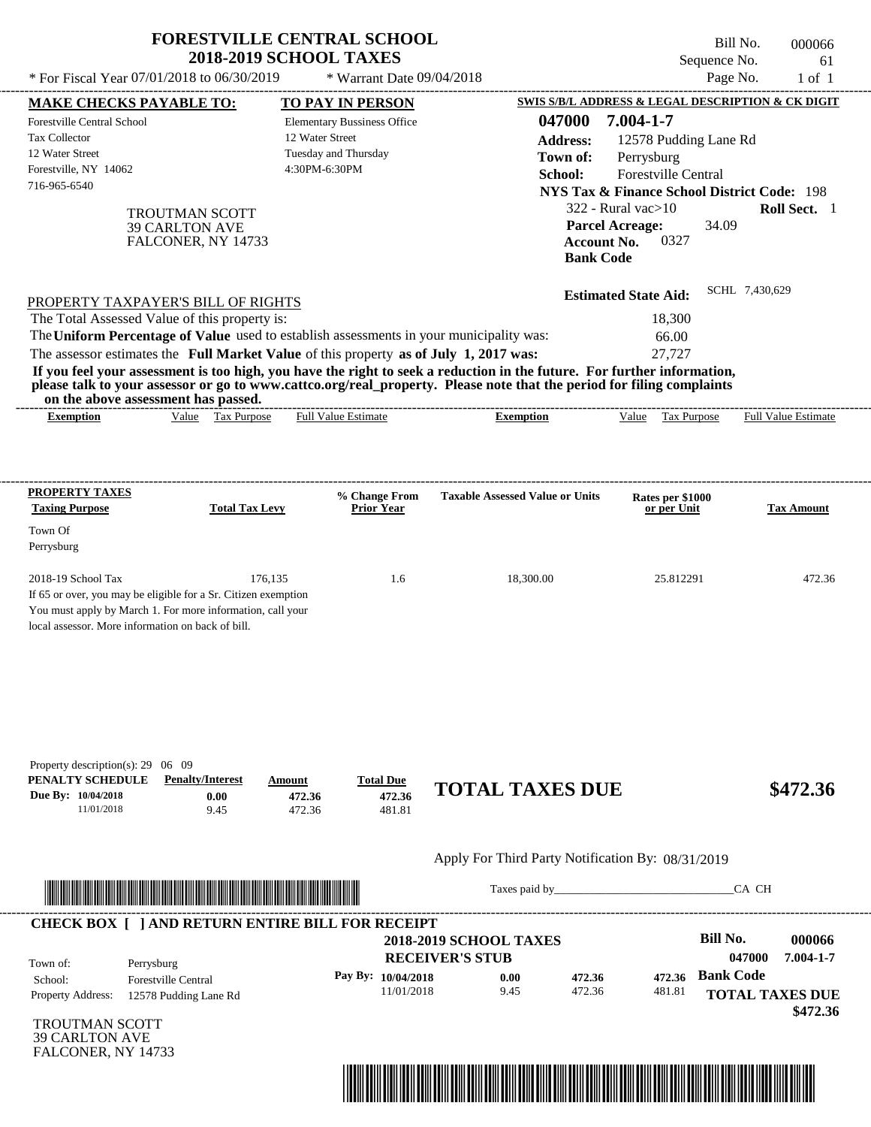| * For Fiscal Year 07/01/2018 to 06/30/2019                                                                                                                                                                                                                                                                     | <b>FORESTVILLE CENTRAL SCHOOL</b>                             | <b>2018-2019 SCHOOL TAXES</b>                                                                  | * Warrant Date 09/04/2018            |                                                                                                                                                                                                                                                  |                                                                                                                                                                                | Bill No.<br>000066<br>Sequence No.<br>61<br>Page No.<br>$1$ of $1$              |
|----------------------------------------------------------------------------------------------------------------------------------------------------------------------------------------------------------------------------------------------------------------------------------------------------------------|---------------------------------------------------------------|------------------------------------------------------------------------------------------------|--------------------------------------|--------------------------------------------------------------------------------------------------------------------------------------------------------------------------------------------------------------------------------------------------|--------------------------------------------------------------------------------------------------------------------------------------------------------------------------------|---------------------------------------------------------------------------------|
| <b>MAKE CHECKS PAYABLE TO:</b>                                                                                                                                                                                                                                                                                 |                                                               | <b>TO PAY IN PERSON</b>                                                                        |                                      |                                                                                                                                                                                                                                                  |                                                                                                                                                                                | SWIS S/B/L ADDRESS & LEGAL DESCRIPTION & CK DIGIT                               |
| Forestville Central School<br>Tax Collector<br>12 Water Street<br>Forestville, NY 14062<br>716-965-6540                                                                                                                                                                                                        | TROUTMAN SCOTT<br><b>39 CARLTON AVE</b><br>FALCONER, NY 14733 | <b>Elementary Bussiness Office</b><br>12 Water Street<br>Tuesday and Thursday<br>4:30PM-6:30PM |                                      | 047000<br><b>Address:</b><br>Town of:<br>School:                                                                                                                                                                                                 | 7.004-1-7<br>12578 Pudding Lane Rd<br>Perrysburg<br>Forestville Central<br>$322$ - Rural vac $>10$<br><b>Parcel Acreage:</b><br>0327<br><b>Account No.</b><br><b>Bank Code</b> | <b>NYS Tax &amp; Finance School District Code: 198</b><br>Roll Sect. 1<br>34.09 |
| PROPERTY TAXPAYER'S BILL OF RIGHTS<br>The Total Assessed Value of this property is:<br>The Uniform Percentage of Value used to establish assessments in your municipality was:<br>The assessor estimates the Full Market Value of this property as of July 1, 2017 was:<br>on the above assessment has passed. |                                                               |                                                                                                |                                      | If you feel your assessment is too high, you have the right to seek a reduction in the future. For further information,<br>please talk to your assessor or go to www.cattco.org/real_property. Please note that the period for filing complaints | <b>Estimated State Aid:</b><br>18,300<br>66.00<br>27,727                                                                                                                       | SCHL 7,430,629                                                                  |
| <b>Exemption</b>                                                                                                                                                                                                                                                                                               | Value Tax Purpose                                             | <b>Full Value Estimate</b>                                                                     |                                      | <b>Exemption</b>                                                                                                                                                                                                                                 | Value Tax Purpose                                                                                                                                                              | Full Value Estimate                                                             |
| <b>Taxing Purpose</b><br>Town Of<br>Perrysburg<br>2018-19 School Tax<br>If 65 or over, you may be eligible for a Sr. Citizen exemption<br>You must apply by March 1. For more information, call your<br>local assessor. More information on back of bill.                                                      | <b>Total Tax Levy</b><br>176,135                              |                                                                                                | <b>Prior Year</b><br>1.6             | 18,300.00                                                                                                                                                                                                                                        | or per Unit<br>25.812291                                                                                                                                                       | <b>Tax Amount</b><br>472.36                                                     |
| Property description(s): $29 \quad 06 \quad 09$<br>PENALTY SCHEDULE<br>Due By: 10/04/2018<br>11/01/2018                                                                                                                                                                                                        | <b>Penalty/Interest</b><br>0.00<br>9.45                       | Amount<br>472.36<br>472.36                                                                     | <b>Total Due</b><br>472.36<br>481.81 | <b>TOTAL TAXES DUE</b>                                                                                                                                                                                                                           |                                                                                                                                                                                | \$472.36                                                                        |
|                                                                                                                                                                                                                                                                                                                |                                                               |                                                                                                |                                      | Apply For Third Party Notification By: 08/31/2019                                                                                                                                                                                                |                                                                                                                                                                                |                                                                                 |
|                                                                                                                                                                                                                                                                                                                |                                                               |                                                                                                |                                      |                                                                                                                                                                                                                                                  | Taxes paid by                                                                                                                                                                  | CA CH                                                                           |
| <b>CHECK BOX [ ] AND RETURN ENTIRE BILL FOR RECEIPT</b><br>Town of:<br>Perrysburg<br>School:<br><b>Forestville Central</b>                                                                                                                                                                                     |                                                               |                                                                                                | Pay By: 10/04/2018                   | <b>2018-2019 SCHOOL TAXES</b><br><b>RECEIVER'S STUB</b><br>472.36<br>0.00                                                                                                                                                                        | 472.36                                                                                                                                                                         | Bill No.<br>000066<br>047000<br>7.004-1-7<br><b>Bank Code</b>                   |

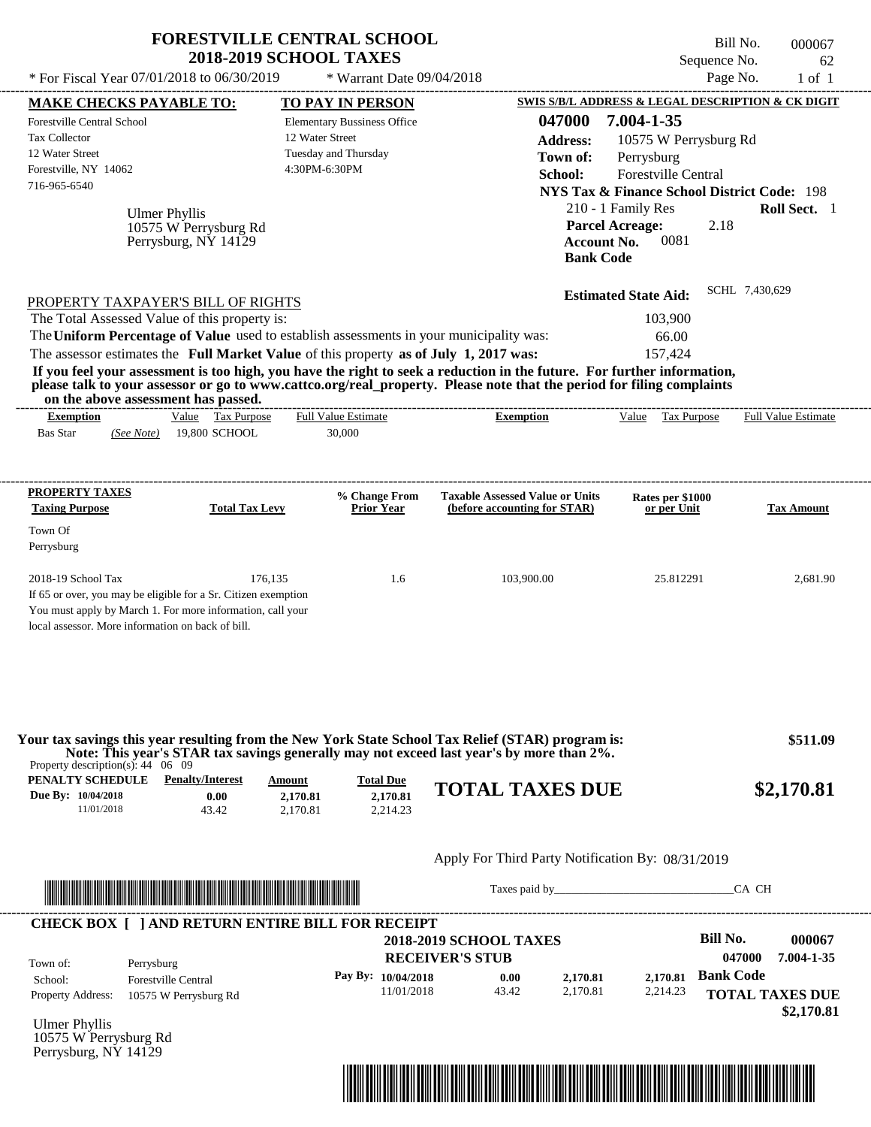|                                                                                                                                                                                                                                                                          | <b>FORESTVILLE CENTRAL SCHOOL</b><br><b>2018-2019 SCHOOL TAXES</b> |                                                                                                |                                                                                                                                                                                                                                                  | Sequence No.                                                                                                                                                                                                                                 | Bill No.<br>000067<br>62                                                     |
|--------------------------------------------------------------------------------------------------------------------------------------------------------------------------------------------------------------------------------------------------------------------------|--------------------------------------------------------------------|------------------------------------------------------------------------------------------------|--------------------------------------------------------------------------------------------------------------------------------------------------------------------------------------------------------------------------------------------------|----------------------------------------------------------------------------------------------------------------------------------------------------------------------------------------------------------------------------------------------|------------------------------------------------------------------------------|
| * For Fiscal Year 07/01/2018 to 06/30/2019                                                                                                                                                                                                                               |                                                                    | * Warrant Date 09/04/2018                                                                      |                                                                                                                                                                                                                                                  |                                                                                                                                                                                                                                              | Page No.<br>$1$ of $1$                                                       |
| <b>MAKE CHECKS PAYABLE TO:</b>                                                                                                                                                                                                                                           |                                                                    | <b>TO PAY IN PERSON</b>                                                                        |                                                                                                                                                                                                                                                  | <b>SWIS S/B/L ADDRESS &amp; LEGAL DESCRIPTION &amp; CK DIGIT</b>                                                                                                                                                                             |                                                                              |
| Forestville Central School<br><b>Tax Collector</b><br>12 Water Street<br>Forestville, NY 14062<br>716-965-6540<br><b>Ulmer Phyllis</b>                                                                                                                                   | 10575 W Perrysburg Rd<br>Perrysburg, NY 14129                      | <b>Elementary Bussiness Office</b><br>12 Water Street<br>Tuesday and Thursday<br>4:30PM-6:30PM | 047000<br><b>Address:</b><br>Town of:<br>School:                                                                                                                                                                                                 | 7.004-1-35<br>10575 W Perrysburg Rd<br>Perrysburg<br>Forestville Central<br><b>NYS Tax &amp; Finance School District Code: 198</b><br>210 - 1 Family Res<br><b>Parcel Acreage:</b><br>2.18<br>0081<br><b>Account No.</b><br><b>Bank Code</b> | Roll Sect. 1                                                                 |
| PROPERTY TAXPAYER'S BILL OF RIGHTS                                                                                                                                                                                                                                       |                                                                    |                                                                                                |                                                                                                                                                                                                                                                  | <b>Estimated State Aid:</b>                                                                                                                                                                                                                  | SCHL 7,430,629                                                               |
| The Total Assessed Value of this property is:<br>The Uniform Percentage of Value used to establish assessments in your municipality was:<br>The assessor estimates the Full Market Value of this property as of July 1, 2017 was:<br>on the above assessment has passed. |                                                                    |                                                                                                | If you feel your assessment is too high, you have the right to seek a reduction in the future. For further information,<br>please talk to your assessor or go to www.cattco.org/real_property. Please note that the period for filing complaints | 103,900<br>66.00<br>157,424                                                                                                                                                                                                                  |                                                                              |
| <b>Exemption</b><br><b>Bas Star</b><br>(See Note)                                                                                                                                                                                                                        | Value Tax Purpose<br>19,800 SCHOOL                                 | <b>Full Value Estimate</b><br>30,000                                                           | <b>Exemption</b>                                                                                                                                                                                                                                 | Value Tax Purpose                                                                                                                                                                                                                            | Full Value Estimate                                                          |
| PROPERTY TAXES                                                                                                                                                                                                                                                           |                                                                    | % Change From                                                                                  | <b>Taxable Assessed Value or Units</b>                                                                                                                                                                                                           | Rates per \$1000                                                                                                                                                                                                                             |                                                                              |
| <b>Taxing Purpose</b><br>Town Of<br>Perrysburg                                                                                                                                                                                                                           | <b>Total Tax Levy</b>                                              | <b>Prior Year</b>                                                                              | (before accounting for STAR)                                                                                                                                                                                                                     | or per Unit                                                                                                                                                                                                                                  | <b>Tax Amount</b>                                                            |
| 2018-19 School Tax<br>If 65 or over, you may be eligible for a Sr. Citizen exemption<br>You must apply by March 1. For more information, call your<br>local assessor. More information on back of bill.                                                                  | 176,135                                                            | 1.6                                                                                            | 103,900.00                                                                                                                                                                                                                                       | 25.812291                                                                                                                                                                                                                                    | 2,681.90                                                                     |
| Property description(s): $44 \quad 06 \quad 09$                                                                                                                                                                                                                          |                                                                    |                                                                                                | Your tax savings this year resulting from the New York State School Tax Relief (STAR) program is:<br>Note: This year's STAR tax savings generally may not exceed last year's by more than 2%.                                                    |                                                                                                                                                                                                                                              | \$511.09                                                                     |
| <b>PENALTY SCHEDULE</b> Penalty/Interest<br>Due By: 10/04/2018<br>11/01/2018                                                                                                                                                                                             | Amount<br>0.00<br>2,170.81<br>43.42<br>2,170.81                    | <b>Total Due</b><br>2.170.81<br>2,214.23                                                       | <b>TOTAL TAXES DUE</b>                                                                                                                                                                                                                           |                                                                                                                                                                                                                                              | \$2,170.81                                                                   |
|                                                                                                                                                                                                                                                                          |                                                                    |                                                                                                | Apply For Third Party Notification By: 08/31/2019                                                                                                                                                                                                |                                                                                                                                                                                                                                              |                                                                              |
|                                                                                                                                                                                                                                                                          |                                                                    |                                                                                                |                                                                                                                                                                                                                                                  | Taxes paid by                                                                                                                                                                                                                                | CA CH                                                                        |
| <b>CHECK BOX [ ] AND RETURN ENTIRE BILL FOR RECEIPT</b>                                                                                                                                                                                                                  |                                                                    |                                                                                                |                                                                                                                                                                                                                                                  |                                                                                                                                                                                                                                              | <b>Bill No.</b>                                                              |
| Town of:<br>Perrysburg<br>School:<br><b>Forestville Central</b><br>Property Address:<br>10575 W Perrysburg Rd                                                                                                                                                            |                                                                    | Pay By: 10/04/2018<br>11/01/2018                                                               | <b>2018-2019 SCHOOL TAXES</b><br><b>RECEIVER'S STUB</b><br>0.00<br>2,170.81<br>43.42<br>2.170.81                                                                                                                                                 | 2,170.81<br>2,214.23                                                                                                                                                                                                                         | 000067<br>047000<br>7.004-1-35<br><b>Bank Code</b><br><b>TOTAL TAXES DUE</b> |
| <b>Ulmer Phyllis</b><br>10575 W Perrysburg Rd                                                                                                                                                                                                                            |                                                                    |                                                                                                |                                                                                                                                                                                                                                                  |                                                                                                                                                                                                                                              | \$2,170.81                                                                   |

Perrysburg, NY 14129

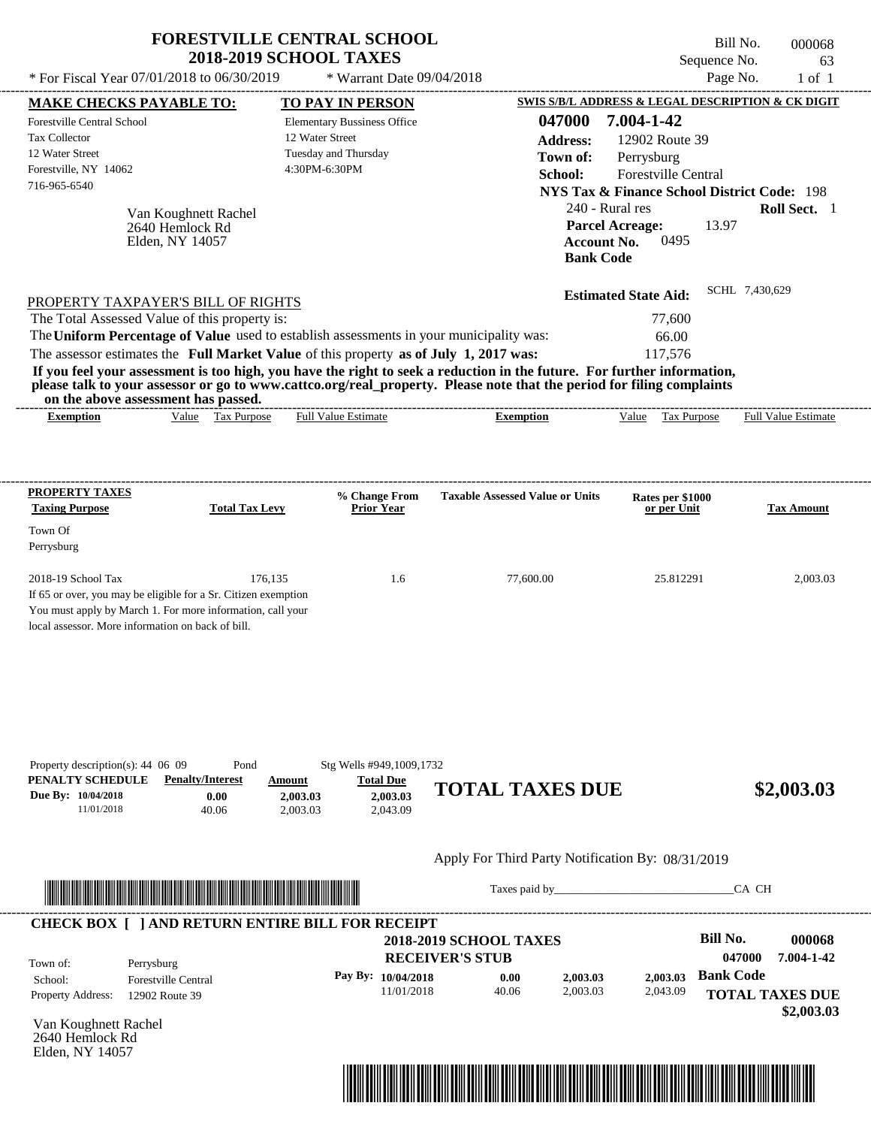|                                                                                                                                                                                                                                                                                         | <b>FORESTVILLE CENTRAL SCHOOL</b><br><b>2018-2019 SCHOOL TAXES</b>                                     |                                                                                                                                                                                                                                | Bill No.<br>Sequence No.                                                                                                    | 000068<br>63                   |
|-----------------------------------------------------------------------------------------------------------------------------------------------------------------------------------------------------------------------------------------------------------------------------------------|--------------------------------------------------------------------------------------------------------|--------------------------------------------------------------------------------------------------------------------------------------------------------------------------------------------------------------------------------|-----------------------------------------------------------------------------------------------------------------------------|--------------------------------|
| * For Fiscal Year 07/01/2018 to 06/30/2019                                                                                                                                                                                                                                              | * Warrant Date 09/04/2018                                                                              |                                                                                                                                                                                                                                | Page No.                                                                                                                    | $1$ of $1$                     |
| <b>MAKE CHECKS PAYABLE TO:</b>                                                                                                                                                                                                                                                          | TO PAY IN PERSON                                                                                       |                                                                                                                                                                                                                                | SWIS S/B/L ADDRESS & LEGAL DESCRIPTION & CK DIGIT                                                                           |                                |
| <b>Forestville Central School</b><br>Tax Collector<br>12 Water Street<br>Forestville, NY 14062<br>716-965-6540                                                                                                                                                                          | <b>Elementary Bussiness Office</b><br>12 Water Street<br>Tuesday and Thursday<br>4:30PM-6:30PM         | 047000<br><b>Address:</b><br>Town of:<br>School:<br>240 - Rural res                                                                                                                                                            | 7.004-1-42<br>12902 Route 39<br>Perrysburg<br>Forestville Central<br><b>NYS Tax &amp; Finance School District Code: 198</b> | Roll Sect. 1                   |
| Van Koughnett Rachel<br>2640 Hemlock Rd<br>Elden, NY 14057                                                                                                                                                                                                                              |                                                                                                        | <b>Account No.</b><br><b>Bank Code</b>                                                                                                                                                                                         | <b>Parcel Acreage:</b><br>13.97<br>0495                                                                                     |                                |
| PROPERTY TAXPAYER'S BILL OF RIGHTS<br>The Total Assessed Value of this property is:<br>The Uniform Percentage of Value used to establish assessments in your municipality was:<br>The assessor estimates the Full Market Value of this property as of July 1, 2017 was:                 |                                                                                                        |                                                                                                                                                                                                                                | <b>Estimated State Aid:</b><br>77,600<br>66.00<br>117,576                                                                   | SCHL 7,430,629                 |
| If you feel your assessment is too high, you have the right to seek a reduction in the future. For further information,<br>please talk to your assessor or go to www.cattco.org/real_property. Please note that the period for filing complaints<br>on the above assessment has passed. |                                                                                                        |                                                                                                                                                                                                                                |                                                                                                                             |                                |
| Value Tax Purpose<br><b>Exemption</b>                                                                                                                                                                                                                                                   | <b>Full Value Estimate</b>                                                                             | <b>Exemption</b>                                                                                                                                                                                                               | Value Tax Purpose                                                                                                           | <b>Full Value Estimate</b>     |
| <b>PROPERTY TAXES</b>                                                                                                                                                                                                                                                                   | % Change From                                                                                          | <b>Taxable Assessed Value or Units</b>                                                                                                                                                                                         | Rates per \$1000                                                                                                            |                                |
| <b>Taxing Purpose</b><br><b>Total Tax Levy</b><br>Town Of<br>Perrysburg                                                                                                                                                                                                                 | <b>Prior Year</b>                                                                                      |                                                                                                                                                                                                                                | or per Unit                                                                                                                 | <b>Tax Amount</b>              |
| 2018-19 School Tax<br>176,135<br>If 65 or over, you may be eligible for a Sr. Citizen exemption<br>You must apply by March 1. For more information, call your<br>local assessor. More information on back of bill.                                                                      | 1.6                                                                                                    | 77,600.00                                                                                                                                                                                                                      | 25.812291                                                                                                                   | 2,003.03                       |
| Property description(s): 44 06 09<br>Pond<br>PENALTY SCHEDULE<br><b>Penalty/Interest</b><br>Due By: 10/04/2018<br>0.00<br>11/01/2018<br>40.06                                                                                                                                           | Stg Wells #949,1009,1732<br><b>Total Due</b><br>Amount<br>2,003.03<br>2,003.03<br>2,043.09<br>2,003.03 | <b>TOTAL TAXES DUE</b>                                                                                                                                                                                                         |                                                                                                                             | \$2,003.03                     |
|                                                                                                                                                                                                                                                                                         |                                                                                                        | Apply For Third Party Notification By: 08/31/2019                                                                                                                                                                              |                                                                                                                             |                                |
| <u> Indian American State and The Communication of the Communication of the Communication of the Communication of the Communication of the Communication of the Communication of the Communication of the Communication of the C</u>                                                    |                                                                                                        | Taxes paid by Taxes and the Taxes and the Taxes and the Taxes are the Taxes and the Taxes and the Taxes and the Taxes and the Taxes and the Taxes and the Taxes and the Taxes and the Taxes and the Taxes and the Taxes and th |                                                                                                                             | CA CH                          |
| <b>CHECK BOX [ ] AND RETURN ENTIRE BILL FOR RECEIPT</b><br>Town of:<br>Perrysburg                                                                                                                                                                                                       |                                                                                                        | <b>2018-2019 SCHOOL TAXES</b><br><b>RECEIVER'S STUB</b>                                                                                                                                                                        | <b>Bill No.</b>                                                                                                             | 000068<br>047000<br>7.004-1-42 |
| <b>Forestville Central</b><br>School:<br>Property Address:<br>12902 Route 39                                                                                                                                                                                                            | Pay By: 10/04/2018<br>11/01/2018                                                                       | 2,003.03<br>0.00<br>40.06<br>2,003.03                                                                                                                                                                                          | <b>Bank Code</b><br>2,003.03<br>2,043.09                                                                                    | <b>TOTAL TAXES DUE</b>         |
| Van Koughnett Rachel                                                                                                                                                                                                                                                                    |                                                                                                        |                                                                                                                                                                                                                                |                                                                                                                             | \$2,003.03                     |

2640 Hemlock Rd

Elden, NY 14057

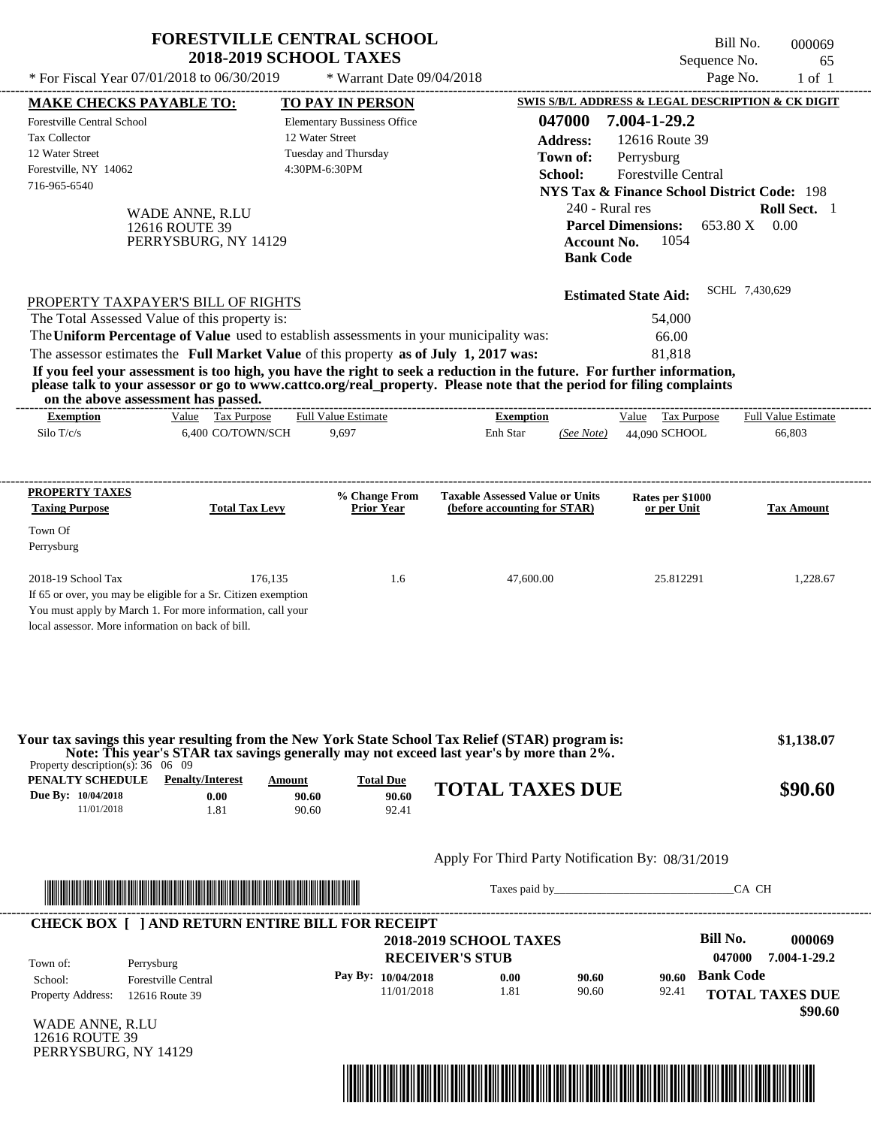|                                                                                                                | <b>FORESTVILLE CENTRAL SCHOOL</b><br><b>2018-2019 SCHOOL TAXES</b>                                                                                                                                                                                                                                                                                                                                                                                                                                                          |                                                                                                |                                                         |                                                                                                                                                                                                                                   | Bill No.<br>000069<br>Sequence No.<br>65              |
|----------------------------------------------------------------------------------------------------------------|-----------------------------------------------------------------------------------------------------------------------------------------------------------------------------------------------------------------------------------------------------------------------------------------------------------------------------------------------------------------------------------------------------------------------------------------------------------------------------------------------------------------------------|------------------------------------------------------------------------------------------------|---------------------------------------------------------|-----------------------------------------------------------------------------------------------------------------------------------------------------------------------------------------------------------------------------------|-------------------------------------------------------|
|                                                                                                                | * For Fiscal Year 07/01/2018 to 06/30/2019                                                                                                                                                                                                                                                                                                                                                                                                                                                                                  | * Warrant Date 09/04/2018                                                                      |                                                         |                                                                                                                                                                                                                                   | Page No.<br>$1$ of $1$                                |
| <b>MAKE CHECKS PAYABLE TO:</b>                                                                                 |                                                                                                                                                                                                                                                                                                                                                                                                                                                                                                                             | <b>TO PAY IN PERSON</b>                                                                        |                                                         | SWIS S/B/L ADDRESS & LEGAL DESCRIPTION & CK DIGIT                                                                                                                                                                                 |                                                       |
| <b>Forestville Central School</b><br>Tax Collector<br>12 Water Street<br>Forestville, NY 14062<br>716-965-6540 | WADE ANNE, R.LU<br>12616 ROUTE 39<br>PERRYSBURG, NY 14129                                                                                                                                                                                                                                                                                                                                                                                                                                                                   | <b>Elementary Bussiness Office</b><br>12 Water Street<br>Tuesday and Thursday<br>4:30PM-6:30PM | <b>Address:</b><br>School:                              | 7.004-1-29.2<br>047000<br>12616 Route 39<br>Town of:<br>Perrysburg<br>Forestville Central<br><b>NYS Tax &amp; Finance School District Code: 198</b><br>240 - Rural res<br><b>Parcel Dimensions:</b><br><b>Account No.</b><br>1054 | Roll Sect. 1<br>653.80 X 0.00                         |
| on the above assessment has passed.                                                                            | PROPERTY TAXPAYER'S BILL OF RIGHTS<br>The Total Assessed Value of this property is:<br>The Uniform Percentage of Value used to establish assessments in your municipality was:<br>The assessor estimates the Full Market Value of this property as of July 1, 2017 was:<br>If you feel your assessment is too high, you have the right to seek a reduction in the future. For further information,<br>please talk to your assessor or go to www.cattco.org/real_property. Please note that the period for filing complaints |                                                                                                |                                                         | <b>Bank Code</b><br><b>Estimated State Aid:</b><br>54,000<br>66.00<br>81,818                                                                                                                                                      | SCHL 7,430,629                                        |
| <b>Exemption</b><br>Silo T/c/s                                                                                 | Value Tax Purpose<br>6,400 CO/TOWN/SCH                                                                                                                                                                                                                                                                                                                                                                                                                                                                                      | <b>Full Value Estimate</b><br>9,697                                                            | <b>Exemption</b><br>Enh Star                            | Value Tax Purpose<br>44,090 SCHOOL<br>(See Note)                                                                                                                                                                                  | <b>Full Value Estimate</b><br>66,803                  |
| PROPERTY TAXES                                                                                                 |                                                                                                                                                                                                                                                                                                                                                                                                                                                                                                                             | % Change From                                                                                  | <b>Taxable Assessed Value or Units</b>                  | Rates per \$1000                                                                                                                                                                                                                  |                                                       |
| <b>Taxing Purpose</b><br>Town Of<br>Perrysburg                                                                 | <b>Total Tax Levy</b>                                                                                                                                                                                                                                                                                                                                                                                                                                                                                                       | <b>Prior Year</b>                                                                              | (before accounting for STAR)                            | or per Unit                                                                                                                                                                                                                       | <b>Tax Amount</b>                                     |
| 2018-19 School Tax<br>local assessor. More information on back of bill.                                        | 176,135<br>If 65 or over, you may be eligible for a Sr. Citizen exemption<br>You must apply by March 1. For more information, call your                                                                                                                                                                                                                                                                                                                                                                                     | 1.6                                                                                            | 47,600.00                                               | 25.812291                                                                                                                                                                                                                         | 1,228.67                                              |
| Property description(s): $36 \quad 06 \quad 09$                                                                | Your tax savings this year resulting from the New York State School Tax Relief (STAR) program is:<br>Note: This year's STAR tax savings generally may not exceed last year's by more than 2%.                                                                                                                                                                                                                                                                                                                               |                                                                                                |                                                         |                                                                                                                                                                                                                                   | \$1,138.07                                            |
| <b>PENALTY SCHEDULE</b> Penalty/Interest<br>Due By: 10/04/2018<br>11/01/2018                                   | <b>Amount</b><br>0.00<br>1.81                                                                                                                                                                                                                                                                                                                                                                                                                                                                                               | <b>Total Due</b><br>90.60<br>90.60<br>90.60<br>92.41                                           | <b>TOTAL TAXES DUE</b>                                  |                                                                                                                                                                                                                                   | \$90.60                                               |
|                                                                                                                |                                                                                                                                                                                                                                                                                                                                                                                                                                                                                                                             |                                                                                                |                                                         | Apply For Third Party Notification By: 08/31/2019                                                                                                                                                                                 |                                                       |
|                                                                                                                | <u> HERE I AN DE HERE I AN DER EIN DER EIN DER EIN DER EIN DER EIN DER EIN DER EIN DER EIN DER EIN DER EIN DER EIN</u>                                                                                                                                                                                                                                                                                                                                                                                                      |                                                                                                |                                                         | Taxes paid by Taxes and the Taxes and the Taxes and the Taxes and the Taxes and the Taxes and the Taxes and the Taxes and the Taxes and the Taxes and the Taxes and the Taxes and the Taxes and the Taxes and the Taxes and th    | CA CH                                                 |
|                                                                                                                | <b>CHECK BOX [ ] AND RETURN ENTIRE BILL FOR RECEIPT</b>                                                                                                                                                                                                                                                                                                                                                                                                                                                                     |                                                                                                | <b>2018-2019 SCHOOL TAXES</b><br><b>RECEIVER'S STUB</b> |                                                                                                                                                                                                                                   | <b>Bill No.</b><br>000069<br>047000<br>7.004-1-29.2   |
| Town of:<br>Perrysburg<br>School:<br><b>Property Address:</b>                                                  | <b>Forestville Central</b><br>12616 Route 39                                                                                                                                                                                                                                                                                                                                                                                                                                                                                | Pay By: 10/04/2018<br>11/01/2018                                                               | 0.00<br>1.81                                            | 90.60<br>90.60<br>90.60<br>92.41                                                                                                                                                                                                  | <b>Bank Code</b><br><b>TOTAL TAXES DUE</b><br>\$90.60 |

WADE ANNE, R.LU 12616 ROUTE 39 PERRYSBURG, NY 14129

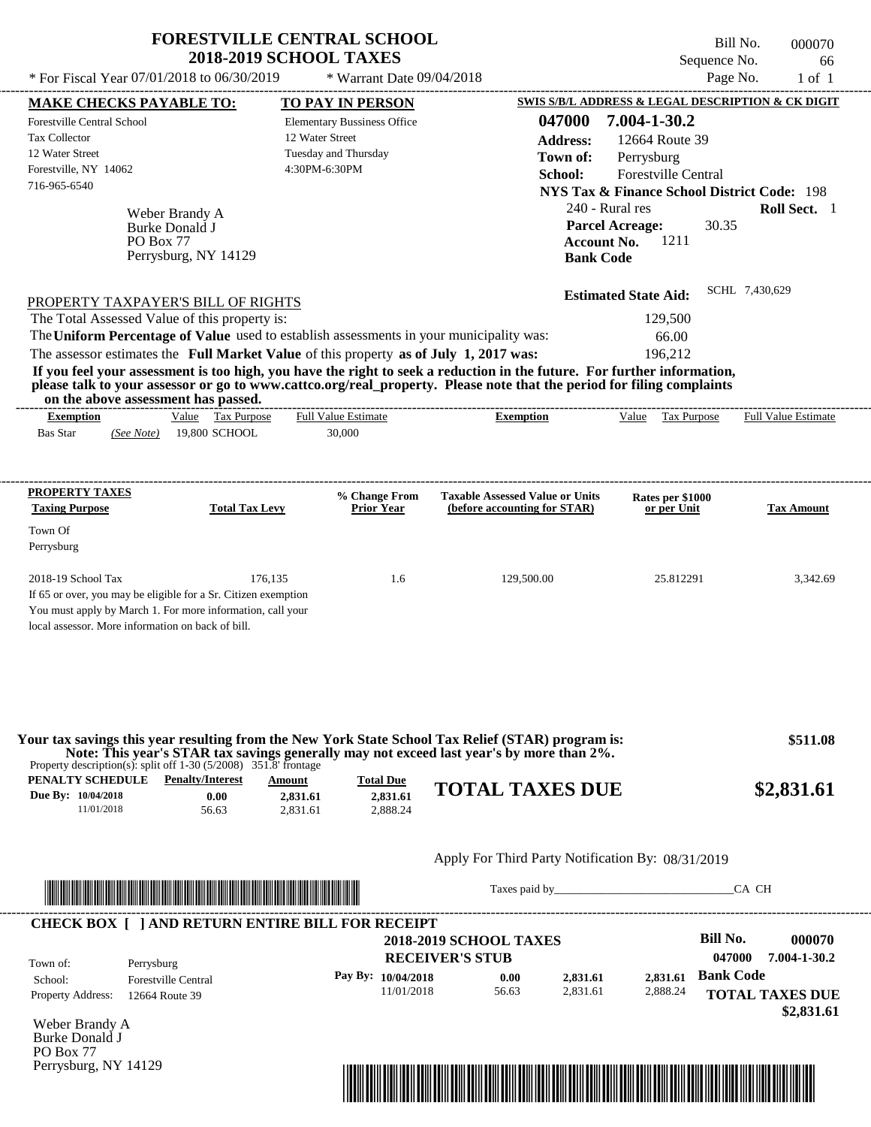|                                                                                         | <b>FORESTVILLE CENTRAL SCHOOL</b><br><b>2018-2019 SCHOOL TAXES</b> |                                    |                                                                                                                                                                                                                                                  |                                                                   | Bill No.<br>000070         |
|-----------------------------------------------------------------------------------------|--------------------------------------------------------------------|------------------------------------|--------------------------------------------------------------------------------------------------------------------------------------------------------------------------------------------------------------------------------------------------|-------------------------------------------------------------------|----------------------------|
| * For Fiscal Year 07/01/2018 to 06/30/2019                                              |                                                                    |                                    |                                                                                                                                                                                                                                                  | Sequence No.<br>Page No.                                          | 66                         |
|                                                                                         |                                                                    | * Warrant Date 09/04/2018          |                                                                                                                                                                                                                                                  |                                                                   | $1$ of $1$                 |
| <b>MAKE CHECKS PAYABLE TO:</b>                                                          |                                                                    | <b>TO PAY IN PERSON</b>            | 047000                                                                                                                                                                                                                                           | SWIS S/B/L ADDRESS & LEGAL DESCRIPTION & CK DIGIT<br>7.004-1-30.2 |                            |
| <b>Forestville Central School</b><br><b>Tax Collector</b>                               | 12 Water Street                                                    | <b>Elementary Bussiness Office</b> |                                                                                                                                                                                                                                                  |                                                                   |                            |
| 12 Water Street                                                                         |                                                                    | Tuesday and Thursday               | <b>Address:</b>                                                                                                                                                                                                                                  | 12664 Route 39                                                    |                            |
| Forestville, NY 14062                                                                   |                                                                    | 4:30PM-6:30PM                      | Town of:                                                                                                                                                                                                                                         | Perrysburg                                                        |                            |
| 716-965-6540                                                                            |                                                                    |                                    | School:                                                                                                                                                                                                                                          | Forestville Central                                               |                            |
|                                                                                         |                                                                    |                                    |                                                                                                                                                                                                                                                  | <b>NYS Tax &amp; Finance School District Code: 198</b>            |                            |
| Weber Brandy A                                                                          |                                                                    |                                    | 240 - Rural res                                                                                                                                                                                                                                  |                                                                   | Roll Sect. 1               |
| Burke Donald J                                                                          |                                                                    |                                    | <b>Parcel Acreage:</b><br><b>Account No.</b>                                                                                                                                                                                                     | 30.35<br>1211                                                     |                            |
| PO Box 77                                                                               | Perrysburg, NY 14129                                               |                                    | <b>Bank Code</b>                                                                                                                                                                                                                                 |                                                                   |                            |
|                                                                                         |                                                                    |                                    |                                                                                                                                                                                                                                                  |                                                                   |                            |
|                                                                                         |                                                                    |                                    |                                                                                                                                                                                                                                                  | <b>Estimated State Aid:</b>                                       | SCHL 7,430,629             |
| PROPERTY TAXPAYER'S BILL OF RIGHTS                                                      |                                                                    |                                    |                                                                                                                                                                                                                                                  |                                                                   |                            |
| The Total Assessed Value of this property is:                                           |                                                                    |                                    |                                                                                                                                                                                                                                                  | 129,500                                                           |                            |
| The Uniform Percentage of Value used to establish assessments in your municipality was: |                                                                    |                                    |                                                                                                                                                                                                                                                  | 66.00                                                             |                            |
| The assessor estimates the Full Market Value of this property as of July 1, 2017 was:   |                                                                    |                                    |                                                                                                                                                                                                                                                  | 196,212                                                           |                            |
| on the above assessment has passed.                                                     |                                                                    |                                    | If you feel your assessment is too high, you have the right to seek a reduction in the future. For further information,<br>please talk to your assessor or go to www.cattco.org/real_property. Please note that the period for filing complaints |                                                                   |                            |
| <b>Exemption</b>                                                                        | Value Tax Purpose                                                  | <b>Full Value Estimate</b>         | ---------------------------<br><b>Exemption</b>                                                                                                                                                                                                  | Value Tax Purpose                                                 | <b>Full Value Estimate</b> |
| <b>Bas Star</b><br>(See Note)                                                           | 19,800 SCHOOL                                                      | 30,000                             |                                                                                                                                                                                                                                                  |                                                                   |                            |
|                                                                                         |                                                                    |                                    |                                                                                                                                                                                                                                                  |                                                                   |                            |
| <b>PROPERTY TAXES</b><br><b>Taxing Purpose</b>                                          | <b>Total Tax Levy</b>                                              | % Change From<br><b>Prior Year</b> | <b>Taxable Assessed Value or Units</b><br>(before accounting for STAR)                                                                                                                                                                           | Rates per \$1000                                                  | <b>Tax Amount</b>          |
|                                                                                         |                                                                    |                                    |                                                                                                                                                                                                                                                  | or per Unit                                                       |                            |
| Town Of                                                                                 |                                                                    |                                    |                                                                                                                                                                                                                                                  |                                                                   |                            |
| Perrysburg                                                                              |                                                                    |                                    |                                                                                                                                                                                                                                                  |                                                                   |                            |
| 2018-19 School Tax                                                                      | 176,135                                                            | 1.6                                | 129,500.00                                                                                                                                                                                                                                       | 25.812291                                                         | 3,342.69                   |
| If 65 or over, you may be eligible for a Sr. Citizen exemption                          |                                                                    |                                    |                                                                                                                                                                                                                                                  |                                                                   |                            |
| You must apply by March 1. For more information, call your                              |                                                                    |                                    |                                                                                                                                                                                                                                                  |                                                                   |                            |
| local assessor. More information on back of bill.                                       |                                                                    |                                    |                                                                                                                                                                                                                                                  |                                                                   |                            |
| Property description(s): split off $1-30$ (5/2008) 351.8' frontage                      |                                                                    |                                    | Your tax savings this year resulting from the New York State School Tax Relief (STAR) program is:<br>Note: This year's STAR tax savings generally may not exceed last year's by more than 2%.                                                    |                                                                   | \$511.08                   |
| PENALTY SCHEDULE                                                                        | <b>Penalty/Interest</b><br>Amount                                  | <b>Total Due</b>                   | <b>TOTAL TAXES DUE</b>                                                                                                                                                                                                                           |                                                                   | \$2,831.61                 |
| Due By: 10/04/2018<br>11/01/2018                                                        | 0.00<br>2,831.61<br>2,831.61<br>56.63                              | 2,831.61<br>2,888.24               |                                                                                                                                                                                                                                                  |                                                                   |                            |
|                                                                                         |                                                                    |                                    |                                                                                                                                                                                                                                                  |                                                                   |                            |
|                                                                                         |                                                                    |                                    | Apply For Third Party Notification By: 08/31/2019                                                                                                                                                                                                |                                                                   |                            |
|                                                                                         |                                                                    |                                    |                                                                                                                                                                                                                                                  |                                                                   |                            |
|                                                                                         |                                                                    |                                    | Taxes paid by                                                                                                                                                                                                                                    |                                                                   | CA CH                      |
| <b>CHECK BOX [ ] AND RETURN ENTIRE BILL FOR RECEIPT</b>                                 |                                                                    |                                    |                                                                                                                                                                                                                                                  |                                                                   |                            |
|                                                                                         |                                                                    |                                    | <b>2018-2019 SCHOOL TAXES</b>                                                                                                                                                                                                                    | Bill No.                                                          | 000070                     |
| Town of:<br>Perrysburg                                                                  |                                                                    |                                    | <b>RECEIVER'S STUB</b>                                                                                                                                                                                                                           | 047000                                                            | 7.004-1-30.2               |
| Forestville Central<br>School:                                                          |                                                                    | Pay By: 10/04/2018                 | 0.00<br>2,831.61                                                                                                                                                                                                                                 | <b>Bank Code</b><br>2,831.61                                      |                            |
|                                                                                         |                                                                    |                                    |                                                                                                                                                                                                                                                  |                                                                   |                            |

11/01/2018 56.63

Weber Brandy A Burke Donald J PO Box 77 Perrysburg, NY 14129

Property Address: 12664 Route 39



2,831.61

2,888.24

**TOTAL TAXES DUE**

 **\$2,831.61**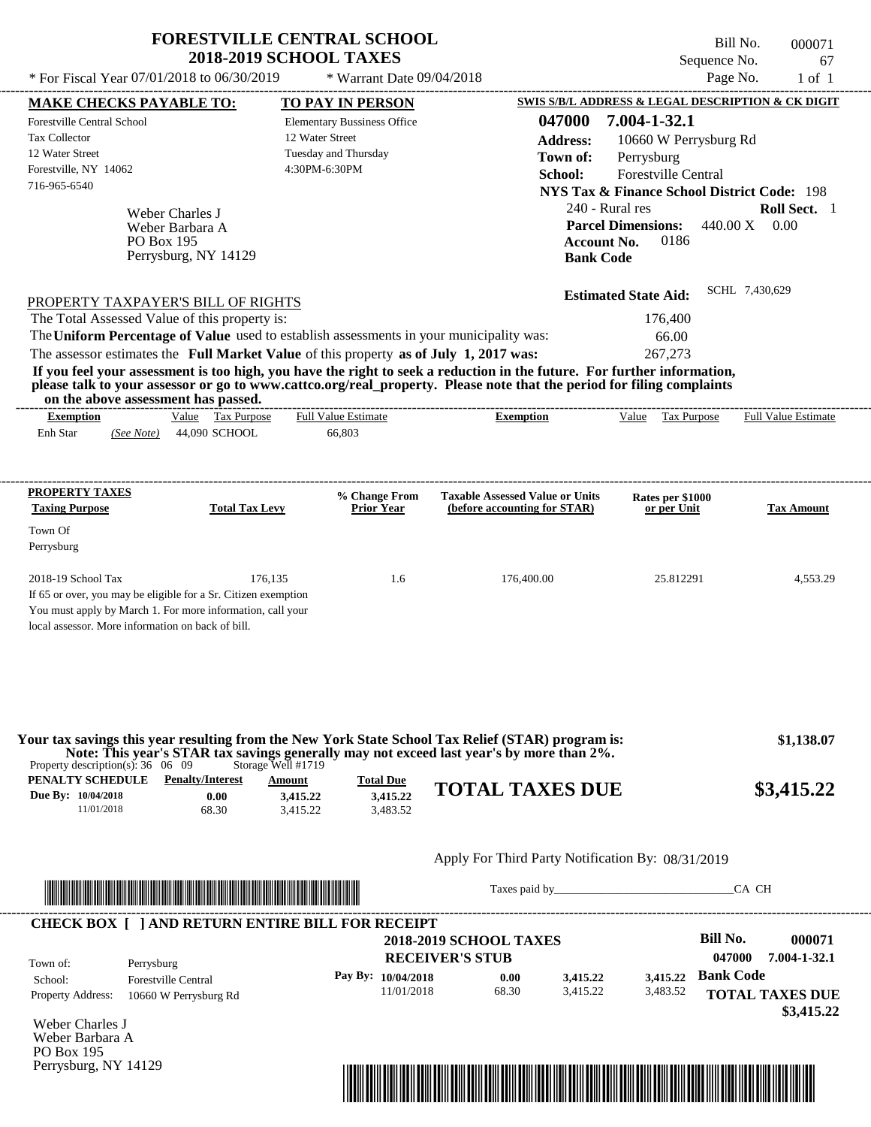|                                                                                                                                                                                                                                                  | <b>FORESTVILLE CENTRAL SCHOOL</b>                     |                                                         | Bill No.                                               | 000071                     |
|--------------------------------------------------------------------------------------------------------------------------------------------------------------------------------------------------------------------------------------------------|-------------------------------------------------------|---------------------------------------------------------|--------------------------------------------------------|----------------------------|
|                                                                                                                                                                                                                                                  | <b>2018-2019 SCHOOL TAXES</b>                         |                                                         | Sequence No.                                           | 67                         |
| * For Fiscal Year 07/01/2018 to 06/30/2019                                                                                                                                                                                                       | * Warrant Date 09/04/2018                             |                                                         | Page No.                                               | $1$ of $1$                 |
| <b>MAKE CHECKS PAYABLE TO:</b>                                                                                                                                                                                                                   | <b>TO PAY IN PERSON</b>                               | SWIS S/B/L ADDRESS & LEGAL DESCRIPTION & CK DIGIT       | 7.004-1-32.1                                           |                            |
| Forestville Central School<br><b>Tax Collector</b>                                                                                                                                                                                               | <b>Elementary Bussiness Office</b><br>12 Water Street | 047000                                                  |                                                        |                            |
| 12 Water Street                                                                                                                                                                                                                                  | Tuesday and Thursday                                  | <b>Address:</b><br>Town of:                             | 10660 W Perrysburg Rd                                  |                            |
| Forestville, NY 14062                                                                                                                                                                                                                            | 4:30PM-6:30PM                                         | School:                                                 | Perrysburg<br>Forestville Central                      |                            |
| 716-965-6540                                                                                                                                                                                                                                     |                                                       |                                                         | <b>NYS Tax &amp; Finance School District Code: 198</b> |                            |
|                                                                                                                                                                                                                                                  |                                                       | 240 - Rural res                                         |                                                        | Roll Sect. 1               |
| Weber Charles J<br>Weber Barbara A                                                                                                                                                                                                               |                                                       |                                                         | <b>Parcel Dimensions:</b>                              | $440.00 X$ 0.00            |
| PO Box 195                                                                                                                                                                                                                                       |                                                       | <b>Account No.</b>                                      | 0186                                                   |                            |
| Perrysburg, NY 14129                                                                                                                                                                                                                             |                                                       | <b>Bank Code</b>                                        |                                                        |                            |
|                                                                                                                                                                                                                                                  |                                                       | <b>Estimated State Aid:</b>                             |                                                        | SCHL 7,430,629             |
| PROPERTY TAXPAYER'S BILL OF RIGHTS                                                                                                                                                                                                               |                                                       |                                                         |                                                        |                            |
| The Total Assessed Value of this property is:<br>The Uniform Percentage of Value used to establish assessments in your municipality was:                                                                                                         |                                                       |                                                         | 176,400<br>66.00                                       |                            |
| The assessor estimates the Full Market Value of this property as of July 1, 2017 was:                                                                                                                                                            |                                                       |                                                         | 267,273                                                |                            |
| If you feel your assessment is too high, you have the right to seek a reduction in the future. For further information,                                                                                                                          |                                                       |                                                         |                                                        |                            |
| please talk to your assessor or go to www.cattco.org/real_property. Please note that the period for filing complaints<br>on the above assessment has passed.                                                                                     |                                                       |                                                         |                                                        |                            |
| Value Tax Purpose<br><b>Exemption</b>                                                                                                                                                                                                            | <b>Full Value Estimate</b>                            | <b>Exemption</b>                                        | Value Tax Purpose                                      | <b>Full Value Estimate</b> |
| 44,090 SCHOOL<br>Enh Star<br>(See Note)                                                                                                                                                                                                          | 66,803                                                |                                                         |                                                        |                            |
|                                                                                                                                                                                                                                                  |                                                       |                                                         |                                                        |                            |
| <b>PROPERTY TAXES</b>                                                                                                                                                                                                                            | % Change From                                         | <b>Taxable Assessed Value or Units</b>                  | Rates per \$1000                                       |                            |
| <b>Taxing Purpose</b><br><b>Total Tax Levy</b>                                                                                                                                                                                                   | <b>Prior Year</b>                                     | (before accounting for STAR)                            | or per Unit                                            | <b>Tax Amount</b>          |
| Town Of                                                                                                                                                                                                                                          |                                                       |                                                         |                                                        |                            |
| Perrysburg                                                                                                                                                                                                                                       |                                                       |                                                         |                                                        |                            |
| 2018-19 School Tax                                                                                                                                                                                                                               | 176,135<br>1.6                                        | 176,400.00                                              | 25.812291                                              | 4,553.29                   |
| If 65 or over, you may be eligible for a Sr. Citizen exemption                                                                                                                                                                                   |                                                       |                                                         |                                                        |                            |
| You must apply by March 1. For more information, call your                                                                                                                                                                                       |                                                       |                                                         |                                                        |                            |
| local assessor. More information on back of bill.                                                                                                                                                                                                |                                                       |                                                         |                                                        |                            |
|                                                                                                                                                                                                                                                  |                                                       |                                                         |                                                        |                            |
|                                                                                                                                                                                                                                                  |                                                       |                                                         |                                                        |                            |
| Your tax savings this year resulting from the New York State School Tax Relief (STAR) program is:<br>Note: This year's STAR tax savings generally may not exceed last year's by more than 2%.<br>Property description(s): $36 \quad 06 \quad 09$ | Storage Well #1719                                    |                                                         |                                                        | \$1,138.07                 |
| PENALTY SCHEDULE<br><b>Penalty/Interest</b>                                                                                                                                                                                                      | <b>Total Due</b><br>Amount                            | <b>TOTAL TAXES DUE</b>                                  |                                                        | \$3,415.22                 |
| Due By: 10/04/2018<br>0.00<br>11/01/2018                                                                                                                                                                                                         | 3,415.22<br>3,415.22                                  |                                                         |                                                        |                            |
| 68.30                                                                                                                                                                                                                                            | 3,483.52<br>3,415.22                                  |                                                         |                                                        |                            |
|                                                                                                                                                                                                                                                  |                                                       | Apply For Third Party Notification By: 08/31/2019       |                                                        |                            |
|                                                                                                                                                                                                                                                  |                                                       | Taxes paid by                                           |                                                        | CA CH                      |
|                                                                                                                                                                                                                                                  |                                                       |                                                         |                                                        |                            |
| <b>CHECK BOX [ ] AND RETURN ENTIRE BILL FOR RECEIPT</b>                                                                                                                                                                                          |                                                       |                                                         | <b>Bill No.</b>                                        | 000071                     |
|                                                                                                                                                                                                                                                  |                                                       | <b>2018-2019 SCHOOL TAXES</b><br><b>RECEIVER'S STUB</b> | 047000                                                 | 7.004-1-32.1               |
| Town of:<br>Perrysburg                                                                                                                                                                                                                           | Pay By: 10/04/2018                                    | 0.00<br>3,415.22                                        | 3,415.22 Bank Code                                     |                            |
| Forestville Central<br>School:                                                                                                                                                                                                                   |                                                       |                                                         |                                                        |                            |

11/01/2018 68.30

Weber Charles J Weber Barbara A PO Box 195 Perrysburg, NY 14129

Property Address: 10660 W Perrysburg Rd



**TOTAL TAXES DUE** 3,415.22

3,483.52

 **\$3,415.22**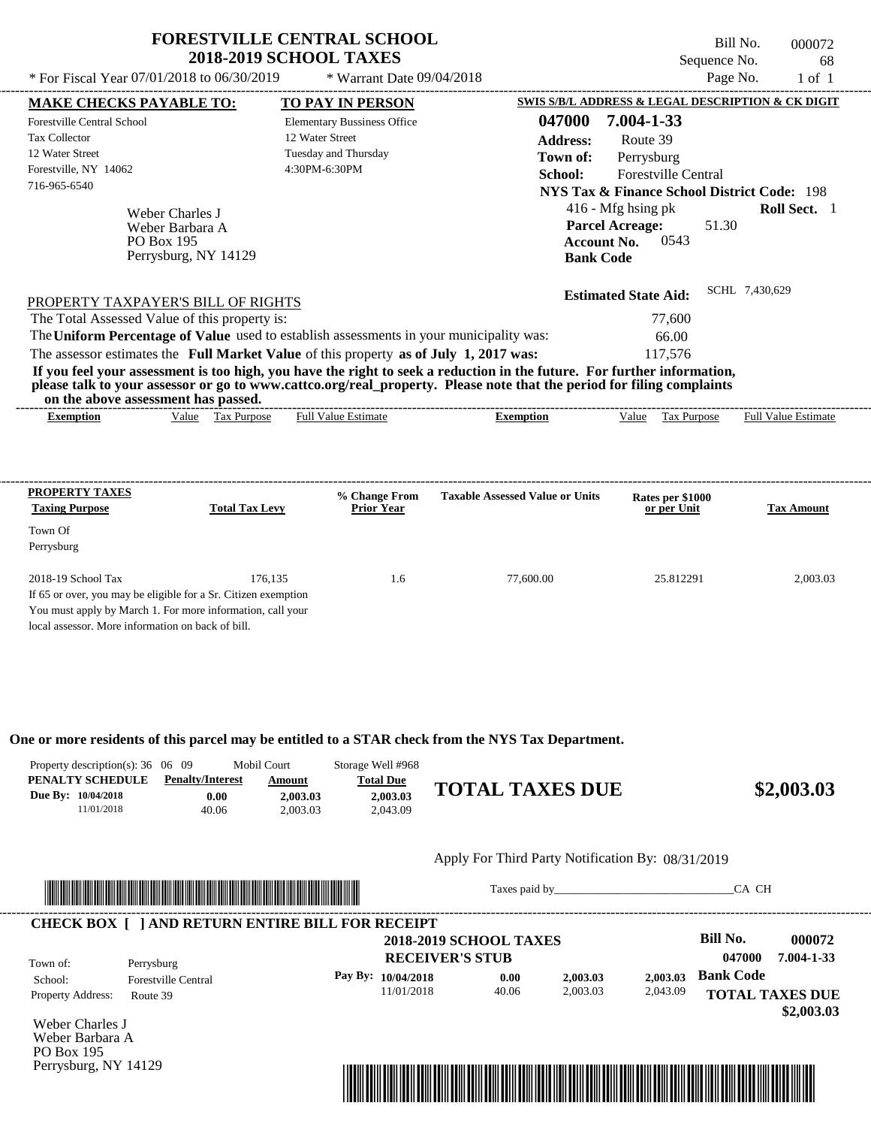| * For Fiscal Year 07/01/2018 to 06/30/2019                                                                                                                                                                                                                                              | <b>FORESTVILLE CENTRAL SCHOOL</b><br><b>2018-2019 SCHOOL TAXES</b><br>* Warrant Date 09/04/2018 |                                        | Sequence No.<br>Page No.                                                       | Bill No.<br>000072<br>68<br>$1$ of $1$ |
|-----------------------------------------------------------------------------------------------------------------------------------------------------------------------------------------------------------------------------------------------------------------------------------------|-------------------------------------------------------------------------------------------------|----------------------------------------|--------------------------------------------------------------------------------|----------------------------------------|
|                                                                                                                                                                                                                                                                                         |                                                                                                 |                                        | <b>SWIS S/B/L ADDRESS &amp; LEGAL DESCRIPTION &amp; CK DIGIT</b>               |                                        |
| MAKE CHECKS PAYABLE TO:                                                                                                                                                                                                                                                                 | TO PAY IN PERSON                                                                                |                                        |                                                                                |                                        |
| Forestville Central School                                                                                                                                                                                                                                                              | <b>Elementary Bussiness Office</b>                                                              | 047000                                 | 7.004-1-33                                                                     |                                        |
| <b>Tax Collector</b>                                                                                                                                                                                                                                                                    | 12 Water Street                                                                                 | <b>Address:</b>                        | Route 39                                                                       |                                        |
| 12 Water Street                                                                                                                                                                                                                                                                         | Tuesday and Thursday                                                                            | Town of:                               | Perrysburg                                                                     |                                        |
| Forestville, NY 14062                                                                                                                                                                                                                                                                   | 4:30PM-6:30PM                                                                                   | School:                                | <b>Forestville Central</b>                                                     |                                        |
| 716-965-6540                                                                                                                                                                                                                                                                            |                                                                                                 |                                        | NYS Tax & Finance School District Code: 198                                    |                                        |
| Weber Charles J<br>Weber Barbara A<br><b>PO Box 195</b><br>Perrysburg, NY 14129                                                                                                                                                                                                         |                                                                                                 | <b>Bank Code</b>                       | $416$ - Mfg hsing pk<br><b>Parcel Acreage:</b><br>51.30<br>0543<br>Account No. | <b>Roll Sect.</b> 1                    |
| PROPERTY TAXPAYER'S BILL OF RIGHTS                                                                                                                                                                                                                                                      |                                                                                                 |                                        | <b>Estimated State Aid:</b>                                                    | SCHL 7,430,629                         |
| The Total Assessed Value of this property is:                                                                                                                                                                                                                                           |                                                                                                 |                                        | 77,600                                                                         |                                        |
| The Uniform Percentage of Value used to establish assessments in your municipality was:                                                                                                                                                                                                 |                                                                                                 |                                        | 66.00                                                                          |                                        |
| The assessor estimates the Full Market Value of this property as of July 1, 2017 was:                                                                                                                                                                                                   |                                                                                                 |                                        | 117,576                                                                        |                                        |
| If you feel your assessment is too high, you have the right to seek a reduction in the future. For further information,<br>please talk to your assessor or go to www.cattco.org/real_property. Please note that the period for filing complaints<br>on the above assessment has passed. |                                                                                                 |                                        |                                                                                |                                        |
| <b>Exemption</b><br>Value Tax Purpose                                                                                                                                                                                                                                                   | <b>Full Value Estimate</b>                                                                      | <b>Exemption</b>                       | Value Tax Purpose                                                              | <b>Full Value Estimate</b>             |
|                                                                                                                                                                                                                                                                                         |                                                                                                 |                                        |                                                                                |                                        |
| PROPERTY TAXES<br><b>Taxing Purpose</b><br><b>Total Tax Levy</b>                                                                                                                                                                                                                        | % Change From<br><b>Prior Year</b>                                                              | <b>Taxable Assessed Value or Units</b> | Rates per \$1000<br>or per Unit                                                | <b>Tax Amount</b>                      |
| Town Of<br>Perrysburg                                                                                                                                                                                                                                                                   |                                                                                                 |                                        |                                                                                |                                        |

If 65 or over, you may be eligible for a Sr. Citizen exemption You must apply by March 1. For more information, call your

local assessor. More information on back of bill.

**One or more residents of this parcel may be entitled to a STAR check from the NYS Tax Department.**

| Property description(s): $36 \quad 06 \quad 09$ |                         | Mobil Court | Storage Well #968 |                        |            |
|-------------------------------------------------|-------------------------|-------------|-------------------|------------------------|------------|
| PENALTY SCHEDULE                                | <b>Penalty/Interest</b> | Amount      | <b>Total Due</b>  |                        |            |
| Due By: 10/04/2018                              | 0.00                    | 2.003.03    | 2.003.03          | <b>TOTAL TAXES DUE</b> | \$2,003.03 |
| 11/01/2018                                      | 40.06                   | 2.003.03    | 2.043.09          |                        |            |

2018-19 School Tax 2,003.03 176,135 1.6 77,600.00 25.812291 2,003.03

### Apply For Third Party Notification By: 08/31/2019



Taxes paid by\_\_\_\_\_\_\_\_\_\_\_\_\_\_\_\_\_\_\_\_\_\_\_\_\_\_\_\_\_\_\_CA CH

| Town of:                 | Perrysburg                 | <b>2018-2019 SCHOOL TAXES</b><br><b>RECEIVER'S STUB</b> |       |          |          | Bill No.<br>047000     | 000072<br>7.004-1-33 |
|--------------------------|----------------------------|---------------------------------------------------------|-------|----------|----------|------------------------|----------------------|
| School:                  | <b>Forestville Central</b> | Pay By: $10/04/2018$                                    | 0.00  | 2.003.03 | 2.003.03 | <b>Bank Code</b>       |                      |
| <b>Property Address:</b> | Route 39                   | 11/01/2018                                              | 40.06 | 2,003.03 | 2,043.09 | <b>TOTAL TAXES DUE</b> |                      |

Weber Charles J Weber Barbara A PO Box 195 Perrysburg, NY 14129

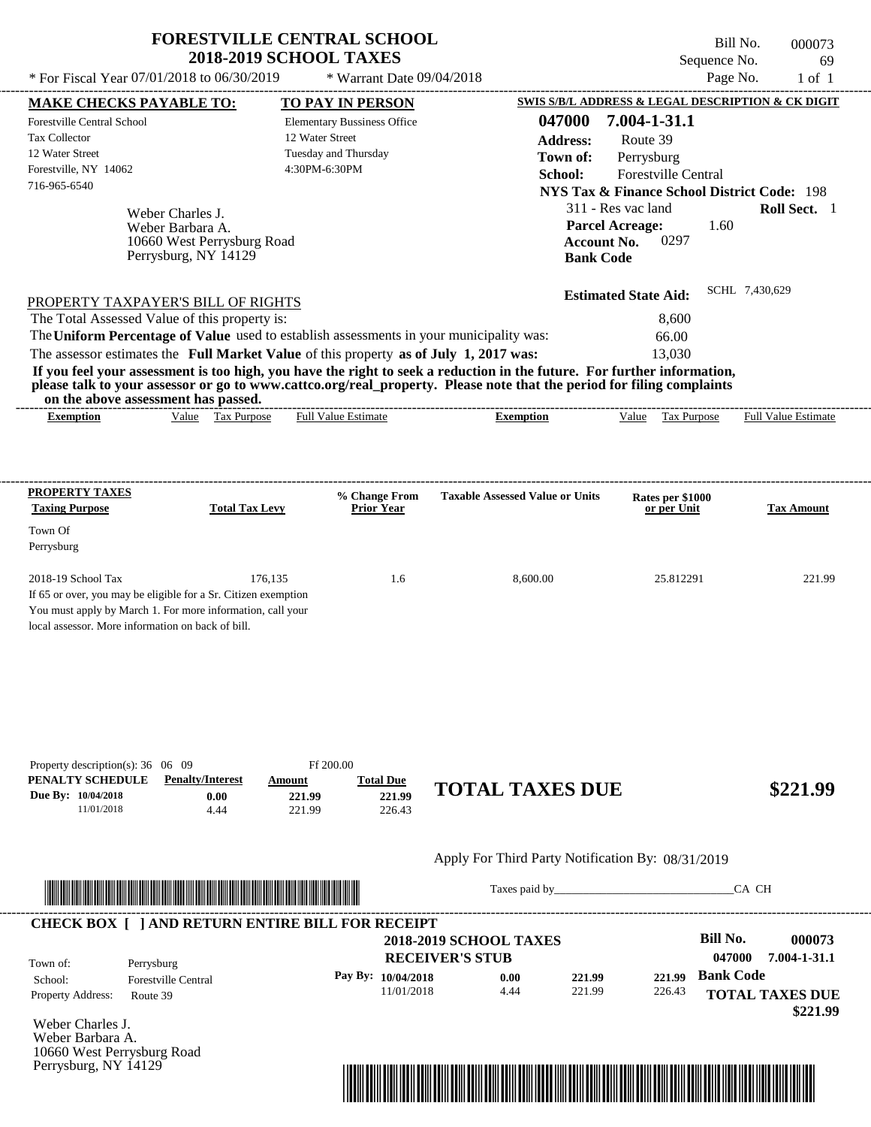|                                                                                                                                          | <b>2018-2019 SCHOOL TAXES</b>                                             | <b>FORESTVILLE CENTRAL SCHOOL</b>                          |                                                                                                                                                                                                                                                  | Bill No.<br>Sequence No.                                                                                                       | 000073<br>69        |
|------------------------------------------------------------------------------------------------------------------------------------------|---------------------------------------------------------------------------|------------------------------------------------------------|--------------------------------------------------------------------------------------------------------------------------------------------------------------------------------------------------------------------------------------------------|--------------------------------------------------------------------------------------------------------------------------------|---------------------|
| * For Fiscal Year 07/01/2018 to 06/30/2019                                                                                               |                                                                           | * Warrant Date 09/04/2018                                  |                                                                                                                                                                                                                                                  | Page No.                                                                                                                       | $1$ of $1$          |
| <b>MAKE CHECKS PAYABLE TO:</b>                                                                                                           |                                                                           | TO PAY IN PERSON                                           |                                                                                                                                                                                                                                                  | SWIS S/B/L ADDRESS & LEGAL DESCRIPTION & CK DIGIT                                                                              |                     |
| <b>Forestville Central School</b><br><b>Tax Collector</b><br>12 Water Street<br>Forestville, NY 14062<br>716-965-6540                    | 12 Water Street<br>4:30PM-6:30PM                                          | <b>Elementary Bussiness Office</b><br>Tuesday and Thursday | 047000<br><b>Address:</b><br>Town of:<br>School:                                                                                                                                                                                                 | 7.004-1-31.1<br>Route 39<br>Perrysburg<br><b>Forestville Central</b><br><b>NYS Tax &amp; Finance School District Code: 198</b> |                     |
| Weber Charles J.<br>Weber Barbara A.<br>Perrysburg, NY 14129                                                                             | 10660 West Perrysburg Road                                                |                                                            | <b>Parcel Acreage:</b><br><b>Account No.</b><br><b>Bank Code</b>                                                                                                                                                                                 | 311 - Res vac land<br>1.60<br>0297                                                                                             | <b>Roll Sect.</b> 1 |
| PROPERTY TAXPAYER'S BILL OF RIGHTS                                                                                                       |                                                                           |                                                            |                                                                                                                                                                                                                                                  | <b>Estimated State Aid:</b>                                                                                                    | SCHL 7,430,629      |
| The Total Assessed Value of this property is:<br>The Uniform Percentage of Value used to establish assessments in your municipality was: |                                                                           |                                                            |                                                                                                                                                                                                                                                  | 8.600<br>66.00                                                                                                                 |                     |
| on the above assessment has passed.                                                                                                      |                                                                           |                                                            | If you feel your assessment is too high, you have the right to seek a reduction in the future. For further information,<br>please talk to your assessor or go to www.cattco.org/real_property. Please note that the period for filing complaints |                                                                                                                                |                     |
| <b>PROPERTY TAXES</b><br><b>Taxing Purpose</b>                                                                                           | <b>Total Tax Levy</b>                                                     | % Change From<br><b>Prior Year</b>                         | <b>Taxable Assessed Value or Units</b>                                                                                                                                                                                                           | Rates per \$1000<br>or per Unit                                                                                                | <b>Tax Amount</b>   |
| Town Of<br>Perrysburg                                                                                                                    |                                                                           |                                                            |                                                                                                                                                                                                                                                  |                                                                                                                                |                     |
| 2018-19 School Tax                                                                                                                       | 176.135<br>If 65 or over, you may be eligible for a Sr. Citizen exemption | 1.6                                                        | 8,600.00                                                                                                                                                                                                                                         | 25.812291                                                                                                                      | 221.99              |
| You must apply by March 1. For more information, call your<br>local assessor. More information on back of bill.                          |                                                                           |                                                            |                                                                                                                                                                                                                                                  |                                                                                                                                |                     |

### Apply For Third Party Notification By: 08/31/2019



Taxes paid by\_\_\_\_\_\_\_\_\_\_\_\_\_\_\_\_\_\_\_\_\_\_\_\_\_\_\_\_\_\_\_CA CH



Weber Charles J. Weber Barbara A. 10660 West Perrysburg Road Perrysburg, NY 14129

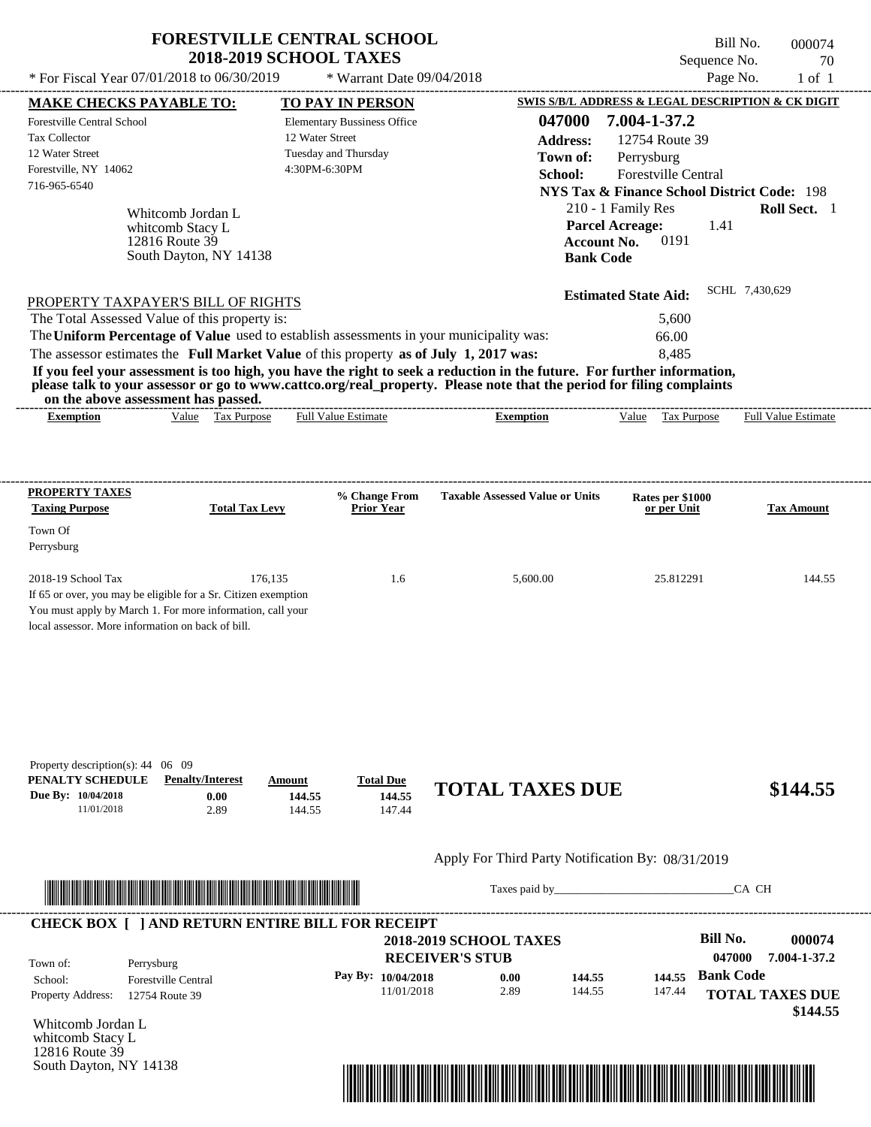|                                                                                                                                                                                                                                                                                         | <b>2018-2019 SCHOOL TAXES</b>    | <b>FORESTVILLE CENTRAL SCHOOL</b>                          |                                                   |                                                  |                                                                                           | Bill No.<br>Sequence No. | 000074<br>70                                                           |
|-----------------------------------------------------------------------------------------------------------------------------------------------------------------------------------------------------------------------------------------------------------------------------------------|----------------------------------|------------------------------------------------------------|---------------------------------------------------|--------------------------------------------------|-------------------------------------------------------------------------------------------|--------------------------|------------------------------------------------------------------------|
| * For Fiscal Year 07/01/2018 to 06/30/2019                                                                                                                                                                                                                                              |                                  | * Warrant Date 09/04/2018                                  |                                                   |                                                  |                                                                                           | Page No.                 | $1$ of $1$                                                             |
| <b>MAKE CHECKS PAYABLE TO:</b>                                                                                                                                                                                                                                                          |                                  | TO PAY IN PERSON                                           |                                                   |                                                  |                                                                                           |                          | SWIS S/B/L ADDRESS & LEGAL DESCRIPTION & CK DIGIT                      |
| Forestville Central School<br><b>Tax Collector</b><br>12 Water Street<br>Forestville, NY 14062<br>716-965-6540                                                                                                                                                                          | 12 Water Street<br>4:30PM-6:30PM | <b>Elementary Bussiness Office</b><br>Tuesday and Thursday |                                                   | 047000<br><b>Address:</b><br>Town of:<br>School: | 7.004-1-37.2<br>12754 Route 39<br>Perrysburg<br>Forestville Central<br>210 - 1 Family Res |                          | <b>NYS Tax &amp; Finance School District Code: 198</b><br>Roll Sect. 1 |
| Whitcomb Jordan L<br>whitcomb Stacy L<br>12816 Route 39<br>South Dayton, NY 14138                                                                                                                                                                                                       |                                  |                                                            |                                                   | <b>Bank Code</b>                                 | <b>Parcel Acreage:</b><br>0191<br><b>Account No.</b>                                      | 1.41                     |                                                                        |
| PROPERTY TAXPAYER'S BILL OF RIGHTS                                                                                                                                                                                                                                                      |                                  |                                                            |                                                   |                                                  | <b>Estimated State Aid:</b>                                                               |                          | SCHL 7,430,629                                                         |
| The Total Assessed Value of this property is:                                                                                                                                                                                                                                           |                                  |                                                            |                                                   |                                                  | 5,600                                                                                     |                          |                                                                        |
| The Uniform Percentage of Value used to establish assessments in your municipality was:<br>The assessor estimates the Full Market Value of this property as of July 1, 2017 was:                                                                                                        |                                  |                                                            |                                                   |                                                  | 66.00                                                                                     |                          |                                                                        |
| If you feel your assessment is too high, you have the right to seek a reduction in the future. For further information,<br>please talk to your assessor or go to www.cattco.org/real_property. Please note that the period for filing complaints<br>on the above assessment has passed. |                                  |                                                            |                                                   |                                                  | 8,485                                                                                     |                          |                                                                        |
| Value Tax Purpose<br><b>Exemption</b>                                                                                                                                                                                                                                                   |                                  | <b>Full Value Estimate</b>                                 | <b>Exemption</b>                                  |                                                  | Value Tax Purpose                                                                         |                          | <b>Full Value Estimate</b>                                             |
| <b>Taxing Purpose</b><br><b>Total Tax Levy</b><br>Town Of                                                                                                                                                                                                                               |                                  | <b>Prior Year</b>                                          |                                                   |                                                  | or per Unit                                                                               |                          | <b>Tax Amount</b>                                                      |
| Perrysburg<br>2018-19 School Tax<br>If 65 or over, you may be eligible for a Sr. Citizen exemption<br>You must apply by March 1. For more information, call your<br>local assessor. More information on back of bill.                                                                   | 176,135                          | 1.6                                                        | 5,600.00                                          |                                                  | 25.812291                                                                                 |                          |                                                                        |
| Property description(s): $44 \quad 06 \quad 09$<br>PENALTY SCHEDULE<br><b>Penalty/Interest</b><br>Due By: 10/04/2018<br>0.00<br>11/01/2018<br>2.89                                                                                                                                      | Amount<br>144.55<br>144.55       | <b>Total Due</b><br>144.55<br>147.44                       | <b>TOTAL TAXES DUE</b>                            |                                                  |                                                                                           |                          | 144.55<br>\$144.55                                                     |
|                                                                                                                                                                                                                                                                                         |                                  |                                                            | Apply For Third Party Notification By: 08/31/2019 |                                                  |                                                                                           |                          |                                                                        |

|                          |                            | <b>2018-2019 SCHOOL TAXES</b> |      |        |        | Bill No.         | 000074                             |
|--------------------------|----------------------------|-------------------------------|------|--------|--------|------------------|------------------------------------|
| Town of:                 | Perrysburg                 | <b>RECEIVER'S STUB</b>        |      |        |        | 047000           | 7.004-1-37.2                       |
| School:                  | <b>Forestville Central</b> | Pay By: $10/04/2018$          | 0.00 | 144.55 |        | 144.55 Bank Code |                                    |
| <b>Property Address:</b> | 12754 Route 39             | 11/01/2018                    | 2.89 | 144.55 | 147.44 |                  | <b>TOTAL TAXES DUE</b><br>\$144.55 |

Whitcomb Jordan L whitcomb Stacy L 12816 Route 39 South Dayton, NY 14138

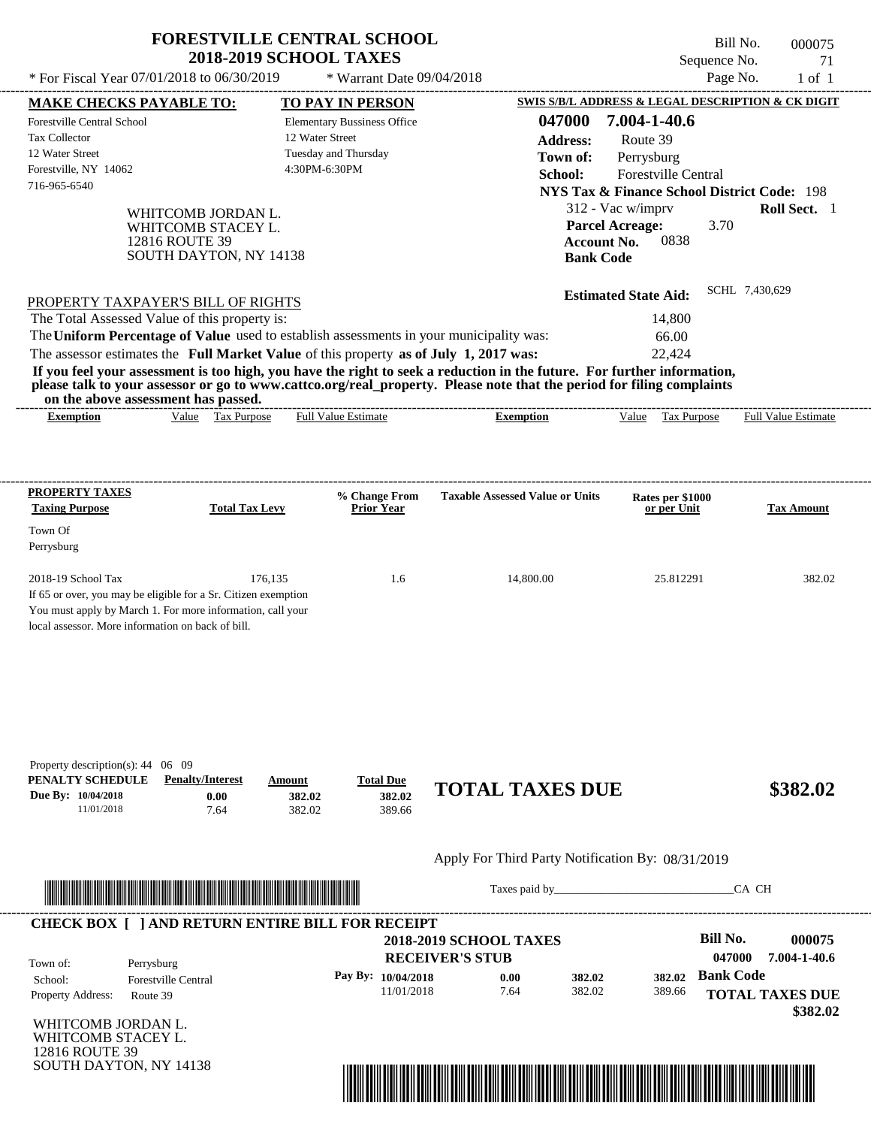|                                                                                                                 | <b>FORESTVILLE CENTRAL SCHOOL</b><br><b>2018-2019 SCHOOL TAXES</b>    |                                                       |                                                                                                                                                                                                                                                  | Bill No.<br>Sequence No.                                         | 000075<br>71        |
|-----------------------------------------------------------------------------------------------------------------|-----------------------------------------------------------------------|-------------------------------------------------------|--------------------------------------------------------------------------------------------------------------------------------------------------------------------------------------------------------------------------------------------------|------------------------------------------------------------------|---------------------|
| * For Fiscal Year 07/01/2018 to 06/30/2019                                                                      |                                                                       | * Warrant Date 09/04/2018                             |                                                                                                                                                                                                                                                  | Page No.                                                         | $1$ of $1$          |
| <b>MAKE CHECKS PAYABLE TO:</b>                                                                                  |                                                                       | <b>TO PAY IN PERSON</b>                               |                                                                                                                                                                                                                                                  | <b>SWIS S/B/L ADDRESS &amp; LEGAL DESCRIPTION &amp; CK DIGIT</b> |                     |
| Forestville Central School<br><b>Tax Collector</b>                                                              |                                                                       | <b>Elementary Bussiness Office</b><br>12 Water Street | 047000                                                                                                                                                                                                                                           | 7.004-1-40.6                                                     |                     |
| 12 Water Street                                                                                                 |                                                                       | Tuesday and Thursday                                  | <b>Address:</b>                                                                                                                                                                                                                                  | Route 39                                                         |                     |
| Forestville, NY 14062                                                                                           |                                                                       | 4:30PM-6:30PM                                         | Town of:                                                                                                                                                                                                                                         | Perrysburg                                                       |                     |
| 716-965-6540                                                                                                    |                                                                       |                                                       | School:                                                                                                                                                                                                                                          | Forestville Central                                              |                     |
|                                                                                                                 |                                                                       |                                                       |                                                                                                                                                                                                                                                  | <b>NYS Tax &amp; Finance School District Code: 198</b>           |                     |
|                                                                                                                 | WHITCOMB JORDAN L.                                                    |                                                       |                                                                                                                                                                                                                                                  | 312 - Vac w/imprv                                                | Roll Sect. 1        |
| 12816 ROUTE 39                                                                                                  | WHITCOMB STACEY L.                                                    |                                                       | <b>Account No.</b>                                                                                                                                                                                                                               | <b>Parcel Acreage:</b><br>3.70<br>0838                           |                     |
|                                                                                                                 | SOUTH DAYTON, NY 14138                                                |                                                       | <b>Bank Code</b>                                                                                                                                                                                                                                 |                                                                  |                     |
|                                                                                                                 |                                                                       |                                                       |                                                                                                                                                                                                                                                  |                                                                  |                     |
|                                                                                                                 |                                                                       |                                                       |                                                                                                                                                                                                                                                  | <b>Estimated State Aid:</b>                                      | SCHL 7,430,629      |
| PROPERTY TAXPAYER'S BILL OF RIGHTS                                                                              |                                                                       |                                                       |                                                                                                                                                                                                                                                  |                                                                  |                     |
| The Total Assessed Value of this property is:                                                                   |                                                                       |                                                       |                                                                                                                                                                                                                                                  | 14,800                                                           |                     |
| The Uniform Percentage of Value used to establish assessments in your municipality was:                         |                                                                       |                                                       |                                                                                                                                                                                                                                                  | 66.00                                                            |                     |
| The assessor estimates the Full Market Value of this property as of July 1, 2017 was:                           |                                                                       |                                                       |                                                                                                                                                                                                                                                  | 22,424                                                           |                     |
| on the above assessment has passed.                                                                             |                                                                       |                                                       | If you feel your assessment is too high, you have the right to seek a reduction in the future. For further information,<br>please talk to your assessor or go to www.cattco.org/real_property. Please note that the period for filing complaints |                                                                  |                     |
| <b>Exemption</b>                                                                                                | Value Tax Purpose                                                     | Full Value Estimate                                   | <b>Exemption</b>                                                                                                                                                                                                                                 | Value Tax Purpose                                                | Full Value Estimate |
| PROPERTY TAXES<br><b>Taxing Purpose</b><br>Town Of<br>Perrysburg                                                | <b>Total Tax Levy</b>                                                 | % Change From<br><b>Prior Year</b>                    | <b>Taxable Assessed Value or Units</b>                                                                                                                                                                                                           | Rates per \$1000<br>or per Unit                                  | <b>Tax Amount</b>   |
|                                                                                                                 |                                                                       |                                                       |                                                                                                                                                                                                                                                  |                                                                  |                     |
| 2018-19 School Tax<br>If 65 or over, you may be eligible for a Sr. Citizen exemption                            | 176,135                                                               | 1.6                                                   | 14,800.00                                                                                                                                                                                                                                        | 25.812291                                                        | 382.02              |
| You must apply by March 1. For more information, call your<br>local assessor. More information on back of bill. |                                                                       |                                                       |                                                                                                                                                                                                                                                  |                                                                  |                     |
| Property description(s): $44 \quad 06 \quad 09$                                                                 |                                                                       |                                                       |                                                                                                                                                                                                                                                  |                                                                  |                     |
| PENALTY SCHEDULE<br>Due By: 10/04/2018<br>11/01/2018                                                            | <b>Penalty/Interest</b><br>Amount<br>0.00<br>382.02<br>7.64<br>382.02 | <b>Total Due</b><br>382.02<br>389.66                  | <b>TOTAL TAXES DUE</b>                                                                                                                                                                                                                           |                                                                  | \$382.02            |
|                                                                                                                 |                                                                       |                                                       | Apply For Third Party Notification By: 08/31/2019                                                                                                                                                                                                |                                                                  |                     |
|                                                                                                                 |                                                                       |                                                       |                                                                                                                                                                                                                                                  |                                                                  | CA CH               |
| <b>CHECK BOX [ ] AND RETURN ENTIRE BILL FOR RECEIPT</b>                                                         |                                                                       |                                                       |                                                                                                                                                                                                                                                  |                                                                  |                     |
|                                                                                                                 |                                                                       |                                                       | <b>2018-2019 SCHOOL TAXES</b>                                                                                                                                                                                                                    | <b>Bill No.</b>                                                  | 000075              |
| Town of:<br>Perrysburg                                                                                          |                                                                       |                                                       | <b>RECEIVER'S STUB</b>                                                                                                                                                                                                                           | 047000                                                           | 7.004-1-40.6        |
| Forestville Central<br>School:                                                                                  |                                                                       | Pay By: 10/04/2018                                    | 0.00<br>382.02                                                                                                                                                                                                                                   | <b>Bank Code</b><br>382.02                                       |                     |
|                                                                                                                 |                                                                       |                                                       |                                                                                                                                                                                                                                                  |                                                                  |                     |

11/01/2018 7.64

WHITCOMB JORDAN L. WHITCOMB STACEY L. 12816 ROUTE 39 SOUTH DAYTON, NY 14138

Property Address: Route 39



382.02

389.66

**TOTAL TAXES DUE**

 **\$382.02**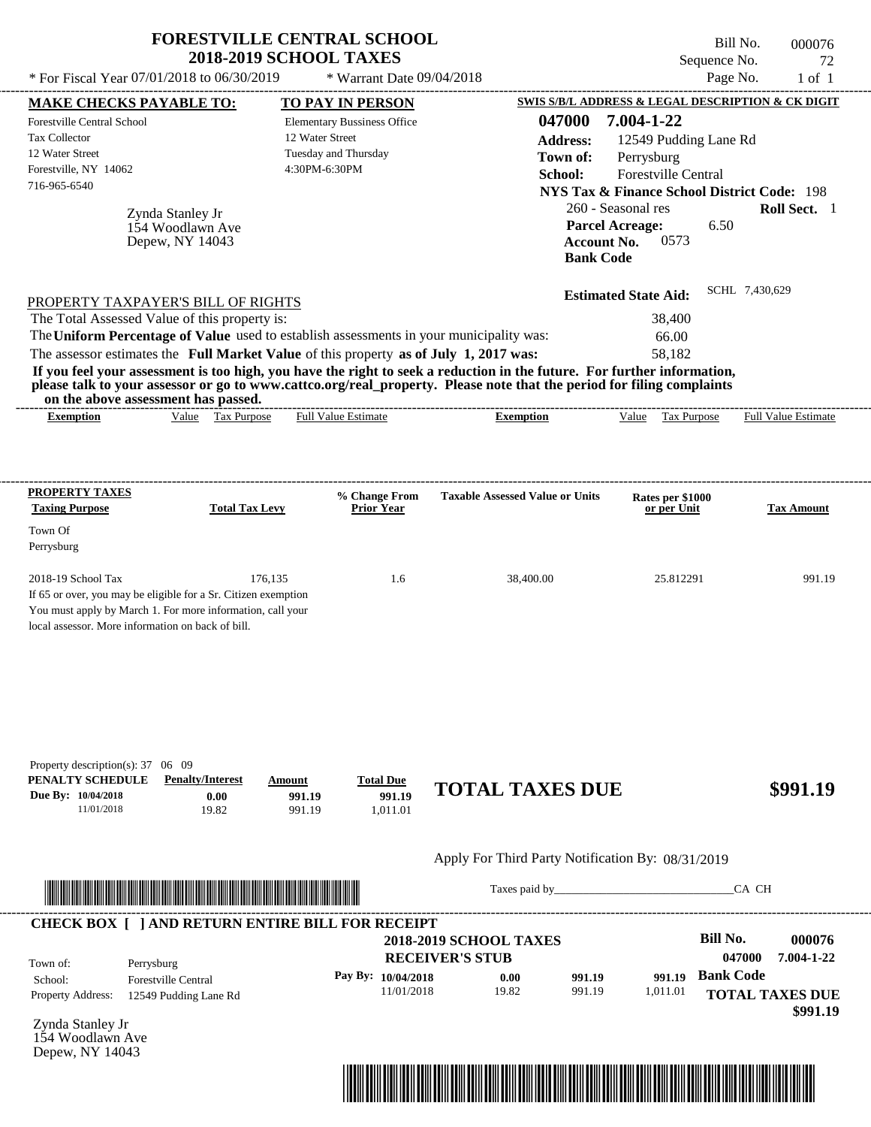| * For Fiscal Year 07/01/2018 to 06/30/2019                                                                                                                                                                                                                                                                     | <b>FORESTVILLE CENTRAL SCHOOL</b><br><b>2018-2019 SCHOOL TAXES</b>     | * Warrant Date 09/04/2018                                                                                          |                                                                                                                                                                                                                                                  | Bill No.<br>Sequence No.<br>Page No.                                                                                                                                     | 000076<br>72<br>$1$ of $1$         |
|----------------------------------------------------------------------------------------------------------------------------------------------------------------------------------------------------------------------------------------------------------------------------------------------------------------|------------------------------------------------------------------------|--------------------------------------------------------------------------------------------------------------------|--------------------------------------------------------------------------------------------------------------------------------------------------------------------------------------------------------------------------------------------------|--------------------------------------------------------------------------------------------------------------------------------------------------------------------------|------------------------------------|
|                                                                                                                                                                                                                                                                                                                |                                                                        |                                                                                                                    |                                                                                                                                                                                                                                                  | SWIS S/B/L ADDRESS & LEGAL DESCRIPTION & CK DIGIT                                                                                                                        |                                    |
| <b>MAKE CHECKS PAYABLE TO:</b><br><b>Forestville Central School</b><br><b>Tax Collector</b><br>12 Water Street<br>Forestville, NY 14062<br>716-965-6540<br>Zynda Stanley Jr<br>Depew, NY 14043                                                                                                                 | 154 Woodlawn Ave                                                       | TO PAY IN PERSON<br><b>Elementary Bussiness Office</b><br>12 Water Street<br>Tuesday and Thursday<br>4:30PM-6:30PM | 047000<br><b>Address:</b><br>Town of:<br>School:<br><b>Parcel Acreage:</b><br><b>Account No.</b><br><b>Bank Code</b>                                                                                                                             | 7.004-1-22<br>12549 Pudding Lane Rd<br>Perrysburg<br>Forestville Central<br><b>NYS Tax &amp; Finance School District Code: 198</b><br>260 - Seasonal res<br>6.50<br>0573 | Roll Sect. 1                       |
| PROPERTY TAXPAYER'S BILL OF RIGHTS<br>The Total Assessed Value of this property is:<br>The Uniform Percentage of Value used to establish assessments in your municipality was:<br>The assessor estimates the Full Market Value of this property as of July 1, 2017 was:<br>on the above assessment has passed. |                                                                        |                                                                                                                    | If you feel your assessment is too high, you have the right to seek a reduction in the future. For further information,<br>please talk to your assessor or go to www.cattco.org/real_property. Please note that the period for filing complaints | <b>Estimated State Aid:</b><br>38,400<br>66.00<br>58,182                                                                                                                 | SCHL 7,430,629                     |
| <b>Exemption</b>                                                                                                                                                                                                                                                                                               | Value Tax Purpose                                                      | <b>Full Value Estimate</b>                                                                                         | <b>Exemption</b>                                                                                                                                                                                                                                 | Value Tax Purpose                                                                                                                                                        | <b>Full Value Estimate</b>         |
| <b>PROPERTY TAXES</b>                                                                                                                                                                                                                                                                                          |                                                                        |                                                                                                                    |                                                                                                                                                                                                                                                  |                                                                                                                                                                          |                                    |
| <b>Taxing Purpose</b>                                                                                                                                                                                                                                                                                          | <b>Total Tax Levy</b>                                                  | % Change From<br><b>Prior Year</b>                                                                                 | <b>Taxable Assessed Value or Units</b>                                                                                                                                                                                                           | Rates per \$1000<br>or per Unit                                                                                                                                          | <b>Tax Amount</b>                  |
| Town Of                                                                                                                                                                                                                                                                                                        |                                                                        |                                                                                                                    |                                                                                                                                                                                                                                                  |                                                                                                                                                                          |                                    |
| Perrysburg                                                                                                                                                                                                                                                                                                     |                                                                        |                                                                                                                    |                                                                                                                                                                                                                                                  |                                                                                                                                                                          |                                    |
| 2018-19 School Tax<br>If 65 or over, you may be eligible for a Sr. Citizen exemption<br>You must apply by March 1. For more information, call your<br>local assessor. More information on back of bill.                                                                                                        | 176,135                                                                | 1.6                                                                                                                | 38,400.00                                                                                                                                                                                                                                        | 25.812291                                                                                                                                                                | 991.19                             |
| Property description(s): 37 06 09<br>PENALTY SCHEDULE<br>Due By: 10/04/2018<br>11/01/2018                                                                                                                                                                                                                      | <b>Penalty/Interest</b><br>Amount<br>0.00<br>991.19<br>19.82<br>991.19 | <b>Total Due</b><br>991.19<br>1,011.01                                                                             | <b>TOTAL TAXES DUE</b>                                                                                                                                                                                                                           |                                                                                                                                                                          | \$991.19                           |
|                                                                                                                                                                                                                                                                                                                |                                                                        |                                                                                                                    | Apply For Third Party Notification By: 08/31/2019                                                                                                                                                                                                |                                                                                                                                                                          |                                    |
|                                                                                                                                                                                                                                                                                                                |                                                                        |                                                                                                                    |                                                                                                                                                                                                                                                  |                                                                                                                                                                          | CA CH                              |
| <b>CHECK BOX [ ] AND RETURN ENTIRE BILL FOR RECEIPT</b><br>Town of:<br>Perrysburg                                                                                                                                                                                                                              |                                                                        |                                                                                                                    | <b>2018-2019 SCHOOL TAXES</b><br><b>RECEIVER'S STUB</b>                                                                                                                                                                                          | <b>Bill No.</b><br>047000                                                                                                                                                | 000076<br>7.004-1-22               |
| <b>Forestville Central</b><br>School:<br><b>Property Address:</b>                                                                                                                                                                                                                                              | 12549 Pudding Lane Rd                                                  | Pay By: 10/04/2018<br>11/01/2018                                                                                   | 0.00<br>991.19<br>19.82<br>991.19                                                                                                                                                                                                                | <b>Bank Code</b><br>991.19<br>1,011.01                                                                                                                                   | <b>TOTAL TAXES DUE</b><br>\$991.19 |

Zynda Stanley Jr 154 Woodlawn Ave Depew, NY 14043

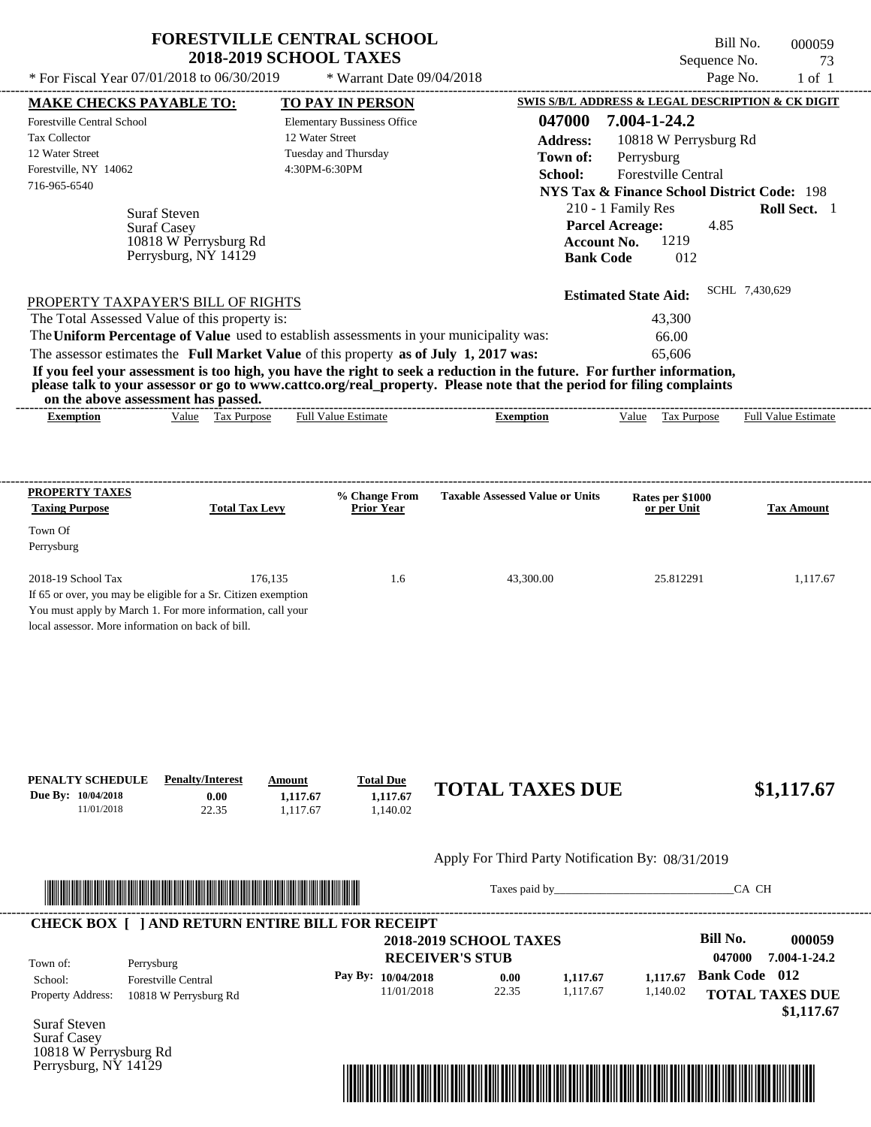|                                                                                                                                                             | <b>FORESTVILLE CENTRAL SCHOOL</b><br><b>2018-2019 SCHOOL TAXES</b>                                                                                                                                                     |                                                                                                |                                                                                                                                                                                                                                                  | Bill No.<br>Sequence No.                                                                                                                                                                 | 000059<br>73               |
|-------------------------------------------------------------------------------------------------------------------------------------------------------------|------------------------------------------------------------------------------------------------------------------------------------------------------------------------------------------------------------------------|------------------------------------------------------------------------------------------------|--------------------------------------------------------------------------------------------------------------------------------------------------------------------------------------------------------------------------------------------------|------------------------------------------------------------------------------------------------------------------------------------------------------------------------------------------|----------------------------|
| * For Fiscal Year 07/01/2018 to 06/30/2019                                                                                                                  |                                                                                                                                                                                                                        | * Warrant Date 09/04/2018                                                                      |                                                                                                                                                                                                                                                  | Page No.                                                                                                                                                                                 | $1$ of $1$                 |
| <u>MAKE CHECKS PAYABLE TO:</u>                                                                                                                              |                                                                                                                                                                                                                        | <b>TO PAY IN PERSON</b>                                                                        |                                                                                                                                                                                                                                                  | SWIS S/B/L ADDRESS & LEGAL DESCRIPTION & CK DIGIT                                                                                                                                        |                            |
| <b>Forestville Central School</b><br>Tax Collector<br>12 Water Street<br>Forestville, NY 14062<br>716-965-6540<br><b>Suraf Steven</b><br><b>Suraf Casey</b> | 10818 W Perrysburg Rd<br>Perrysburg, NY 14129                                                                                                                                                                          | <b>Elementary Bussiness Office</b><br>12 Water Street<br>Tuesday and Thursday<br>4:30PM-6:30PM | 047000<br><b>Address:</b><br>Town of:<br>School:<br><b>Parcel Acreage:</b><br><b>Account No.</b><br><b>Bank Code</b>                                                                                                                             | 7.004-1-24.2<br>10818 W Perrysburg Rd<br>Perrysburg<br><b>Forestville Central</b><br><b>NYS Tax &amp; Finance School District Code: 198</b><br>210 - 1 Family Res<br>4.85<br>1219<br>012 | Roll Sect. 1               |
| The Total Assessed Value of this property is:                                                                                                               | PROPERTY TAXPAYER'S BILL OF RIGHTS<br>The Uniform Percentage of Value used to establish assessments in your municipality was:<br>The assessor estimates the Full Market Value of this property as of July 1, 2017 was: |                                                                                                | If you feel your assessment is too high, you have the right to seek a reduction in the future. For further information,<br>please talk to your assessor or go to www.cattco.org/real property. Please note that the period for filing complaints | SCHL 7,430,629<br><b>Estimated State Aid:</b><br>43,300<br>66.00<br>65,606                                                                                                               |                            |
| on the above assessment has passed.<br><b>Exemption</b>                                                                                                     | Value Tax Purpose                                                                                                                                                                                                      | <b>Full Value Estimate</b>                                                                     | <b>Exemption</b>                                                                                                                                                                                                                                 | Value<br><b>Tax Purpose</b>                                                                                                                                                              | <b>Full Value Estimate</b> |
|                                                                                                                                                             |                                                                                                                                                                                                                        |                                                                                                |                                                                                                                                                                                                                                                  |                                                                                                                                                                                          |                            |
| <b>PROPERTY TAXES</b>                                                                                                                                       |                                                                                                                                                                                                                        | % Change From                                                                                  | <b>Taxable Assessed Value or Units</b>                                                                                                                                                                                                           | Rates per \$1000                                                                                                                                                                         |                            |
| <b>Taxing Purpose</b>                                                                                                                                       | <b>Total Tax Levy</b>                                                                                                                                                                                                  | <b>Prior Year</b>                                                                              |                                                                                                                                                                                                                                                  | or per Unit                                                                                                                                                                              | <b>Tax Amount</b>          |
| Town Of<br>Perrysburg                                                                                                                                       |                                                                                                                                                                                                                        |                                                                                                |                                                                                                                                                                                                                                                  |                                                                                                                                                                                          |                            |
|                                                                                                                                                             | 176.135<br>If 65 or over, you may be eligible for a Sr. Citizen exemption<br>You must apply by March 1. For more information, call your                                                                                | 1.6                                                                                            | 43,300.00                                                                                                                                                                                                                                        | 25.812291                                                                                                                                                                                | 1,117.67                   |
| 2018-19 School Tax<br>local assessor. More information on back of bill.<br>Due By: 10/04/2018<br>11/01/2018                                                 | <b>Penalty/Interest</b><br>Amount<br>0.00<br>1,117.67<br>1,117.67<br>22.35                                                                                                                                             | <b>Total Due</b><br>1,117.67<br>1,140.02                                                       | <b>TOTAL TAXES DUE</b>                                                                                                                                                                                                                           |                                                                                                                                                                                          | \$1,117.67                 |
| PENALTY SCHEDULE                                                                                                                                            |                                                                                                                                                                                                                        |                                                                                                | Apply For Third Party Notification By: 08/31/2019                                                                                                                                                                                                |                                                                                                                                                                                          |                            |

\*04700000005900000000111767\*

Taxes paid by\_\_\_\_\_\_\_\_\_\_\_\_\_\_\_\_\_\_\_\_\_\_\_\_\_\_\_\_\_\_\_CA CH

|                          |                                          | <b>2018-2019 SCHOOL TAXES</b><br><b>RECEIVER'S STUB</b> |       |          |          | Bill No.<br>047000   | 000059<br>7.004-1-24.2 |
|--------------------------|------------------------------------------|---------------------------------------------------------|-------|----------|----------|----------------------|------------------------|
| Town of:<br>School:      | Perrysburg<br><b>Forestville Central</b> | Pay By: $10/04/2018$                                    | 0.00  | 1,117.67 | 1.117.67 | <b>Bank Code</b> 012 |                        |
| <b>Property Address:</b> | 10818 W Perrysburg Rd                    | 11/01/2018                                              | 22.35 | 1.117.67 | 1,140.02 |                      | <b>TOTAL TAXES DUE</b> |

Suraf Steven Suraf Casey 10818 W Perrysburg Rd Perrysburg, NY 14129

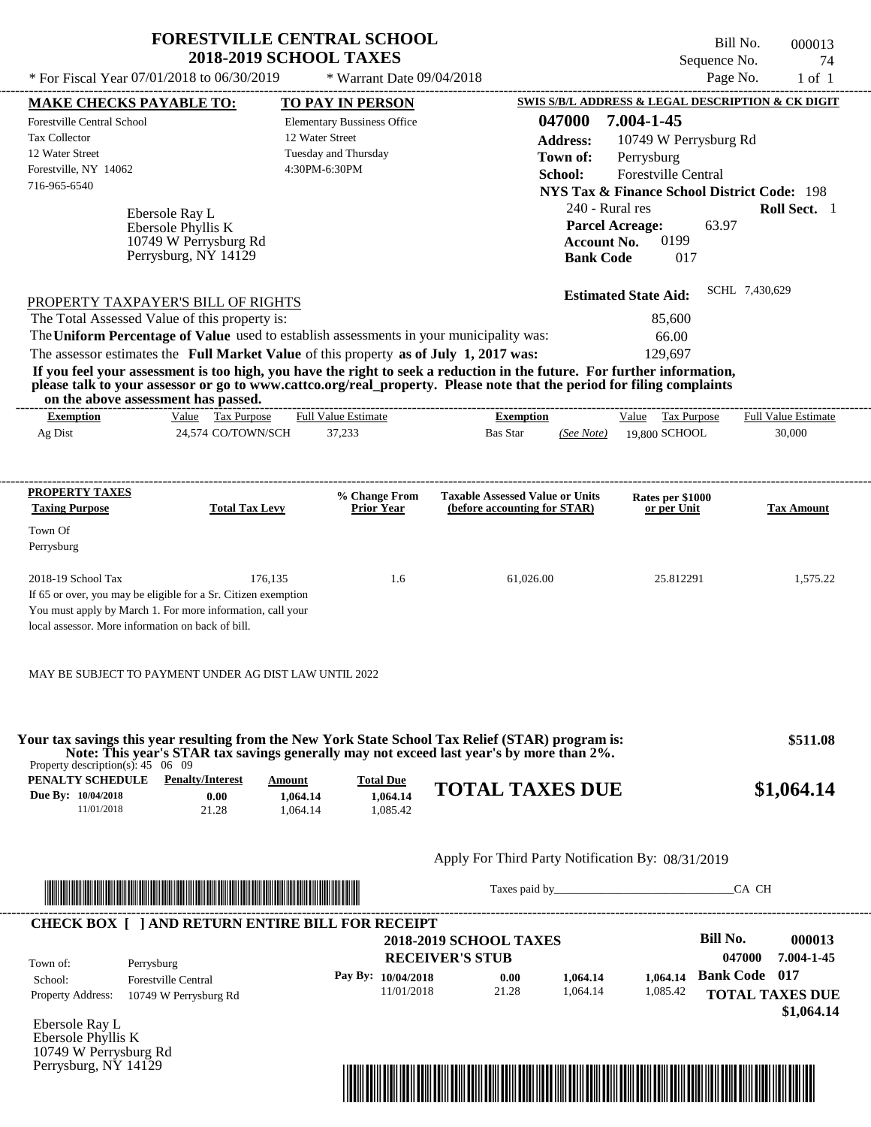|                                                                                                                                                                                                         | <b>FORESTVILLE CENTRAL SCHOOL</b><br><b>2018-2019 SCHOOL TAXES</b> |                                                            |                                                                                                                                                                                                                                                  | Bill No.<br>Sequence No.                                                                                                           | 000013<br>74               |
|---------------------------------------------------------------------------------------------------------------------------------------------------------------------------------------------------------|--------------------------------------------------------------------|------------------------------------------------------------|--------------------------------------------------------------------------------------------------------------------------------------------------------------------------------------------------------------------------------------------------|------------------------------------------------------------------------------------------------------------------------------------|----------------------------|
| * For Fiscal Year 07/01/2018 to 06/30/2019                                                                                                                                                              |                                                                    | * Warrant Date 09/04/2018                                  |                                                                                                                                                                                                                                                  | Page No.                                                                                                                           | $1$ of $1$                 |
| <b>MAKE CHECKS PAYABLE TO:</b>                                                                                                                                                                          |                                                                    | <b>TO PAY IN PERSON</b>                                    |                                                                                                                                                                                                                                                  | SWIS S/B/L ADDRESS & LEGAL DESCRIPTION & CK DIGIT                                                                                  |                            |
| <b>Forestville Central School</b><br>Tax Collector<br>12 Water Street<br>Forestville, NY 14062<br>716-965-6540                                                                                          | 12 Water Street<br>4:30PM-6:30PM                                   | <b>Elementary Bussiness Office</b><br>Tuesday and Thursday | 047000<br><b>Address:</b><br>Town of:<br>School:                                                                                                                                                                                                 | 7.004-1-45<br>10749 W Perrysburg Rd<br>Perrysburg<br>Forestville Central<br><b>NYS Tax &amp; Finance School District Code: 198</b> |                            |
| Ebersole Ray L<br>Ebersole Phyllis K<br>Perrysburg, NY 14129                                                                                                                                            | 10749 W Perrysburg Rd                                              |                                                            | 240 - Rural res<br><b>Parcel Acreage:</b><br><b>Account No.</b><br><b>Bank Code</b>                                                                                                                                                              | 63.97<br>0199<br>017                                                                                                               | Roll Sect. 1               |
| PROPERTY TAXPAYER'S BILL OF RIGHTS                                                                                                                                                                      |                                                                    |                                                            |                                                                                                                                                                                                                                                  | <b>Estimated State Aid:</b>                                                                                                        | SCHL 7,430,629             |
| The Total Assessed Value of this property is:<br>The Uniform Percentage of Value used to establish assessments in your municipality was:                                                                |                                                                    |                                                            |                                                                                                                                                                                                                                                  | 85,600                                                                                                                             |                            |
| The assessor estimates the Full Market Value of this property as of July 1, 2017 was:                                                                                                                   |                                                                    |                                                            |                                                                                                                                                                                                                                                  | 66.00<br>129,697                                                                                                                   |                            |
| on the above assessment has passed.                                                                                                                                                                     |                                                                    |                                                            | If you feel your assessment is too high, you have the right to seek a reduction in the future. For further information,<br>please talk to your assessor or go to www.cattco.org/real_property. Please note that the period for filing complaints |                                                                                                                                    |                            |
| <b>Exemption</b>                                                                                                                                                                                        | Value Tax Purpose                                                  | <b>Full Value Estimate</b>                                 | <b>Exemption</b>                                                                                                                                                                                                                                 | Value Tax Purpose                                                                                                                  | <b>Full Value Estimate</b> |
| Ag Dist                                                                                                                                                                                                 | 24,574 CO/TOWN/SCH                                                 | 37,233                                                     | <b>Bas Star</b><br>(See Note)                                                                                                                                                                                                                    | 19,800 SCHOOL                                                                                                                      | 30,000                     |
| PROPERTY TAXES<br><b>Taxing Purpose</b>                                                                                                                                                                 | <b>Total Tax Levy</b>                                              | % Change From<br><b>Prior Year</b>                         | <b>Taxable Assessed Value or Units</b><br>(before accounting for STAR)                                                                                                                                                                           | Rates per \$1000                                                                                                                   | <b>Tax Amount</b>          |
|                                                                                                                                                                                                         |                                                                    |                                                            |                                                                                                                                                                                                                                                  | or per Unit                                                                                                                        |                            |
| Town Of<br>Perrysburg                                                                                                                                                                                   |                                                                    |                                                            |                                                                                                                                                                                                                                                  |                                                                                                                                    |                            |
| 2018-19 School Tax<br>If 65 or over, you may be eligible for a Sr. Citizen exemption<br>You must apply by March 1. For more information, call your<br>local assessor. More information on back of bill. | 176,135                                                            | 1.6                                                        | 61,026.00                                                                                                                                                                                                                                        | 25.812291                                                                                                                          | 1,575.22                   |
| MAY BE SUBJECT TO PAYMENT UNDER AG DIST LAW UNTIL 2022                                                                                                                                                  |                                                                    |                                                            |                                                                                                                                                                                                                                                  |                                                                                                                                    |                            |
| Property description(s): $45 \quad 06 \quad 09$                                                                                                                                                         |                                                                    |                                                            | Your tax savings this year resulting from the New York State School Tax Relief (STAR) program is:<br>Note: This year's STAR tax savings generally may not exceed last year's by more than 2%.                                                    |                                                                                                                                    | \$511.08                   |
| <b>PENALTY SCHEDULE</b> Penalty/Interest<br>Due By: 10/04/2018<br>11/01/2018                                                                                                                            | Amount<br>0.00<br>1,064.14<br>1,064.14<br>21.28                    | <b>Total Due</b><br>1,064.14<br>1,085.42                   | <b>TOTAL TAXES DUE</b>                                                                                                                                                                                                                           |                                                                                                                                    | \$1,064.14                 |
|                                                                                                                                                                                                         |                                                                    |                                                            | Apply For Third Party Notification By: 08/31/2019                                                                                                                                                                                                |                                                                                                                                    |                            |
| <u> 1999 - An Dùbhlachd ann an Dùbhlachd ann an Dùbhlachd ann an Dùbhlachd ann an Dùbhlachd ann an Dùbhlachd an Dù</u>                                                                                  |                                                                    |                                                            | Taxes paid by Taxes and the Taxes and the Taxes and the Taxes and the Taxes and the Taxes and the Taxes and the Taxes and the Taxes and the Taxes and the Taxes and the Taxes and the Taxes and the Taxes and the Taxes and th                   |                                                                                                                                    | CA CH                      |
| <b>CHECK BOX [ ] AND RETURN ENTIRE BILL FOR RECEIPT</b>                                                                                                                                                 |                                                                    |                                                            | <b>2018-2019 SCHOOL TAXES</b>                                                                                                                                                                                                                    | <b>Bill No.</b>                                                                                                                    | 000013                     |
| Town of:<br>Perrysburg                                                                                                                                                                                  |                                                                    |                                                            | <b>RECEIVER'S STUB</b>                                                                                                                                                                                                                           |                                                                                                                                    | 047000<br>7.004-1-45       |
| <b>Forestville Central</b><br>School:                                                                                                                                                                   |                                                                    | Pay By: 10/04/2018                                         | 0.00<br>1,064.14                                                                                                                                                                                                                                 | 1.064.14                                                                                                                           | <b>Bank Code</b> 017       |

Ebersole Ray L Ebersole Phyllis K 10749 W Perrysburg Rd Perrysburg, NY 14129

Property Address: 10749 W Perrysburg Rd



11/01/2018 21.28

1,064.14 1,085.42 **TOTAL TAXES DUE** 

1,085.42

 **\$1,064.14**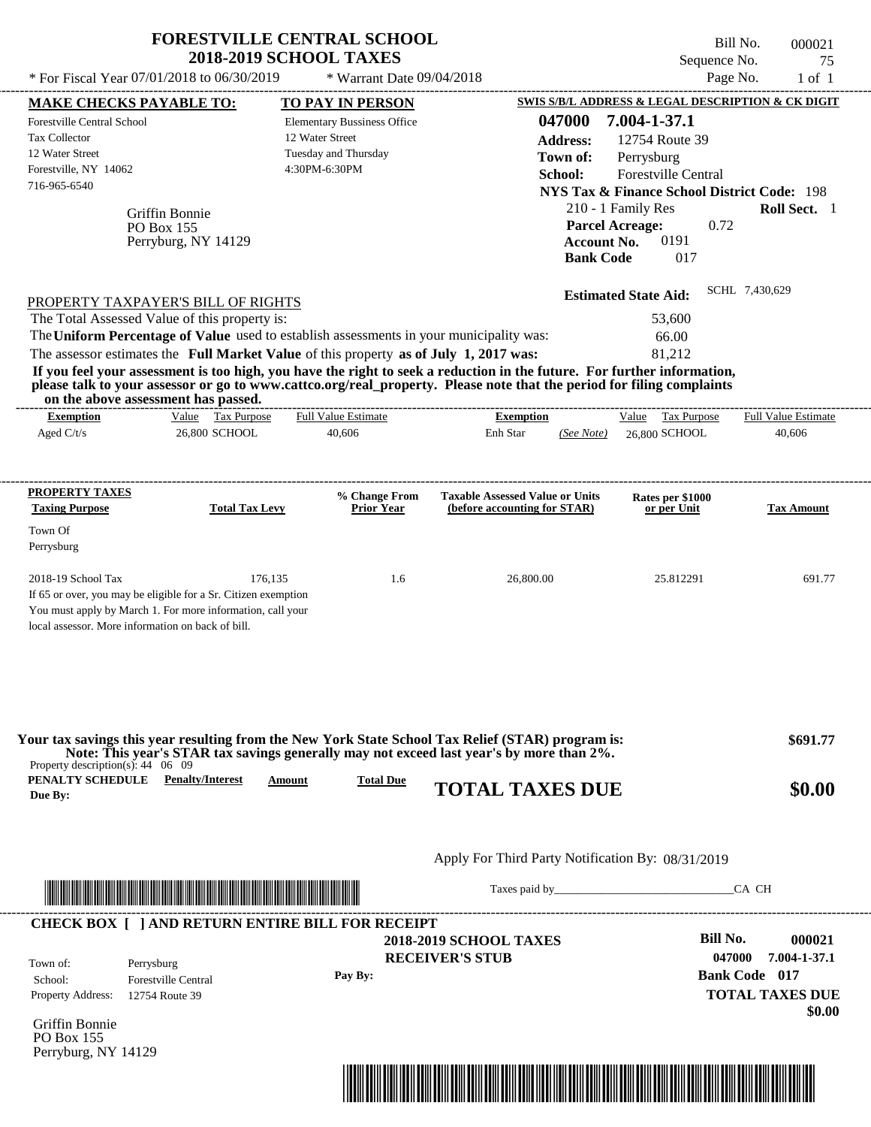|                                                                                                                                                                                                         |                                            | <b>2018-2019 SCHOOL TAXES</b>                                                                                                                                                                                                                                                                                                             |                                                                        |                                                  |                                                                                                                               | Sequence No.                                      | 75                                               |
|---------------------------------------------------------------------------------------------------------------------------------------------------------------------------------------------------------|--------------------------------------------|-------------------------------------------------------------------------------------------------------------------------------------------------------------------------------------------------------------------------------------------------------------------------------------------------------------------------------------------|------------------------------------------------------------------------|--------------------------------------------------|-------------------------------------------------------------------------------------------------------------------------------|---------------------------------------------------|--------------------------------------------------|
|                                                                                                                                                                                                         | * For Fiscal Year 07/01/2018 to 06/30/2019 | * Warrant Date 09/04/2018                                                                                                                                                                                                                                                                                                                 |                                                                        |                                                  |                                                                                                                               | Page No.                                          | $1$ of $1$                                       |
| <b>MAKE CHECKS PAYABLE TO:</b>                                                                                                                                                                          |                                            | <b>TO PAY IN PERSON</b>                                                                                                                                                                                                                                                                                                                   |                                                                        |                                                  | <b>SWIS S/B/L ADDRESS &amp; LEGAL DESCRIPTION &amp; CK DIGIT</b>                                                              |                                                   |                                                  |
| Forestville Central School<br>Tax Collector<br>12 Water Street<br>Forestville, NY 14062<br>716-965-6540                                                                                                 |                                            | <b>Elementary Bussiness Office</b><br>12 Water Street<br>Tuesday and Thursday<br>4:30PM-6:30PM                                                                                                                                                                                                                                            |                                                                        | 047000<br><b>Address:</b><br>Town of:<br>School: | 7.004-1-37.1<br>12754 Route 39<br>Perrysburg<br>Forestville Central<br><b>NYS Tax &amp; Finance School District Code: 198</b> |                                                   |                                                  |
| PO Box 155                                                                                                                                                                                              | Griffin Bonnie<br>Perryburg, NY 14129      |                                                                                                                                                                                                                                                                                                                                           |                                                                        | <b>Bank Code</b>                                 | 210 - 1 Family Res<br><b>Parcel Acreage:</b><br>0191<br><b>Account No.</b><br>017                                             | 0.72                                              | <b>Roll Sect.</b> 1                              |
| PROPERTY TAXPAYER'S BILL OF RIGHTS                                                                                                                                                                      |                                            |                                                                                                                                                                                                                                                                                                                                           |                                                                        |                                                  | <b>Estimated State Aid:</b>                                                                                                   | SCHL 7,430,629                                    |                                                  |
| The Total Assessed Value of this property is:                                                                                                                                                           |                                            |                                                                                                                                                                                                                                                                                                                                           |                                                                        |                                                  | 53,600                                                                                                                        |                                                   |                                                  |
|                                                                                                                                                                                                         |                                            | The Uniform Percentage of Value used to establish assessments in your municipality was:                                                                                                                                                                                                                                                   |                                                                        |                                                  | 66.00                                                                                                                         |                                                   |                                                  |
| on the above assessment has passed.                                                                                                                                                                     |                                            | The assessor estimates the Full Market Value of this property as of July 1, 2017 was:<br>If you feel your assessment is too high, you have the right to seek a reduction in the future. For further information,<br>please talk to your assessor or go to www.cattco.org/real_property. Please note that the period for filing complaints |                                                                        |                                                  | 81.212                                                                                                                        |                                                   |                                                  |
| <b>Exemption</b>                                                                                                                                                                                        | Value Tax Purpose                          | <b>Full Value Estimate</b>                                                                                                                                                                                                                                                                                                                | <b>Exemption</b>                                                       |                                                  | Value Tax Purpose                                                                                                             |                                                   | <b>Full Value Estimate</b>                       |
| Aged $C/t/s$                                                                                                                                                                                            | 26,800 SCHOOL                              | 40,606                                                                                                                                                                                                                                                                                                                                    | Enh Star                                                               | (See Note)                                       | 26,800 SCHOOL                                                                                                                 |                                                   | 40,606                                           |
| PROPERTY TAXES<br><b>Taxing Purpose</b>                                                                                                                                                                 | <b>Total Tax Levy</b>                      | % Change From<br><b>Prior Year</b>                                                                                                                                                                                                                                                                                                        | <b>Taxable Assessed Value or Units</b><br>(before accounting for STAR) |                                                  | Rates per \$1000<br>or per Unit                                                                                               |                                                   | <b>Tax Amount</b>                                |
| Town Of                                                                                                                                                                                                 |                                            |                                                                                                                                                                                                                                                                                                                                           |                                                                        |                                                  |                                                                                                                               |                                                   |                                                  |
| Perrysburg                                                                                                                                                                                              |                                            |                                                                                                                                                                                                                                                                                                                                           |                                                                        |                                                  |                                                                                                                               |                                                   |                                                  |
| 2018-19 School Tax<br>If 65 or over, you may be eligible for a Sr. Citizen exemption<br>You must apply by March 1. For more information, call your<br>local assessor. More information on back of bill. | 176,135                                    | 1.6                                                                                                                                                                                                                                                                                                                                       | 26,800.00                                                              |                                                  | 25.812291                                                                                                                     |                                                   | 691.77                                           |
|                                                                                                                                                                                                         |                                            |                                                                                                                                                                                                                                                                                                                                           |                                                                        |                                                  |                                                                                                                               |                                                   |                                                  |
|                                                                                                                                                                                                         |                                            | Your tax savings this year resulting from the New York State School Tax Relief (STAR) program is:<br>Note: This year's STAR tax savings generally may not exceed last year's by more than 2%.                                                                                                                                             |                                                                        |                                                  |                                                                                                                               |                                                   | \$691.77                                         |
|                                                                                                                                                                                                         | <b>Penalty/Interest</b>                    | <b>Total Due</b><br>Amount                                                                                                                                                                                                                                                                                                                | <b>TOTAL TAXES DUE</b>                                                 |                                                  |                                                                                                                               |                                                   | \$0.00                                           |
|                                                                                                                                                                                                         |                                            |                                                                                                                                                                                                                                                                                                                                           | Apply For Third Party Notification By: 08/31/2019                      |                                                  |                                                                                                                               |                                                   |                                                  |
|                                                                                                                                                                                                         |                                            |                                                                                                                                                                                                                                                                                                                                           |                                                                        |                                                  |                                                                                                                               |                                                   | CA CH                                            |
|                                                                                                                                                                                                         |                                            | <b>CHECK BOX [ ] AND RETURN ENTIRE BILL FOR RECEIPT</b>                                                                                                                                                                                                                                                                                   |                                                                        |                                                  |                                                                                                                               |                                                   |                                                  |
| Property description(s): $44 \quad 06 \quad 09$<br>PENALTY SCHEDULE<br>Due By:<br>Town of:<br>Perrysburg<br>School:<br><b>Property Address:</b><br>12754 Route 39                                       | <b>Forestville Central</b>                 | Pay By:                                                                                                                                                                                                                                                                                                                                   | <b>2018-2019 SCHOOL TAXES</b><br><b>RECEIVER'S STUB</b>                |                                                  |                                                                                                                               | <b>Bill No.</b><br>047000<br><b>Bank Code</b> 017 | 000021<br>7.004-1-37.1<br><b>TOTAL TAXES DUE</b> |

**FORESTVILLE CENTRAL SCHOOL**

Perryburg, NY 14129



Bill No. 000021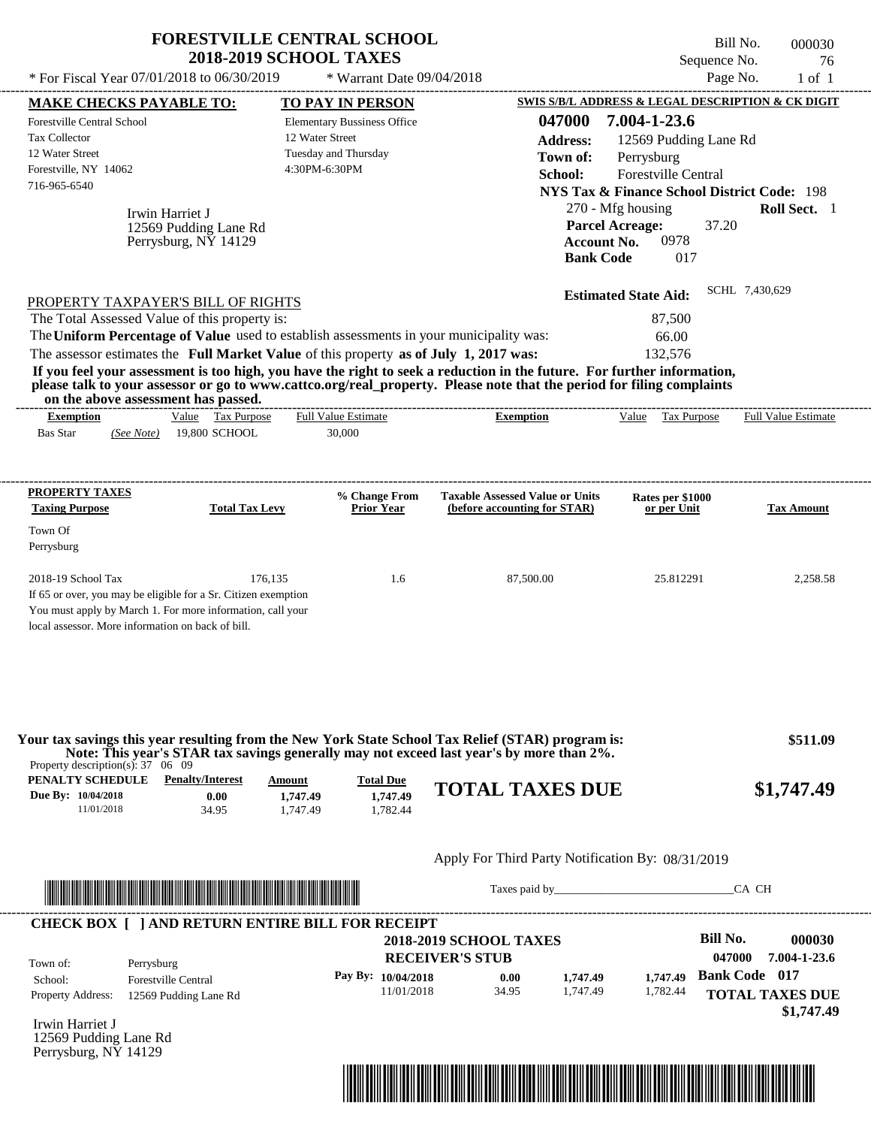|                                                                                                                                                                                                                                                                          | <b>FORESTVILLE CENTRAL SCHOOL</b><br><b>2018-2019 SCHOOL TAXES</b> |                                                                                                |                                                                                                                                                                                                                                                  |                                                                                                                                                                                    | Bill No.<br>000030<br>Sequence No.<br>76                                               |
|--------------------------------------------------------------------------------------------------------------------------------------------------------------------------------------------------------------------------------------------------------------------------|--------------------------------------------------------------------|------------------------------------------------------------------------------------------------|--------------------------------------------------------------------------------------------------------------------------------------------------------------------------------------------------------------------------------------------------|------------------------------------------------------------------------------------------------------------------------------------------------------------------------------------|----------------------------------------------------------------------------------------|
| * For Fiscal Year 07/01/2018 to 06/30/2019                                                                                                                                                                                                                               |                                                                    | * Warrant Date 09/04/2018                                                                      |                                                                                                                                                                                                                                                  |                                                                                                                                                                                    | Page No.<br>$1$ of $1$                                                                 |
| <b>MAKE CHECKS PAYABLE TO:</b>                                                                                                                                                                                                                                           |                                                                    | <b>TO PAY IN PERSON</b>                                                                        |                                                                                                                                                                                                                                                  |                                                                                                                                                                                    | <b>SWIS S/B/L ADDRESS &amp; LEGAL DESCRIPTION &amp; CK DIGIT</b>                       |
| Forestville Central School<br><b>Tax Collector</b><br>12 Water Street<br>Forestville, NY 14062<br>716-965-6540<br>Irwin Harriet J                                                                                                                                        | 12569 Pudding Lane Rd<br>Perrysburg, NY 14129                      | <b>Elementary Bussiness Office</b><br>12 Water Street<br>Tuesday and Thursday<br>4:30PM-6:30PM | 047000<br><b>Address:</b><br>Town of:<br>School:                                                                                                                                                                                                 | 7.004-1-23.6<br>12569 Pudding Lane Rd<br>Perrysburg<br>Forestville Central<br>270 - Mfg housing<br><b>Parcel Acreage:</b><br>0978<br><b>Account No.</b><br><b>Bank Code</b><br>017 | <b>NYS Tax &amp; Finance School District Code: 198</b><br>Roll Sect. 1<br>37.20        |
| PROPERTY TAXPAYER'S BILL OF RIGHTS                                                                                                                                                                                                                                       |                                                                    |                                                                                                |                                                                                                                                                                                                                                                  | <b>Estimated State Aid:</b>                                                                                                                                                        | SCHL 7,430,629                                                                         |
| The Total Assessed Value of this property is:<br>The Uniform Percentage of Value used to establish assessments in your municipality was:<br>The assessor estimates the Full Market Value of this property as of July 1, 2017 was:<br>on the above assessment has passed. |                                                                    |                                                                                                | If you feel your assessment is too high, you have the right to seek a reduction in the future. For further information,<br>please talk to your assessor or go to www.cattco.org/real_property. Please note that the period for filing complaints | 87,500<br>66.00<br>132,576                                                                                                                                                         |                                                                                        |
| <b>Exemption</b><br><b>Bas Star</b><br>(See Note)                                                                                                                                                                                                                        | Value Tax Purpose<br>19,800 SCHOOL                                 | <b>Full Value Estimate</b><br>30,000                                                           | <b>Exemption</b>                                                                                                                                                                                                                                 | Value Tax Purpose                                                                                                                                                                  | Full Value Estimate                                                                    |
| <b>PROPERTY TAXES</b>                                                                                                                                                                                                                                                    |                                                                    | % Change From                                                                                  | <b>Taxable Assessed Value or Units</b>                                                                                                                                                                                                           | Rates per \$1000                                                                                                                                                                   |                                                                                        |
| <b>Taxing Purpose</b><br>Town Of<br>Perrysburg                                                                                                                                                                                                                           | <b>Total Tax Levy</b>                                              | <b>Prior Year</b>                                                                              | (before accounting for STAR)                                                                                                                                                                                                                     | or per Unit                                                                                                                                                                        | <b>Tax Amount</b>                                                                      |
| 2018-19 School Tax<br>If 65 or over, you may be eligible for a Sr. Citizen exemption<br>You must apply by March 1. For more information, call your<br>local assessor. More information on back of bill.                                                                  | 176,135                                                            | 1.6                                                                                            | 87,500.00                                                                                                                                                                                                                                        | 25.812291                                                                                                                                                                          | 2,258.58                                                                               |
| Property description(s): $37 \quad 06 \quad 09$                                                                                                                                                                                                                          |                                                                    |                                                                                                | Your tax savings this year resulting from the New York State School Tax Relief (STAR) program is:<br>Note: This year's STAR tax savings generally may not exceed last year's by more than 2%.                                                    |                                                                                                                                                                                    | \$511.09                                                                               |
| <b>PENALTY SCHEDULE</b> Penalty/Interest<br>Due By: 10/04/2018<br>11/01/2018                                                                                                                                                                                             | Amount<br>0.00<br>1,747.49<br>34.95<br>1.747.49                    | <b>Total Due</b><br>1,747.49<br>1,782.44                                                       | <b>TOTAL TAXES DUE</b>                                                                                                                                                                                                                           |                                                                                                                                                                                    | \$1,747.49                                                                             |
|                                                                                                                                                                                                                                                                          |                                                                    |                                                                                                | Apply For Third Party Notification By: 08/31/2019                                                                                                                                                                                                |                                                                                                                                                                                    |                                                                                        |
|                                                                                                                                                                                                                                                                          |                                                                    |                                                                                                | Taxes paid by                                                                                                                                                                                                                                    |                                                                                                                                                                                    | CA CH                                                                                  |
| <b>CHECK BOX [ ] AND RETURN ENTIRE BILL FOR RECEIPT</b>                                                                                                                                                                                                                  |                                                                    |                                                                                                |                                                                                                                                                                                                                                                  |                                                                                                                                                                                    | <b>Bill No.</b><br>000030                                                              |
| Town of:<br>Perrysburg<br>School:<br><b>Forestville Central</b><br>Property Address:<br>12569 Pudding Lane Rd                                                                                                                                                            |                                                                    | Pay By: 10/04/2018<br>11/01/2018                                                               | <b>2018-2019 SCHOOL TAXES</b><br><b>RECEIVER'S STUB</b><br>1,747.49<br>0.00<br>34.95<br>1.747.49                                                                                                                                                 | 1,747.49<br>1,782.44                                                                                                                                                               | 047000<br>7.004-1-23.6<br><b>Bank Code</b> 017<br><b>TOTAL TAXES DUE</b><br>\$1,747.49 |
| Irwin Harriet J<br>12569 Pudding Lane Rd                                                                                                                                                                                                                                 |                                                                    |                                                                                                |                                                                                                                                                                                                                                                  |                                                                                                                                                                                    |                                                                                        |

Perrysburg, NY 14129

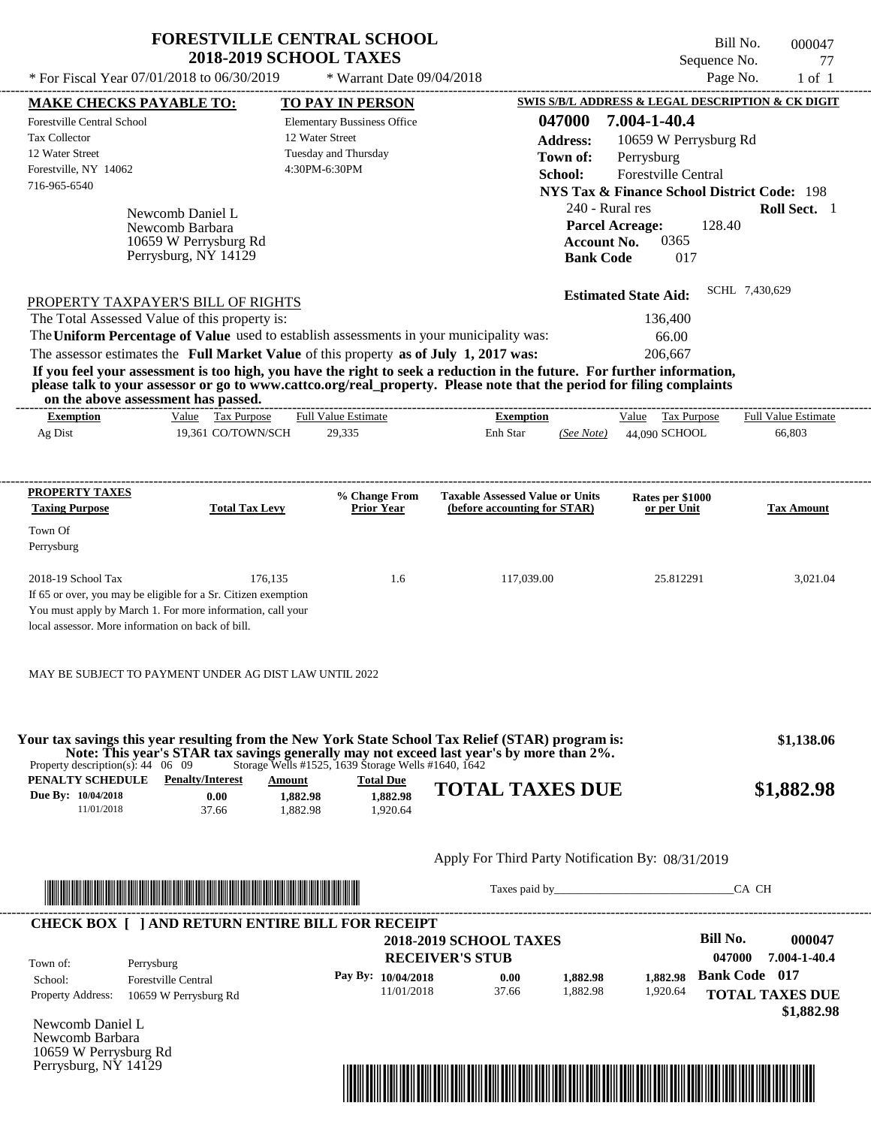|                                                                                                                                                                                                                                                                                                                                                                                                                                                                                                                             | <b>FORESTVILLE CENTRAL SCHOOL</b><br><b>2018-2019 SCHOOL TAXES</b>         |                                                                             |                                                         |                                                                                                                                         | Sequence No.                                                                                        | Bill No.<br>000047<br>77                                               |
|-----------------------------------------------------------------------------------------------------------------------------------------------------------------------------------------------------------------------------------------------------------------------------------------------------------------------------------------------------------------------------------------------------------------------------------------------------------------------------------------------------------------------------|----------------------------------------------------------------------------|-----------------------------------------------------------------------------|---------------------------------------------------------|-----------------------------------------------------------------------------------------------------------------------------------------|-----------------------------------------------------------------------------------------------------|------------------------------------------------------------------------|
| * For Fiscal Year 07/01/2018 to 06/30/2019                                                                                                                                                                                                                                                                                                                                                                                                                                                                                  |                                                                            | * Warrant Date 09/04/2018                                                   |                                                         |                                                                                                                                         |                                                                                                     | Page No.<br>$1$ of $1$                                                 |
| <b>MAKE CHECKS PAYABLE TO:</b>                                                                                                                                                                                                                                                                                                                                                                                                                                                                                              |                                                                            | <b>TO PAY IN PERSON</b>                                                     |                                                         |                                                                                                                                         |                                                                                                     | SWIS S/B/L ADDRESS & LEGAL DESCRIPTION & CK DIGIT                      |
| <b>Forestville Central School</b><br>Tax Collector<br>12 Water Street<br>Forestville, NY 14062<br>716-965-6540<br>Newcomb Daniel L<br>Newcomb Barbara<br>Perrysburg, NY 14129                                                                                                                                                                                                                                                                                                                                               | 12 Water Street<br>10659 W Perrysburg Rd                                   | <b>Elementary Bussiness Office</b><br>Tuesday and Thursday<br>4:30PM-6:30PM |                                                         | 047000<br><b>Address:</b><br>Town of:<br>School:<br>240 - Rural res<br><b>Parcel Acreage:</b><br><b>Account No.</b><br><b>Bank Code</b> | 7.004-1-40.4<br>10659 W Perrysburg Rd<br>Perrysburg<br>Forestville Central<br>128.40<br>0365<br>017 | <b>NYS Tax &amp; Finance School District Code: 198</b><br>Roll Sect. 1 |
| PROPERTY TAXPAYER'S BILL OF RIGHTS<br>The Total Assessed Value of this property is:<br>The Uniform Percentage of Value used to establish assessments in your municipality was:<br>The assessor estimates the Full Market Value of this property as of July 1, 2017 was:<br>If you feel your assessment is too high, you have the right to seek a reduction in the future. For further information,<br>please talk to your assessor or go to www.cattco.org/real_property. Please note that the period for filing complaints |                                                                            |                                                                             |                                                         |                                                                                                                                         | <b>Estimated State Aid:</b><br>136,400<br>66.00<br>206,667                                          | SCHL 7,430,629                                                         |
| on the above assessment has passed.                                                                                                                                                                                                                                                                                                                                                                                                                                                                                         |                                                                            |                                                                             |                                                         |                                                                                                                                         |                                                                                                     |                                                                        |
| <b>Exemption</b><br>Ag Dist                                                                                                                                                                                                                                                                                                                                                                                                                                                                                                 | Value Tax Purpose<br>19,361 CO/TOWN/SCH                                    | <b>Full Value Estimate</b><br>29,335                                        | <b>Exemption</b><br>Enh Star                            | (See Note)                                                                                                                              | Value Tax Purpose<br>44,090 SCHOOL                                                                  | Full Value Estimate<br>66,803                                          |
| <b>Taxing Purpose</b><br>Town Of<br>Perrysburg                                                                                                                                                                                                                                                                                                                                                                                                                                                                              | <b>Total Tax Levy</b>                                                      | <b>Prior Year</b>                                                           | (before accounting for STAR)                            |                                                                                                                                         | or per Unit                                                                                         | <b>Tax Amount</b>                                                      |
| 2018-19 School Tax<br>If 65 or over, you may be eligible for a Sr. Citizen exemption<br>You must apply by March 1. For more information, call your<br>local assessor. More information on back of bill.                                                                                                                                                                                                                                                                                                                     | 176,135                                                                    | 1.6                                                                         | 117,039.00                                              |                                                                                                                                         | 25.812291                                                                                           | 3,021.04                                                               |
| MAY BE SUBJECT TO PAYMENT UNDER AG DIST LAW UNTIL 2022                                                                                                                                                                                                                                                                                                                                                                                                                                                                      |                                                                            |                                                                             |                                                         |                                                                                                                                         |                                                                                                     |                                                                        |
| Your tax savings this year resulting from the New York State School Tax Relief (STAR) program is:<br>Note: This year's STAR tax savings generally may not exceed last year's by more than 2%.<br>y description(s): 44 06 09 Storage Wells #1525, 1639 Storage Wells #1640, 1642<br>Property description(s): $44 \quad 06 \quad 09$                                                                                                                                                                                          |                                                                            |                                                                             |                                                         |                                                                                                                                         |                                                                                                     | \$1,138.06                                                             |
| PENALTY SCHEDULE<br>Due By: 10/04/2018<br>11/01/2018                                                                                                                                                                                                                                                                                                                                                                                                                                                                        | <b>Penalty/Interest</b><br>Amount<br>0.00<br>1,882.98<br>37.66<br>1,882.98 | <b>Total Due</b><br>1,882.98<br>1,920.64                                    | <b>TOTAL TAXES DUE</b>                                  |                                                                                                                                         |                                                                                                     | \$1,882.98                                                             |
|                                                                                                                                                                                                                                                                                                                                                                                                                                                                                                                             |                                                                            |                                                                             | Apply For Third Party Notification By: 08/31/2019       |                                                                                                                                         |                                                                                                     |                                                                        |
|                                                                                                                                                                                                                                                                                                                                                                                                                                                                                                                             |                                                                            |                                                                             |                                                         |                                                                                                                                         |                                                                                                     | CA CH                                                                  |
| <b>CHECK BOX [ ] AND RETURN ENTIRE BILL FOR RECEIPT</b><br>Town of:<br>Perrysburg                                                                                                                                                                                                                                                                                                                                                                                                                                           |                                                                            |                                                                             | <b>2018-2019 SCHOOL TAXES</b><br><b>RECEIVER'S STUB</b> |                                                                                                                                         | <b>Bill No.</b>                                                                                     | 000047<br>047000<br>7.004-1-40.4                                       |
| <b>Forestville Central</b><br>School:<br>Property Address:<br>10659 W Perrysburg Rd                                                                                                                                                                                                                                                                                                                                                                                                                                         |                                                                            | Pay By: 10/04/2018<br>11/01/2018                                            | 0.00<br>37.66                                           | 1,882.98<br>1,882.98                                                                                                                    | 1,882.98<br>1,920.64                                                                                | <b>Bank Code</b> 017<br><b>TOTAL TAXES DUE</b><br>\$1,882.98           |

Newcomb Daniel L Newcomb Barbara 10659 W Perrysburg Rd Perrysburg, NY 14129

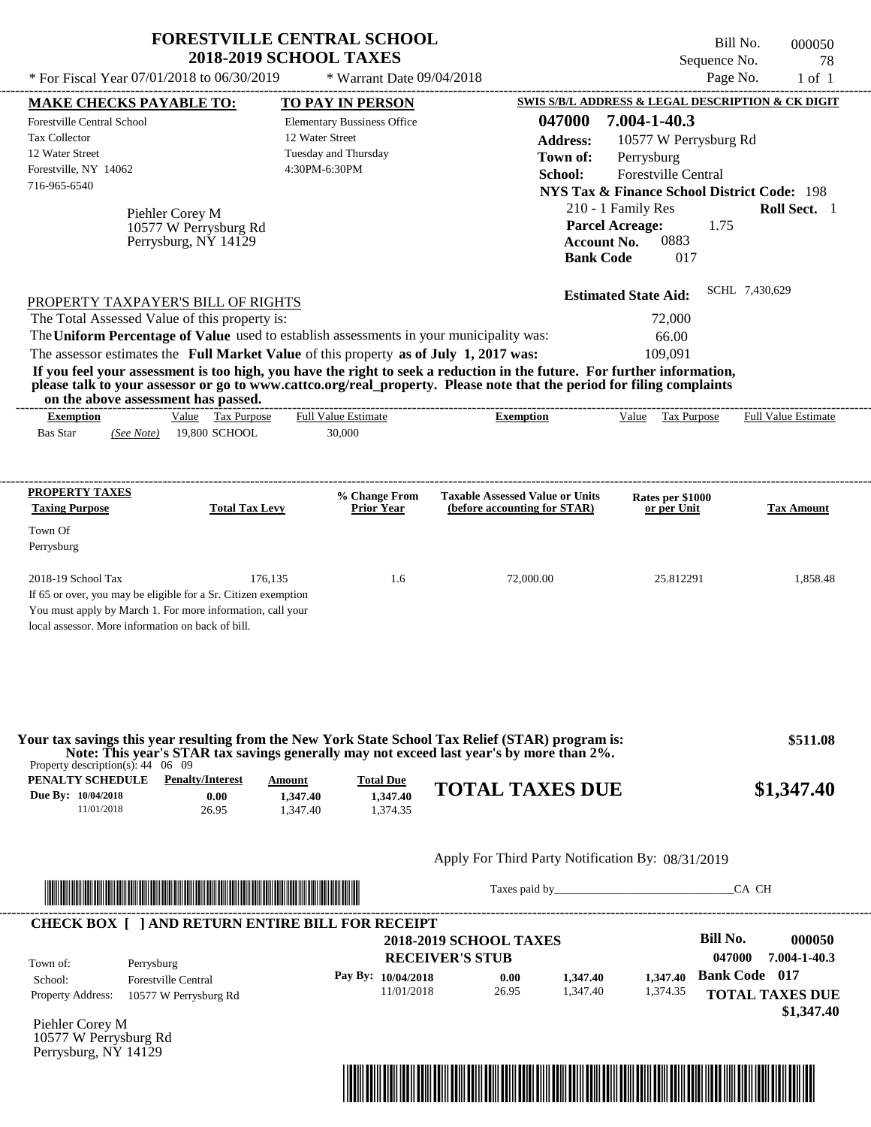|                                                                                                                                                                                                                                                                                                                                                   | <b>FORESTVILLE CENTRAL SCHOOL</b><br><b>2018-2019 SCHOOL TAXES</b>         |                                                   |                  |                                                        | Bill No.<br>Sequence No. | 000050<br>78               |
|---------------------------------------------------------------------------------------------------------------------------------------------------------------------------------------------------------------------------------------------------------------------------------------------------------------------------------------------------|----------------------------------------------------------------------------|---------------------------------------------------|------------------|--------------------------------------------------------|--------------------------|----------------------------|
| * For Fiscal Year 07/01/2018 to 06/30/2019                                                                                                                                                                                                                                                                                                        | * Warrant Date 09/04/2018                                                  |                                                   |                  |                                                        | Page No.                 | $1$ of $1$                 |
| <b>MAKE CHECKS PAYABLE TO:</b>                                                                                                                                                                                                                                                                                                                    | TO PAY IN PERSON                                                           |                                                   |                  | SWIS S/B/L ADDRESS & LEGAL DESCRIPTION & CK DIGIT      |                          |                            |
| <b>Forestville Central School</b>                                                                                                                                                                                                                                                                                                                 | <b>Elementary Bussiness Office</b>                                         |                                                   | 047000           | 7.004-1-40.3                                           |                          |                            |
| Tax Collector                                                                                                                                                                                                                                                                                                                                     | 12 Water Street                                                            |                                                   | <b>Address:</b>  | 10577 W Perrysburg Rd                                  |                          |                            |
| 12 Water Street<br>Forestville, NY 14062                                                                                                                                                                                                                                                                                                          | Tuesday and Thursday<br>4:30PM-6:30PM                                      |                                                   | Town of:         | Perrysburg                                             |                          |                            |
| 716-965-6540                                                                                                                                                                                                                                                                                                                                      |                                                                            |                                                   | School:          | Forestville Central                                    |                          |                            |
|                                                                                                                                                                                                                                                                                                                                                   |                                                                            |                                                   |                  | <b>NYS Tax &amp; Finance School District Code: 198</b> |                          |                            |
| Piehler Corey M                                                                                                                                                                                                                                                                                                                                   |                                                                            |                                                   |                  | 210 - 1 Family Res<br><b>Parcel Acreage:</b>           | 1.75                     | Roll Sect. 1               |
| 10577 W Perrysburg Rd<br>Perrysburg, NY 14129                                                                                                                                                                                                                                                                                                     |                                                                            |                                                   |                  | 0883<br><b>Account No.</b>                             |                          |                            |
|                                                                                                                                                                                                                                                                                                                                                   |                                                                            |                                                   | <b>Bank Code</b> | 017                                                    |                          |                            |
|                                                                                                                                                                                                                                                                                                                                                   |                                                                            |                                                   |                  | <b>Estimated State Aid:</b>                            | SCHL 7,430,629           |                            |
| PROPERTY TAXPAYER'S BILL OF RIGHTS<br>The Total Assessed Value of this property is:                                                                                                                                                                                                                                                               |                                                                            |                                                   |                  | 72,000                                                 |                          |                            |
| The Uniform Percentage of Value used to establish assessments in your municipality was:                                                                                                                                                                                                                                                           |                                                                            |                                                   |                  | 66.00                                                  |                          |                            |
| The assessor estimates the Full Market Value of this property as of July 1, 2017 was:                                                                                                                                                                                                                                                             |                                                                            |                                                   |                  | 109,091                                                |                          |                            |
| If you feel your assessment is too high, you have the right to seek a reduction in the future. For further information,                                                                                                                                                                                                                           |                                                                            |                                                   |                  |                                                        |                          |                            |
| please talk to your assessor or go to www.cattco.org/real_property. Please note that the period for filing complaints                                                                                                                                                                                                                             |                                                                            |                                                   |                  |                                                        |                          |                            |
| on the above assessment has passed.<br>Value Tax Purpose<br><b>Exemption</b>                                                                                                                                                                                                                                                                      | <b>Full Value Estimate</b>                                                 | <b>Exemption</b>                                  |                  | Value Tax Purpose                                      |                          | <b>Full Value Estimate</b> |
| <b>Bas Star</b><br>19,800 SCHOOL<br>(See Note)                                                                                                                                                                                                                                                                                                    | 30,000                                                                     |                                                   |                  |                                                        |                          |                            |
|                                                                                                                                                                                                                                                                                                                                                   |                                                                            |                                                   |                  |                                                        |                          |                            |
| PROPERTY TAXES                                                                                                                                                                                                                                                                                                                                    | % Change From                                                              | <b>Taxable Assessed Value or Units</b>            |                  | Rates per \$1000                                       |                          |                            |
| <b>Taxing Purpose</b><br><b>Total Tax Levy</b>                                                                                                                                                                                                                                                                                                    | <b>Prior Year</b>                                                          | (before accounting for STAR)                      |                  | or per Unit                                            |                          | <b>Tax Amount</b>          |
| Town Of<br>Perrysburg                                                                                                                                                                                                                                                                                                                             |                                                                            |                                                   |                  |                                                        |                          |                            |
| 2018-19 School Tax<br>176,135                                                                                                                                                                                                                                                                                                                     | 1.6                                                                        | 72,000.00                                         |                  | 25.812291                                              |                          | 1,858.48                   |
| If 65 or over, you may be eligible for a Sr. Citizen exemption<br>You must apply by March 1. For more information, call your                                                                                                                                                                                                                      |                                                                            |                                                   |                  |                                                        |                          |                            |
| local assessor. More information on back of bill.                                                                                                                                                                                                                                                                                                 |                                                                            |                                                   |                  |                                                        |                          |                            |
| Your tax savings this year resulting from the New York State School Tax Relief (STAR) program is:<br>Note: This year's STAR tax savings generally may not exceed last year's by more than 2%.<br>Property description(s): $44 \quad 06 \quad 09$<br><b>PENALTY SCHEDULE</b> Penalty/Interest<br>Due By: 10/04/2018<br>0.00<br>11/01/2018<br>26.95 | <b>Total Due</b><br>Amount<br>1.347.40<br>1,347.40<br>1,347.40<br>1,374.35 | <b>TOTAL TAXES DUE</b>                            |                  |                                                        |                          | \$511.08<br>\$1,347.40     |
|                                                                                                                                                                                                                                                                                                                                                   |                                                                            | Apply For Third Party Notification By: 08/31/2019 |                  |                                                        |                          |                            |
|                                                                                                                                                                                                                                                                                                                                                   |                                                                            |                                                   |                  | Taxes paid by                                          | CA CH                    |                            |
| <b>CHECK BOX [ ] AND RETURN ENTIRE BILL FOR RECEIPT</b>                                                                                                                                                                                                                                                                                           |                                                                            |                                                   |                  |                                                        |                          |                            |
|                                                                                                                                                                                                                                                                                                                                                   |                                                                            | <b>2018-2019 SCHOOL TAXES</b>                     |                  |                                                        | <b>Bill No.</b>          | 000050                     |
| Town of:<br>Perrysburg                                                                                                                                                                                                                                                                                                                            |                                                                            | <b>RECEIVER'S STUB</b>                            |                  |                                                        | 047000                   | 7.004-1-40.3               |
| School:<br><b>Forestville Central</b>                                                                                                                                                                                                                                                                                                             | Pay By: 10/04/2018                                                         | 0.00                                              | 1,347.40         | 1,347.40                                               | <b>Bank Code</b> 017     |                            |
| <b>Property Address:</b><br>10577 W Perrysburg Rd                                                                                                                                                                                                                                                                                                 | 11/01/2018                                                                 | 26.95                                             | 1,347.40         | 1,374.35                                               |                          | <b>TOTAL TAXES DUE</b>     |
|                                                                                                                                                                                                                                                                                                                                                   |                                                                            |                                                   |                  |                                                        |                          | \$1,347.40                 |
| Piehler Corey M<br>10577 W Perrysburg Rd                                                                                                                                                                                                                                                                                                          |                                                                            |                                                   |                  |                                                        |                          |                            |

Perrysburg, NY 14129

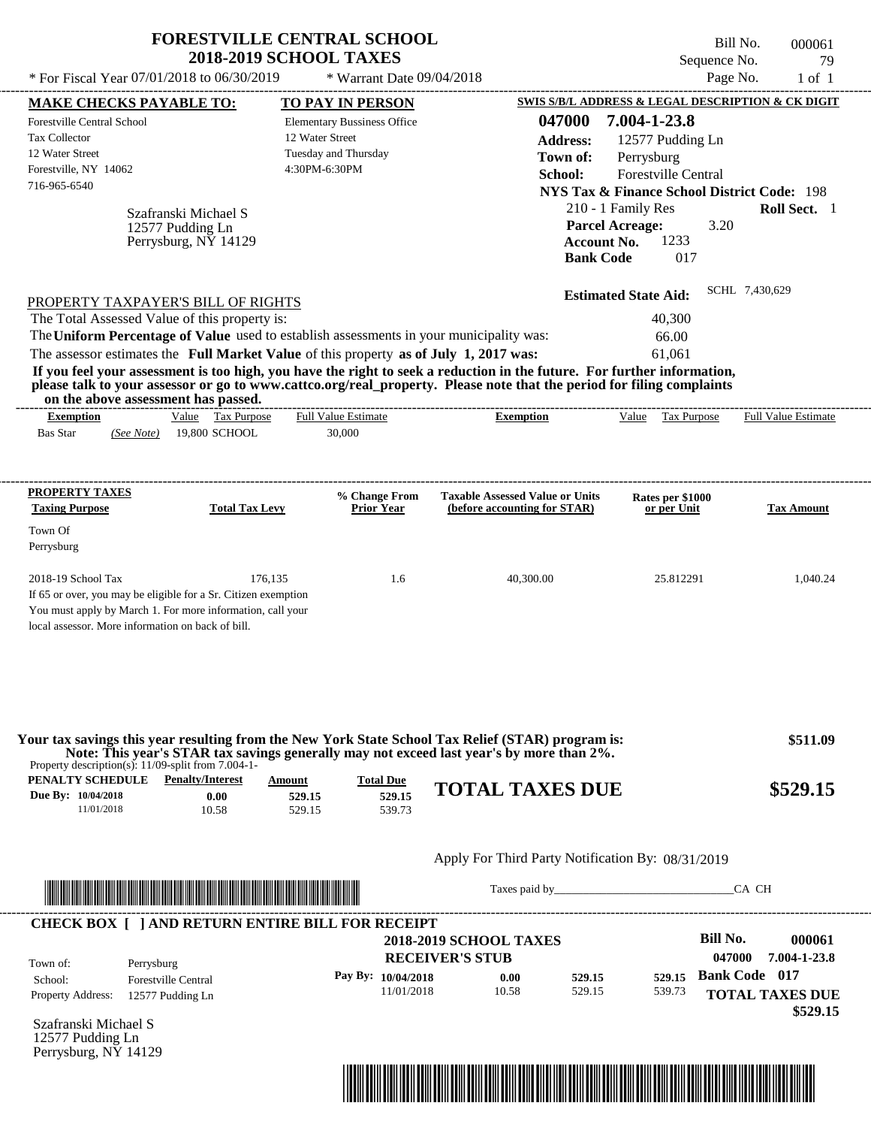| * For Fiscal Year 07/01/2018 to 06/30/2019<br><b>MAKE CHECKS PAYABLE TO:</b><br><b>Forestville Central School</b><br>Tax Collector<br>12 Water Street<br>Forestville, NY 14062<br>716-965-6540<br>PROPERTY TAXPAYER'S BILL OF RIGHTS<br>The Total Assessed Value of this property is:<br>The Uniform Percentage of Value used to establish assessments in your municipality was: | 12 Water Street<br>4:30PM-6:30PM<br>Szafranski Michael S<br>12577 Pudding Ln<br>Perrysburg, NY 14129 | * Warrant Date 09/04/2018<br><b>TO PAY IN PERSON</b><br><b>Elementary Bussiness Office</b><br>Tuesday and Thursday | 047000<br><b>Address:</b><br>Town of:<br>School:<br><b>Account No.</b>                                                                                                                                                                           | Page No.<br>SWIS S/B/L ADDRESS & LEGAL DESCRIPTION & CK DIGIT<br>7.004-1-23.8<br>12577 Pudding Ln<br>Perrysburg<br>Forestville Central<br><b>NYS Tax &amp; Finance School District Code: 198</b><br>210 - 1 Family Res<br><b>Parcel Acreage:</b><br>3.20 | $1$ of $1$<br>Roll Sect. 1 |
|----------------------------------------------------------------------------------------------------------------------------------------------------------------------------------------------------------------------------------------------------------------------------------------------------------------------------------------------------------------------------------|------------------------------------------------------------------------------------------------------|--------------------------------------------------------------------------------------------------------------------|--------------------------------------------------------------------------------------------------------------------------------------------------------------------------------------------------------------------------------------------------|----------------------------------------------------------------------------------------------------------------------------------------------------------------------------------------------------------------------------------------------------------|----------------------------|
|                                                                                                                                                                                                                                                                                                                                                                                  |                                                                                                      |                                                                                                                    |                                                                                                                                                                                                                                                  |                                                                                                                                                                                                                                                          |                            |
|                                                                                                                                                                                                                                                                                                                                                                                  |                                                                                                      |                                                                                                                    |                                                                                                                                                                                                                                                  |                                                                                                                                                                                                                                                          |                            |
|                                                                                                                                                                                                                                                                                                                                                                                  |                                                                                                      |                                                                                                                    |                                                                                                                                                                                                                                                  |                                                                                                                                                                                                                                                          |                            |
|                                                                                                                                                                                                                                                                                                                                                                                  |                                                                                                      |                                                                                                                    |                                                                                                                                                                                                                                                  |                                                                                                                                                                                                                                                          |                            |
|                                                                                                                                                                                                                                                                                                                                                                                  |                                                                                                      |                                                                                                                    |                                                                                                                                                                                                                                                  |                                                                                                                                                                                                                                                          |                            |
|                                                                                                                                                                                                                                                                                                                                                                                  |                                                                                                      |                                                                                                                    |                                                                                                                                                                                                                                                  |                                                                                                                                                                                                                                                          |                            |
|                                                                                                                                                                                                                                                                                                                                                                                  |                                                                                                      |                                                                                                                    |                                                                                                                                                                                                                                                  |                                                                                                                                                                                                                                                          |                            |
|                                                                                                                                                                                                                                                                                                                                                                                  |                                                                                                      |                                                                                                                    |                                                                                                                                                                                                                                                  |                                                                                                                                                                                                                                                          |                            |
|                                                                                                                                                                                                                                                                                                                                                                                  |                                                                                                      |                                                                                                                    |                                                                                                                                                                                                                                                  |                                                                                                                                                                                                                                                          |                            |
|                                                                                                                                                                                                                                                                                                                                                                                  |                                                                                                      |                                                                                                                    |                                                                                                                                                                                                                                                  |                                                                                                                                                                                                                                                          |                            |
|                                                                                                                                                                                                                                                                                                                                                                                  |                                                                                                      |                                                                                                                    |                                                                                                                                                                                                                                                  | 1233<br><b>Bank Code</b><br>017                                                                                                                                                                                                                          |                            |
|                                                                                                                                                                                                                                                                                                                                                                                  |                                                                                                      |                                                                                                                    |                                                                                                                                                                                                                                                  | <b>Estimated State Aid:</b>                                                                                                                                                                                                                              | SCHL 7,430,629             |
|                                                                                                                                                                                                                                                                                                                                                                                  |                                                                                                      |                                                                                                                    |                                                                                                                                                                                                                                                  |                                                                                                                                                                                                                                                          |                            |
|                                                                                                                                                                                                                                                                                                                                                                                  |                                                                                                      |                                                                                                                    |                                                                                                                                                                                                                                                  | 40,300                                                                                                                                                                                                                                                   |                            |
|                                                                                                                                                                                                                                                                                                                                                                                  |                                                                                                      |                                                                                                                    |                                                                                                                                                                                                                                                  | 66.00                                                                                                                                                                                                                                                    |                            |
|                                                                                                                                                                                                                                                                                                                                                                                  | The assessor estimates the Full Market Value of this property as of July 1, 2017 was:                |                                                                                                                    |                                                                                                                                                                                                                                                  | 61,061                                                                                                                                                                                                                                                   |                            |
| on the above assessment has passed.                                                                                                                                                                                                                                                                                                                                              |                                                                                                      |                                                                                                                    | If you feel your assessment is too high, you have the right to seek a reduction in the future. For further information,<br>please talk to your assessor or go to www.cattco.org/real_property. Please note that the period for filing complaints |                                                                                                                                                                                                                                                          |                            |
| <b>Exemption</b>                                                                                                                                                                                                                                                                                                                                                                 | Value Tax Purpose                                                                                    | <b>Full Value Estimate</b>                                                                                         | <b>Exemption</b>                                                                                                                                                                                                                                 | Value Tax Purpose                                                                                                                                                                                                                                        | <b>Full Value Estimate</b> |
| <b>Bas Star</b><br>(See Note)                                                                                                                                                                                                                                                                                                                                                    | 19,800 SCHOOL                                                                                        | 30,000                                                                                                             |                                                                                                                                                                                                                                                  |                                                                                                                                                                                                                                                          |                            |
| Town Of<br>Perrysburg                                                                                                                                                                                                                                                                                                                                                            |                                                                                                      |                                                                                                                    |                                                                                                                                                                                                                                                  |                                                                                                                                                                                                                                                          |                            |
| 2018-19 School Tax                                                                                                                                                                                                                                                                                                                                                               | 176,135                                                                                              | 1.6                                                                                                                | 40,300.00                                                                                                                                                                                                                                        | 25.812291                                                                                                                                                                                                                                                | 1,040.24                   |
| If 65 or over, you may be eligible for a Sr. Citizen exemption                                                                                                                                                                                                                                                                                                                   |                                                                                                      |                                                                                                                    |                                                                                                                                                                                                                                                  |                                                                                                                                                                                                                                                          |                            |
| You must apply by March 1. For more information, call your<br>local assessor. More information on back of bill.                                                                                                                                                                                                                                                                  |                                                                                                      |                                                                                                                    |                                                                                                                                                                                                                                                  |                                                                                                                                                                                                                                                          |                            |
| Property description(s): $11/09$ -split from 7.004-1-                                                                                                                                                                                                                                                                                                                            |                                                                                                      |                                                                                                                    | Your tax savings this year resulting from the New York State School Tax Relief (STAR) program is:<br>Note: This year's STAR tax savings generally may not exceed last year's by more than 2%.                                                    |                                                                                                                                                                                                                                                          | \$511.09                   |
| <b>PENALTY SCHEDULE</b> Penalty/Interest                                                                                                                                                                                                                                                                                                                                         | Amount                                                                                               | <b>Total Due</b>                                                                                                   |                                                                                                                                                                                                                                                  |                                                                                                                                                                                                                                                          |                            |
| Due By: 10/04/2018                                                                                                                                                                                                                                                                                                                                                               | 0.00<br>529.15                                                                                       | 529.15                                                                                                             | <b>TOTAL TAXES DUE</b>                                                                                                                                                                                                                           |                                                                                                                                                                                                                                                          | \$529.15                   |
| 11/01/2018                                                                                                                                                                                                                                                                                                                                                                       | 10.58<br>529.15                                                                                      | 539.73                                                                                                             |                                                                                                                                                                                                                                                  |                                                                                                                                                                                                                                                          |                            |
|                                                                                                                                                                                                                                                                                                                                                                                  |                                                                                                      |                                                                                                                    | Apply For Third Party Notification By: 08/31/2019                                                                                                                                                                                                |                                                                                                                                                                                                                                                          |                            |
|                                                                                                                                                                                                                                                                                                                                                                                  |                                                                                                      |                                                                                                                    | Taxes paid by Taxes and the Taxes and the Taxes and the Taxes are the Taxes and the Taxes and the Taxes and the Taxes and the Taxes and the Taxes and the Taxes and the Taxes and the Taxes and the Taxes and the Taxes and th                   |                                                                                                                                                                                                                                                          | CA CH                      |

| Town of:                 | Perrysburg                 | <b>RECEIVER'S STUB</b> | <b>2018-2019 SCHOOL TAXES</b> |        |        | Bill No.<br>047000   | 000061<br>7.004-1-23.8             |
|--------------------------|----------------------------|------------------------|-------------------------------|--------|--------|----------------------|------------------------------------|
| School:                  | <b>Forestville Central</b> | Pay By: $10/04/2018$   | 0.00                          | 529.15 | 529.15 | <b>Bank Code</b> 017 |                                    |
| <b>Property Address:</b> | 12577 Pudding Ln           | 11/01/2018             | 10.58                         | 529.15 | 539.73 |                      | <b>TOTAL TAXES DUE</b><br>\$529.15 |

Szafranski Michael S 12577 Pudding Ln Perrysburg, NY 14129

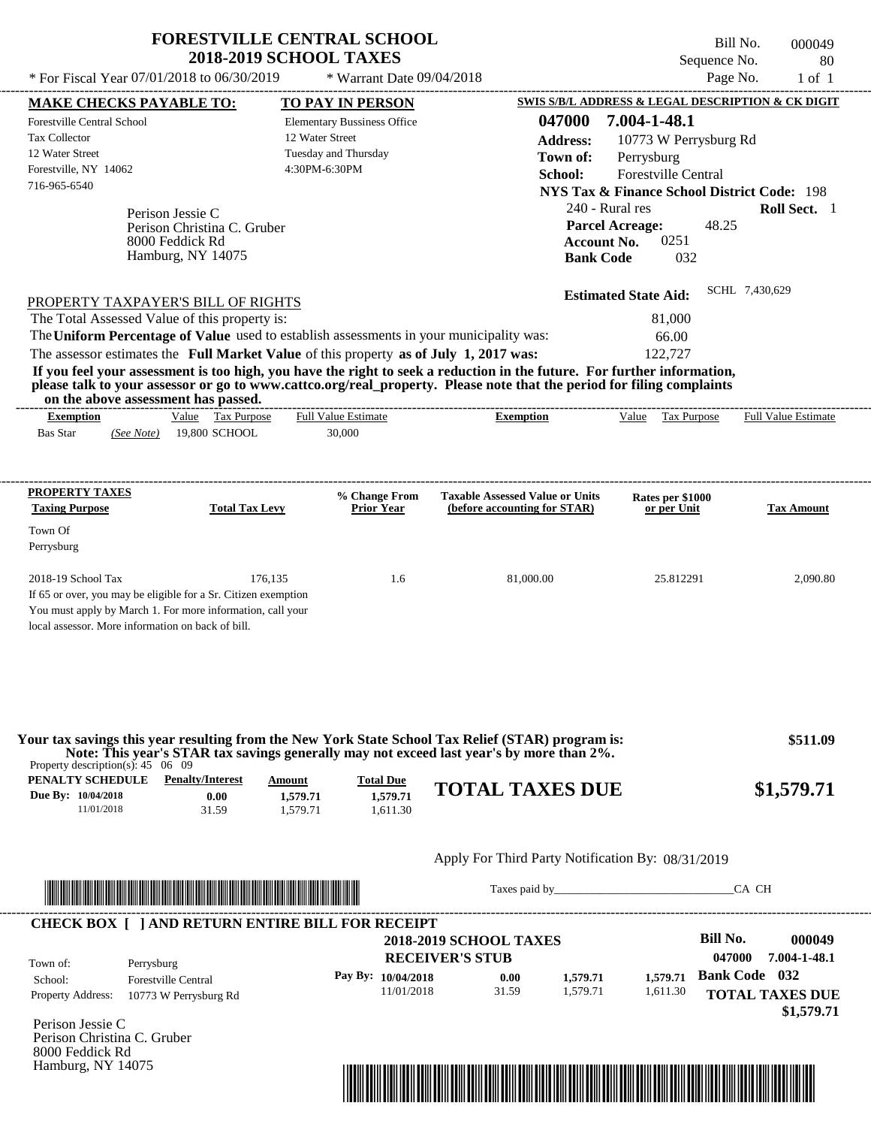| * For Fiscal Year 07/01/2018 to 06/30/2019<br>* Warrant Date 09/04/2018<br>Page No.<br>$1$ of $1$<br>SWIS S/B/L ADDRESS & LEGAL DESCRIPTION & CK DIGIT<br><b>TO PAY IN PERSON</b><br><u>MAKE CHECKS PAYABLE TO:</u><br>047000<br>7.004-1-48.1<br><b>Forestville Central School</b><br><b>Elementary Bussiness Office</b><br>12 Water Street<br>Tax Collector<br>10773 W Perrysburg Rd<br><b>Address:</b><br>12 Water Street<br>Tuesday and Thursday<br>Town of:<br>Perrysburg<br>Forestville, NY 14062<br>4:30PM-6:30PM<br><b>Forestville Central</b><br>School:<br>716-965-6540<br><b>NYS Tax &amp; Finance School District Code: 198</b><br>240 - Rural res<br>Roll Sect. 1<br>Perison Jessie C<br>48.25<br><b>Parcel Acreage:</b><br>Perison Christina C. Gruber<br>0251<br>8000 Feddick Rd<br><b>Account No.</b><br>Hamburg, NY 14075<br><b>Bank Code</b><br>032<br>SCHL 7,430,629<br><b>Estimated State Aid:</b><br>PROPERTY TAXPAYER'S BILL OF RIGHTS<br>The Total Assessed Value of this property is:<br>81,000<br>The Uniform Percentage of Value used to establish assessments in your municipality was:<br>66.00<br>The assessor estimates the Full Market Value of this property as of July 1, 2017 was:<br>122,727<br>If you feel your assessment is too high, you have the right to seek a reduction in the future. For further information,<br>please talk to your assessor or go to www.cattco.org/real_property. Please note that the period for filing complaints<br>on the above assessment has passed.<br><b>Full Value Estimate</b><br>Value Tax Purpose<br>Value<br>Tax Purpose<br><b>Full Value Estimate</b><br><b>Exemption</b><br><b>Exemption</b><br><b>Bas Star</b><br>19,800 SCHOOL<br>30,000<br>(See Note) |
|----------------------------------------------------------------------------------------------------------------------------------------------------------------------------------------------------------------------------------------------------------------------------------------------------------------------------------------------------------------------------------------------------------------------------------------------------------------------------------------------------------------------------------------------------------------------------------------------------------------------------------------------------------------------------------------------------------------------------------------------------------------------------------------------------------------------------------------------------------------------------------------------------------------------------------------------------------------------------------------------------------------------------------------------------------------------------------------------------------------------------------------------------------------------------------------------------------------------------------------------------------------------------------------------------------------------------------------------------------------------------------------------------------------------------------------------------------------------------------------------------------------------------------------------------------------------------------------------------------------------------------------------------------------------------------------------------------------------------------------|
|                                                                                                                                                                                                                                                                                                                                                                                                                                                                                                                                                                                                                                                                                                                                                                                                                                                                                                                                                                                                                                                                                                                                                                                                                                                                                                                                                                                                                                                                                                                                                                                                                                                                                                                                        |
|                                                                                                                                                                                                                                                                                                                                                                                                                                                                                                                                                                                                                                                                                                                                                                                                                                                                                                                                                                                                                                                                                                                                                                                                                                                                                                                                                                                                                                                                                                                                                                                                                                                                                                                                        |
|                                                                                                                                                                                                                                                                                                                                                                                                                                                                                                                                                                                                                                                                                                                                                                                                                                                                                                                                                                                                                                                                                                                                                                                                                                                                                                                                                                                                                                                                                                                                                                                                                                                                                                                                        |
|                                                                                                                                                                                                                                                                                                                                                                                                                                                                                                                                                                                                                                                                                                                                                                                                                                                                                                                                                                                                                                                                                                                                                                                                                                                                                                                                                                                                                                                                                                                                                                                                                                                                                                                                        |
| <b>PROPERTY TAXES</b><br>% Change From<br><b>Taxable Assessed Value or Units</b><br>Rates per \$1000                                                                                                                                                                                                                                                                                                                                                                                                                                                                                                                                                                                                                                                                                                                                                                                                                                                                                                                                                                                                                                                                                                                                                                                                                                                                                                                                                                                                                                                                                                                                                                                                                                   |
| <b>Taxing Purpose</b><br><b>Total Tax Levy</b><br>Prior Year<br>(before accounting for STAR)<br>or per Unit<br><b>Tax Amount</b><br>Town Of<br>Perrysburg                                                                                                                                                                                                                                                                                                                                                                                                                                                                                                                                                                                                                                                                                                                                                                                                                                                                                                                                                                                                                                                                                                                                                                                                                                                                                                                                                                                                                                                                                                                                                                              |
| 176.135<br>$2018-19$ School Tax<br>1.6<br>81,000.00<br>25.812291<br>2,090.80<br>If 65 or over, you may be eligible for a Sr. Citizen exemption<br>You must apply by March 1. For more information, call your<br>local assessor. More information on back of bill.                                                                                                                                                                                                                                                                                                                                                                                                                                                                                                                                                                                                                                                                                                                                                                                                                                                                                                                                                                                                                                                                                                                                                                                                                                                                                                                                                                                                                                                                      |

| Property description(s): 45 06 09                    |                                                         |                                       |                                          | Note: This year's STAR tax savings generally may not exceed last year's by more than 2%. |               |          |                                              |
|------------------------------------------------------|---------------------------------------------------------|---------------------------------------|------------------------------------------|------------------------------------------------------------------------------------------|---------------|----------|----------------------------------------------|
| PENALTY SCHEDULE<br>Due By: 10/04/2018<br>11/01/2018 | <b>Penalty/Interest</b><br>0.00<br>31.59                | <b>Amount</b><br>1,579.71<br>1.579.71 | <b>Total Due</b><br>1.579.71<br>1,611.30 | <b>TOTAL TAXES DUE</b>                                                                   |               |          | \$1,579.71                                   |
|                                                      |                                                         |                                       |                                          | Apply For Third Party Notification By: 08/31/2019                                        |               |          |                                              |
|                                                      | <u> Tanzania (h. 1888).</u>                             |                                       |                                          |                                                                                          | Taxes paid by |          | CA CH                                        |
|                                                      | <b>CHECK BOX     AND RETURN ENTIRE BILL FOR RECEIPT</b> |                                       |                                          |                                                                                          |               |          |                                              |
| Town of:                                             | Perrysburg                                              |                                       |                                          | <b>2018-2019 SCHOOL TAXES</b><br><b>RECEIVER'S STUB</b>                                  |               |          | Bill No.<br>000049<br>047000<br>7.004-1-48.1 |
| School:                                              | <b>Forestville Central</b>                              |                                       | Pay By: 10/04/2018                       | 0.00                                                                                     | 1,579.71      | 1,579.71 | <b>Bank Code</b> 032                         |
| <b>Property Address:</b>                             | 10773 W Perrysburg Rd                                   |                                       | 11/01/2018                               | 31.59                                                                                    | 1,579.71      | 1,611.30 | <b>TOTAL TAXES DUE</b><br>\$1,579.71         |

8000 Feddick Rd Hamburg, NY 14075

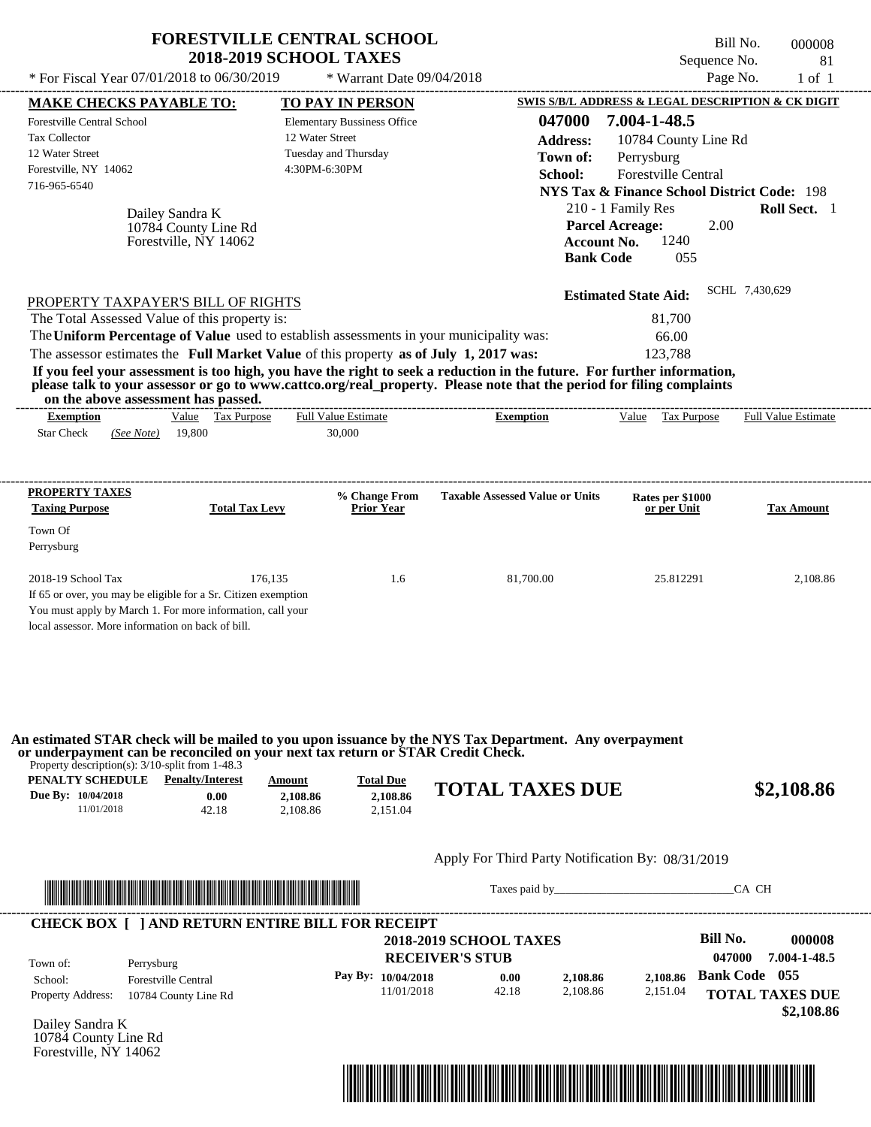| * For Fiscal Year 07/01/2018 to 06/30/2019                                                                                                                                                                                                                                                                                                                                                                                                                                                                                                                         | <b>FORESTVILLE CENTRAL SCHOOL</b><br><b>2018-2019 SCHOOL TAXES</b> | * Warrant Date 09/04/2018            |                                                  | Sequence No.<br>Page No.                                                                                                                                                                                                                             | Bill No.<br>000008<br>81<br>$1$ of $1$ |
|--------------------------------------------------------------------------------------------------------------------------------------------------------------------------------------------------------------------------------------------------------------------------------------------------------------------------------------------------------------------------------------------------------------------------------------------------------------------------------------------------------------------------------------------------------------------|--------------------------------------------------------------------|--------------------------------------|--------------------------------------------------|------------------------------------------------------------------------------------------------------------------------------------------------------------------------------------------------------------------------------------------------------|----------------------------------------|
| <b>MAKE CHECKS PAYABLE TO:</b>                                                                                                                                                                                                                                                                                                                                                                                                                                                                                                                                     |                                                                    | <b>TO PAY IN PERSON</b>              |                                                  | SWIS S/B/L ADDRESS & LEGAL DESCRIPTION & CK DIGIT                                                                                                                                                                                                    |                                        |
| <b>Forestville Central School</b><br><b>Tax Collector</b><br>12 Water Street<br>Forestville, NY 14062<br>716-965-6540<br>Dailey Sandra K<br>10784 County Line Rd<br>Forestville, NY 14062                                                                                                                                                                                                                                                                                                                                                                          | 12 Water Street<br>Tuesday and Thursday<br>4:30PM-6:30PM           | <b>Elementary Bussiness Office</b>   | 047000<br><b>Address:</b><br>Town of:<br>School: | 7.004-1-48.5<br>10784 County Line Rd<br>Perrysburg<br>Forestville Central<br><b>NYS Tax &amp; Finance School District Code: 198</b><br>210 - 1 Family Res<br>2.00<br><b>Parcel Acreage:</b><br>1240<br><b>Account No.</b><br><b>Bank Code</b><br>055 | Roll Sect. 1                           |
| PROPERTY TAXPAYER'S BILL OF RIGHTS<br>The Total Assessed Value of this property is:<br>The Uniform Percentage of Value used to establish assessments in your municipality was:<br>The assessor estimates the Full Market Value of this property as of July 1, 2017 was:<br>If you feel your assessment is too high, you have the right to seek a reduction in the future. For further information,<br>please talk to your assessor or go to www.cattco.org/real_property. Please note that the period for filing complaints<br>on the above assessment has passed. |                                                                    |                                      |                                                  | <b>Estimated State Aid:</b><br>81,700<br>66.00<br>123,788                                                                                                                                                                                            | SCHL 7,430,629                         |
| Value Tax Purpose<br><b>Exemption</b><br>19,800<br><b>Star Check</b><br>(See Note)                                                                                                                                                                                                                                                                                                                                                                                                                                                                                 |                                                                    | <b>Full Value Estimate</b><br>30,000 | <b>Exemption</b>                                 | Value Tax Purpose                                                                                                                                                                                                                                    | <b>Full Value Estimate</b>             |
| PROPERTY TAXES<br><b>Taxing Purpose</b><br>Town Of<br>Perrysburg                                                                                                                                                                                                                                                                                                                                                                                                                                                                                                   | <b>Total Tax Levy</b>                                              | % Change From<br><b>Prior Year</b>   | <b>Taxable Assessed Value or Units</b>           | Rates per \$1000<br>or per Unit                                                                                                                                                                                                                      | Tax Amount                             |
| 2018-19 School Tax<br>If 65 or over, you may be eligible for a Sr. Citizen exemption<br>You must apply by March 1. For more information, call your<br>local assessor. More information on back of bill.                                                                                                                                                                                                                                                                                                                                                            | 176,135                                                            | 1.6                                  | 81,700.00                                        | 25.812291                                                                                                                                                                                                                                            | 2,108.86                               |
| An estimated STAR check will be mailed to you upon issuance by the NYS Tax Department. Any overpayment<br>or underpayment can be reconciled on your next tax return or STAR Credit Check.<br>Property description(s): $3/10$ -split from 1-48.3<br><b>PENALTY SCHEDULE</b> Penalty/Interest<br>Due By: 10/04/2018<br>0.00<br>11/01/2018<br>42.18                                                                                                                                                                                                                   | Amount                                                             | <b>Total Due</b>                     | <b>TOTAL TAXES DUE</b>                           |                                                                                                                                                                                                                                                      | \$2,108.86                             |



Taxes paid by\_\_\_\_\_\_\_\_\_\_\_\_\_\_\_\_\_\_\_\_\_\_\_\_\_\_\_\_\_\_\_CA CH

| Town of:                 | Perrysburg                 | <b>2018-2019 SCHOOL TAXES</b><br><b>RECEIVER'S STUB</b> |       |          |          | Bill No.<br>047000   | 000008<br>7.004-1-48.5 |
|--------------------------|----------------------------|---------------------------------------------------------|-------|----------|----------|----------------------|------------------------|
| School:                  | <b>Forestville Central</b> | Pay By: $10/04/2018$                                    | 0.00  | 2,108.86 | 2.108.86 | <b>Bank Code</b> 055 |                        |
| <b>Property Address:</b> | 10784 County Line Rd       | 11/01/2018                                              | 42.18 | 2,108.86 | 2,151.04 |                      | <b>TOTAL TAXES DUE</b> |

Dailey Sandra K 10784 County Line Rd Forestville, NY 14062

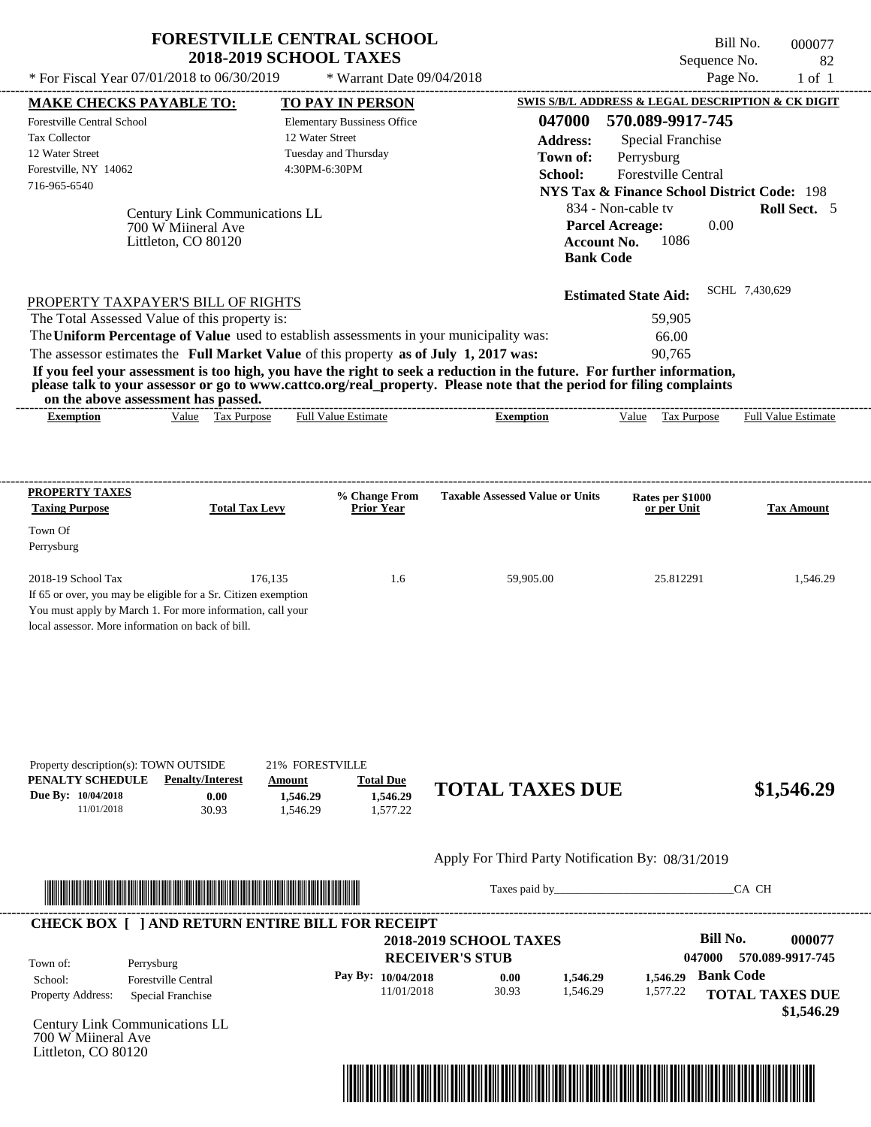|                                                                                                                                                                                                                                                                                                                                           |                                                                             | <b>FORESTVILLE CENTRAL SCHOOL</b> | <b>2018-2019 SCHOOL TAXES</b>                            |                           |                                        |                                        |                                                                    |                                                 | Bill No.<br>Sequence No. | 000077<br>82                                                                  |
|-------------------------------------------------------------------------------------------------------------------------------------------------------------------------------------------------------------------------------------------------------------------------------------------------------------------------------------------|-----------------------------------------------------------------------------|-----------------------------------|----------------------------------------------------------|---------------------------|----------------------------------------|----------------------------------------|--------------------------------------------------------------------|-------------------------------------------------|--------------------------|-------------------------------------------------------------------------------|
| * For Fiscal Year 07/01/2018 to 06/30/2019                                                                                                                                                                                                                                                                                                |                                                                             |                                   |                                                          | * Warrant Date 09/04/2018 |                                        |                                        |                                                                    |                                                 | Page No.                 | $1$ of $1$                                                                    |
| <b>MAKE CHECKS PAYABLE TO:</b><br><b>Forestville Central School</b>                                                                                                                                                                                                                                                                       |                                                                             |                                   | TO PAY IN PERSON<br><b>Elementary Bussiness Office</b>   |                           |                                        | 047000                                 | 570.089-9917-745                                                   |                                                 |                          | SWIS S/B/L ADDRESS & LEGAL DESCRIPTION & CK DIGIT                             |
| Tax Collector<br>12 Water Street<br>Forestville, NY 14062<br>716-965-6540                                                                                                                                                                                                                                                                 |                                                                             |                                   | 12 Water Street<br>Tuesday and Thursday<br>4:30PM-6:30PM |                           |                                        | <b>Address:</b><br>Town of:<br>School: | Perrysburg                                                         | Special Franchise<br><b>Forestville Central</b> |                          |                                                                               |
|                                                                                                                                                                                                                                                                                                                                           | Century Link Communications LL<br>700 W Miineral Ave<br>Littleton, CO 80120 |                                   |                                                          |                           |                                        | <b>Bank Code</b>                       | 834 - Non-cable tv<br><b>Parcel Acreage:</b><br><b>Account No.</b> | 1086                                            | 0.00                     | <b>NYS Tax &amp; Finance School District Code: 198</b><br><b>Roll Sect.</b> 5 |
| PROPERTY TAXPAYER'S BILL OF RIGHTS                                                                                                                                                                                                                                                                                                        |                                                                             |                                   |                                                          |                           |                                        |                                        | <b>Estimated State Aid:</b>                                        |                                                 | SCHL 7,430,629           |                                                                               |
| The Total Assessed Value of this property is:                                                                                                                                                                                                                                                                                             |                                                                             |                                   |                                                          |                           |                                        |                                        |                                                                    | 59,905                                          |                          |                                                                               |
| The Uniform Percentage of Value used to establish assessments in your municipality was:                                                                                                                                                                                                                                                   |                                                                             |                                   |                                                          |                           |                                        |                                        |                                                                    | 66.00                                           |                          |                                                                               |
|                                                                                                                                                                                                                                                                                                                                           |                                                                             |                                   |                                                          |                           |                                        |                                        |                                                                    | 90.765                                          |                          |                                                                               |
| on the above assessment has passed.<br><b>Exemption</b>                                                                                                                                                                                                                                                                                   | Value Tax Purpose                                                           |                                   | Full Value Estimate                                      |                           | <b>Exemption</b>                       |                                        |                                                                    | Value Tax Purpose                               |                          | <b>Full Value Estimate</b>                                                    |
| The assessor estimates the Full Market Value of this property as of July 1, 2017 was:<br>If you feel your assessment is too high, you have the right to seek a reduction in the future. For further information,<br>please talk to your assessor or go to www.cattco.org/real_property. Please note that the period for filing complaints |                                                                             |                                   |                                                          |                           |                                        |                                        |                                                                    |                                                 |                          |                                                                               |
| <b>PROPERTY TAXES</b><br><b>Taxing Purpose</b>                                                                                                                                                                                                                                                                                            |                                                                             | <b>Total Tax Levy</b>             | <b>Prior Year</b>                                        | % Change From             | <b>Taxable Assessed Value or Units</b> |                                        |                                                                    | Rates per \$1000<br>or per Unit                 |                          | <b>Tax Amount</b>                                                             |
| Town Of<br>Perrysburg                                                                                                                                                                                                                                                                                                                     |                                                                             |                                   |                                                          |                           |                                        |                                        |                                                                    |                                                 |                          |                                                                               |



Taxes paid by\_\_\_\_\_\_\_\_\_\_\_\_\_\_\_\_\_\_\_\_\_\_\_\_\_\_\_\_\_\_\_CA CH

|                          |                            | <b>2018-2019 SCHOOL TAXES</b> |       |          |          | Bill No.<br>000077         |
|--------------------------|----------------------------|-------------------------------|-------|----------|----------|----------------------------|
| Town of:                 | Perrysburg                 | <b>RECEIVER'S STUB</b>        |       |          |          | 047000<br>570.089-9917-745 |
| School:                  | <b>Forestville Central</b> | Pay By: $10/04/2018$          | 0.00  | 1,546.29 | 1.546.29 | <b>Bank Code</b>           |
| <b>Property Address:</b> | Special Franchise          | 11/01/2018                    | 30.93 | 1.546.29 | 1,577.22 | <b>TOTAL TAXES DUE</b>     |
|                          |                            |                               |       |          |          | \$1,546.29                 |

Century Link Communications LL 700 W Miineral Ave Littleton, CO 80120

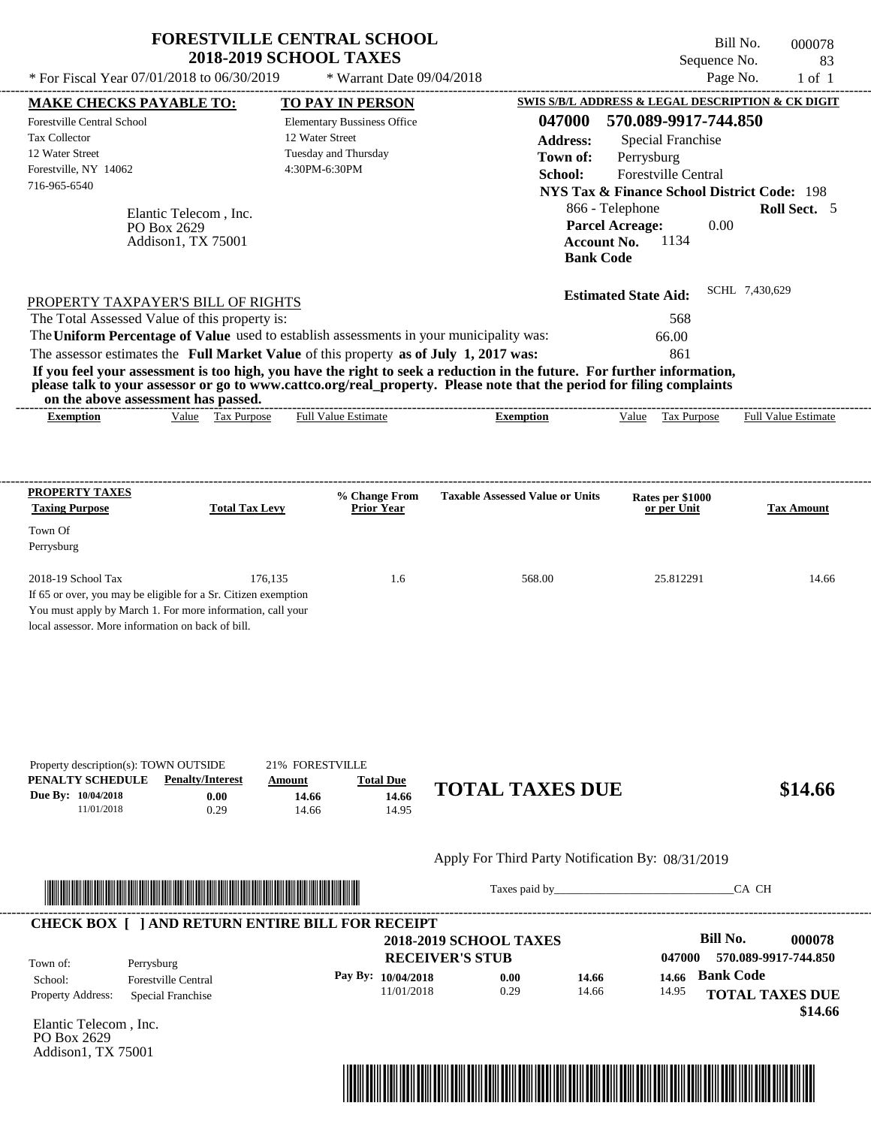| * For Fiscal Year 07/01/2018 to 06/30/2019                                                                                                                                                              | <b>FORESTVILLE CENTRAL SCHOOL</b><br><b>2018-2019 SCHOOL TAXES</b>                                                                                                               | * Warrant Date 09/04/2018                                                                      |                                                                                                                                                                                                                                                  | Sequence No.<br>Page No.                                                                                                                                                                      | Bill No.<br>000078<br>83<br>$1$ of $1$ |
|---------------------------------------------------------------------------------------------------------------------------------------------------------------------------------------------------------|----------------------------------------------------------------------------------------------------------------------------------------------------------------------------------|------------------------------------------------------------------------------------------------|--------------------------------------------------------------------------------------------------------------------------------------------------------------------------------------------------------------------------------------------------|-----------------------------------------------------------------------------------------------------------------------------------------------------------------------------------------------|----------------------------------------|
| <b>MAKE CHECKS PAYABLE TO:</b>                                                                                                                                                                          |                                                                                                                                                                                  | TO PAY IN PERSON                                                                               |                                                                                                                                                                                                                                                  | SWIS S/B/L ADDRESS & LEGAL DESCRIPTION & CK DIGIT                                                                                                                                             |                                        |
| Forestville Central School<br><b>Tax Collector</b><br>12 Water Street<br>Forestville, NY 14062<br>716-965-6540<br>PO Box 2629                                                                           | Elantic Telecom, Inc.                                                                                                                                                            | <b>Elementary Bussiness Office</b><br>12 Water Street<br>Tuesday and Thursday<br>4:30PM-6:30PM | 047000<br><b>Address:</b><br>Town of:<br>School:                                                                                                                                                                                                 | 570.089-9917-744.850<br>Special Franchise<br>Perrysburg<br>Forestville Central<br><b>NYS Tax &amp; Finance School District Code: 198</b><br>866 - Telephone<br><b>Parcel Acreage:</b><br>0.00 | Roll Sect. 5                           |
|                                                                                                                                                                                                         | Addison1, TX 75001                                                                                                                                                               |                                                                                                | <b>Account No.</b><br><b>Bank Code</b>                                                                                                                                                                                                           | 1134                                                                                                                                                                                          |                                        |
| PROPERTY TAXPAYER'S BILL OF RIGHTS<br>The Total Assessed Value of this property is:<br>on the above assessment has passed.                                                                              | The Uniform Percentage of Value used to establish assessments in your municipality was:<br>The assessor estimates the Full Market Value of this property as of July 1, 2017 was: |                                                                                                | If you feel your assessment is too high, you have the right to seek a reduction in the future. For further information,<br>please talk to your assessor or go to www.cattco.org/real_property. Please note that the period for filing complaints | <b>Estimated State Aid:</b><br>568<br>66.00<br>861                                                                                                                                            | SCHL 7,430,629                         |
| <b>Exemption</b>                                                                                                                                                                                        | Value Tax Purpose                                                                                                                                                                | <b>Full Value Estimate</b>                                                                     | <b>Exemption</b>                                                                                                                                                                                                                                 | Value Tax Purpose                                                                                                                                                                             | <b>Full Value Estimate</b>             |
|                                                                                                                                                                                                         |                                                                                                                                                                                  |                                                                                                |                                                                                                                                                                                                                                                  |                                                                                                                                                                                               |                                        |
| <b>Taxing Purpose</b>                                                                                                                                                                                   | <b>Total Tax Levy</b>                                                                                                                                                            | % Change From<br><b>Prior Year</b>                                                             | <b>Taxable Assessed Value or Units</b>                                                                                                                                                                                                           | Rates per \$1000<br>or per Unit                                                                                                                                                               | <b>Tax Amount</b>                      |
| PROPERTY TAXES<br>Town Of<br>Perrysburg                                                                                                                                                                 |                                                                                                                                                                                  |                                                                                                |                                                                                                                                                                                                                                                  |                                                                                                                                                                                               |                                        |
| 2018-19 School Tax<br>If 65 or over, you may be eligible for a Sr. Citizen exemption<br>You must apply by March 1. For more information, call your<br>local assessor. More information on back of bill. | 176,135                                                                                                                                                                          | 1.6                                                                                            | 568.00                                                                                                                                                                                                                                           | 25.812291                                                                                                                                                                                     | 14.66                                  |
| Property description(s): TOWN OUTSIDE<br>PENALTY SCHEDULE<br>Due By: 10/04/2018<br>11/01/2018                                                                                                           | 21% FORESTVILLE<br><b>Penalty/Interest</b><br>Amount<br>0.00<br>14.66<br>0.29<br>14.66                                                                                           | <b>Total Due</b><br>14.66<br>14.95                                                             | <b>TOTAL TAXES DUE</b>                                                                                                                                                                                                                           |                                                                                                                                                                                               | \$14.66                                |
|                                                                                                                                                                                                         |                                                                                                                                                                                  |                                                                                                | Apply For Third Party Notification By: 08/31/2019                                                                                                                                                                                                |                                                                                                                                                                                               |                                        |

|                          | <b>CHECK BOX     AND RETURN ENTIRE BILL FOR RECEIPT</b> | <b>2018-2019 SCHOOL TAXES</b> |      |       |        | Bill No.<br>000078                |
|--------------------------|---------------------------------------------------------|-------------------------------|------|-------|--------|-----------------------------------|
| Town of:                 | Perrysburg                                              | <b>RECEIVER'S STUB</b>        |      |       | 047000 | 570.089-9917-744.850              |
| School:                  | <b>Forestville Central</b>                              | Pay By: $10/04/2018$          | 0.00 | 14.66 | 14.66  | <b>Bank Code</b>                  |
| <b>Property Address:</b> | Special Franchise                                       | 11/01/2018                    | 0.29 | 14.66 | 14.95  | <b>TOTAL TAXES DUE</b><br>\$14.66 |

Elantic Telecom , Inc. PO Box 2629 Addison1, TX 75001

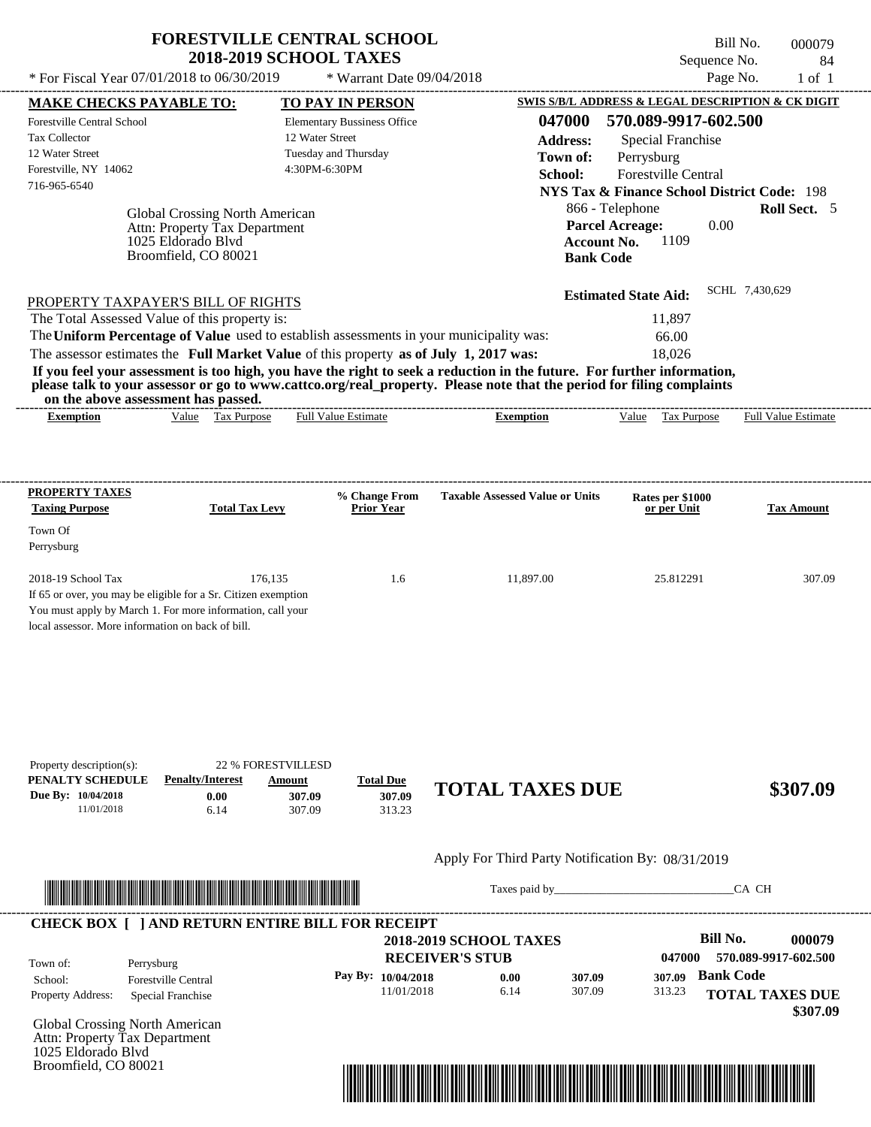| * For Fiscal Year $07/01/2018$ to $06/30/2019$<br><b>MAKE CHECKS PAYABLE TO:</b><br><b>Forestville Central School</b> |                                                                                                               |                       |                                                                               |                           |                                                                                                                                                                                                                                                  |                                       |                                                                                                         | Sequence No. |                            | 84         |
|-----------------------------------------------------------------------------------------------------------------------|---------------------------------------------------------------------------------------------------------------|-----------------------|-------------------------------------------------------------------------------|---------------------------|--------------------------------------------------------------------------------------------------------------------------------------------------------------------------------------------------------------------------------------------------|---------------------------------------|---------------------------------------------------------------------------------------------------------|--------------|----------------------------|------------|
|                                                                                                                       |                                                                                                               |                       |                                                                               | * Warrant Date 09/04/2018 |                                                                                                                                                                                                                                                  |                                       |                                                                                                         | Page No.     |                            | $1$ of $1$ |
|                                                                                                                       |                                                                                                               |                       | TO PAY IN PERSON                                                              |                           |                                                                                                                                                                                                                                                  |                                       | SWIS S/B/L ADDRESS & LEGAL DESCRIPTION & CK DIGIT                                                       |              |                            |            |
| Tax Collector<br>12 Water Street                                                                                      |                                                                                                               |                       | <b>Elementary Bussiness Office</b><br>12 Water Street<br>Tuesday and Thursday |                           |                                                                                                                                                                                                                                                  | 047000<br><b>Address:</b><br>Town of: | 570.089-9917-602.500<br><b>Special Franchise</b><br>Perrysburg                                          |              |                            |            |
| Forestville, NY 14062<br>716-965-6540                                                                                 |                                                                                                               |                       | 4:30PM-6:30PM                                                                 |                           |                                                                                                                                                                                                                                                  | School:                               | <b>Forestville Central</b><br><b>NYS Tax &amp; Finance School District Code: 198</b><br>866 - Telephone |              | <b>Roll Sect.</b> 5        |            |
|                                                                                                                       | Global Crossing North American<br>Attn: Property Tax Department<br>1025 Eldorado Blvd<br>Broomfield, CO 80021 |                       |                                                                               |                           |                                                                                                                                                                                                                                                  | Account No.<br><b>Bank Code</b>       | <b>Parcel Acreage:</b><br>1109                                                                          | 0.00         |                            |            |
| PROPERTY TAXPAYER'S BILL OF RIGHTS                                                                                    |                                                                                                               |                       |                                                                               |                           |                                                                                                                                                                                                                                                  |                                       | <b>Estimated State Aid:</b>                                                                             |              | SCHL 7,430,629             |            |
| The Total Assessed Value of this property is:                                                                         |                                                                                                               |                       |                                                                               |                           |                                                                                                                                                                                                                                                  |                                       | 11,897                                                                                                  |              |                            |            |
|                                                                                                                       |                                                                                                               |                       |                                                                               |                           | The Uniform Percentage of Value used to establish assessments in your municipality was:                                                                                                                                                          |                                       | 66.00                                                                                                   |              |                            |            |
| The assessor estimates the Full Market Value of this property as of July 1, 2017 was:                                 |                                                                                                               |                       |                                                                               |                           |                                                                                                                                                                                                                                                  |                                       | 18,026                                                                                                  |              |                            |            |
|                                                                                                                       |                                                                                                               |                       |                                                                               |                           | If you feel your assessment is too high, you have the right to seek a reduction in the future. For further information,<br>please talk to your assessor or go to www.cattco.org/real_property. Please note that the period for filing complaints |                                       |                                                                                                         |              |                            |            |
| on the above assessment has passed.<br><b>Exemption</b>                                                               | Value Tax Purpose                                                                                             |                       | <b>Full Value Estimate</b>                                                    |                           | Exemption                                                                                                                                                                                                                                        |                                       | Value Tax Purpose                                                                                       |              | <b>Full Value Estimate</b> |            |
| PROPERTY TAXES                                                                                                        |                                                                                                               |                       |                                                                               | % Change From             | <b>Taxable Assessed Value or Units</b>                                                                                                                                                                                                           |                                       | Rates per \$1000                                                                                        |              |                            |            |
| <b>Taxing Purpose</b>                                                                                                 |                                                                                                               | <b>Total Tax Levy</b> |                                                                               | <b>Prior Year</b>         |                                                                                                                                                                                                                                                  |                                       | or per Unit                                                                                             |              | <b>Tax Amount</b>          |            |
| Town Of<br>Perrysburg                                                                                                 |                                                                                                               |                       |                                                                               |                           |                                                                                                                                                                                                                                                  |                                       |                                                                                                         |              |                            |            |

| Apply For Third Party Notification By: 08/31/2019 |  |
|---------------------------------------------------|--|
|---------------------------------------------------|--|



Taxes paid by\_\_\_\_\_\_\_\_\_\_\_\_\_\_\_\_\_\_\_\_\_\_\_\_\_\_\_\_\_\_\_CA CH

|                                               |                        | <b>2018-2019 SCHOOL TAXES</b> |        |        | Bill No.<br>000079     |
|-----------------------------------------------|------------------------|-------------------------------|--------|--------|------------------------|
| Town of:<br>Perrysburg                        | <b>RECEIVER'S STUB</b> |                               |        | 047000 | 570.089-9917-602.500   |
| <b>Forestville Central</b><br>School:         | Pay By: $10/04/2018$   | 0.00                          | 307.09 | 307.09 | <b>Bank Code</b>       |
| <b>Property Address:</b><br>Special Franchise | 11/01/2018             | 6.14                          | 307.09 | 313.23 | <b>TOTAL TAXES DUE</b> |

Global Crossing North American Attn: Property Tax Department 1025 Eldorado Blvd Broomfield, CO 80021

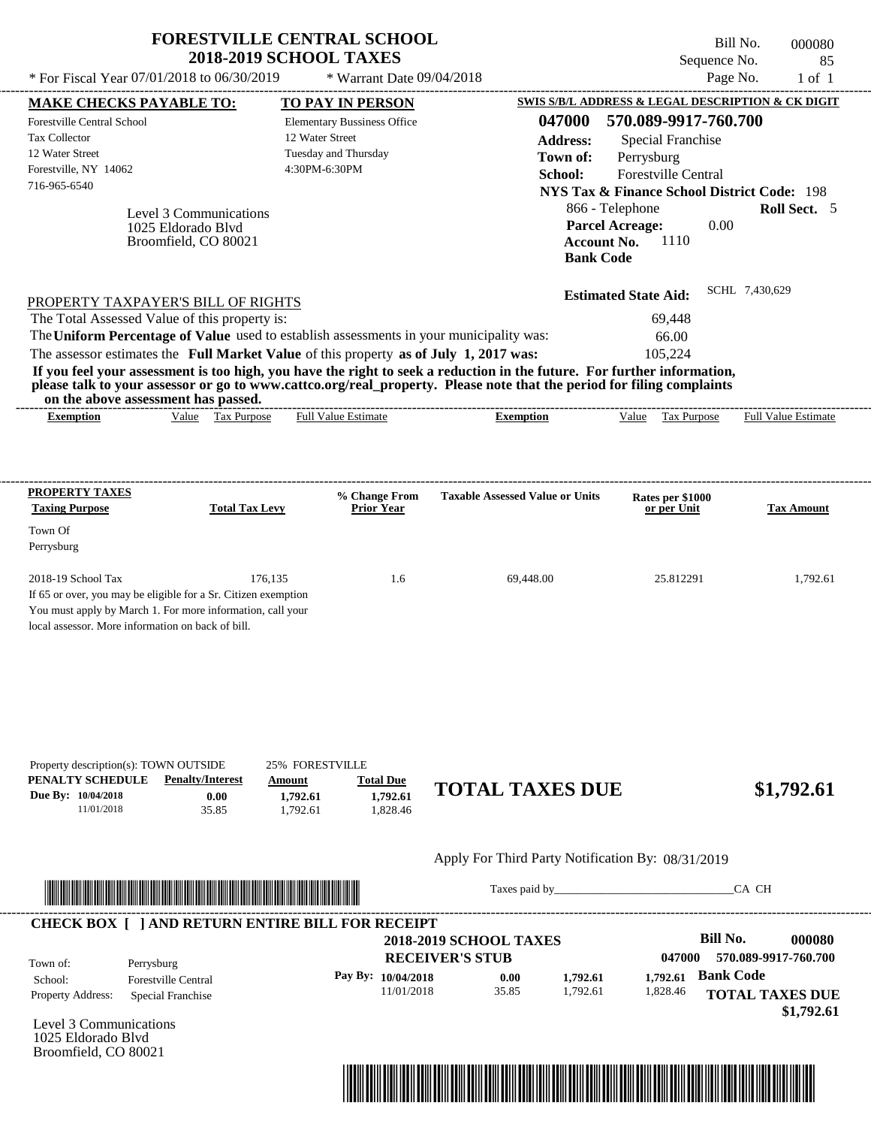| * For Fiscal Year 07/01/2018 to 06/30/2019                                                                                                                                                                                                                                                                                                                                                                                                                                                                                                                         | <b>FORESTVILLE CENTRAL SCHOOL</b><br><b>2018-2019 SCHOOL TAXES</b>                 | * Warrant Date 09/04/2018                                                      |                                                                                            | Sequence No.                                                                                                                                                                                                                                                      | Bill No.<br>000080<br>85<br>Page No.<br>$1$ of $1$ |
|--------------------------------------------------------------------------------------------------------------------------------------------------------------------------------------------------------------------------------------------------------------------------------------------------------------------------------------------------------------------------------------------------------------------------------------------------------------------------------------------------------------------------------------------------------------------|------------------------------------------------------------------------------------|--------------------------------------------------------------------------------|--------------------------------------------------------------------------------------------|-------------------------------------------------------------------------------------------------------------------------------------------------------------------------------------------------------------------------------------------------------------------|----------------------------------------------------|
|                                                                                                                                                                                                                                                                                                                                                                                                                                                                                                                                                                    |                                                                                    |                                                                                |                                                                                            |                                                                                                                                                                                                                                                                   |                                                    |
| <b>MAKE CHECKS PAYABLE TO:</b><br><b>Forestville Central School</b><br><b>Tax Collector</b><br>12 Water Street<br>Forestville, NY 14062<br>716-965-6540<br>1025 Eldorado Blvd                                                                                                                                                                                                                                                                                                                                                                                      | 12 Water Street<br>4:30PM-6:30PM<br>Level 3 Communications<br>Broomfield, CO 80021 | TO PAY IN PERSON<br><b>Elementary Bussiness Office</b><br>Tuesday and Thursday | 047000<br><b>Address:</b><br>Town of:<br>School:<br><b>Account No.</b><br><b>Bank Code</b> | SWIS S/B/L ADDRESS & LEGAL DESCRIPTION & CK DIGIT<br>570.089-9917-760.700<br>Special Franchise<br>Perrysburg<br><b>Forestville Central</b><br><b>NYS Tax &amp; Finance School District Code: 198</b><br>866 - Telephone<br><b>Parcel Acreage:</b><br>0.00<br>1110 | Roll Sect. 5                                       |
| PROPERTY TAXPAYER'S BILL OF RIGHTS<br>The Total Assessed Value of this property is:<br>The Uniform Percentage of Value used to establish assessments in your municipality was:<br>The assessor estimates the Full Market Value of this property as of July 1, 2017 was:<br>If you feel your assessment is too high, you have the right to seek a reduction in the future. For further information,<br>please talk to your assessor or go to www.cattco.org/real_property. Please note that the period for filing complaints<br>on the above assessment has passed. |                                                                                    |                                                                                |                                                                                            | <b>Estimated State Aid:</b><br>69,448<br>66.00<br>105,224                                                                                                                                                                                                         | SCHL 7,430,629                                     |
|                                                                                                                                                                                                                                                                                                                                                                                                                                                                                                                                                                    |                                                                                    |                                                                                | <b>Exemption</b>                                                                           | Value<br>Tax Purpose                                                                                                                                                                                                                                              | <b>Full Value Estimate</b>                         |
| <b>Exemption</b>                                                                                                                                                                                                                                                                                                                                                                                                                                                                                                                                                   | Value Tax Purpose                                                                  | <b>Full Value Estimate</b><br>% Change From                                    | <b>Taxable Assessed Value or Units</b>                                                     |                                                                                                                                                                                                                                                                   |                                                    |
| <b>Taxing Purpose</b><br>Town Of<br>Perrysburg<br>$2018-19$ School Tax<br>If 65 or over, you may be eligible for a Sr. Citizen exemption<br>You must apply by March 1. For more information, call your                                                                                                                                                                                                                                                                                                                                                             | <b>Total Tax Levy</b><br>176,135                                                   | Prior Year<br>1.6                                                              | 69,448.00                                                                                  | Rates per \$1000<br>or per Unit<br>25.812291                                                                                                                                                                                                                      | <b>Tax Amount</b>                                  |
| PROPERTY TAXES<br>local assessor. More information on back of bill.<br>Property description(s): TOWN OUTSIDE<br>PENALTY SCHEDULE<br>Due By: 10/04/2018                                                                                                                                                                                                                                                                                                                                                                                                             | <b>25% FORESTVILLE</b><br><b>Penalty/Interest</b><br>Amount<br>0.00<br>1,792.61    | <b>Total Due</b><br>1,792.61                                                   | <b>TOTAL TAXES DUE</b>                                                                     |                                                                                                                                                                                                                                                                   | 1,792.61<br>\$1,792.61                             |
| 11/01/2018                                                                                                                                                                                                                                                                                                                                                                                                                                                                                                                                                         | 35.85<br>1.792.61                                                                  | 1,828.46                                                                       | Apply For Third Party Notification By: 08/31/2019                                          |                                                                                                                                                                                                                                                                   |                                                    |

|                          | CHECK BOA     AND RETORN ENTIRE BILL FOR RECEIPT |                               |       |          |          |                                      |  |
|--------------------------|--------------------------------------------------|-------------------------------|-------|----------|----------|--------------------------------------|--|
|                          |                                                  | <b>2018-2019 SCHOOL TAXES</b> |       |          |          | Bill No.<br>000080                   |  |
| Town of:                 | Perrysburg                                       | <b>RECEIVER'S STUB</b>        |       |          | 047000   | 570.089-9917-760.700                 |  |
| School:                  | <b>Forestville Central</b>                       | Pay By: 10/04/2018            | 0.00  | 1.792.61 | 1.792.61 | <b>Bank Code</b>                     |  |
| <b>Property Address:</b> | Special Franchise                                | 11/01/2018                    | 35.85 | 1.792.61 | 1.828.46 | <b>TOTAL TAXES DUE</b><br>\$1,792.61 |  |

Level 3 Communications 1025 Eldorado Blvd Broomfield, CO 80021

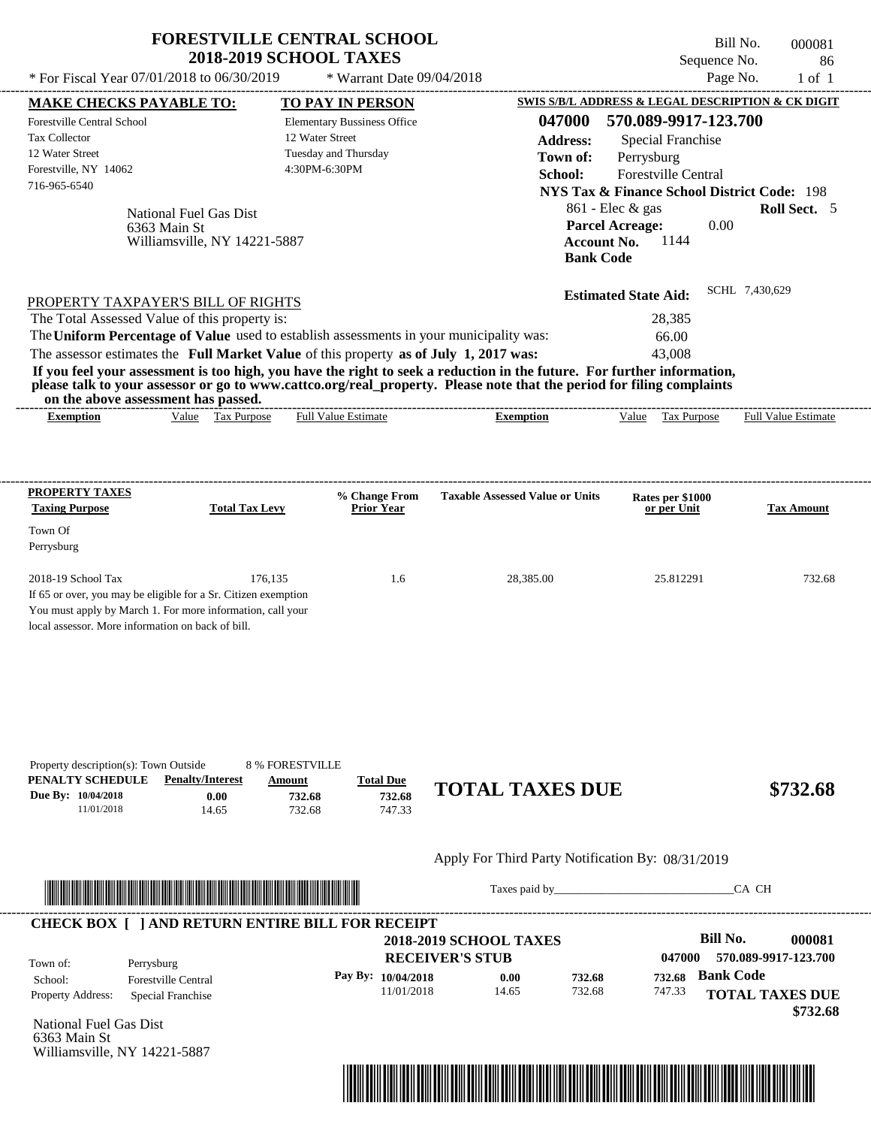|                                                                                                                                                              |                                                                        | <b>2018-2019 SCHOOL TAXES</b>                            |                                    |                                                                                                                                                                                  |                                                                      |                                                                                                                                                                   | Sequence No. | 86                                                                            |
|--------------------------------------------------------------------------------------------------------------------------------------------------------------|------------------------------------------------------------------------|----------------------------------------------------------|------------------------------------|----------------------------------------------------------------------------------------------------------------------------------------------------------------------------------|----------------------------------------------------------------------|-------------------------------------------------------------------------------------------------------------------------------------------------------------------|--------------|-------------------------------------------------------------------------------|
| * For Fiscal Year 07/01/2018 to 06/30/2019                                                                                                                   |                                                                        |                                                          | * Warrant Date 09/04/2018          |                                                                                                                                                                                  |                                                                      |                                                                                                                                                                   | Page No.     | $1$ of $1$                                                                    |
| <b>MAKE CHECKS PAYABLE TO:</b>                                                                                                                               |                                                                        |                                                          | <b>TO PAY IN PERSON</b>            |                                                                                                                                                                                  |                                                                      |                                                                                                                                                                   |              | SWIS S/B/L ADDRESS & LEGAL DESCRIPTION & CK DIGIT                             |
| <b>Forestville Central School</b><br>Tax Collector<br>12 Water Street<br>Forestville, NY 14062<br>716-965-6540                                               | National Fuel Gas Dist<br>6363 Main St<br>Williamsville, NY 14221-5887 | 12 Water Street<br>Tuesday and Thursday<br>4:30PM-6:30PM | <b>Elementary Bussiness Office</b> |                                                                                                                                                                                  | 047000<br><b>Address:</b><br>Town of:<br>School:<br><b>Bank Code</b> | 570.089-9917-123.700<br><b>Special Franchise</b><br>Perrysburg<br>Forestville Central<br>861 - Elec & gas<br><b>Parcel Acreage:</b><br>1144<br><b>Account No.</b> | 0.00         | <b>NYS Tax &amp; Finance School District Code: 198</b><br><b>Roll Sect.</b> 5 |
| PROPERTY TAXPAYER'S BILL OF RIGHTS<br>The Total Assessed Value of this property is:                                                                          |                                                                        |                                                          |                                    | The Uniform Percentage of Value used to establish assessments in your municipality was:<br>The assessor estimates the Full Market Value of this property as of July 1, 2017 was: |                                                                      | <b>Estimated State Aid:</b><br>28,385<br>66.00<br>43,008                                                                                                          |              | SCHL 7,430,629                                                                |
| If you feel your assessment is too high, you have the right to seek a reduction in the future. For further information,                                      |                                                                        |                                                          |                                    |                                                                                                                                                                                  |                                                                      |                                                                                                                                                                   |              |                                                                               |
| please talk to your assessor or go to www.cattco.org/real_property. Please note that the period for filing complaints<br>on the above assessment has passed. |                                                                        |                                                          |                                    |                                                                                                                                                                                  |                                                                      |                                                                                                                                                                   |              |                                                                               |
| <b>Exemption</b>                                                                                                                                             | Value Tax Purpose                                                      |                                                          | <b>Full Value Estimate</b>         | <b>Exemption</b>                                                                                                                                                                 |                                                                      | Value Tax Purpose                                                                                                                                                 |              | <b>Full Value Estimate</b>                                                    |
| <b>PROPERTY TAXES</b><br><b>Taxing Purpose</b><br>Town Of<br>Perrysburg                                                                                      | <b>Total Tax Levy</b>                                                  |                                                          | % Change From<br><b>Prior Year</b> | <b>Taxable Assessed Value or Units</b>                                                                                                                                           |                                                                      | Rates per \$1000<br>or per Unit                                                                                                                                   |              | <b>Tax Amount</b>                                                             |



Taxes paid by\_\_\_\_\_\_\_\_\_\_\_\_\_\_\_\_\_\_\_\_\_\_\_\_\_\_\_\_\_\_\_CA CH

|                          |                            | <b>2018-2019 SCHOOL TAXES</b><br><b>RECEIVER'S STUB</b> |       |        | 047000 | Bill No.<br>570.089-9917-123.700 | 000081   |
|--------------------------|----------------------------|---------------------------------------------------------|-------|--------|--------|----------------------------------|----------|
| Town of:                 | Perrysburg                 |                                                         |       |        |        |                                  |          |
| School:                  | <b>Forestville Central</b> | Pay By: $10/04/2018$                                    | 0.00  | 732.68 | 732.68 | <b>Bank Code</b>                 |          |
| <b>Property Address:</b> | Special Franchise          | 11/01/2018                                              | 14.65 | 732.68 | 747.33 | <b>TOTAL TAXES DUE</b>           |          |
|                          |                            |                                                         |       |        |        |                                  | \$732.68 |

National Fuel Gas Dist 6363 Main St Williamsville, NY 14221-5887

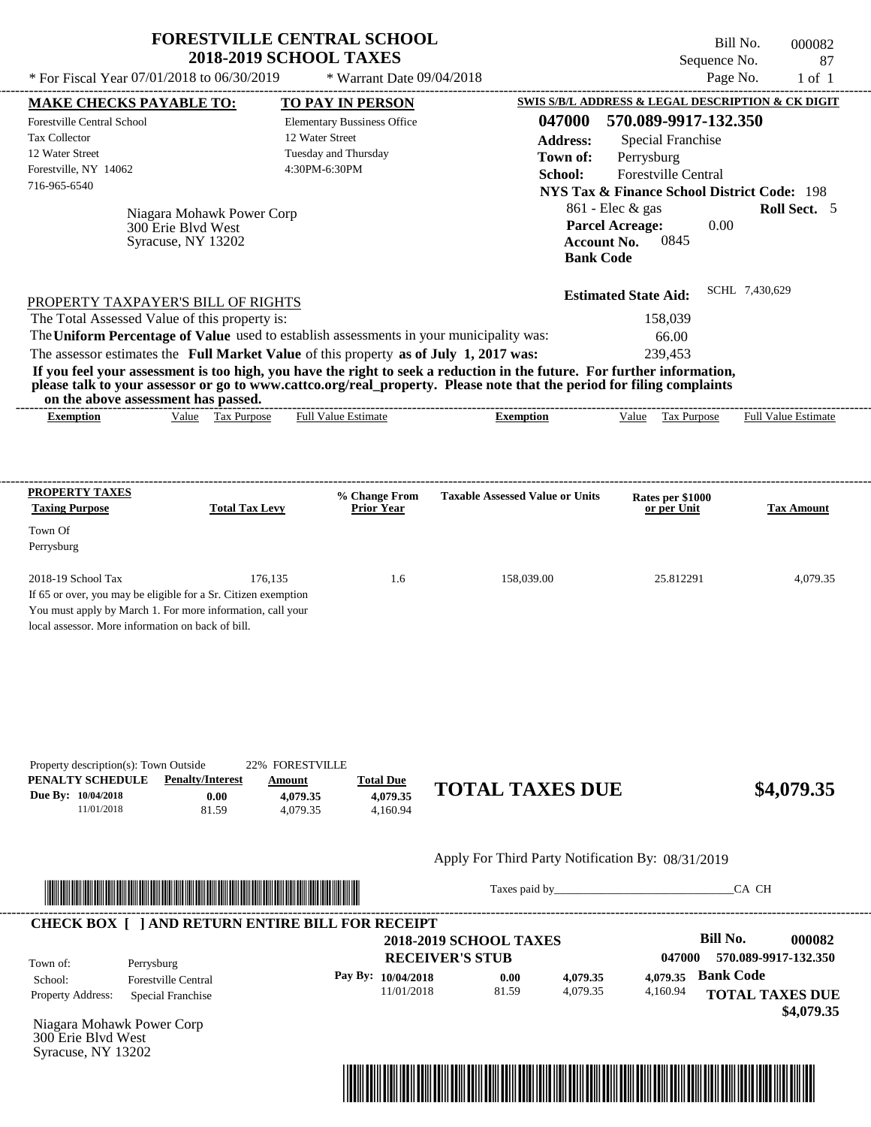|                                                                                                                                                                                                                                                                                                                                                                                                                                                                                                                             | <b>2018-2019 SCHOOL TAXES</b>                     | <b>FORESTVILLE CENTRAL SCHOOL</b>                          |                                                                                            | Bill No.<br>Sequence No.                                                                                                                                                                                        | 000082<br>87        |
|-----------------------------------------------------------------------------------------------------------------------------------------------------------------------------------------------------------------------------------------------------------------------------------------------------------------------------------------------------------------------------------------------------------------------------------------------------------------------------------------------------------------------------|---------------------------------------------------|------------------------------------------------------------|--------------------------------------------------------------------------------------------|-----------------------------------------------------------------------------------------------------------------------------------------------------------------------------------------------------------------|---------------------|
| * For Fiscal Year 07/01/2018 to 06/30/2019                                                                                                                                                                                                                                                                                                                                                                                                                                                                                  |                                                   | * Warrant Date 09/04/2018                                  |                                                                                            | Page No.                                                                                                                                                                                                        | $1$ of $1$          |
| <b>MAKE CHECKS PAYABLE TO:</b>                                                                                                                                                                                                                                                                                                                                                                                                                                                                                              |                                                   | <b>TO PAY IN PERSON</b>                                    |                                                                                            | SWIS S/B/L ADDRESS & LEGAL DESCRIPTION & CK DIGIT                                                                                                                                                               |                     |
| Forestville Central School<br><b>Tax Collector</b><br>12 Water Street<br>Forestville, NY 14062<br>716-965-6540<br>Niagara Mohawk Power Corp<br>300 Erie Blvd West<br>Syracuse, NY 13202                                                                                                                                                                                                                                                                                                                                     | 12 Water Street<br>4:30PM-6:30PM                  | <b>Elementary Bussiness Office</b><br>Tuesday and Thursday | 047000<br><b>Address:</b><br>Town of:<br>School:<br><b>Account No.</b><br><b>Bank Code</b> | 570.089-9917-132.350<br><b>Special Franchise</b><br>Perrysburg<br>Forestville Central<br><b>NYS Tax &amp; Finance School District Code: 198</b><br>$861$ - Elec & gas<br>0.00<br><b>Parcel Acreage:</b><br>0845 | Roll Sect. 5        |
| PROPERTY TAXPAYER'S BILL OF RIGHTS<br>The Total Assessed Value of this property is:<br>The Uniform Percentage of Value used to establish assessments in your municipality was:<br>The assessor estimates the Full Market Value of this property as of July 1, 2017 was:<br>If you feel your assessment is too high, you have the right to seek a reduction in the future. For further information,<br>please talk to your assessor or go to www.cattco.org/real_property. Please note that the period for filing complaints |                                                   |                                                            |                                                                                            | <b>Estimated State Aid:</b><br>158,039<br>66.00<br>239,453                                                                                                                                                      | SCHL 7,430,629      |
| on the above assessment has passed.<br>Value Tax Purpose<br><b>Exemption</b>                                                                                                                                                                                                                                                                                                                                                                                                                                                |                                                   | <b>Full Value Estimate</b>                                 | <b>Exemption</b>                                                                           | Tax Purpose<br>Value                                                                                                                                                                                            | Full Value Estimate |
| PROPERTY TAXES<br><b>Taxing Purpose</b><br>Town Of                                                                                                                                                                                                                                                                                                                                                                                                                                                                          | <b>Total Tax Levy</b>                             | % Change From<br><b>Prior Year</b>                         | <b>Taxable Assessed Value or Units</b>                                                     | Rates per \$1000<br>or per Unit                                                                                                                                                                                 | <b>Tax Amount</b>   |
|                                                                                                                                                                                                                                                                                                                                                                                                                                                                                                                             |                                                   |                                                            |                                                                                            |                                                                                                                                                                                                                 |                     |
| 2018-19 School Tax                                                                                                                                                                                                                                                                                                                                                                                                                                                                                                          | 176.135                                           | 1.6                                                        | 158,039.00                                                                                 | 25.812291                                                                                                                                                                                                       | 4,079.35            |
| <b>Penalty/Interest</b><br>Due By: 10/04/2018<br>0.00<br>11/01/2018<br>81.59                                                                                                                                                                                                                                                                                                                                                                                                                                                | 22% FORESTVILLE<br>Amount<br>4,079.35<br>4,079.35 | <b>Total Due</b><br>4.079.35<br>4,160.94                   | <b>TOTAL TAXES DUE</b>                                                                     |                                                                                                                                                                                                                 | \$4,079.35          |
| Perrysburg<br>If 65 or over, you may be eligible for a Sr. Citizen exemption<br>You must apply by March 1. For more information, call your<br>local assessor. More information on back of bill.<br>Property description(s): Town Outside<br>PENALTY SCHEDULE                                                                                                                                                                                                                                                                |                                                   |                                                            | Apply For Third Party Notification By: 08/31/2019                                          |                                                                                                                                                                                                                 |                     |

|                          |                            | <b>2018-2019 SCHOOL TAXES</b> |       |          |          | Bill No.               | 000082               |
|--------------------------|----------------------------|-------------------------------|-------|----------|----------|------------------------|----------------------|
| Town of:                 | Perrysburg                 | <b>RECEIVER'S STUB</b>        |       |          | 047000   |                        | 570.089-9917-132.350 |
| School:                  | <b>Forestville Central</b> | Pay By: $10/04/2018$          | 0.00  | 4,079.35 | 4,079.35 | <b>Bank Code</b>       |                      |
| <b>Property Address:</b> | Special Franchise          | 11/01/2018                    | 81.59 | 4,079.35 | 4,160.94 | <b>TOTAL TAXES DUE</b> |                      |
|                          |                            |                               |       |          |          |                        | \$4,079.35           |

Niagara Mohawk Power Corp 300 Erie Blvd West Syracuse, NY 13202

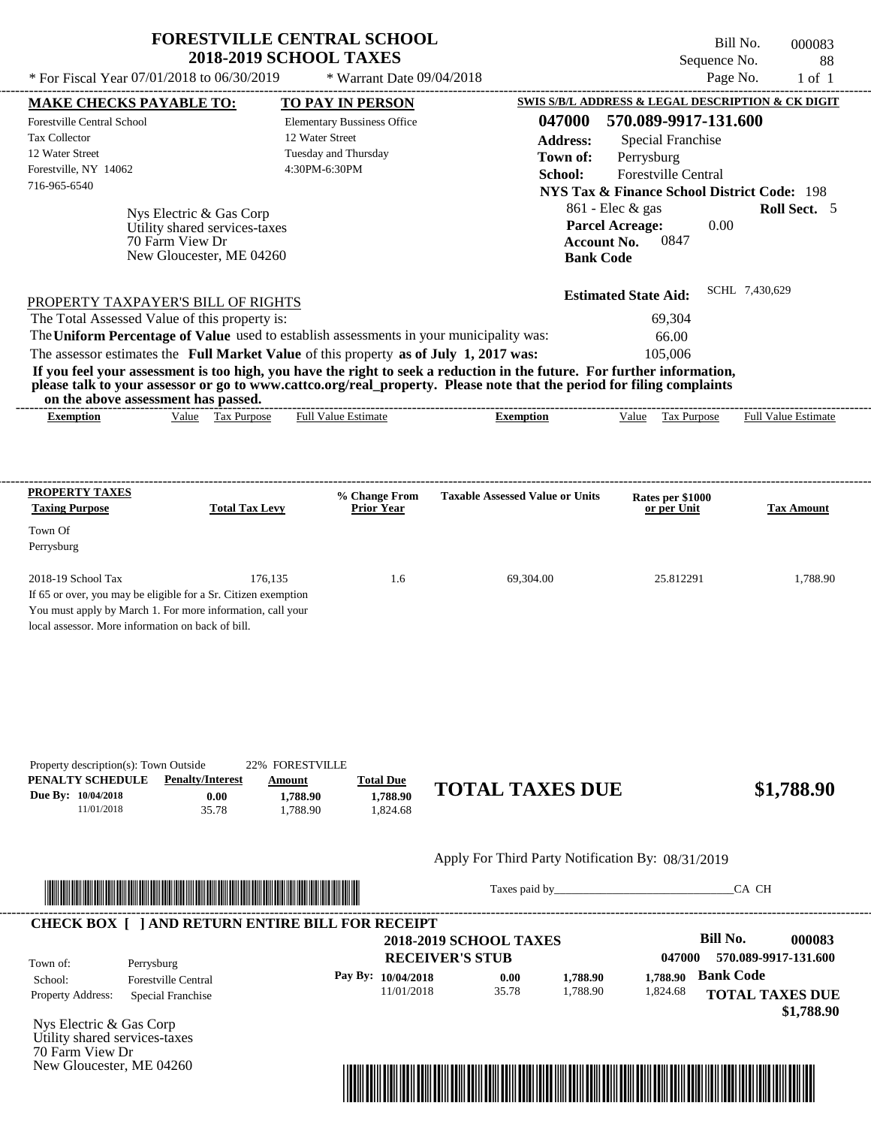| <b>FORESTVILLE CENTRAL SCHOOL</b><br><b>2018-2019 SCHOOL TAXES</b>            | Bill No.<br>Sequence No.                          | 000083<br>-88 |
|-------------------------------------------------------------------------------|---------------------------------------------------|---------------|
| * For Fiscal Year $07/01/2018$ to $06/30/2019$<br>$*$ Warrant Date 09/04/2018 | Page No.                                          | 1 of 1        |
| МАКЕ СНЕСКЯ РАУАВІ Е ТО•<br><b>TO PAV IN PERSON</b>                           | SWIS S/B/L ADDRESS & LEGAL DESCRIPTION & CK DIGIT |               |

---------------------------------------------------------------------------------------------------------------------------------------------------------------------------------------------------- Bill No. 000083 Sequence No. 88

| Forestville Central School<br>Tax Collector<br>12 Water Street<br>Forestville, NY 14062<br>716-965-6540 | <b>MAKE CHECKS PAYABLE TO:</b><br>Nys Electric & Gas Corp<br>Utility shared services-taxes<br>70 Farm View Dr<br>New Gloucester, ME 04260                                                    | <b>TO PAY IN PERSON</b><br><b>Elementary Bussiness Office</b><br>12 Water Street<br>Tuesday and Thursday<br>4:30PM-6:30PM |                                                                                                                                                                                                                                                  | 570.089-9917-131.600<br>047000<br><b>Address:</b><br>Special Franchise<br>Town of:<br>Perrysburg<br>Forestville Central<br>School:<br>$861$ - Elec & gas<br><b>Parcel Acreage:</b><br>0847<br><b>Account No.</b><br><b>Bank Code</b> | SWIS S/B/L ADDRESS & LEGAL DESCRIPTION & CK DIGIT<br><b>NYS Tax &amp; Finance School District Code: 198</b><br>Roll Sect. 5<br>0.00 |
|---------------------------------------------------------------------------------------------------------|----------------------------------------------------------------------------------------------------------------------------------------------------------------------------------------------|---------------------------------------------------------------------------------------------------------------------------|--------------------------------------------------------------------------------------------------------------------------------------------------------------------------------------------------------------------------------------------------|--------------------------------------------------------------------------------------------------------------------------------------------------------------------------------------------------------------------------------------|-------------------------------------------------------------------------------------------------------------------------------------|
|                                                                                                         | PROPERTY TAXPAYER'S BILL OF RIGHTS                                                                                                                                                           |                                                                                                                           |                                                                                                                                                                                                                                                  | <b>Estimated State Aid:</b>                                                                                                                                                                                                          | SCHL 7,430,629                                                                                                                      |
|                                                                                                         | The Total Assessed Value of this property is:                                                                                                                                                |                                                                                                                           |                                                                                                                                                                                                                                                  | 69,304                                                                                                                                                                                                                               |                                                                                                                                     |
|                                                                                                         |                                                                                                                                                                                              |                                                                                                                           | The Uniform Percentage of Value used to establish assessments in your municipality was:                                                                                                                                                          | 66.00                                                                                                                                                                                                                                |                                                                                                                                     |
|                                                                                                         | The assessor estimates the Full Market Value of this property as of July 1, 2017 was:<br>on the above assessment has passed.                                                                 |                                                                                                                           | If you feel your assessment is too high, you have the right to seek a reduction in the future. For further information,<br>please talk to your assessor or go to www.cattco.org/real_property. Please note that the period for filing complaints | 105,006                                                                                                                                                                                                                              |                                                                                                                                     |
| <b>Exemption</b>                                                                                        | Value Tax Purpose                                                                                                                                                                            | <b>Full Value Estimate</b>                                                                                                | <b>Exemption</b>                                                                                                                                                                                                                                 | Value Tax Purpose                                                                                                                                                                                                                    | <b>Full Value Estimate</b>                                                                                                          |
| <b>PROPERTY TAXES</b><br><b>Taxing Purpose</b>                                                          | <b>Total Tax Levy</b>                                                                                                                                                                        | % Change From<br><b>Prior Year</b>                                                                                        | <b>Taxable Assessed Value or Units</b>                                                                                                                                                                                                           | Rates per \$1000<br>or per Unit                                                                                                                                                                                                      | <b>Tax Amount</b>                                                                                                                   |
| Town Of<br>Perrysburg                                                                                   |                                                                                                                                                                                              |                                                                                                                           |                                                                                                                                                                                                                                                  |                                                                                                                                                                                                                                      |                                                                                                                                     |
| 2018-19 School Tax                                                                                      | 176,135<br>If 65 or over, you may be eligible for a Sr. Citizen exemption<br>You must apply by March 1. For more information, call your<br>local assessor. More information on back of bill. | 1.6                                                                                                                       | 69,304.00                                                                                                                                                                                                                                        | 25.812291                                                                                                                                                                                                                            | 1,788.90                                                                                                                            |
| Property description(s): Town Outside<br>PENALTY SCHEDULE<br>Due By: 10/04/2018<br>11/01/2018           | <b>Penalty/Interest</b><br>0.00<br>35.78                                                                                                                                                     | 22% FORESTVILLE<br><b>Total Due</b><br>Amount<br>1,788.90<br>1,788.90<br>1,788.90<br>1,824.68                             | <b>TOTAL TAXES DUE</b>                                                                                                                                                                                                                           |                                                                                                                                                                                                                                      | \$1,788.90                                                                                                                          |
|                                                                                                         |                                                                                                                                                                                              |                                                                                                                           |                                                                                                                                                                                                                                                  | Apply For Third Party Notification By: 08/31/2019                                                                                                                                                                                    |                                                                                                                                     |
|                                                                                                         | <u> Han ber den behalten besteht dem Berlin besteht der Berlin besteht der Berlin besteht der Berlin be</u>                                                                                  |                                                                                                                           |                                                                                                                                                                                                                                                  |                                                                                                                                                                                                                                      | CA CH                                                                                                                               |
| Town of:                                                                                                | <b>CHECK BOX [ ] AND RETURN ENTIRE BILL FOR RECEIPT</b><br>Perrysburg                                                                                                                        |                                                                                                                           | <b>2018-2019 SCHOOL TAXES</b><br><b>RECEIVER'S STUB</b>                                                                                                                                                                                          | 047000                                                                                                                                                                                                                               | <b>Bill No.</b><br>000083<br>570.089-9917-131.600                                                                                   |
| School:<br>Property Address:                                                                            | <b>Forestville Central</b><br>Special Franchise                                                                                                                                              | Pay By: 10/04/2018                                                                                                        | 0.00<br>11/01/2018<br>35.78                                                                                                                                                                                                                      | 1,788.90<br>1,788.90<br>1,788.90<br>1,824.68                                                                                                                                                                                         | <b>Bank Code</b><br><b>TOTAL TAXES DUE</b><br>\$1,788.90                                                                            |
| Nys Electric & Gas Corp<br>Utility shared services-taxes<br>70 Farm View Dr<br>New Gloucester, ME 04260 |                                                                                                                                                                                              |                                                                                                                           |                                                                                                                                                                                                                                                  |                                                                                                                                                                                                                                      |                                                                                                                                     |

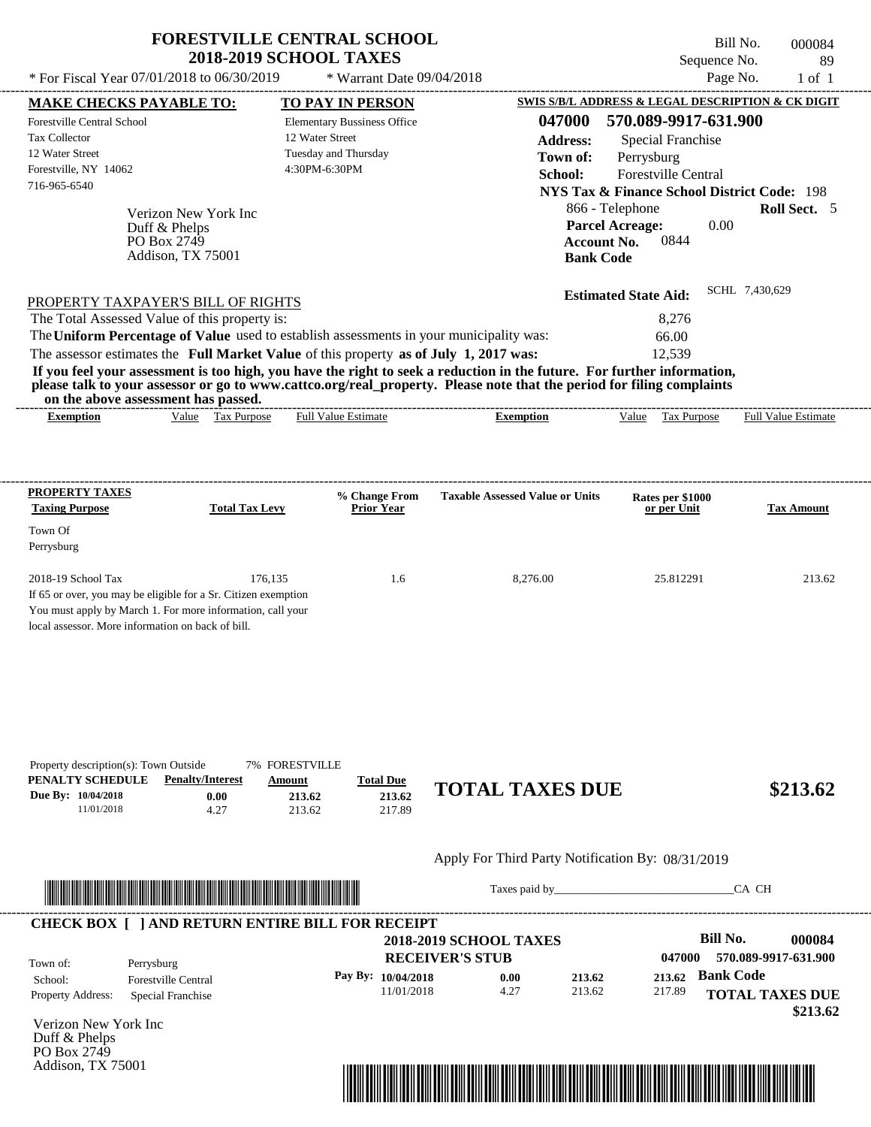|                                                                                                                |                                                                           | <b>FORESTVILLE CENTRAL SCHOOL</b><br><b>2018-2019 SCHOOL TAXES</b>                             |                                                                                                                                                                                                                                                  | Sequence No.                                                                                                                                    | Bill No.<br>000084<br>89   |
|----------------------------------------------------------------------------------------------------------------|---------------------------------------------------------------------------|------------------------------------------------------------------------------------------------|--------------------------------------------------------------------------------------------------------------------------------------------------------------------------------------------------------------------------------------------------|-------------------------------------------------------------------------------------------------------------------------------------------------|----------------------------|
| * For Fiscal Year 07/01/2018 to 06/30/2019                                                                     |                                                                           | * Warrant Date 09/04/2018                                                                      |                                                                                                                                                                                                                                                  | Page No.                                                                                                                                        | $1$ of $1$                 |
| <b>MAKE CHECKS PAYABLE TO:</b>                                                                                 |                                                                           | <b>TO PAY IN PERSON</b>                                                                        |                                                                                                                                                                                                                                                  | SWIS S/B/L ADDRESS & LEGAL DESCRIPTION & CK DIGIT                                                                                               |                            |
| Forestville Central School<br><b>Tax Collector</b><br>12 Water Street<br>Forestville, NY 14062<br>716-965-6540 |                                                                           | <b>Elementary Bussiness Office</b><br>12 Water Street<br>Tuesday and Thursday<br>4:30PM-6:30PM | 047000<br><b>Address:</b><br>Town of:<br>School:                                                                                                                                                                                                 | 570.089-9917-631.900<br><b>Special Franchise</b><br>Perrysburg<br>Forestville Central<br><b>NYS Tax &amp; Finance School District Code: 198</b> |                            |
|                                                                                                                | Verizon New York Inc<br>Duff & Phelps<br>PO Box 2749<br>Addison, TX 75001 |                                                                                                | <b>Account No.</b><br><b>Bank Code</b>                                                                                                                                                                                                           | 866 - Telephone<br><b>Parcel Acreage:</b><br>0.00<br>0844                                                                                       | Roll Sect. 5               |
| PROPERTY TAXPAYER'S BILL OF RIGHTS                                                                             |                                                                           |                                                                                                |                                                                                                                                                                                                                                                  | <b>Estimated State Aid:</b>                                                                                                                     | SCHL 7,430,629             |
| The Total Assessed Value of this property is:                                                                  |                                                                           |                                                                                                |                                                                                                                                                                                                                                                  | 8,276                                                                                                                                           |                            |
|                                                                                                                |                                                                           | The Uniform Percentage of Value used to establish assessments in your municipality was:        |                                                                                                                                                                                                                                                  | 66.00                                                                                                                                           |                            |
|                                                                                                                |                                                                           |                                                                                                |                                                                                                                                                                                                                                                  |                                                                                                                                                 |                            |
| on the above assessment has passed.                                                                            |                                                                           | The assessor estimates the Full Market Value of this property as of July 1, 2017 was:          | If you feel your assessment is too high, you have the right to seek a reduction in the future. For further information,<br>please talk to your assessor or go to www.cattco.org/real_property. Please note that the period for filing complaints | 12,539                                                                                                                                          |                            |
| <b>Exemption</b>                                                                                               | Value Tax Purpose                                                         | <b>Full Value Estimate</b>                                                                     | <b>Exemption</b>                                                                                                                                                                                                                                 | Value<br><b>Tax Purpose</b>                                                                                                                     | <b>Full Value Estimate</b> |
| PROPERTY TAXES                                                                                                 |                                                                           | % Change From                                                                                  | <b>Taxable Assessed Value or Units</b>                                                                                                                                                                                                           |                                                                                                                                                 |                            |
| <b>Taxing Purpose</b>                                                                                          | <b>Total Tax Levy</b>                                                     | <b>Prior Year</b>                                                                              |                                                                                                                                                                                                                                                  | Rates per \$1000<br>or per Unit                                                                                                                 | <b>Tax Amount</b>          |
| Town Of<br>Perrysburg                                                                                          |                                                                           |                                                                                                |                                                                                                                                                                                                                                                  |                                                                                                                                                 |                            |



Taxes paid by\_\_\_\_\_\_\_\_\_\_\_\_\_\_\_\_\_\_\_\_\_\_\_\_\_\_\_\_\_\_\_CA CH



Verizon New York Inc Duff & Phelps PO Box 2749 Addison, TX 75001

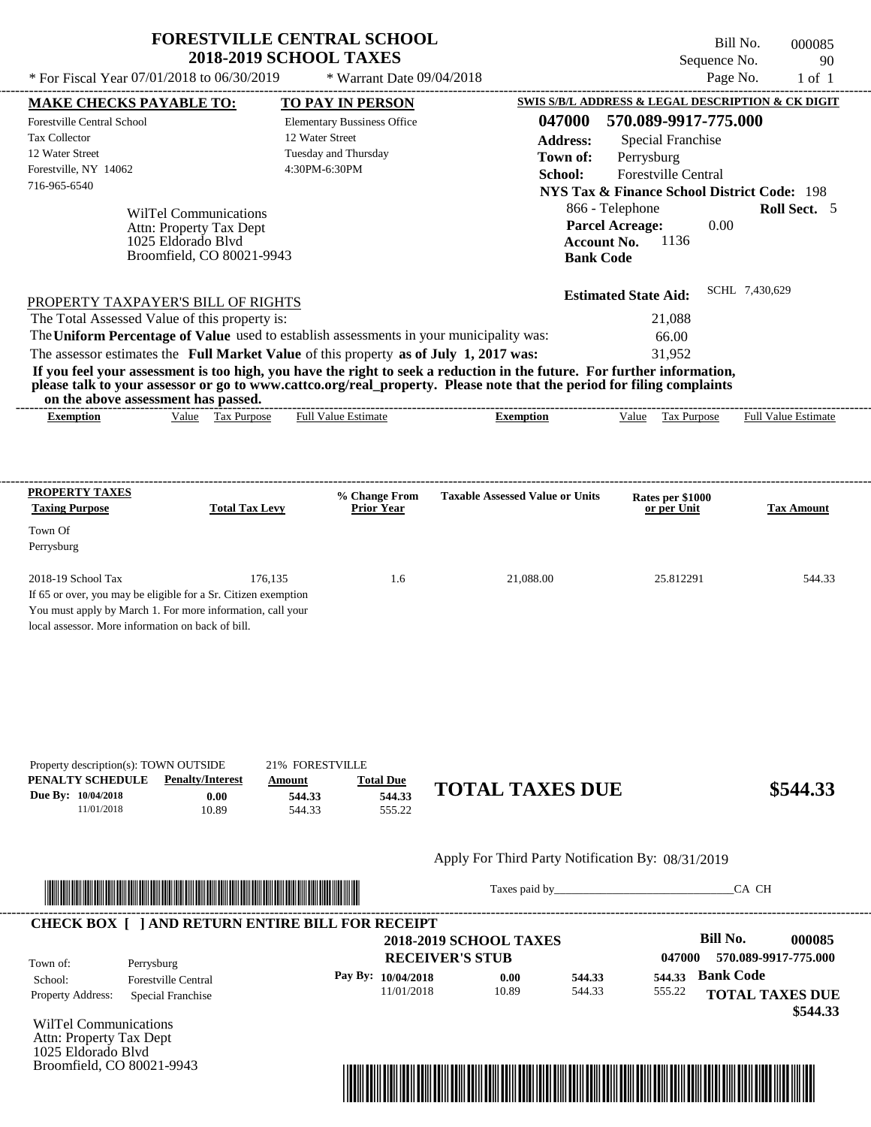|                                                                                                         |                           | <b>2018-2019 SCHOOL TAXES</b>                                                                                                                                                                                                                    |                                        |                                                          | Sequence No.               | 90         |
|---------------------------------------------------------------------------------------------------------|---------------------------|--------------------------------------------------------------------------------------------------------------------------------------------------------------------------------------------------------------------------------------------------|----------------------------------------|----------------------------------------------------------|----------------------------|------------|
| * For Fiscal Year $07/01/2018$ to $06/30/2019$                                                          |                           | * Warrant Date 09/04/2018                                                                                                                                                                                                                        |                                        |                                                          | Page No.                   | $1$ of $1$ |
| <b>MAKE CHECKS PAYABLE TO:</b>                                                                          |                           | <b>TO PAY IN PERSON</b>                                                                                                                                                                                                                          |                                        | SWIS S/B/L ADDRESS & LEGAL DESCRIPTION & CK DIGIT        |                            |            |
| <b>Forestville Central School</b>                                                                       |                           | <b>Elementary Bussiness Office</b>                                                                                                                                                                                                               | 047000                                 | 570.089-9917-775.000                                     |                            |            |
| <b>Tax Collector</b>                                                                                    |                           | 12 Water Street                                                                                                                                                                                                                                  | <b>Address:</b>                        | Special Franchise                                        |                            |            |
| 12 Water Street                                                                                         |                           | Tuesday and Thursday                                                                                                                                                                                                                             | Town of:                               | Perrysburg                                               |                            |            |
| Forestville, NY 14062                                                                                   |                           | 4:30PM-6:30PM                                                                                                                                                                                                                                    | School:                                | <b>Forestville Central</b>                               |                            |            |
| 716-965-6540                                                                                            |                           |                                                                                                                                                                                                                                                  |                                        | <b>NYS Tax &amp; Finance School District Code: 198</b>   |                            |            |
|                                                                                                         | WilTel Communications     |                                                                                                                                                                                                                                                  |                                        | 866 - Telephone                                          | Roll Sect. 5               |            |
|                                                                                                         | Attn: Property Tax Dept   |                                                                                                                                                                                                                                                  |                                        | <b>Parcel Acreage:</b>                                   | 0.00                       |            |
|                                                                                                         | 1025 Eldorado Blyd        |                                                                                                                                                                                                                                                  |                                        | 1136<br><b>Account No.</b>                               |                            |            |
|                                                                                                         | Broomfield, CO 80021-9943 |                                                                                                                                                                                                                                                  |                                        | <b>Bank Code</b>                                         |                            |            |
|                                                                                                         |                           | The Uniform Percentage of Value used to establish assessments in your municipality was:<br>The assessor estimates the Full Market Value of this property as of July 1, 2017 was:                                                                 |                                        | <b>Estimated State Aid:</b><br>21.088<br>66.00<br>31,952 | SCHL 7,430,629             |            |
| on the above assessment has passed.                                                                     |                           | If you feel your assessment is too high, you have the right to seek a reduction in the future. For further information,<br>please talk to your assessor or go to www.cattco.org/real property. Please note that the period for filing complaints |                                        |                                                          |                            |            |
| PROPERTY TAXPAYER'S BILL OF RIGHTS<br>The Total Assessed Value of this property is:<br><b>Exemption</b> | Tax Purpose<br>Value      | <b>Full Value Estimate</b>                                                                                                                                                                                                                       | <b>Exemption</b>                       | Value<br><b>Tax Purpose</b>                              | <b>Full Value Estimate</b> |            |
| PROPERTY TAXES<br><b>Taxing Purpose</b><br>Town Of                                                      | <b>Total Tax Levy</b>     | % Change From<br><b>Prior Year</b>                                                                                                                                                                                                               | <b>Taxable Assessed Value or Units</b> | Rates per \$1000<br>or per Unit                          | <b>Tax Amount</b>          |            |
|                                                                                                         |                           |                                                                                                                                                                                                                                                  |                                        |                                                          |                            |            |
| Perrysburg<br>2018-19 School Tax                                                                        | 176.135                   | 1.6                                                                                                                                                                                                                                              | 21.088.00                              | 25.812291                                                |                            | 544.33     |

| Property description(s): TOWN OUTSIDE |                         | 21% FORESTVILLE |                  |                        |          |
|---------------------------------------|-------------------------|-----------------|------------------|------------------------|----------|
| <b>PENALTY SCHEDULE</b>               | <b>Penalty/Interest</b> | Amount          | <b>Total Due</b> |                        |          |
| <b>Due By: 10/04/2018</b>             | $0.00\,$                | 544.33          | 544.33           | <b>TOTAL TAXES DUE</b> | \$544.33 |
| 11/01/2018                            | 10.89                   | 544.33          | 555.22           |                        |          |



Taxes paid by\_\_\_\_\_\_\_\_\_\_\_\_\_\_\_\_\_\_\_\_\_\_\_\_\_\_\_\_\_\_\_CA CH



WilTel Communications Attn: Property Tax Dept 1025 Eldorado Blvd Broomfield, CO 80021-9943

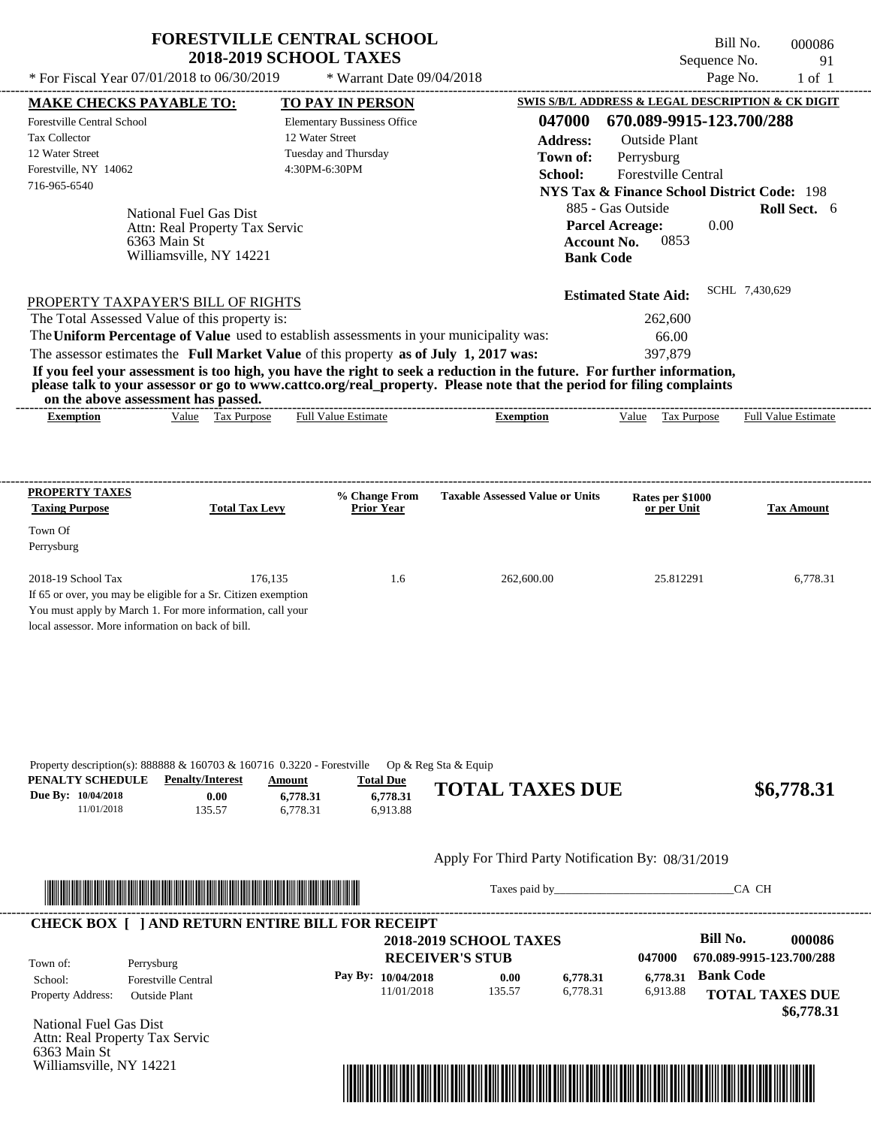|                                   |                                                                                       |                 | <b>2018-2019 SCHOOL TAXES</b>      |                                                                                                                         | Bill No.<br>Sequence No.                               | 91                         |
|-----------------------------------|---------------------------------------------------------------------------------------|-----------------|------------------------------------|-------------------------------------------------------------------------------------------------------------------------|--------------------------------------------------------|----------------------------|
|                                   | * For Fiscal Year 07/01/2018 to 06/30/2019                                            |                 | * Warrant Date 09/04/2018          |                                                                                                                         |                                                        | Page No.<br>$1$ of $1$     |
| <b>MAKE CHECKS PAYABLE TO:</b>    |                                                                                       |                 | <b>TO PAY IN PERSON</b>            |                                                                                                                         | SWIS S/B/L ADDRESS & LEGAL DESCRIPTION & CK DIGIT      |                            |
| <b>Forestville Central School</b> |                                                                                       |                 | <b>Elementary Bussiness Office</b> | 047000                                                                                                                  | 670.089-9915-123.700/288                               |                            |
| Tax Collector                     |                                                                                       | 12 Water Street |                                    | <b>Address:</b>                                                                                                         | Outside Plant                                          |                            |
| 12 Water Street                   |                                                                                       |                 | Tuesday and Thursday               | Town of:                                                                                                                | Perrysburg                                             |                            |
| Forestville, NY 14062             |                                                                                       | 4:30PM-6:30PM   |                                    | School:                                                                                                                 | <b>Forestville Central</b>                             |                            |
| 716-965-6540                      |                                                                                       |                 |                                    |                                                                                                                         | <b>NYS Tax &amp; Finance School District Code: 198</b> |                            |
|                                   | National Fuel Gas Dist                                                                |                 |                                    |                                                                                                                         | 885 - Gas Outside                                      | <b>Roll Sect.</b> 6        |
|                                   | Attn: Real Property Tax Servic                                                        |                 |                                    |                                                                                                                         | <b>Parcel Acreage:</b><br>0.00                         |                            |
|                                   | 6363 Main St                                                                          |                 |                                    | <b>Account No.</b>                                                                                                      | 0853                                                   |                            |
|                                   | Williamsville, NY 14221                                                               |                 |                                    | <b>Bank Code</b>                                                                                                        |                                                        |                            |
|                                   |                                                                                       |                 |                                    |                                                                                                                         | <b>Estimated State Aid:</b>                            | SCHL 7,430,629             |
|                                   | PROPERTY TAXPAYER'S BILL OF RIGHTS                                                    |                 |                                    |                                                                                                                         |                                                        |                            |
|                                   | The Total Assessed Value of this property is:                                         |                 |                                    |                                                                                                                         | 262,600                                                |                            |
|                                   |                                                                                       |                 |                                    | The Uniform Percentage of Value used to establish assessments in your municipality was:                                 | 66.00                                                  |                            |
|                                   | The assessor estimates the Full Market Value of this property as of July 1, 2017 was: |                 |                                    | If you feel your assessment is too high, you have the right to seek a reduction in the future. For further information, | 397,879                                                |                            |
| <b>Exemption</b>                  | on the above assessment has passed.<br>Value Tax Purpose                              |                 | <b>Full Value Estimate</b>         | Exemption                                                                                                               | Value Tax Purpose                                      | <b>Full Value Estimate</b> |
|                                   |                                                                                       |                 |                                    |                                                                                                                         |                                                        |                            |
| <b>PROPERTY TAXES</b>             |                                                                                       |                 | <b>% Change From</b>               | <b>Taxable Assessed Value or Units</b>                                                                                  | Rates per \$1000                                       |                            |
| <b>Taxing Purpose</b>             | <b>Total Tax Levy</b>                                                                 |                 | <b>Prior Year</b>                  |                                                                                                                         | or per Unit                                            | <b>Tax Amount</b>          |
| Town Of                           |                                                                                       |                 |                                    |                                                                                                                         |                                                        |                            |
|                                   |                                                                                       |                 |                                    |                                                                                                                         |                                                        |                            |
| Perrysburg<br>2018-19 School Tax  |                                                                                       | 176.135         | 1.6                                | 262,600.00                                                                                                              | 25.812291                                              | 6,778.31                   |
|                                   | If 65 or over, you may be eligible for a Sr. Citizen exemption                        |                 |                                    |                                                                                                                         |                                                        |                            |
|                                   | You must apply by March 1. For more information, call your                            |                 |                                    |                                                                                                                         |                                                        |                            |
|                                   |                                                                                       |                 |                                    |                                                                                                                         |                                                        |                            |



Taxes paid by\_\_\_\_\_\_\_\_\_\_\_\_\_\_\_\_\_\_\_\_\_\_\_\_\_\_\_\_\_\_\_CA CH



National Fuel Gas Dist Attn: Real Property Tax Servic 6363 Main St Williamsville, NY 14221

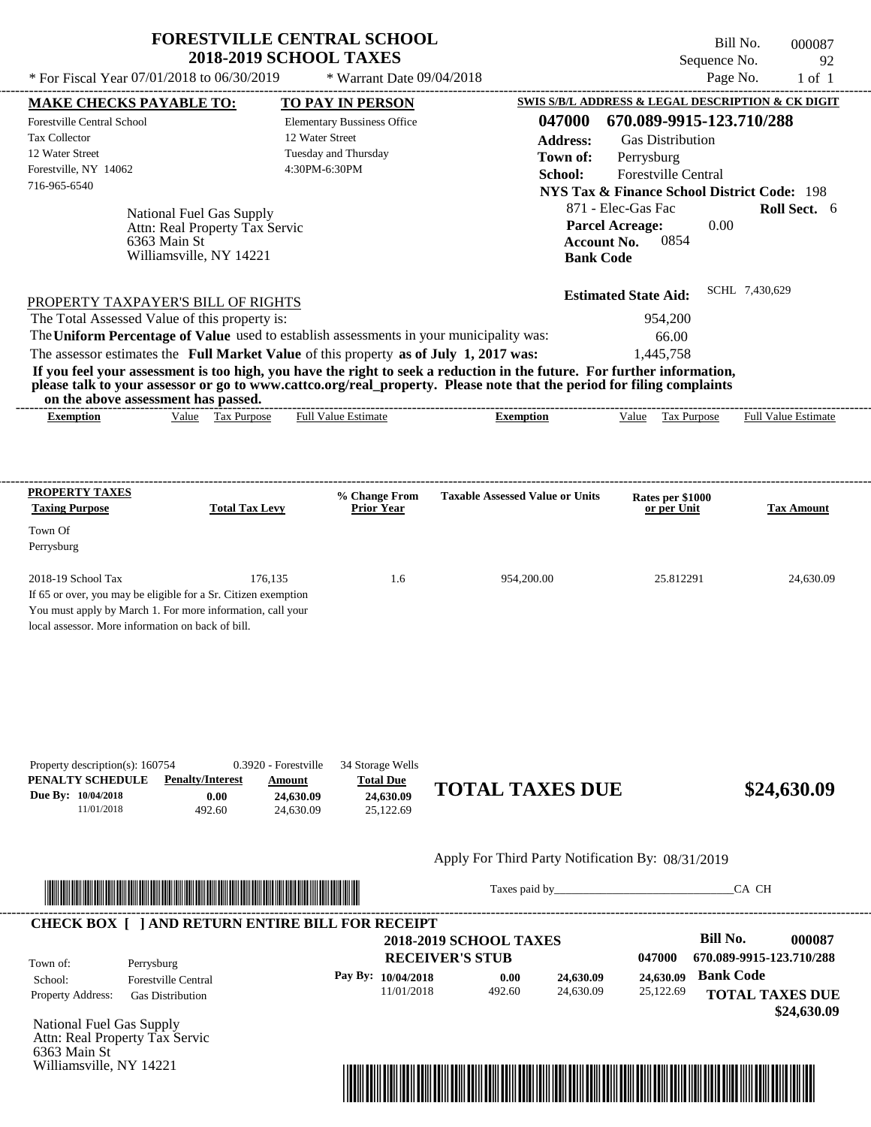| * For Fiscal Year $07/01/2018$ to $06/30/2019$                                                        | <b>FORESTVILLE CENTRAL SCHOOL</b><br><b>2018-2019 SCHOOL TAXES</b><br>* Warrant Date $09/04/2018$ | Bill No.<br>000087<br>Sequence No.<br>92<br>Page No.<br>$1$ of $1$                                                            |
|-------------------------------------------------------------------------------------------------------|---------------------------------------------------------------------------------------------------|-------------------------------------------------------------------------------------------------------------------------------|
| <b>MAKE CHECKS PAYABLE TO:</b>                                                                        | <b>TO PAY IN PERSON</b>                                                                           | SWIS S/B/L ADDRESS & LEGAL DESCRIPTION & CK DIGIT                                                                             |
| Forestville Central School<br><b>Tax Collector</b><br>12 Water Street                                 | <b>Elementary Bussiness Office</b><br>12 Water Street<br>Tuesday and Thursday                     | 670.089-9915-123.710/288<br>047000<br><b>Address:</b><br><b>Gas Distribution</b><br>Town of:<br>Perrysburg                    |
| Forestville, NY 14062<br>716-965-6540                                                                 | 4:30PM-6:30PM                                                                                     | School:<br><b>Forestville Central</b><br><b>NYS Tax &amp; Finance School District Code: 198</b>                               |
| National Fuel Gas Supply<br>Attn: Real Property Tax Servic<br>6363 Main St<br>Williamsville, NY 14221 |                                                                                                   | 871 - Elec-Gas Fac<br><b>Roll Sect.</b> 6<br><b>Parcel Acreage:</b><br>0.00<br>0854<br><b>Account No.</b><br><b>Bank Code</b> |
| PROPERTY TAXPAYER'S BILL OF RIGHTS                                                                    |                                                                                                   | SCHL 7,430,629<br><b>Estimated State Aid:</b>                                                                                 |
| The Total Assessed Value of this property is:                                                         |                                                                                                   | 954,200                                                                                                                       |
|                                                                                                       | The Uniform Percentage of Value used to establish assessments in your municipality was:           | 66.00                                                                                                                         |

The assessor estimates the **Full Market Value** of this property **as of July 1, 2017 was:** 1,445,758 **If you feel your assessment is too high, you have the right to seek a reduction in the future. For further information, please talk to your assessor or go to www.cattco.org/real\_property. Please note that the period for filing complaints**

**on the above assessment has passed.** ----------------------------------------------------------------------------------------------------------------------------------------------------------------------------------------------------

| emntio | √alue | $\overline{\phantom{a}}$<br><b>O</b> 1<br><b>Purpose</b><br>. as | stimate<br>alue<br>еш. | temption | /alue | $-$<br><b>Purpose</b><br>______ | 11.7<br>$\overline{\phantom{0}}$<br>'alue<br>≁u∏<br>'stimate |  |
|--------|-------|------------------------------------------------------------------|------------------------|----------|-------|---------------------------------|--------------------------------------------------------------|--|
|        |       |                                                                  |                        |          |       |                                 |                                                              |  |

| <b>PROPERTY TAXES</b><br><b>Taxing Purpose</b>                 | <b>Total Tax Levy</b> | % Change From<br><b>Prior Year</b> | <b>Taxable Assessed Value or Units</b> | Rates per \$1000<br>or per Unit | <b>Tax Amount</b> |
|----------------------------------------------------------------|-----------------------|------------------------------------|----------------------------------------|---------------------------------|-------------------|
| Town Of                                                        |                       |                                    |                                        |                                 |                   |
| Perrysburg                                                     |                       |                                    |                                        |                                 |                   |
| $2018-19$ School Tax                                           | 176.135               | 1.6                                | 954,200.00                             | 25.812291                       | 24,630.09         |
| If 65 or over, you may be eligible for a Sr. Citizen exemption |                       |                                    |                                        |                                 |                   |
| You must apply by March 1. For more information, call your     |                       |                                    |                                        |                                 |                   |
| local assessor. More information on back of bill.              |                       |                                    |                                        |                                 |                   |

| Property description(s): $160754$ |                         | 0.3920 - Forestville | 34 Storage Wells |                        |             |
|-----------------------------------|-------------------------|----------------------|------------------|------------------------|-------------|
| PENALTY SCHEDULE                  | <b>Penalty/Interest</b> | Amount               | <b>Total Due</b> |                        |             |
| Due By: 10/04/2018                | 0.00                    | 24,630.09            | 24,630.09        | <b>TOTAL TAXES DUE</b> | \$24,630.09 |
| 11/01/2018                        | 492.60                  | 24,630.09            | 25,122.69        |                        |             |

# Apply For Third Party Notification By: 08/31/2019



Taxes paid by\_\_\_\_\_\_\_\_\_\_\_\_\_\_\_\_\_\_\_\_\_\_\_\_\_\_\_\_\_\_\_CA CH

|                          | <b>CHECK BOX [ ] AND RETURN ENTIRE BILL FOR RECEIPT</b> | <b>2018-2019 SCHOOL TAXES</b> |        |           |           | Bill No.                 | 000087      |
|--------------------------|---------------------------------------------------------|-------------------------------|--------|-----------|-----------|--------------------------|-------------|
| Town of:                 | Perrysburg                                              | <b>RECEIVER'S STUB</b>        |        |           | 047000    | 670.089-9915-123.710/288 |             |
| School:                  | <b>Forestville Central</b>                              | Pay By: 10/04/2018            | 0.00   | 24,630.09 | 24,630.09 | <b>Bank Code</b>         |             |
| <b>Property Address:</b> | <b>Gas Distribution</b>                                 | 11/01/2018                    | 492.60 | 24,630.09 | 25,122.69 | <b>TOTAL TAXES DUE</b>   |             |
|                          |                                                         |                               |        |           |           |                          | \$24,630.09 |

National Fuel Gas Supply Attn: Real Property Tax Servic 6363 Main St Williamsville, NY 14221

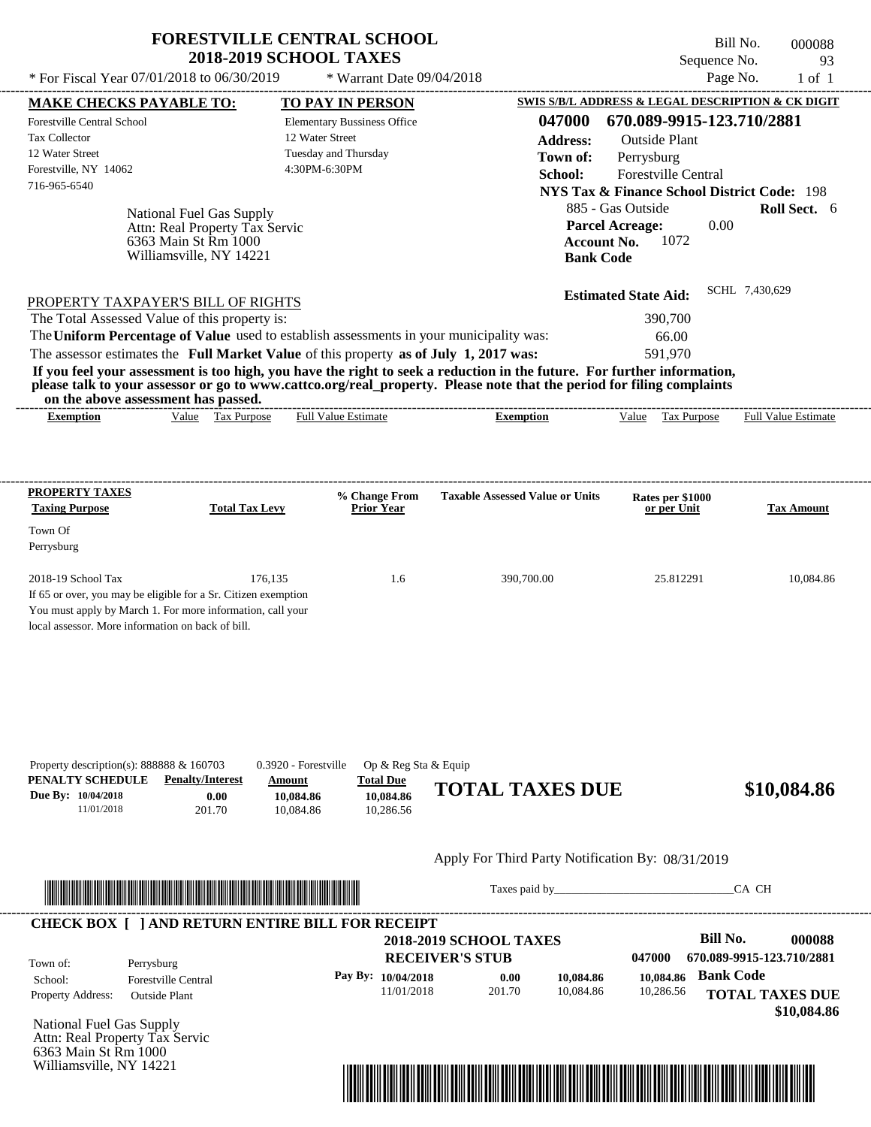| * For Fiscal Year 07/01/2018 to 06/30/2019                                                                                                                                                                                                                              | <b>FORESTVILLE CENTRAL SCHOOL</b><br><b>2018-2019 SCHOOL TAXES</b>                                                                             | * Warrant Date 09/04/2018                                          |                                                                                                                                                                                                                                                                      | Bill No.<br>Sequence No.<br>Page No.                                                                                                                                                                                  | 000088<br>93<br>$1$ of $1$          |
|-------------------------------------------------------------------------------------------------------------------------------------------------------------------------------------------------------------------------------------------------------------------------|------------------------------------------------------------------------------------------------------------------------------------------------|--------------------------------------------------------------------|----------------------------------------------------------------------------------------------------------------------------------------------------------------------------------------------------------------------------------------------------------------------|-----------------------------------------------------------------------------------------------------------------------------------------------------------------------------------------------------------------------|-------------------------------------|
|                                                                                                                                                                                                                                                                         |                                                                                                                                                |                                                                    |                                                                                                                                                                                                                                                                      |                                                                                                                                                                                                                       |                                     |
| <b>MAKE CHECKS PAYABLE TO:</b><br><b>Forestville Central School</b><br><b>Tax Collector</b><br>12 Water Street<br>Forestville, NY 14062<br>716-965-6540                                                                                                                 | 12 Water Street<br>Tuesday and Thursday<br>4:30PM-6:30PM<br>National Fuel Gas Supply<br>Attn: Real Property Tax Servic<br>6363 Main St Rm 1000 | <b>TO PAY IN PERSON</b><br><b>Elementary Bussiness Office</b>      | 047000<br><b>Address:</b><br>Town of:<br>School:<br>885 - Gas Outside<br><b>Parcel Acreage:</b><br><b>Account No.</b>                                                                                                                                                | SWIS S/B/L ADDRESS & LEGAL DESCRIPTION & CK DIGIT<br>670.089-9915-123.710/2881<br><b>Outside Plant</b><br>Perrysburg<br>Forestville Central<br><b>NYS Tax &amp; Finance School District Code: 198</b><br>0.00<br>1072 | Roll Sect. 6                        |
| PROPERTY TAXPAYER'S BILL OF RIGHTS<br>The Total Assessed Value of this property is:<br>The Uniform Percentage of Value used to establish assessments in your municipality was:<br>The assessor estimates the Full Market Value of this property as of July 1, 2017 was: | Williamsville, NY 14221                                                                                                                        |                                                                    | <b>Bank Code</b><br>If you feel your assessment is too high, you have the right to seek a reduction in the future. For further information,<br>please talk to your assessor or go to www.cattco.org/real_property. Please note that the period for filing complaints | <b>Estimated State Aid:</b><br>390,700<br>66.00<br>591.970                                                                                                                                                            | SCHL 7,430,629                      |
| on the above assessment has passed.<br><b>Exemption</b>                                                                                                                                                                                                                 | Value Tax Purpose                                                                                                                              | <b>Full Value Estimate</b>                                         | <b>Exemption</b>                                                                                                                                                                                                                                                     | Value<br>Tax Purpose                                                                                                                                                                                                  | <b>Full Value Estimate</b>          |
| PROPERTY TAXES<br><b>Taxing Purpose</b><br>Town Of<br>Perrysburg                                                                                                                                                                                                        | <b>Total Tax Levy</b>                                                                                                                          | % Change From<br><b>Prior Year</b>                                 | <b>Taxable Assessed Value or Units</b>                                                                                                                                                                                                                               | Rates per \$1000<br>or per Unit                                                                                                                                                                                       | <b>Tax Amount</b>                   |
| 2018-19 School Tax<br>If 65 or over, you may be eligible for a Sr. Citizen exemption<br>You must apply by March 1. For more information, call your<br>local assessor. More information on back of bill.                                                                 | 176.135                                                                                                                                        | 1.6                                                                | 390,700.00                                                                                                                                                                                                                                                           | 25.812291                                                                                                                                                                                                             | 10.084.86                           |
| Property description(s): $888888 \& 160703$<br>PENALTY SCHEDULE<br>Due By: 10/04/2018<br>11/01/2018                                                                                                                                                                     | 0.3920 - Forestville<br><b>Penalty/Interest</b><br>Amount<br>0.00<br>10,084.86<br>201.70<br>10,084.86                                          | Op & Reg Sta & Equip<br><b>Total Due</b><br>10,084.86<br>10,286.56 | <b>TOTAL TAXES DUE</b>                                                                                                                                                                                                                                               |                                                                                                                                                                                                                       | \$10,084.86                         |
|                                                                                                                                                                                                                                                                         |                                                                                                                                                |                                                                    | Apply For Third Party Notification By: 08/31/2019                                                                                                                                                                                                                    |                                                                                                                                                                                                                       |                                     |
| <u> Indian American State and The Communication of the Communication of the Communication of the Communication of the Communication of the Communication of the Communication of the Communication of the Communication of the C</u>                                    |                                                                                                                                                |                                                                    |                                                                                                                                                                                                                                                                      |                                                                                                                                                                                                                       | CA CH                               |
| <b>CHECK BOX [ ] AND RETURN ENTIRE BILL FOR RECEIPT</b><br>Town of:<br>Perrysburg                                                                                                                                                                                       |                                                                                                                                                |                                                                    | <b>2018-2019 SCHOOL TAXES</b><br><b>RECEIVER'S STUB</b>                                                                                                                                                                                                              | <b>Bill No.</b><br>047000                                                                                                                                                                                             | 000088<br>670.089-9915-123.710/2881 |

**Pay By: 10/04/2018**

11/01/2018 201.70

**0.00**

National Fuel Gas Supply Attn: Real Property Tax Servic 6363 Main St Rm 1000

Property Address: Outside Plant

Williamsville, NY 14221

School: Forestville Central



10,084.86 **10,084.86** **Bank Code 10,084.86**

10,286.56

**TOTAL TAXES DUE**

 **\$10,084.86**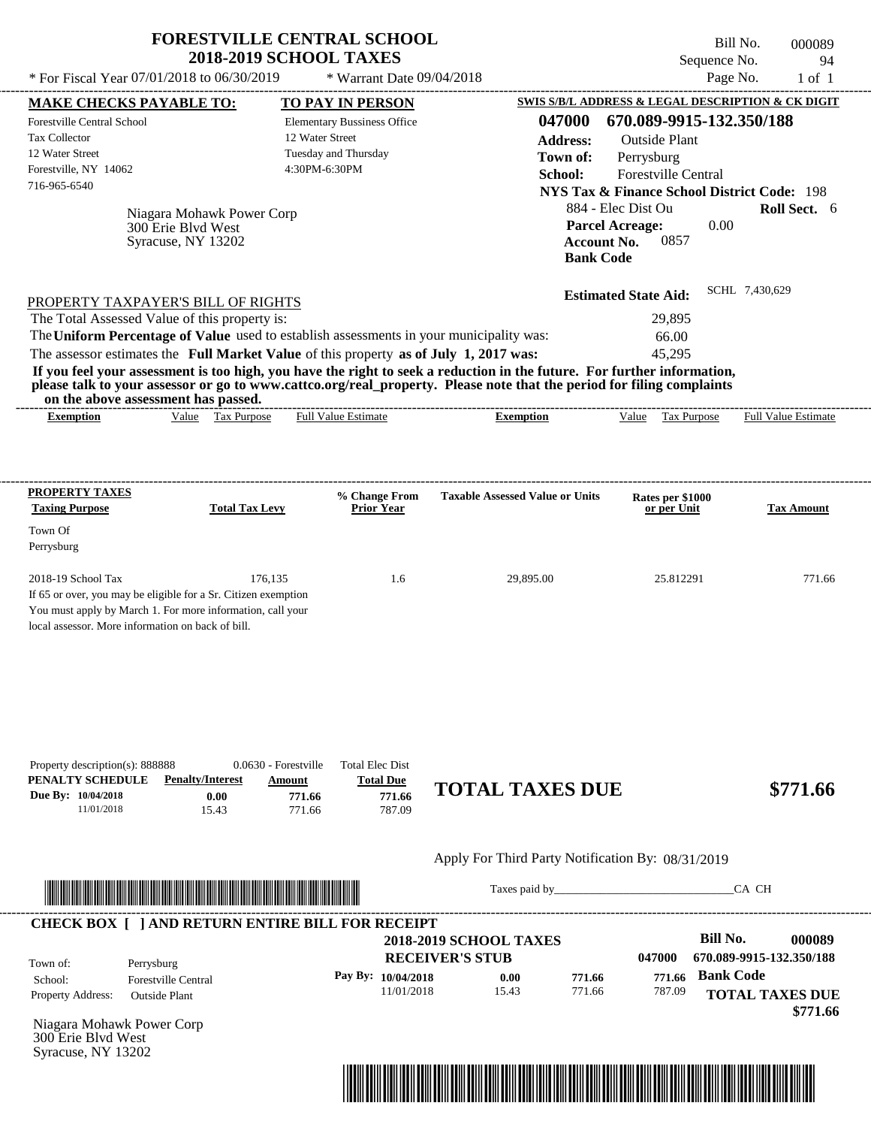|                                                                                                                                              | <b>2018-2019 SCHOOL TAXES</b>                                                                                                | <b>FORESTVILLE CENTRAL SCHOOL</b>                                                  |                                                                                                                                                                                                                                                  | Bill No.<br>Sequence No.                               | 000089<br>94        |
|----------------------------------------------------------------------------------------------------------------------------------------------|------------------------------------------------------------------------------------------------------------------------------|------------------------------------------------------------------------------------|--------------------------------------------------------------------------------------------------------------------------------------------------------------------------------------------------------------------------------------------------|--------------------------------------------------------|---------------------|
| * For Fiscal Year 07/01/2018 to 06/30/2019                                                                                                   |                                                                                                                              | * Warrant Date 09/04/2018                                                          |                                                                                                                                                                                                                                                  | Page No.                                               | $1$ of $1$          |
| <b>MAKE CHECKS PAYABLE TO:</b>                                                                                                               |                                                                                                                              | <b>TO PAY IN PERSON</b>                                                            |                                                                                                                                                                                                                                                  | SWIS S/B/L ADDRESS & LEGAL DESCRIPTION & CK DIGIT      |                     |
| <b>Forestville Central School</b>                                                                                                            |                                                                                                                              | <b>Elementary Bussiness Office</b>                                                 | 047000                                                                                                                                                                                                                                           | 670.089-9915-132.350/188                               |                     |
| <b>Tax Collector</b>                                                                                                                         |                                                                                                                              | 12 Water Street                                                                    | <b>Address:</b>                                                                                                                                                                                                                                  | <b>Outside Plant</b>                                   |                     |
| 12 Water Street                                                                                                                              |                                                                                                                              | Tuesday and Thursday                                                               | Town of:                                                                                                                                                                                                                                         | Perrysburg                                             |                     |
| Forestville, NY 14062<br>716-965-6540                                                                                                        |                                                                                                                              | 4:30PM-6:30PM                                                                      | School:                                                                                                                                                                                                                                          | Forestville Central                                    |                     |
|                                                                                                                                              |                                                                                                                              |                                                                                    |                                                                                                                                                                                                                                                  | <b>NYS Tax &amp; Finance School District Code: 198</b> |                     |
|                                                                                                                                              | Niagara Mohawk Power Corp                                                                                                    |                                                                                    |                                                                                                                                                                                                                                                  | 884 - Elec Dist Ou                                     | <b>Roll Sect.</b> 6 |
|                                                                                                                                              | 300 Erie Blvd West                                                                                                           |                                                                                    | <b>Parcel Acreage:</b>                                                                                                                                                                                                                           | 0.00                                                   |                     |
|                                                                                                                                              | Syracuse, NY 13202                                                                                                           |                                                                                    | <b>Account No.</b><br><b>Bank Code</b>                                                                                                                                                                                                           | 0857                                                   |                     |
|                                                                                                                                              |                                                                                                                              |                                                                                    |                                                                                                                                                                                                                                                  |                                                        |                     |
|                                                                                                                                              | PROPERTY TAXPAYER'S BILL OF RIGHTS                                                                                           |                                                                                    |                                                                                                                                                                                                                                                  | <b>Estimated State Aid:</b>                            | SCHL 7,430,629      |
| The Total Assessed Value of this property is:                                                                                                |                                                                                                                              |                                                                                    |                                                                                                                                                                                                                                                  | 29,895                                                 |                     |
|                                                                                                                                              | The Uniform Percentage of Value used to establish assessments in your municipality was:                                      |                                                                                    |                                                                                                                                                                                                                                                  | 66.00                                                  |                     |
|                                                                                                                                              | The assessor estimates the Full Market Value of this property as of July 1, 2017 was:                                        |                                                                                    |                                                                                                                                                                                                                                                  | 45,295                                                 |                     |
| on the above assessment has passed.                                                                                                          |                                                                                                                              |                                                                                    | If you feel your assessment is too high, you have the right to seek a reduction in the future. For further information,<br>please talk to your assessor or go to www.cattco.org/real_property. Please note that the period for filing complaints |                                                        |                     |
| <b>Exemption</b>                                                                                                                             | Value Tax Purpose                                                                                                            | <b>Full Value Estimate</b>                                                         | <b>Exemption</b>                                                                                                                                                                                                                                 | Value<br><b>Tax Purpose</b>                            | Full Value Estimate |
| PROPERTY TAXES<br><b>Taxing Purpose</b>                                                                                                      | <b>Total Tax Levy</b>                                                                                                        | % Change From<br><b>Prior Year</b>                                                 | <b>Taxable Assessed Value or Units</b>                                                                                                                                                                                                           | Rates per \$1000<br>or per Unit                        | <b>Tax Amount</b>   |
| Town Of                                                                                                                                      |                                                                                                                              |                                                                                    |                                                                                                                                                                                                                                                  |                                                        |                     |
| Perrysburg                                                                                                                                   |                                                                                                                              |                                                                                    |                                                                                                                                                                                                                                                  |                                                        |                     |
| 2018-19 School Tax                                                                                                                           | 176.135                                                                                                                      | 1.6                                                                                | 29,895.00                                                                                                                                                                                                                                        | 25.812291                                              | 771.66              |
|                                                                                                                                              | If 65 or over, you may be eligible for a Sr. Citizen exemption<br>You must apply by March 1. For more information, call your |                                                                                    |                                                                                                                                                                                                                                                  |                                                        |                     |
|                                                                                                                                              |                                                                                                                              |                                                                                    |                                                                                                                                                                                                                                                  |                                                        |                     |
| local assessor. More information on back of bill.<br>Property description(s): 888888<br>PENALTY SCHEDULE<br>Due By: 10/04/2018<br>11/01/2018 | 0.0630 - Forestville<br><b>Penalty/Interest</b><br>Amount<br>0.00<br>15.43                                                   | <b>Total Elec Dist</b><br><b>Total Due</b><br>771.66<br>771.66<br>771.66<br>787.09 | <b>TOTAL TAXES DUE</b>                                                                                                                                                                                                                           |                                                        |                     |
|                                                                                                                                              |                                                                                                                              |                                                                                    | Apply For Third Party Notification By: 08/31/2019                                                                                                                                                                                                |                                                        |                     |
|                                                                                                                                              |                                                                                                                              |                                                                                    | Taxes paid by                                                                                                                                                                                                                                    |                                                        | \$771.66<br>CA CH   |



Taxes paid by\_\_\_\_\_\_\_\_\_\_\_\_\_\_\_\_\_\_\_\_\_\_\_\_\_\_\_\_\_\_\_CA CH

|                          |                            |                        | <b>2018-2019 SCHOOL TAXES</b> |        |        | Bill No.                 | 000089 |
|--------------------------|----------------------------|------------------------|-------------------------------|--------|--------|--------------------------|--------|
| Town of:                 | Perrysburg                 | <b>RECEIVER'S STUB</b> |                               |        | 047000 | 670.089-9915-132.350/188 |        |
| School:                  | <b>Forestville Central</b> | Pay By: $10/04/2018$   | 0.00                          | 771.66 | 771.66 | <b>Bank Code</b>         |        |
| <b>Property Address:</b> | Outside Plant              | 11/01/2018             | 15.43                         | 771.66 | 787.09 | <b>TOTAL TAXES DUE</b>   |        |
|                          |                            |                        |                               |        |        |                          |        |

Niagara Mohawk Power Corp 300 Erie Blvd West Syracuse, NY 13202

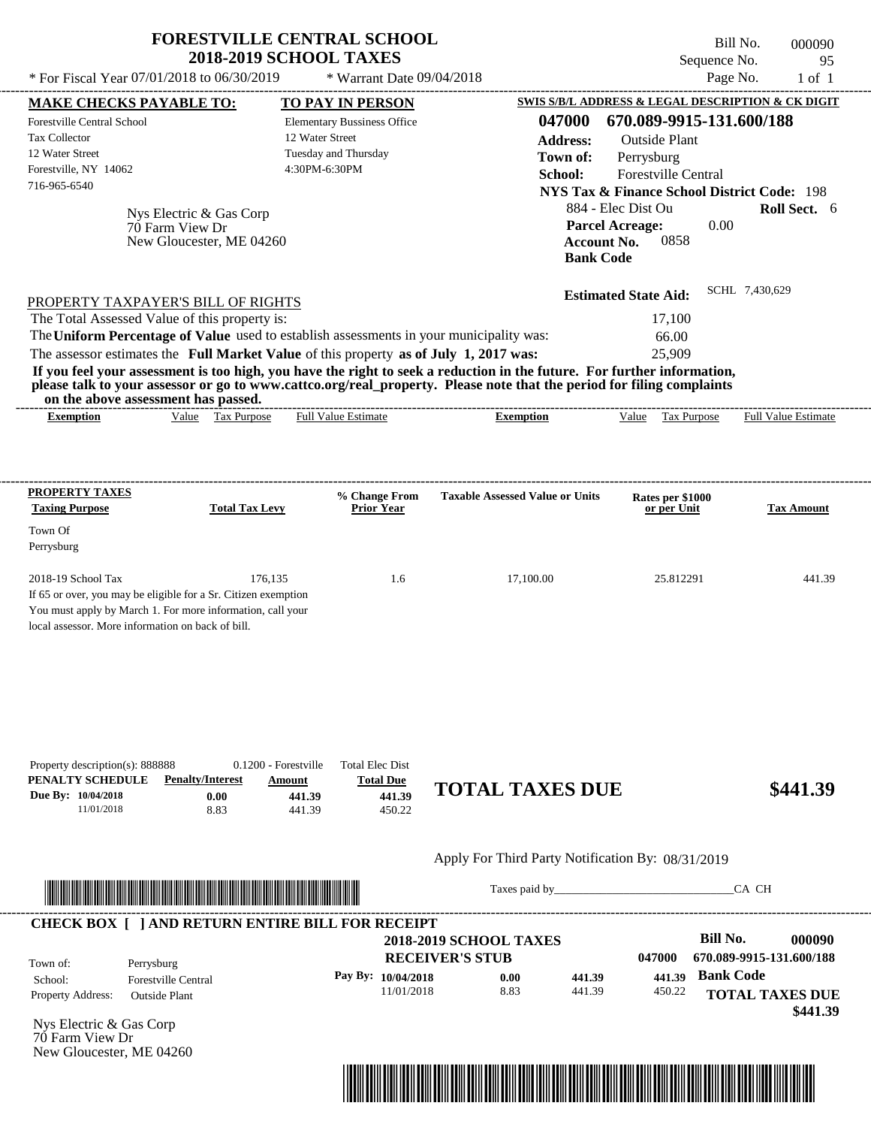|                                                                                                                                                                                                                                                    | <b>2018-2019 SCHOOL TAXES</b> | <b>FORESTVILLE CENTRAL SCHOOL</b>  |                                        | Sequence No.                                                     | Bill No.<br>000090         |
|----------------------------------------------------------------------------------------------------------------------------------------------------------------------------------------------------------------------------------------------------|-------------------------------|------------------------------------|----------------------------------------|------------------------------------------------------------------|----------------------------|
| * For Fiscal Year 07/01/2018 to 06/30/2019                                                                                                                                                                                                         |                               | * Warrant Date 09/04/2018          |                                        |                                                                  | Page No.<br>$1$ of $1$     |
| <b>MAKE CHECKS PAYABLE TO:</b>                                                                                                                                                                                                                     |                               | TO PAY IN PERSON                   |                                        | <b>SWIS S/B/L ADDRESS &amp; LEGAL DESCRIPTION &amp; CK DIGIT</b> |                            |
| Forestville Central School                                                                                                                                                                                                                         |                               | <b>Elementary Bussiness Office</b> | 047000                                 | 670.089-9915-131.600/188                                         |                            |
| <b>Tax Collector</b>                                                                                                                                                                                                                               |                               | 12 Water Street                    | <b>Address:</b>                        | <b>Outside Plant</b>                                             |                            |
| 12 Water Street                                                                                                                                                                                                                                    |                               | Tuesday and Thursday               | Town of:                               | Perrysburg                                                       |                            |
| Forestville, NY 14062                                                                                                                                                                                                                              |                               | 4:30PM-6:30PM                      | School:                                | <b>Forestville Central</b>                                       |                            |
| 716-965-6540                                                                                                                                                                                                                                       |                               |                                    |                                        | <b>NYS Tax &amp; Finance School District Code: 198</b>           |                            |
| Nys Electric & Gas Corp                                                                                                                                                                                                                            |                               |                                    |                                        | 884 - Elec Dist Ou                                               | Roll Sect. 6               |
| 70 Farm View Dr                                                                                                                                                                                                                                    |                               |                                    |                                        | <b>Parcel Acreage:</b><br>0.00                                   |                            |
| New Gloucester, ME 04260                                                                                                                                                                                                                           |                               |                                    |                                        | 0858<br><b>Account No.</b><br><b>Bank Code</b>                   |                            |
| PROPERTY TAXPAYER'S BILL OF RIGHTS                                                                                                                                                                                                                 |                               |                                    |                                        | <b>Estimated State Aid:</b>                                      | SCHL 7,430,629             |
| The Total Assessed Value of this property is:                                                                                                                                                                                                      |                               |                                    |                                        | 17,100                                                           |                            |
| The Uniform Percentage of Value used to establish assessments in your municipality was:                                                                                                                                                            |                               |                                    |                                        | 66.00                                                            |                            |
| The assessor estimates the Full Market Value of this property as of July 1, 2017 was:                                                                                                                                                              |                               |                                    |                                        | 25,909                                                           |                            |
| on the above assessment has passed.<br><b>Exemption</b>                                                                                                                                                                                            | Value Tax Purpose             | <b>Full Value Estimate</b>         | <b>Exemption</b>                       | Value<br>Tax Purpose                                             | <b>Full Value Estimate</b> |
|                                                                                                                                                                                                                                                    |                               |                                    |                                        |                                                                  |                            |
| please talk to your assessor or go to www.cattco.org/real property. Please note that the period for filing complaints                                                                                                                              |                               |                                    |                                        |                                                                  |                            |
|                                                                                                                                                                                                                                                    | <b>Total Tax Levy</b>         | % Change From<br><b>Prior Year</b> | <b>Taxable Assessed Value or Units</b> | Rates per \$1000<br>or per Unit                                  | <b>Tax Amount</b>          |
|                                                                                                                                                                                                                                                    |                               |                                    |                                        |                                                                  |                            |
|                                                                                                                                                                                                                                                    |                               |                                    |                                        |                                                                  |                            |
|                                                                                                                                                                                                                                                    | 176,135                       | 1.6                                | 17,100.00                              | 25.812291                                                        | 441.39                     |
|                                                                                                                                                                                                                                                    |                               |                                    |                                        |                                                                  |                            |
|                                                                                                                                                                                                                                                    |                               |                                    |                                        |                                                                  |                            |
|                                                                                                                                                                                                                                                    |                               |                                    |                                        |                                                                  |                            |
|                                                                                                                                                                                                                                                    |                               |                                    |                                        |                                                                  |                            |
|                                                                                                                                                                                                                                                    |                               |                                    |                                        |                                                                  |                            |
|                                                                                                                                                                                                                                                    |                               |                                    |                                        |                                                                  |                            |
| <b>Taxing Purpose</b>                                                                                                                                                                                                                              |                               |                                    |                                        |                                                                  |                            |
| PROPERTY TAXES<br>Town Of<br>Perrysburg<br>2018-19 School Tax<br>If 65 or over, you may be eligible for a Sr. Citizen exemption<br>You must apply by March 1. For more information, call your<br>local assessor. More information on back of bill. |                               |                                    |                                        |                                                                  |                            |
|                                                                                                                                                                                                                                                    |                               |                                    |                                        |                                                                  |                            |
|                                                                                                                                                                                                                                                    |                               |                                    |                                        |                                                                  |                            |

**PENALTY SCHEDULE Penalty/Interest Amount Total Due Due By: 10/04/2018** 11/01/2018 8.83 **0.00 441.39** 441.39 450.22 **441.39 TOTAL TAXES DUE \$441.39**

Apply For Third Party Notification By: 08/31/2019



Taxes paid by\_\_\_\_\_\_\_\_\_\_\_\_\_\_\_\_\_\_\_\_\_\_\_\_\_\_\_\_\_\_\_CA CH



Nys Electric & Gas Corp 70 Farm View Dr New Gloucester, ME 04260